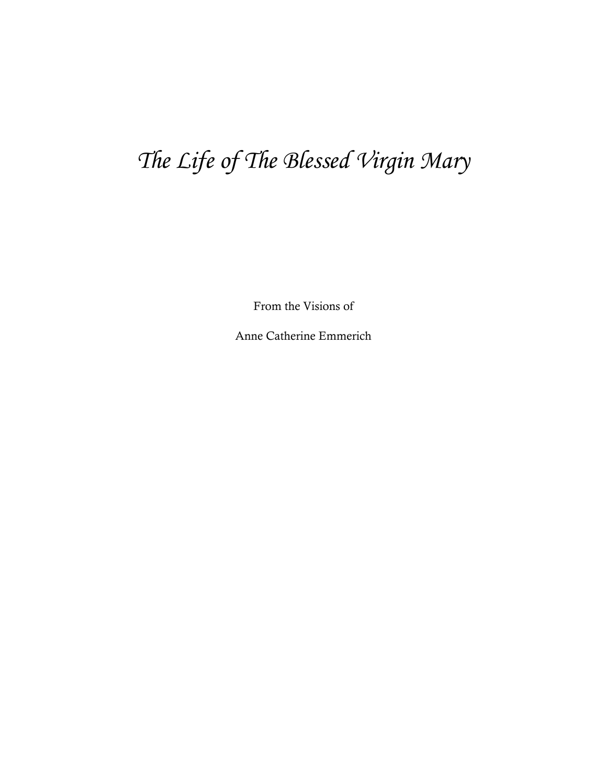# *The Life of The Blessed Virgin Mary*

From the Visions of

Anne Catherine Emmerich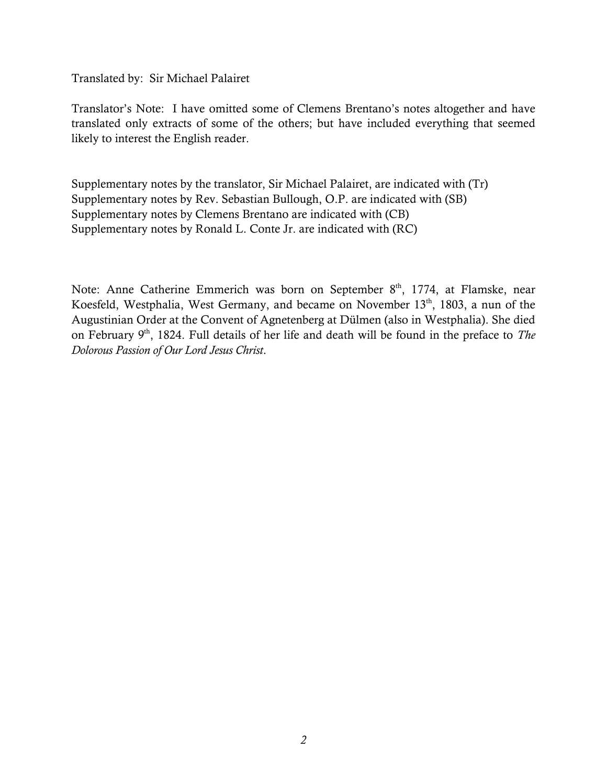Translated by: Sir Michael Palairet

Translator's Note: I have omitted some of Clemens Brentano's notes altogether and have translated only extracts of some of the others; but have included everything that seemed likely to interest the English reader.

Supplementary notes by the translator, Sir Michael Palairet, are indicated with (Tr) Supplementary notes by Rev. Sebastian Bullough, O.P. are indicated with (SB) Supplementary notes by Clemens Brentano are indicated with (CB) Supplementary notes by Ronald L. Conte Jr. are indicated with (RC)

Note: Anne Catherine Emmerich was born on September 8<sup>th</sup>, 1774, at Flamske, near Koesfeld, Westphalia, West Germany, and became on November  $13<sup>th</sup>$ , 1803, a nun of the Augustinian Order at the Convent of Agnetenberg at Dülmen (also in Westphalia). She died on February 9<sup>th</sup>, 1824. Full details of her life and death will be found in the preface to *The Dolorous Passion of Our Lord Jesus Christ*.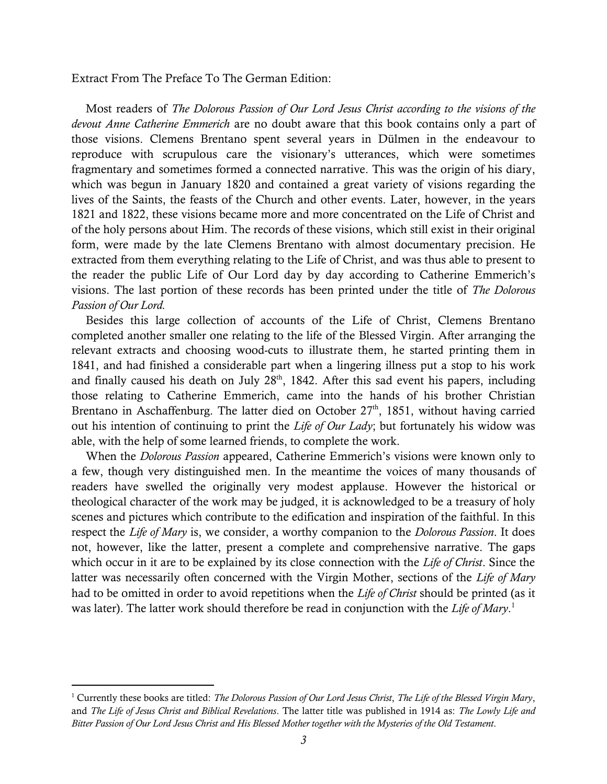Extract From The Preface To The German Edition:

Most readers of *The Dolorous Passion of Our Lord Jesus Christ according to the visions of the devout Anne Catherine Emmerich* are no doubt aware that this book contains only a part of those visions. Clemens Brentano spent several years in Dülmen in the endeavour to reproduce with scrupulous care the visionary's utterances, which were sometimes fragmentary and sometimes formed a connected narrative. This was the origin of his diary, which was begun in January 1820 and contained a great variety of visions regarding the lives of the Saints, the feasts of the Church and other events. Later, however, in the years 1821 and 1822, these visions became more and more concentrated on the Life of Christ and of the holy persons about Him. The records of these visions, which still exist in their original form, were made by the late Clemens Brentano with almost documentary precision. He extracted from them everything relating to the Life of Christ, and was thus able to present to the reader the public Life of Our Lord day by day according to Catherine Emmerich's visions. The last portion of these records has been printed under the title of *The Dolorous Passion of Our Lord.*

Besides this large collection of accounts of the Life of Christ, Clemens Brentano completed another smaller one relating to the life of the Blessed Virgin. After arranging the relevant extracts and choosing wood-cuts to illustrate them, he started printing them in 1841, and had finished a considerable part when a lingering illness put a stop to his work and finally caused his death on July  $28<sup>th</sup>$ , 1842. After this sad event his papers, including those relating to Catherine Emmerich, came into the hands of his brother Christian Brentano in Aschaffenburg. The latter died on October  $27<sup>th</sup>$ , 1851, without having carried out his intention of continuing to print the *Life of Our Lady*; but fortunately his widow was able, with the help of some learned friends, to complete the work.

When the *Dolorous Passion* appeared, Catherine Emmerich's visions were known only to a few, though very distinguished men. In the meantime the voices of many thousands of readers have swelled the originally very modest applause. However the historical or theological character of the work may be judged, it is acknowledged to be a treasury of holy scenes and pictures which contribute to the edification and inspiration of the faithful. In this respect the *Life of Mary* is, we consider, a worthy companion to the *Dolorous Passion*. It does not, however, like the latter, present a complete and comprehensive narrative. The gaps which occur in it are to be explained by its close connection with the *Life of Christ*. Since the latter was necessarily often concerned with the Virgin Mother, sections of the *Life of Mary* had to be omitted in order to avoid repetitions when the *Life of Christ* should be printed (as it was later). The latter work should therefore be read in conjunction with the *Life of Mary*. 1

<sup>1</sup> Currently these books are titled: *The Dolorous Passion of Our Lord Jesus Christ*, *The Life of the Blessed Virgin Mary*, and *The Life of Jesus Christ and Biblical Revelations*. The latter title was published in 1914 as: *The Lowly Life and Bitter Passion of Our Lord Jesus Christ and His Blessed Mother together with the Mysteries of the Old Testament*.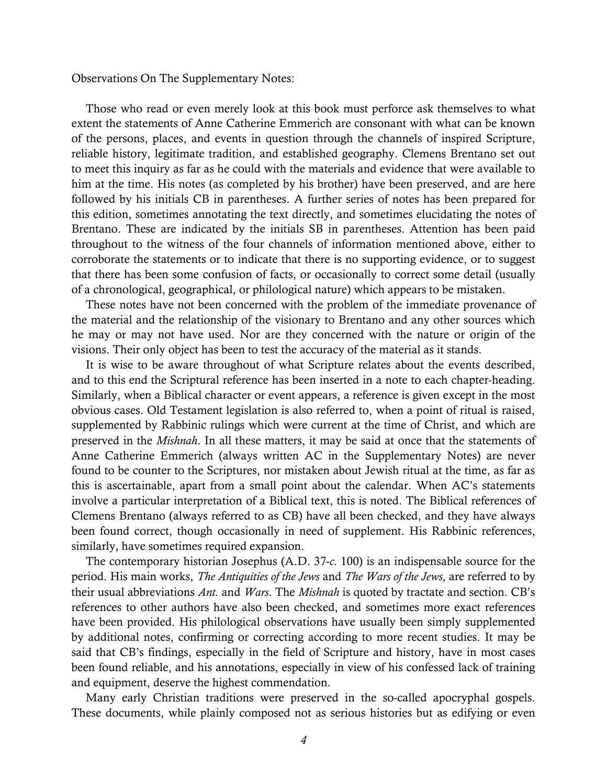Observations On The Supplementary Notes:

Those who read or even merely look at this book must perforce ask themselves to what extent the statements of Anne Catherine Emmerich are consonant with what can be known of the persons, places, and events in question through the channels of inspired Scripture, reliable history, legitimate tradition, and established geography. Clemens Brentano set out to meet this inquiry as far as he could with the materials and evidence that were available to him at the time. His notes (as completed by his brother) have been preserved, and are here followed by his initials CB in parentheses. A further series of notes has been prepared for this edition, sometimes annotating the text directly, and sometimes elucidating the notes of Brentano. These are indicated by the initials SB in parentheses. Attention has been paid throughout to the witness of the four channels of information mentioned above, either to corroborate the statements or to indicate that there is no supporting evidence, or to suggest that there has been some confusion of facts, or occasionally to correct some detail (usually of a chronological, geographical, or philological nature) which appears to be mistaken.

These notes have not been concerned with the problem of the immediate provenance of the material and the relationship of the visionary to Brentano and any other sources which he may or may not have used. Nor are they concerned with the nature or origin of the visions. Their only object has been to test the accuracy of the material as it stands.

It is wise to be aware throughout of what Scripture relates about the events described, and to this end the Scriptural reference has been inserted in a note to each chapter-heading. Similarly, when a Biblical character or event appears, a reference is given except in the most obvious cases. Old Testament legislation is also referred to, when a point of ritual is raised, supplemented by Rabbinic rulings which were current at the time of Christ, and which are preserved in the *Mishnah*. In all these matters, it may be said at once that the statements of Anne Catherine Emmerich (always written AC in the Supplementary Notes) are never found to be counter to the Scriptures, nor mistaken about Jewish ritual at the time, as far as this is ascertainable, apart from a small point about the calendar. When AC's statements involve a particular interpretation of a Biblical text, this is noted. The Biblical references of Clemens Brentano (always referred to as CB) have all been checked, and they have always been found correct, though occasionally in need of supplement. His Rabbinic references, similarly, have sometimes required expansion.

The contemporary historian Josephus (A.D. 37-*c*. 100) is an indispensable source for the period. His main works, *The Antiquities of the Jews* and *The Wars of the Jews*, are referred to by their usual abbreviations *Ant.* and *Wars*. The *Mishnah* is quoted by tractate and section. CB's references to other authors have also been checked, and sometimes more exact references have been provided. His philological observations have usually been simply supplemented by additional notes, confirming or correcting according to more recent studies. It may be said that CB's findings, especially in the field of Scripture and history, have in most cases been found reliable, and his annotations, especially in view of his confessed lack of training and equipment, deserve the highest commendation.

Many early Christian traditions were preserved in the so-called apocryphal gospels. These documents, while plainly composed not as serious histories but as edifying or even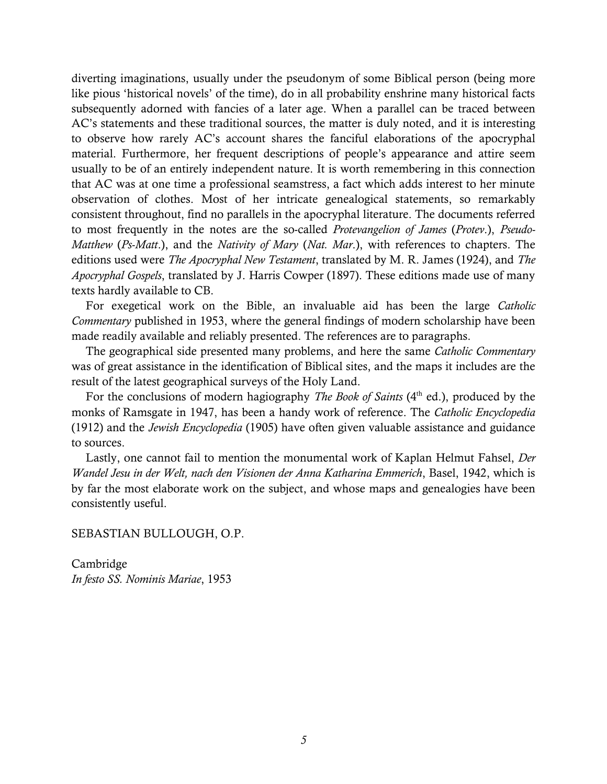diverting imaginations, usually under the pseudonym of some Biblical person (being more like pious 'historical novels' of the time), do in all probability enshrine many historical facts subsequently adorned with fancies of a later age. When a parallel can be traced between AC's statements and these traditional sources, the matter is duly noted, and it is interesting to observe how rarely AC's account shares the fanciful elaborations of the apocryphal material. Furthermore, her frequent descriptions of people's appearance and attire seem usually to be of an entirely independent nature. It is worth remembering in this connection that AC was at one time a professional seamstress, a fact which adds interest to her minute observation of clothes. Most of her intricate genealogical statements, so remarkably consistent throughout, find no parallels in the apocryphal literature. The documents referred to most frequently in the notes are the so-called *Protevangelion of James* (*Protev*.), *Pseudo-Matthew* (*Ps-Matt*.), and the *Nativity of Mary* (*Nat. Mar*.), with references to chapters. The editions used were *The Apocryphal New Testament*, translated by M. R. James (1924), and *The Apocryphal Gospels*, translated by J. Harris Cowper (1897). These editions made use of many texts hardly available to CB.

For exegetical work on the Bible, an invaluable aid has been the large *Catholic Commentary* published in 1953, where the general findings of modern scholarship have been made readily available and reliably presented. The references are to paragraphs.

The geographical side presented many problems, and here the same *Catholic Commentary* was of great assistance in the identification of Biblical sites, and the maps it includes are the result of the latest geographical surveys of the Holy Land.

For the conclusions of modern hagiography *The Book of Saints* (4<sup>th</sup> ed.), produced by the monks of Ramsgate in 1947, has been a handy work of reference. The *Catholic Encyclopedia* (1912) and the *Jewish Encyclopedia* (1905) have often given valuable assistance and guidance to sources.

Lastly, one cannot fail to mention the monumental work of Kaplan Helmut Fahsel, *Der Wandel Jesu in der Welt, nach den Visionen der Anna Katharina Emmerich*, Basel, 1942, which is by far the most elaborate work on the subject, and whose maps and genealogies have been consistently useful.

### SEBASTIAN BULLOUGH, O.P.

Cambridge *In festo SS. Nominis Mariae*, 1953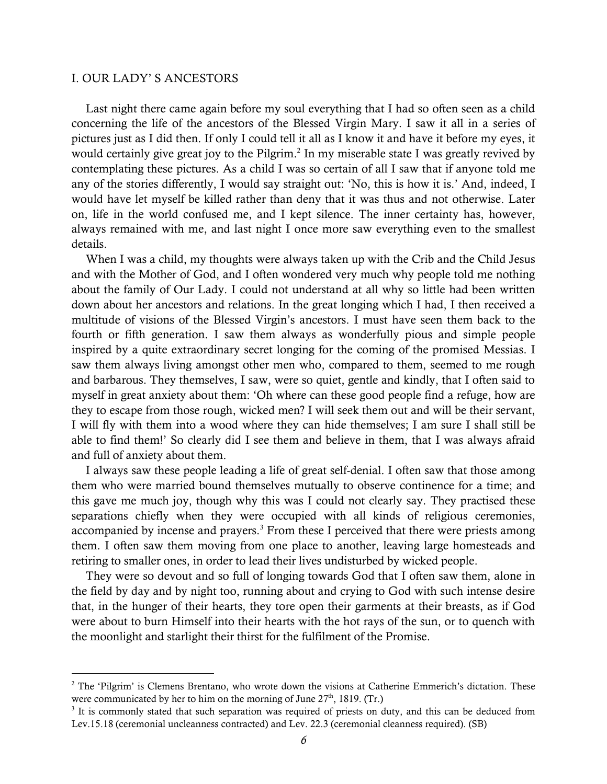### I. OUR LADY' S ANCESTORS

 $\overline{a}$ 

Last night there came again before my soul everything that I had so often seen as a child concerning the life of the ancestors of the Blessed Virgin Mary. I saw it all in a series of pictures just as I did then. If only I could tell it all as I know it and have it before my eyes, it would certainly give great joy to the Pilgrim.<sup>2</sup> In my miserable state I was greatly revived by contemplating these pictures. As a child I was so certain of all I saw that if anyone told me any of the stories differently, I would say straight out: 'No, this is how it is.' And, indeed, I would have let myself be killed rather than deny that it was thus and not otherwise. Later on, life in the world confused me, and I kept silence. The inner certainty has, however, always remained with me, and last night I once more saw everything even to the smallest details.

When I was a child, my thoughts were always taken up with the Crib and the Child Jesus and with the Mother of God, and I often wondered very much why people told me nothing about the family of Our Lady. I could not understand at all why so little had been written down about her ancestors and relations. In the great longing which I had, I then received a multitude of visions of the Blessed Virgin's ancestors. I must have seen them back to the fourth or fifth generation. I saw them always as wonderfully pious and simple people inspired by a quite extraordinary secret longing for the coming of the promised Messias. I saw them always living amongst other men who, compared to them, seemed to me rough and barbarous. They themselves, I saw, were so quiet, gentle and kindly, that I often said to myself in great anxiety about them: 'Oh where can these good people find a refuge, how are they to escape from those rough, wicked men? I will seek them out and will be their servant, I will fly with them into a wood where they can hide themselves; I am sure I shall still be able to find them!' So clearly did I see them and believe in them, that I was always afraid and full of anxiety about them.

I always saw these people leading a life of great self-denial. I often saw that those among them who were married bound themselves mutually to observe continence for a time; and this gave me much joy, though why this was I could not clearly say. They practised these separations chiefly when they were occupied with all kinds of religious ceremonies, accompanied by incense and prayers. $3$  From these I perceived that there were priests among them. I often saw them moving from one place to another, leaving large homesteads and retiring to smaller ones, in order to lead their lives undisturbed by wicked people.

They were so devout and so full of longing towards God that I often saw them, alone in the field by day and by night too, running about and crying to God with such intense desire that, in the hunger of their hearts, they tore open their garments at their breasts, as if God were about to burn Himself into their hearts with the hot rays of the sun, or to quench with the moonlight and starlight their thirst for the fulfilment of the Promise.

<sup>&</sup>lt;sup>2</sup> The 'Pilgrim' is Clemens Brentano, who wrote down the visions at Catherine Emmerich's dictation. These were communicated by her to him on the morning of June  $27<sup>th</sup>$ , 1819. (Tr.)

<sup>&</sup>lt;sup>3</sup> It is commonly stated that such separation was required of priests on duty, and this can be deduced from Lev.15.18 (ceremonial uncleanness contracted) and Lev. 22.3 (ceremonial cleanness required). (SB)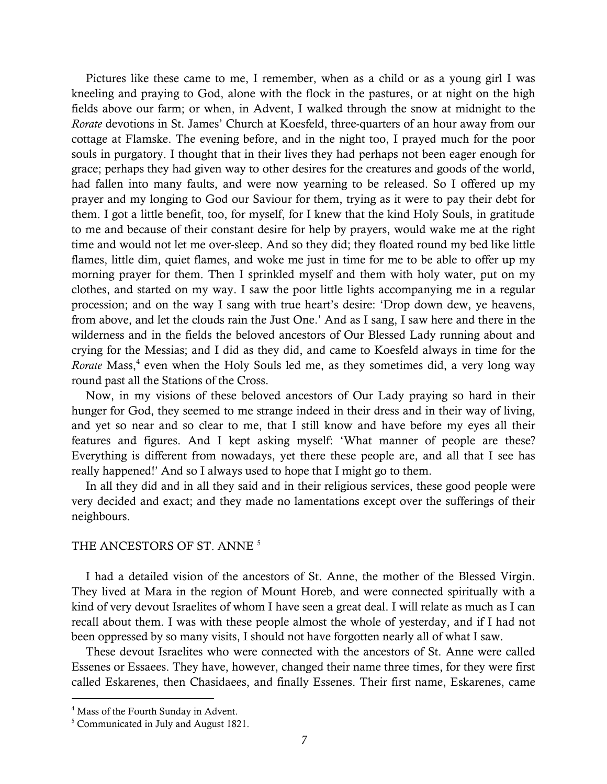Pictures like these came to me, I remember, when as a child or as a young girl I was kneeling and praying to God, alone with the flock in the pastures, or at night on the high fields above our farm; or when, in Advent, I walked through the snow at midnight to the *Rorate* devotions in St. James' Church at Koesfeld, three-quarters of an hour away from our cottage at Flamske. The evening before, and in the night too, I prayed much for the poor souls in purgatory. I thought that in their lives they had perhaps not been eager enough for grace; perhaps they had given way to other desires for the creatures and goods of the world, had fallen into many faults, and were now yearning to be released. So I offered up my prayer and my longing to God our Saviour for them, trying as it were to pay their debt for them. I got a little benefit, too, for myself, for I knew that the kind Holy Souls, in gratitude to me and because of their constant desire for help by prayers, would wake me at the right time and would not let me over-sleep. And so they did; they floated round my bed like little flames, little dim, quiet flames, and woke me just in time for me to be able to offer up my morning prayer for them. Then I sprinkled myself and them with holy water, put on my clothes, and started on my way. I saw the poor little lights accompanying me in a regular procession; and on the way I sang with true heart's desire: 'Drop down dew, ye heavens, from above, and let the clouds rain the Just One.' And as I sang, I saw here and there in the wilderness and in the fields the beloved ancestors of Our Blessed Lady running about and crying for the Messias; and I did as they did, and came to Koesfeld always in time for the *Rorate* Mass,<sup>4</sup> even when the Holy Souls led me, as they sometimes did, a very long way round past all the Stations of the Cross.

Now, in my visions of these beloved ancestors of Our Lady praying so hard in their hunger for God, they seemed to me strange indeed in their dress and in their way of living, and yet so near and so clear to me, that I still know and have before my eyes all their features and figures. And I kept asking myself: 'What manner of people are these? Everything is different from nowadays, yet there these people are, and all that I see has really happened!' And so I always used to hope that I might go to them.

In all they did and in all they said and in their religious services, these good people were very decided and exact; and they made no lamentations except over the sufferings of their neighbours.

### THE ANCESTORS OF ST. ANNE<sup>5</sup>

I had a detailed vision of the ancestors of St. Anne, the mother of the Blessed Virgin. They lived at Mara in the region of Mount Horeb, and were connected spiritually with a kind of very devout Israelites of whom I have seen a great deal. I will relate as much as I can recall about them. I was with these people almost the whole of yesterday, and if I had not been oppressed by so many visits, I should not have forgotten nearly all of what I saw.

These devout Israelites who were connected with the ancestors of St. Anne were called Essenes or Essaees. They have, however, changed their name three times, for they were first called Eskarenes, then Chasidaees, and finally Essenes. Their first name, Eskarenes, came

<sup>&</sup>lt;sup>4</sup> Mass of the Fourth Sunday in Advent.

<sup>5</sup> Communicated in July and August 1821.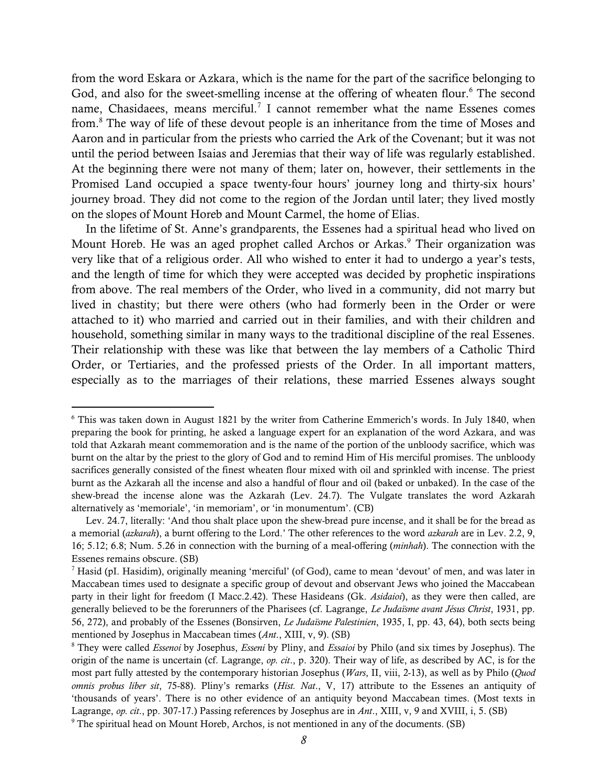from the word Eskara or Azkara, which is the name for the part of the sacrifice belonging to God, and also for the sweet-smelling incense at the offering of wheaten flour.<sup>6</sup> The second name, Chasidaees, means merciful.<sup>7</sup> I cannot remember what the name Essenes comes from.<sup>8</sup> The way of life of these devout people is an inheritance from the time of Moses and Aaron and in particular from the priests who carried the Ark of the Covenant; but it was not until the period between Isaias and Jeremias that their way of life was regularly established. At the beginning there were not many of them; later on, however, their settlements in the Promised Land occupied a space twenty-four hours' journey long and thirty-six hours' journey broad. They did not come to the region of the Jordan until later; they lived mostly on the slopes of Mount Horeb and Mount Carmel, the home of Elias.

In the lifetime of St. Anne's grandparents, the Essenes had a spiritual head who lived on Mount Horeb. He was an aged prophet called Archos or Arkas.<sup>9</sup> Their organization was very like that of a religious order. All who wished to enter it had to undergo a year's tests, and the length of time for which they were accepted was decided by prophetic inspirations from above. The real members of the Order, who lived in a community, did not marry but lived in chastity; but there were others (who had formerly been in the Order or were attached to it) who married and carried out in their families, and with their children and household, something similar in many ways to the traditional discipline of the real Essenes. Their relationship with these was like that between the lay members of a Catholic Third Order, or Tertiaries, and the professed priests of the Order. In all important matters, especially as to the marriages of their relations, these married Essenes always sought

<sup>&</sup>lt;sup>6</sup> This was taken down in August 1821 by the writer from Catherine Emmerich's words. In July 1840, when preparing the book for printing, he asked a language expert for an explanation of the word Azkara, and was told that Azkarah meant commemoration and is the name of the portion of the unbloody sacrifice, which was burnt on the altar by the priest to the glory of God and to remind Him of His merciful promises. The unbloody sacrifices generally consisted of the finest wheaten flour mixed with oil and sprinkled with incense. The priest burnt as the Azkarah all the incense and also a handful of flour and oil (baked or unbaked). In the case of the shew-bread the incense alone was the Azkarah (Lev. 24.7). The Vulgate translates the word Azkarah alternatively as 'memoriale', 'in memoriam', or 'in monumentum'. (CB)

Lev. 24.7, literally: 'And thou shalt place upon the shew-bread pure incense, and it shall be for the bread as a memorial (*azkarah*), a burnt offering to the Lord.' The other references to the word *azkarah* are in Lev. 2.2, 9, 16; 5.12; 6.8; Num. 5.26 in connection with the burning of a meal-offering (*minhah*). The connection with the Essenes remains obscure. (SB)

<sup>7</sup> Hasid (pI. Hasidim), originally meaning 'merciful' (of God), came to mean 'devout' of men, and was later in Maccabean times used to designate a specific group of devout and observant Jews who joined the Maccabean party in their light for freedom (I Macc.2.42). These Hasideans (Gk. *Asidaioi*), as they were then called, are generally believed to be the forerunners of the Pharisees (cf. Lagrange, *Le Judaïsme avant Jésus Christ*, 1931, pp. 56, 272), and probably of the Essenes (Bonsirven, *Le Judaïsme Palestinien*, 1935, I, pp. 43, 64), both sects being mentioned by Josephus in Maccabean times (*Ant*., XIII, v, 9). (SB)

<sup>8</sup> They were called *Essenoi* by Josephus, *Esseni* by Pliny, and *Essaioi* by Philo (and six times by Josephus). The origin of the name is uncertain (cf. Lagrange, *op. cit*., p. 320). Their way of life, as described by AC, is for the most part fully attested by the contemporary historian Josephus (*Wars*, II, viii, 2-13), as well as by Philo (*Quod omnis probus liber sit*, 75-88). Pliny's remarks (*Hist. Nat*., V, 17) attribute to the Essenes an antiquity of 'thousands of years'. There is no other evidence of an antiquity beyond Maccabean times. (Most texts in Lagrange, *op. cit*., pp. 307-17.) Passing references by Josephus are in *Ant*., XIII, v, 9 and XVIII, i, 5. (SB)

<sup>9</sup> The spiritual head on Mount Horeb, Archos, is not mentioned in any of the documents. (SB)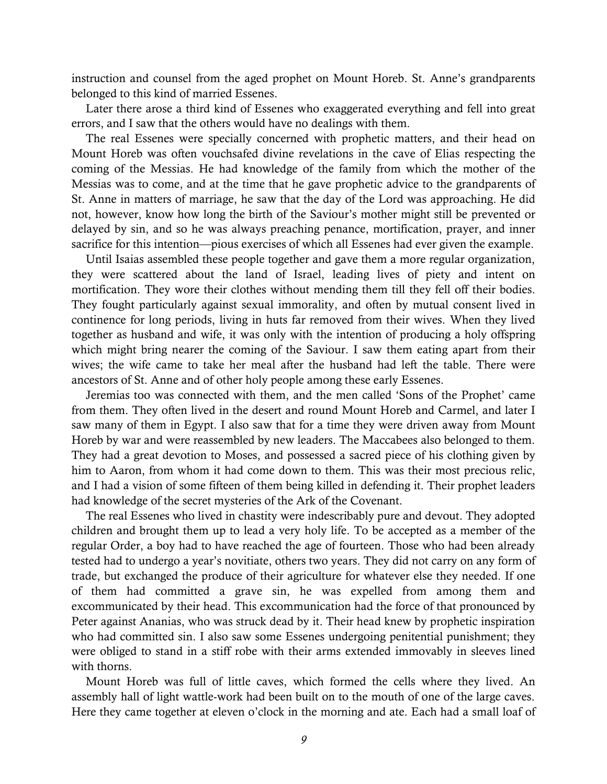instruction and counsel from the aged prophet on Mount Horeb. St. Anne's grandparents belonged to this kind of married Essenes.

Later there arose a third kind of Essenes who exaggerated everything and fell into great errors, and I saw that the others would have no dealings with them.

The real Essenes were specially concerned with prophetic matters, and their head on Mount Horeb was often vouchsafed divine revelations in the cave of Elias respecting the coming of the Messias. He had knowledge of the family from which the mother of the Messias was to come, and at the time that he gave prophetic advice to the grandparents of St. Anne in matters of marriage, he saw that the day of the Lord was approaching. He did not, however, know how long the birth of the Saviour's mother might still be prevented or delayed by sin, and so he was always preaching penance, mortification, prayer, and inner sacrifice for this intention—pious exercises of which all Essenes had ever given the example.

Until Isaias assembled these people together and gave them a more regular organization, they were scattered about the land of Israel, leading lives of piety and intent on mortification. They wore their clothes without mending them till they fell off their bodies. They fought particularly against sexual immorality, and often by mutual consent lived in continence for long periods, living in huts far removed from their wives. When they lived together as husband and wife, it was only with the intention of producing a holy offspring which might bring nearer the coming of the Saviour. I saw them eating apart from their wives; the wife came to take her meal after the husband had left the table. There were ancestors of St. Anne and of other holy people among these early Essenes.

Jeremias too was connected with them, and the men called 'Sons of the Prophet' came from them. They often lived in the desert and round Mount Horeb and Carmel, and later I saw many of them in Egypt. I also saw that for a time they were driven away from Mount Horeb by war and were reassembled by new leaders. The Maccabees also belonged to them. They had a great devotion to Moses, and possessed a sacred piece of his clothing given by him to Aaron, from whom it had come down to them. This was their most precious relic, and I had a vision of some fifteen of them being killed in defending it. Their prophet leaders had knowledge of the secret mysteries of the Ark of the Covenant.

The real Essenes who lived in chastity were indescribably pure and devout. They adopted children and brought them up to lead a very holy life. To be accepted as a member of the regular Order, a boy had to have reached the age of fourteen. Those who had been already tested had to undergo a year's novitiate, others two years. They did not carry on any form of trade, but exchanged the produce of their agriculture for whatever else they needed. If one of them had committed a grave sin, he was expelled from among them and excommunicated by their head. This excommunication had the force of that pronounced by Peter against Ananias, who was struck dead by it. Their head knew by prophetic inspiration who had committed sin. I also saw some Essenes undergoing penitential punishment; they were obliged to stand in a stiff robe with their arms extended immovably in sleeves lined with thorns.

Mount Horeb was full of little caves, which formed the cells where they lived. An assembly hall of light wattle-work had been built on to the mouth of one of the large caves. Here they came together at eleven o'clock in the morning and ate. Each had a small loaf of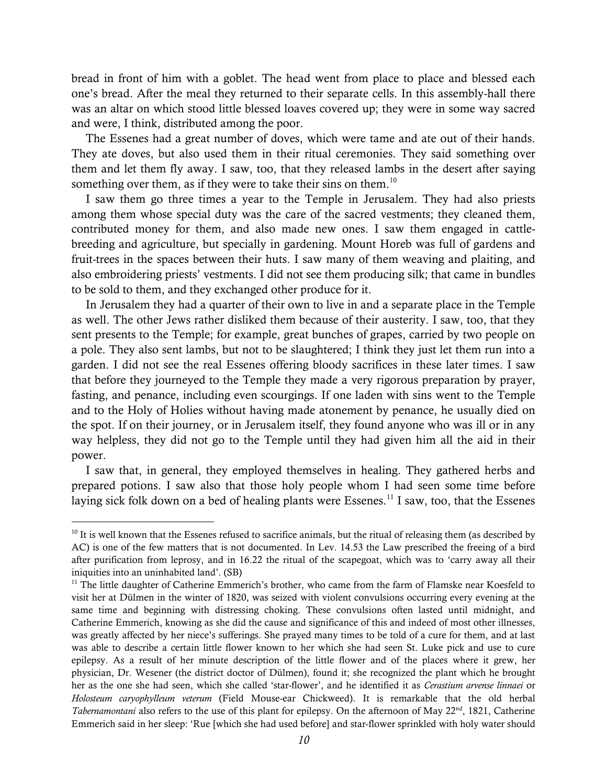bread in front of him with a goblet. The head went from place to place and blessed each one's bread. After the meal they returned to their separate cells. In this assembly-hall there was an altar on which stood little blessed loaves covered up; they were in some way sacred and were, I think, distributed among the poor.

The Essenes had a great number of doves, which were tame and ate out of their hands. They ate doves, but also used them in their ritual ceremonies. They said something over them and let them fly away. I saw, too, that they released lambs in the desert after saying something over them, as if they were to take their sins on them.<sup>10</sup>

I saw them go three times a year to the Temple in Jerusalem. They had also priests among them whose special duty was the care of the sacred vestments; they cleaned them, contributed money for them, and also made new ones. I saw them engaged in cattlebreeding and agriculture, but specially in gardening. Mount Horeb was full of gardens and fruit-trees in the spaces between their huts. I saw many of them weaving and plaiting, and also embroidering priests' vestments. I did not see them producing silk; that came in bundles to be sold to them, and they exchanged other produce for it.

In Jerusalem they had a quarter of their own to live in and a separate place in the Temple as well. The other Jews rather disliked them because of their austerity. I saw, too, that they sent presents to the Temple; for example, great bunches of grapes, carried by two people on a pole. They also sent lambs, but not to be slaughtered; I think they just let them run into a garden. I did not see the real Essenes offering bloody sacrifices in these later times. I saw that before they journeyed to the Temple they made a very rigorous preparation by prayer, fasting, and penance, including even scourgings. If one laden with sins went to the Temple and to the Holy of Holies without having made atonement by penance, he usually died on the spot. If on their journey, or in Jerusalem itself, they found anyone who was ill or in any way helpless, they did not go to the Temple until they had given him all the aid in their power.

I saw that, in general, they employed themselves in healing. They gathered herbs and prepared potions. I saw also that those holy people whom I had seen some time before laying sick folk down on a bed of healing plants were Essenes.<sup>11</sup> I saw, too, that the Essenes

 $10$  It is well known that the Essenes refused to sacrifice animals, but the ritual of releasing them (as described by AC) is one of the few matters that is not documented. In Lev. 14.53 the Law prescribed the freeing of a bird after purification from leprosy, and in 16.22 the ritual of the scapegoat, which was to 'carry away all their iniquities into an uninhabited land'. (SB)

 $11$  The little daughter of Catherine Emmerich's brother, who came from the farm of Flamske near Koesfeld to visit her at Dülmen in the winter of 1820, was seized with violent convulsions occurring every evening at the same time and beginning with distressing choking. These convulsions often lasted until midnight, and Catherine Emmerich, knowing as she did the cause and significance of this and indeed of most other illnesses, was greatly affected by her niece's sufferings. She prayed many times to be told of a cure for them, and at last was able to describe a certain little flower known to her which she had seen St. Luke pick and use to cure epilepsy. As a result of her minute description of the little flower and of the places where it grew, her physician, Dr. Wesener (the district doctor of Dülmen), found it; she recognized the plant which he brought her as the one she had seen, which she called 'star-flower', and he identified it as *Cerastium arvense linnaei* or *Holosteum caryophylleum veterum* (Field Mouse-ear Chickweed). It is remarkable that the old herbal *Tabernamontani* also refers to the use of this plant for epilepsy. On the afternoon of May 22<sup>nd</sup>, 1821, Catherine Emmerich said in her sleep: 'Rue [which she had used before] and star-flower sprinkled with holy water should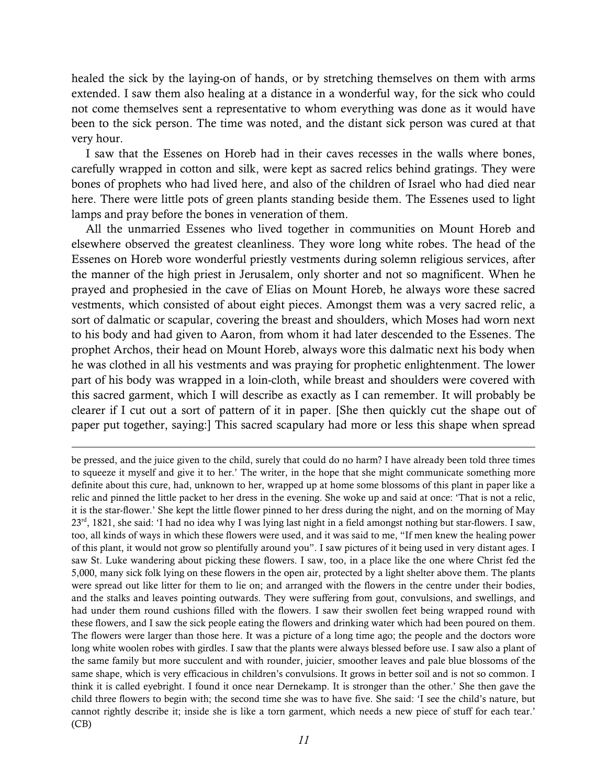healed the sick by the laying-on of hands, or by stretching themselves on them with arms extended. I saw them also healing at a distance in a wonderful way, for the sick who could not come themselves sent a representative to whom everything was done as it would have been to the sick person. The time was noted, and the distant sick person was cured at that very hour.

I saw that the Essenes on Horeb had in their caves recesses in the walls where bones, carefully wrapped in cotton and silk, were kept as sacred relics behind gratings. They were bones of prophets who had lived here, and also of the children of Israel who had died near here. There were little pots of green plants standing beside them. The Essenes used to light lamps and pray before the bones in veneration of them.

All the unmarried Essenes who lived together in communities on Mount Horeb and elsewhere observed the greatest cleanliness. They wore long white robes. The head of the Essenes on Horeb wore wonderful priestly vestments during solemn religious services, after the manner of the high priest in Jerusalem, only shorter and not so magnificent. When he prayed and prophesied in the cave of Elias on Mount Horeb, he always wore these sacred vestments, which consisted of about eight pieces. Amongst them was a very sacred relic, a sort of dalmatic or scapular, covering the breast and shoulders, which Moses had worn next to his body and had given to Aaron, from whom it had later descended to the Essenes. The prophet Archos, their head on Mount Horeb, always wore this dalmatic next his body when he was clothed in all his vestments and was praying for prophetic enlightenment. The lower part of his body was wrapped in a loin-cloth, while breast and shoulders were covered with this sacred garment, which I will describe as exactly as I can remember. It will probably be clearer if I cut out a sort of pattern of it in paper. [She then quickly cut the shape out of paper put together, saying:] This sacred scapulary had more or less this shape when spread

be pressed, and the juice given to the child, surely that could do no harm? I have already been told three times to squeeze it myself and give it to her.' The writer, in the hope that she might communicate something more definite about this cure, had, unknown to her, wrapped up at home some blossoms of this plant in paper like a relic and pinned the little packet to her dress in the evening. She woke up and said at once: 'That is not a relic, it is the star-flower.' She kept the little flower pinned to her dress during the night, and on the morning of May 23rd, 1821, she said: 'I had no idea why I was lying last night in a field amongst nothing but star-flowers. I saw, too, all kinds of ways in which these flowers were used, and it was said to me, "If men knew the healing power of this plant, it would not grow so plentifully around you". I saw pictures of it being used in very distant ages. I saw St. Luke wandering about picking these flowers. I saw, too, in a place like the one where Christ fed the 5,000, many sick folk lying on these flowers in the open air, protected by a light shelter above them. The plants were spread out like litter for them to lie on; and arranged with the flowers in the centre under their bodies, and the stalks and leaves pointing outwards. They were suffering from gout, convulsions, and swellings, and had under them round cushions filled with the flowers. I saw their swollen feet being wrapped round with these flowers, and I saw the sick people eating the flowers and drinking water which had been poured on them. The flowers were larger than those here. It was a picture of a long time ago; the people and the doctors wore long white woolen robes with girdles. I saw that the plants were always blessed before use. I saw also a plant of the same family but more succulent and with rounder, juicier, smoother leaves and pale blue blossoms of the same shape, which is very efficacious in children's convulsions. It grows in better soil and is not so common. I think it is called eyebright. I found it once near Dernekamp. It is stronger than the other.' She then gave the child three flowers to begin with; the second time she was to have five. She said: 'I see the child's nature, but cannot rightly describe it; inside she is like a torn garment, which needs a new piece of stuff for each tear.' (CB)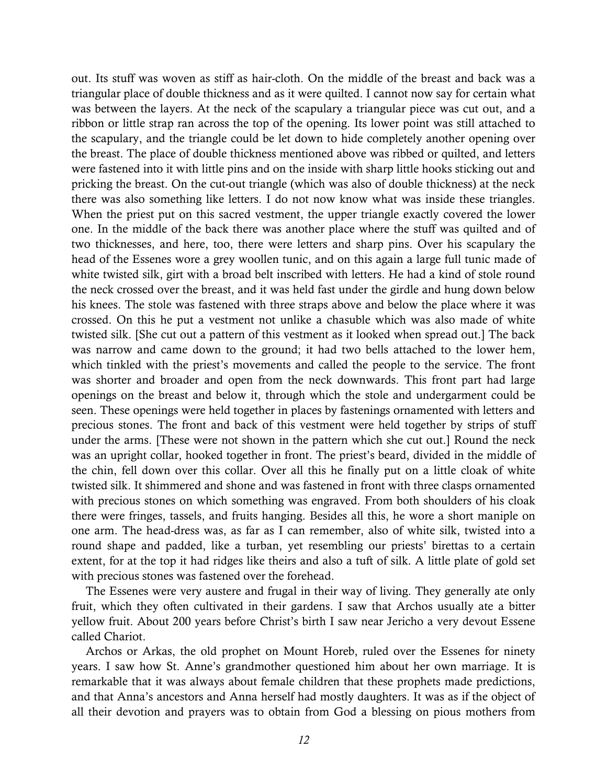out. Its stuff was woven as stiff as hair-cloth. On the middle of the breast and back was a triangular place of double thickness and as it were quilted. I cannot now say for certain what was between the layers. At the neck of the scapulary a triangular piece was cut out, and a ribbon or little strap ran across the top of the opening. Its lower point was still attached to the scapulary, and the triangle could be let down to hide completely another opening over the breast. The place of double thickness mentioned above was ribbed or quilted, and letters were fastened into it with little pins and on the inside with sharp little hooks sticking out and pricking the breast. On the cut-out triangle (which was also of double thickness) at the neck there was also something like letters. I do not now know what was inside these triangles. When the priest put on this sacred vestment, the upper triangle exactly covered the lower one. In the middle of the back there was another place where the stuff was quilted and of two thicknesses, and here, too, there were letters and sharp pins. Over his scapulary the head of the Essenes wore a grey woollen tunic, and on this again a large full tunic made of white twisted silk, girt with a broad belt inscribed with letters. He had a kind of stole round the neck crossed over the breast, and it was held fast under the girdle and hung down below his knees. The stole was fastened with three straps above and below the place where it was crossed. On this he put a vestment not unlike a chasuble which was also made of white twisted silk. [She cut out a pattern of this vestment as it looked when spread out.] The back was narrow and came down to the ground; it had two bells attached to the lower hem, which tinkled with the priest's movements and called the people to the service. The front was shorter and broader and open from the neck downwards. This front part had large openings on the breast and below it, through which the stole and undergarment could be seen. These openings were held together in places by fastenings ornamented with letters and precious stones. The front and back of this vestment were held together by strips of stuff under the arms. [These were not shown in the pattern which she cut out.] Round the neck was an upright collar, hooked together in front. The priest's beard, divided in the middle of the chin, fell down over this collar. Over all this he finally put on a little cloak of white twisted silk. It shimmered and shone and was fastened in front with three clasps ornamented with precious stones on which something was engraved. From both shoulders of his cloak there were fringes, tassels, and fruits hanging. Besides all this, he wore a short maniple on one arm. The head-dress was, as far as I can remember, also of white silk, twisted into a round shape and padded, like a turban, yet resembling our priests' birettas to a certain extent, for at the top it had ridges like theirs and also a tuft of silk. A little plate of gold set with precious stones was fastened over the forehead.

The Essenes were very austere and frugal in their way of living. They generally ate only fruit, which they often cultivated in their gardens. I saw that Archos usually ate a bitter yellow fruit. About 200 years before Christ's birth I saw near Jericho a very devout Essene called Chariot.

Archos or Arkas, the old prophet on Mount Horeb, ruled over the Essenes for ninety years. I saw how St. Anne's grandmother questioned him about her own marriage. It is remarkable that it was always about female children that these prophets made predictions, and that Anna's ancestors and Anna herself had mostly daughters. It was as if the object of all their devotion and prayers was to obtain from God a blessing on pious mothers from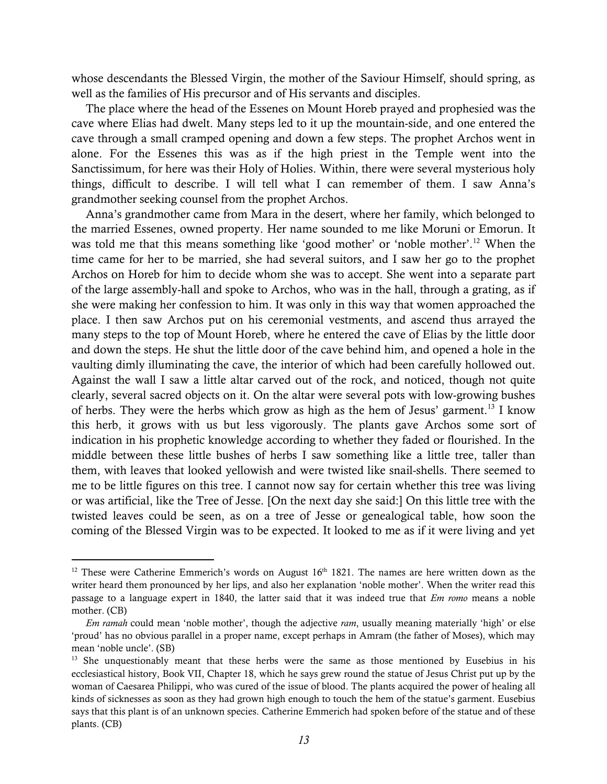whose descendants the Blessed Virgin, the mother of the Saviour Himself, should spring, as well as the families of His precursor and of His servants and disciples.

The place where the head of the Essenes on Mount Horeb prayed and prophesied was the cave where Elias had dwelt. Many steps led to it up the mountain-side, and one entered the cave through a small cramped opening and down a few steps. The prophet Archos went in alone. For the Essenes this was as if the high priest in the Temple went into the Sanctissimum, for here was their Holy of Holies. Within, there were several mysterious holy things, difficult to describe. I will tell what I can remember of them. I saw Anna's grandmother seeking counsel from the prophet Archos.

Anna's grandmother came from Mara in the desert, where her family, which belonged to the married Essenes, owned property. Her name sounded to me like Moruni or Emorun. It was told me that this means something like 'good mother' or 'noble mother'.<sup>12</sup> When the time came for her to be married, she had several suitors, and I saw her go to the prophet Archos on Horeb for him to decide whom she was to accept. She went into a separate part of the large assembly-hall and spoke to Archos, who was in the hall, through a grating, as if she were making her confession to him. It was only in this way that women approached the place. I then saw Archos put on his ceremonial vestments, and ascend thus arrayed the many steps to the top of Mount Horeb, where he entered the cave of Elias by the little door and down the steps. He shut the little door of the cave behind him, and opened a hole in the vaulting dimly illuminating the cave, the interior of which had been carefully hollowed out. Against the wall I saw a little altar carved out of the rock, and noticed, though not quite clearly, several sacred objects on it. On the altar were several pots with low-growing bushes of herbs. They were the herbs which grow as high as the hem of Jesus' garment.<sup>13</sup> I know this herb, it grows with us but less vigorously. The plants gave Archos some sort of indication in his prophetic knowledge according to whether they faded or flourished. In the middle between these little bushes of herbs I saw something like a little tree, taller than them, with leaves that looked yellowish and were twisted like snail-shells. There seemed to me to be little figures on this tree. I cannot now say for certain whether this tree was living or was artificial, like the Tree of Jesse. [On the next day she said:] On this little tree with the twisted leaves could be seen, as on a tree of Jesse or genealogical table, how soon the coming of the Blessed Virgin was to be expected. It looked to me as if it were living and yet

 $12$  These were Catherine Emmerich's words on August 16<sup>th</sup> 1821. The names are here written down as the writer heard them pronounced by her lips, and also her explanation 'noble mother'. When the writer read this passage to a language expert in 1840, the latter said that it was indeed true that *Em romo* means a noble mother. (CB)

*Em ramah* could mean 'noble mother', though the adjective *ram*, usually meaning materially 'high' or else 'proud' has no obvious parallel in a proper name, except perhaps in Amram (the father of Moses), which may mean 'noble uncle'. (SB)

<sup>&</sup>lt;sup>13</sup> She unquestionably meant that these herbs were the same as those mentioned by Eusebius in his ecclesiastical history, Book VII, Chapter 18, which he says grew round the statue of Jesus Christ put up by the woman of Caesarea Philippi, who was cured of the issue of blood. The plants acquired the power of healing all kinds of sicknesses as soon as they had grown high enough to touch the hem of the statue's garment. Eusebius says that this plant is of an unknown species. Catherine Emmerich had spoken before of the statue and of these plants. (CB)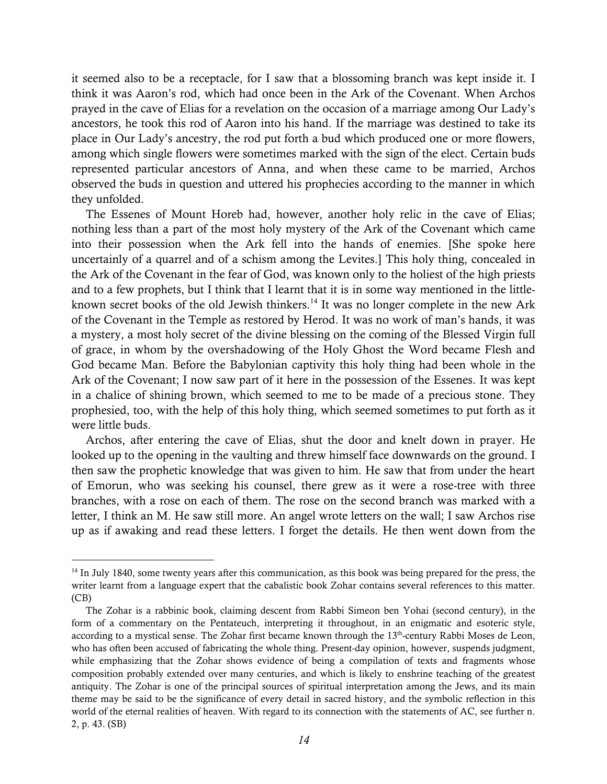it seemed also to be a receptacle, for I saw that a blossoming branch was kept inside it. I think it was Aaron's rod, which had once been in the Ark of the Covenant. When Archos prayed in the cave of Elias for a revelation on the occasion of a marriage among Our Lady's ancestors, he took this rod of Aaron into his hand. If the marriage was destined to take its place in Our Lady's ancestry, the rod put forth a bud which produced one or more flowers, among which single flowers were sometimes marked with the sign of the elect. Certain buds represented particular ancestors of Anna, and when these came to be married, Archos observed the buds in question and uttered his prophecies according to the manner in which they unfolded.

The Essenes of Mount Horeb had, however, another holy relic in the cave of Elias; nothing less than a part of the most holy mystery of the Ark of the Covenant which came into their possession when the Ark fell into the hands of enemies. [She spoke here uncertainly of a quarrel and of a schism among the Levites.] This holy thing, concealed in the Ark of the Covenant in the fear of God, was known only to the holiest of the high priests and to a few prophets, but I think that I learnt that it is in some way mentioned in the littleknown secret books of the old Jewish thinkers.<sup>14</sup> It was no longer complete in the new Ark of the Covenant in the Temple as restored by Herod. It was no work of man's hands, it was a mystery, a most holy secret of the divine blessing on the coming of the Blessed Virgin full of grace, in whom by the overshadowing of the Holy Ghost the Word became Flesh and God became Man. Before the Babylonian captivity this holy thing had been whole in the Ark of the Covenant; I now saw part of it here in the possession of the Essenes. It was kept in a chalice of shining brown, which seemed to me to be made of a precious stone. They prophesied, too, with the help of this holy thing, which seemed sometimes to put forth as it were little buds.

Archos, after entering the cave of Elias, shut the door and knelt down in prayer. He looked up to the opening in the vaulting and threw himself face downwards on the ground. I then saw the prophetic knowledge that was given to him. He saw that from under the heart of Emorun, who was seeking his counsel, there grew as it were a rose-tree with three branches, with a rose on each of them. The rose on the second branch was marked with a letter, I think an M. He saw still more. An angel wrote letters on the wall; I saw Archos rise up as if awaking and read these letters. I forget the details. He then went down from the

<sup>&</sup>lt;sup>14</sup> In July 1840, some twenty years after this communication, as this book was being prepared for the press, the writer learnt from a language expert that the cabalistic book Zohar contains several references to this matter. (CB)

The Zohar is a rabbinic book, claiming descent from Rabbi Simeon ben Yohai (second century), in the form of a commentary on the Pentateuch, interpreting it throughout, in an enigmatic and esoteric style, according to a mystical sense. The Zohar first became known through the 13<sup>th</sup>-century Rabbi Moses de Leon, who has often been accused of fabricating the whole thing. Present-day opinion, however, suspends judgment, while emphasizing that the Zohar shows evidence of being a compilation of texts and fragments whose composition probably extended over many centuries, and which is likely to enshrine teaching of the greatest antiquity. The Zohar is one of the principal sources of spiritual interpretation among the Jews, and its main theme may be said to be the significance of every detail in sacred history, and the symbolic reflection in this world of the eternal realities of heaven. With regard to its connection with the statements of AC, see further n. 2, p. 43. (SB)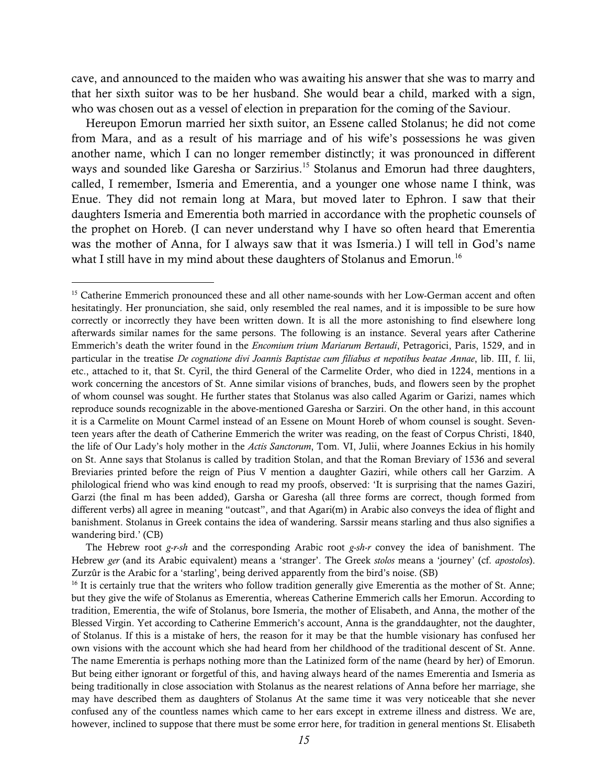cave, and announced to the maiden who was awaiting his answer that she was to marry and that her sixth suitor was to be her husband. She would bear a child, marked with a sign, who was chosen out as a vessel of election in preparation for the coming of the Saviour.

Hereupon Emorun married her sixth suitor, an Essene called Stolanus; he did not come from Mara, and as a result of his marriage and of his wife's possessions he was given another name, which I can no longer remember distinctly; it was pronounced in different ways and sounded like Garesha or Sarzirius.<sup>15</sup> Stolanus and Emorun had three daughters, called, I remember, Ismeria and Emerentia, and a younger one whose name I think, was Enue. They did not remain long at Mara, but moved later to Ephron. I saw that their daughters Ismeria and Emerentia both married in accordance with the prophetic counsels of the prophet on Horeb. (I can never understand why I have so often heard that Emerentia was the mother of Anna, for I always saw that it was Ismeria.) I will tell in God's name what I still have in my mind about these daughters of Stolanus and Emorun.<sup>16</sup>

 $\overline{a}$ 

The Hebrew root *g-r-sh* and the corresponding Arabic root *g-sh-r* convey the idea of banishment. The Hebrew *ger* (and its Arabic equivalent) means a 'stranger'. The Greek *stolos* means a 'journey' (cf. *apostolos*). Zurzûr is the Arabic for a 'starling', being derived apparently from the bird's noise. (SB)

<sup>16</sup> It is certainly true that the writers who follow tradition generally give Emerentia as the mother of St. Anne; but they give the wife of Stolanus as Emerentia, whereas Catherine Emmerich calls her Emorun. According to tradition, Emerentia, the wife of Stolanus, bore Ismeria, the mother of Elisabeth, and Anna, the mother of the Blessed Virgin. Yet according to Catherine Emmerich's account, Anna is the granddaughter, not the daughter, of Stolanus. If this is a mistake of hers, the reason for it may be that the humble visionary has confused her own visions with the account which she had heard from her childhood of the traditional descent of St. Anne. The name Emerentia is perhaps nothing more than the Latinized form of the name (heard by her) of Emorun. But being either ignorant or forgetful of this, and having always heard of the names Emerentia and Ismeria as being traditionally in close association with Stolanus as the nearest relations of Anna before her marriage, she may have described them as daughters of Stolanus At the same time it was very noticeable that she never confused any of the countless names which came to her ears except in extreme illness and distress. We are, however, inclined to suppose that there must be some error here, for tradition in general mentions St. Elisabeth

<sup>&</sup>lt;sup>15</sup> Catherine Emmerich pronounced these and all other name-sounds with her Low-German accent and often hesitatingly. Her pronunciation, she said, only resembled the real names, and it is impossible to be sure how correctly or incorrectly they have been written down. It is all the more astonishing to find elsewhere long afterwards similar names for the same persons. The following is an instance. Several years after Catherine Emmerich's death the writer found in the *Encomium trium Mariarum Bertaudi*, Petragorici, Paris, 1529, and in particular in the treatise *De cognatione divi Joannis Baptistae cum filiabus et nepotibus beatae Annae*, lib. III, f. lii, etc., attached to it, that St. Cyril, the third General of the Carmelite Order, who died in 1224, mentions in a work concerning the ancestors of St. Anne similar visions of branches, buds, and flowers seen by the prophet of whom counsel was sought. He further states that Stolanus was also called Agarim or Garizi, names which reproduce sounds recognizable in the above-mentioned Garesha or Sarziri. On the other hand, in this account it is a Carmelite on Mount Carmel instead of an Essene on Mount Horeb of whom counsel is sought. Seventeen years after the death of Catherine Emmerich the writer was reading, on the feast of Corpus Christi, 1840, the life of Our Lady's holy mother in the *Actis Sanctorum*, Tom. VI, Julii, where Joannes Eckius in his homily on St. Anne says that Stolanus is called by tradition Stolan, and that the Roman Breviary of 1536 and several Breviaries printed before the reign of Pius V mention a daughter Gaziri, while others call her Garzim. A philological friend who was kind enough to read my proofs, observed: 'It is surprising that the names Gaziri, Garzi (the final m has been added), Garsha or Garesha (all three forms are correct, though formed from different verbs) all agree in meaning "outcast", and that Agari(m) in Arabic also conveys the idea of flight and banishment. Stolanus in Greek contains the idea of wandering. Sarssir means starling and thus also signifies a wandering bird.' (CB)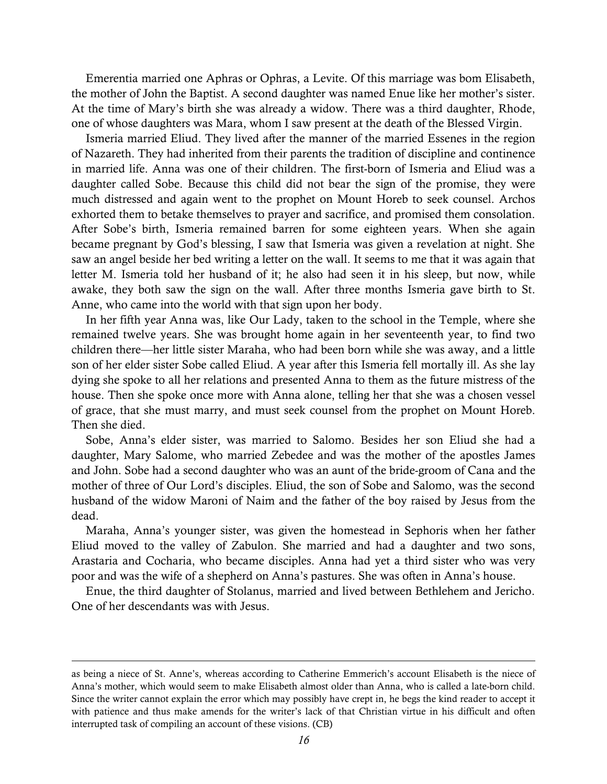Emerentia married one Aphras or Ophras, a Levite. Of this marriage was bom Elisabeth, the mother of John the Baptist. A second daughter was named Enue like her mother's sister. At the time of Mary's birth she was already a widow. There was a third daughter, Rhode, one of whose daughters was Mara, whom I saw present at the death of the Blessed Virgin.

Ismeria married Eliud. They lived after the manner of the married Essenes in the region of Nazareth. They had inherited from their parents the tradition of discipline and continence in married life. Anna was one of their children. The first-born of Ismeria and Eliud was a daughter called Sobe. Because this child did not bear the sign of the promise, they were much distressed and again went to the prophet on Mount Horeb to seek counsel. Archos exhorted them to betake themselves to prayer and sacrifice, and promised them consolation. After Sobe's birth, Ismeria remained barren for some eighteen years. When she again became pregnant by God's blessing, I saw that Ismeria was given a revelation at night. She saw an angel beside her bed writing a letter on the wall. It seems to me that it was again that letter M. Ismeria told her husband of it; he also had seen it in his sleep, but now, while awake, they both saw the sign on the wall. After three months Ismeria gave birth to St. Anne, who came into the world with that sign upon her body.

In her fifth year Anna was, like Our Lady, taken to the school in the Temple, where she remained twelve years. She was brought home again in her seventeenth year, to find two children there—her little sister Maraha, who had been born while she was away, and a little son of her elder sister Sobe called Eliud. A year after this Ismeria fell mortally ill. As she lay dying she spoke to all her relations and presented Anna to them as the future mistress of the house. Then she spoke once more with Anna alone, telling her that she was a chosen vessel of grace, that she must marry, and must seek counsel from the prophet on Mount Horeb. Then she died.

Sobe, Anna's elder sister, was married to Salomo. Besides her son Eliud she had a daughter, Mary Salome, who married Zebedee and was the mother of the apostles James and John. Sobe had a second daughter who was an aunt of the bride-groom of Cana and the mother of three of Our Lord's disciples. Eliud, the son of Sobe and Salomo, was the second husband of the widow Maroni of Naim and the father of the boy raised by Jesus from the dead.

Maraha, Anna's younger sister, was given the homestead in Sephoris when her father Eliud moved to the valley of Zabulon. She married and had a daughter and two sons, Arastaria and Cocharia, who became disciples. Anna had yet a third sister who was very poor and was the wife of a shepherd on Anna's pastures. She was often in Anna's house.

Enue, the third daughter of Stolanus, married and lived between Bethlehem and Jericho. One of her descendants was with Jesus.

as being a niece of St. Anne's, whereas according to Catherine Emmerich's account Elisabeth is the niece of Anna's mother, which would seem to make Elisabeth almost older than Anna, who is called a late-born child. Since the writer cannot explain the error which may possibly have crept in, he begs the kind reader to accept it with patience and thus make amends for the writer's lack of that Christian virtue in his difficult and often interrupted task of compiling an account of these visions. (CB)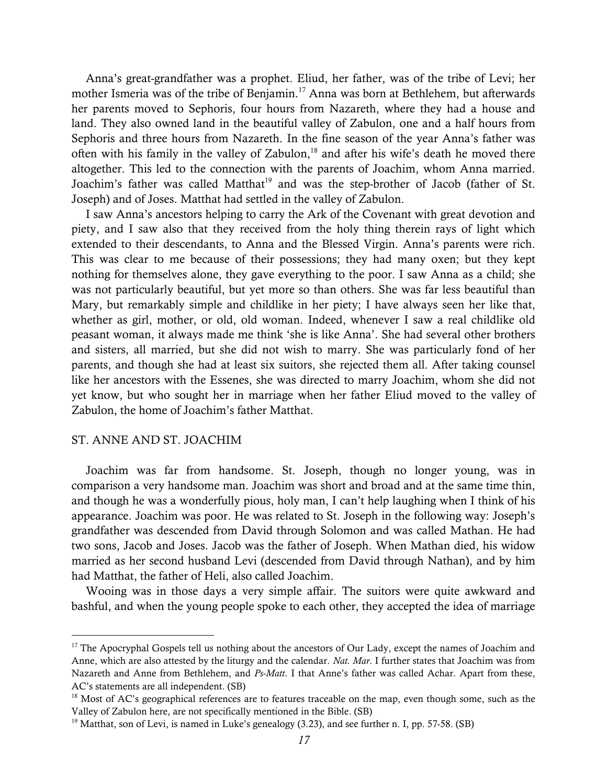Anna's great-grandfather was a prophet. Eliud, her father, was of the tribe of Levi; her mother Ismeria was of the tribe of Benjamin.<sup>17</sup> Anna was born at Bethlehem, but afterwards her parents moved to Sephoris, four hours from Nazareth, where they had a house and land. They also owned land in the beautiful valley of Zabulon, one and a half hours from Sephoris and three hours from Nazareth. In the fine season of the year Anna's father was often with his family in the valley of Zabulon,<sup>18</sup> and after his wife's death he moved there altogether. This led to the connection with the parents of Joachim, whom Anna married. Joachim's father was called Matthat<sup>19</sup> and was the step-brother of Jacob (father of St. Joseph) and of Joses. Matthat had settled in the valley of Zabulon.

I saw Anna's ancestors helping to carry the Ark of the Covenant with great devotion and piety, and I saw also that they received from the holy thing therein rays of light which extended to their descendants, to Anna and the Blessed Virgin. Anna's parents were rich. This was clear to me because of their possessions; they had many oxen; but they kept nothing for themselves alone, they gave everything to the poor. I saw Anna as a child; she was not particularly beautiful, but yet more so than others. She was far less beautiful than Mary, but remarkably simple and childlike in her piety; I have always seen her like that, whether as girl, mother, or old, old woman. Indeed, whenever I saw a real childlike old peasant woman, it always made me think 'she is like Anna'. She had several other brothers and sisters, all married, but she did not wish to marry. She was particularly fond of her parents, and though she had at least six suitors, she rejected them all. After taking counsel like her ancestors with the Essenes, she was directed to marry Joachim, whom she did not yet know, but who sought her in marriage when her father Eliud moved to the valley of Zabulon, the home of Joachim's father Matthat.

## ST. ANNE AND ST. JOACHIM

 $\overline{a}$ 

Joachim was far from handsome. St. Joseph, though no longer young, was in comparison a very handsome man. Joachim was short and broad and at the same time thin, and though he was a wonderfully pious, holy man, I can't help laughing when I think of his appearance. Joachim was poor. He was related to St. Joseph in the following way: Joseph's grandfather was descended from David through Solomon and was called Mathan. He had two sons, Jacob and Joses. Jacob was the father of Joseph. When Mathan died, his widow married as her second husband Levi (descended from David through Nathan), and by him had Matthat, the father of Heli, also called Joachim.

Wooing was in those days a very simple affair. The suitors were quite awkward and bashful, and when the young people spoke to each other, they accepted the idea of marriage

 $17$  The Apocryphal Gospels tell us nothing about the ancestors of Our Lady, except the names of Joachim and Anne, which are also attested by the liturgy and the calendar. *Nat. Mar*. I further states that Joachim was from Nazareth and Anne from Bethlehem, and *Ps-Matt*. I that Anne's father was called Achar. Apart from these, AC's statements are all independent. (SB)

<sup>&</sup>lt;sup>18</sup> Most of AC's geographical references are to features traceable on the map, even though some, such as the Valley of Zabulon here, are not specifically mentioned in the Bible. (SB)

<sup>&</sup>lt;sup>19</sup> Matthat, son of Levi, is named in Luke's genealogy  $(3.23)$ , and see further n. I, pp. 57-58. (SB)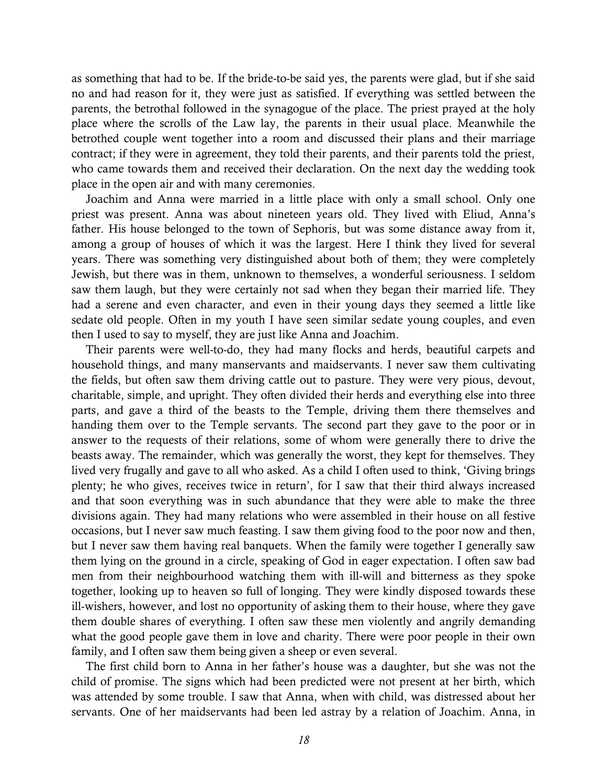as something that had to be. If the bride-to-be said yes, the parents were glad, but if she said no and had reason for it, they were just as satisfied. If everything was settled between the parents, the betrothal followed in the synagogue of the place. The priest prayed at the holy place where the scrolls of the Law lay, the parents in their usual place. Meanwhile the betrothed couple went together into a room and discussed their plans and their marriage contract; if they were in agreement, they told their parents, and their parents told the priest, who came towards them and received their declaration. On the next day the wedding took place in the open air and with many ceremonies.

Joachim and Anna were married in a little place with only a small school. Only one priest was present. Anna was about nineteen years old. They lived with Eliud, Anna's father. His house belonged to the town of Sephoris, but was some distance away from it, among a group of houses of which it was the largest. Here I think they lived for several years. There was something very distinguished about both of them; they were completely Jewish, but there was in them, unknown to themselves, a wonderful seriousness. I seldom saw them laugh, but they were certainly not sad when they began their married life. They had a serene and even character, and even in their young days they seemed a little like sedate old people. Often in my youth I have seen similar sedate young couples, and even then I used to say to myself, they are just like Anna and Joachim.

Their parents were well-to-do, they had many flocks and herds, beautiful carpets and household things, and many manservants and maidservants. I never saw them cultivating the fields, but often saw them driving cattle out to pasture. They were very pious, devout, charitable, simple, and upright. They often divided their herds and everything else into three parts, and gave a third of the beasts to the Temple, driving them there themselves and handing them over to the Temple servants. The second part they gave to the poor or in answer to the requests of their relations, some of whom were generally there to drive the beasts away. The remainder, which was generally the worst, they kept for themselves. They lived very frugally and gave to all who asked. As a child I often used to think, 'Giving brings plenty; he who gives, receives twice in return', for I saw that their third always increased and that soon everything was in such abundance that they were able to make the three divisions again. They had many relations who were assembled in their house on all festive occasions, but I never saw much feasting. I saw them giving food to the poor now and then, but I never saw them having real banquets. When the family were together I generally saw them lying on the ground in a circle, speaking of God in eager expectation. I often saw bad men from their neighbourhood watching them with ill-will and bitterness as they spoke together, looking up to heaven so full of longing. They were kindly disposed towards these ill-wishers, however, and lost no opportunity of asking them to their house, where they gave them double shares of everything. I often saw these men violently and angrily demanding what the good people gave them in love and charity. There were poor people in their own family, and I often saw them being given a sheep or even several.

The first child born to Anna in her father's house was a daughter, but she was not the child of promise. The signs which had been predicted were not present at her birth, which was attended by some trouble. I saw that Anna, when with child, was distressed about her servants. One of her maidservants had been led astray by a relation of Joachim. Anna, in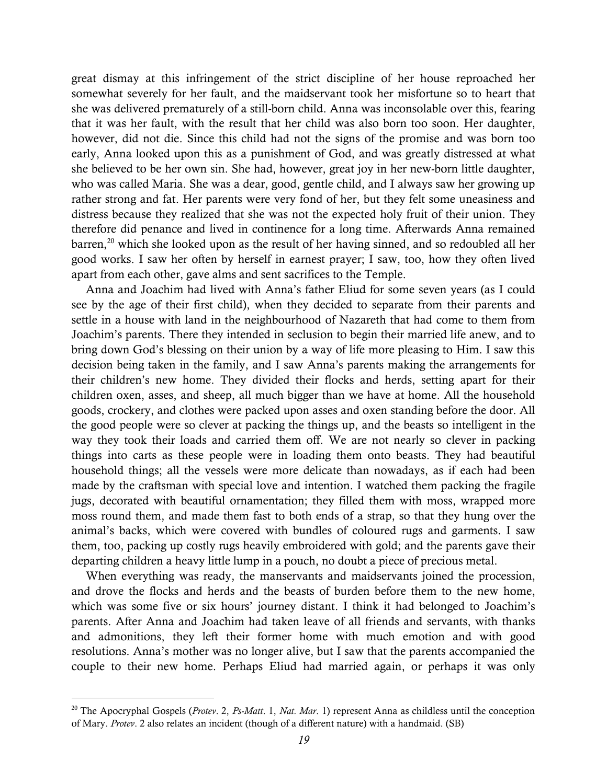great dismay at this infringement of the strict discipline of her house reproached her somewhat severely for her fault, and the maidservant took her misfortune so to heart that she was delivered prematurely of a still-born child. Anna was inconsolable over this, fearing that it was her fault, with the result that her child was also born too soon. Her daughter, however, did not die. Since this child had not the signs of the promise and was born too early, Anna looked upon this as a punishment of God, and was greatly distressed at what she believed to be her own sin. She had, however, great joy in her new-born little daughter, who was called Maria. She was a dear, good, gentle child, and I always saw her growing up rather strong and fat. Her parents were very fond of her, but they felt some uneasiness and distress because they realized that she was not the expected holy fruit of their union. They therefore did penance and lived in continence for a long time. Afterwards Anna remained barren,<sup>20</sup> which she looked upon as the result of her having sinned, and so redoubled all her good works. I saw her often by herself in earnest prayer; I saw, too, how they often lived apart from each other, gave alms and sent sacrifices to the Temple.

Anna and Joachim had lived with Anna's father Eliud for some seven years (as I could see by the age of their first child), when they decided to separate from their parents and settle in a house with land in the neighbourhood of Nazareth that had come to them from Joachim's parents. There they intended in seclusion to begin their married life anew, and to bring down God's blessing on their union by a way of life more pleasing to Him. I saw this decision being taken in the family, and I saw Anna's parents making the arrangements for their children's new home. They divided their flocks and herds, setting apart for their children oxen, asses, and sheep, all much bigger than we have at home. All the household goods, crockery, and clothes were packed upon asses and oxen standing before the door. All the good people were so clever at packing the things up, and the beasts so intelligent in the way they took their loads and carried them off. We are not nearly so clever in packing things into carts as these people were in loading them onto beasts. They had beautiful household things; all the vessels were more delicate than nowadays, as if each had been made by the craftsman with special love and intention. I watched them packing the fragile jugs, decorated with beautiful ornamentation; they filled them with moss, wrapped more moss round them, and made them fast to both ends of a strap, so that they hung over the animal's backs, which were covered with bundles of coloured rugs and garments. I saw them, too, packing up costly rugs heavily embroidered with gold; and the parents gave their departing children a heavy little lump in a pouch, no doubt a piece of precious metal.

When everything was ready, the manservants and maidservants joined the procession, and drove the flocks and herds and the beasts of burden before them to the new home, which was some five or six hours' journey distant. I think it had belonged to Joachim's parents. After Anna and Joachim had taken leave of all friends and servants, with thanks and admonitions, they left their former home with much emotion and with good resolutions. Anna's mother was no longer alive, but I saw that the parents accompanied the couple to their new home. Perhaps Eliud had married again, or perhaps it was only

<sup>20</sup> The Apocryphal Gospels (*Protev*. 2, *Ps-Matt*. 1, *Nat. Mar*. 1) represent Anna as childless until the conception of Mary. *Protev*. 2 also relates an incident (though of a different nature) with a handmaid. (SB)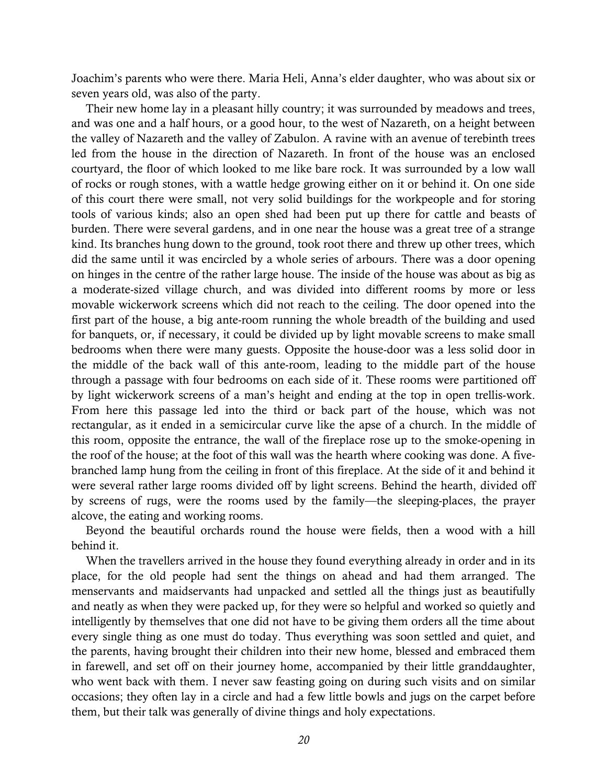Joachim's parents who were there. Maria Heli, Anna's elder daughter, who was about six or seven years old, was also of the party.

Their new home lay in a pleasant hilly country; it was surrounded by meadows and trees, and was one and a half hours, or a good hour, to the west of Nazareth, on a height between the valley of Nazareth and the valley of Zabulon. A ravine with an avenue of terebinth trees led from the house in the direction of Nazareth. In front of the house was an enclosed courtyard, the floor of which looked to me like bare rock. It was surrounded by a low wall of rocks or rough stones, with a wattle hedge growing either on it or behind it. On one side of this court there were small, not very solid buildings for the workpeople and for storing tools of various kinds; also an open shed had been put up there for cattle and beasts of burden. There were several gardens, and in one near the house was a great tree of a strange kind. Its branches hung down to the ground, took root there and threw up other trees, which did the same until it was encircled by a whole series of arbours. There was a door opening on hinges in the centre of the rather large house. The inside of the house was about as big as a moderate-sized village church, and was divided into different rooms by more or less movable wickerwork screens which did not reach to the ceiling. The door opened into the first part of the house, a big ante-room running the whole breadth of the building and used for banquets, or, if necessary, it could be divided up by light movable screens to make small bedrooms when there were many guests. Opposite the house-door was a less solid door in the middle of the back wall of this ante-room, leading to the middle part of the house through a passage with four bedrooms on each side of it. These rooms were partitioned off by light wickerwork screens of a man's height and ending at the top in open trellis-work. From here this passage led into the third or back part of the house, which was not rectangular, as it ended in a semicircular curve like the apse of a church. In the middle of this room, opposite the entrance, the wall of the fireplace rose up to the smoke-opening in the roof of the house; at the foot of this wall was the hearth where cooking was done. A fivebranched lamp hung from the ceiling in front of this fireplace. At the side of it and behind it were several rather large rooms divided off by light screens. Behind the hearth, divided off by screens of rugs, were the rooms used by the family—the sleeping-places, the prayer alcove, the eating and working rooms.

Beyond the beautiful orchards round the house were fields, then a wood with a hill behind it.

When the travellers arrived in the house they found everything already in order and in its place, for the old people had sent the things on ahead and had them arranged. The menservants and maidservants had unpacked and settled all the things just as beautifully and neatly as when they were packed up, for they were so helpful and worked so quietly and intelligently by themselves that one did not have to be giving them orders all the time about every single thing as one must do today. Thus everything was soon settled and quiet, and the parents, having brought their children into their new home, blessed and embraced them in farewell, and set off on their journey home, accompanied by their little granddaughter, who went back with them. I never saw feasting going on during such visits and on similar occasions; they often lay in a circle and had a few little bowls and jugs on the carpet before them, but their talk was generally of divine things and holy expectations.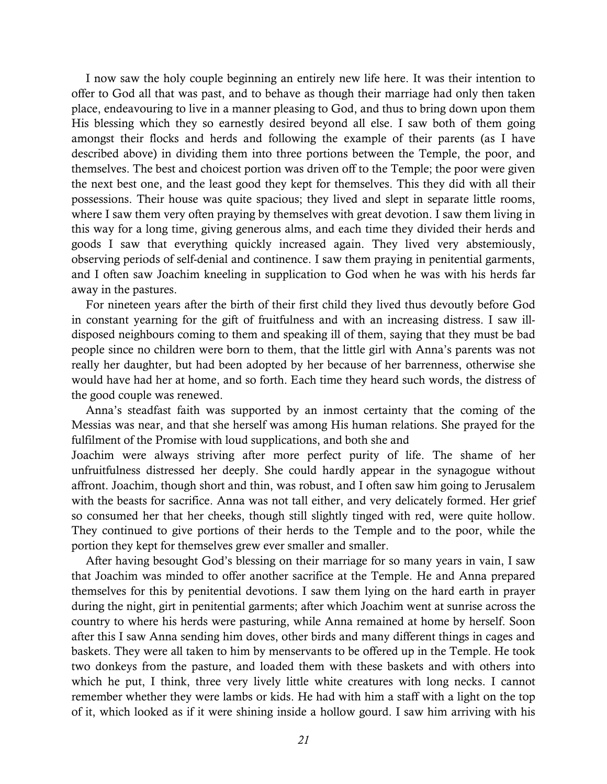I now saw the holy couple beginning an entirely new life here. It was their intention to offer to God all that was past, and to behave as though their marriage had only then taken place, endeavouring to live in a manner pleasing to God, and thus to bring down upon them His blessing which they so earnestly desired beyond all else. I saw both of them going amongst their flocks and herds and following the example of their parents (as I have described above) in dividing them into three portions between the Temple, the poor, and themselves. The best and choicest portion was driven off to the Temple; the poor were given the next best one, and the least good they kept for themselves. This they did with all their possessions. Their house was quite spacious; they lived and slept in separate little rooms, where I saw them very often praying by themselves with great devotion. I saw them living in this way for a long time, giving generous alms, and each time they divided their herds and goods I saw that everything quickly increased again. They lived very abstemiously, observing periods of self-denial and continence. I saw them praying in penitential garments, and I often saw Joachim kneeling in supplication to God when he was with his herds far away in the pastures.

For nineteen years after the birth of their first child they lived thus devoutly before God in constant yearning for the gift of fruitfulness and with an increasing distress. I saw illdisposed neighbours coming to them and speaking ill of them, saying that they must be bad people since no children were born to them, that the little girl with Anna's parents was not really her daughter, but had been adopted by her because of her barrenness, otherwise she would have had her at home, and so forth. Each time they heard such words, the distress of the good couple was renewed.

Anna's steadfast faith was supported by an inmost certainty that the coming of the Messias was near, and that she herself was among His human relations. She prayed for the fulfilment of the Promise with loud supplications, and both she and

Joachim were always striving after more perfect purity of life. The shame of her unfruitfulness distressed her deeply. She could hardly appear in the synagogue without affront. Joachim, though short and thin, was robust, and I often saw him going to Jerusalem with the beasts for sacrifice. Anna was not tall either, and very delicately formed. Her grief so consumed her that her cheeks, though still slightly tinged with red, were quite hollow. They continued to give portions of their herds to the Temple and to the poor, while the portion they kept for themselves grew ever smaller and smaller.

After having besought God's blessing on their marriage for so many years in vain, I saw that Joachim was minded to offer another sacrifice at the Temple. He and Anna prepared themselves for this by penitential devotions. I saw them lying on the hard earth in prayer during the night, girt in penitential garments; after which Joachim went at sunrise across the country to where his herds were pasturing, while Anna remained at home by herself. Soon after this I saw Anna sending him doves, other birds and many different things in cages and baskets. They were all taken to him by menservants to be offered up in the Temple. He took two donkeys from the pasture, and loaded them with these baskets and with others into which he put, I think, three very lively little white creatures with long necks. I cannot remember whether they were lambs or kids. He had with him a staff with a light on the top of it, which looked as if it were shining inside a hollow gourd. I saw him arriving with his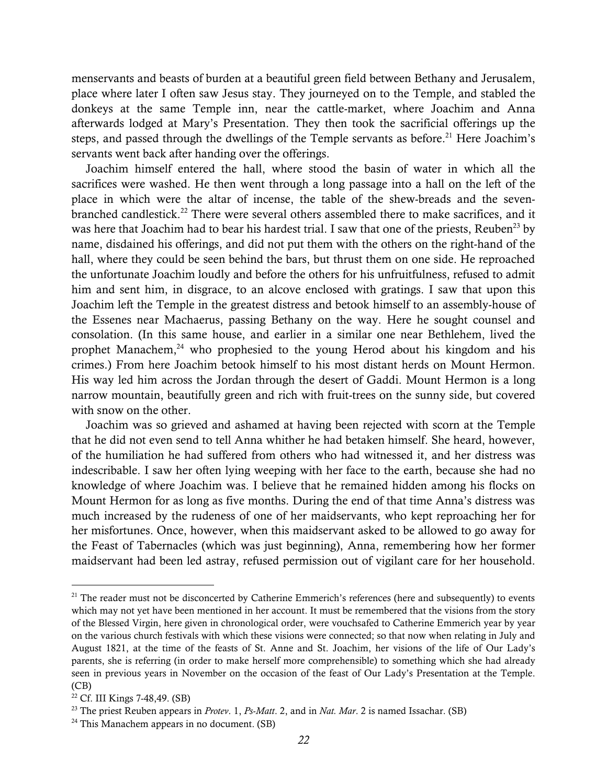menservants and beasts of burden at a beautiful green field between Bethany and Jerusalem, place where later I often saw Jesus stay. They journeyed on to the Temple, and stabled the donkeys at the same Temple inn, near the cattle-market, where Joachim and Anna afterwards lodged at Mary's Presentation. They then took the sacrificial offerings up the steps, and passed through the dwellings of the Temple servants as before.<sup>21</sup> Here Joachim's servants went back after handing over the offerings.

Joachim himself entered the hall, where stood the basin of water in which all the sacrifices were washed. He then went through a long passage into a hall on the left of the place in which were the altar of incense, the table of the shew-breads and the sevenbranched candlestick.<sup>22</sup> There were several others assembled there to make sacrifices, and it was here that Joachim had to bear his hardest trial. I saw that one of the priests, Reuben<sup>23</sup> by name, disdained his offerings, and did not put them with the others on the right-hand of the hall, where they could be seen behind the bars, but thrust them on one side. He reproached the unfortunate Joachim loudly and before the others for his unfruitfulness, refused to admit him and sent him, in disgrace, to an alcove enclosed with gratings. I saw that upon this Joachim left the Temple in the greatest distress and betook himself to an assembly-house of the Essenes near Machaerus, passing Bethany on the way. Here he sought counsel and consolation. (In this same house, and earlier in a similar one near Bethlehem, lived the prophet Manachem, $^{24}$  who prophesied to the young Herod about his kingdom and his crimes.) From here Joachim betook himself to his most distant herds on Mount Hermon. His way led him across the Jordan through the desert of Gaddi. Mount Hermon is a long narrow mountain, beautifully green and rich with fruit-trees on the sunny side, but covered with snow on the other.

Joachim was so grieved and ashamed at having been rejected with scorn at the Temple that he did not even send to tell Anna whither he had betaken himself. She heard, however, of the humiliation he had suffered from others who had witnessed it, and her distress was indescribable. I saw her often lying weeping with her face to the earth, because she had no knowledge of where Joachim was. I believe that he remained hidden among his flocks on Mount Hermon for as long as five months. During the end of that time Anna's distress was much increased by the rudeness of one of her maidservants, who kept reproaching her for her misfortunes. Once, however, when this maidservant asked to be allowed to go away for the Feast of Tabernacles (which was just beginning), Anna, remembering how her former maidservant had been led astray, refused permission out of vigilant care for her household.

 $21$  The reader must not be disconcerted by Catherine Emmerich's references (here and subsequently) to events which may not yet have been mentioned in her account. It must be remembered that the visions from the story of the Blessed Virgin, here given in chronological order, were vouchsafed to Catherine Emmerich year by year on the various church festivals with which these visions were connected; so that now when relating in July and August 1821, at the time of the feasts of St. Anne and St. Joachim, her visions of the life of Our Lady's parents, she is referring (in order to make herself more comprehensible) to something which she had already seen in previous years in November on the occasion of the feast of Our Lady's Presentation at the Temple. (CB)

<sup>22</sup> Cf. III Kings 7-48,49. (SB)

<sup>23</sup> The priest Reuben appears in *Protev*. 1, *Ps-Matt*. 2, and in *Nat. Mar*. 2 is named Issachar. (SB)

 $24$  This Manachem appears in no document. (SB)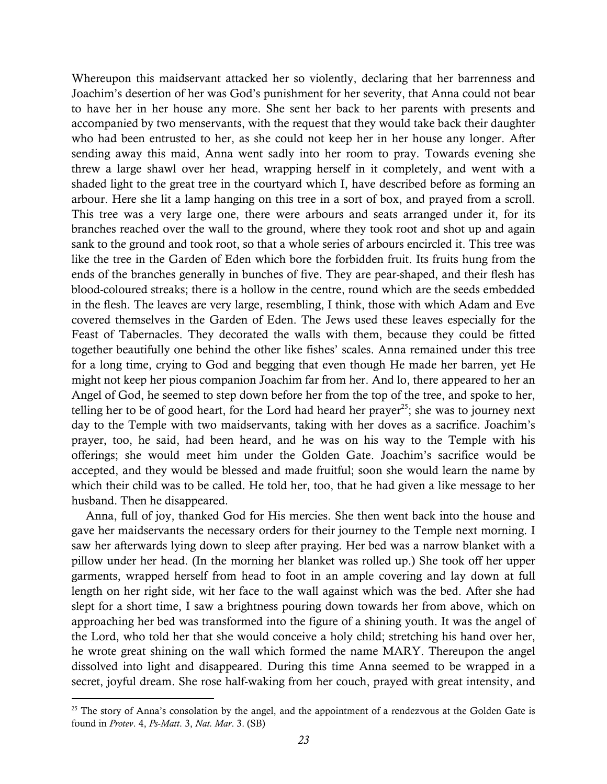Whereupon this maidservant attacked her so violently, declaring that her barrenness and Joachim's desertion of her was God's punishment for her severity, that Anna could not bear to have her in her house any more. She sent her back to her parents with presents and accompanied by two menservants, with the request that they would take back their daughter who had been entrusted to her, as she could not keep her in her house any longer. After sending away this maid, Anna went sadly into her room to pray. Towards evening she threw a large shawl over her head, wrapping herself in it completely, and went with a shaded light to the great tree in the courtyard which I, have described before as forming an arbour. Here she lit a lamp hanging on this tree in a sort of box, and prayed from a scroll. This tree was a very large one, there were arbours and seats arranged under it, for its branches reached over the wall to the ground, where they took root and shot up and again sank to the ground and took root, so that a whole series of arbours encircled it. This tree was like the tree in the Garden of Eden which bore the forbidden fruit. Its fruits hung from the ends of the branches generally in bunches of five. They are pear-shaped, and their flesh has blood-coloured streaks; there is a hollow in the centre, round which are the seeds embedded in the flesh. The leaves are very large, resembling, I think, those with which Adam and Eve covered themselves in the Garden of Eden. The Jews used these leaves especially for the Feast of Tabernacles. They decorated the walls with them, because they could be fitted together beautifully one behind the other like fishes' scales. Anna remained under this tree for a long time, crying to God and begging that even though He made her barren, yet He might not keep her pious companion Joachim far from her. And lo, there appeared to her an Angel of God, he seemed to step down before her from the top of the tree, and spoke to her, telling her to be of good heart, for the Lord had heard her prayer<sup>25</sup>; she was to journey next day to the Temple with two maidservants, taking with her doves as a sacrifice. Joachim's prayer, too, he said, had been heard, and he was on his way to the Temple with his offerings; she would meet him under the Golden Gate. Joachim's sacrifice would be accepted, and they would be blessed and made fruitful; soon she would learn the name by which their child was to be called. He told her, too, that he had given a like message to her husband. Then he disappeared.

Anna, full of joy, thanked God for His mercies. She then went back into the house and gave her maidservants the necessary orders for their journey to the Temple next morning. I saw her afterwards lying down to sleep after praying. Her bed was a narrow blanket with a pillow under her head. (In the morning her blanket was rolled up.) She took off her upper garments, wrapped herself from head to foot in an ample covering and lay down at full length on her right side, wit her face to the wall against which was the bed. After she had slept for a short time, I saw a brightness pouring down towards her from above, which on approaching her bed was transformed into the figure of a shining youth. It was the angel of the Lord, who told her that she would conceive a holy child; stretching his hand over her, he wrote great shining on the wall which formed the name MARY. Thereupon the angel dissolved into light and disappeared. During this time Anna seemed to be wrapped in a secret, joyful dream. She rose half-waking from her couch, prayed with great intensity, and

 $25$  The story of Anna's consolation by the angel, and the appointment of a rendezvous at the Golden Gate is found in *Protev*. 4, *Ps-Matt*. 3, *Nat. Mar*. 3. (SB)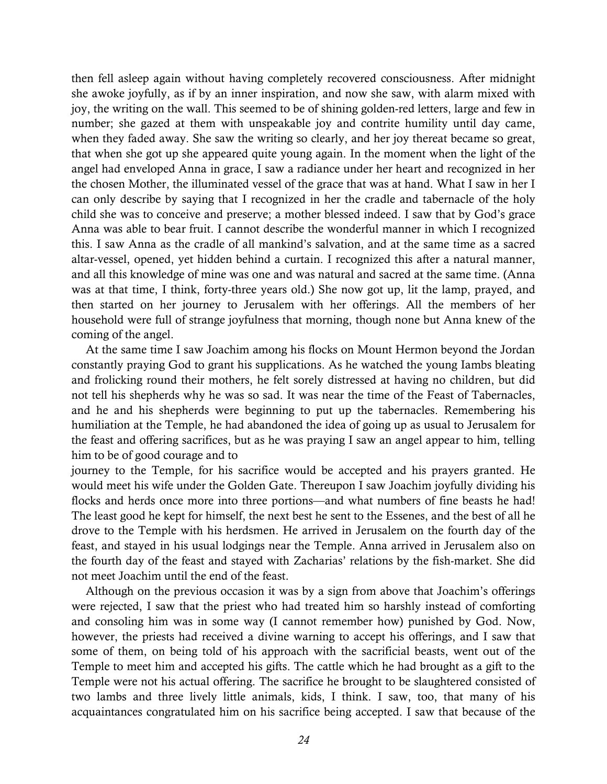then fell asleep again without having completely recovered consciousness. After midnight she awoke joyfully, as if by an inner inspiration, and now she saw, with alarm mixed with joy, the writing on the wall. This seemed to be of shining golden-red letters, large and few in number; she gazed at them with unspeakable joy and contrite humility until day came, when they faded away. She saw the writing so clearly, and her joy thereat became so great, that when she got up she appeared quite young again. In the moment when the light of the angel had enveloped Anna in grace, I saw a radiance under her heart and recognized in her the chosen Mother, the illuminated vessel of the grace that was at hand. What I saw in her I can only describe by saying that I recognized in her the cradle and tabernacle of the holy child she was to conceive and preserve; a mother blessed indeed. I saw that by God's grace Anna was able to bear fruit. I cannot describe the wonderful manner in which I recognized this. I saw Anna as the cradle of all mankind's salvation, and at the same time as a sacred altar-vessel, opened, yet hidden behind a curtain. I recognized this after a natural manner, and all this knowledge of mine was one and was natural and sacred at the same time. (Anna was at that time, I think, forty-three years old.) She now got up, lit the lamp, prayed, and then started on her journey to Jerusalem with her offerings. All the members of her household were full of strange joyfulness that morning, though none but Anna knew of the coming of the angel.

At the same time I saw Joachim among his flocks on Mount Hermon beyond the Jordan constantly praying God to grant his supplications. As he watched the young Iambs bleating and frolicking round their mothers, he felt sorely distressed at having no children, but did not tell his shepherds why he was so sad. It was near the time of the Feast of Tabernacles, and he and his shepherds were beginning to put up the tabernacles. Remembering his humiliation at the Temple, he had abandoned the idea of going up as usual to Jerusalem for the feast and offering sacrifices, but as he was praying I saw an angel appear to him, telling him to be of good courage and to

journey to the Temple, for his sacrifice would be accepted and his prayers granted. He would meet his wife under the Golden Gate. Thereupon I saw Joachim joyfully dividing his flocks and herds once more into three portions—and what numbers of fine beasts he had! The least good he kept for himself, the next best he sent to the Essenes, and the best of all he drove to the Temple with his herdsmen. He arrived in Jerusalem on the fourth day of the feast, and stayed in his usual lodgings near the Temple. Anna arrived in Jerusalem also on the fourth day of the feast and stayed with Zacharias' relations by the fish-market. She did not meet Joachim until the end of the feast.

Although on the previous occasion it was by a sign from above that Joachim's offerings were rejected, I saw that the priest who had treated him so harshly instead of comforting and consoling him was in some way (I cannot remember how) punished by God. Now, however, the priests had received a divine warning to accept his offerings, and I saw that some of them, on being told of his approach with the sacrificial beasts, went out of the Temple to meet him and accepted his gifts. The cattle which he had brought as a gift to the Temple were not his actual offering. The sacrifice he brought to be slaughtered consisted of two lambs and three lively little animals, kids, I think. I saw, too, that many of his acquaintances congratulated him on his sacrifice being accepted. I saw that because of the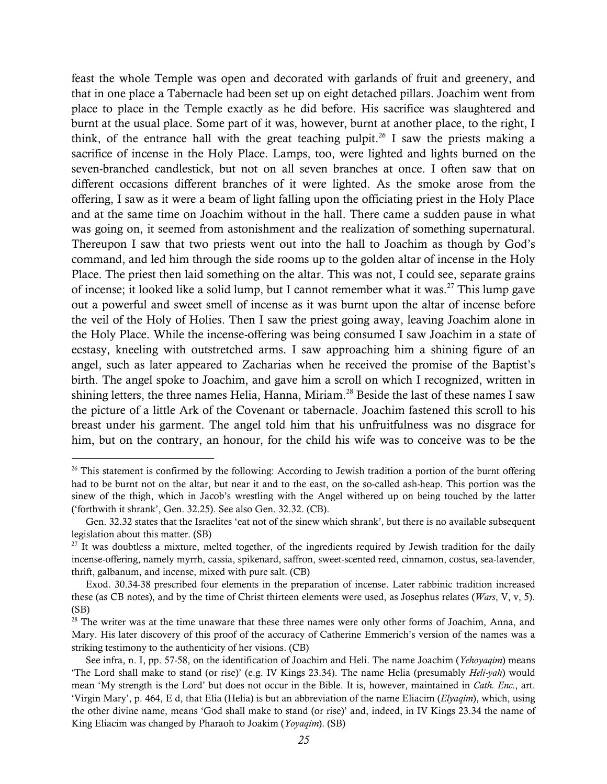feast the whole Temple was open and decorated with garlands of fruit and greenery, and that in one place a Tabernacle had been set up on eight detached pillars. Joachim went from place to place in the Temple exactly as he did before. His sacrifice was slaughtered and burnt at the usual place. Some part of it was, however, burnt at another place, to the right, I think, of the entrance hall with the great teaching pulpit.<sup>26</sup> I saw the priests making a sacrifice of incense in the Holy Place. Lamps, too, were lighted and lights burned on the seven-branched candlestick, but not on all seven branches at once. I often saw that on different occasions different branches of it were lighted. As the smoke arose from the offering, I saw as it were a beam of light falling upon the officiating priest in the Holy Place and at the same time on Joachim without in the hall. There came a sudden pause in what was going on, it seemed from astonishment and the realization of something supernatural. Thereupon I saw that two priests went out into the hall to Joachim as though by God's command, and led him through the side rooms up to the golden altar of incense in the Holy Place. The priest then laid something on the altar. This was not, I could see, separate grains of incense; it looked like a solid lump, but I cannot remember what it was.<sup>27</sup> This lump gave out a powerful and sweet smell of incense as it was burnt upon the altar of incense before the veil of the Holy of Holies. Then I saw the priest going away, leaving Joachim alone in the Holy Place. While the incense-offering was being consumed I saw Joachim in a state of ecstasy, kneeling with outstretched arms. I saw approaching him a shining figure of an angel, such as later appeared to Zacharias when he received the promise of the Baptist's birth. The angel spoke to Joachim, and gave him a scroll on which I recognized, written in shining letters, the three names Helia, Hanna, Miriam.<sup>28</sup> Beside the last of these names I saw the picture of a little Ark of the Covenant or tabernacle. Joachim fastened this scroll to his breast under his garment. The angel told him that his unfruitfulness was no disgrace for him, but on the contrary, an honour, for the child his wife was to conceive was to be the

<sup>&</sup>lt;sup>26</sup> This statement is confirmed by the following: According to Jewish tradition a portion of the burnt offering had to be burnt not on the altar, but near it and to the east, on the so-called ash-heap. This portion was the sinew of the thigh, which in Jacob's wrestling with the Angel withered up on being touched by the latter ('forthwith it shrank', Gen. 32.25). See also Gen. 32.32. (CB).

Gen. 32.32 states that the Israelites 'eat not of the sinew which shrank', but there is no available subsequent legislation about this matter. (SB)

<sup>&</sup>lt;sup>27</sup> It was doubtless a mixture, melted together, of the ingredients required by Jewish tradition for the daily incense-offering, namely myrrh, cassia, spikenard, saffron, sweet-scented reed, cinnamon, costus, sea-lavender, thrift, galbanum, and incense, mixed with pure salt. (CB)

Exod. 30.34-38 prescribed four elements in the preparation of incense. Later rabbinic tradition increased these (as CB notes), and by the time of Christ thirteen elements were used, as Josephus relates (*Wars*, V, v, 5). (SB)

<sup>&</sup>lt;sup>28</sup> The writer was at the time unaware that these three names were only other forms of Joachim, Anna, and Mary. His later discovery of this proof of the accuracy of Catherine Emmerich's version of the names was a striking testimony to the authenticity of her visions. (CB)

See infra, n. I, pp. 57-58, on the identification of Joachim and Heli. The name Joachim (*Yehoyaqim*) means 'The Lord shall make to stand (or rise)' (e.g. IV Kings 23.34). The name Helia (presumably *Heli-yah*) would mean 'My strength is the Lord' but does not occur in the Bible. It is, however, maintained in *Cath. Enc*., art. 'Virgin Mary', p. 464, E d, that Elia (Helia) is but an abbreviation of the name Eliacim (*Elyaqim*), which, using the other divine name, means 'God shall make to stand (or rise)' and, indeed, in IV Kings 23.34 the name of King Eliacim was changed by Pharaoh to Joakim (*Yoyaqim*). (SB)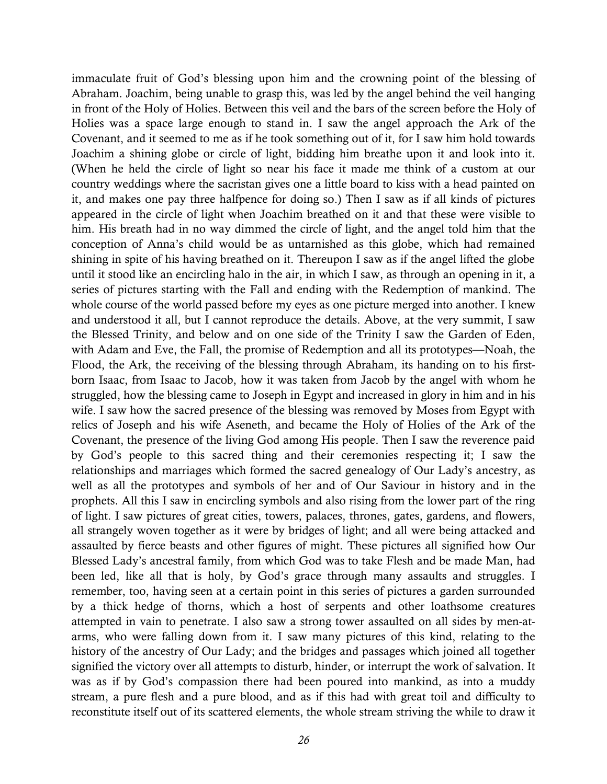immaculate fruit of God's blessing upon him and the crowning point of the blessing of Abraham. Joachim, being unable to grasp this, was led by the angel behind the veil hanging in front of the Holy of Holies. Between this veil and the bars of the screen before the Holy of Holies was a space large enough to stand in. I saw the angel approach the Ark of the Covenant, and it seemed to me as if he took something out of it, for I saw him hold towards Joachim a shining globe or circle of light, bidding him breathe upon it and look into it. (When he held the circle of light so near his face it made me think of a custom at our country weddings where the sacristan gives one a little board to kiss with a head painted on it, and makes one pay three halfpence for doing so.) Then I saw as if all kinds of pictures appeared in the circle of light when Joachim breathed on it and that these were visible to him. His breath had in no way dimmed the circle of light, and the angel told him that the conception of Anna's child would be as untarnished as this globe, which had remained shining in spite of his having breathed on it. Thereupon I saw as if the angel lifted the globe until it stood like an encircling halo in the air, in which I saw, as through an opening in it, a series of pictures starting with the Fall and ending with the Redemption of mankind. The whole course of the world passed before my eyes as one picture merged into another. I knew and understood it all, but I cannot reproduce the details. Above, at the very summit, I saw the Blessed Trinity, and below and on one side of the Trinity I saw the Garden of Eden, with Adam and Eve, the Fall, the promise of Redemption and all its prototypes—Noah, the Flood, the Ark, the receiving of the blessing through Abraham, its handing on to his firstborn Isaac, from Isaac to Jacob, how it was taken from Jacob by the angel with whom he struggled, how the blessing came to Joseph in Egypt and increased in glory in him and in his wife. I saw how the sacred presence of the blessing was removed by Moses from Egypt with relics of Joseph and his wife Aseneth, and became the Holy of Holies of the Ark of the Covenant, the presence of the living God among His people. Then I saw the reverence paid by God's people to this sacred thing and their ceremonies respecting it; I saw the relationships and marriages which formed the sacred genealogy of Our Lady's ancestry, as well as all the prototypes and symbols of her and of Our Saviour in history and in the prophets. All this I saw in encircling symbols and also rising from the lower part of the ring of light. I saw pictures of great cities, towers, palaces, thrones, gates, gardens, and flowers, all strangely woven together as it were by bridges of light; and all were being attacked and assaulted by fierce beasts and other figures of might. These pictures all signified how Our Blessed Lady's ancestral family, from which God was to take Flesh and be made Man, had been led, like all that is holy, by God's grace through many assaults and struggles. I remember, too, having seen at a certain point in this series of pictures a garden surrounded by a thick hedge of thorns, which a host of serpents and other loathsome creatures attempted in vain to penetrate. I also saw a strong tower assaulted on all sides by men-atarms, who were falling down from it. I saw many pictures of this kind, relating to the history of the ancestry of Our Lady; and the bridges and passages which joined all together signified the victory over all attempts to disturb, hinder, or interrupt the work of salvation. It was as if by God's compassion there had been poured into mankind, as into a muddy stream, a pure flesh and a pure blood, and as if this had with great toil and difficulty to reconstitute itself out of its scattered elements, the whole stream striving the while to draw it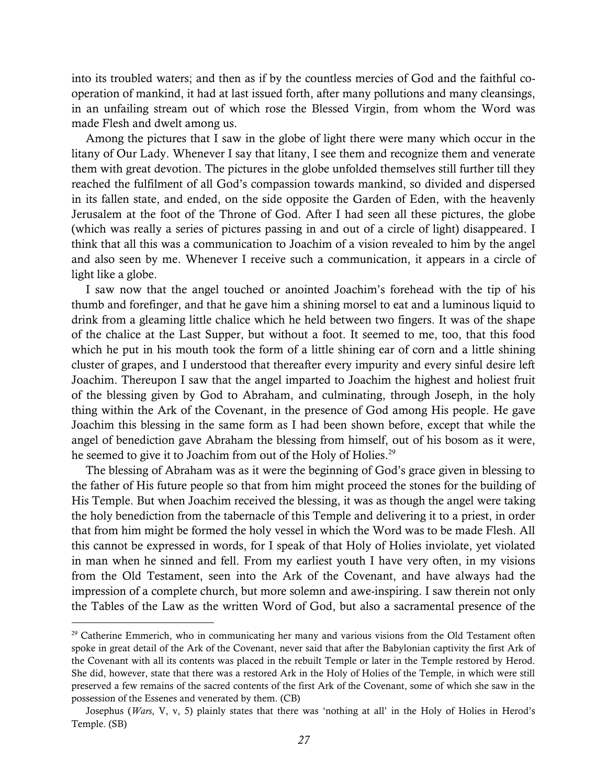into its troubled waters; and then as if by the countless mercies of God and the faithful cooperation of mankind, it had at last issued forth, after many pollutions and many cleansings, in an unfailing stream out of which rose the Blessed Virgin, from whom the Word was made Flesh and dwelt among us.

Among the pictures that I saw in the globe of light there were many which occur in the litany of Our Lady. Whenever I say that litany, I see them and recognize them and venerate them with great devotion. The pictures in the globe unfolded themselves still further till they reached the fulfilment of all God's compassion towards mankind, so divided and dispersed in its fallen state, and ended, on the side opposite the Garden of Eden, with the heavenly Jerusalem at the foot of the Throne of God. After I had seen all these pictures, the globe (which was really a series of pictures passing in and out of a circle of light) disappeared. I think that all this was a communication to Joachim of a vision revealed to him by the angel and also seen by me. Whenever I receive such a communication, it appears in a circle of light like a globe.

I saw now that the angel touched or anointed Joachim's forehead with the tip of his thumb and forefinger, and that he gave him a shining morsel to eat and a luminous liquid to drink from a gleaming little chalice which he held between two fingers. It was of the shape of the chalice at the Last Supper, but without a foot. It seemed to me, too, that this food which he put in his mouth took the form of a little shining ear of corn and a little shining cluster of grapes, and I understood that thereafter every impurity and every sinful desire left Joachim. Thereupon I saw that the angel imparted to Joachim the highest and holiest fruit of the blessing given by God to Abraham, and culminating, through Joseph, in the holy thing within the Ark of the Covenant, in the presence of God among His people. He gave Joachim this blessing in the same form as I had been shown before, except that while the angel of benediction gave Abraham the blessing from himself, out of his bosom as it were, he seemed to give it to Joachim from out of the Holy of Holies.<sup>29</sup>

The blessing of Abraham was as it were the beginning of God's grace given in blessing to the father of His future people so that from him might proceed the stones for the building of His Temple. But when Joachim received the blessing, it was as though the angel were taking the holy benediction from the tabernacle of this Temple and delivering it to a priest, in order that from him might be formed the holy vessel in which the Word was to be made Flesh. All this cannot be expressed in words, for I speak of that Holy of Holies inviolate, yet violated in man when he sinned and fell. From my earliest youth I have very often, in my visions from the Old Testament, seen into the Ark of the Covenant, and have always had the impression of a complete church, but more solemn and awe-inspiring. I saw therein not only the Tables of the Law as the written Word of God, but also a sacramental presence of the

<sup>&</sup>lt;sup>29</sup> Catherine Emmerich, who in communicating her many and various visions from the Old Testament often spoke in great detail of the Ark of the Covenant, never said that after the Babylonian captivity the first Ark of the Covenant with all its contents was placed in the rebuilt Temple or later in the Temple restored by Herod. She did, however, state that there was a restored Ark in the Holy of Holies of the Temple, in which were still preserved a few remains of the sacred contents of the first Ark of the Covenant, some of which she saw in the possession of the Essenes and venerated by them. (CB)

Josephus (*Wars*, V, v, 5) plainly states that there was 'nothing at all' in the Holy of Holies in Herod's Temple. (SB)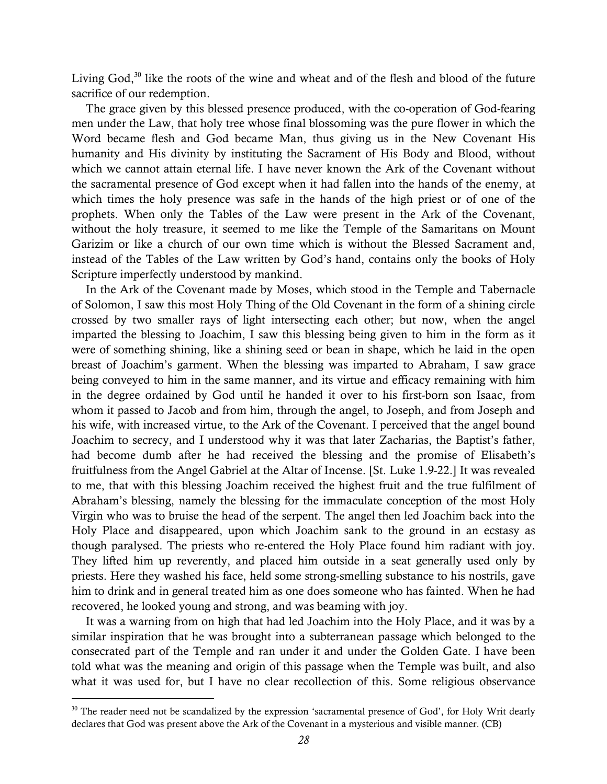Living God,<sup>30</sup> like the roots of the wine and wheat and of the flesh and blood of the future sacrifice of our redemption.

The grace given by this blessed presence produced, with the co-operation of God-fearing men under the Law, that holy tree whose final blossoming was the pure flower in which the Word became flesh and God became Man, thus giving us in the New Covenant His humanity and His divinity by instituting the Sacrament of His Body and Blood, without which we cannot attain eternal life. I have never known the Ark of the Covenant without the sacramental presence of God except when it had fallen into the hands of the enemy, at which times the holy presence was safe in the hands of the high priest or of one of the prophets. When only the Tables of the Law were present in the Ark of the Covenant, without the holy treasure, it seemed to me like the Temple of the Samaritans on Mount Garizim or like a church of our own time which is without the Blessed Sacrament and, instead of the Tables of the Law written by God's hand, contains only the books of Holy Scripture imperfectly understood by mankind.

In the Ark of the Covenant made by Moses, which stood in the Temple and Tabernacle of Solomon, I saw this most Holy Thing of the Old Covenant in the form of a shining circle crossed by two smaller rays of light intersecting each other; but now, when the angel imparted the blessing to Joachim, I saw this blessing being given to him in the form as it were of something shining, like a shining seed or bean in shape, which he laid in the open breast of Joachim's garment. When the blessing was imparted to Abraham, I saw grace being conveyed to him in the same manner, and its virtue and efficacy remaining with him in the degree ordained by God until he handed it over to his first-born son Isaac, from whom it passed to Jacob and from him, through the angel, to Joseph, and from Joseph and his wife, with increased virtue, to the Ark of the Covenant. I perceived that the angel bound Joachim to secrecy, and I understood why it was that later Zacharias, the Baptist's father, had become dumb after he had received the blessing and the promise of Elisabeth's fruitfulness from the Angel Gabriel at the Altar of Incense. [St. Luke 1.9-22.] It was revealed to me, that with this blessing Joachim received the highest fruit and the true fulfilment of Abraham's blessing, namely the blessing for the immaculate conception of the most Holy Virgin who was to bruise the head of the serpent. The angel then led Joachim back into the Holy Place and disappeared, upon which Joachim sank to the ground in an ecstasy as though paralysed. The priests who re-entered the Holy Place found him radiant with joy. They lifted him up reverently, and placed him outside in a seat generally used only by priests. Here they washed his face, held some strong-smelling substance to his nostrils, gave him to drink and in general treated him as one does someone who has fainted. When he had recovered, he looked young and strong, and was beaming with joy.

It was a warning from on high that had led Joachim into the Holy Place, and it was by a similar inspiration that he was brought into a subterranean passage which belonged to the consecrated part of the Temple and ran under it and under the Golden Gate. I have been told what was the meaning and origin of this passage when the Temple was built, and also what it was used for, but I have no clear recollection of this. Some religious observance

<sup>&</sup>lt;sup>30</sup> The reader need not be scandalized by the expression 'sacramental presence of God', for Holy Writ dearly declares that God was present above the Ark of the Covenant in a mysterious and visible manner. (CB)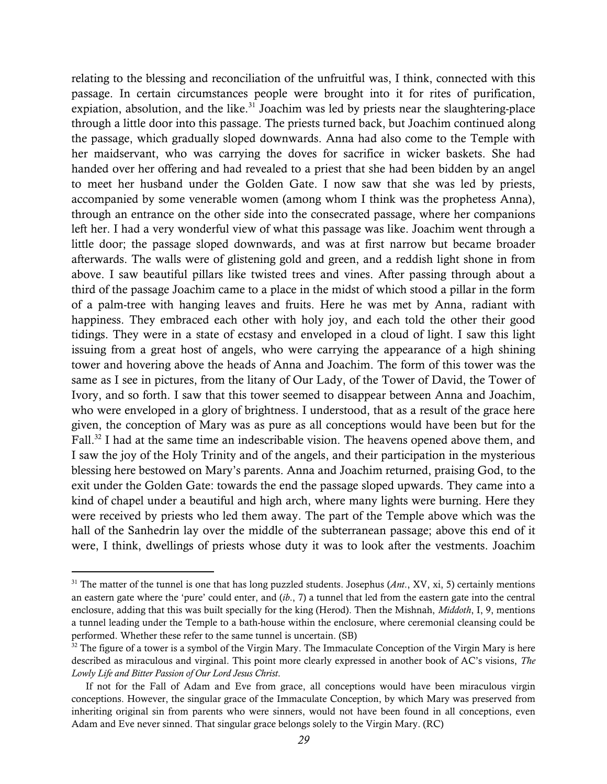relating to the blessing and reconciliation of the unfruitful was, I think, connected with this passage. In certain circumstances people were brought into it for rites of purification, expiation, absolution, and the like. $31$  Joachim was led by priests near the slaughtering-place through a little door into this passage. The priests turned back, but Joachim continued along the passage, which gradually sloped downwards. Anna had also come to the Temple with her maidservant, who was carrying the doves for sacrifice in wicker baskets. She had handed over her offering and had revealed to a priest that she had been bidden by an angel to meet her husband under the Golden Gate. I now saw that she was led by priests, accompanied by some venerable women (among whom I think was the prophetess Anna), through an entrance on the other side into the consecrated passage, where her companions left her. I had a very wonderful view of what this passage was like. Joachim went through a little door; the passage sloped downwards, and was at first narrow but became broader afterwards. The walls were of glistening gold and green, and a reddish light shone in from above. I saw beautiful pillars like twisted trees and vines. After passing through about a third of the passage Joachim came to a place in the midst of which stood a pillar in the form of a palm-tree with hanging leaves and fruits. Here he was met by Anna, radiant with happiness. They embraced each other with holy joy, and each told the other their good tidings. They were in a state of ecstasy and enveloped in a cloud of light. I saw this light issuing from a great host of angels, who were carrying the appearance of a high shining tower and hovering above the heads of Anna and Joachim. The form of this tower was the same as I see in pictures, from the litany of Our Lady, of the Tower of David, the Tower of Ivory, and so forth. I saw that this tower seemed to disappear between Anna and Joachim, who were enveloped in a glory of brightness. I understood, that as a result of the grace here given, the conception of Mary was as pure as all conceptions would have been but for the Fall.<sup>32</sup> I had at the same time an indescribable vision. The heavens opened above them, and I saw the joy of the Holy Trinity and of the angels, and their participation in the mysterious blessing here bestowed on Mary's parents. Anna and Joachim returned, praising God, to the exit under the Golden Gate: towards the end the passage sloped upwards. They came into a kind of chapel under a beautiful and high arch, where many lights were burning. Here they were received by priests who led them away. The part of the Temple above which was the hall of the Sanhedrin lay over the middle of the subterranean passage; above this end of it were, I think, dwellings of priests whose duty it was to look after the vestments. Joachim

 $31$  The matter of the tunnel is one that has long puzzled students. Josephus (Ant., XV, xi, 5) certainly mentions an eastern gate where the 'pure' could enter, and (*ib*., 7) a tunnel that led from the eastern gate into the central enclosure, adding that this was built specially for the king (Herod). Then the Mishnah, *Middoth*, I, 9, mentions a tunnel leading under the Temple to a bath-house within the enclosure, where ceremonial cleansing could be performed. Whether these refer to the same tunnel is uncertain. (SB)

 $32$  The figure of a tower is a symbol of the Virgin Mary. The Immaculate Conception of the Virgin Mary is here described as miraculous and virginal. This point more clearly expressed in another book of AC's visions, *The Lowly Life and Bitter Passion of Our Lord Jesus Christ*.

If not for the Fall of Adam and Eve from grace, all conceptions would have been miraculous virgin conceptions. However, the singular grace of the Immaculate Conception, by which Mary was preserved from inheriting original sin from parents who were sinners, would not have been found in all conceptions, even Adam and Eve never sinned. That singular grace belongs solely to the Virgin Mary. (RC)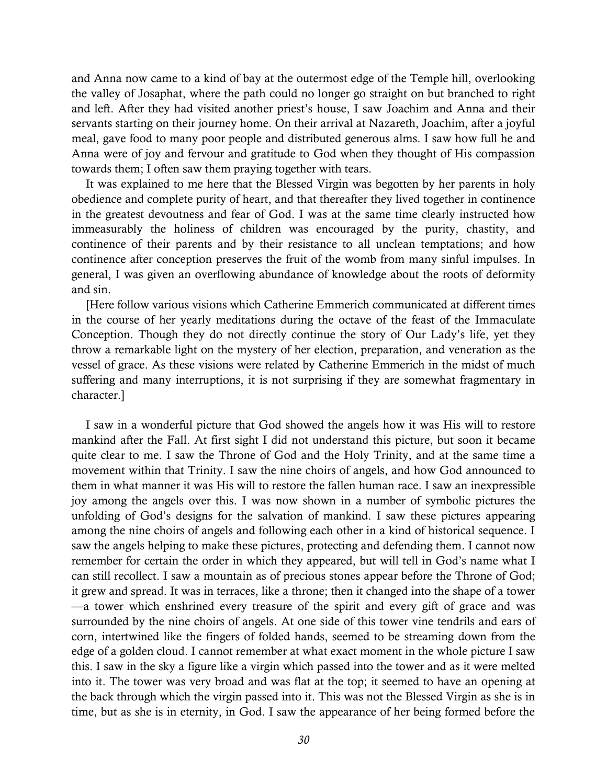and Anna now came to a kind of bay at the outermost edge of the Temple hill, overlooking the valley of Josaphat, where the path could no longer go straight on but branched to right and left. After they had visited another priest's house, I saw Joachim and Anna and their servants starting on their journey home. On their arrival at Nazareth, Joachim, after a joyful meal, gave food to many poor people and distributed generous alms. I saw how full he and Anna were of joy and fervour and gratitude to God when they thought of His compassion towards them; I often saw them praying together with tears.

It was explained to me here that the Blessed Virgin was begotten by her parents in holy obedience and complete purity of heart, and that thereafter they lived together in continence in the greatest devoutness and fear of God. I was at the same time clearly instructed how immeasurably the holiness of children was encouraged by the purity, chastity, and continence of their parents and by their resistance to all unclean temptations; and how continence after conception preserves the fruit of the womb from many sinful impulses. In general, I was given an overflowing abundance of knowledge about the roots of deformity and sin.

[Here follow various visions which Catherine Emmerich communicated at different times in the course of her yearly meditations during the octave of the feast of the Immaculate Conception. Though they do not directly continue the story of Our Lady's life, yet they throw a remarkable light on the mystery of her election, preparation, and veneration as the vessel of grace. As these visions were related by Catherine Emmerich in the midst of much suffering and many interruptions, it is not surprising if they are somewhat fragmentary in character.]

I saw in a wonderful picture that God showed the angels how it was His will to restore mankind after the Fall. At first sight I did not understand this picture, but soon it became quite clear to me. I saw the Throne of God and the Holy Trinity, and at the same time a movement within that Trinity. I saw the nine choirs of angels, and how God announced to them in what manner it was His will to restore the fallen human race. I saw an inexpressible joy among the angels over this. I was now shown in a number of symbolic pictures the unfolding of God's designs for the salvation of mankind. I saw these pictures appearing among the nine choirs of angels and following each other in a kind of historical sequence. I saw the angels helping to make these pictures, protecting and defending them. I cannot now remember for certain the order in which they appeared, but will tell in God's name what I can still recollect. I saw a mountain as of precious stones appear before the Throne of God; it grew and spread. It was in terraces, like a throne; then it changed into the shape of a tower —a tower which enshrined every treasure of the spirit and every gift of grace and was surrounded by the nine choirs of angels. At one side of this tower vine tendrils and ears of corn, intertwined like the fingers of folded hands, seemed to be streaming down from the edge of a golden cloud. I cannot remember at what exact moment in the whole picture I saw this. I saw in the sky a figure like a virgin which passed into the tower and as it were melted into it. The tower was very broad and was flat at the top; it seemed to have an opening at the back through which the virgin passed into it. This was not the Blessed Virgin as she is in time, but as she is in eternity, in God. I saw the appearance of her being formed before the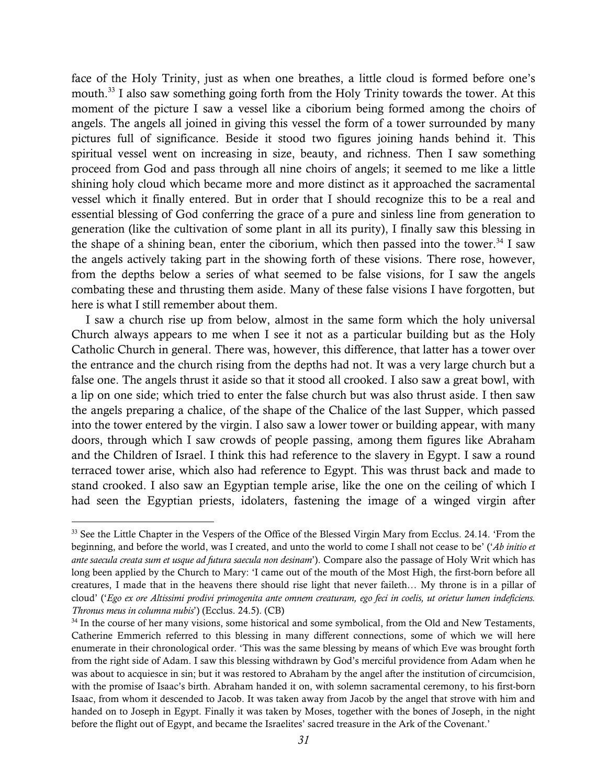face of the Holy Trinity, just as when one breathes, a little cloud is formed before one's mouth.<sup>33</sup> I also saw something going forth from the Holy Trinity towards the tower. At this moment of the picture I saw a vessel like a ciborium being formed among the choirs of angels. The angels all joined in giving this vessel the form of a tower surrounded by many pictures full of significance. Beside it stood two figures joining hands behind it. This spiritual vessel went on increasing in size, beauty, and richness. Then I saw something proceed from God and pass through all nine choirs of angels; it seemed to me like a little shining holy cloud which became more and more distinct as it approached the sacramental vessel which it finally entered. But in order that I should recognize this to be a real and essential blessing of God conferring the grace of a pure and sinless line from generation to generation (like the cultivation of some plant in all its purity), I finally saw this blessing in the shape of a shining bean, enter the ciborium, which then passed into the tower.<sup>34</sup> I saw the angels actively taking part in the showing forth of these visions. There rose, however, from the depths below a series of what seemed to be false visions, for I saw the angels combating these and thrusting them aside. Many of these false visions I have forgotten, but here is what I still remember about them.

I saw a church rise up from below, almost in the same form which the holy universal Church always appears to me when I see it not as a particular building but as the Holy Catholic Church in general. There was, however, this difference, that latter has a tower over the entrance and the church rising from the depths had not. It was a very large church but a false one. The angels thrust it aside so that it stood all crooked. I also saw a great bowl, with a lip on one side; which tried to enter the false church but was also thrust aside. I then saw the angels preparing a chalice, of the shape of the Chalice of the last Supper, which passed into the tower entered by the virgin. I also saw a lower tower or building appear, with many doors, through which I saw crowds of people passing, among them figures like Abraham and the Children of Israel. I think this had reference to the slavery in Egypt. I saw a round terraced tower arise, which also had reference to Egypt. This was thrust back and made to stand crooked. I also saw an Egyptian temple arise, like the one on the ceiling of which I had seen the Egyptian priests, idolaters, fastening the image of a winged virgin after

<sup>&</sup>lt;sup>33</sup> See the Little Chapter in the Vespers of the Office of the Blessed Virgin Mary from Ecclus. 24.14. 'From the beginning, and before the world, was I created, and unto the world to come I shall not cease to be' ('*Ab initio et ante saecula creata sum et usque ad futura saecula non desinam*'). Compare also the passage of Holy Writ which has long been applied by the Church to Mary: 'I came out of the mouth of the Most High, the first-born before all creatures, I made that in the heavens there should rise light that never faileth… My throne is in a pillar of cloud' ('*Ego ex ore Altissimi prodivi primogenita ante omnem creaturam, ego feci in coelis, ut orietur lumen indeficiens. Thronus meus in columna nubis*') (Ecclus. 24.5). (CB)

<sup>&</sup>lt;sup>34</sup> In the course of her many visions, some historical and some symbolical, from the Old and New Testaments, Catherine Emmerich referred to this blessing in many different connections, some of which we will here enumerate in their chronological order. 'This was the same blessing by means of which Eve was brought forth from the right side of Adam. I saw this blessing withdrawn by God's merciful providence from Adam when he was about to acquiesce in sin; but it was restored to Abraham by the angel after the institution of circumcision, with the promise of Isaac's birth. Abraham handed it on, with solemn sacramental ceremony, to his first-born Isaac, from whom it descended to Jacob. It was taken away from Jacob by the angel that strove with him and handed on to Joseph in Egypt. Finally it was taken by Moses, together with the bones of Joseph, in the night before the flight out of Egypt, and became the Israelites' sacred treasure in the Ark of the Covenant.'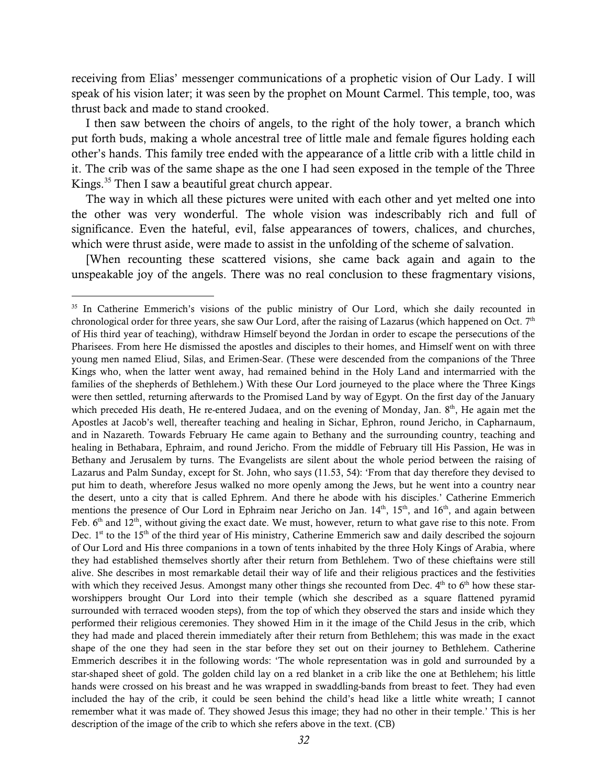receiving from Elias' messenger communications of a prophetic vision of Our Lady. I will speak of his vision later; it was seen by the prophet on Mount Carmel. This temple, too, was thrust back and made to stand crooked.

I then saw between the choirs of angels, to the right of the holy tower, a branch which put forth buds, making a whole ancestral tree of little male and female figures holding each other's hands. This family tree ended with the appearance of a little crib with a little child in it. The crib was of the same shape as the one I had seen exposed in the temple of the Three Kings.<sup>35</sup> Then I saw a beautiful great church appear.

The way in which all these pictures were united with each other and yet melted one into the other was very wonderful. The whole vision was indescribably rich and full of significance. Even the hateful, evil, false appearances of towers, chalices, and churches, which were thrust aside, were made to assist in the unfolding of the scheme of salvation.

[When recounting these scattered visions, she came back again and again to the unspeakable joy of the angels. There was no real conclusion to these fragmentary visions,

<sup>&</sup>lt;sup>35</sup> In Catherine Emmerich's visions of the public ministry of Our Lord, which she daily recounted in chronological order for three years, she saw Our Lord, after the raising of Lazarus (which happened on Oct. 7<sup>th</sup> of His third year of teaching), withdraw Himself beyond the Jordan in order to escape the persecutions of the Pharisees. From here He dismissed the apostles and disciples to their homes, and Himself went on with three young men named Eliud, Silas, and Erimen-Sear. (These were descended from the companions of the Three Kings who, when the latter went away, had remained behind in the Holy Land and intermarried with the families of the shepherds of Bethlehem.) With these Our Lord journeyed to the place where the Three Kings were then settled, returning afterwards to the Promised Land by way of Egypt. On the first day of the January which preceded His death, He re-entered Judaea, and on the evening of Monday, Jan. 8<sup>th</sup>, He again met the Apostles at Jacob's well, thereafter teaching and healing in Sichar, Ephron, round Jericho, in Capharnaum, and in Nazareth. Towards February He came again to Bethany and the surrounding country, teaching and healing in Bethabara, Ephraim, and round Jericho. From the middle of February till His Passion, He was in Bethany and Jerusalem by turns. The Evangelists are silent about the whole period between the raising of Lazarus and Palm Sunday, except for St. John, who says (11.53, 54): 'From that day therefore they devised to put him to death, wherefore Jesus walked no more openly among the Jews, but he went into a country near the desert, unto a city that is called Ephrem. And there he abode with his disciples.' Catherine Emmerich mentions the presence of Our Lord in Ephraim near Jericho on Jan. 14<sup>th</sup>, 15<sup>th</sup>, and 16<sup>th</sup>, and again between Feb. 6<sup>th</sup> and 12<sup>th</sup>, without giving the exact date. We must, however, return to what gave rise to this note. From Dec. 1<sup>st</sup> to the 15<sup>th</sup> of the third year of His ministry, Catherine Emmerich saw and daily described the sojourn of Our Lord and His three companions in a town of tents inhabited by the three Holy Kings of Arabia, where they had established themselves shortly after their return from Bethlehem. Two of these chieftains were still alive. She describes in most remarkable detail their way of life and their religious practices and the festivities with which they received Jesus. Amongst many other things she recounted from Dec.  $4<sup>th</sup>$  to 6<sup>th</sup> how these starworshippers brought Our Lord into their temple (which she described as a square flattened pyramid surrounded with terraced wooden steps), from the top of which they observed the stars and inside which they performed their religious ceremonies. They showed Him in it the image of the Child Jesus in the crib, which they had made and placed therein immediately after their return from Bethlehem; this was made in the exact shape of the one they had seen in the star before they set out on their journey to Bethlehem. Catherine Emmerich describes it in the following words: 'The whole representation was in gold and surrounded by a star-shaped sheet of gold. The golden child lay on a red blanket in a crib like the one at Bethlehem; his little hands were crossed on his breast and he was wrapped in swaddling-bands from breast to feet. They had even included the hay of the crib, it could be seen behind the child's head like a little white wreath; I cannot remember what it was made of. They showed Jesus this image; they had no other in their temple.' This is her description of the image of the crib to which she refers above in the text. (CB)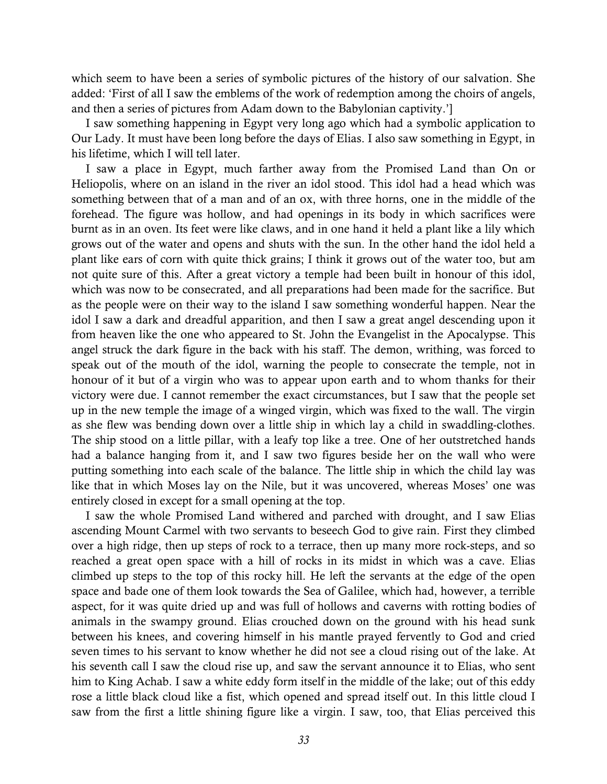which seem to have been a series of symbolic pictures of the history of our salvation. She added: 'First of all I saw the emblems of the work of redemption among the choirs of angels, and then a series of pictures from Adam down to the Babylonian captivity.']

I saw something happening in Egypt very long ago which had a symbolic application to Our Lady. It must have been long before the days of Elias. I also saw something in Egypt, in his lifetime, which I will tell later.

I saw a place in Egypt, much farther away from the Promised Land than On or Heliopolis, where on an island in the river an idol stood. This idol had a head which was something between that of a man and of an ox, with three horns, one in the middle of the forehead. The figure was hollow, and had openings in its body in which sacrifices were burnt as in an oven. Its feet were like claws, and in one hand it held a plant like a lily which grows out of the water and opens and shuts with the sun. In the other hand the idol held a plant like ears of corn with quite thick grains; I think it grows out of the water too, but am not quite sure of this. After a great victory a temple had been built in honour of this idol, which was now to be consecrated, and all preparations had been made for the sacrifice. But as the people were on their way to the island I saw something wonderful happen. Near the idol I saw a dark and dreadful apparition, and then I saw a great angel descending upon it from heaven like the one who appeared to St. John the Evangelist in the Apocalypse. This angel struck the dark figure in the back with his staff. The demon, writhing, was forced to speak out of the mouth of the idol, warning the people to consecrate the temple, not in honour of it but of a virgin who was to appear upon earth and to whom thanks for their victory were due. I cannot remember the exact circumstances, but I saw that the people set up in the new temple the image of a winged virgin, which was fixed to the wall. The virgin as she flew was bending down over a little ship in which lay a child in swaddling-clothes. The ship stood on a little pillar, with a leafy top like a tree. One of her outstretched hands had a balance hanging from it, and I saw two figures beside her on the wall who were putting something into each scale of the balance. The little ship in which the child lay was like that in which Moses lay on the Nile, but it was uncovered, whereas Moses' one was entirely closed in except for a small opening at the top.

I saw the whole Promised Land withered and parched with drought, and I saw Elias ascending Mount Carmel with two servants to beseech God to give rain. First they climbed over a high ridge, then up steps of rock to a terrace, then up many more rock-steps, and so reached a great open space with a hill of rocks in its midst in which was a cave. Elias climbed up steps to the top of this rocky hill. He left the servants at the edge of the open space and bade one of them look towards the Sea of Galilee, which had, however, a terrible aspect, for it was quite dried up and was full of hollows and caverns with rotting bodies of animals in the swampy ground. Elias crouched down on the ground with his head sunk between his knees, and covering himself in his mantle prayed fervently to God and cried seven times to his servant to know whether he did not see a cloud rising out of the lake. At his seventh call I saw the cloud rise up, and saw the servant announce it to Elias, who sent him to King Achab. I saw a white eddy form itself in the middle of the lake; out of this eddy rose a little black cloud like a fist, which opened and spread itself out. In this little cloud I saw from the first a little shining figure like a virgin. I saw, too, that Elias perceived this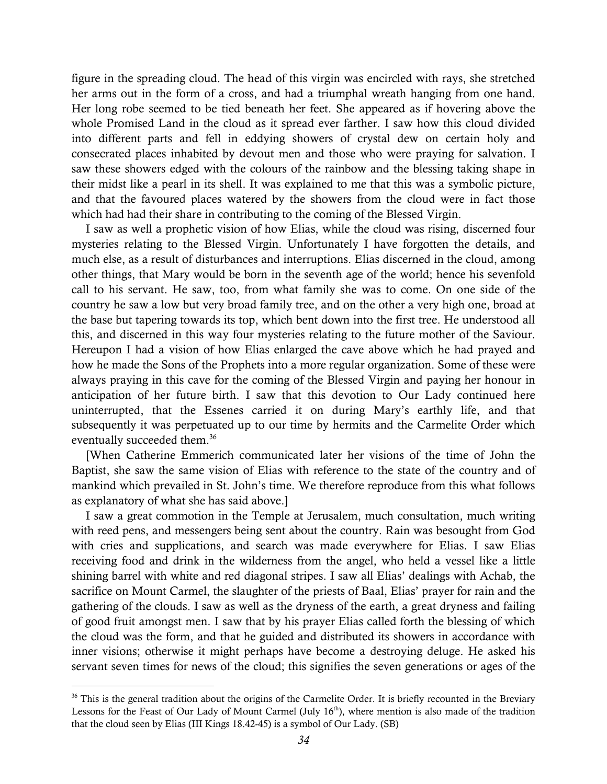figure in the spreading cloud. The head of this virgin was encircled with rays, she stretched her arms out in the form of a cross, and had a triumphal wreath hanging from one hand. Her long robe seemed to be tied beneath her feet. She appeared as if hovering above the whole Promised Land in the cloud as it spread ever farther. I saw how this cloud divided into different parts and fell in eddying showers of crystal dew on certain holy and consecrated places inhabited by devout men and those who were praying for salvation. I saw these showers edged with the colours of the rainbow and the blessing taking shape in their midst like a pearl in its shell. It was explained to me that this was a symbolic picture, and that the favoured places watered by the showers from the cloud were in fact those which had had their share in contributing to the coming of the Blessed Virgin.

I saw as well a prophetic vision of how Elias, while the cloud was rising, discerned four mysteries relating to the Blessed Virgin. Unfortunately I have forgotten the details, and much else, as a result of disturbances and interruptions. Elias discerned in the cloud, among other things, that Mary would be born in the seventh age of the world; hence his sevenfold call to his servant. He saw, too, from what family she was to come. On one side of the country he saw a low but very broad family tree, and on the other a very high one, broad at the base but tapering towards its top, which bent down into the first tree. He understood all this, and discerned in this way four mysteries relating to the future mother of the Saviour. Hereupon I had a vision of how Elias enlarged the cave above which he had prayed and how he made the Sons of the Prophets into a more regular organization. Some of these were always praying in this cave for the coming of the Blessed Virgin and paying her honour in anticipation of her future birth. I saw that this devotion to Our Lady continued here uninterrupted, that the Essenes carried it on during Mary's earthly life, and that subsequently it was perpetuated up to our time by hermits and the Carmelite Order which eventually succeeded them.<sup>36</sup>

[When Catherine Emmerich communicated later her visions of the time of John the Baptist, she saw the same vision of Elias with reference to the state of the country and of mankind which prevailed in St. John's time. We therefore reproduce from this what follows as explanatory of what she has said above.]

I saw a great commotion in the Temple at Jerusalem, much consultation, much writing with reed pens, and messengers being sent about the country. Rain was besought from God with cries and supplications, and search was made everywhere for Elias. I saw Elias receiving food and drink in the wilderness from the angel, who held a vessel like a little shining barrel with white and red diagonal stripes. I saw all Elias' dealings with Achab, the sacrifice on Mount Carmel, the slaughter of the priests of Baal, Elias' prayer for rain and the gathering of the clouds. I saw as well as the dryness of the earth, a great dryness and failing of good fruit amongst men. I saw that by his prayer Elias called forth the blessing of which the cloud was the form, and that he guided and distributed its showers in accordance with inner visions; otherwise it might perhaps have become a destroying deluge. He asked his servant seven times for news of the cloud; this signifies the seven generations or ages of the

<sup>&</sup>lt;sup>36</sup> This is the general tradition about the origins of the Carmelite Order. It is briefly recounted in the Breviary Lessons for the Feast of Our Lady of Mount Carmel (July 16<sup>th</sup>), where mention is also made of the tradition that the cloud seen by Elias (III Kings 18.42-45) is a symbol of Our Lady. (SB)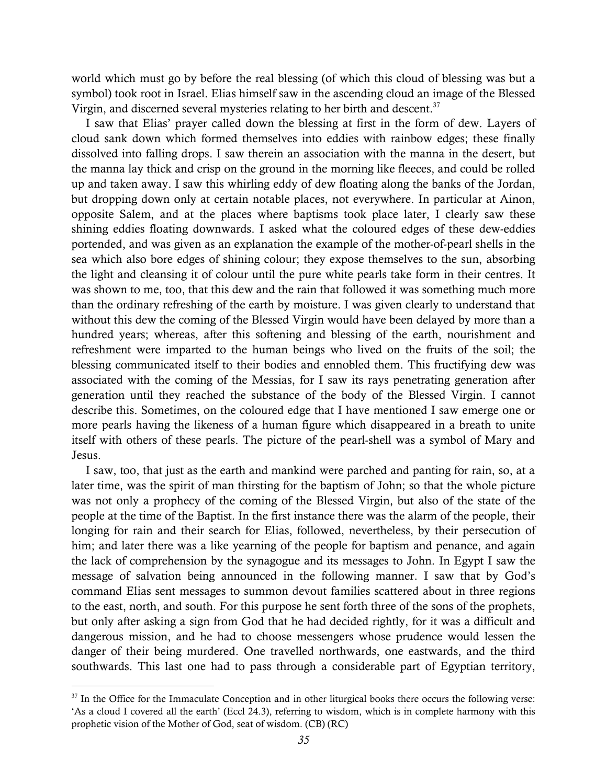world which must go by before the real blessing (of which this cloud of blessing was but a symbol) took root in Israel. Elias himself saw in the ascending cloud an image of the Blessed Virgin, and discerned several mysteries relating to her birth and descent.<sup>37</sup>

I saw that Elias' prayer called down the blessing at first in the form of dew. Layers of cloud sank down which formed themselves into eddies with rainbow edges; these finally dissolved into falling drops. I saw therein an association with the manna in the desert, but the manna lay thick and crisp on the ground in the morning like fleeces, and could be rolled up and taken away. I saw this whirling eddy of dew floating along the banks of the Jordan, but dropping down only at certain notable places, not everywhere. In particular at Ainon, opposite Salem, and at the places where baptisms took place later, I clearly saw these shining eddies floating downwards. I asked what the coloured edges of these dew-eddies portended, and was given as an explanation the example of the mother-of-pearl shells in the sea which also bore edges of shining colour; they expose themselves to the sun, absorbing the light and cleansing it of colour until the pure white pearls take form in their centres. It was shown to me, too, that this dew and the rain that followed it was something much more than the ordinary refreshing of the earth by moisture. I was given clearly to understand that without this dew the coming of the Blessed Virgin would have been delayed by more than a hundred years; whereas, after this softening and blessing of the earth, nourishment and refreshment were imparted to the human beings who lived on the fruits of the soil; the blessing communicated itself to their bodies and ennobled them. This fructifying dew was associated with the coming of the Messias, for I saw its rays penetrating generation after generation until they reached the substance of the body of the Blessed Virgin. I cannot describe this. Sometimes, on the coloured edge that I have mentioned I saw emerge one or more pearls having the likeness of a human figure which disappeared in a breath to unite itself with others of these pearls. The picture of the pearl-shell was a symbol of Mary and Jesus.

I saw, too, that just as the earth and mankind were parched and panting for rain, so, at a later time, was the spirit of man thirsting for the baptism of John; so that the whole picture was not only a prophecy of the coming of the Blessed Virgin, but also of the state of the people at the time of the Baptist. In the first instance there was the alarm of the people, their longing for rain and their search for Elias, followed, nevertheless, by their persecution of him; and later there was a like yearning of the people for baptism and penance, and again the lack of comprehension by the synagogue and its messages to John. In Egypt I saw the message of salvation being announced in the following manner. I saw that by God's command Elias sent messages to summon devout families scattered about in three regions to the east, north, and south. For this purpose he sent forth three of the sons of the prophets, but only after asking a sign from God that he had decided rightly, for it was a difficult and dangerous mission, and he had to choose messengers whose prudence would lessen the danger of their being murdered. One travelled northwards, one eastwards, and the third southwards. This last one had to pass through a considerable part of Egyptian territory,

<sup>&</sup>lt;sup>37</sup> In the Office for the Immaculate Conception and in other liturgical books there occurs the following verse: 'As a cloud I covered all the earth' (Eccl 24.3), referring to wisdom, which is in complete harmony with this prophetic vision of the Mother of God, seat of wisdom. (CB) (RC)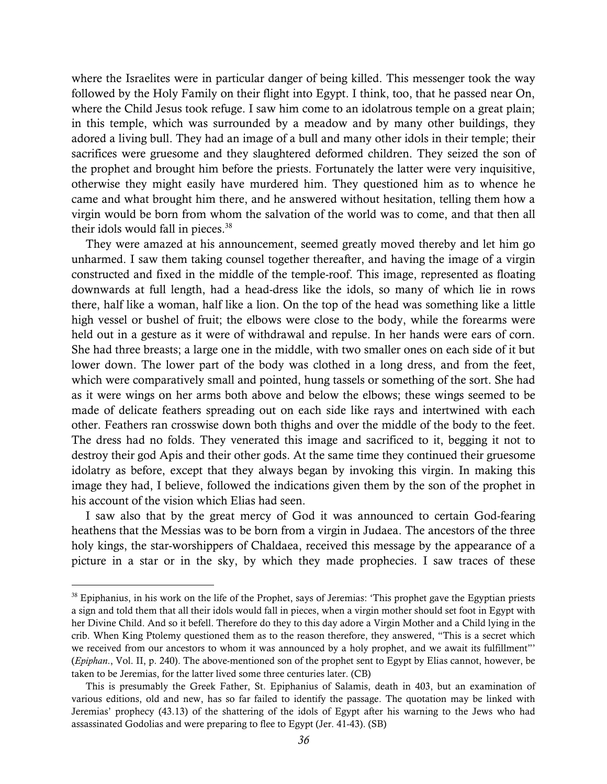where the Israelites were in particular danger of being killed. This messenger took the way followed by the Holy Family on their flight into Egypt. I think, too, that he passed near On, where the Child Jesus took refuge. I saw him come to an idolatrous temple on a great plain; in this temple, which was surrounded by a meadow and by many other buildings, they adored a living bull. They had an image of a bull and many other idols in their temple; their sacrifices were gruesome and they slaughtered deformed children. They seized the son of the prophet and brought him before the priests. Fortunately the latter were very inquisitive, otherwise they might easily have murdered him. They questioned him as to whence he came and what brought him there, and he answered without hesitation, telling them how a virgin would be born from whom the salvation of the world was to come, and that then all their idols would fall in pieces.<sup>38</sup>

They were amazed at his announcement, seemed greatly moved thereby and let him go unharmed. I saw them taking counsel together thereafter, and having the image of a virgin constructed and fixed in the middle of the temple-roof. This image, represented as floating downwards at full length, had a head-dress like the idols, so many of which lie in rows there, half like a woman, half like a lion. On the top of the head was something like a little high vessel or bushel of fruit; the elbows were close to the body, while the forearms were held out in a gesture as it were of withdrawal and repulse. In her hands were ears of corn. She had three breasts; a large one in the middle, with two smaller ones on each side of it but lower down. The lower part of the body was clothed in a long dress, and from the feet, which were comparatively small and pointed, hung tassels or something of the sort. She had as it were wings on her arms both above and below the elbows; these wings seemed to be made of delicate feathers spreading out on each side like rays and intertwined with each other. Feathers ran crosswise down both thighs and over the middle of the body to the feet. The dress had no folds. They venerated this image and sacrificed to it, begging it not to destroy their god Apis and their other gods. At the same time they continued their gruesome idolatry as before, except that they always began by invoking this virgin. In making this image they had, I believe, followed the indications given them by the son of the prophet in his account of the vision which Elias had seen.

I saw also that by the great mercy of God it was announced to certain God-fearing heathens that the Messias was to be born from a virgin in Judaea. The ancestors of the three holy kings, the star-worshippers of Chaldaea, received this message by the appearance of a picture in a star or in the sky, by which they made prophecies. I saw traces of these

<sup>&</sup>lt;sup>38</sup> Epiphanius, in his work on the life of the Prophet, says of Jeremias: 'This prophet gave the Egyptian priests a sign and told them that all their idols would fall in pieces, when a virgin mother should set foot in Egypt with her Divine Child. And so it befell. Therefore do they to this day adore a Virgin Mother and a Child lying in the crib. When King Ptolemy questioned them as to the reason therefore, they answered, "This is a secret which we received from our ancestors to whom it was announced by a holy prophet, and we await its fulfillment"' (*Epiphan*., Vol. II, p. 240). The above-mentioned son of the prophet sent to Egypt by Elias cannot, however, be taken to be Jeremias, for the latter lived some three centuries later. (CB)

This is presumably the Greek Father, St. Epiphanius of Salamis, death in 403, but an examination of various editions, old and new, has so far failed to identify the passage. The quotation may be linked with Jeremias' prophecy (43.13) of the shattering of the idols of Egypt after his warning to the Jews who had assassinated Godolias and were preparing to flee to Egypt (Jer. 41-43). (SB)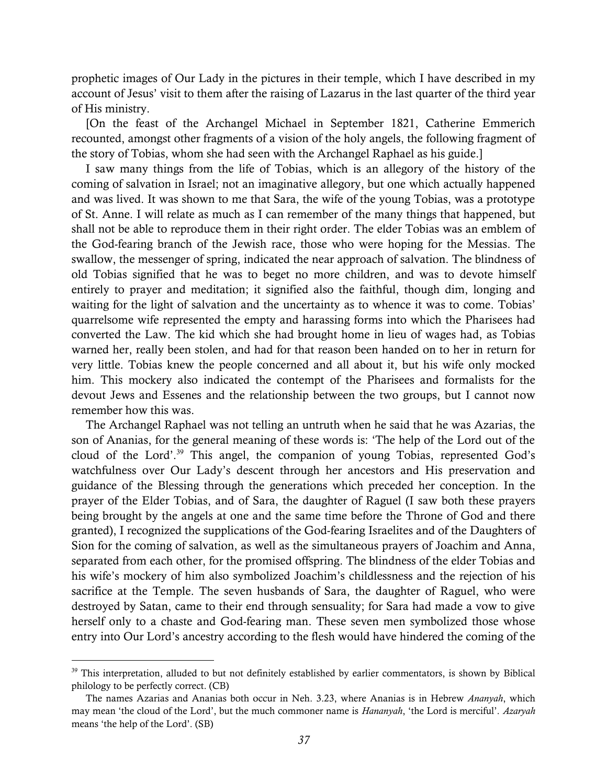prophetic images of Our Lady in the pictures in their temple, which I have described in my account of Jesus' visit to them after the raising of Lazarus in the last quarter of the third year of His ministry.

[On the feast of the Archangel Michael in September 1821, Catherine Emmerich recounted, amongst other fragments of a vision of the holy angels, the following fragment of the story of Tobias, whom she had seen with the Archangel Raphael as his guide.]

I saw many things from the life of Tobias, which is an allegory of the history of the coming of salvation in Israel; not an imaginative allegory, but one which actually happened and was lived. It was shown to me that Sara, the wife of the young Tobias, was a prototype of St. Anne. I will relate as much as I can remember of the many things that happened, but shall not be able to reproduce them in their right order. The elder Tobias was an emblem of the God-fearing branch of the Jewish race, those who were hoping for the Messias. The swallow, the messenger of spring, indicated the near approach of salvation. The blindness of old Tobias signified that he was to beget no more children, and was to devote himself entirely to prayer and meditation; it signified also the faithful, though dim, longing and waiting for the light of salvation and the uncertainty as to whence it was to come. Tobias' quarrelsome wife represented the empty and harassing forms into which the Pharisees had converted the Law. The kid which she had brought home in lieu of wages had, as Tobias warned her, really been stolen, and had for that reason been handed on to her in return for very little. Tobias knew the people concerned and all about it, but his wife only mocked him. This mockery also indicated the contempt of the Pharisees and formalists for the devout Jews and Essenes and the relationship between the two groups, but I cannot now remember how this was.

The Archangel Raphael was not telling an untruth when he said that he was Azarias, the son of Ananias, for the general meaning of these words is: 'The help of the Lord out of the cloud of the Lord'.<sup>39</sup> This angel, the companion of young Tobias, represented God's watchfulness over Our Lady's descent through her ancestors and His preservation and guidance of the Blessing through the generations which preceded her conception. In the prayer of the Elder Tobias, and of Sara, the daughter of Raguel (I saw both these prayers being brought by the angels at one and the same time before the Throne of God and there granted), I recognized the supplications of the God-fearing Israelites and of the Daughters of Sion for the coming of salvation, as well as the simultaneous prayers of Joachim and Anna, separated from each other, for the promised offspring. The blindness of the elder Tobias and his wife's mockery of him also symbolized Joachim's childlessness and the rejection of his sacrifice at the Temple. The seven husbands of Sara, the daughter of Raguel, who were destroyed by Satan, came to their end through sensuality; for Sara had made a vow to give herself only to a chaste and God-fearing man. These seven men symbolized those whose entry into Our Lord's ancestry according to the flesh would have hindered the coming of the

<sup>&</sup>lt;sup>39</sup> This interpretation, alluded to but not definitely established by earlier commentators, is shown by Biblical philology to be perfectly correct. (CB)

The names Azarias and Ananias both occur in Neh. 3.23, where Ananias is in Hebrew *Ananyah*, which may mean 'the cloud of the Lord', but the much commoner name is *Hananyah*, 'the Lord is merciful'. *Azaryah* means 'the help of the Lord'. (SB)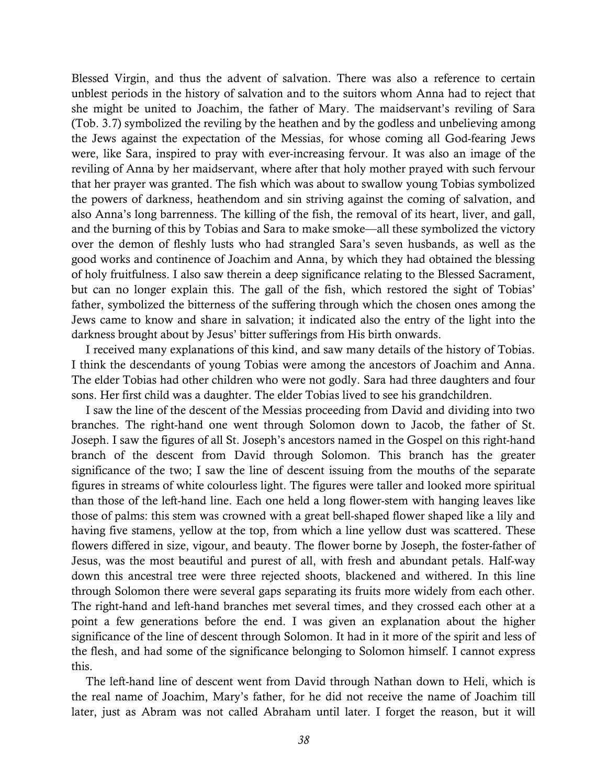Blessed Virgin, and thus the advent of salvation. There was also a reference to certain unblest periods in the history of salvation and to the suitors whom Anna had to reject that she might be united to Joachim, the father of Mary. The maidservant's reviling of Sara (Tob. 3.7) symbolized the reviling by the heathen and by the godless and unbelieving among the Jews against the expectation of the Messias, for whose coming all God-fearing Jews were, like Sara, inspired to pray with ever-increasing fervour. It was also an image of the reviling of Anna by her maidservant, where after that holy mother prayed with such fervour that her prayer was granted. The fish which was about to swallow young Tobias symbolized the powers of darkness, heathendom and sin striving against the coming of salvation, and also Anna's long barrenness. The killing of the fish, the removal of its heart, liver, and gall, and the burning of this by Tobias and Sara to make smoke—all these symbolized the victory over the demon of fleshly lusts who had strangled Sara's seven husbands, as well as the good works and continence of Joachim and Anna, by which they had obtained the blessing of holy fruitfulness. I also saw therein a deep significance relating to the Blessed Sacrament, but can no longer explain this. The gall of the fish, which restored the sight of Tobias' father, symbolized the bitterness of the suffering through which the chosen ones among the Jews came to know and share in salvation; it indicated also the entry of the light into the darkness brought about by Jesus' bitter sufferings from His birth onwards.

I received many explanations of this kind, and saw many details of the history of Tobias. I think the descendants of young Tobias were among the ancestors of Joachim and Anna. The elder Tobias had other children who were not godly. Sara had three daughters and four sons. Her first child was a daughter. The elder Tobias lived to see his grandchildren.

I saw the line of the descent of the Messias proceeding from David and dividing into two branches. The right-hand one went through Solomon down to Jacob, the father of St. Joseph. I saw the figures of all St. Joseph's ancestors named in the Gospel on this right-hand branch of the descent from David through Solomon. This branch has the greater significance of the two; I saw the line of descent issuing from the mouths of the separate figures in streams of white colourless light. The figures were taller and looked more spiritual than those of the left-hand line. Each one held a long flower-stem with hanging leaves like those of palms: this stem was crowned with a great bell-shaped flower shaped like a lily and having five stamens, yellow at the top, from which a line yellow dust was scattered. These flowers differed in size, vigour, and beauty. The flower borne by Joseph, the foster-father of Jesus, was the most beautiful and purest of all, with fresh and abundant petals. Half-way down this ancestral tree were three rejected shoots, blackened and withered. In this line through Solomon there were several gaps separating its fruits more widely from each other. The right-hand and left-hand branches met several times, and they crossed each other at a point a few generations before the end. I was given an explanation about the higher significance of the line of descent through Solomon. It had in it more of the spirit and less of the flesh, and had some of the significance belonging to Solomon himself. I cannot express this.

The left-hand line of descent went from David through Nathan down to Heli, which is the real name of Joachim, Mary's father, for he did not receive the name of Joachim till later, just as Abram was not called Abraham until later. I forget the reason, but it will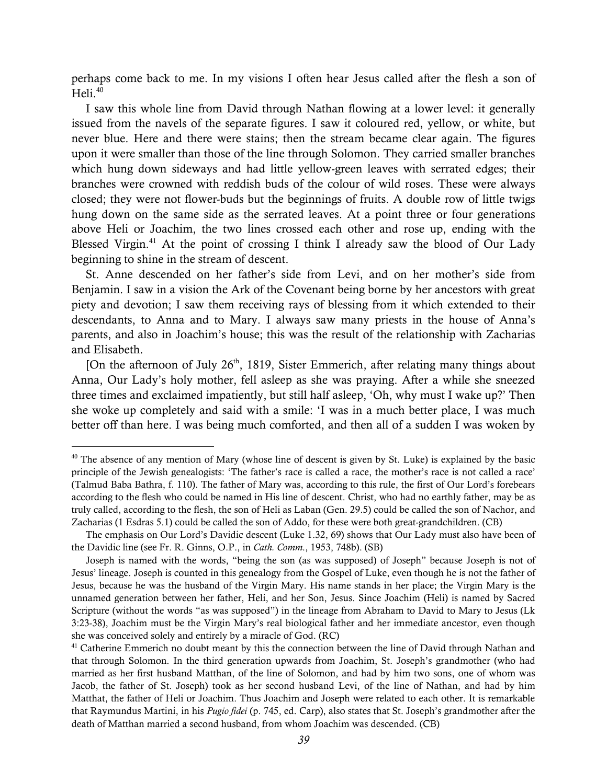perhaps come back to me. In my visions I often hear Jesus called after the flesh a son of Heli.<sup>40</sup>

I saw this whole line from David through Nathan flowing at a lower level: it generally issued from the navels of the separate figures. I saw it coloured red, yellow, or white, but never blue. Here and there were stains; then the stream became clear again. The figures upon it were smaller than those of the line through Solomon. They carried smaller branches which hung down sideways and had little yellow-green leaves with serrated edges; their branches were crowned with reddish buds of the colour of wild roses. These were always closed; they were not flower-buds but the beginnings of fruits. A double row of little twigs hung down on the same side as the serrated leaves. At a point three or four generations above Heli or Joachim, the two lines crossed each other and rose up, ending with the Blessed Virgin.<sup>41</sup> At the point of crossing I think I already saw the blood of Our Lady beginning to shine in the stream of descent.

St. Anne descended on her father's side from Levi, and on her mother's side from Benjamin. I saw in a vision the Ark of the Covenant being borne by her ancestors with great piety and devotion; I saw them receiving rays of blessing from it which extended to their descendants, to Anna and to Mary. I always saw many priests in the house of Anna's parents, and also in Joachim's house; this was the result of the relationship with Zacharias and Elisabeth.

[On the afternoon of July  $26<sup>th</sup>$ , 1819, Sister Emmerich, after relating many things about Anna, Our Lady's holy mother, fell asleep as she was praying. After a while she sneezed three times and exclaimed impatiently, but still half asleep, 'Oh, why must I wake up?' Then she woke up completely and said with a smile: 'I was in a much better place, I was much better off than here. I was being much comforted, and then all of a sudden I was woken by

<sup>&</sup>lt;sup>40</sup> The absence of any mention of Mary (whose line of descent is given by St. Luke) is explained by the basic principle of the Jewish genealogists: 'The father's race is called a race, the mother's race is not called a race' (Talmud Baba Bathra, f. 110). The father of Mary was, according to this rule, the first of Our Lord's forebears according to the flesh who could be named in His line of descent. Christ, who had no earthly father, may be as truly called, according to the flesh, the son of Heli as Laban (Gen. 29.5) could be called the son of Nachor, and Zacharias (1 Esdras 5.1) could be called the son of Addo, for these were both great-grandchildren. (CB)

The emphasis on Our Lord's Davidic descent (Luke 1.32, 69) shows that Our Lady must also have been of the Davidic line (see Fr. R. Ginns, O.P., in *Cath. Comm*., 1953, 748b). (SB)

Joseph is named with the words, "being the son (as was supposed) of Joseph" because Joseph is not of Jesus' lineage. Joseph is counted in this genealogy from the Gospel of Luke, even though he is not the father of Jesus, because he was the husband of the Virgin Mary. His name stands in her place; the Virgin Mary is the unnamed generation between her father, Heli, and her Son, Jesus. Since Joachim (Heli) is named by Sacred Scripture (without the words "as was supposed") in the lineage from Abraham to David to Mary to Jesus (Lk 3:23-38), Joachim must be the Virgin Mary's real biological father and her immediate ancestor, even though she was conceived solely and entirely by a miracle of God. (RC)

<sup>&</sup>lt;sup>41</sup> Catherine Emmerich no doubt meant by this the connection between the line of David through Nathan and that through Solomon. In the third generation upwards from Joachim, St. Joseph's grandmother (who had married as her first husband Matthan, of the line of Solomon, and had by him two sons, one of whom was Jacob, the father of St. Joseph) took as her second husband Levi, of the line of Nathan, and had by him Matthat, the father of Heli or Joachim. Thus Joachim and Joseph were related to each other. It is remarkable that Raymundus Martini, in his *Pugio fidei* (p. 745, ed. Carp), also states that St. Joseph's grandmother after the death of Matthan married a second husband, from whom Joachim was descended. (CB)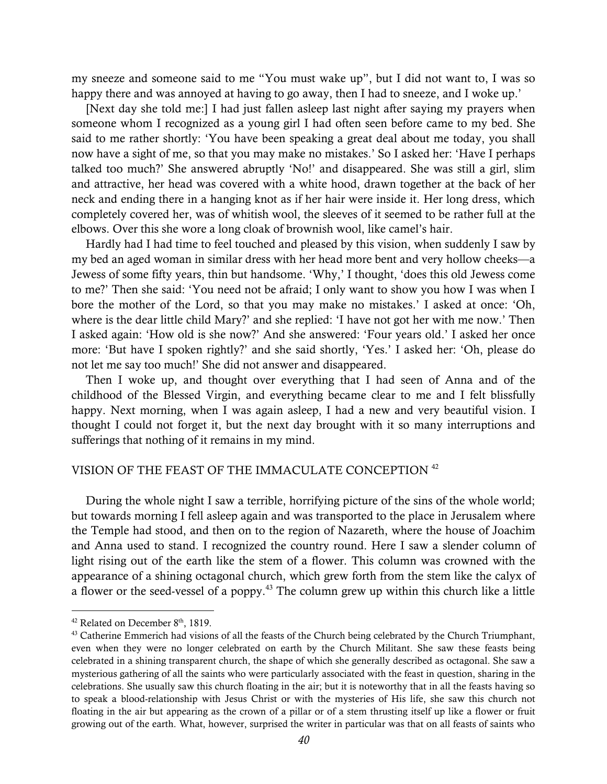my sneeze and someone said to me "You must wake up", but I did not want to, I was so happy there and was annoyed at having to go away, then I had to sneeze, and I woke up.'

[Next day she told me:] I had just fallen asleep last night after saying my prayers when someone whom I recognized as a young girl I had often seen before came to my bed. She said to me rather shortly: 'You have been speaking a great deal about me today, you shall now have a sight of me, so that you may make no mistakes.' So I asked her: 'Have I perhaps talked too much?' She answered abruptly 'No!' and disappeared. She was still a girl, slim and attractive, her head was covered with a white hood, drawn together at the back of her neck and ending there in a hanging knot as if her hair were inside it. Her long dress, which completely covered her, was of whitish wool, the sleeves of it seemed to be rather full at the elbows. Over this she wore a long cloak of brownish wool, like camel's hair.

Hardly had I had time to feel touched and pleased by this vision, when suddenly I saw by my bed an aged woman in similar dress with her head more bent and very hollow cheeks—a Jewess of some fifty years, thin but handsome. 'Why,' I thought, 'does this old Jewess come to me?' Then she said: 'You need not be afraid; I only want to show you how I was when I bore the mother of the Lord, so that you may make no mistakes.' I asked at once: 'Oh, where is the dear little child Mary?' and she replied: 'I have not got her with me now.' Then I asked again: 'How old is she now?' And she answered: 'Four years old.' I asked her once more: 'But have I spoken rightly?' and she said shortly, 'Yes.' I asked her: 'Oh, please do not let me say too much!' She did not answer and disappeared.

Then I woke up, and thought over everything that I had seen of Anna and of the childhood of the Blessed Virgin, and everything became clear to me and I felt blissfully happy. Next morning, when I was again asleep, I had a new and very beautiful vision. I thought I could not forget it, but the next day brought with it so many interruptions and sufferings that nothing of it remains in my mind.

# VISION OF THE FEAST OF THE IMMACULATE CONCEPTION <sup>42</sup>

During the whole night I saw a terrible, horrifying picture of the sins of the whole world; but towards morning I fell asleep again and was transported to the place in Jerusalem where the Temple had stood, and then on to the region of Nazareth, where the house of Joachim and Anna used to stand. I recognized the country round. Here I saw a slender column of light rising out of the earth like the stem of a flower. This column was crowned with the appearance of a shining octagonal church, which grew forth from the stem like the calyx of a flower or the seed-vessel of a poppy.<sup>43</sup> The column grew up within this church like a little

 $42$  Related on December  $8<sup>th</sup>$ , 1819.

<sup>&</sup>lt;sup>43</sup> Catherine Emmerich had visions of all the feasts of the Church being celebrated by the Church Triumphant, even when they were no longer celebrated on earth by the Church Militant. She saw these feasts being celebrated in a shining transparent church, the shape of which she generally described as octagonal. She saw a mysterious gathering of all the saints who were particularly associated with the feast in question, sharing in the celebrations. She usually saw this church floating in the air; but it is noteworthy that in all the feasts having so to speak a blood-relationship with Jesus Christ or with the mysteries of His life, she saw this church not floating in the air but appearing as the crown of a pillar or of a stem thrusting itself up like a flower or fruit growing out of the earth. What, however, surprised the writer in particular was that on all feasts of saints who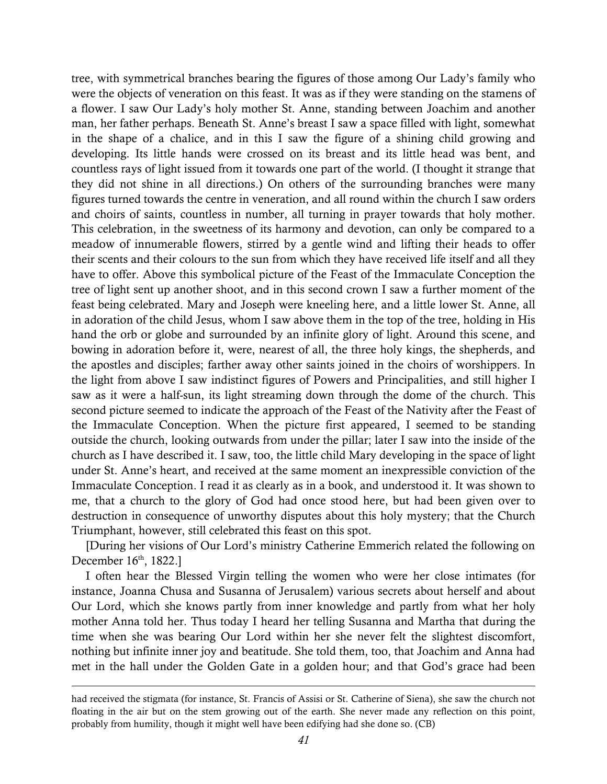tree, with symmetrical branches bearing the figures of those among Our Lady's family who were the objects of veneration on this feast. It was as if they were standing on the stamens of a flower. I saw Our Lady's holy mother St. Anne, standing between Joachim and another man, her father perhaps. Beneath St. Anne's breast I saw a space filled with light, somewhat in the shape of a chalice, and in this I saw the figure of a shining child growing and developing. Its little hands were crossed on its breast and its little head was bent, and countless rays of light issued from it towards one part of the world. (I thought it strange that they did not shine in all directions.) On others of the surrounding branches were many figures turned towards the centre in veneration, and all round within the church I saw orders and choirs of saints, countless in number, all turning in prayer towards that holy mother. This celebration, in the sweetness of its harmony and devotion, can only be compared to a meadow of innumerable flowers, stirred by a gentle wind and lifting their heads to offer their scents and their colours to the sun from which they have received life itself and all they have to offer. Above this symbolical picture of the Feast of the Immaculate Conception the tree of light sent up another shoot, and in this second crown I saw a further moment of the feast being celebrated. Mary and Joseph were kneeling here, and a little lower St. Anne, all in adoration of the child Jesus, whom I saw above them in the top of the tree, holding in His hand the orb or globe and surrounded by an infinite glory of light. Around this scene, and bowing in adoration before it, were, nearest of all, the three holy kings, the shepherds, and the apostles and disciples; farther away other saints joined in the choirs of worshippers. In the light from above I saw indistinct figures of Powers and Principalities, and still higher I saw as it were a half-sun, its light streaming down through the dome of the church. This second picture seemed to indicate the approach of the Feast of the Nativity after the Feast of the Immaculate Conception. When the picture first appeared, I seemed to be standing outside the church, looking outwards from under the pillar; later I saw into the inside of the church as I have described it. I saw, too, the little child Mary developing in the space of light under St. Anne's heart, and received at the same moment an inexpressible conviction of the Immaculate Conception. I read it as clearly as in a book, and understood it. It was shown to me, that a church to the glory of God had once stood here, but had been given over to destruction in consequence of unworthy disputes about this holy mystery; that the Church Triumphant, however, still celebrated this feast on this spot.

[During her visions of Our Lord's ministry Catherine Emmerich related the following on December  $16<sup>th</sup>$ , 1822.]

I often hear the Blessed Virgin telling the women who were her close intimates (for instance, Joanna Chusa and Susanna of Jerusalem) various secrets about herself and about Our Lord, which she knows partly from inner knowledge and partly from what her holy mother Anna told her. Thus today I heard her telling Susanna and Martha that during the time when she was bearing Our Lord within her she never felt the slightest discomfort, nothing but infinite inner joy and beatitude. She told them, too, that Joachim and Anna had met in the hall under the Golden Gate in a golden hour; and that God's grace had been

had received the stigmata (for instance, St. Francis of Assisi or St. Catherine of Siena), she saw the church not floating in the air but on the stem growing out of the earth. She never made any reflection on this point, probably from humility, though it might well have been edifying had she done so. (CB)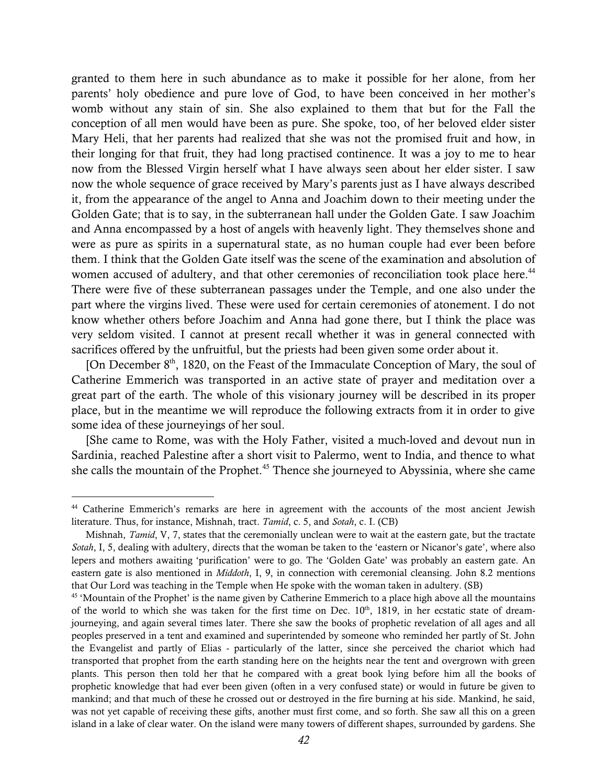granted to them here in such abundance as to make it possible for her alone, from her parents' holy obedience and pure love of God, to have been conceived in her mother's womb without any stain of sin. She also explained to them that but for the Fall the conception of all men would have been as pure. She spoke, too, of her beloved elder sister Mary Heli, that her parents had realized that she was not the promised fruit and how, in their longing for that fruit, they had long practised continence. It was a joy to me to hear now from the Blessed Virgin herself what I have always seen about her elder sister. I saw now the whole sequence of grace received by Mary's parents just as I have always described it, from the appearance of the angel to Anna and Joachim down to their meeting under the Golden Gate; that is to say, in the subterranean hall under the Golden Gate. I saw Joachim and Anna encompassed by a host of angels with heavenly light. They themselves shone and were as pure as spirits in a supernatural state, as no human couple had ever been before them. I think that the Golden Gate itself was the scene of the examination and absolution of women accused of adultery, and that other ceremonies of reconciliation took place here.<sup>44</sup> There were five of these subterranean passages under the Temple, and one also under the part where the virgins lived. These were used for certain ceremonies of atonement. I do not know whether others before Joachim and Anna had gone there, but I think the place was very seldom visited. I cannot at present recall whether it was in general connected with sacrifices offered by the unfruitful, but the priests had been given some order about it.

[On December 8<sup>th</sup>, 1820, on the Feast of the Immaculate Conception of Mary, the soul of Catherine Emmerich was transported in an active state of prayer and meditation over a great part of the earth. The whole of this visionary journey will be described in its proper place, but in the meantime we will reproduce the following extracts from it in order to give some idea of these journeyings of her soul.

[She came to Rome, was with the Holy Father, visited a much-loved and devout nun in Sardinia, reached Palestine after a short visit to Palermo, went to India, and thence to what she calls the mountain of the Prophet.<sup>45</sup> Thence she journeyed to Abyssinia, where she came

<sup>&</sup>lt;sup>44</sup> Catherine Emmerich's remarks are here in agreement with the accounts of the most ancient Jewish literature. Thus, for instance, Mishnah, tract. *Tamid*, c. 5, and *Sotah*, c. I. (CB)

Mishnah, *Tamid*, V, 7, states that the ceremonially unclean were to wait at the eastern gate, but the tractate *Sotah*, I, 5, dealing with adultery, directs that the woman be taken to the 'eastern or Nicanor's gate', where also lepers and mothers awaiting 'purification' were to go. The 'Golden Gate' was probably an eastern gate. An eastern gate is also mentioned in *Middoth*, I, 9, in connection with ceremonial cleansing. John 8.2 mentions that Our Lord was teaching in the Temple when He spoke with the woman taken in adultery. (SB)

<sup>45</sup> 'Mountain of the Prophet' is the name given by Catherine Emmerich to a place high above all the mountains of the world to which she was taken for the first time on Dec. 10<sup>th</sup>, 1819, in her ecstatic state of dreamjourneying, and again several times later. There she saw the books of prophetic revelation of all ages and all peoples preserved in a tent and examined and superintended by someone who reminded her partly of St. John the Evangelist and partly of Elias - particularly of the latter, since she perceived the chariot which had transported that prophet from the earth standing here on the heights near the tent and overgrown with green plants. This person then told her that he compared with a great book lying before him all the books of prophetic knowledge that had ever been given (often in a very confused state) or would in future be given to mankind; and that much of these he crossed out or destroyed in the fire burning at his side. Mankind, he said, was not yet capable of receiving these gifts, another must first come, and so forth. She saw all this on a green island in a lake of clear water. On the island were many towers of different shapes, surrounded by gardens. She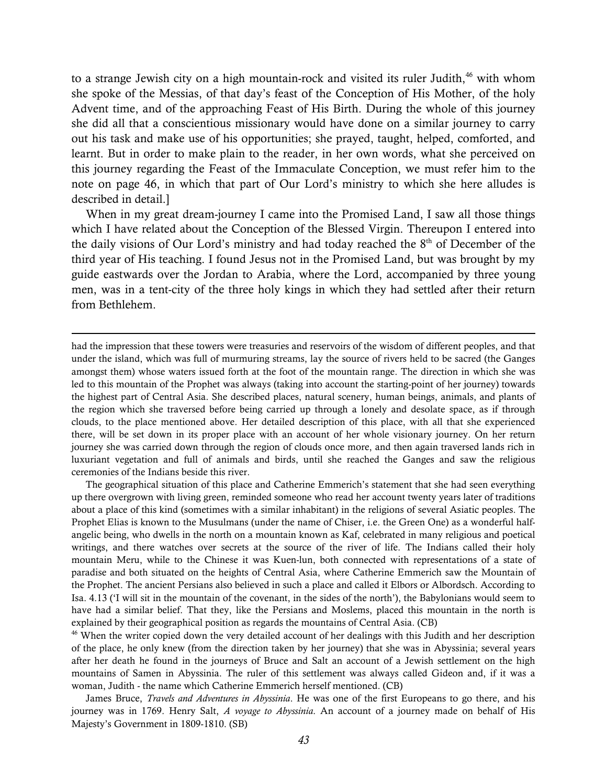to a strange Jewish city on a high mountain-rock and visited its ruler Judith,<sup>46</sup> with whom she spoke of the Messias, of that day's feast of the Conception of His Mother, of the holy Advent time, and of the approaching Feast of His Birth. During the whole of this journey she did all that a conscientious missionary would have done on a similar journey to carry out his task and make use of his opportunities; she prayed, taught, helped, comforted, and learnt. But in order to make plain to the reader, in her own words, what she perceived on this journey regarding the Feast of the Immaculate Conception, we must refer him to the note on page 46, in which that part of Our Lord's ministry to which she here alludes is described in detail.]

When in my great dream-journey I came into the Promised Land, I saw all those things which I have related about the Conception of the Blessed Virgin. Thereupon I entered into the daily visions of Our Lord's ministry and had today reached the  $8<sup>th</sup>$  of December of the third year of His teaching. I found Jesus not in the Promised Land, but was brought by my guide eastwards over the Jordan to Arabia, where the Lord, accompanied by three young men, was in a tent-city of the three holy kings in which they had settled after their return from Bethlehem.

 $\overline{a}$ 

had the impression that these towers were treasuries and reservoirs of the wisdom of different peoples, and that under the island, which was full of murmuring streams, lay the source of rivers held to be sacred (the Ganges amongst them) whose waters issued forth at the foot of the mountain range. The direction in which she was led to this mountain of the Prophet was always (taking into account the starting-point of her journey) towards the highest part of Central Asia. She described places, natural scenery, human beings, animals, and plants of the region which she traversed before being carried up through a lonely and desolate space, as if through clouds, to the place mentioned above. Her detailed description of this place, with all that she experienced there, will be set down in its proper place with an account of her whole visionary journey. On her return journey she was carried down through the region of clouds once more, and then again traversed lands rich in luxuriant vegetation and full of animals and birds, until she reached the Ganges and saw the religious ceremonies of the Indians beside this river.

The geographical situation of this place and Catherine Emmerich's statement that she had seen everything up there overgrown with living green, reminded someone who read her account twenty years later of traditions about a place of this kind (sometimes with a similar inhabitant) in the religions of several Asiatic peoples. The Prophet Elias is known to the Musulmans (under the name of Chiser, i.e. the Green One) as a wonderful halfangelic being, who dwells in the north on a mountain known as Kaf, celebrated in many religious and poetical writings, and there watches over secrets at the source of the river of life. The Indians called their holy mountain Meru, while to the Chinese it was Kuen-lun, both connected with representations of a state of paradise and both situated on the heights of Central Asia, where Catherine Emmerich saw the Mountain of the Prophet. The ancient Persians also believed in such a place and called it Elbors or Albordsch. According to Isa. 4.13 ('I will sit in the mountain of the covenant, in the sides of the north'), the Babylonians would seem to have had a similar belief. That they, like the Persians and Moslems, placed this mountain in the north is explained by their geographical position as regards the mountains of Central Asia. (CB)

<sup>46</sup> When the writer copied down the very detailed account of her dealings with this Judith and her description of the place, he only knew (from the direction taken by her journey) that she was in Abyssinia; several years after her death he found in the journeys of Bruce and Salt an account of a Jewish settlement on the high mountains of Samen in Abyssinia. The ruler of this settlement was always called Gideon and, if it was a woman, Judith - the name which Catherine Emmerich herself mentioned. (CB)

James Bruce, *Travels and Adventures in Abyssinia*. He was one of the first Europeans to go there, and his journey was in 1769. Henry Salt, *A voyage to Abyssinia*. An account of a journey made on behalf of His Majesty's Government in 1809-1810. (SB)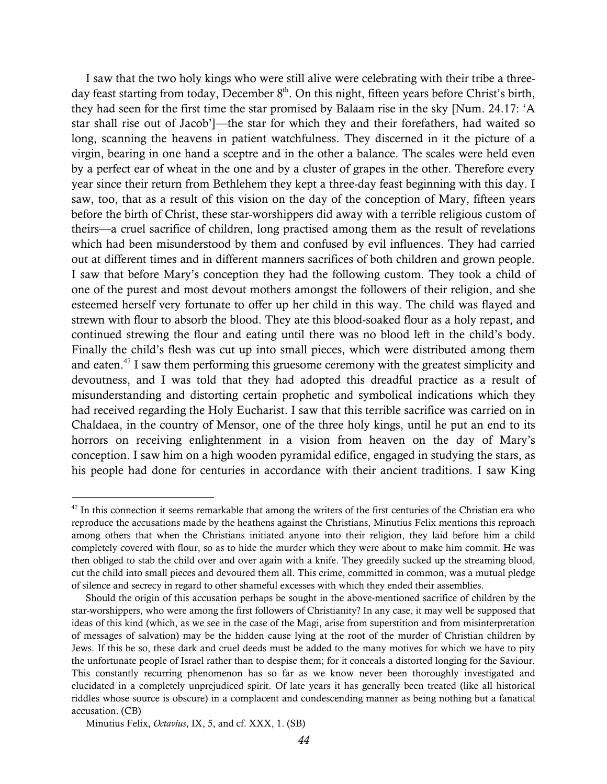I saw that the two holy kings who were still alive were celebrating with their tribe a threeday feast starting from today, December  $8<sup>th</sup>$ . On this night, fifteen years before Christ's birth, they had seen for the first time the star promised by Balaam rise in the sky [Num. 24.17: 'A star shall rise out of Jacob']—the star for which they and their forefathers, had waited so long, scanning the heavens in patient watchfulness. They discerned in it the picture of a virgin, bearing in one hand a sceptre and in the other a balance. The scales were held even by a perfect ear of wheat in the one and by a cluster of grapes in the other. Therefore every year since their return from Bethlehem they kept a three-day feast beginning with this day. I saw, too, that as a result of this vision on the day of the conception of Mary, fifteen years before the birth of Christ, these star-worshippers did away with a terrible religious custom of theirs—a cruel sacrifice of children, long practised among them as the result of revelations which had been misunderstood by them and confused by evil influences. They had carried out at different times and in different manners sacrifices of both children and grown people. I saw that before Mary's conception they had the following custom. They took a child of one of the purest and most devout mothers amongst the followers of their religion, and she esteemed herself very fortunate to offer up her child in this way. The child was flayed and strewn with flour to absorb the blood. They ate this blood-soaked flour as a holy repast, and continued strewing the flour and eating until there was no blood left in the child's body. Finally the child's flesh was cut up into small pieces, which were distributed among them and eaten.<sup>47</sup> I saw them performing this gruesome ceremony with the greatest simplicity and devoutness, and I was told that they had adopted this dreadful practice as a result of misunderstanding and distorting certain prophetic and symbolical indications which they had received regarding the Holy Eucharist. I saw that this terrible sacrifice was carried on in Chaldaea, in the country of Mensor, one of the three holy kings, until he put an end to its horrors on receiving enlightenment in a vision from heaven on the day of Mary's conception. I saw him on a high wooden pyramidal edifice, engaged in studying the stars, as his people had done for centuries in accordance with their ancient traditions. I saw King

 $47$  In this connection it seems remarkable that among the writers of the first centuries of the Christian era who reproduce the accusations made by the heathens against the Christians, Minutius Felix mentions this reproach among others that when the Christians initiated anyone into their religion, they laid before him a child completely covered with flour, so as to hide the murder which they were about to make him commit. He was then obliged to stab the child over and over again with a knife. They greedily sucked up the streaming blood, cut the child into small pieces and devoured them all. This crime, committed in common, was a mutual pledge of silence and secrecy in regard to other shameful excesses with which they ended their assemblies.

Should the origin of this accusation perhaps be sought in the above-mentioned sacrifice of children by the star-worshippers, who were among the first followers of Christianity? In any case, it may well be supposed that ideas of this kind (which, as we see in the case of the Magi, arise from superstition and from misinterpretation of messages of salvation) may be the hidden cause lying at the root of the murder of Christian children by Jews. If this be so, these dark and cruel deeds must be added to the many motives for which we have to pity the unfortunate people of Israel rather than to despise them; for it conceals a distorted longing for the Saviour. This constantly recurring phenomenon has so far as we know never been thoroughly investigated and elucidated in a completely unprejudiced spirit. Of late years it has generally been treated (like all historical riddles whose source is obscure) in a complacent and condescending manner as being nothing but a fanatical accusation. (CB)

Minutius Felix, *Octavius*, IX, 5, and cf. XXX, 1. (SB)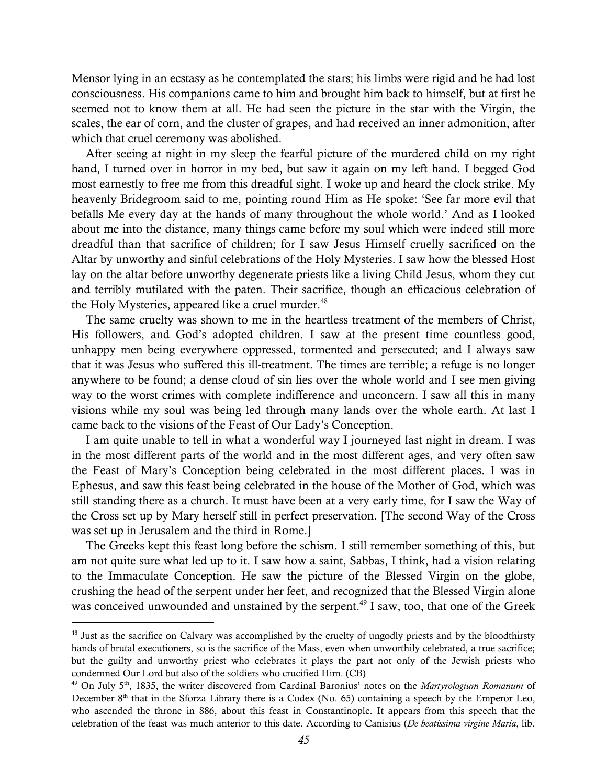Mensor lying in an ecstasy as he contemplated the stars; his limbs were rigid and he had lost consciousness. His companions came to him and brought him back to himself, but at first he seemed not to know them at all. He had seen the picture in the star with the Virgin, the scales, the ear of corn, and the cluster of grapes, and had received an inner admonition, after which that cruel ceremony was abolished.

After seeing at night in my sleep the fearful picture of the murdered child on my right hand, I turned over in horror in my bed, but saw it again on my left hand. I begged God most earnestly to free me from this dreadful sight. I woke up and heard the clock strike. My heavenly Bridegroom said to me, pointing round Him as He spoke: 'See far more evil that befalls Me every day at the hands of many throughout the whole world.' And as I looked about me into the distance, many things came before my soul which were indeed still more dreadful than that sacrifice of children; for I saw Jesus Himself cruelly sacrificed on the Altar by unworthy and sinful celebrations of the Holy Mysteries. I saw how the blessed Host lay on the altar before unworthy degenerate priests like a living Child Jesus, whom they cut and terribly mutilated with the paten. Their sacrifice, though an efficacious celebration of the Holy Mysteries, appeared like a cruel murder.<sup>48</sup>

The same cruelty was shown to me in the heartless treatment of the members of Christ, His followers, and God's adopted children. I saw at the present time countless good, unhappy men being everywhere oppressed, tormented and persecuted; and I always saw that it was Jesus who suffered this ill-treatment. The times are terrible; a refuge is no longer anywhere to be found; a dense cloud of sin lies over the whole world and I see men giving way to the worst crimes with complete indifference and unconcern. I saw all this in many visions while my soul was being led through many lands over the whole earth. At last I came back to the visions of the Feast of Our Lady's Conception.

I am quite unable to tell in what a wonderful way I journeyed last night in dream. I was in the most different parts of the world and in the most different ages, and very often saw the Feast of Mary's Conception being celebrated in the most different places. I was in Ephesus, and saw this feast being celebrated in the house of the Mother of God, which was still standing there as a church. It must have been at a very early time, for I saw the Way of the Cross set up by Mary herself still in perfect preservation. [The second Way of the Cross was set up in Jerusalem and the third in Rome.]

The Greeks kept this feast long before the schism. I still remember something of this, but am not quite sure what led up to it. I saw how a saint, Sabbas, I think, had a vision relating to the Immaculate Conception. He saw the picture of the Blessed Virgin on the globe, crushing the head of the serpent under her feet, and recognized that the Blessed Virgin alone was conceived unwounded and unstained by the serpent.<sup>49</sup> I saw, too, that one of the Greek

<sup>&</sup>lt;sup>48</sup> Just as the sacrifice on Calvary was accomplished by the cruelty of ungodly priests and by the bloodthirsty hands of brutal executioners, so is the sacrifice of the Mass, even when unworthily celebrated, a true sacrifice; but the guilty and unworthy priest who celebrates it plays the part not only of the Jewish priests who condemned Our Lord but also of the soldiers who crucified Him. (CB)

<sup>&</sup>lt;sup>49</sup> On July 5<sup>th</sup>, 1835, the writer discovered from Cardinal Baronius' notes on the *Martyrologium Romanum* of December  $8<sup>th</sup>$  that in the Sforza Library there is a Codex (No. 65) containing a speech by the Emperor Leo, who ascended the throne in 886, about this feast in Constantinople. It appears from this speech that the celebration of the feast was much anterior to this date. According to Canisius (*De beatissima virgine Maria*, lib.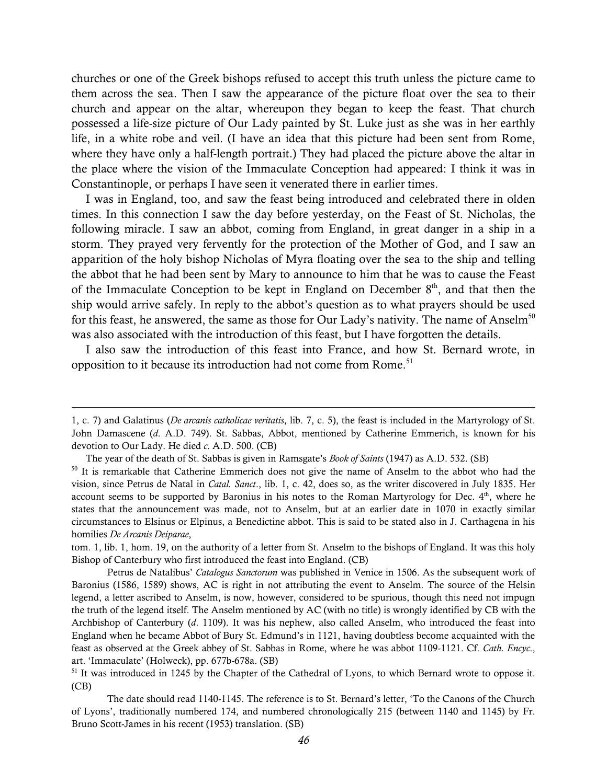churches or one of the Greek bishops refused to accept this truth unless the picture came to them across the sea. Then I saw the appearance of the picture float over the sea to their church and appear on the altar, whereupon they began to keep the feast. That church possessed a life-size picture of Our Lady painted by St. Luke just as she was in her earthly life, in a white robe and veil. (I have an idea that this picture had been sent from Rome, where they have only a half-length portrait.) They had placed the picture above the altar in the place where the vision of the Immaculate Conception had appeared: I think it was in Constantinople, or perhaps I have seen it venerated there in earlier times.

I was in England, too, and saw the feast being introduced and celebrated there in olden times. In this connection I saw the day before yesterday, on the Feast of St. Nicholas, the following miracle. I saw an abbot, coming from England, in great danger in a ship in a storm. They prayed very fervently for the protection of the Mother of God, and I saw an apparition of the holy bishop Nicholas of Myra floating over the sea to the ship and telling the abbot that he had been sent by Mary to announce to him that he was to cause the Feast of the Immaculate Conception to be kept in England on December  $8<sup>th</sup>$ , and that then the ship would arrive safely. In reply to the abbot's question as to what prayers should be used for this feast, he answered, the same as those for Our Lady's nativity. The name of Anselm<sup>50</sup> was also associated with the introduction of this feast, but I have forgotten the details.

I also saw the introduction of this feast into France, and how St. Bernard wrote, in opposition to it because its introduction had not come from Rome.<sup>51</sup>

<sup>1,</sup> c. 7) and Galatinus (*De arcanis catholicae veritatis*, lib. 7, c. 5), the feast is included in the Martyrology of St. John Damascene (*d*. A.D. 749). St. Sabbas, Abbot, mentioned by Catherine Emmerich, is known for his devotion to Our Lady. He died *c*. A.D. 500. (CB)

The year of the death of St. Sabbas is given in Ramsgate's *Book of Saints* (1947) as A.D. 532. (SB)

<sup>&</sup>lt;sup>50</sup> It is remarkable that Catherine Emmerich does not give the name of Anselm to the abbot who had the vision, since Petrus de Natal in *Catal. Sanct*., lib. 1, c. 42, does so, as the writer discovered in July 1835. Her account seems to be supported by Baronius in his notes to the Roman Martyrology for Dec. 4<sup>th</sup>, where he states that the announcement was made, not to Anselm, but at an earlier date in 1070 in exactly similar circumstances to Elsinus or Elpinus, a Benedictine abbot. This is said to be stated also in J. Carthagena in his homilies *De Arcanis Deiparae*,

tom. 1, lib. 1, hom. 19, on the authority of a letter from St. Anselm to the bishops of England. It was this holy Bishop of Canterbury who first introduced the feast into England. (CB)

Petrus de Natalibus' *Catalogus Sanctorum* was published in Venice in 1506. As the subsequent work of Baronius (1586, 1589) shows, AC is right in not attributing the event to Anselm. The source of the Helsin legend, a letter ascribed to Anselm, is now, however, considered to be spurious, though this need not impugn the truth of the legend itself. The Anselm mentioned by AC (with no title) is wrongly identified by CB with the Archbishop of Canterbury (*d*. 1109). It was his nephew, also called Anselm, who introduced the feast into England when he became Abbot of Bury St. Edmund's in 1121, having doubtless become acquainted with the feast as observed at the Greek abbey of St. Sabbas in Rome, where he was abbot 1109-1121. Cf. *Cath. Encyc*., art. 'Immaculate' (Holweck), pp. 677b-678a. (SB)

<sup>&</sup>lt;sup>51</sup> It was introduced in 1245 by the Chapter of the Cathedral of Lyons, to which Bernard wrote to oppose it. (CB)

The date should read 1140-1145. The reference is to St. Bernard's letter, 'To the Canons of the Church of Lyons', traditionally numbered 174, and numbered chronologically 215 (between 1140 and 1145) by Fr. Bruno Scott-James in his recent (1953) translation. (SB)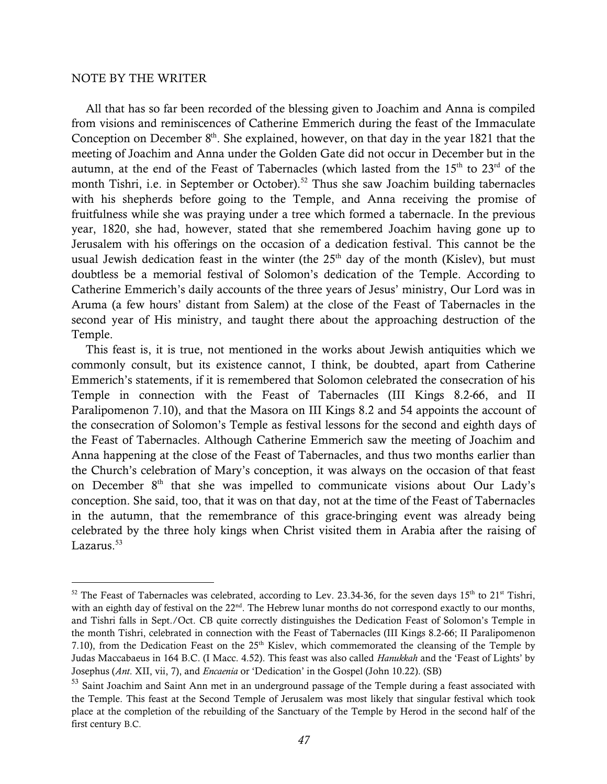### NOTE BY THE WRITER

 $\overline{a}$ 

All that has so far been recorded of the blessing given to Joachim and Anna is compiled from visions and reminiscences of Catherine Emmerich during the feast of the Immaculate Conception on December  $8<sup>th</sup>$ . She explained, however, on that day in the year 1821 that the meeting of Joachim and Anna under the Golden Gate did not occur in December but in the autumn, at the end of the Feast of Tabernacles (which lasted from the  $15<sup>th</sup>$  to  $23<sup>rd</sup>$  of the month Tishri, i.e. in September or October).<sup>52</sup> Thus she saw Joachim building tabernacles with his shepherds before going to the Temple, and Anna receiving the promise of fruitfulness while she was praying under a tree which formed a tabernacle. In the previous year, 1820, she had, however, stated that she remembered Joachim having gone up to Jerusalem with his offerings on the occasion of a dedication festival. This cannot be the usual Jewish dedication feast in the winter (the  $25<sup>th</sup>$  day of the month (Kislev), but must doubtless be a memorial festival of Solomon's dedication of the Temple. According to Catherine Emmerich's daily accounts of the three years of Jesus' ministry, Our Lord was in Aruma (a few hours' distant from Salem) at the close of the Feast of Tabernacles in the second year of His ministry, and taught there about the approaching destruction of the Temple.

This feast is, it is true, not mentioned in the works about Jewish antiquities which we commonly consult, but its existence cannot, I think, be doubted, apart from Catherine Emmerich's statements, if it is remembered that Solomon celebrated the consecration of his Temple in connection with the Feast of Tabernacles (III Kings 8.2-66, and II Paralipomenon 7.10), and that the Masora on III Kings 8.2 and 54 appoints the account of the consecration of Solomon's Temple as festival lessons for the second and eighth days of the Feast of Tabernacles. Although Catherine Emmerich saw the meeting of Joachim and Anna happening at the close of the Feast of Tabernacles, and thus two months earlier than the Church's celebration of Mary's conception, it was always on the occasion of that feast on December 8<sup>th</sup> that she was impelled to communicate visions about Our Lady's conception. She said, too, that it was on that day, not at the time of the Feast of Tabernacles in the autumn, that the remembrance of this grace-bringing event was already being celebrated by the three holy kings when Christ visited them in Arabia after the raising of Lazarus. $53$ 

 $52$  The Feast of Tabernacles was celebrated, according to Lev. 23.34-36, for the seven days 15<sup>th</sup> to 21<sup>st</sup> Tishri, with an eighth day of festival on the 22<sup>nd</sup>. The Hebrew lunar months do not correspond exactly to our months, and Tishri falls in Sept./Oct. CB quite correctly distinguishes the Dedication Feast of Solomon's Temple in the month Tishri, celebrated in connection with the Feast of Tabernacles (III Kings 8.2-66; II Paralipomenon 7.10), from the Dedication Feast on the  $25<sup>th</sup>$  Kislev, which commemorated the cleansing of the Temple by Judas Maccabaeus in 164 B.C. (I Macc. 4.52). This feast was also called *Hanukkah* and the 'Feast of Lights' by Josephus (*Ant*. XII, vii, 7), and *Encaenia* or 'Dedication' in the Gospel (John 10.22). (SB)

<sup>53</sup> Saint Joachim and Saint Ann met in an underground passage of the Temple during a feast associated with the Temple. This feast at the Second Temple of Jerusalem was most likely that singular festival which took place at the completion of the rebuilding of the Sanctuary of the Temple by Herod in the second half of the first century B.C.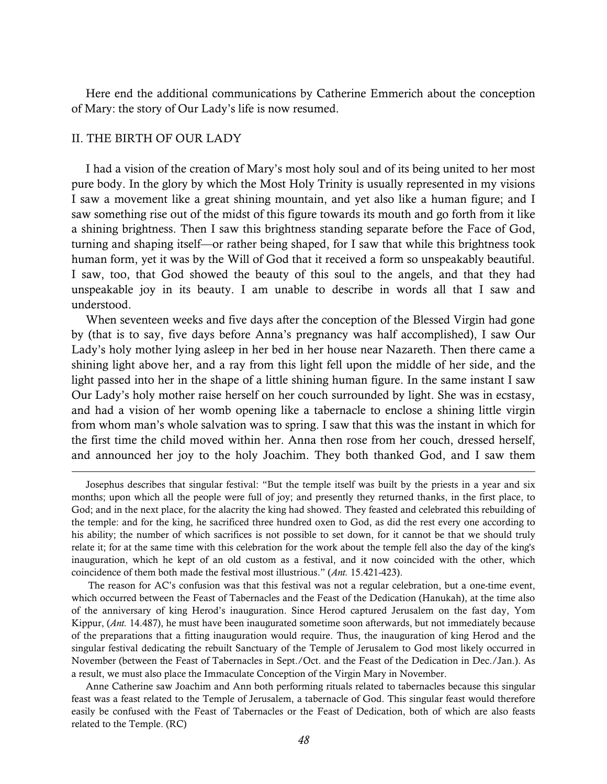Here end the additional communications by Catherine Emmerich about the conception of Mary: the story of Our Lady's life is now resumed.

#### II. THE BIRTH OF OUR LADY

 $\overline{a}$ 

I had a vision of the creation of Mary's most holy soul and of its being united to her most pure body. In the glory by which the Most Holy Trinity is usually represented in my visions I saw a movement like a great shining mountain, and yet also like a human figure; and I saw something rise out of the midst of this figure towards its mouth and go forth from it like a shining brightness. Then I saw this brightness standing separate before the Face of God, turning and shaping itself—or rather being shaped, for I saw that while this brightness took human form, yet it was by the Will of God that it received a form so unspeakably beautiful. I saw, too, that God showed the beauty of this soul to the angels, and that they had unspeakable joy in its beauty. I am unable to describe in words all that I saw and understood.

When seventeen weeks and five days after the conception of the Blessed Virgin had gone by (that is to say, five days before Anna's pregnancy was half accomplished), I saw Our Lady's holy mother lying asleep in her bed in her house near Nazareth. Then there came a shining light above her, and a ray from this light fell upon the middle of her side, and the light passed into her in the shape of a little shining human figure. In the same instant I saw Our Lady's holy mother raise herself on her couch surrounded by light. She was in ecstasy, and had a vision of her womb opening like a tabernacle to enclose a shining little virgin from whom man's whole salvation was to spring. I saw that this was the instant in which for the first time the child moved within her. Anna then rose from her couch, dressed herself, and announced her joy to the holy Joachim. They both thanked God, and I saw them

Josephus describes that singular festival: "But the temple itself was built by the priests in a year and six months; upon which all the people were full of joy; and presently they returned thanks, in the first place, to God; and in the next place, for the alacrity the king had showed. They feasted and celebrated this rebuilding of the temple: and for the king, he sacrificed three hundred oxen to God, as did the rest every one according to his ability; the number of which sacrifices is not possible to set down, for it cannot be that we should truly relate it; for at the same time with this celebration for the work about the temple fell also the day of the king's inauguration, which he kept of an old custom as a festival, and it now coincided with the other, which coincidence of them both made the festival most illustrious." (*Ant.* 15.421-423).

The reason for AC's confusion was that this festival was not a regular celebration, but a one-time event, which occurred between the Feast of Tabernacles and the Feast of the Dedication (Hanukah), at the time also of the anniversary of king Herod's inauguration. Since Herod captured Jerusalem on the fast day, Yom Kippur, (*Ant.* 14.487), he must have been inaugurated sometime soon afterwards, but not immediately because of the preparations that a fitting inauguration would require. Thus, the inauguration of king Herod and the singular festival dedicating the rebuilt Sanctuary of the Temple of Jerusalem to God most likely occurred in November (between the Feast of Tabernacles in Sept./Oct. and the Feast of the Dedication in Dec./Jan.). As a result, we must also place the Immaculate Conception of the Virgin Mary in November.

Anne Catherine saw Joachim and Ann both performing rituals related to tabernacles because this singular feast was a feast related to the Temple of Jerusalem, a tabernacle of God. This singular feast would therefore easily be confused with the Feast of Tabernacles or the Feast of Dedication, both of which are also feasts related to the Temple. (RC)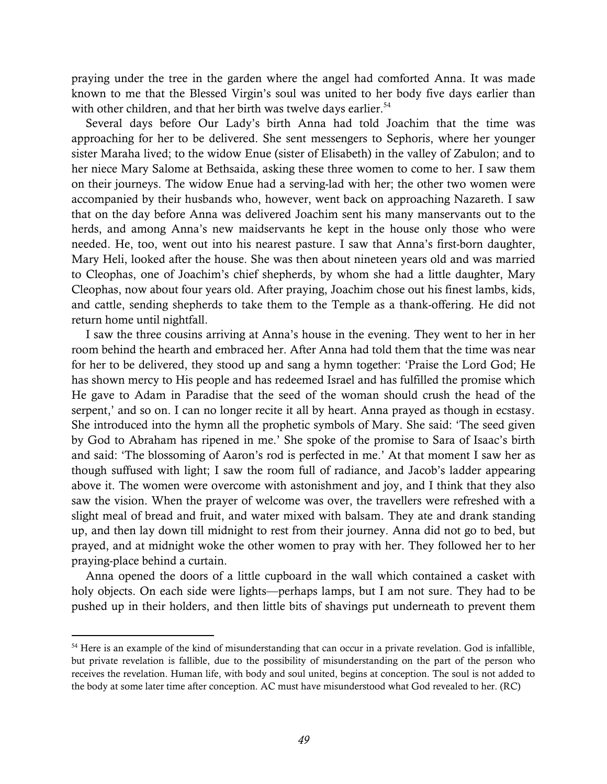praying under the tree in the garden where the angel had comforted Anna. It was made known to me that the Blessed Virgin's soul was united to her body five days earlier than with other children, and that her birth was twelve days earlier.<sup>54</sup>

Several days before Our Lady's birth Anna had told Joachim that the time was approaching for her to be delivered. She sent messengers to Sephoris, where her younger sister Maraha lived; to the widow Enue (sister of Elisabeth) in the valley of Zabulon; and to her niece Mary Salome at Bethsaida, asking these three women to come to her. I saw them on their journeys. The widow Enue had a serving-lad with her; the other two women were accompanied by their husbands who, however, went back on approaching Nazareth. I saw that on the day before Anna was delivered Joachim sent his many manservants out to the herds, and among Anna's new maidservants he kept in the house only those who were needed. He, too, went out into his nearest pasture. I saw that Anna's first-born daughter, Mary Heli, looked after the house. She was then about nineteen years old and was married to Cleophas, one of Joachim's chief shepherds, by whom she had a little daughter, Mary Cleophas, now about four years old. After praying, Joachim chose out his finest lambs, kids, and cattle, sending shepherds to take them to the Temple as a thank-offering. He did not return home until nightfall.

I saw the three cousins arriving at Anna's house in the evening. They went to her in her room behind the hearth and embraced her. After Anna had told them that the time was near for her to be delivered, they stood up and sang a hymn together: 'Praise the Lord God; He has shown mercy to His people and has redeemed Israel and has fulfilled the promise which He gave to Adam in Paradise that the seed of the woman should crush the head of the serpent,' and so on. I can no longer recite it all by heart. Anna prayed as though in ecstasy. She introduced into the hymn all the prophetic symbols of Mary. She said: 'The seed given by God to Abraham has ripened in me.' She spoke of the promise to Sara of Isaac's birth and said: 'The blossoming of Aaron's rod is perfected in me.' At that moment I saw her as though suffused with light; I saw the room full of radiance, and Jacob's ladder appearing above it. The women were overcome with astonishment and joy, and I think that they also saw the vision. When the prayer of welcome was over, the travellers were refreshed with a slight meal of bread and fruit, and water mixed with balsam. They ate and drank standing up, and then lay down till midnight to rest from their journey. Anna did not go to bed, but prayed, and at midnight woke the other women to pray with her. They followed her to her praying-place behind a curtain.

Anna opened the doors of a little cupboard in the wall which contained a casket with holy objects. On each side were lights—perhaps lamps, but I am not sure. They had to be pushed up in their holders, and then little bits of shavings put underneath to prevent them

<sup>&</sup>lt;sup>54</sup> Here is an example of the kind of misunderstanding that can occur in a private revelation. God is infallible, but private revelation is fallible, due to the possibility of misunderstanding on the part of the person who receives the revelation. Human life, with body and soul united, begins at conception. The soul is not added to the body at some later time after conception. AC must have misunderstood what God revealed to her. (RC)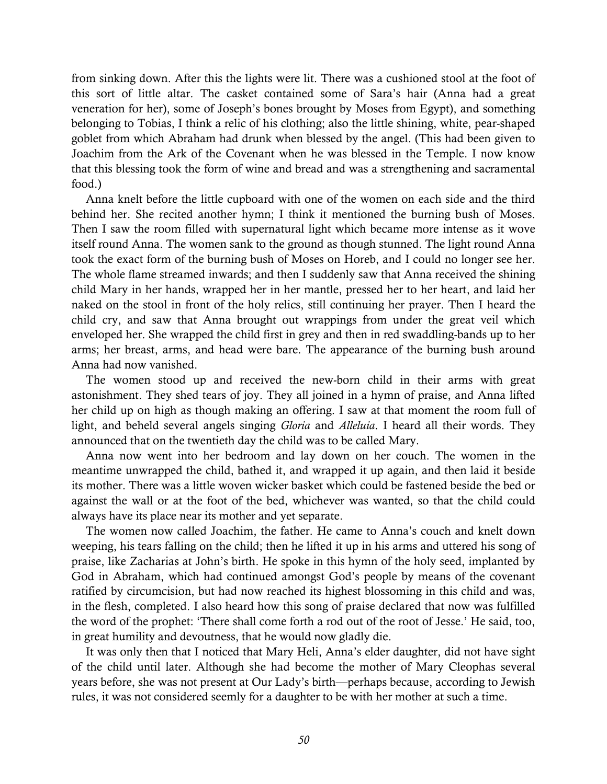from sinking down. After this the lights were lit. There was a cushioned stool at the foot of this sort of little altar. The casket contained some of Sara's hair (Anna had a great veneration for her), some of Joseph's bones brought by Moses from Egypt), and something belonging to Tobias, I think a relic of his clothing; also the little shining, white, pear-shaped goblet from which Abraham had drunk when blessed by the angel. (This had been given to Joachim from the Ark of the Covenant when he was blessed in the Temple. I now know that this blessing took the form of wine and bread and was a strengthening and sacramental food.)

Anna knelt before the little cupboard with one of the women on each side and the third behind her. She recited another hymn; I think it mentioned the burning bush of Moses. Then I saw the room filled with supernatural light which became more intense as it wove itself round Anna. The women sank to the ground as though stunned. The light round Anna took the exact form of the burning bush of Moses on Horeb, and I could no longer see her. The whole flame streamed inwards; and then I suddenly saw that Anna received the shining child Mary in her hands, wrapped her in her mantle, pressed her to her heart, and laid her naked on the stool in front of the holy relics, still continuing her prayer. Then I heard the child cry, and saw that Anna brought out wrappings from under the great veil which enveloped her. She wrapped the child first in grey and then in red swaddling-bands up to her arms; her breast, arms, and head were bare. The appearance of the burning bush around Anna had now vanished.

The women stood up and received the new-born child in their arms with great astonishment. They shed tears of joy. They all joined in a hymn of praise, and Anna lifted her child up on high as though making an offering. I saw at that moment the room full of light, and beheld several angels singing *Gloria* and *Alleluia*. I heard all their words. They announced that on the twentieth day the child was to be called Mary.

Anna now went into her bedroom and lay down on her couch. The women in the meantime unwrapped the child, bathed it, and wrapped it up again, and then laid it beside its mother. There was a little woven wicker basket which could be fastened beside the bed or against the wall or at the foot of the bed, whichever was wanted, so that the child could always have its place near its mother and yet separate.

The women now called Joachim, the father. He came to Anna's couch and knelt down weeping, his tears falling on the child; then he lifted it up in his arms and uttered his song of praise, like Zacharias at John's birth. He spoke in this hymn of the holy seed, implanted by God in Abraham, which had continued amongst God's people by means of the covenant ratified by circumcision, but had now reached its highest blossoming in this child and was, in the flesh, completed. I also heard how this song of praise declared that now was fulfilled the word of the prophet: 'There shall come forth a rod out of the root of Jesse.' He said, too, in great humility and devoutness, that he would now gladly die.

It was only then that I noticed that Mary Heli, Anna's elder daughter, did not have sight of the child until later. Although she had become the mother of Mary Cleophas several years before, she was not present at Our Lady's birth—perhaps because, according to Jewish rules, it was not considered seemly for a daughter to be with her mother at such a time.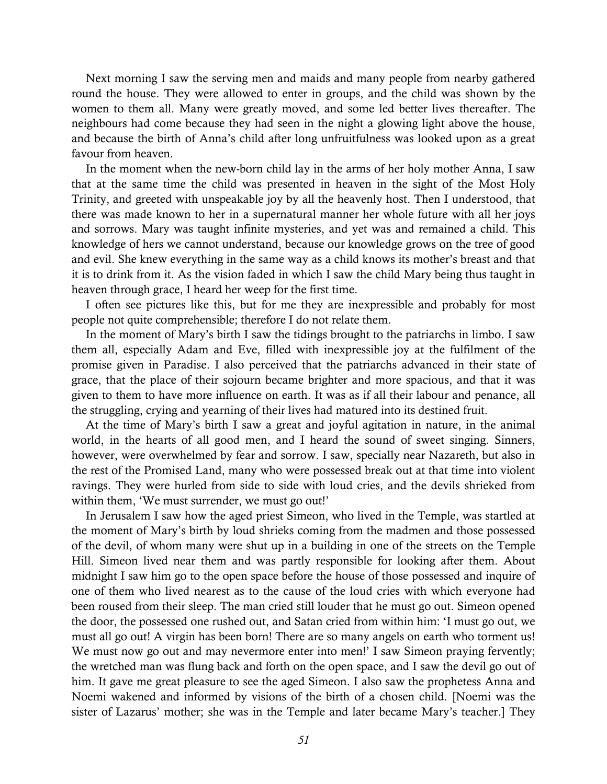Next morning I saw the serving men and maids and many people from nearby gathered round the house. They were allowed to enter in groups, and the child was shown by the women to them all. Many were greatly moved, and some led better lives thereafter. The neighbours had come because they had seen in the night a glowing light above the house, and because the birth of Anna's child after long unfruitfulness was looked upon as a great favour from heaven.

In the moment when the new-born child lay in the arms of her holy mother Anna, I saw that at the same time the child was presented in heaven in the sight of the Most Holy Trinity, and greeted with unspeakable joy by all the heavenly host. Then I understood, that there was made known to her in a supernatural manner her whole future with all her joys and sorrows. Mary was taught infinite mysteries, and yet was and remained a child. This knowledge of hers we cannot understand, because our knowledge grows on the tree of good and evil. She knew everything in the same way as a child knows its mother's breast and that it is to drink from it. As the vision faded in which I saw the child Mary being thus taught in heaven through grace, I heard her weep for the first time.

I often see pictures like this, but for me they are inexpressible and probably for most people not quite comprehensible; therefore I do not relate them.

In the moment of Mary's birth I saw the tidings brought to the patriarchs in limbo. I saw them all, especially Adam and Eve, filled with inexpressible joy at the fulfilment of the promise given in Paradise. I also perceived that the patriarchs advanced in their state of grace, that the place of their sojourn became brighter and more spacious, and that it was given to them to have more influence on earth. It was as if all their labour and penance, all the struggling, crying and yearning of their lives had matured into its destined fruit.

At the time of Mary's birth I saw a great and joyful agitation in nature, in the animal world, in the hearts of all good men, and I heard the sound of sweet singing. Sinners, however, were overwhelmed by fear and sorrow. I saw, specially near Nazareth, but also in the rest of the Promised Land, many who were possessed break out at that time into violent ravings. They were hurled from side to side with loud cries, and the devils shrieked from within them, 'We must surrender, we must go out!'

In Jerusalem I saw how the aged priest Simeon, who lived in the Temple, was startled at the moment of Mary's birth by loud shrieks coming from the madmen and those possessed of the devil, of whom many were shut up in a building in one of the streets on the Temple Hill. Simeon lived near them and was partly responsible for looking after them. About midnight I saw him go to the open space before the house of those possessed and inquire of one of them who lived nearest as to the cause of the loud cries with which everyone had been roused from their sleep. The man cried still louder that he must go out. Simeon opened the door, the possessed one rushed out, and Satan cried from within him: 'I must go out, we must all go out! A virgin has been born! There are so many angels on earth who torment us! We must now go out and may nevermore enter into men!' I saw Simeon praying fervently; the wretched man was flung back and forth on the open space, and I saw the devil go out of him. It gave me great pleasure to see the aged Simeon. I also saw the prophetess Anna and Noemi wakened and informed by visions of the birth of a chosen child. [Noemi was the sister of Lazarus' mother; she was in the Temple and later became Mary's teacher.] They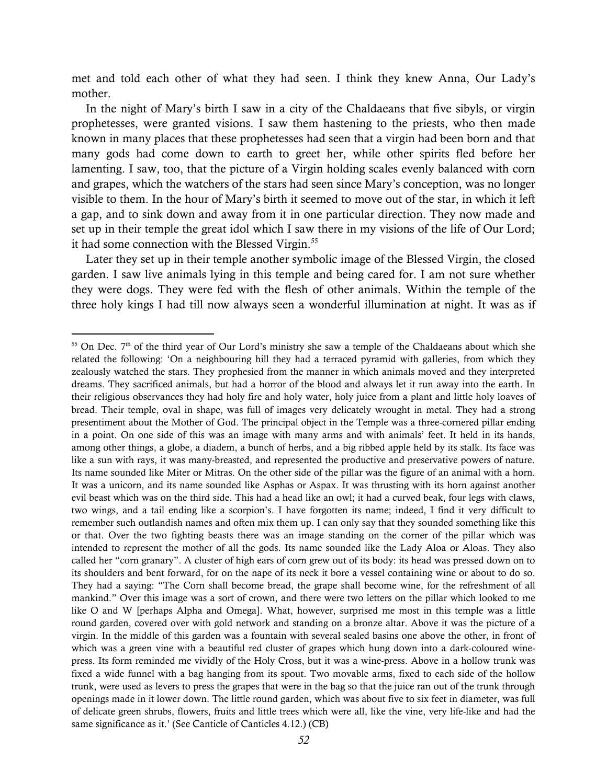met and told each other of what they had seen. I think they knew Anna, Our Lady's mother.

In the night of Mary's birth I saw in a city of the Chaldaeans that five sibyls, or virgin prophetesses, were granted visions. I saw them hastening to the priests, who then made known in many places that these prophetesses had seen that a virgin had been born and that many gods had come down to earth to greet her, while other spirits fled before her lamenting. I saw, too, that the picture of a Virgin holding scales evenly balanced with corn and grapes, which the watchers of the stars had seen since Mary's conception, was no longer visible to them. In the hour of Mary's birth it seemed to move out of the star, in which it left a gap, and to sink down and away from it in one particular direction. They now made and set up in their temple the great idol which I saw there in my visions of the life of Our Lord; it had some connection with the Blessed Virgin.<sup>55</sup>

Later they set up in their temple another symbolic image of the Blessed Virgin, the closed garden. I saw live animals lying in this temple and being cared for. I am not sure whether they were dogs. They were fed with the flesh of other animals. Within the temple of the three holy kings I had till now always seen a wonderful illumination at night. It was as if

 $55$  On Dec.  $7<sup>th</sup>$  of the third year of Our Lord's ministry she saw a temple of the Chaldaeans about which she related the following: 'On a neighbouring hill they had a terraced pyramid with galleries, from which they zealously watched the stars. They prophesied from the manner in which animals moved and they interpreted dreams. They sacrificed animals, but had a horror of the blood and always let it run away into the earth. In their religious observances they had holy fire and holy water, holy juice from a plant and little holy loaves of bread. Their temple, oval in shape, was full of images very delicately wrought in metal. They had a strong presentiment about the Mother of God. The principal object in the Temple was a three-cornered pillar ending in a point. On one side of this was an image with many arms and with animals' feet. It held in its hands, among other things, a globe, a diadem, a bunch of herbs, and a big ribbed apple held by its stalk. Its face was like a sun with rays, it was many-breasted, and represented the productive and preservative powers of nature. Its name sounded like Miter or Mitras. On the other side of the pillar was the figure of an animal with a horn. It was a unicorn, and its name sounded like Asphas or Aspax. It was thrusting with its horn against another evil beast which was on the third side. This had a head like an owl; it had a curved beak, four legs with claws, two wings, and a tail ending like a scorpion's. I have forgotten its name; indeed, I find it very difficult to remember such outlandish names and often mix them up. I can only say that they sounded something like this or that. Over the two fighting beasts there was an image standing on the corner of the pillar which was intended to represent the mother of all the gods. Its name sounded like the Lady Aloa or Aloas. They also called her "corn granary". A cluster of high ears of corn grew out of its body: its head was pressed down on to its shoulders and bent forward, for on the nape of its neck it bore a vessel containing wine or about to do so. They had a saying: "The Corn shall become bread, the grape shall become wine, for the refreshment of all mankind." Over this image was a sort of crown, and there were two letters on the pillar which looked to me like O and W [perhaps Alpha and Omega]. What, however, surprised me most in this temple was a little round garden, covered over with gold network and standing on a bronze altar. Above it was the picture of a virgin. In the middle of this garden was a fountain with several sealed basins one above the other, in front of which was a green vine with a beautiful red cluster of grapes which hung down into a dark-coloured winepress. Its form reminded me vividly of the Holy Cross, but it was a wine-press. Above in a hollow trunk was fixed a wide funnel with a bag hanging from its spout. Two movable arms, fixed to each side of the hollow trunk, were used as levers to press the grapes that were in the bag so that the juice ran out of the trunk through openings made in it lower down. The little round garden, which was about five to six feet in diameter, was full of delicate green shrubs, flowers, fruits and little trees which were all, like the vine, very life-like and had the same significance as it.' (See Canticle of Canticles 4.12.) (CB)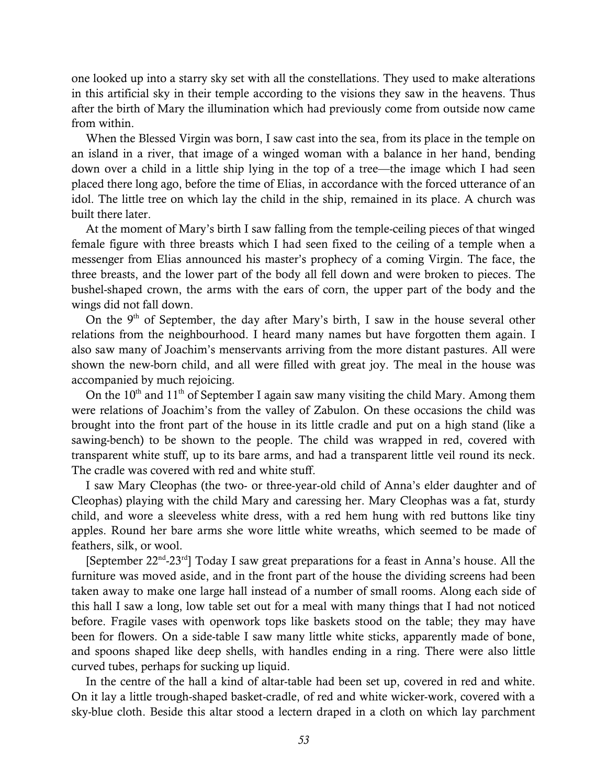one looked up into a starry sky set with all the constellations. They used to make alterations in this artificial sky in their temple according to the visions they saw in the heavens. Thus after the birth of Mary the illumination which had previously come from outside now came from within.

When the Blessed Virgin was born, I saw cast into the sea, from its place in the temple on an island in a river, that image of a winged woman with a balance in her hand, bending down over a child in a little ship lying in the top of a tree—the image which I had seen placed there long ago, before the time of Elias, in accordance with the forced utterance of an idol. The little tree on which lay the child in the ship, remained in its place. A church was built there later.

At the moment of Mary's birth I saw falling from the temple-ceiling pieces of that winged female figure with three breasts which I had seen fixed to the ceiling of a temple when a messenger from Elias announced his master's prophecy of a coming Virgin. The face, the three breasts, and the lower part of the body all fell down and were broken to pieces. The bushel-shaped crown, the arms with the ears of corn, the upper part of the body and the wings did not fall down.

On the  $9<sup>th</sup>$  of September, the day after Mary's birth, I saw in the house several other relations from the neighbourhood. I heard many names but have forgotten them again. I also saw many of Joachim's menservants arriving from the more distant pastures. All were shown the new-born child, and all were filled with great joy. The meal in the house was accompanied by much rejoicing.

On the  $10^{th}$  and  $11^{th}$  of September I again saw many visiting the child Mary. Among them were relations of Joachim's from the valley of Zabulon. On these occasions the child was brought into the front part of the house in its little cradle and put on a high stand (like a sawing-bench) to be shown to the people. The child was wrapped in red, covered with transparent white stuff, up to its bare arms, and had a transparent little veil round its neck. The cradle was covered with red and white stuff.

I saw Mary Cleophas (the two- or three-year-old child of Anna's elder daughter and of Cleophas) playing with the child Mary and caressing her. Mary Cleophas was a fat, sturdy child, and wore a sleeveless white dress, with a red hem hung with red buttons like tiny apples. Round her bare arms she wore little white wreaths, which seemed to be made of feathers, silk, or wool.

[September 22<sup>nd</sup>-23<sup>rd</sup>] Today I saw great preparations for a feast in Anna's house. All the furniture was moved aside, and in the front part of the house the dividing screens had been taken away to make one large hall instead of a number of small rooms. Along each side of this hall I saw a long, low table set out for a meal with many things that I had not noticed before. Fragile vases with openwork tops like baskets stood on the table; they may have been for flowers. On a side-table I saw many little white sticks, apparently made of bone, and spoons shaped like deep shells, with handles ending in a ring. There were also little curved tubes, perhaps for sucking up liquid.

In the centre of the hall a kind of altar-table had been set up, covered in red and white. On it lay a little trough-shaped basket-cradle, of red and white wicker-work, covered with a sky-blue cloth. Beside this altar stood a lectern draped in a cloth on which lay parchment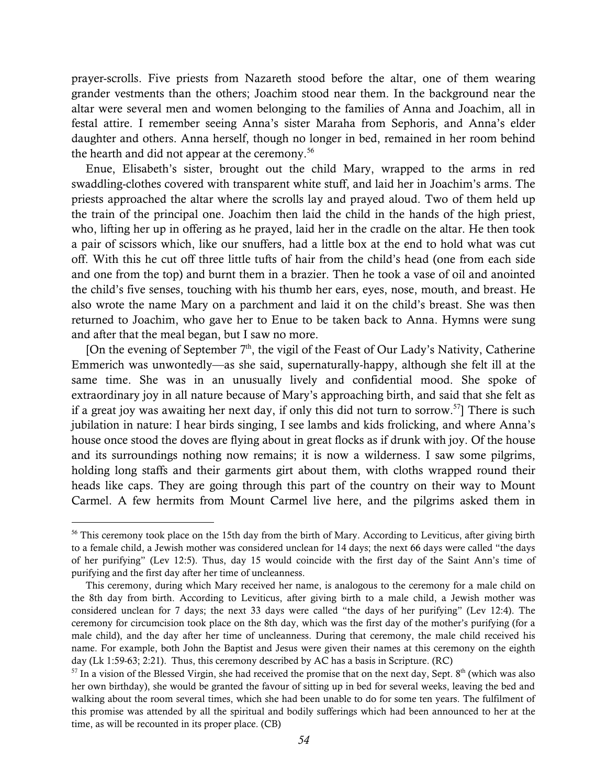prayer-scrolls. Five priests from Nazareth stood before the altar, one of them wearing grander vestments than the others; Joachim stood near them. In the background near the altar were several men and women belonging to the families of Anna and Joachim, all in festal attire. I remember seeing Anna's sister Maraha from Sephoris, and Anna's elder daughter and others. Anna herself, though no longer in bed, remained in her room behind the hearth and did not appear at the ceremony.<sup>56</sup>

Enue, Elisabeth's sister, brought out the child Mary, wrapped to the arms in red swaddling-clothes covered with transparent white stuff, and laid her in Joachim's arms. The priests approached the altar where the scrolls lay and prayed aloud. Two of them held up the train of the principal one. Joachim then laid the child in the hands of the high priest, who, lifting her up in offering as he prayed, laid her in the cradle on the altar. He then took a pair of scissors which, like our snuffers, had a little box at the end to hold what was cut off. With this he cut off three little tufts of hair from the child's head (one from each side and one from the top) and burnt them in a brazier. Then he took a vase of oil and anointed the child's five senses, touching with his thumb her ears, eyes, nose, mouth, and breast. He also wrote the name Mary on a parchment and laid it on the child's breast. She was then returned to Joachim, who gave her to Enue to be taken back to Anna. Hymns were sung and after that the meal began, but I saw no more.

[On the evening of September  $7<sup>th</sup>$ , the vigil of the Feast of Our Lady's Nativity, Catherine Emmerich was unwontedly—as she said, supernaturally-happy, although she felt ill at the same time. She was in an unusually lively and confidential mood. She spoke of extraordinary joy in all nature because of Mary's approaching birth, and said that she felt as if a great joy was awaiting her next day, if only this did not turn to sorrow.<sup>57</sup>] There is such jubilation in nature: I hear birds singing, I see lambs and kids frolicking, and where Anna's house once stood the doves are flying about in great flocks as if drunk with joy. Of the house and its surroundings nothing now remains; it is now a wilderness. I saw some pilgrims, holding long staffs and their garments girt about them, with cloths wrapped round their heads like caps. They are going through this part of the country on their way to Mount Carmel. A few hermits from Mount Carmel live here, and the pilgrims asked them in

<sup>&</sup>lt;sup>56</sup> This ceremony took place on the 15th day from the birth of Mary. According to Leviticus, after giving birth to a female child, a Jewish mother was considered unclean for 14 days; the next 66 days were called "the days of her purifying" (Lev 12:5). Thus, day 15 would coincide with the first day of the Saint Ann's time of purifying and the first day after her time of uncleanness.

This ceremony, during which Mary received her name, is analogous to the ceremony for a male child on the 8th day from birth. According to Leviticus, after giving birth to a male child, a Jewish mother was considered unclean for 7 days; the next 33 days were called "the days of her purifying" (Lev 12:4). The ceremony for circumcision took place on the 8th day, which was the first day of the mother's purifying (for a male child), and the day after her time of uncleanness. During that ceremony, the male child received his name. For example, both John the Baptist and Jesus were given their names at this ceremony on the eighth day (Lk 1:59-63; 2:21). Thus, this ceremony described by AC has a basis in Scripture. (RC)

 $57$  In a vision of the Blessed Virgin, she had received the promise that on the next day, Sept.  $8<sup>th</sup>$  (which was also her own birthday), she would be granted the favour of sitting up in bed for several weeks, leaving the bed and walking about the room several times, which she had been unable to do for some ten years. The fulfilment of this promise was attended by all the spiritual and bodily sufferings which had been announced to her at the time, as will be recounted in its proper place. (CB)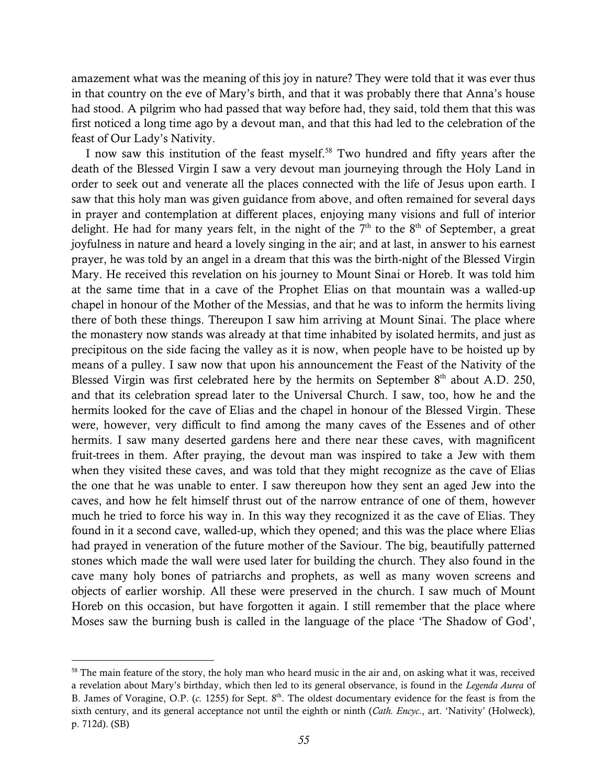amazement what was the meaning of this joy in nature? They were told that it was ever thus in that country on the eve of Mary's birth, and that it was probably there that Anna's house had stood. A pilgrim who had passed that way before had, they said, told them that this was first noticed a long time ago by a devout man, and that this had led to the celebration of the feast of Our Lady's Nativity.

I now saw this institution of the feast myself.<sup>58</sup> Two hundred and fifty years after the death of the Blessed Virgin I saw a very devout man journeying through the Holy Land in order to seek out and venerate all the places connected with the life of Jesus upon earth. I saw that this holy man was given guidance from above, and often remained for several days in prayer and contemplation at different places, enjoying many visions and full of interior delight. He had for many years felt, in the night of the  $7<sup>th</sup>$  to the  $8<sup>th</sup>$  of September, a great joyfulness in nature and heard a lovely singing in the air; and at last, in answer to his earnest prayer, he was told by an angel in a dream that this was the birth-night of the Blessed Virgin Mary. He received this revelation on his journey to Mount Sinai or Horeb. It was told him at the same time that in a cave of the Prophet Elias on that mountain was a walled-up chapel in honour of the Mother of the Messias, and that he was to inform the hermits living there of both these things. Thereupon I saw him arriving at Mount Sinai. The place where the monastery now stands was already at that time inhabited by isolated hermits, and just as precipitous on the side facing the valley as it is now, when people have to be hoisted up by means of a pulley. I saw now that upon his announcement the Feast of the Nativity of the Blessed Virgin was first celebrated here by the hermits on September  $8<sup>th</sup>$  about A.D. 250, and that its celebration spread later to the Universal Church. I saw, too, how he and the hermits looked for the cave of Elias and the chapel in honour of the Blessed Virgin. These were, however, very difficult to find among the many caves of the Essenes and of other hermits. I saw many deserted gardens here and there near these caves, with magnificent fruit-trees in them. After praying, the devout man was inspired to take a Jew with them when they visited these caves, and was told that they might recognize as the cave of Elias the one that he was unable to enter. I saw thereupon how they sent an aged Jew into the caves, and how he felt himself thrust out of the narrow entrance of one of them, however much he tried to force his way in. In this way they recognized it as the cave of Elias. They found in it a second cave, walled-up, which they opened; and this was the place where Elias had prayed in veneration of the future mother of the Saviour. The big, beautifully patterned stones which made the wall were used later for building the church. They also found in the cave many holy bones of patriarchs and prophets, as well as many woven screens and objects of earlier worship. All these were preserved in the church. I saw much of Mount Horeb on this occasion, but have forgotten it again. I still remember that the place where Moses saw the burning bush is called in the language of the place 'The Shadow of God',

<sup>&</sup>lt;sup>58</sup> The main feature of the story, the holy man who heard music in the air and, on asking what it was, received a revelation about Mary's birthday, which then led to its general observance, is found in the *Legenda Aurea* of B. James of Voragine, O.P. (c. 1255) for Sept. 8<sup>th</sup>. The oldest documentary evidence for the feast is from the sixth century, and its general acceptance not until the eighth or ninth (*Cath. Encyc*., art. 'Nativity' (Holweck), p. 712d). (SB)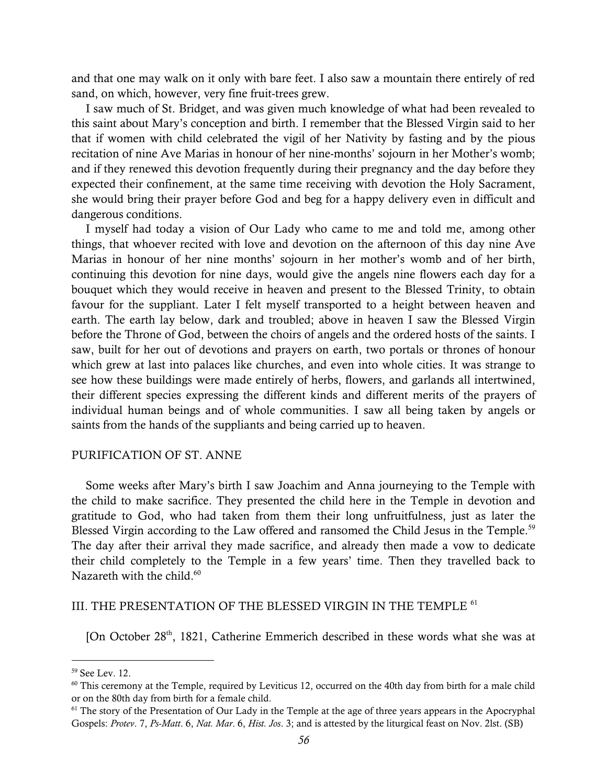and that one may walk on it only with bare feet. I also saw a mountain there entirely of red sand, on which, however, very fine fruit-trees grew.

I saw much of St. Bridget, and was given much knowledge of what had been revealed to this saint about Mary's conception and birth. I remember that the Blessed Virgin said to her that if women with child celebrated the vigil of her Nativity by fasting and by the pious recitation of nine Ave Marias in honour of her nine-months' sojourn in her Mother's womb; and if they renewed this devotion frequently during their pregnancy and the day before they expected their confinement, at the same time receiving with devotion the Holy Sacrament, she would bring their prayer before God and beg for a happy delivery even in difficult and dangerous conditions.

I myself had today a vision of Our Lady who came to me and told me, among other things, that whoever recited with love and devotion on the afternoon of this day nine Ave Marias in honour of her nine months' sojourn in her mother's womb and of her birth, continuing this devotion for nine days, would give the angels nine flowers each day for a bouquet which they would receive in heaven and present to the Blessed Trinity, to obtain favour for the suppliant. Later I felt myself transported to a height between heaven and earth. The earth lay below, dark and troubled; above in heaven I saw the Blessed Virgin before the Throne of God, between the choirs of angels and the ordered hosts of the saints. I saw, built for her out of devotions and prayers on earth, two portals or thrones of honour which grew at last into palaces like churches, and even into whole cities. It was strange to see how these buildings were made entirely of herbs, flowers, and garlands all intertwined, their different species expressing the different kinds and different merits of the prayers of individual human beings and of whole communities. I saw all being taken by angels or saints from the hands of the suppliants and being carried up to heaven.

### PURIFICATION OF ST. ANNE

Some weeks after Mary's birth I saw Joachim and Anna journeying to the Temple with the child to make sacrifice. They presented the child here in the Temple in devotion and gratitude to God, who had taken from them their long unfruitfulness, just as later the Blessed Virgin according to the Law offered and ransomed the Child Jesus in the Temple.<sup>59</sup> The day after their arrival they made sacrifice, and already then made a vow to dedicate their child completely to the Temple in a few years' time. Then they travelled back to Nazareth with the child. $60$ 

## III. THE PRESENTATION OF THE BLESSED VIRGIN IN THE TEMPLE 61

[On October 28<sup>th</sup>, 1821, Catherine Emmerich described in these words what she was at

<sup>59</sup> See Lev. 12.

<sup>&</sup>lt;sup>60</sup> This ceremony at the Temple, required by Leviticus 12, occurred on the 40th day from birth for a male child or on the 80th day from birth for a female child.

<sup>&</sup>lt;sup>61</sup> The story of the Presentation of Our Lady in the Temple at the age of three years appears in the Apocryphal Gospels: *Protev*. 7, *Ps-Matt*. 6, *Nat. Mar*. 6, *Hist. Jos*. 3; and is attested by the liturgical feast on Nov. 2lst. (SB)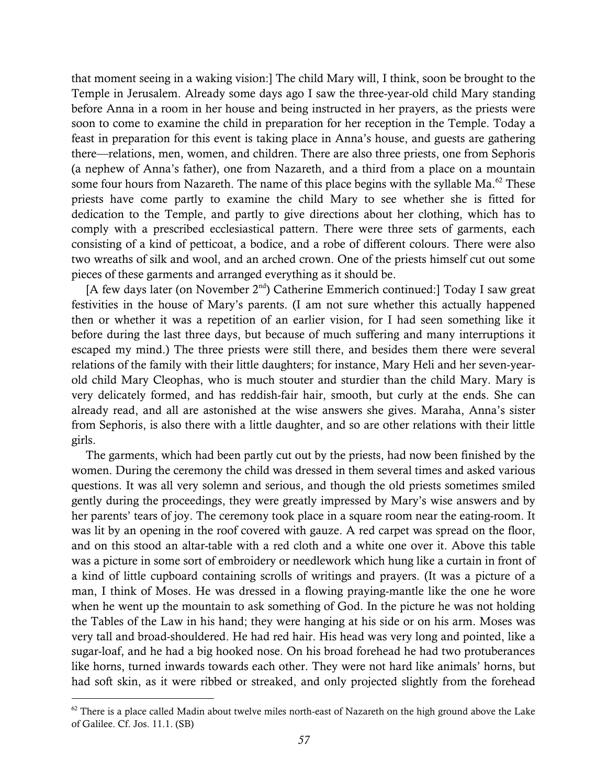that moment seeing in a waking vision:] The child Mary will, I think, soon be brought to the Temple in Jerusalem. Already some days ago I saw the three-year-old child Mary standing before Anna in a room in her house and being instructed in her prayers, as the priests were soon to come to examine the child in preparation for her reception in the Temple. Today a feast in preparation for this event is taking place in Anna's house, and guests are gathering there—relations, men, women, and children. There are also three priests, one from Sephoris (a nephew of Anna's father), one from Nazareth, and a third from a place on a mountain some four hours from Nazareth. The name of this place begins with the syllable Ma.<sup>62</sup> These priests have come partly to examine the child Mary to see whether she is fitted for dedication to the Temple, and partly to give directions about her clothing, which has to comply with a prescribed ecclesiastical pattern. There were three sets of garments, each consisting of a kind of petticoat, a bodice, and a robe of different colours. There were also two wreaths of silk and wool, and an arched crown. One of the priests himself cut out some pieces of these garments and arranged everything as it should be.

[A few days later (on November 2<sup>nd</sup>) Catherine Emmerich continued:] Today I saw great festivities in the house of Mary's parents. (I am not sure whether this actually happened then or whether it was a repetition of an earlier vision, for I had seen something like it before during the last three days, but because of much suffering and many interruptions it escaped my mind.) The three priests were still there, and besides them there were several relations of the family with their little daughters; for instance, Mary Heli and her seven-yearold child Mary Cleophas, who is much stouter and sturdier than the child Mary. Mary is very delicately formed, and has reddish-fair hair, smooth, but curly at the ends. She can already read, and all are astonished at the wise answers she gives. Maraha, Anna's sister from Sephoris, is also there with a little daughter, and so are other relations with their little girls.

The garments, which had been partly cut out by the priests, had now been finished by the women. During the ceremony the child was dressed in them several times and asked various questions. It was all very solemn and serious, and though the old priests sometimes smiled gently during the proceedings, they were greatly impressed by Mary's wise answers and by her parents' tears of joy. The ceremony took place in a square room near the eating-room. It was lit by an opening in the roof covered with gauze. A red carpet was spread on the floor, and on this stood an altar-table with a red cloth and a white one over it. Above this table was a picture in some sort of embroidery or needlework which hung like a curtain in front of a kind of little cupboard containing scrolls of writings and prayers. (It was a picture of a man, I think of Moses. He was dressed in a flowing praying-mantle like the one he wore when he went up the mountain to ask something of God. In the picture he was not holding the Tables of the Law in his hand; they were hanging at his side or on his arm. Moses was very tall and broad-shouldered. He had red hair. His head was very long and pointed, like a sugar-loaf, and he had a big hooked nose. On his broad forehead he had two protuberances like horns, turned inwards towards each other. They were not hard like animals' horns, but had soft skin, as it were ribbed or streaked, and only projected slightly from the forehead

 $62$  There is a place called Madin about twelve miles north-east of Nazareth on the high ground above the Lake of Galilee. Cf. Jos. 11.1. (SB)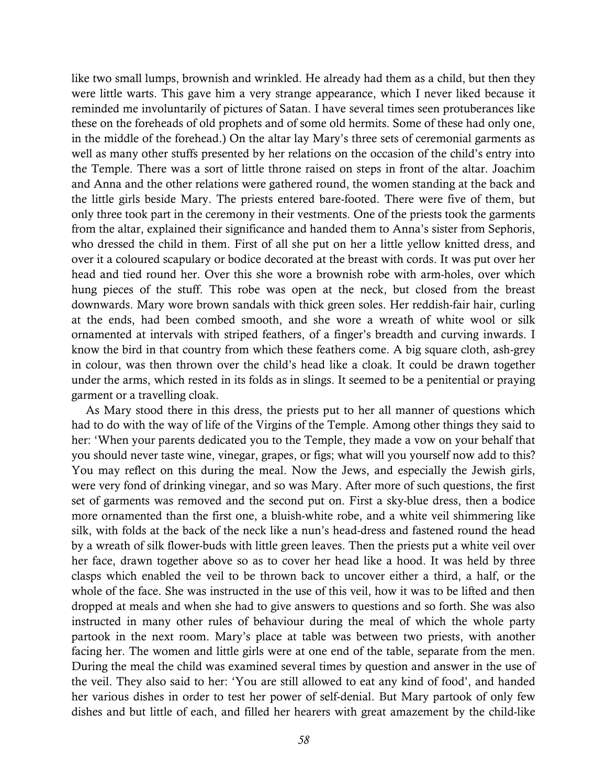like two small lumps, brownish and wrinkled. He already had them as a child, but then they were little warts. This gave him a very strange appearance, which I never liked because it reminded me involuntarily of pictures of Satan. I have several times seen protuberances like these on the foreheads of old prophets and of some old hermits. Some of these had only one, in the middle of the forehead.) On the altar lay Mary's three sets of ceremonial garments as well as many other stuffs presented by her relations on the occasion of the child's entry into the Temple. There was a sort of little throne raised on steps in front of the altar. Joachim and Anna and the other relations were gathered round, the women standing at the back and the little girls beside Mary. The priests entered bare-footed. There were five of them, but only three took part in the ceremony in their vestments. One of the priests took the garments from the altar, explained their significance and handed them to Anna's sister from Sephoris, who dressed the child in them. First of all she put on her a little yellow knitted dress, and over it a coloured scapulary or bodice decorated at the breast with cords. It was put over her head and tied round her. Over this she wore a brownish robe with arm-holes, over which hung pieces of the stuff. This robe was open at the neck, but closed from the breast downwards. Mary wore brown sandals with thick green soles. Her reddish-fair hair, curling at the ends, had been combed smooth, and she wore a wreath of white wool or silk ornamented at intervals with striped feathers, of a finger's breadth and curving inwards. I know the bird in that country from which these feathers come. A big square cloth, ash-grey in colour, was then thrown over the child's head like a cloak. It could be drawn together under the arms, which rested in its folds as in slings. It seemed to be a penitential or praying garment or a travelling cloak.

As Mary stood there in this dress, the priests put to her all manner of questions which had to do with the way of life of the Virgins of the Temple. Among other things they said to her: 'When your parents dedicated you to the Temple, they made a vow on your behalf that you should never taste wine, vinegar, grapes, or figs; what will you yourself now add to this? You may reflect on this during the meal. Now the Jews, and especially the Jewish girls, were very fond of drinking vinegar, and so was Mary. After more of such questions, the first set of garments was removed and the second put on. First a sky-blue dress, then a bodice more ornamented than the first one, a bluish-white robe, and a white veil shimmering like silk, with folds at the back of the neck like a nun's head-dress and fastened round the head by a wreath of silk flower-buds with little green leaves. Then the priests put a white veil over her face, drawn together above so as to cover her head like a hood. It was held by three clasps which enabled the veil to be thrown back to uncover either a third, a half, or the whole of the face. She was instructed in the use of this veil, how it was to be lifted and then dropped at meals and when she had to give answers to questions and so forth. She was also instructed in many other rules of behaviour during the meal of which the whole party partook in the next room. Mary's place at table was between two priests, with another facing her. The women and little girls were at one end of the table, separate from the men. During the meal the child was examined several times by question and answer in the use of the veil. They also said to her: 'You are still allowed to eat any kind of food', and handed her various dishes in order to test her power of self-denial. But Mary partook of only few dishes and but little of each, and filled her hearers with great amazement by the child-like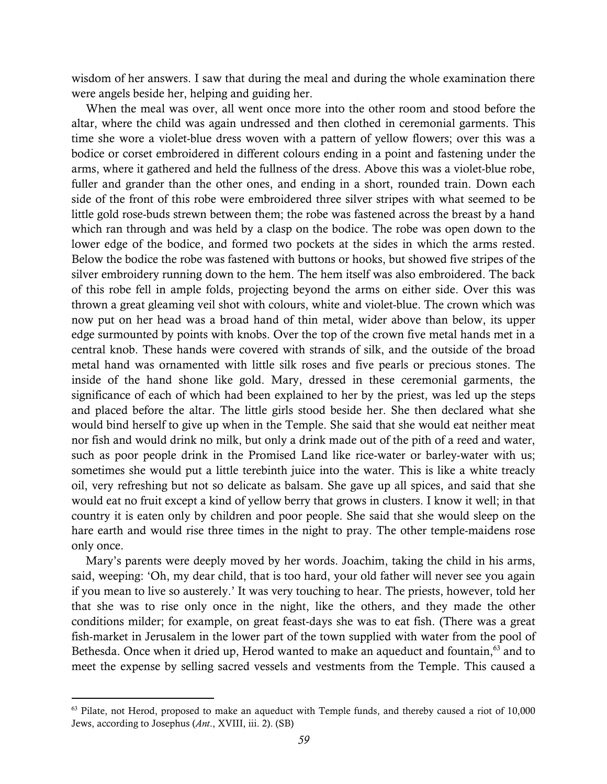wisdom of her answers. I saw that during the meal and during the whole examination there were angels beside her, helping and guiding her.

When the meal was over, all went once more into the other room and stood before the altar, where the child was again undressed and then clothed in ceremonial garments. This time she wore a violet-blue dress woven with a pattern of yellow flowers; over this was a bodice or corset embroidered in different colours ending in a point and fastening under the arms, where it gathered and held the fullness of the dress. Above this was a violet-blue robe, fuller and grander than the other ones, and ending in a short, rounded train. Down each side of the front of this robe were embroidered three silver stripes with what seemed to be little gold rose-buds strewn between them; the robe was fastened across the breast by a hand which ran through and was held by a clasp on the bodice. The robe was open down to the lower edge of the bodice, and formed two pockets at the sides in which the arms rested. Below the bodice the robe was fastened with buttons or hooks, but showed five stripes of the silver embroidery running down to the hem. The hem itself was also embroidered. The back of this robe fell in ample folds, projecting beyond the arms on either side. Over this was thrown a great gleaming veil shot with colours, white and violet-blue. The crown which was now put on her head was a broad hand of thin metal, wider above than below, its upper edge surmounted by points with knobs. Over the top of the crown five metal hands met in a central knob. These hands were covered with strands of silk, and the outside of the broad metal hand was ornamented with little silk roses and five pearls or precious stones. The inside of the hand shone like gold. Mary, dressed in these ceremonial garments, the significance of each of which had been explained to her by the priest, was led up the steps and placed before the altar. The little girls stood beside her. She then declared what she would bind herself to give up when in the Temple. She said that she would eat neither meat nor fish and would drink no milk, but only a drink made out of the pith of a reed and water, such as poor people drink in the Promised Land like rice-water or barley-water with us; sometimes she would put a little terebinth juice into the water. This is like a white treacly oil, very refreshing but not so delicate as balsam. She gave up all spices, and said that she would eat no fruit except a kind of yellow berry that grows in clusters. I know it well; in that country it is eaten only by children and poor people. She said that she would sleep on the hare earth and would rise three times in the night to pray. The other temple-maidens rose only once.

Mary's parents were deeply moved by her words. Joachim, taking the child in his arms, said, weeping: 'Oh, my dear child, that is too hard, your old father will never see you again if you mean to live so austerely.' It was very touching to hear. The priests, however, told her that she was to rise only once in the night, like the others, and they made the other conditions milder; for example, on great feast-days she was to eat fish. (There was a great fish-market in Jerusalem in the lower part of the town supplied with water from the pool of Bethesda. Once when it dried up, Herod wanted to make an aqueduct and fountain,<sup>63</sup> and to meet the expense by selling sacred vessels and vestments from the Temple. This caused a

 $63$  Pilate, not Herod, proposed to make an aqueduct with Temple funds, and thereby caused a riot of 10,000 Jews, according to Josephus (*Ant*., XVIII, iii. 2). (SB)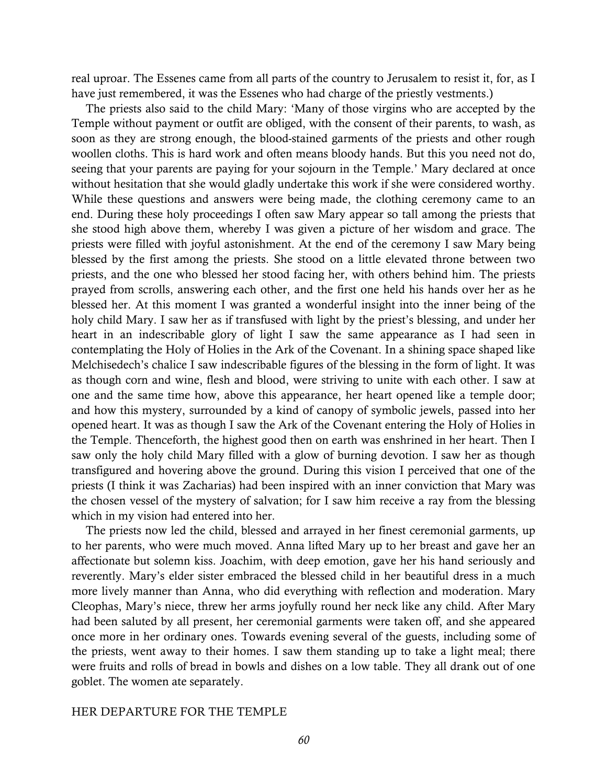real uproar. The Essenes came from all parts of the country to Jerusalem to resist it, for, as I have just remembered, it was the Essenes who had charge of the priestly vestments.)

The priests also said to the child Mary: 'Many of those virgins who are accepted by the Temple without payment or outfit are obliged, with the consent of their parents, to wash, as soon as they are strong enough, the blood-stained garments of the priests and other rough woollen cloths. This is hard work and often means bloody hands. But this you need not do, seeing that your parents are paying for your sojourn in the Temple.' Mary declared at once without hesitation that she would gladly undertake this work if she were considered worthy. While these questions and answers were being made, the clothing ceremony came to an end. During these holy proceedings I often saw Mary appear so tall among the priests that she stood high above them, whereby I was given a picture of her wisdom and grace. The priests were filled with joyful astonishment. At the end of the ceremony I saw Mary being blessed by the first among the priests. She stood on a little elevated throne between two priests, and the one who blessed her stood facing her, with others behind him. The priests prayed from scrolls, answering each other, and the first one held his hands over her as he blessed her. At this moment I was granted a wonderful insight into the inner being of the holy child Mary. I saw her as if transfused with light by the priest's blessing, and under her heart in an indescribable glory of light I saw the same appearance as I had seen in contemplating the Holy of Holies in the Ark of the Covenant. In a shining space shaped like Melchisedech's chalice I saw indescribable figures of the blessing in the form of light. It was as though corn and wine, flesh and blood, were striving to unite with each other. I saw at one and the same time how, above this appearance, her heart opened like a temple door; and how this mystery, surrounded by a kind of canopy of symbolic jewels, passed into her opened heart. It was as though I saw the Ark of the Covenant entering the Holy of Holies in the Temple. Thenceforth, the highest good then on earth was enshrined in her heart. Then I saw only the holy child Mary filled with a glow of burning devotion. I saw her as though transfigured and hovering above the ground. During this vision I perceived that one of the priests (I think it was Zacharias) had been inspired with an inner conviction that Mary was the chosen vessel of the mystery of salvation; for I saw him receive a ray from the blessing which in my vision had entered into her.

The priests now led the child, blessed and arrayed in her finest ceremonial garments, up to her parents, who were much moved. Anna lifted Mary up to her breast and gave her an affectionate but solemn kiss. Joachim, with deep emotion, gave her his hand seriously and reverently. Mary's elder sister embraced the blessed child in her beautiful dress in a much more lively manner than Anna, who did everything with reflection and moderation. Mary Cleophas, Mary's niece, threw her arms joyfully round her neck like any child. After Mary had been saluted by all present, her ceremonial garments were taken off, and she appeared once more in her ordinary ones. Towards evening several of the guests, including some of the priests, went away to their homes. I saw them standing up to take a light meal; there were fruits and rolls of bread in bowls and dishes on a low table. They all drank out of one goblet. The women ate separately.

#### HER DEPARTURE FOR THE TEMPLE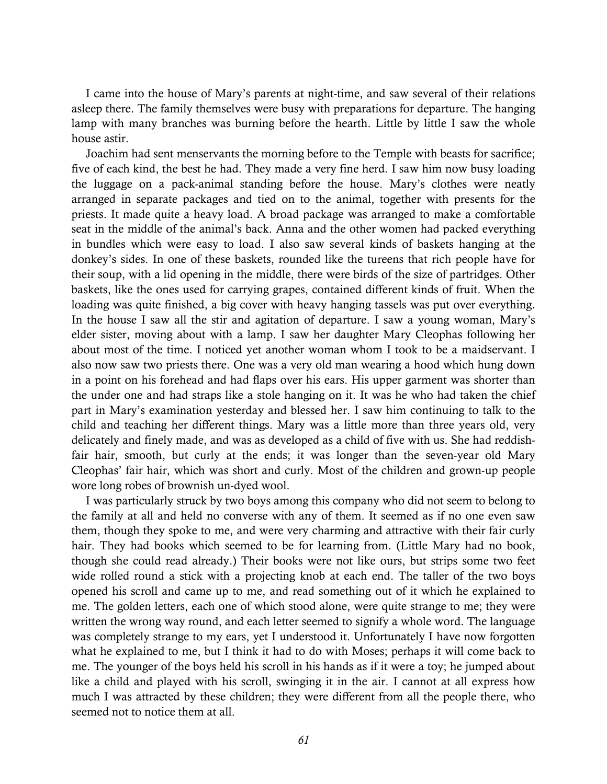I came into the house of Mary's parents at night-time, and saw several of their relations asleep there. The family themselves were busy with preparations for departure. The hanging lamp with many branches was burning before the hearth. Little by little I saw the whole house astir.

Joachim had sent menservants the morning before to the Temple with beasts for sacrifice; five of each kind, the best he had. They made a very fine herd. I saw him now busy loading the luggage on a pack-animal standing before the house. Mary's clothes were neatly arranged in separate packages and tied on to the animal, together with presents for the priests. It made quite a heavy load. A broad package was arranged to make a comfortable seat in the middle of the animal's back. Anna and the other women had packed everything in bundles which were easy to load. I also saw several kinds of baskets hanging at the donkey's sides. In one of these baskets, rounded like the tureens that rich people have for their soup, with a lid opening in the middle, there were birds of the size of partridges. Other baskets, like the ones used for carrying grapes, contained different kinds of fruit. When the loading was quite finished, a big cover with heavy hanging tassels was put over everything. In the house I saw all the stir and agitation of departure. I saw a young woman, Mary's elder sister, moving about with a lamp. I saw her daughter Mary Cleophas following her about most of the time. I noticed yet another woman whom I took to be a maidservant. I also now saw two priests there. One was a very old man wearing a hood which hung down in a point on his forehead and had flaps over his ears. His upper garment was shorter than the under one and had straps like a stole hanging on it. It was he who had taken the chief part in Mary's examination yesterday and blessed her. I saw him continuing to talk to the child and teaching her different things. Mary was a little more than three years old, very delicately and finely made, and was as developed as a child of five with us. She had reddishfair hair, smooth, but curly at the ends; it was longer than the seven-year old Mary Cleophas' fair hair, which was short and curly. Most of the children and grown-up people wore long robes of brownish un-dyed wool.

I was particularly struck by two boys among this company who did not seem to belong to the family at all and held no converse with any of them. It seemed as if no one even saw them, though they spoke to me, and were very charming and attractive with their fair curly hair. They had books which seemed to be for learning from. (Little Mary had no book, though she could read already.) Their books were not like ours, but strips some two feet wide rolled round a stick with a projecting knob at each end. The taller of the two boys opened his scroll and came up to me, and read something out of it which he explained to me. The golden letters, each one of which stood alone, were quite strange to me; they were written the wrong way round, and each letter seemed to signify a whole word. The language was completely strange to my ears, yet I understood it. Unfortunately I have now forgotten what he explained to me, but I think it had to do with Moses; perhaps it will come back to me. The younger of the boys held his scroll in his hands as if it were a toy; he jumped about like a child and played with his scroll, swinging it in the air. I cannot at all express how much I was attracted by these children; they were different from all the people there, who seemed not to notice them at all.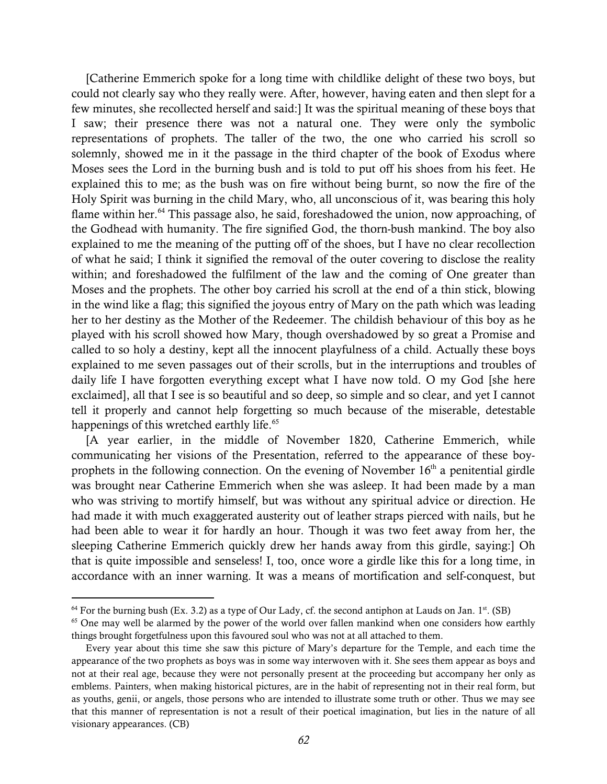[Catherine Emmerich spoke for a long time with childlike delight of these two boys, but could not clearly say who they really were. After, however, having eaten and then slept for a few minutes, she recollected herself and said:] It was the spiritual meaning of these boys that I saw; their presence there was not a natural one. They were only the symbolic representations of prophets. The taller of the two, the one who carried his scroll so solemnly, showed me in it the passage in the third chapter of the book of Exodus where Moses sees the Lord in the burning bush and is told to put off his shoes from his feet. He explained this to me; as the bush was on fire without being burnt, so now the fire of the Holy Spirit was burning in the child Mary, who, all unconscious of it, was bearing this holy flame within her.<sup>64</sup> This passage also, he said, foreshadowed the union, now approaching, of the Godhead with humanity. The fire signified God, the thorn-bush mankind. The boy also explained to me the meaning of the putting off of the shoes, but I have no clear recollection of what he said; I think it signified the removal of the outer covering to disclose the reality within; and foreshadowed the fulfilment of the law and the coming of One greater than Moses and the prophets. The other boy carried his scroll at the end of a thin stick, blowing in the wind like a flag; this signified the joyous entry of Mary on the path which was leading her to her destiny as the Mother of the Redeemer. The childish behaviour of this boy as he played with his scroll showed how Mary, though overshadowed by so great a Promise and called to so holy a destiny, kept all the innocent playfulness of a child. Actually these boys explained to me seven passages out of their scrolls, but in the interruptions and troubles of daily life I have forgotten everything except what I have now told. O my God [she here exclaimed], all that I see is so beautiful and so deep, so simple and so clear, and yet I cannot tell it properly and cannot help forgetting so much because of the miserable, detestable happenings of this wretched earthly life.<sup>65</sup>

[A year earlier, in the middle of November 1820, Catherine Emmerich, while communicating her visions of the Presentation, referred to the appearance of these boyprophets in the following connection. On the evening of November  $16<sup>th</sup>$  a penitential girdle was brought near Catherine Emmerich when she was asleep. It had been made by a man who was striving to mortify himself, but was without any spiritual advice or direction. He had made it with much exaggerated austerity out of leather straps pierced with nails, but he had been able to wear it for hardly an hour. Though it was two feet away from her, the sleeping Catherine Emmerich quickly drew her hands away from this girdle, saying:] Oh that is quite impossible and senseless! I, too, once wore a girdle like this for a long time, in accordance with an inner warning. It was a means of mortification and self-conquest, but

 $64$  For the burning bush (Ex. 3.2) as a type of Our Lady, cf. the second antiphon at Lauds on Jan. 1st. (SB)

 $<sup>65</sup>$  One may well be alarmed by the power of the world over fallen mankind when one considers how earthly</sup> things brought forgetfulness upon this favoured soul who was not at all attached to them.

Every year about this time she saw this picture of Mary's departure for the Temple, and each time the appearance of the two prophets as boys was in some way interwoven with it. She sees them appear as boys and not at their real age, because they were not personally present at the proceeding but accompany her only as emblems. Painters, when making historical pictures, are in the habit of representing not in their real form, but as youths, genii, or angels, those persons who are intended to illustrate some truth or other. Thus we may see that this manner of representation is not a result of their poetical imagination, but lies in the nature of all visionary appearances. (CB)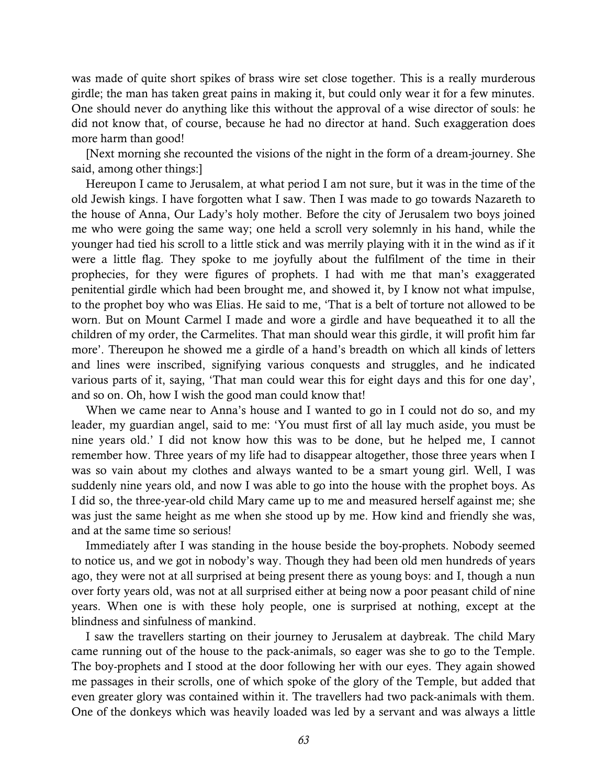was made of quite short spikes of brass wire set close together. This is a really murderous girdle; the man has taken great pains in making it, but could only wear it for a few minutes. One should never do anything like this without the approval of a wise director of souls: he did not know that, of course, because he had no director at hand. Such exaggeration does more harm than good!

[Next morning she recounted the visions of the night in the form of a dream-journey. She said, among other things:]

Hereupon I came to Jerusalem, at what period I am not sure, but it was in the time of the old Jewish kings. I have forgotten what I saw. Then I was made to go towards Nazareth to the house of Anna, Our Lady's holy mother. Before the city of Jerusalem two boys joined me who were going the same way; one held a scroll very solemnly in his hand, while the younger had tied his scroll to a little stick and was merrily playing with it in the wind as if it were a little flag. They spoke to me joyfully about the fulfilment of the time in their prophecies, for they were figures of prophets. I had with me that man's exaggerated penitential girdle which had been brought me, and showed it, by I know not what impulse, to the prophet boy who was Elias. He said to me, 'That is a belt of torture not allowed to be worn. But on Mount Carmel I made and wore a girdle and have bequeathed it to all the children of my order, the Carmelites. That man should wear this girdle, it will profit him far more'. Thereupon he showed me a girdle of a hand's breadth on which all kinds of letters and lines were inscribed, signifying various conquests and struggles, and he indicated various parts of it, saying, 'That man could wear this for eight days and this for one day', and so on. Oh, how I wish the good man could know that!

When we came near to Anna's house and I wanted to go in I could not do so, and my leader, my guardian angel, said to me: 'You must first of all lay much aside, you must be nine years old.' I did not know how this was to be done, but he helped me, I cannot remember how. Three years of my life had to disappear altogether, those three years when I was so vain about my clothes and always wanted to be a smart young girl. Well, I was suddenly nine years old, and now I was able to go into the house with the prophet boys. As I did so, the three-year-old child Mary came up to me and measured herself against me; she was just the same height as me when she stood up by me. How kind and friendly she was, and at the same time so serious!

Immediately after I was standing in the house beside the boy-prophets. Nobody seemed to notice us, and we got in nobody's way. Though they had been old men hundreds of years ago, they were not at all surprised at being present there as young boys: and I, though a nun over forty years old, was not at all surprised either at being now a poor peasant child of nine years. When one is with these holy people, one is surprised at nothing, except at the blindness and sinfulness of mankind.

I saw the travellers starting on their journey to Jerusalem at daybreak. The child Mary came running out of the house to the pack-animals, so eager was she to go to the Temple. The boy-prophets and I stood at the door following her with our eyes. They again showed me passages in their scrolls, one of which spoke of the glory of the Temple, but added that even greater glory was contained within it. The travellers had two pack-animals with them. One of the donkeys which was heavily loaded was led by a servant and was always a little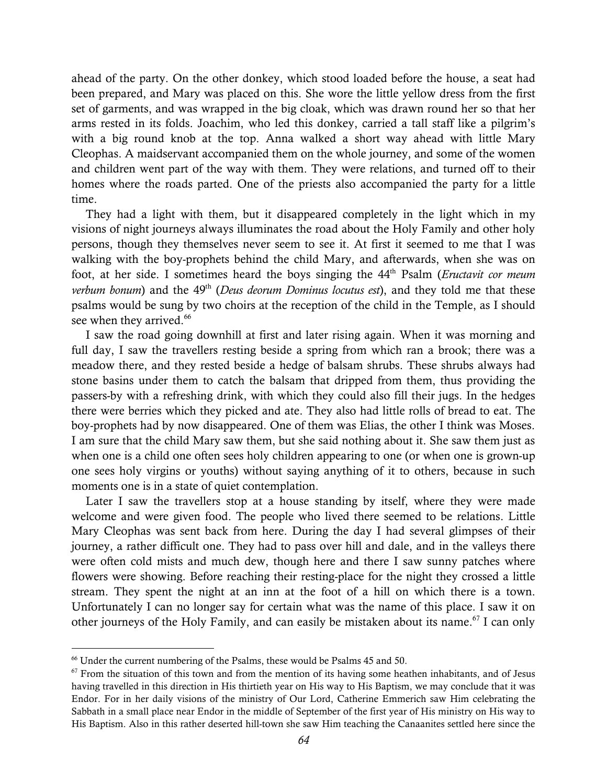ahead of the party. On the other donkey, which stood loaded before the house, a seat had been prepared, and Mary was placed on this. She wore the little yellow dress from the first set of garments, and was wrapped in the big cloak, which was drawn round her so that her arms rested in its folds. Joachim, who led this donkey, carried a tall staff like a pilgrim's with a big round knob at the top. Anna walked a short way ahead with little Mary Cleophas. A maidservant accompanied them on the whole journey, and some of the women and children went part of the way with them. They were relations, and turned off to their homes where the roads parted. One of the priests also accompanied the party for a little time.

They had a light with them, but it disappeared completely in the light which in my visions of night journeys always illuminates the road about the Holy Family and other holy persons, though they themselves never seem to see it. At first it seemed to me that I was walking with the boy-prophets behind the child Mary, and afterwards, when she was on foot, at her side. I sometimes heard the boys singing the 44<sup>th</sup> Psalm (*Eructavit cor meum verbum bonum*) and the 49<sup>th</sup> (*Deus deorum Dominus locutus est*), and they told me that these psalms would be sung by two choirs at the reception of the child in the Temple, as I should see when they arrived.<sup>66</sup>

I saw the road going downhill at first and later rising again. When it was morning and full day, I saw the travellers resting beside a spring from which ran a brook; there was a meadow there, and they rested beside a hedge of balsam shrubs. These shrubs always had stone basins under them to catch the balsam that dripped from them, thus providing the passers-by with a refreshing drink, with which they could also fill their jugs. In the hedges there were berries which they picked and ate. They also had little rolls of bread to eat. The boy-prophets had by now disappeared. One of them was Elias, the other I think was Moses. I am sure that the child Mary saw them, but she said nothing about it. She saw them just as when one is a child one often sees holy children appearing to one (or when one is grown-up one sees holy virgins or youths) without saying anything of it to others, because in such moments one is in a state of quiet contemplation.

Later I saw the travellers stop at a house standing by itself, where they were made welcome and were given food. The people who lived there seemed to be relations. Little Mary Cleophas was sent back from here. During the day I had several glimpses of their journey, a rather difficult one. They had to pass over hill and dale, and in the valleys there were often cold mists and much dew, though here and there I saw sunny patches where flowers were showing. Before reaching their resting-place for the night they crossed a little stream. They spent the night at an inn at the foot of a hill on which there is a town. Unfortunately I can no longer say for certain what was the name of this place. I saw it on other journeys of the Holy Family, and can easily be mistaken about its name.<sup>67</sup> I can only

<sup>66</sup> Under the current numbering of the Psalms, these would be Psalms 45 and 50.

 $67$  From the situation of this town and from the mention of its having some heathen inhabitants, and of Jesus having travelled in this direction in His thirtieth year on His way to His Baptism, we may conclude that it was Endor. For in her daily visions of the ministry of Our Lord, Catherine Emmerich saw Him celebrating the Sabbath in a small place near Endor in the middle of September of the first year of His ministry on His way to His Baptism. Also in this rather deserted hill-town she saw Him teaching the Canaanites settled here since the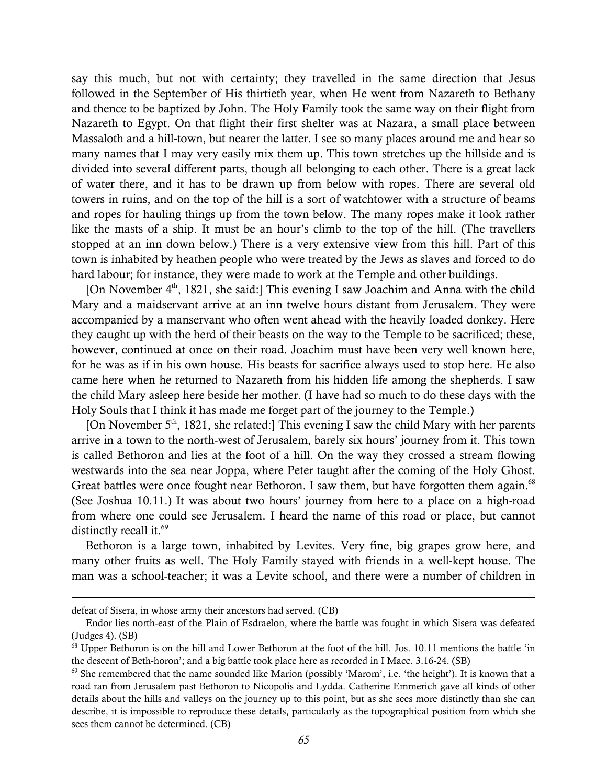say this much, but not with certainty; they travelled in the same direction that Jesus followed in the September of His thirtieth year, when He went from Nazareth to Bethany and thence to be baptized by John. The Holy Family took the same way on their flight from Nazareth to Egypt. On that flight their first shelter was at Nazara, a small place between Massaloth and a hill-town, but nearer the latter. I see so many places around me and hear so many names that I may very easily mix them up. This town stretches up the hillside and is divided into several different parts, though all belonging to each other. There is a great lack of water there, and it has to be drawn up from below with ropes. There are several old towers in ruins, and on the top of the hill is a sort of watchtower with a structure of beams and ropes for hauling things up from the town below. The many ropes make it look rather like the masts of a ship. It must be an hour's climb to the top of the hill. (The travellers stopped at an inn down below.) There is a very extensive view from this hill. Part of this town is inhabited by heathen people who were treated by the Jews as slaves and forced to do hard labour; for instance, they were made to work at the Temple and other buildings.

[On November 4<sup>th</sup>, 1821, she said:] This evening I saw Joachim and Anna with the child Mary and a maidservant arrive at an inn twelve hours distant from Jerusalem. They were accompanied by a manservant who often went ahead with the heavily loaded donkey. Here they caught up with the herd of their beasts on the way to the Temple to be sacrificed; these, however, continued at once on their road. Joachim must have been very well known here, for he was as if in his own house. His beasts for sacrifice always used to stop here. He also came here when he returned to Nazareth from his hidden life among the shepherds. I saw the child Mary asleep here beside her mother. (I have had so much to do these days with the Holy Souls that I think it has made me forget part of the journey to the Temple.)

[On November  $5<sup>th</sup>$ , 1821, she related:] This evening I saw the child Mary with her parents arrive in a town to the north-west of Jerusalem, barely six hours' journey from it. This town is called Bethoron and lies at the foot of a hill. On the way they crossed a stream flowing westwards into the sea near Joppa, where Peter taught after the coming of the Holy Ghost. Great battles were once fought near Bethoron. I saw them, but have forgotten them again.<sup>68</sup> (See Joshua 10.11.) It was about two hours' journey from here to a place on a high-road from where one could see Jerusalem. I heard the name of this road or place, but cannot distinctly recall it.<sup>69</sup>

Bethoron is a large town, inhabited by Levites. Very fine, big grapes grow here, and many other fruits as well. The Holy Family stayed with friends in a well-kept house. The man was a school-teacher; it was a Levite school, and there were a number of children in

defeat of Sisera, in whose army their ancestors had served. (CB)

Endor lies north-east of the Plain of Esdraelon, where the battle was fought in which Sisera was defeated (Judges 4). (SB)

<sup>&</sup>lt;sup>68</sup> Upper Bethoron is on the hill and Lower Bethoron at the foot of the hill. Jos. 10.11 mentions the battle 'in the descent of Beth-horon'; and a big battle took place here as recorded in I Macc. 3.16-24. (SB)

<sup>69</sup> She remembered that the name sounded like Marion (possibly 'Marom', i.e. 'the height'). It is known that a road ran from Jerusalem past Bethoron to Nicopolis and Lydda. Catherine Emmerich gave all kinds of other details about the hills and valleys on the journey up to this point, but as she sees more distinctly than she can describe, it is impossible to reproduce these details, particularly as the topographical position from which she sees them cannot be determined. (CB)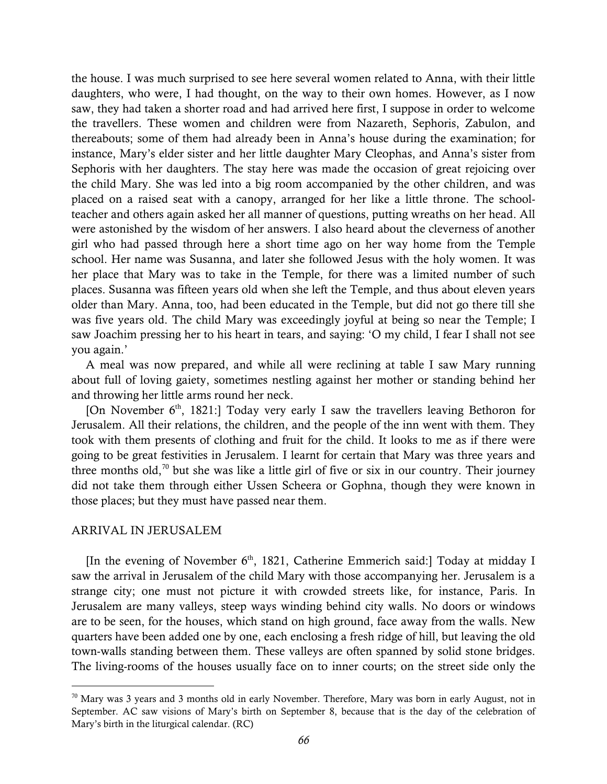the house. I was much surprised to see here several women related to Anna, with their little daughters, who were, I had thought, on the way to their own homes. However, as I now saw, they had taken a shorter road and had arrived here first, I suppose in order to welcome the travellers. These women and children were from Nazareth, Sephoris, Zabulon, and thereabouts; some of them had already been in Anna's house during the examination; for instance, Mary's elder sister and her little daughter Mary Cleophas, and Anna's sister from Sephoris with her daughters. The stay here was made the occasion of great rejoicing over the child Mary. She was led into a big room accompanied by the other children, and was placed on a raised seat with a canopy, arranged for her like a little throne. The schoolteacher and others again asked her all manner of questions, putting wreaths on her head. All were astonished by the wisdom of her answers. I also heard about the cleverness of another girl who had passed through here a short time ago on her way home from the Temple school. Her name was Susanna, and later she followed Jesus with the holy women. It was her place that Mary was to take in the Temple, for there was a limited number of such places. Susanna was fifteen years old when she left the Temple, and thus about eleven years older than Mary. Anna, too, had been educated in the Temple, but did not go there till she was five years old. The child Mary was exceedingly joyful at being so near the Temple; I saw Joachim pressing her to his heart in tears, and saying: 'O my child, I fear I shall not see you again.'

A meal was now prepared, and while all were reclining at table I saw Mary running about full of loving gaiety, sometimes nestling against her mother or standing behind her and throwing her little arms round her neck.

[On November 6<sup>th</sup>, 1821:] Today very early I saw the travellers leaving Bethoron for Jerusalem. All their relations, the children, and the people of the inn went with them. They took with them presents of clothing and fruit for the child. It looks to me as if there were going to be great festivities in Jerusalem. I learnt for certain that Mary was three years and three months old, $70$  but she was like a little girl of five or six in our country. Their journey did not take them through either Ussen Scheera or Gophna, though they were known in those places; but they must have passed near them.

## ARRIVAL IN JERUSALEM

 $\overline{a}$ 

[In the evening of November 6<sup>th</sup>, 1821, Catherine Emmerich said:] Today at midday I saw the arrival in Jerusalem of the child Mary with those accompanying her. Jerusalem is a strange city; one must not picture it with crowded streets like, for instance, Paris. In Jerusalem are many valleys, steep ways winding behind city walls. No doors or windows are to be seen, for the houses, which stand on high ground, face away from the walls. New quarters have been added one by one, each enclosing a fresh ridge of hill, but leaving the old town-walls standing between them. These valleys are often spanned by solid stone bridges. The living-rooms of the houses usually face on to inner courts; on the street side only the

 $70$  Mary was 3 years and 3 months old in early November. Therefore, Mary was born in early August, not in September. AC saw visions of Mary's birth on September 8, because that is the day of the celebration of Mary's birth in the liturgical calendar. (RC)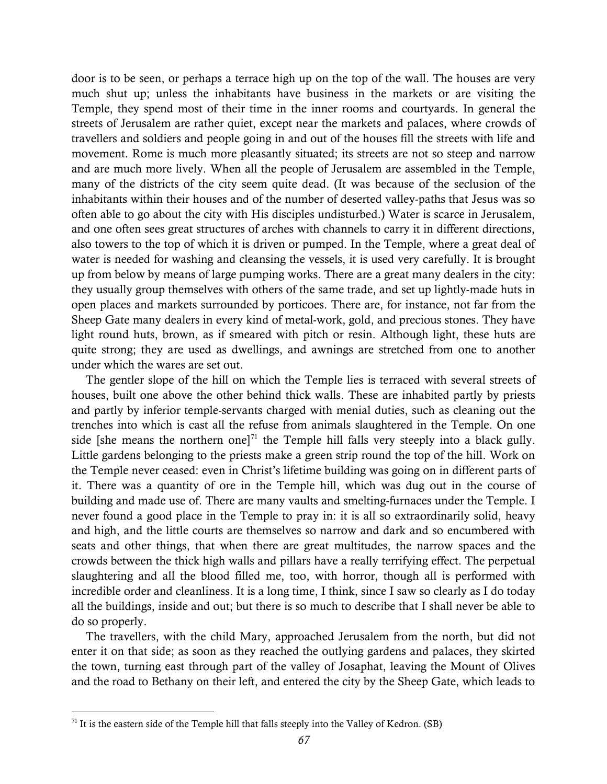door is to be seen, or perhaps a terrace high up on the top of the wall. The houses are very much shut up; unless the inhabitants have business in the markets or are visiting the Temple, they spend most of their time in the inner rooms and courtyards. In general the streets of Jerusalem are rather quiet, except near the markets and palaces, where crowds of travellers and soldiers and people going in and out of the houses fill the streets with life and movement. Rome is much more pleasantly situated; its streets are not so steep and narrow and are much more lively. When all the people of Jerusalem are assembled in the Temple, many of the districts of the city seem quite dead. (It was because of the seclusion of the inhabitants within their houses and of the number of deserted valley-paths that Jesus was so often able to go about the city with His disciples undisturbed.) Water is scarce in Jerusalem, and one often sees great structures of arches with channels to carry it in different directions, also towers to the top of which it is driven or pumped. In the Temple, where a great deal of water is needed for washing and cleansing the vessels, it is used very carefully. It is brought up from below by means of large pumping works. There are a great many dealers in the city: they usually group themselves with others of the same trade, and set up lightly-made huts in open places and markets surrounded by porticoes. There are, for instance, not far from the Sheep Gate many dealers in every kind of metal-work, gold, and precious stones. They have light round huts, brown, as if smeared with pitch or resin. Although light, these huts are quite strong; they are used as dwellings, and awnings are stretched from one to another under which the wares are set out.

The gentler slope of the hill on which the Temple lies is terraced with several streets of houses, built one above the other behind thick walls. These are inhabited partly by priests and partly by inferior temple-servants charged with menial duties, such as cleaning out the trenches into which is cast all the refuse from animals slaughtered in the Temple. On one side [she means the northern one]<sup>71</sup> the Temple hill falls very steeply into a black gully. Little gardens belonging to the priests make a green strip round the top of the hill. Work on the Temple never ceased: even in Christ's lifetime building was going on in different parts of it. There was a quantity of ore in the Temple hill, which was dug out in the course of building and made use of. There are many vaults and smelting-furnaces under the Temple. I never found a good place in the Temple to pray in: it is all so extraordinarily solid, heavy and high, and the little courts are themselves so narrow and dark and so encumbered with seats and other things, that when there are great multitudes, the narrow spaces and the crowds between the thick high walls and pillars have a really terrifying effect. The perpetual slaughtering and all the blood filled me, too, with horror, though all is performed with incredible order and cleanliness. It is a long time, I think, since I saw so clearly as I do today all the buildings, inside and out; but there is so much to describe that I shall never be able to do so properly.

The travellers, with the child Mary, approached Jerusalem from the north, but did not enter it on that side; as soon as they reached the outlying gardens and palaces, they skirted the town, turning east through part of the valley of Josaphat, leaving the Mount of Olives and the road to Bethany on their left, and entered the city by the Sheep Gate, which leads to

 $71$  It is the eastern side of the Temple hill that falls steeply into the Valley of Kedron. (SB)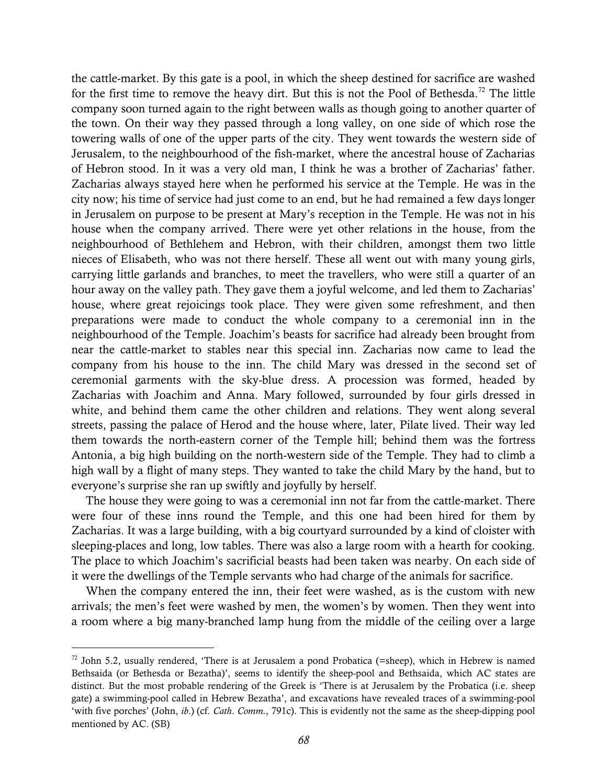the cattle-market. By this gate is a pool, in which the sheep destined for sacrifice are washed for the first time to remove the heavy dirt. But this is not the Pool of Bethesda.<sup>72</sup> The little company soon turned again to the right between walls as though going to another quarter of the town. On their way they passed through a long valley, on one side of which rose the towering walls of one of the upper parts of the city. They went towards the western side of Jerusalem, to the neighbourhood of the fish-market, where the ancestral house of Zacharias of Hebron stood. In it was a very old man, I think he was a brother of Zacharias' father. Zacharias always stayed here when he performed his service at the Temple. He was in the city now; his time of service had just come to an end, but he had remained a few days longer in Jerusalem on purpose to be present at Mary's reception in the Temple. He was not in his house when the company arrived. There were yet other relations in the house, from the neighbourhood of Bethlehem and Hebron, with their children, amongst them two little nieces of Elisabeth, who was not there herself. These all went out with many young girls, carrying little garlands and branches, to meet the travellers, who were still a quarter of an hour away on the valley path. They gave them a joyful welcome, and led them to Zacharias' house, where great rejoicings took place. They were given some refreshment, and then preparations were made to conduct the whole company to a ceremonial inn in the neighbourhood of the Temple. Joachim's beasts for sacrifice had already been brought from near the cattle-market to stables near this special inn. Zacharias now came to lead the company from his house to the inn. The child Mary was dressed in the second set of ceremonial garments with the sky-blue dress. A procession was formed, headed by Zacharias with Joachim and Anna. Mary followed, surrounded by four girls dressed in white, and behind them came the other children and relations. They went along several streets, passing the palace of Herod and the house where, later, Pilate lived. Their way led them towards the north-eastern corner of the Temple hill; behind them was the fortress Antonia, a big high building on the north-western side of the Temple. They had to climb a high wall by a flight of many steps. They wanted to take the child Mary by the hand, but to everyone's surprise she ran up swiftly and joyfully by herself.

The house they were going to was a ceremonial inn not far from the cattle-market. There were four of these inns round the Temple, and this one had been hired for them by Zacharias. It was a large building, with a big courtyard surrounded by a kind of cloister with sleeping-places and long, low tables. There was also a large room with a hearth for cooking. The place to which Joachim's sacrificial beasts had been taken was nearby. On each side of it were the dwellings of the Temple servants who had charge of the animals for sacrifice.

When the company entered the inn, their feet were washed, as is the custom with new arrivals; the men's feet were washed by men, the women's by women. Then they went into a room where a big many-branched lamp hung from the middle of the ceiling over a large

 $72$  John 5.2, usually rendered, 'There is at Jerusalem a pond Probatica (=sheep), which in Hebrew is named Bethsaida (or Bethesda or Bezatha)', seems to identify the sheep-pool and Bethsaida, which AC states are distinct. But the most probable rendering of the Greek is 'There is at Jerusalem by the Probatica (i.e. sheep gate) a swimming-pool called in Hebrew Bezatha', and excavations have revealed traces of a swimming-pool 'with five porches' (John, *ib*.) (cf. *Cath*. *Comm*., 791c). This is evidently not the same as the sheep-dipping pool mentioned by AC. (SB)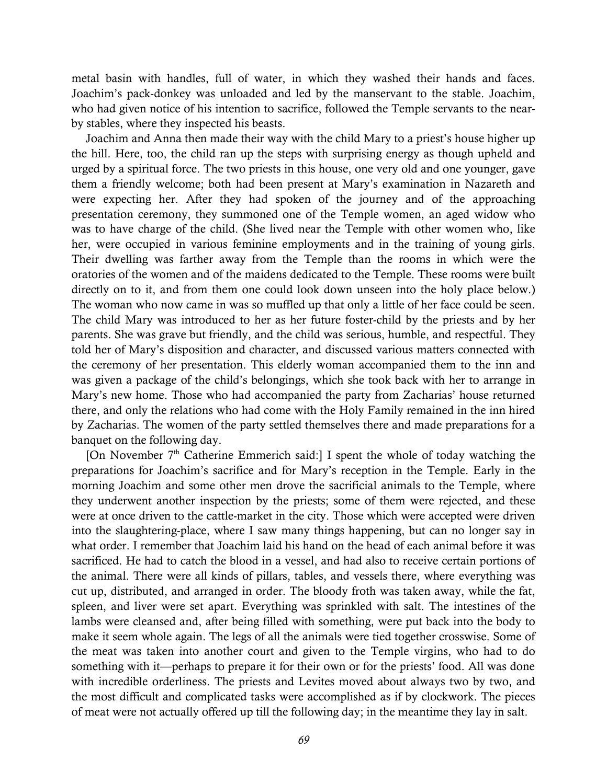metal basin with handles, full of water, in which they washed their hands and faces. Joachim's pack-donkey was unloaded and led by the manservant to the stable. Joachim, who had given notice of his intention to sacrifice, followed the Temple servants to the nearby stables, where they inspected his beasts.

Joachim and Anna then made their way with the child Mary to a priest's house higher up the hill. Here, too, the child ran up the steps with surprising energy as though upheld and urged by a spiritual force. The two priests in this house, one very old and one younger, gave them a friendly welcome; both had been present at Mary's examination in Nazareth and were expecting her. After they had spoken of the journey and of the approaching presentation ceremony, they summoned one of the Temple women, an aged widow who was to have charge of the child. (She lived near the Temple with other women who, like her, were occupied in various feminine employments and in the training of young girls. Their dwelling was farther away from the Temple than the rooms in which were the oratories of the women and of the maidens dedicated to the Temple. These rooms were built directly on to it, and from them one could look down unseen into the holy place below.) The woman who now came in was so muffled up that only a little of her face could be seen. The child Mary was introduced to her as her future foster-child by the priests and by her parents. She was grave but friendly, and the child was serious, humble, and respectful. They told her of Mary's disposition and character, and discussed various matters connected with the ceremony of her presentation. This elderly woman accompanied them to the inn and was given a package of the child's belongings, which she took back with her to arrange in Mary's new home. Those who had accompanied the party from Zacharias' house returned there, and only the relations who had come with the Holy Family remained in the inn hired by Zacharias. The women of the party settled themselves there and made preparations for a banquet on the following day.

[On November 7<sup>th</sup> Catherine Emmerich said:] I spent the whole of today watching the preparations for Joachim's sacrifice and for Mary's reception in the Temple. Early in the morning Joachim and some other men drove the sacrificial animals to the Temple, where they underwent another inspection by the priests; some of them were rejected, and these were at once driven to the cattle-market in the city. Those which were accepted were driven into the slaughtering-place, where I saw many things happening, but can no longer say in what order. I remember that Joachim laid his hand on the head of each animal before it was sacrificed. He had to catch the blood in a vessel, and had also to receive certain portions of the animal. There were all kinds of pillars, tables, and vessels there, where everything was cut up, distributed, and arranged in order. The bloody froth was taken away, while the fat, spleen, and liver were set apart. Everything was sprinkled with salt. The intestines of the lambs were cleansed and, after being filled with something, were put back into the body to make it seem whole again. The legs of all the animals were tied together crosswise. Some of the meat was taken into another court and given to the Temple virgins, who had to do something with it—perhaps to prepare it for their own or for the priests' food. All was done with incredible orderliness. The priests and Levites moved about always two by two, and the most difficult and complicated tasks were accomplished as if by clockwork. The pieces of meat were not actually offered up till the following day; in the meantime they lay in salt.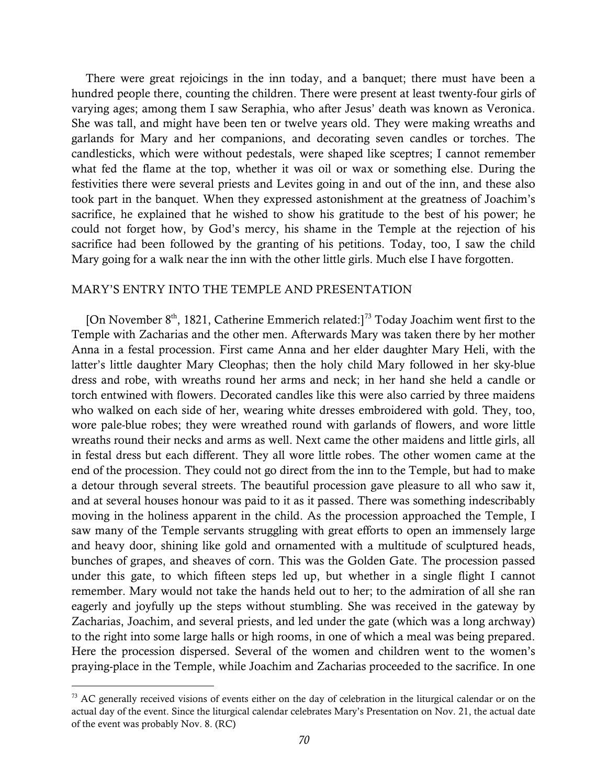There were great rejoicings in the inn today, and a banquet; there must have been a hundred people there, counting the children. There were present at least twenty-four girls of varying ages; among them I saw Seraphia, who after Jesus' death was known as Veronica. She was tall, and might have been ten or twelve years old. They were making wreaths and garlands for Mary and her companions, and decorating seven candles or torches. The candlesticks, which were without pedestals, were shaped like sceptres; I cannot remember what fed the flame at the top, whether it was oil or wax or something else. During the festivities there were several priests and Levites going in and out of the inn, and these also took part in the banquet. When they expressed astonishment at the greatness of Joachim's sacrifice, he explained that he wished to show his gratitude to the best of his power; he could not forget how, by God's mercy, his shame in the Temple at the rejection of his sacrifice had been followed by the granting of his petitions. Today, too, I saw the child Mary going for a walk near the inn with the other little girls. Much else I have forgotten.

## MARY'S ENTRY INTO THE TEMPLE AND PRESENTATION

[On November  $8<sup>th</sup>$ , 1821, Catherine Emmerich related:]<sup>73</sup> Today Joachim went first to the Temple with Zacharias and the other men. Afterwards Mary was taken there by her mother Anna in a festal procession. First came Anna and her elder daughter Mary Heli, with the latter's little daughter Mary Cleophas; then the holy child Mary followed in her sky-blue dress and robe, with wreaths round her arms and neck; in her hand she held a candle or torch entwined with flowers. Decorated candles like this were also carried by three maidens who walked on each side of her, wearing white dresses embroidered with gold. They, too, wore pale-blue robes; they were wreathed round with garlands of flowers, and wore little wreaths round their necks and arms as well. Next came the other maidens and little girls, all in festal dress but each different. They all wore little robes. The other women came at the end of the procession. They could not go direct from the inn to the Temple, but had to make a detour through several streets. The beautiful procession gave pleasure to all who saw it, and at several houses honour was paid to it as it passed. There was something indescribably moving in the holiness apparent in the child. As the procession approached the Temple, I saw many of the Temple servants struggling with great efforts to open an immensely large and heavy door, shining like gold and ornamented with a multitude of sculptured heads, bunches of grapes, and sheaves of corn. This was the Golden Gate. The procession passed under this gate, to which fifteen steps led up, but whether in a single flight I cannot remember. Mary would not take the hands held out to her; to the admiration of all she ran eagerly and joyfully up the steps without stumbling. She was received in the gateway by Zacharias, Joachim, and several priests, and led under the gate (which was a long archway) to the right into some large halls or high rooms, in one of which a meal was being prepared. Here the procession dispersed. Several of the women and children went to the women's praying-place in the Temple, while Joachim and Zacharias proceeded to the sacrifice. In one

 $73$  AC generally received visions of events either on the day of celebration in the liturgical calendar or on the actual day of the event. Since the liturgical calendar celebrates Mary's Presentation on Nov. 21, the actual date of the event was probably Nov. 8. (RC)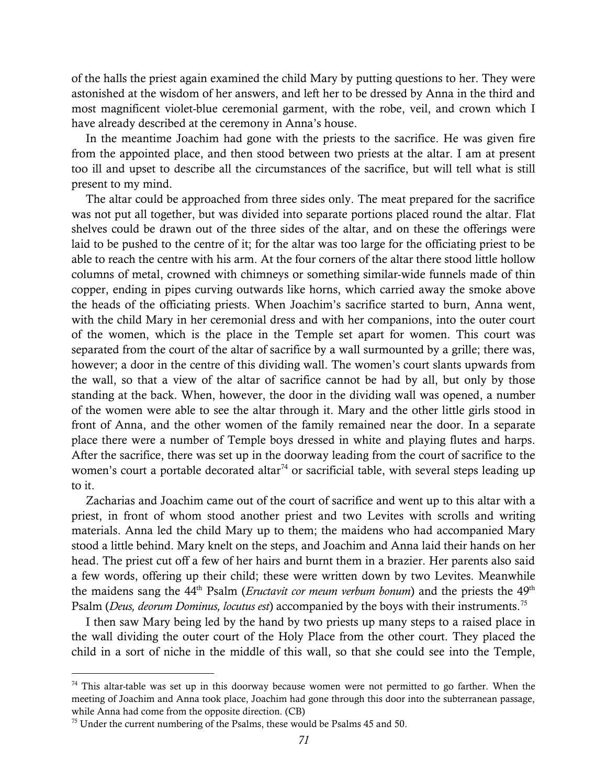of the halls the priest again examined the child Mary by putting questions to her. They were astonished at the wisdom of her answers, and left her to be dressed by Anna in the third and most magnificent violet-blue ceremonial garment, with the robe, veil, and crown which I have already described at the ceremony in Anna's house.

In the meantime Joachim had gone with the priests to the sacrifice. He was given fire from the appointed place, and then stood between two priests at the altar. I am at present too ill and upset to describe all the circumstances of the sacrifice, but will tell what is still present to my mind.

The altar could be approached from three sides only. The meat prepared for the sacrifice was not put all together, but was divided into separate portions placed round the altar. Flat shelves could be drawn out of the three sides of the altar, and on these the offerings were laid to be pushed to the centre of it; for the altar was too large for the officiating priest to be able to reach the centre with his arm. At the four corners of the altar there stood little hollow columns of metal, crowned with chimneys or something similar-wide funnels made of thin copper, ending in pipes curving outwards like horns, which carried away the smoke above the heads of the officiating priests. When Joachim's sacrifice started to burn, Anna went, with the child Mary in her ceremonial dress and with her companions, into the outer court of the women, which is the place in the Temple set apart for women. This court was separated from the court of the altar of sacrifice by a wall surmounted by a grille; there was, however; a door in the centre of this dividing wall. The women's court slants upwards from the wall, so that a view of the altar of sacrifice cannot be had by all, but only by those standing at the back. When, however, the door in the dividing wall was opened, a number of the women were able to see the altar through it. Mary and the other little girls stood in front of Anna, and the other women of the family remained near the door. In a separate place there were a number of Temple boys dressed in white and playing flutes and harps. After the sacrifice, there was set up in the doorway leading from the court of sacrifice to the women's court a portable decorated altar<sup>74</sup> or sacrificial table, with several steps leading up to it.

Zacharias and Joachim came out of the court of sacrifice and went up to this altar with a priest, in front of whom stood another priest and two Levites with scrolls and writing materials. Anna led the child Mary up to them; the maidens who had accompanied Mary stood a little behind. Mary knelt on the steps, and Joachim and Anna laid their hands on her head. The priest cut off a few of her hairs and burnt them in a brazier. Her parents also said a few words, offering up their child; these were written down by two Levites. Meanwhile the maidens sang the 44<sup>th</sup> Psalm (*Eructavit cor meum verbum bonum*) and the priests the 49<sup>th</sup> Psalm (*Deus, deorum Dominus, locutus est*) accompanied by the boys with their instruments.<sup>75</sup>

I then saw Mary being led by the hand by two priests up many steps to a raised place in the wall dividing the outer court of the Holy Place from the other court. They placed the child in a sort of niche in the middle of this wall, so that she could see into the Temple,

 $74$  This altar-table was set up in this doorway because women were not permitted to go farther. When the meeting of Joachim and Anna took place, Joachim had gone through this door into the subterranean passage, while Anna had come from the opposite direction. (CB)

 $75$  Under the current numbering of the Psalms, these would be Psalms 45 and 50.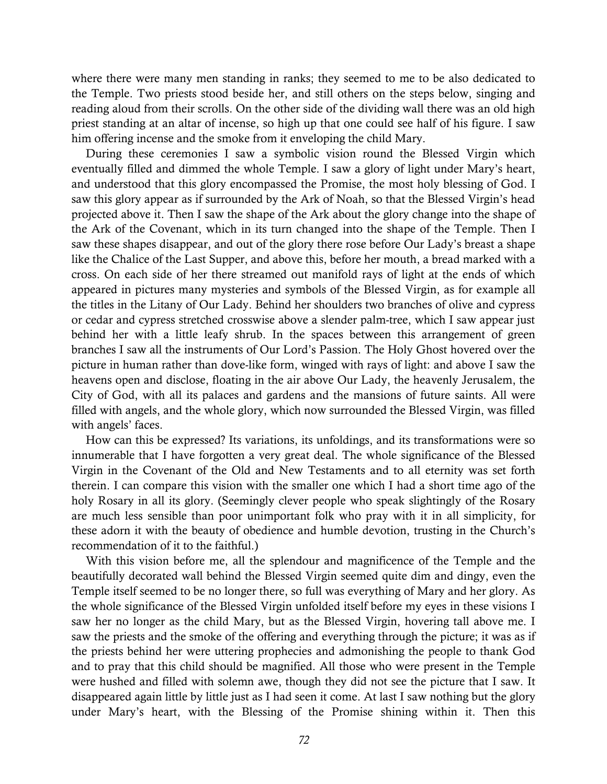where there were many men standing in ranks; they seemed to me to be also dedicated to the Temple. Two priests stood beside her, and still others on the steps below, singing and reading aloud from their scrolls. On the other side of the dividing wall there was an old high priest standing at an altar of incense, so high up that one could see half of his figure. I saw him offering incense and the smoke from it enveloping the child Mary.

During these ceremonies I saw a symbolic vision round the Blessed Virgin which eventually filled and dimmed the whole Temple. I saw a glory of light under Mary's heart, and understood that this glory encompassed the Promise, the most holy blessing of God. I saw this glory appear as if surrounded by the Ark of Noah, so that the Blessed Virgin's head projected above it. Then I saw the shape of the Ark about the glory change into the shape of the Ark of the Covenant, which in its turn changed into the shape of the Temple. Then I saw these shapes disappear, and out of the glory there rose before Our Lady's breast a shape like the Chalice of the Last Supper, and above this, before her mouth, a bread marked with a cross. On each side of her there streamed out manifold rays of light at the ends of which appeared in pictures many mysteries and symbols of the Blessed Virgin, as for example all the titles in the Litany of Our Lady. Behind her shoulders two branches of olive and cypress or cedar and cypress stretched crosswise above a slender palm-tree, which I saw appear just behind her with a little leafy shrub. In the spaces between this arrangement of green branches I saw all the instruments of Our Lord's Passion. The Holy Ghost hovered over the picture in human rather than dove-like form, winged with rays of light: and above I saw the heavens open and disclose, floating in the air above Our Lady, the heavenly Jerusalem, the City of God, with all its palaces and gardens and the mansions of future saints. All were filled with angels, and the whole glory, which now surrounded the Blessed Virgin, was filled with angels' faces.

How can this be expressed? Its variations, its unfoldings, and its transformations were so innumerable that I have forgotten a very great deal. The whole significance of the Blessed Virgin in the Covenant of the Old and New Testaments and to all eternity was set forth therein. I can compare this vision with the smaller one which I had a short time ago of the holy Rosary in all its glory. (Seemingly clever people who speak slightingly of the Rosary are much less sensible than poor unimportant folk who pray with it in all simplicity, for these adorn it with the beauty of obedience and humble devotion, trusting in the Church's recommendation of it to the faithful.)

With this vision before me, all the splendour and magnificence of the Temple and the beautifully decorated wall behind the Blessed Virgin seemed quite dim and dingy, even the Temple itself seemed to be no longer there, so full was everything of Mary and her glory. As the whole significance of the Blessed Virgin unfolded itself before my eyes in these visions I saw her no longer as the child Mary, but as the Blessed Virgin, hovering tall above me. I saw the priests and the smoke of the offering and everything through the picture; it was as if the priests behind her were uttering prophecies and admonishing the people to thank God and to pray that this child should be magnified. All those who were present in the Temple were hushed and filled with solemn awe, though they did not see the picture that I saw. It disappeared again little by little just as I had seen it come. At last I saw nothing but the glory under Mary's heart, with the Blessing of the Promise shining within it. Then this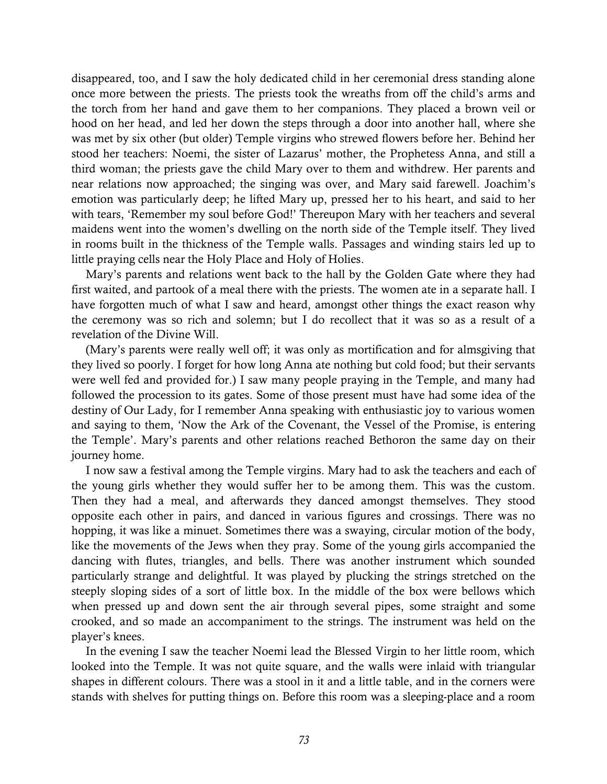disappeared, too, and I saw the holy dedicated child in her ceremonial dress standing alone once more between the priests. The priests took the wreaths from off the child's arms and the torch from her hand and gave them to her companions. They placed a brown veil or hood on her head, and led her down the steps through a door into another hall, where she was met by six other (but older) Temple virgins who strewed flowers before her. Behind her stood her teachers: Noemi, the sister of Lazarus' mother, the Prophetess Anna, and still a third woman; the priests gave the child Mary over to them and withdrew. Her parents and near relations now approached; the singing was over, and Mary said farewell. Joachim's emotion was particularly deep; he lifted Mary up, pressed her to his heart, and said to her with tears, 'Remember my soul before God!' Thereupon Mary with her teachers and several maidens went into the women's dwelling on the north side of the Temple itself. They lived in rooms built in the thickness of the Temple walls. Passages and winding stairs led up to little praying cells near the Holy Place and Holy of Holies.

Mary's parents and relations went back to the hall by the Golden Gate where they had first waited, and partook of a meal there with the priests. The women ate in a separate hall. I have forgotten much of what I saw and heard, amongst other things the exact reason why the ceremony was so rich and solemn; but I do recollect that it was so as a result of a revelation of the Divine Will.

(Mary's parents were really well off; it was only as mortification and for almsgiving that they lived so poorly. I forget for how long Anna ate nothing but cold food; but their servants were well fed and provided for.) I saw many people praying in the Temple, and many had followed the procession to its gates. Some of those present must have had some idea of the destiny of Our Lady, for I remember Anna speaking with enthusiastic joy to various women and saying to them, 'Now the Ark of the Covenant, the Vessel of the Promise, is entering the Temple'. Mary's parents and other relations reached Bethoron the same day on their journey home.

I now saw a festival among the Temple virgins. Mary had to ask the teachers and each of the young girls whether they would suffer her to be among them. This was the custom. Then they had a meal, and afterwards they danced amongst themselves. They stood opposite each other in pairs, and danced in various figures and crossings. There was no hopping, it was like a minuet. Sometimes there was a swaying, circular motion of the body, like the movements of the Jews when they pray. Some of the young girls accompanied the dancing with flutes, triangles, and bells. There was another instrument which sounded particularly strange and delightful. It was played by plucking the strings stretched on the steeply sloping sides of a sort of little box. In the middle of the box were bellows which when pressed up and down sent the air through several pipes, some straight and some crooked, and so made an accompaniment to the strings. The instrument was held on the player's knees.

In the evening I saw the teacher Noemi lead the Blessed Virgin to her little room, which looked into the Temple. It was not quite square, and the walls were inlaid with triangular shapes in different colours. There was a stool in it and a little table, and in the corners were stands with shelves for putting things on. Before this room was a sleeping-place and a room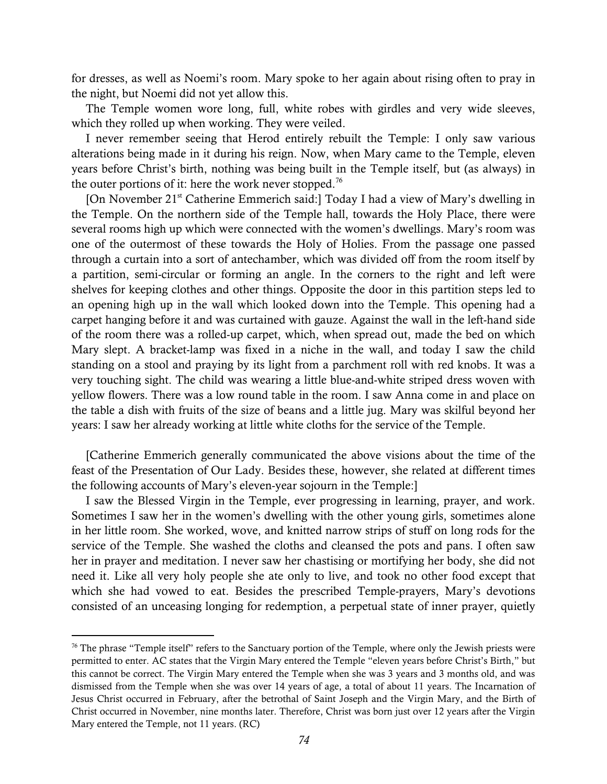for dresses, as well as Noemi's room. Mary spoke to her again about rising often to pray in the night, but Noemi did not yet allow this.

The Temple women wore long, full, white robes with girdles and very wide sleeves, which they rolled up when working. They were veiled.

I never remember seeing that Herod entirely rebuilt the Temple: I only saw various alterations being made in it during his reign. Now, when Mary came to the Temple, eleven years before Christ's birth, nothing was being built in the Temple itself, but (as always) in the outer portions of it: here the work never stopped.<sup>76</sup>

[On November 21<sup>st</sup> Catherine Emmerich said:] Today I had a view of Mary's dwelling in the Temple. On the northern side of the Temple hall, towards the Holy Place, there were several rooms high up which were connected with the women's dwellings. Mary's room was one of the outermost of these towards the Holy of Holies. From the passage one passed through a curtain into a sort of antechamber, which was divided off from the room itself by a partition, semi-circular or forming an angle. In the corners to the right and left were shelves for keeping clothes and other things. Opposite the door in this partition steps led to an opening high up in the wall which looked down into the Temple. This opening had a carpet hanging before it and was curtained with gauze. Against the wall in the left-hand side of the room there was a rolled-up carpet, which, when spread out, made the bed on which Mary slept. A bracket-lamp was fixed in a niche in the wall, and today I saw the child standing on a stool and praying by its light from a parchment roll with red knobs. It was a very touching sight. The child was wearing a little blue-and-white striped dress woven with yellow flowers. There was a low round table in the room. I saw Anna come in and place on the table a dish with fruits of the size of beans and a little jug. Mary was skilful beyond her years: I saw her already working at little white cloths for the service of the Temple.

[Catherine Emmerich generally communicated the above visions about the time of the feast of the Presentation of Our Lady. Besides these, however, she related at different times the following accounts of Mary's eleven-year sojourn in the Temple:]

I saw the Blessed Virgin in the Temple, ever progressing in learning, prayer, and work. Sometimes I saw her in the women's dwelling with the other young girls, sometimes alone in her little room. She worked, wove, and knitted narrow strips of stuff on long rods for the service of the Temple. She washed the cloths and cleansed the pots and pans. I often saw her in prayer and meditation. I never saw her chastising or mortifying her body, she did not need it. Like all very holy people she ate only to live, and took no other food except that which she had vowed to eat. Besides the prescribed Temple-prayers, Mary's devotions consisted of an unceasing longing for redemption, a perpetual state of inner prayer, quietly

 $76$  The phrase "Temple itself" refers to the Sanctuary portion of the Temple, where only the Jewish priests were permitted to enter. AC states that the Virgin Mary entered the Temple "eleven years before Christ's Birth," but this cannot be correct. The Virgin Mary entered the Temple when she was 3 years and 3 months old, and was dismissed from the Temple when she was over 14 years of age, a total of about 11 years. The Incarnation of Jesus Christ occurred in February, after the betrothal of Saint Joseph and the Virgin Mary, and the Birth of Christ occurred in November, nine months later. Therefore, Christ was born just over 12 years after the Virgin Mary entered the Temple, not 11 years. (RC)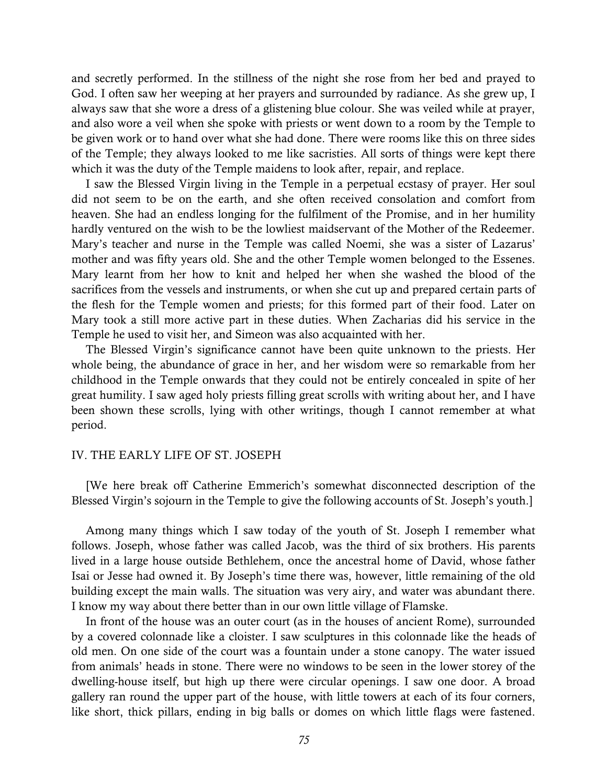and secretly performed. In the stillness of the night she rose from her bed and prayed to God. I often saw her weeping at her prayers and surrounded by radiance. As she grew up, I always saw that she wore a dress of a glistening blue colour. She was veiled while at prayer, and also wore a veil when she spoke with priests or went down to a room by the Temple to be given work or to hand over what she had done. There were rooms like this on three sides of the Temple; they always looked to me like sacristies. All sorts of things were kept there which it was the duty of the Temple maidens to look after, repair, and replace.

I saw the Blessed Virgin living in the Temple in a perpetual ecstasy of prayer. Her soul did not seem to be on the earth, and she often received consolation and comfort from heaven. She had an endless longing for the fulfilment of the Promise, and in her humility hardly ventured on the wish to be the lowliest maidservant of the Mother of the Redeemer. Mary's teacher and nurse in the Temple was called Noemi, she was a sister of Lazarus' mother and was fifty years old. She and the other Temple women belonged to the Essenes. Mary learnt from her how to knit and helped her when she washed the blood of the sacrifices from the vessels and instruments, or when she cut up and prepared certain parts of the flesh for the Temple women and priests; for this formed part of their food. Later on Mary took a still more active part in these duties. When Zacharias did his service in the Temple he used to visit her, and Simeon was also acquainted with her.

The Blessed Virgin's significance cannot have been quite unknown to the priests. Her whole being, the abundance of grace in her, and her wisdom were so remarkable from her childhood in the Temple onwards that they could not be entirely concealed in spite of her great humility. I saw aged holy priests filling great scrolls with writing about her, and I have been shown these scrolls, lying with other writings, though I cannot remember at what period.

#### IV. THE EARLY LIFE OF ST. JOSEPH

[We here break off Catherine Emmerich's somewhat disconnected description of the Blessed Virgin's sojourn in the Temple to give the following accounts of St. Joseph's youth.]

Among many things which I saw today of the youth of St. Joseph I remember what follows. Joseph, whose father was called Jacob, was the third of six brothers. His parents lived in a large house outside Bethlehem, once the ancestral home of David, whose father Isai or Jesse had owned it. By Joseph's time there was, however, little remaining of the old building except the main walls. The situation was very airy, and water was abundant there. I know my way about there better than in our own little village of Flamske.

In front of the house was an outer court (as in the houses of ancient Rome), surrounded by a covered colonnade like a cloister. I saw sculptures in this colonnade like the heads of old men. On one side of the court was a fountain under a stone canopy. The water issued from animals' heads in stone. There were no windows to be seen in the lower storey of the dwelling-house itself, but high up there were circular openings. I saw one door. A broad gallery ran round the upper part of the house, with little towers at each of its four corners, like short, thick pillars, ending in big balls or domes on which little flags were fastened.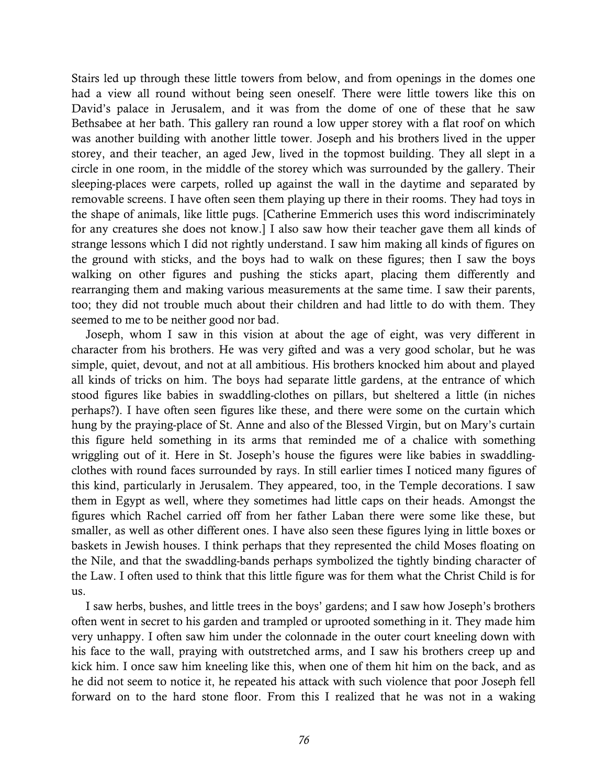Stairs led up through these little towers from below, and from openings in the domes one had a view all round without being seen oneself. There were little towers like this on David's palace in Jerusalem, and it was from the dome of one of these that he saw Bethsabee at her bath. This gallery ran round a low upper storey with a flat roof on which was another building with another little tower. Joseph and his brothers lived in the upper storey, and their teacher, an aged Jew, lived in the topmost building. They all slept in a circle in one room, in the middle of the storey which was surrounded by the gallery. Their sleeping-places were carpets, rolled up against the wall in the daytime and separated by removable screens. I have often seen them playing up there in their rooms. They had toys in the shape of animals, like little pugs. [Catherine Emmerich uses this word indiscriminately for any creatures she does not know.] I also saw how their teacher gave them all kinds of strange lessons which I did not rightly understand. I saw him making all kinds of figures on the ground with sticks, and the boys had to walk on these figures; then I saw the boys walking on other figures and pushing the sticks apart, placing them differently and rearranging them and making various measurements at the same time. I saw their parents, too; they did not trouble much about their children and had little to do with them. They seemed to me to be neither good nor bad.

Joseph, whom I saw in this vision at about the age of eight, was very different in character from his brothers. He was very gifted and was a very good scholar, but he was simple, quiet, devout, and not at all ambitious. His brothers knocked him about and played all kinds of tricks on him. The boys had separate little gardens, at the entrance of which stood figures like babies in swaddling-clothes on pillars, but sheltered a little (in niches perhaps?). I have often seen figures like these, and there were some on the curtain which hung by the praying-place of St. Anne and also of the Blessed Virgin, but on Mary's curtain this figure held something in its arms that reminded me of a chalice with something wriggling out of it. Here in St. Joseph's house the figures were like babies in swaddlingclothes with round faces surrounded by rays. In still earlier times I noticed many figures of this kind, particularly in Jerusalem. They appeared, too, in the Temple decorations. I saw them in Egypt as well, where they sometimes had little caps on their heads. Amongst the figures which Rachel carried off from her father Laban there were some like these, but smaller, as well as other different ones. I have also seen these figures lying in little boxes or baskets in Jewish houses. I think perhaps that they represented the child Moses floating on the Nile, and that the swaddling-bands perhaps symbolized the tightly binding character of the Law. I often used to think that this little figure was for them what the Christ Child is for us.

I saw herbs, bushes, and little trees in the boys' gardens; and I saw how Joseph's brothers often went in secret to his garden and trampled or uprooted something in it. They made him very unhappy. I often saw him under the colonnade in the outer court kneeling down with his face to the wall, praying with outstretched arms, and I saw his brothers creep up and kick him. I once saw him kneeling like this, when one of them hit him on the back, and as he did not seem to notice it, he repeated his attack with such violence that poor Joseph fell forward on to the hard stone floor. From this I realized that he was not in a waking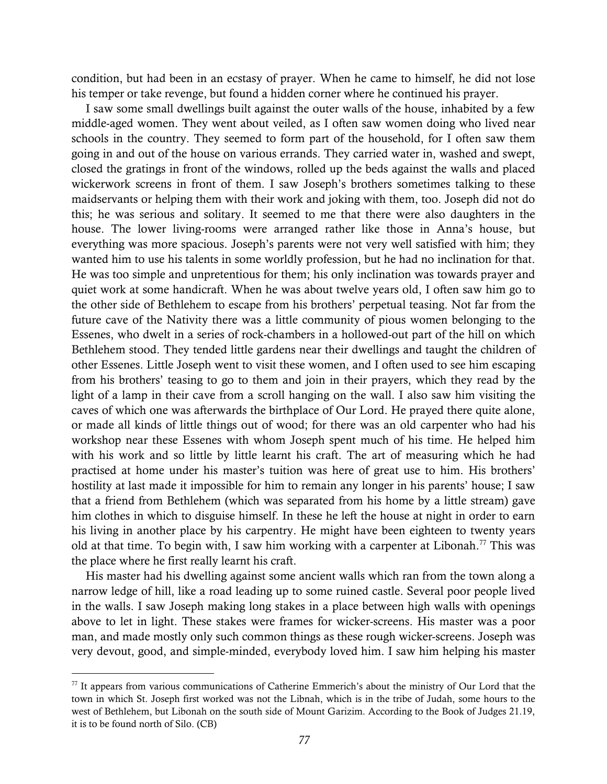condition, but had been in an ecstasy of prayer. When he came to himself, he did not lose his temper or take revenge, but found a hidden corner where he continued his prayer.

I saw some small dwellings built against the outer walls of the house, inhabited by a few middle-aged women. They went about veiled, as I often saw women doing who lived near schools in the country. They seemed to form part of the household, for I often saw them going in and out of the house on various errands. They carried water in, washed and swept, closed the gratings in front of the windows, rolled up the beds against the walls and placed wickerwork screens in front of them. I saw Joseph's brothers sometimes talking to these maidservants or helping them with their work and joking with them, too. Joseph did not do this; he was serious and solitary. It seemed to me that there were also daughters in the house. The lower living-rooms were arranged rather like those in Anna's house, but everything was more spacious. Joseph's parents were not very well satisfied with him; they wanted him to use his talents in some worldly profession, but he had no inclination for that. He was too simple and unpretentious for them; his only inclination was towards prayer and quiet work at some handicraft. When he was about twelve years old, I often saw him go to the other side of Bethlehem to escape from his brothers' perpetual teasing. Not far from the future cave of the Nativity there was a little community of pious women belonging to the Essenes, who dwelt in a series of rock-chambers in a hollowed-out part of the hill on which Bethlehem stood. They tended little gardens near their dwellings and taught the children of other Essenes. Little Joseph went to visit these women, and I often used to see him escaping from his brothers' teasing to go to them and join in their prayers, which they read by the light of a lamp in their cave from a scroll hanging on the wall. I also saw him visiting the caves of which one was afterwards the birthplace of Our Lord. He prayed there quite alone, or made all kinds of little things out of wood; for there was an old carpenter who had his workshop near these Essenes with whom Joseph spent much of his time. He helped him with his work and so little by little learnt his craft. The art of measuring which he had practised at home under his master's tuition was here of great use to him. His brothers' hostility at last made it impossible for him to remain any longer in his parents' house; I saw that a friend from Bethlehem (which was separated from his home by a little stream) gave him clothes in which to disguise himself. In these he left the house at night in order to earn his living in another place by his carpentry. He might have been eighteen to twenty years old at that time. To begin with, I saw him working with a carpenter at Libonah.<sup>77</sup> This was the place where he first really learnt his craft.

His master had his dwelling against some ancient walls which ran from the town along a narrow ledge of hill, like a road leading up to some ruined castle. Several poor people lived in the walls. I saw Joseph making long stakes in a place between high walls with openings above to let in light. These stakes were frames for wicker-screens. His master was a poor man, and made mostly only such common things as these rough wicker-screens. Joseph was very devout, good, and simple-minded, everybody loved him. I saw him helping his master

<sup>&</sup>lt;sup>77</sup> It appears from various communications of Catherine Emmerich's about the ministry of Our Lord that the town in which St. Joseph first worked was not the Libnah, which is in the tribe of Judah, some hours to the west of Bethlehem, but Libonah on the south side of Mount Garizim. According to the Book of Judges 21.19, it is to be found north of Silo. (CB)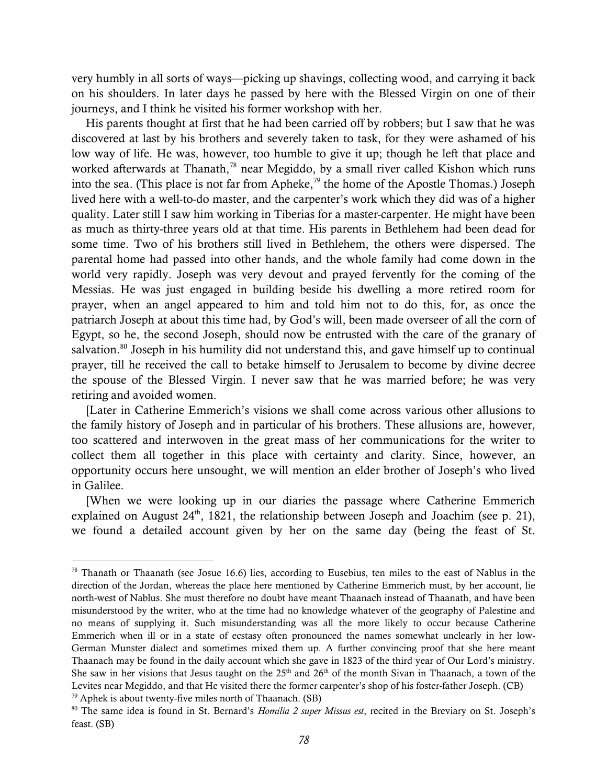very humbly in all sorts of ways—picking up shavings, collecting wood, and carrying it back on his shoulders. In later days he passed by here with the Blessed Virgin on one of their journeys, and I think he visited his former workshop with her.

His parents thought at first that he had been carried off by robbers; but I saw that he was discovered at last by his brothers and severely taken to task, for they were ashamed of his low way of life. He was, however, too humble to give it up; though he left that place and worked afterwards at Thanath,<sup>78</sup> near Megiddo, by a small river called Kishon which runs into the sea. (This place is not far from Apheke,<sup>79</sup> the home of the Apostle Thomas.) Joseph lived here with a well-to-do master, and the carpenter's work which they did was of a higher quality. Later still I saw him working in Tiberias for a master-carpenter. He might have been as much as thirty-three years old at that time. His parents in Bethlehem had been dead for some time. Two of his brothers still lived in Bethlehem, the others were dispersed. The parental home had passed into other hands, and the whole family had come down in the world very rapidly. Joseph was very devout and prayed fervently for the coming of the Messias. He was just engaged in building beside his dwelling a more retired room for prayer, when an angel appeared to him and told him not to do this, for, as once the patriarch Joseph at about this time had, by God's will, been made overseer of all the corn of Egypt, so he, the second Joseph, should now be entrusted with the care of the granary of salvation.<sup>80</sup> Joseph in his humility did not understand this, and gave himself up to continual prayer, till he received the call to betake himself to Jerusalem to become by divine decree the spouse of the Blessed Virgin. I never saw that he was married before; he was very retiring and avoided women.

[Later in Catherine Emmerich's visions we shall come across various other allusions to the family history of Joseph and in particular of his brothers. These allusions are, however, too scattered and interwoven in the great mass of her communications for the writer to collect them all together in this place with certainty and clarity. Since, however, an opportunity occurs here unsought, we will mention an elder brother of Joseph's who lived in Galilee.

[When we were looking up in our diaries the passage where Catherine Emmerich explained on August  $24<sup>th</sup>$ , 1821, the relationship between Joseph and Joachim (see p. 21), we found a detailed account given by her on the same day (being the feast of St.

 $78$  Thanath or Thaanath (see Josue 16.6) lies, according to Eusebius, ten miles to the east of Nablus in the direction of the Jordan, whereas the place here mentioned by Catherine Emmerich must, by her account, lie north-west of Nablus. She must therefore no doubt have meant Thaanach instead of Thaanath, and have been misunderstood by the writer, who at the time had no knowledge whatever of the geography of Palestine and no means of supplying it. Such misunderstanding was all the more likely to occur because Catherine Emmerich when ill or in a state of ecstasy often pronounced the names somewhat unclearly in her low-German Munster dialect and sometimes mixed them up. A further convincing proof that she here meant Thaanach may be found in the daily account which she gave in 1823 of the third year of Our Lord's ministry. She saw in her visions that Jesus taught on the  $25<sup>th</sup>$  and  $26<sup>th</sup>$  of the month Sivan in Thaanach, a town of the Levites near Megiddo, and that He visited there the former carpenter's shop of his foster-father Joseph. (CB)  $79$  Aphek is about twenty-five miles north of Thaanach. (SB)

<sup>80</sup> The same idea is found in St. Bernard's *Homilia 2 super Missus est*, recited in the Breviary on St. Joseph's feast. (SB)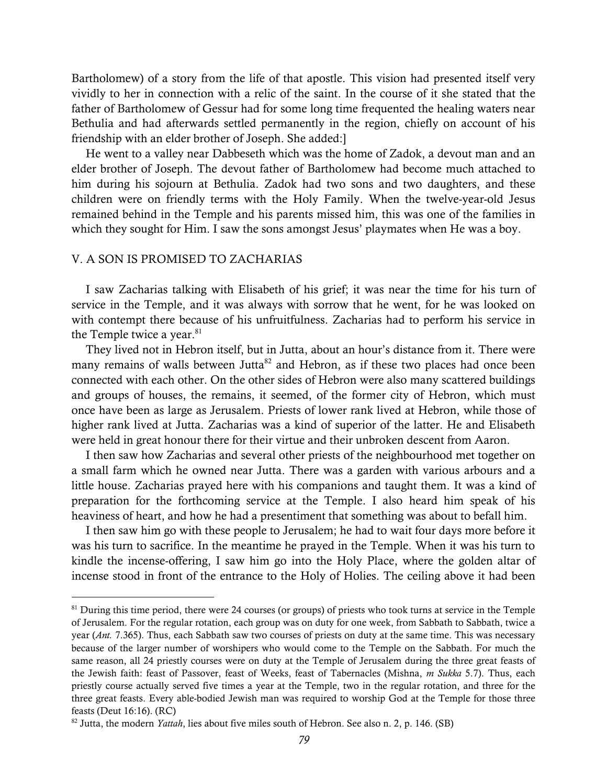Bartholomew) of a story from the life of that apostle. This vision had presented itself very vividly to her in connection with a relic of the saint. In the course of it she stated that the father of Bartholomew of Gessur had for some long time frequented the healing waters near Bethulia and had afterwards settled permanently in the region, chiefly on account of his friendship with an elder brother of Joseph. She added:]

He went to a valley near Dabbeseth which was the home of Zadok, a devout man and an elder brother of Joseph. The devout father of Bartholomew had become much attached to him during his sojourn at Bethulia. Zadok had two sons and two daughters, and these children were on friendly terms with the Holy Family. When the twelve-year-old Jesus remained behind in the Temple and his parents missed him, this was one of the families in which they sought for Him. I saw the sons amongst Jesus' playmates when He was a boy.

## V. A SON IS PROMISED TO ZACHARIAS

 $\overline{a}$ 

I saw Zacharias talking with Elisabeth of his grief; it was near the time for his turn of service in the Temple, and it was always with sorrow that he went, for he was looked on with contempt there because of his unfruitfulness. Zacharias had to perform his service in the Temple twice a year.<sup>81</sup>

They lived not in Hebron itself, but in Jutta, about an hour's distance from it. There were many remains of walls between Jutta<sup>82</sup> and Hebron, as if these two places had once been connected with each other. On the other sides of Hebron were also many scattered buildings and groups of houses, the remains, it seemed, of the former city of Hebron, which must once have been as large as Jerusalem. Priests of lower rank lived at Hebron, while those of higher rank lived at Jutta. Zacharias was a kind of superior of the latter. He and Elisabeth were held in great honour there for their virtue and their unbroken descent from Aaron.

I then saw how Zacharias and several other priests of the neighbourhood met together on a small farm which he owned near Jutta. There was a garden with various arbours and a little house. Zacharias prayed here with his companions and taught them. It was a kind of preparation for the forthcoming service at the Temple. I also heard him speak of his heaviness of heart, and how he had a presentiment that something was about to befall him.

I then saw him go with these people to Jerusalem; he had to wait four days more before it was his turn to sacrifice. In the meantime he prayed in the Temple. When it was his turn to kindle the incense-offering, I saw him go into the Holy Place, where the golden altar of incense stood in front of the entrance to the Holy of Holies. The ceiling above it had been

<sup>&</sup>lt;sup>81</sup> During this time period, there were 24 courses (or groups) of priests who took turns at service in the Temple of Jerusalem. For the regular rotation, each group was on duty for one week, from Sabbath to Sabbath, twice a year (*Ant.* 7.365). Thus, each Sabbath saw two courses of priests on duty at the same time. This was necessary because of the larger number of worshipers who would come to the Temple on the Sabbath. For much the same reason, all 24 priestly courses were on duty at the Temple of Jerusalem during the three great feasts of the Jewish faith: feast of Passover, feast of Weeks, feast of Tabernacles (Mishna, *m Sukka* 5.7). Thus, each priestly course actually served five times a year at the Temple, two in the regular rotation, and three for the three great feasts. Every able-bodied Jewish man was required to worship God at the Temple for those three feasts (Deut 16:16). (RC)

<sup>82</sup> Jutta, the modern *Yattah*, lies about five miles south of Hebron. See also n. 2, p. 146. (SB)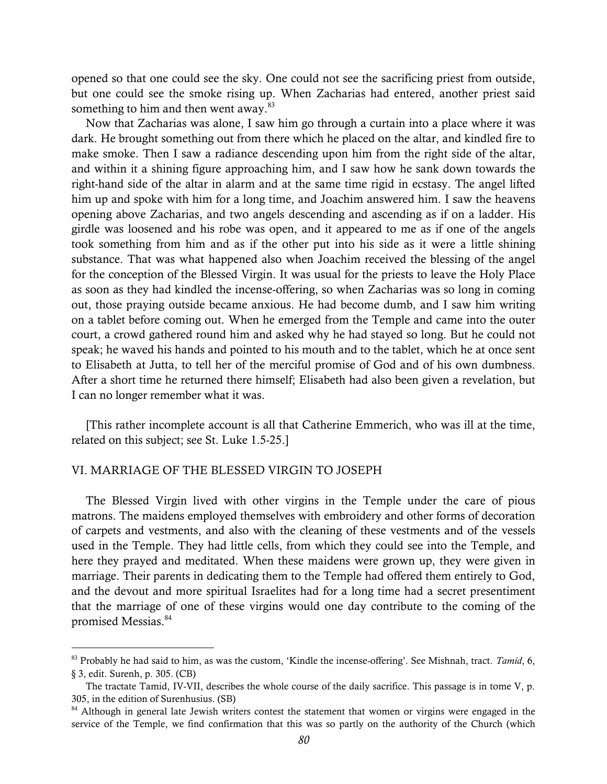opened so that one could see the sky. One could not see the sacrificing priest from outside, but one could see the smoke rising up. When Zacharias had entered, another priest said something to him and then went away.<sup>83</sup>

Now that Zacharias was alone, I saw him go through a curtain into a place where it was dark. He brought something out from there which he placed on the altar, and kindled fire to make smoke. Then I saw a radiance descending upon him from the right side of the altar, and within it a shining figure approaching him, and I saw how he sank down towards the right-hand side of the altar in alarm and at the same time rigid in ecstasy. The angel lifted him up and spoke with him for a long time, and Joachim answered him. I saw the heavens opening above Zacharias, and two angels descending and ascending as if on a ladder. His girdle was loosened and his robe was open, and it appeared to me as if one of the angels took something from him and as if the other put into his side as it were a little shining substance. That was what happened also when Joachim received the blessing of the angel for the conception of the Blessed Virgin. It was usual for the priests to leave the Holy Place as soon as they had kindled the incense-offering, so when Zacharias was so long in coming out, those praying outside became anxious. He had become dumb, and I saw him writing on a tablet before coming out. When he emerged from the Temple and came into the outer court, a crowd gathered round him and asked why he had stayed so long. But he could not speak; he waved his hands and pointed to his mouth and to the tablet, which he at once sent to Elisabeth at Jutta, to tell her of the merciful promise of God and of his own dumbness. After a short time he returned there himself; Elisabeth had also been given a revelation, but I can no longer remember what it was.

[This rather incomplete account is all that Catherine Emmerich, who was ill at the time, related on this subject; see St. Luke 1.5-25.]

## VI. MARRIAGE OF THE BLESSED VIRGIN TO JOSEPH

 $\overline{a}$ 

The Blessed Virgin lived with other virgins in the Temple under the care of pious matrons. The maidens employed themselves with embroidery and other forms of decoration of carpets and vestments, and also with the cleaning of these vestments and of the vessels used in the Temple. They had little cells, from which they could see into the Temple, and here they prayed and meditated. When these maidens were grown up, they were given in marriage. Their parents in dedicating them to the Temple had offered them entirely to God, and the devout and more spiritual Israelites had for a long time had a secret presentiment that the marriage of one of these virgins would one day contribute to the coming of the promised Messias.<sup>84</sup>

<sup>83</sup> Probably he had said to him, as was the custom, 'Kindle the incense-offering'. See Mishnah, tract. *Tamid*, 6, § 3, edit. Surenh, p. 305. (CB)

The tractate Tamid, IV-VII, describes the whole course of the daily sacrifice. This passage is in tome V, p. 305, in the edition of Surenhusius. (SB)

<sup>&</sup>lt;sup>84</sup> Although in general late Jewish writers contest the statement that women or virgins were engaged in the service of the Temple, we find confirmation that this was so partly on the authority of the Church (which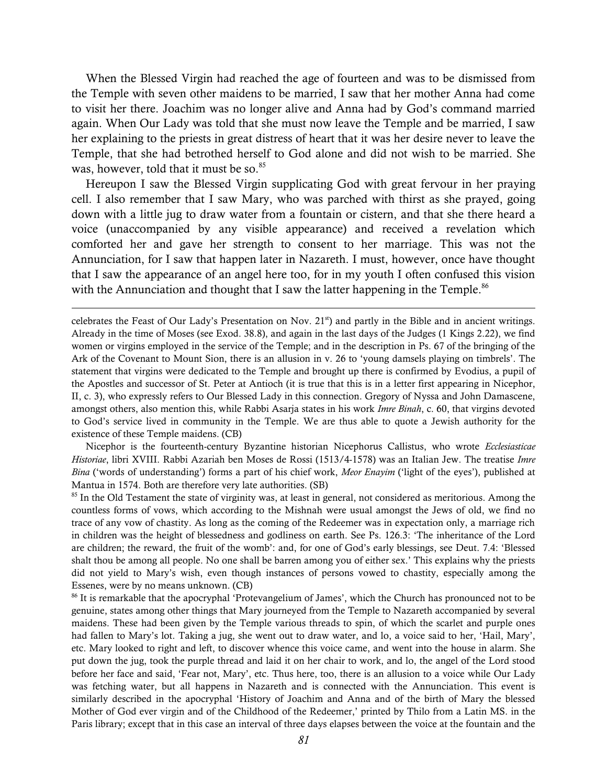When the Blessed Virgin had reached the age of fourteen and was to be dismissed from the Temple with seven other maidens to be married, I saw that her mother Anna had come to visit her there. Joachim was no longer alive and Anna had by God's command married again. When Our Lady was told that she must now leave the Temple and be married, I saw her explaining to the priests in great distress of heart that it was her desire never to leave the Temple, that she had betrothed herself to God alone and did not wish to be married. She was, however, told that it must be so.<sup>85</sup>

Hereupon I saw the Blessed Virgin supplicating God with great fervour in her praying cell. I also remember that I saw Mary, who was parched with thirst as she prayed, going down with a little jug to draw water from a fountain or cistern, and that she there heard a voice (unaccompanied by any visible appearance) and received a revelation which comforted her and gave her strength to consent to her marriage. This was not the Annunciation, for I saw that happen later in Nazareth. I must, however, once have thought that I saw the appearance of an angel here too, for in my youth I often confused this vision with the Annunciation and thought that I saw the latter happening in the Temple.<sup>86</sup>

 $\overline{a}$ 

celebrates the Feast of Our Lady's Presentation on Nov. 21st) and partly in the Bible and in ancient writings. Already in the time of Moses (see Exod. 38.8), and again in the last days of the Judges (1 Kings 2.22), we find women or virgins employed in the service of the Temple; and in the description in Ps. 67 of the bringing of the Ark of the Covenant to Mount Sion, there is an allusion in v. 26 to 'young damsels playing on timbrels'. The statement that virgins were dedicated to the Temple and brought up there is confirmed by Evodius, a pupil of the Apostles and successor of St. Peter at Antioch (it is true that this is in a letter first appearing in Nicephor, II, c. 3), who expressly refers to Our Blessed Lady in this connection. Gregory of Nyssa and John Damascene, amongst others, also mention this, while Rabbi Asarja states in his work *Imre Binah*, c. 60, that virgins devoted to God's service lived in community in the Temple. We are thus able to quote a Jewish authority for the existence of these Temple maidens. (CB)

Nicephor is the fourteenth-century Byzantine historian Nicephorus Callistus, who wrote *Ecclesiasticae Historiae*, libri XVIII. Rabbi Azariah ben Moses de Rossi (1513/4-1578) was an Italian Jew. The treatise *Imre Bina* ('words of understanding') forms a part of his chief work, *Meor Enayim* ('light of the eyes'), published at Mantua in 1574. Both are therefore very late authorities. (SB)

<sup>85</sup> In the Old Testament the state of virginity was, at least in general, not considered as meritorious. Among the countless forms of vows, which according to the Mishnah were usual amongst the Jews of old, we find no trace of any vow of chastity. As long as the coming of the Redeemer was in expectation only, a marriage rich in children was the height of blessedness and godliness on earth. See Ps. 126.3: 'The inheritance of the Lord are children; the reward, the fruit of the womb': and, for one of God's early blessings, see Deut. 7.4: 'Blessed shalt thou be among all people. No one shall be barren among you of either sex.' This explains why the priests did not yield to Mary's wish, even though instances of persons vowed to chastity, especially among the Essenes, were by no means unknown. (CB)

<sup>86</sup> It is remarkable that the apocryphal 'Protevangelium of James', which the Church has pronounced not to be genuine, states among other things that Mary journeyed from the Temple to Nazareth accompanied by several maidens. These had been given by the Temple various threads to spin, of which the scarlet and purple ones had fallen to Mary's lot. Taking a jug, she went out to draw water, and lo, a voice said to her, 'Hail, Mary', etc. Mary looked to right and left, to discover whence this voice came, and went into the house in alarm. She put down the jug, took the purple thread and laid it on her chair to work, and lo, the angel of the Lord stood before her face and said, 'Fear not, Mary', etc. Thus here, too, there is an allusion to a voice while Our Lady was fetching water, but all happens in Nazareth and is connected with the Annunciation. This event is similarly described in the apocryphal 'History of Joachim and Anna and of the birth of Mary the blessed Mother of God ever virgin and of the Childhood of the Redeemer,' printed by Thilo from a Latin MS. in the Paris library; except that in this case an interval of three days elapses between the voice at the fountain and the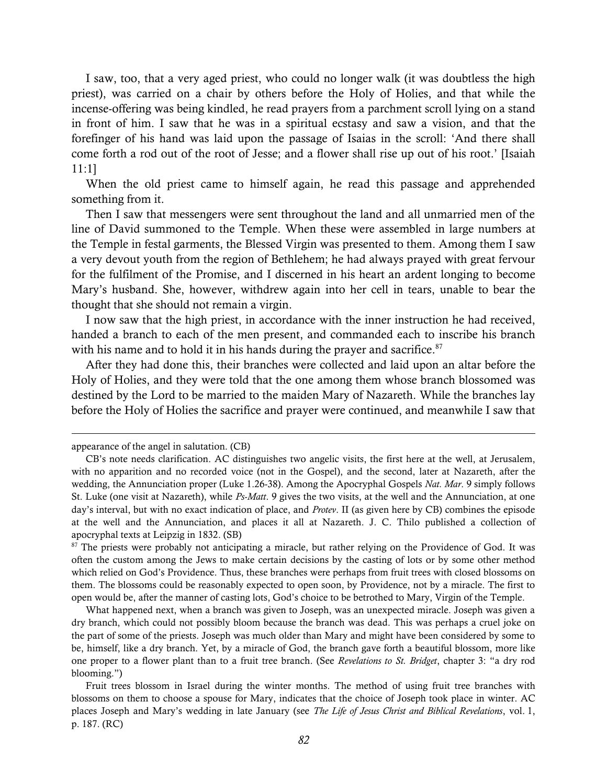I saw, too, that a very aged priest, who could no longer walk (it was doubtless the high priest), was carried on a chair by others before the Holy of Holies, and that while the incense-offering was being kindled, he read prayers from a parchment scroll lying on a stand in front of him. I saw that he was in a spiritual ecstasy and saw a vision, and that the forefinger of his hand was laid upon the passage of Isaias in the scroll: 'And there shall come forth a rod out of the root of Jesse; and a flower shall rise up out of his root.' [Isaiah 11:1]

When the old priest came to himself again, he read this passage and apprehended something from it.

Then I saw that messengers were sent throughout the land and all unmarried men of the line of David summoned to the Temple. When these were assembled in large numbers at the Temple in festal garments, the Blessed Virgin was presented to them. Among them I saw a very devout youth from the region of Bethlehem; he had always prayed with great fervour for the fulfilment of the Promise, and I discerned in his heart an ardent longing to become Mary's husband. She, however, withdrew again into her cell in tears, unable to bear the thought that she should not remain a virgin.

I now saw that the high priest, in accordance with the inner instruction he had received, handed a branch to each of the men present, and commanded each to inscribe his branch with his name and to hold it in his hands during the prayer and sacrifice. $87$ 

After they had done this, their branches were collected and laid upon an altar before the Holy of Holies, and they were told that the one among them whose branch blossomed was destined by the Lord to be married to the maiden Mary of Nazareth. While the branches lay before the Holy of Holies the sacrifice and prayer were continued, and meanwhile I saw that

appearance of the angel in salutation. (CB)

CB's note needs clarification. AC distinguishes two angelic visits, the first here at the well, at Jerusalem, with no apparition and no recorded voice (not in the Gospel), and the second, later at Nazareth, after the wedding, the Annunciation proper (Luke 1.26-38). Among the Apocryphal Gospels *Nat. Mar*. 9 simply follows St. Luke (one visit at Nazareth), while *Ps-Matt*. 9 gives the two visits, at the well and the Annunciation, at one day's interval, but with no exact indication of place, and *Protev*. II (as given here by CB) combines the episode at the well and the Annunciation, and places it all at Nazareth. J. C. Thilo published a collection of apocryphal texts at Leipzig in 1832. (SB)

<sup>&</sup>lt;sup>87</sup> The priests were probably not anticipating a miracle, but rather relying on the Providence of God. It was often the custom among the Jews to make certain decisions by the casting of lots or by some other method which relied on God's Providence. Thus, these branches were perhaps from fruit trees with closed blossoms on them. The blossoms could be reasonably expected to open soon, by Providence, not by a miracle. The first to open would be, after the manner of casting lots, God's choice to be betrothed to Mary, Virgin of the Temple.

What happened next, when a branch was given to Joseph, was an unexpected miracle. Joseph was given a dry branch, which could not possibly bloom because the branch was dead. This was perhaps a cruel joke on the part of some of the priests. Joseph was much older than Mary and might have been considered by some to be, himself, like a dry branch. Yet, by a miracle of God, the branch gave forth a beautiful blossom, more like one proper to a flower plant than to a fruit tree branch. (See *Revelations to St. Bridget*, chapter 3: "a dry rod blooming.")

Fruit trees blossom in Israel during the winter months. The method of using fruit tree branches with blossoms on them to choose a spouse for Mary, indicates that the choice of Joseph took place in winter. AC places Joseph and Mary's wedding in late January (see *The Life of Jesus Christ and Biblical Revelations*, vol. 1, p. 187. (RC)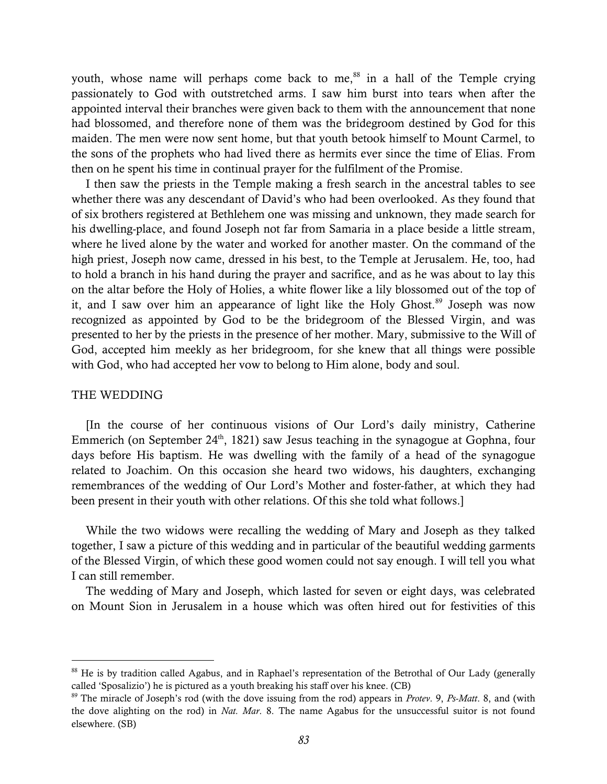youth, whose name will perhaps come back to me,<sup>88</sup> in a hall of the Temple crying passionately to God with outstretched arms. I saw him burst into tears when after the appointed interval their branches were given back to them with the announcement that none had blossomed, and therefore none of them was the bridegroom destined by God for this maiden. The men were now sent home, but that youth betook himself to Mount Carmel, to the sons of the prophets who had lived there as hermits ever since the time of Elias. From then on he spent his time in continual prayer for the fulfilment of the Promise.

I then saw the priests in the Temple making a fresh search in the ancestral tables to see whether there was any descendant of David's who had been overlooked. As they found that of six brothers registered at Bethlehem one was missing and unknown, they made search for his dwelling-place, and found Joseph not far from Samaria in a place beside a little stream, where he lived alone by the water and worked for another master. On the command of the high priest, Joseph now came, dressed in his best, to the Temple at Jerusalem. He, too, had to hold a branch in his hand during the prayer and sacrifice, and as he was about to lay this on the altar before the Holy of Holies, a white flower like a lily blossomed out of the top of it, and I saw over him an appearance of light like the Holy Ghost.<sup>89</sup> Joseph was now recognized as appointed by God to be the bridegroom of the Blessed Virgin, and was presented to her by the priests in the presence of her mother. Mary, submissive to the Will of God, accepted him meekly as her bridegroom, for she knew that all things were possible with God, who had accepted her vow to belong to Him alone, body and soul.

#### THE WEDDING

 $\overline{a}$ 

[In the course of her continuous visions of Our Lord's daily ministry, Catherine Emmerich (on September  $24<sup>th</sup>$ , 1821) saw Jesus teaching in the synagogue at Gophna, four days before His baptism. He was dwelling with the family of a head of the synagogue related to Joachim. On this occasion she heard two widows, his daughters, exchanging remembrances of the wedding of Our Lord's Mother and foster-father, at which they had been present in their youth with other relations. Of this she told what follows.]

While the two widows were recalling the wedding of Mary and Joseph as they talked together, I saw a picture of this wedding and in particular of the beautiful wedding garments of the Blessed Virgin, of which these good women could not say enough. I will tell you what I can still remember.

The wedding of Mary and Joseph, which lasted for seven or eight days, was celebrated on Mount Sion in Jerusalem in a house which was often hired out for festivities of this

<sup>&</sup>lt;sup>88</sup> He is by tradition called Agabus, and in Raphael's representation of the Betrothal of Our Lady (generally called 'Sposalizio') he is pictured as a youth breaking his staff over his knee. (CB)

<sup>89</sup> The miracle of Joseph's rod (with the dove issuing from the rod) appears in *Protev*. 9, *Ps-Matt*. 8, and (with the dove alighting on the rod) in *Nat. Mar*. 8. The name Agabus for the unsuccessful suitor is not found elsewhere. (SB)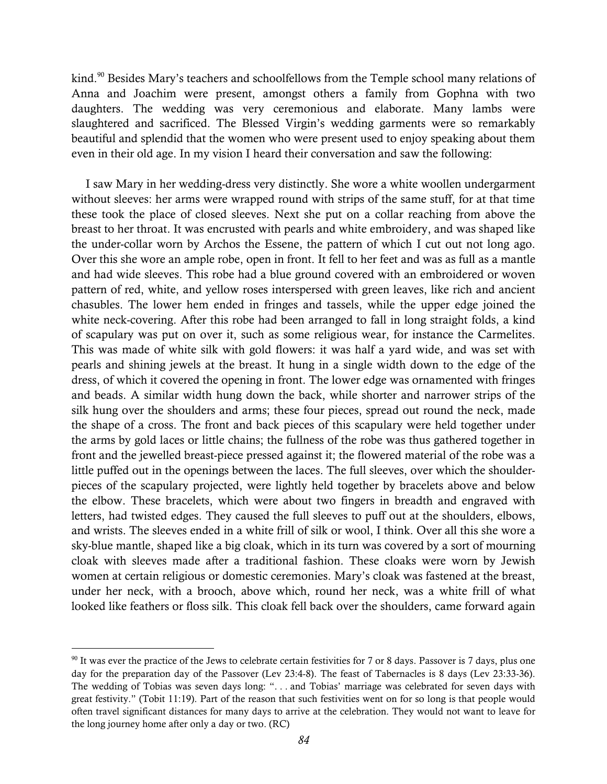kind.<sup>90</sup> Besides Mary's teachers and schoolfellows from the Temple school many relations of Anna and Joachim were present, amongst others a family from Gophna with two daughters. The wedding was very ceremonious and elaborate. Many lambs were slaughtered and sacrificed. The Blessed Virgin's wedding garments were so remarkably beautiful and splendid that the women who were present used to enjoy speaking about them even in their old age. In my vision I heard their conversation and saw the following:

I saw Mary in her wedding-dress very distinctly. She wore a white woollen undergarment without sleeves: her arms were wrapped round with strips of the same stuff, for at that time these took the place of closed sleeves. Next she put on a collar reaching from above the breast to her throat. It was encrusted with pearls and white embroidery, and was shaped like the under-collar worn by Archos the Essene, the pattern of which I cut out not long ago. Over this she wore an ample robe, open in front. It fell to her feet and was as full as a mantle and had wide sleeves. This robe had a blue ground covered with an embroidered or woven pattern of red, white, and yellow roses interspersed with green leaves, like rich and ancient chasubles. The lower hem ended in fringes and tassels, while the upper edge joined the white neck-covering. After this robe had been arranged to fall in long straight folds, a kind of scapulary was put on over it, such as some religious wear, for instance the Carmelites. This was made of white silk with gold flowers: it was half a yard wide, and was set with pearls and shining jewels at the breast. It hung in a single width down to the edge of the dress, of which it covered the opening in front. The lower edge was ornamented with fringes and beads. A similar width hung down the back, while shorter and narrower strips of the silk hung over the shoulders and arms; these four pieces, spread out round the neck, made the shape of a cross. The front and back pieces of this scapulary were held together under the arms by gold laces or little chains; the fullness of the robe was thus gathered together in front and the jewelled breast-piece pressed against it; the flowered material of the robe was a little puffed out in the openings between the laces. The full sleeves, over which the shoulderpieces of the scapulary projected, were lightly held together by bracelets above and below the elbow. These bracelets, which were about two fingers in breadth and engraved with letters, had twisted edges. They caused the full sleeves to puff out at the shoulders, elbows, and wrists. The sleeves ended in a white frill of silk or wool, I think. Over all this she wore a sky-blue mantle, shaped like a big cloak, which in its turn was covered by a sort of mourning cloak with sleeves made after a traditional fashion. These cloaks were worn by Jewish women at certain religious or domestic ceremonies. Mary's cloak was fastened at the breast, under her neck, with a brooch, above which, round her neck, was a white frill of what looked like feathers or floss silk. This cloak fell back over the shoulders, came forward again

 $90$  It was ever the practice of the Jews to celebrate certain festivities for 7 or 8 days. Passover is 7 days, plus one day for the preparation day of the Passover (Lev 23:4-8). The feast of Tabernacles is 8 days (Lev 23:33-36). The wedding of Tobias was seven days long: ". . . and Tobias' marriage was celebrated for seven days with great festivity." (Tobit 11:19). Part of the reason that such festivities went on for so long is that people would often travel significant distances for many days to arrive at the celebration. They would not want to leave for the long journey home after only a day or two. (RC)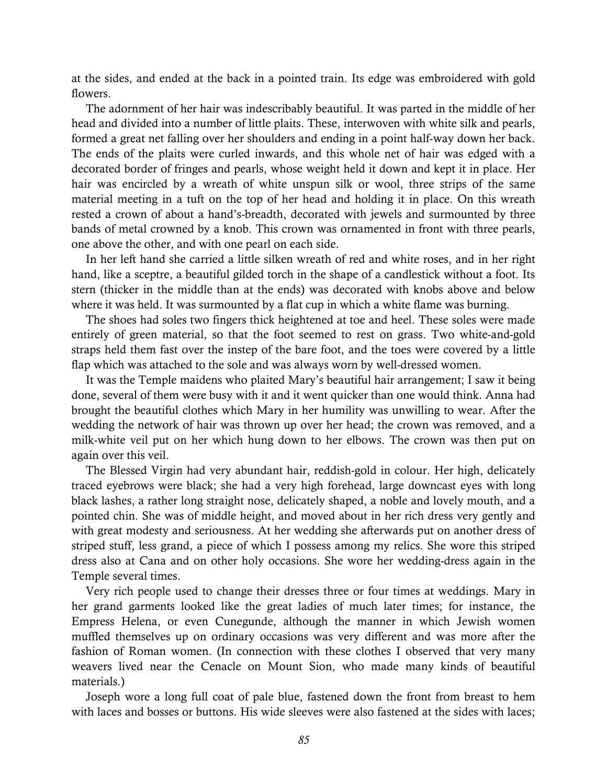at the sides, and ended at the back in a pointed train. Its edge was embroidered with gold flowers.

The adornment of her hair was indescribably beautiful. It was parted in the middle of her head and divided into a number of little plaits. These, interwoven with white silk and pearls, formed a great net falling over her shoulders and ending in a point half-way down her back. The ends of the plaits were curled inwards, and this whole net of hair was edged with a decorated border of fringes and pearls, whose weight held it down and kept it in place. Her hair was encircled by a wreath of white unspun silk or wool, three strips of the same material meeting in a tuft on the top of her head and holding it in place. On this wreath rested a crown of about a hand's-breadth, decorated with jewels and surmounted by three bands of metal crowned by a knob. This crown was ornamented in front with three pearls, one above the other, and with one pearl on each side.

In her left hand she carried a little silken wreath of red and white roses, and in her right hand, like a sceptre, a beautiful gilded torch in the shape of a candlestick without a foot. Its stern (thicker in the middle than at the ends) was decorated with knobs above and below where it was held. It was surmounted by a flat cup in which a white flame was burning.

The shoes had soles two fingers thick heightened at toe and heel. These soles were made entirely of green material, so that the foot seemed to rest on grass. Two white-and-gold straps held them fast over the instep of the bare foot, and the toes were covered by a little flap which was attached to the sole and was always worn by well-dressed women.

It was the Temple maidens who plaited Mary's beautiful hair arrangement; I saw it being done, several of them were busy with it and it went quicker than one would think. Anna had brought the beautiful clothes which Mary in her humility was unwilling to wear. After the wedding the network of hair was thrown up over her head; the crown was removed, and a milk-white veil put on her which hung down to her elbows. The crown was then put on again over this veil.

The Blessed Virgin had very abundant hair, reddish-gold in colour. Her high, delicately traced eyebrows were black; she had a very high forehead, large downcast eyes with long black lashes, a rather long straight nose, delicately shaped, a noble and lovely mouth, and a pointed chin. She was of middle height, and moved about in her rich dress very gently and with great modesty and seriousness. At her wedding she afterwards put on another dress of striped stuff, less grand, a piece of which I possess among my relics. She wore this striped dress also at Cana and on other holy occasions. She wore her wedding-dress again in the Temple several times.

Very rich people used to change their dresses three or four times at weddings. Mary in her grand garments looked like the great ladies of much later times; for instance, the Empress Helena, or even Cunegunde, although the manner in which Jewish women muffled themselves up on ordinary occasions was very different and was more after the fashion of Roman women. (In connection with these clothes I observed that very many weavers lived near the Cenacle on Mount Sion, who made many kinds of beautiful materials.)

Joseph wore a long full coat of pale blue, fastened down the front from breast to hem with laces and bosses or buttons. His wide sleeves were also fastened at the sides with laces;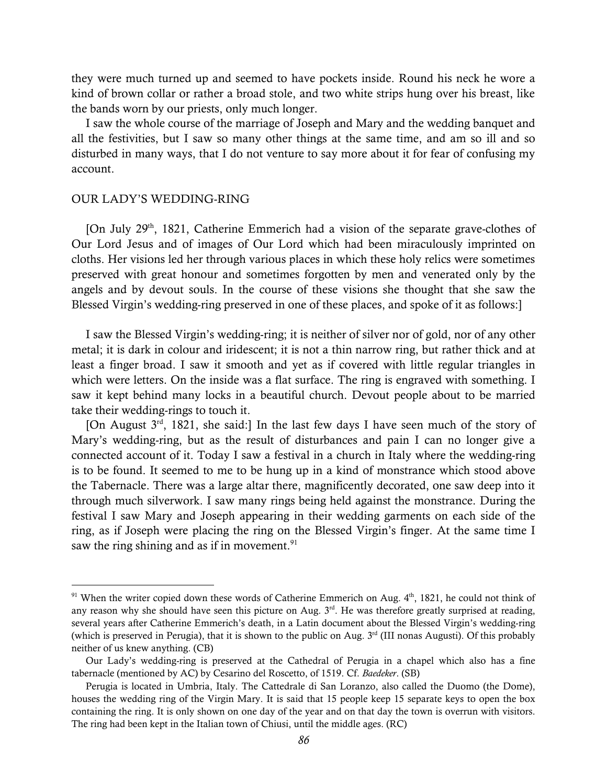they were much turned up and seemed to have pockets inside. Round his neck he wore a kind of brown collar or rather a broad stole, and two white strips hung over his breast, like the bands worn by our priests, only much longer.

I saw the whole course of the marriage of Joseph and Mary and the wedding banquet and all the festivities, but I saw so many other things at the same time, and am so ill and so disturbed in many ways, that I do not venture to say more about it for fear of confusing my account.

## OUR LADY'S WEDDING-RING

 $\overline{a}$ 

[On July 29<sup>th</sup>, 1821, Catherine Emmerich had a vision of the separate grave-clothes of Our Lord Jesus and of images of Our Lord which had been miraculously imprinted on cloths. Her visions led her through various places in which these holy relics were sometimes preserved with great honour and sometimes forgotten by men and venerated only by the angels and by devout souls. In the course of these visions she thought that she saw the Blessed Virgin's wedding-ring preserved in one of these places, and spoke of it as follows:]

I saw the Blessed Virgin's wedding-ring; it is neither of silver nor of gold, nor of any other metal; it is dark in colour and iridescent; it is not a thin narrow ring, but rather thick and at least a finger broad. I saw it smooth and yet as if covered with little regular triangles in which were letters. On the inside was a flat surface. The ring is engraved with something. I saw it kept behind many locks in a beautiful church. Devout people about to be married take their wedding-rings to touch it.

[On August 3<sup>rd</sup>, 1821, she said:] In the last few days I have seen much of the story of Mary's wedding-ring, but as the result of disturbances and pain I can no longer give a connected account of it. Today I saw a festival in a church in Italy where the wedding-ring is to be found. It seemed to me to be hung up in a kind of monstrance which stood above the Tabernacle. There was a large altar there, magnificently decorated, one saw deep into it through much silverwork. I saw many rings being held against the monstrance. During the festival I saw Mary and Joseph appearing in their wedding garments on each side of the ring, as if Joseph were placing the ring on the Blessed Virgin's finger. At the same time I saw the ring shining and as if in movement.<sup>91</sup>

<sup>&</sup>lt;sup>91</sup> When the writer copied down these words of Catherine Emmerich on Aug.  $4<sup>th</sup>$ , 1821, he could not think of any reason why she should have seen this picture on Aug.  $3<sup>rd</sup>$ . He was therefore greatly surprised at reading, several years after Catherine Emmerich's death, in a Latin document about the Blessed Virgin's wedding-ring (which is preserved in Perugia), that it is shown to the public on Aug. 3rd (III nonas Augusti). Of this probably neither of us knew anything. (CB)

Our Lady's wedding-ring is preserved at the Cathedral of Perugia in a chapel which also has a fine tabernacle (mentioned by AC) by Cesarino del Roscetto, of 1519. Cf. *Baedeker*. (SB)

Perugia is located in Umbria, Italy. The Cattedrale di San Loranzo, also called the Duomo (the Dome), houses the wedding ring of the Virgin Mary. It is said that 15 people keep 15 separate keys to open the box containing the ring. It is only shown on one day of the year and on that day the town is overrun with visitors. The ring had been kept in the Italian town of Chiusi, until the middle ages. (RC)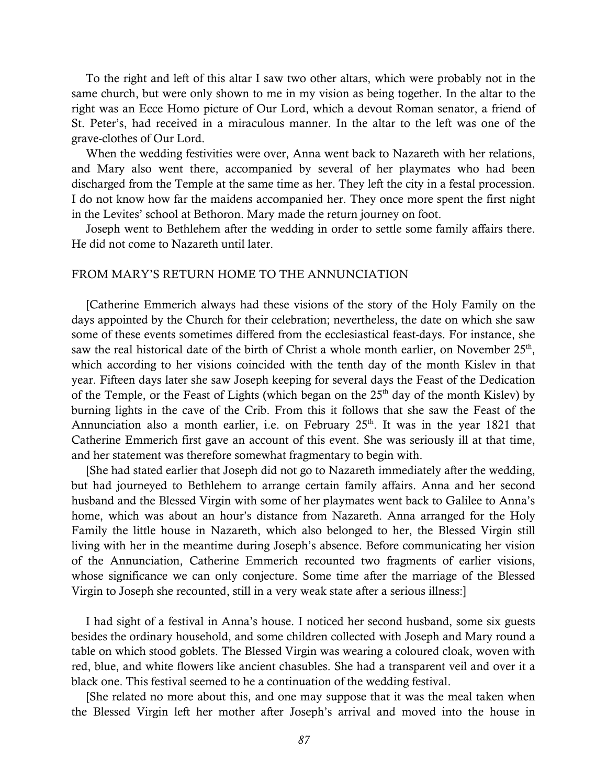To the right and left of this altar I saw two other altars, which were probably not in the same church, but were only shown to me in my vision as being together. In the altar to the right was an Ecce Homo picture of Our Lord, which a devout Roman senator, a friend of St. Peter's, had received in a miraculous manner. In the altar to the left was one of the grave-clothes of Our Lord.

When the wedding festivities were over, Anna went back to Nazareth with her relations, and Mary also went there, accompanied by several of her playmates who had been discharged from the Temple at the same time as her. They left the city in a festal procession. I do not know how far the maidens accompanied her. They once more spent the first night in the Levites' school at Bethoron. Mary made the return journey on foot.

Joseph went to Bethlehem after the wedding in order to settle some family affairs there. He did not come to Nazareth until later.

## FROM MARY'S RETURN HOME TO THE ANNUNCIATION

[Catherine Emmerich always had these visions of the story of the Holy Family on the days appointed by the Church for their celebration; nevertheless, the date on which she saw some of these events sometimes differed from the ecclesiastical feast-days. For instance, she saw the real historical date of the birth of Christ a whole month earlier, on November  $25<sup>th</sup>$ , which according to her visions coincided with the tenth day of the month Kislev in that year. Fifteen days later she saw Joseph keeping for several days the Feast of the Dedication of the Temple, or the Feast of Lights (which began on the  $25<sup>th</sup>$  day of the month Kislev) by burning lights in the cave of the Crib. From this it follows that she saw the Feast of the Annunciation also a month earlier, i.e. on February  $25<sup>th</sup>$ . It was in the year 1821 that Catherine Emmerich first gave an account of this event. She was seriously ill at that time, and her statement was therefore somewhat fragmentary to begin with.

[She had stated earlier that Joseph did not go to Nazareth immediately after the wedding, but had journeyed to Bethlehem to arrange certain family affairs. Anna and her second husband and the Blessed Virgin with some of her playmates went back to Galilee to Anna's home, which was about an hour's distance from Nazareth. Anna arranged for the Holy Family the little house in Nazareth, which also belonged to her, the Blessed Virgin still living with her in the meantime during Joseph's absence. Before communicating her vision of the Annunciation, Catherine Emmerich recounted two fragments of earlier visions, whose significance we can only conjecture. Some time after the marriage of the Blessed Virgin to Joseph she recounted, still in a very weak state after a serious illness:]

I had sight of a festival in Anna's house. I noticed her second husband, some six guests besides the ordinary household, and some children collected with Joseph and Mary round a table on which stood goblets. The Blessed Virgin was wearing a coloured cloak, woven with red, blue, and white flowers like ancient chasubles. She had a transparent veil and over it a black one. This festival seemed to he a continuation of the wedding festival.

[She related no more about this, and one may suppose that it was the meal taken when the Blessed Virgin left her mother after Joseph's arrival and moved into the house in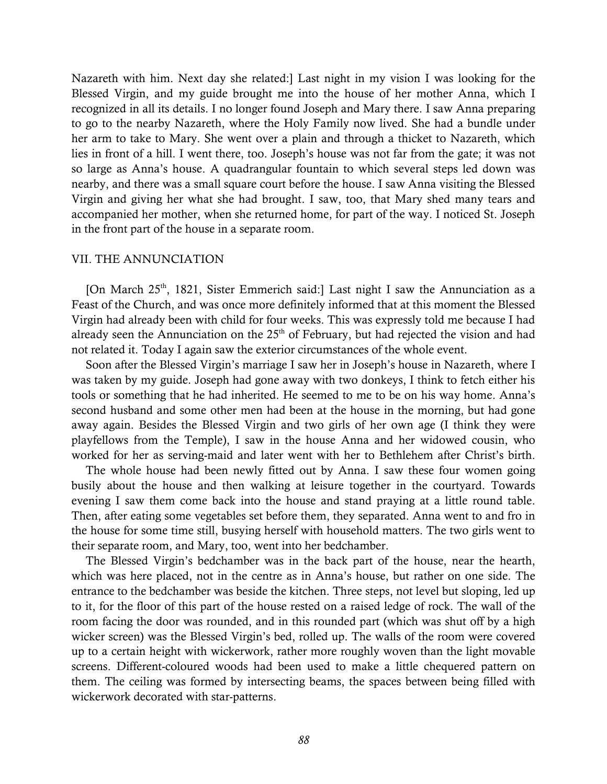Nazareth with him. Next day she related:] Last night in my vision I was looking for the Blessed Virgin, and my guide brought me into the house of her mother Anna, which I recognized in all its details. I no longer found Joseph and Mary there. I saw Anna preparing to go to the nearby Nazareth, where the Holy Family now lived. She had a bundle under her arm to take to Mary. She went over a plain and through a thicket to Nazareth, which lies in front of a hill. I went there, too. Joseph's house was not far from the gate; it was not so large as Anna's house. A quadrangular fountain to which several steps led down was nearby, and there was a small square court before the house. I saw Anna visiting the Blessed Virgin and giving her what she had brought. I saw, too, that Mary shed many tears and accompanied her mother, when she returned home, for part of the way. I noticed St. Joseph in the front part of the house in a separate room.

# VII. THE ANNUNCIATION

[On March 25<sup>th</sup>, 1821, Sister Emmerich said:] Last night I saw the Annunciation as a Feast of the Church, and was once more definitely informed that at this moment the Blessed Virgin had already been with child for four weeks. This was expressly told me because I had already seen the Annunciation on the  $25<sup>th</sup>$  of February, but had rejected the vision and had not related it. Today I again saw the exterior circumstances of the whole event.

Soon after the Blessed Virgin's marriage I saw her in Joseph's house in Nazareth, where I was taken by my guide. Joseph had gone away with two donkeys, I think to fetch either his tools or something that he had inherited. He seemed to me to be on his way home. Anna's second husband and some other men had been at the house in the morning, but had gone away again. Besides the Blessed Virgin and two girls of her own age (I think they were playfellows from the Temple), I saw in the house Anna and her widowed cousin, who worked for her as serving-maid and later went with her to Bethlehem after Christ's birth.

The whole house had been newly fitted out by Anna. I saw these four women going busily about the house and then walking at leisure together in the courtyard. Towards evening I saw them come back into the house and stand praying at a little round table. Then, after eating some vegetables set before them, they separated. Anna went to and fro in the house for some time still, busying herself with household matters. The two girls went to their separate room, and Mary, too, went into her bedchamber.

The Blessed Virgin's bedchamber was in the back part of the house, near the hearth, which was here placed, not in the centre as in Anna's house, but rather on one side. The entrance to the bedchamber was beside the kitchen. Three steps, not level but sloping, led up to it, for the floor of this part of the house rested on a raised ledge of rock. The wall of the room facing the door was rounded, and in this rounded part (which was shut off by a high wicker screen) was the Blessed Virgin's bed, rolled up. The walls of the room were covered up to a certain height with wickerwork, rather more roughly woven than the light movable screens. Different-coloured woods had been used to make a little chequered pattern on them. The ceiling was formed by intersecting beams, the spaces between being filled with wickerwork decorated with star-patterns.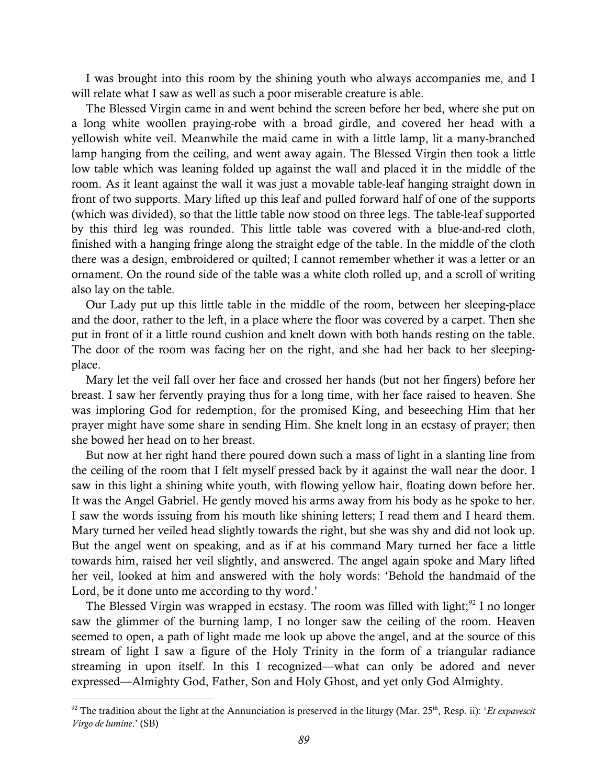I was brought into this room by the shining youth who always accompanies me, and I will relate what I saw as well as such a poor miserable creature is able.

The Blessed Virgin came in and went behind the screen before her bed, where she put on a long white woollen praying-robe with a broad girdle, and covered her head with a yellowish white veil. Meanwhile the maid came in with a little lamp, lit a many-branched lamp hanging from the ceiling, and went away again. The Blessed Virgin then took a little low table which was leaning folded up against the wall and placed it in the middle of the room. As it leant against the wall it was just a movable table-leaf hanging straight down in front of two supports. Mary lifted up this leaf and pulled forward half of one of the supports (which was divided), so that the little table now stood on three legs. The table-leaf supported by this third leg was rounded. This little table was covered with a blue-and-red cloth, finished with a hanging fringe along the straight edge of the table. In the middle of the cloth there was a design, embroidered or quilted; I cannot remember whether it was a letter or an ornament. On the round side of the table was a white cloth rolled up, and a scroll of writing also lay on the table.

Our Lady put up this little table in the middle of the room, between her sleeping-place and the door, rather to the left, in a place where the floor was covered by a carpet. Then she put in front of it a little round cushion and knelt down with both hands resting on the table. The door of the room was facing her on the right, and she had her back to her sleepingplace.

Mary let the veil fall over her face and crossed her hands (but not her fingers) before her breast. I saw her fervently praying thus for a long time, with her face raised to heaven. She was imploring God for redemption, for the promised King, and beseeching Him that her prayer might have some share in sending Him. She knelt long in an ecstasy of prayer; then she bowed her head on to her breast.

But now at her right hand there poured down such a mass of light in a slanting line from the ceiling of the room that I felt myself pressed back by it against the wall near the door. I saw in this light a shining white youth, with flowing yellow hair, floating down before her. It was the Angel Gabriel. He gently moved his arms away from his body as he spoke to her. I saw the words issuing from his mouth like shining letters; I read them and I heard them. Mary turned her veiled head slightly towards the right, but she was shy and did not look up. But the angel went on speaking, and as if at his command Mary turned her face a little towards him, raised her veil slightly, and answered. The angel again spoke and Mary lifted her veil, looked at him and answered with the holy words: 'Behold the handmaid of the Lord, be it done unto me according to thy word.'

The Blessed Virgin was wrapped in ecstasy. The room was filled with light; $92$  I no longer saw the glimmer of the burning lamp, I no longer saw the ceiling of the room. Heaven seemed to open, a path of light made me look up above the angel, and at the source of this stream of light I saw a figure of the Holy Trinity in the form of a triangular radiance streaming in upon itself. In this I recognized—what can only be adored and never expressed—Almighty God, Father, Son and Holy Ghost, and yet only God Almighty.

 $92$  The tradition about the light at the Annunciation is preserved in the liturgy (Mar. 25<sup>th</sup>, Resp. ii): *'Et expavescit Virgo de lumine*.' (SB)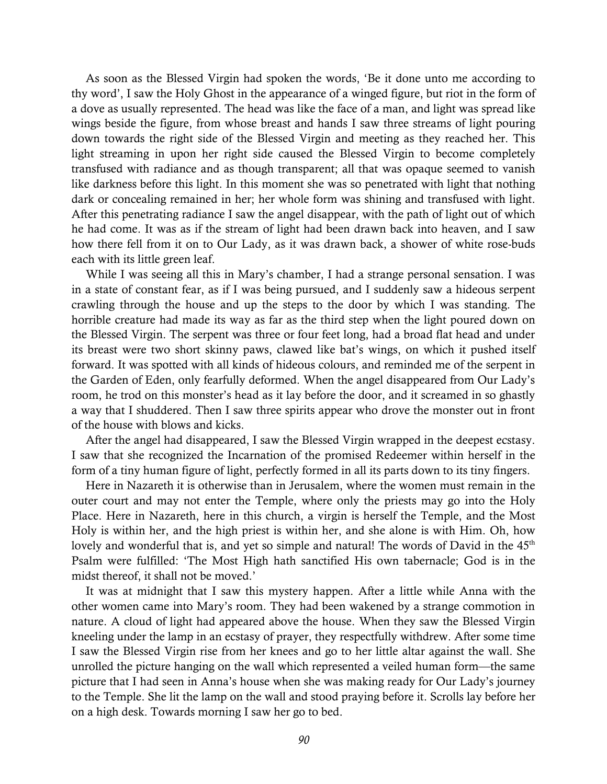As soon as the Blessed Virgin had spoken the words, 'Be it done unto me according to thy word', I saw the Holy Ghost in the appearance of a winged figure, but riot in the form of a dove as usually represented. The head was like the face of a man, and light was spread like wings beside the figure, from whose breast and hands I saw three streams of light pouring down towards the right side of the Blessed Virgin and meeting as they reached her. This light streaming in upon her right side caused the Blessed Virgin to become completely transfused with radiance and as though transparent; all that was opaque seemed to vanish like darkness before this light. In this moment she was so penetrated with light that nothing dark or concealing remained in her; her whole form was shining and transfused with light. After this penetrating radiance I saw the angel disappear, with the path of light out of which he had come. It was as if the stream of light had been drawn back into heaven, and I saw how there fell from it on to Our Lady, as it was drawn back, a shower of white rose-buds each with its little green leaf.

While I was seeing all this in Mary's chamber, I had a strange personal sensation. I was in a state of constant fear, as if I was being pursued, and I suddenly saw a hideous serpent crawling through the house and up the steps to the door by which I was standing. The horrible creature had made its way as far as the third step when the light poured down on the Blessed Virgin. The serpent was three or four feet long, had a broad flat head and under its breast were two short skinny paws, clawed like bat's wings, on which it pushed itself forward. It was spotted with all kinds of hideous colours, and reminded me of the serpent in the Garden of Eden, only fearfully deformed. When the angel disappeared from Our Lady's room, he trod on this monster's head as it lay before the door, and it screamed in so ghastly a way that I shuddered. Then I saw three spirits appear who drove the monster out in front of the house with blows and kicks.

After the angel had disappeared, I saw the Blessed Virgin wrapped in the deepest ecstasy. I saw that she recognized the Incarnation of the promised Redeemer within herself in the form of a tiny human figure of light, perfectly formed in all its parts down to its tiny fingers.

Here in Nazareth it is otherwise than in Jerusalem, where the women must remain in the outer court and may not enter the Temple, where only the priests may go into the Holy Place. Here in Nazareth, here in this church, a virgin is herself the Temple, and the Most Holy is within her, and the high priest is within her, and she alone is with Him. Oh, how lovely and wonderful that is, and yet so simple and natural! The words of David in the  $45<sup>th</sup>$ Psalm were fulfilled: 'The Most High hath sanctified His own tabernacle; God is in the midst thereof, it shall not be moved.'

It was at midnight that I saw this mystery happen. After a little while Anna with the other women came into Mary's room. They had been wakened by a strange commotion in nature. A cloud of light had appeared above the house. When they saw the Blessed Virgin kneeling under the lamp in an ecstasy of prayer, they respectfully withdrew. After some time I saw the Blessed Virgin rise from her knees and go to her little altar against the wall. She unrolled the picture hanging on the wall which represented a veiled human form—the same picture that I had seen in Anna's house when she was making ready for Our Lady's journey to the Temple. She lit the lamp on the wall and stood praying before it. Scrolls lay before her on a high desk. Towards morning I saw her go to bed.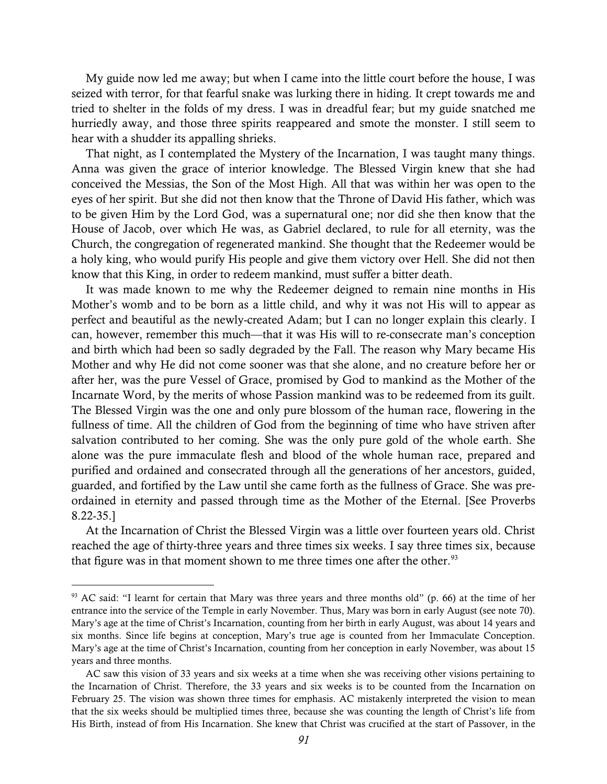My guide now led me away; but when I came into the little court before the house, I was seized with terror, for that fearful snake was lurking there in hiding. It crept towards me and tried to shelter in the folds of my dress. I was in dreadful fear; but my guide snatched me hurriedly away, and those three spirits reappeared and smote the monster. I still seem to hear with a shudder its appalling shrieks.

That night, as I contemplated the Mystery of the Incarnation, I was taught many things. Anna was given the grace of interior knowledge. The Blessed Virgin knew that she had conceived the Messias, the Son of the Most High. All that was within her was open to the eyes of her spirit. But she did not then know that the Throne of David His father, which was to be given Him by the Lord God, was a supernatural one; nor did she then know that the House of Jacob, over which He was, as Gabriel declared, to rule for all eternity, was the Church, the congregation of regenerated mankind. She thought that the Redeemer would be a holy king, who would purify His people and give them victory over Hell. She did not then know that this King, in order to redeem mankind, must suffer a bitter death.

It was made known to me why the Redeemer deigned to remain nine months in His Mother's womb and to be born as a little child, and why it was not His will to appear as perfect and beautiful as the newly-created Adam; but I can no longer explain this clearly. I can, however, remember this much—that it was His will to re-consecrate man's conception and birth which had been so sadly degraded by the Fall. The reason why Mary became His Mother and why He did not come sooner was that she alone, and no creature before her or after her, was the pure Vessel of Grace, promised by God to mankind as the Mother of the Incarnate Word, by the merits of whose Passion mankind was to be redeemed from its guilt. The Blessed Virgin was the one and only pure blossom of the human race, flowering in the fullness of time. All the children of God from the beginning of time who have striven after salvation contributed to her coming. She was the only pure gold of the whole earth. She alone was the pure immaculate flesh and blood of the whole human race, prepared and purified and ordained and consecrated through all the generations of her ancestors, guided, guarded, and fortified by the Law until she came forth as the fullness of Grace. She was preordained in eternity and passed through time as the Mother of the Eternal. [See Proverbs 8.22-35.]

At the Incarnation of Christ the Blessed Virgin was a little over fourteen years old. Christ reached the age of thirty-three years and three times six weeks. I say three times six, because that figure was in that moment shown to me three times one after the other.<sup>93</sup>

<sup>&</sup>lt;sup>93</sup> AC said: "I learnt for certain that Mary was three years and three months old" (p. 66) at the time of her entrance into the service of the Temple in early November. Thus, Mary was born in early August (see note 70). Mary's age at the time of Christ's Incarnation, counting from her birth in early August, was about 14 years and six months. Since life begins at conception, Mary's true age is counted from her Immaculate Conception. Mary's age at the time of Christ's Incarnation, counting from her conception in early November, was about 15 years and three months.

AC saw this vision of 33 years and six weeks at a time when she was receiving other visions pertaining to the Incarnation of Christ. Therefore, the 33 years and six weeks is to be counted from the Incarnation on February 25. The vision was shown three times for emphasis. AC mistakenly interpreted the vision to mean that the six weeks should be multiplied times three, because she was counting the length of Christ's life from His Birth, instead of from His Incarnation. She knew that Christ was crucified at the start of Passover, in the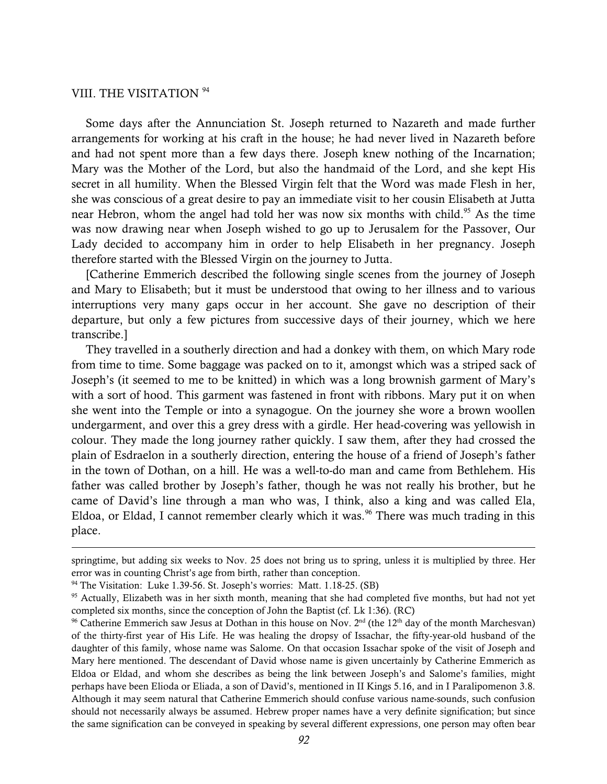# VIII. THE VISITATION  $94$

 $\overline{a}$ 

Some days after the Annunciation St. Joseph returned to Nazareth and made further arrangements for working at his craft in the house; he had never lived in Nazareth before and had not spent more than a few days there. Joseph knew nothing of the Incarnation; Mary was the Mother of the Lord, but also the handmaid of the Lord, and she kept His secret in all humility. When the Blessed Virgin felt that the Word was made Flesh in her, she was conscious of a great desire to pay an immediate visit to her cousin Elisabeth at Jutta near Hebron, whom the angel had told her was now six months with child.<sup>95</sup> As the time was now drawing near when Joseph wished to go up to Jerusalem for the Passover, Our Lady decided to accompany him in order to help Elisabeth in her pregnancy. Joseph therefore started with the Blessed Virgin on the journey to Jutta.

[Catherine Emmerich described the following single scenes from the journey of Joseph and Mary to Elisabeth; but it must be understood that owing to her illness and to various interruptions very many gaps occur in her account. She gave no description of their departure, but only a few pictures from successive days of their journey, which we here transcribe.]

They travelled in a southerly direction and had a donkey with them, on which Mary rode from time to time. Some baggage was packed on to it, amongst which was a striped sack of Joseph's (it seemed to me to be knitted) in which was a long brownish garment of Mary's with a sort of hood. This garment was fastened in front with ribbons. Mary put it on when she went into the Temple or into a synagogue. On the journey she wore a brown woollen undergarment, and over this a grey dress with a girdle. Her head-covering was yellowish in colour. They made the long journey rather quickly. I saw them, after they had crossed the plain of Esdraelon in a southerly direction, entering the house of a friend of Joseph's father in the town of Dothan, on a hill. He was a well-to-do man and came from Bethlehem. His father was called brother by Joseph's father, though he was not really his brother, but he came of David's line through a man who was, I think, also a king and was called Ela, Eldoa, or Eldad, I cannot remember clearly which it was.<sup>96</sup> There was much trading in this place.

springtime, but adding six weeks to Nov. 25 does not bring us to spring, unless it is multiplied by three. Her error was in counting Christ's age from birth, rather than conception.

<sup>&</sup>lt;sup>94</sup> The Visitation: Luke 1.39-56. St. Joseph's worries: Matt. 1.18-25. (SB)

<sup>&</sup>lt;sup>95</sup> Actually, Elizabeth was in her sixth month, meaning that she had completed five months, but had not yet completed six months, since the conception of John the Baptist (cf. Lk 1:36). (RC)

<sup>&</sup>lt;sup>96</sup> Catherine Emmerich saw Jesus at Dothan in this house on Nov.  $2<sup>nd</sup>$  (the 12<sup>th</sup> day of the month Marchesvan) of the thirty-first year of His Life. He was healing the dropsy of Issachar, the fifty-year-old husband of the daughter of this family, whose name was Salome. On that occasion Issachar spoke of the visit of Joseph and Mary here mentioned. The descendant of David whose name is given uncertainly by Catherine Emmerich as Eldoa or Eldad, and whom she describes as being the link between Joseph's and Salome's families, might perhaps have been Elioda or Eliada, a son of David's, mentioned in II Kings 5.16, and in I Paralipomenon 3.8. Although it may seem natural that Catherine Emmerich should confuse various name-sounds, such confusion should not necessarily always be assumed. Hebrew proper names have a very definite signification; but since the same signification can be conveyed in speaking by several different expressions, one person may often bear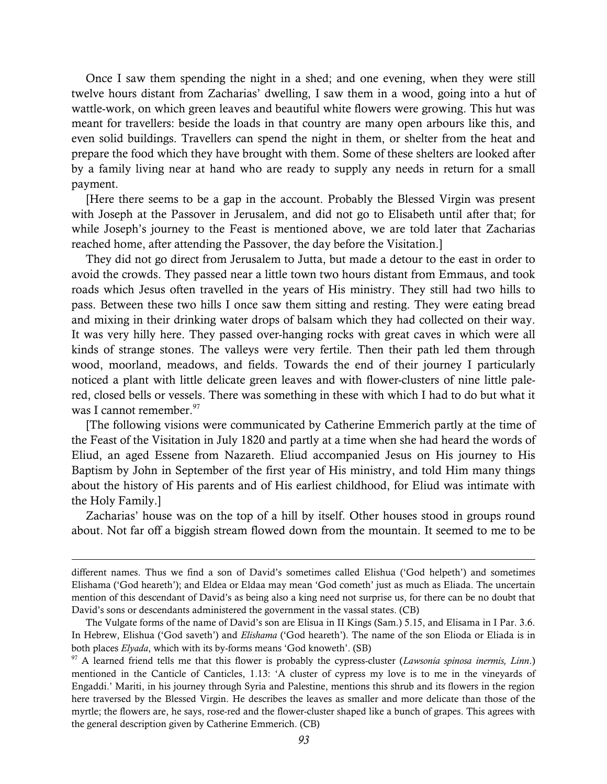Once I saw them spending the night in a shed; and one evening, when they were still twelve hours distant from Zacharias' dwelling, I saw them in a wood, going into a hut of wattle-work, on which green leaves and beautiful white flowers were growing. This hut was meant for travellers: beside the loads in that country are many open arbours like this, and even solid buildings. Travellers can spend the night in them, or shelter from the heat and prepare the food which they have brought with them. Some of these shelters are looked after by a family living near at hand who are ready to supply any needs in return for a small payment.

[Here there seems to be a gap in the account. Probably the Blessed Virgin was present with Joseph at the Passover in Jerusalem, and did not go to Elisabeth until after that; for while Joseph's journey to the Feast is mentioned above, we are told later that Zacharias reached home, after attending the Passover, the day before the Visitation.]

They did not go direct from Jerusalem to Jutta, but made a detour to the east in order to avoid the crowds. They passed near a little town two hours distant from Emmaus, and took roads which Jesus often travelled in the years of His ministry. They still had two hills to pass. Between these two hills I once saw them sitting and resting. They were eating bread and mixing in their drinking water drops of balsam which they had collected on their way. It was very hilly here. They passed over-hanging rocks with great caves in which were all kinds of strange stones. The valleys were very fertile. Then their path led them through wood, moorland, meadows, and fields. Towards the end of their journey I particularly noticed a plant with little delicate green leaves and with flower-clusters of nine little palered, closed bells or vessels. There was something in these with which I had to do but what it was I cannot remember.<sup>97</sup>

[The following visions were communicated by Catherine Emmerich partly at the time of the Feast of the Visitation in July 1820 and partly at a time when she had heard the words of Eliud, an aged Essene from Nazareth. Eliud accompanied Jesus on His journey to His Baptism by John in September of the first year of His ministry, and told Him many things about the history of His parents and of His earliest childhood, for Eliud was intimate with the Holy Family.]

Zacharias' house was on the top of a hill by itself. Other houses stood in groups round about. Not far off a biggish stream flowed down from the mountain. It seemed to me to be

different names. Thus we find a son of David's sometimes called Elishua ('God helpeth') and sometimes Elishama ('God heareth'); and Eldea or Eldaa may mean 'God cometh' just as much as Eliada. The uncertain mention of this descendant of David's as being also a king need not surprise us, for there can be no doubt that David's sons or descendants administered the government in the vassal states. (CB)

The Vulgate forms of the name of David's son are Elisua in II Kings (Sam.) 5.15, and Elisama in I Par. 3.6. In Hebrew, Elishua ('God saveth') and *Elishama* ('God heareth'). The name of the son Elioda or Eliada is in both places *Elyada*, which with its by-forms means 'God knoweth'. (SB)

<sup>97</sup> A learned friend tells me that this flower is probably the cypress-cluster (*Lawsonia spinosa inermis, Linn*.) mentioned in the Canticle of Canticles, 1.13: 'A cluster of cypress my love is to me in the vineyards of Engaddi.' Mariti, in his journey through Syria and Palestine, mentions this shrub and its flowers in the region here traversed by the Blessed Virgin. He describes the leaves as smaller and more delicate than those of the myrtle; the flowers are, he says, rose-red and the flower-cluster shaped like a bunch of grapes. This agrees with the general description given by Catherine Emmerich. (CB)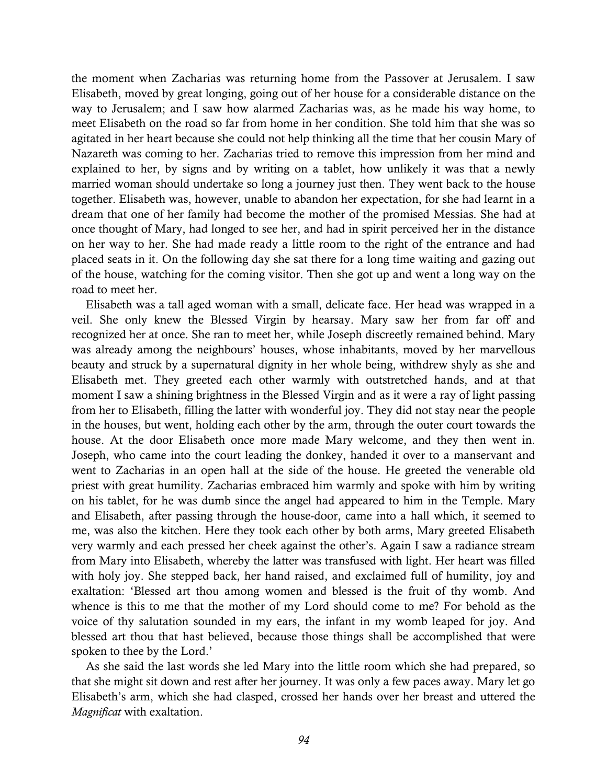the moment when Zacharias was returning home from the Passover at Jerusalem. I saw Elisabeth, moved by great longing, going out of her house for a considerable distance on the way to Jerusalem; and I saw how alarmed Zacharias was, as he made his way home, to meet Elisabeth on the road so far from home in her condition. She told him that she was so agitated in her heart because she could not help thinking all the time that her cousin Mary of Nazareth was coming to her. Zacharias tried to remove this impression from her mind and explained to her, by signs and by writing on a tablet, how unlikely it was that a newly married woman should undertake so long a journey just then. They went back to the house together. Elisabeth was, however, unable to abandon her expectation, for she had learnt in a dream that one of her family had become the mother of the promised Messias. She had at once thought of Mary, had longed to see her, and had in spirit perceived her in the distance on her way to her. She had made ready a little room to the right of the entrance and had placed seats in it. On the following day she sat there for a long time waiting and gazing out of the house, watching for the coming visitor. Then she got up and went a long way on the road to meet her.

Elisabeth was a tall aged woman with a small, delicate face. Her head was wrapped in a veil. She only knew the Blessed Virgin by hearsay. Mary saw her from far off and recognized her at once. She ran to meet her, while Joseph discreetly remained behind. Mary was already among the neighbours' houses, whose inhabitants, moved by her marvellous beauty and struck by a supernatural dignity in her whole being, withdrew shyly as she and Elisabeth met. They greeted each other warmly with outstretched hands, and at that moment I saw a shining brightness in the Blessed Virgin and as it were a ray of light passing from her to Elisabeth, filling the latter with wonderful joy. They did not stay near the people in the houses, but went, holding each other by the arm, through the outer court towards the house. At the door Elisabeth once more made Mary welcome, and they then went in. Joseph, who came into the court leading the donkey, handed it over to a manservant and went to Zacharias in an open hall at the side of the house. He greeted the venerable old priest with great humility. Zacharias embraced him warmly and spoke with him by writing on his tablet, for he was dumb since the angel had appeared to him in the Temple. Mary and Elisabeth, after passing through the house-door, came into a hall which, it seemed to me, was also the kitchen. Here they took each other by both arms, Mary greeted Elisabeth very warmly and each pressed her cheek against the other's. Again I saw a radiance stream from Mary into Elisabeth, whereby the latter was transfused with light. Her heart was filled with holy joy. She stepped back, her hand raised, and exclaimed full of humility, joy and exaltation: 'Blessed art thou among women and blessed is the fruit of thy womb. And whence is this to me that the mother of my Lord should come to me? For behold as the voice of thy salutation sounded in my ears, the infant in my womb leaped for joy. And blessed art thou that hast believed, because those things shall be accomplished that were spoken to thee by the Lord.'

As she said the last words she led Mary into the little room which she had prepared, so that she might sit down and rest after her journey. It was only a few paces away. Mary let go Elisabeth's arm, which she had clasped, crossed her hands over her breast and uttered the *Magnificat* with exaltation.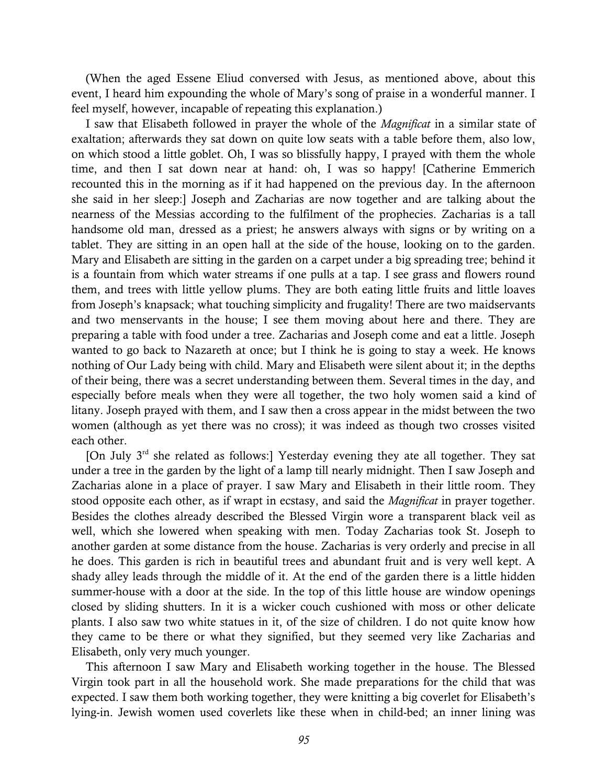(When the aged Essene Eliud conversed with Jesus, as mentioned above, about this event, I heard him expounding the whole of Mary's song of praise in a wonderful manner. I feel myself, however, incapable of repeating this explanation.)

I saw that Elisabeth followed in prayer the whole of the *Magnificat* in a similar state of exaltation; afterwards they sat down on quite low seats with a table before them, also low, on which stood a little goblet. Oh, I was so blissfully happy, I prayed with them the whole time, and then I sat down near at hand: oh, I was so happy! [Catherine Emmerich recounted this in the morning as if it had happened on the previous day. In the afternoon she said in her sleep:] Joseph and Zacharias are now together and are talking about the nearness of the Messias according to the fulfilment of the prophecies. Zacharias is a tall handsome old man, dressed as a priest; he answers always with signs or by writing on a tablet. They are sitting in an open hall at the side of the house, looking on to the garden. Mary and Elisabeth are sitting in the garden on a carpet under a big spreading tree; behind it is a fountain from which water streams if one pulls at a tap. I see grass and flowers round them, and trees with little yellow plums. They are both eating little fruits and little loaves from Joseph's knapsack; what touching simplicity and frugality! There are two maidservants and two menservants in the house; I see them moving about here and there. They are preparing a table with food under a tree. Zacharias and Joseph come and eat a little. Joseph wanted to go back to Nazareth at once; but I think he is going to stay a week. He knows nothing of Our Lady being with child. Mary and Elisabeth were silent about it; in the depths of their being, there was a secret understanding between them. Several times in the day, and especially before meals when they were all together, the two holy women said a kind of litany. Joseph prayed with them, and I saw then a cross appear in the midst between the two women (although as yet there was no cross); it was indeed as though two crosses visited each other.

[On July 3<sup>rd</sup> she related as follows:] Yesterday evening they ate all together. They sat under a tree in the garden by the light of a lamp till nearly midnight. Then I saw Joseph and Zacharias alone in a place of prayer. I saw Mary and Elisabeth in their little room. They stood opposite each other, as if wrapt in ecstasy, and said the *Magnificat* in prayer together. Besides the clothes already described the Blessed Virgin wore a transparent black veil as well, which she lowered when speaking with men. Today Zacharias took St. Joseph to another garden at some distance from the house. Zacharias is very orderly and precise in all he does. This garden is rich in beautiful trees and abundant fruit and is very well kept. A shady alley leads through the middle of it. At the end of the garden there is a little hidden summer-house with a door at the side. In the top of this little house are window openings closed by sliding shutters. In it is a wicker couch cushioned with moss or other delicate plants. I also saw two white statues in it, of the size of children. I do not quite know how they came to be there or what they signified, but they seemed very like Zacharias and Elisabeth, only very much younger.

This afternoon I saw Mary and Elisabeth working together in the house. The Blessed Virgin took part in all the household work. She made preparations for the child that was expected. I saw them both working together, they were knitting a big coverlet for Elisabeth's lying-in. Jewish women used coverlets like these when in child-bed; an inner lining was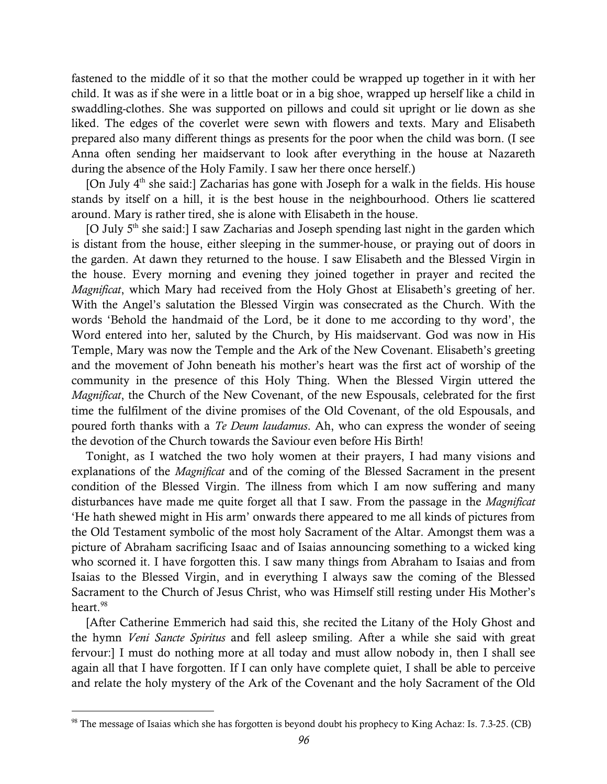fastened to the middle of it so that the mother could be wrapped up together in it with her child. It was as if she were in a little boat or in a big shoe, wrapped up herself like a child in swaddling-clothes. She was supported on pillows and could sit upright or lie down as she liked. The edges of the coverlet were sewn with flowers and texts. Mary and Elisabeth prepared also many different things as presents for the poor when the child was born. (I see Anna often sending her maidservant to look after everything in the house at Nazareth during the absence of the Holy Family. I saw her there once herself.)

[On July 4<sup>th</sup> she said:] Zacharias has gone with Joseph for a walk in the fields. His house stands by itself on a hill, it is the best house in the neighbourhood. Others lie scattered around. Mary is rather tired, she is alone with Elisabeth in the house.

[O July  $5<sup>th</sup>$  she said:] I saw Zacharias and Joseph spending last night in the garden which is distant from the house, either sleeping in the summer-house, or praying out of doors in the garden. At dawn they returned to the house. I saw Elisabeth and the Blessed Virgin in the house. Every morning and evening they joined together in prayer and recited the *Magnificat*, which Mary had received from the Holy Ghost at Elisabeth's greeting of her. With the Angel's salutation the Blessed Virgin was consecrated as the Church. With the words 'Behold the handmaid of the Lord, be it done to me according to thy word', the Word entered into her, saluted by the Church, by His maidservant. God was now in His Temple, Mary was now the Temple and the Ark of the New Covenant. Elisabeth's greeting and the movement of John beneath his mother's heart was the first act of worship of the community in the presence of this Holy Thing. When the Blessed Virgin uttered the *Magnificat*, the Church of the New Covenant, of the new Espousals, celebrated for the first time the fulfilment of the divine promises of the Old Covenant, of the old Espousals, and poured forth thanks with a *Te Deum laudamus*. Ah, who can express the wonder of seeing the devotion of the Church towards the Saviour even before His Birth!

Tonight, as I watched the two holy women at their prayers, I had many visions and explanations of the *Magnificat* and of the coming of the Blessed Sacrament in the present condition of the Blessed Virgin. The illness from which I am now suffering and many disturbances have made me quite forget all that I saw. From the passage in the *Magnificat* 'He hath shewed might in His arm' onwards there appeared to me all kinds of pictures from the Old Testament symbolic of the most holy Sacrament of the Altar. Amongst them was a picture of Abraham sacrificing Isaac and of Isaias announcing something to a wicked king who scorned it. I have forgotten this. I saw many things from Abraham to Isaias and from Isaias to the Blessed Virgin, and in everything I always saw the coming of the Blessed Sacrament to the Church of Jesus Christ, who was Himself still resting under His Mother's heart.<sup>98</sup>

[After Catherine Emmerich had said this, she recited the Litany of the Holy Ghost and the hymn *Veni Sancte Spiritus* and fell asleep smiling. After a while she said with great fervour:] I must do nothing more at all today and must allow nobody in, then I shall see again all that I have forgotten. If I can only have complete quiet, I shall be able to perceive and relate the holy mystery of the Ark of the Covenant and the holy Sacrament of the Old

<sup>&</sup>lt;sup>98</sup> The message of Isaias which she has forgotten is beyond doubt his prophecy to King Achaz: Is. 7.3-25. (CB)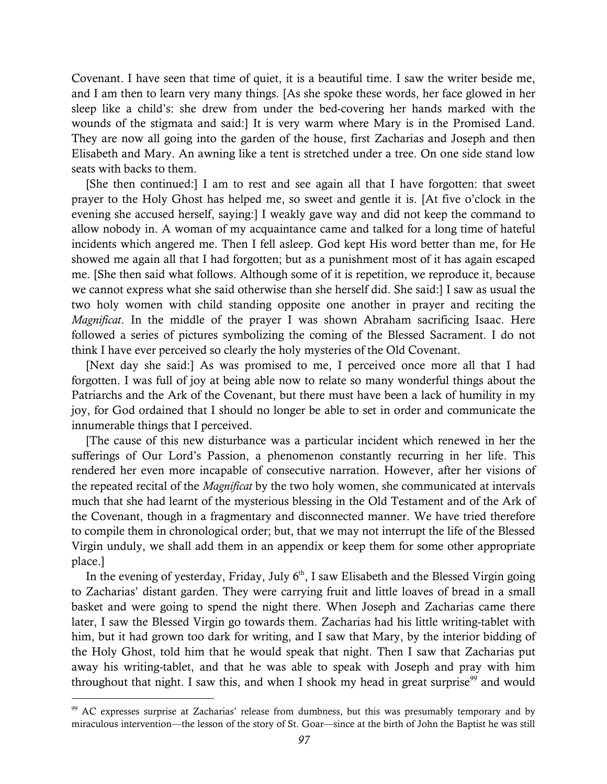Covenant. I have seen that time of quiet, it is a beautiful time. I saw the writer beside me, and I am then to learn very many things. [As she spoke these words, her face glowed in her sleep like a child's: she drew from under the bed-covering her hands marked with the wounds of the stigmata and said:] It is very warm where Mary is in the Promised Land. They are now all going into the garden of the house, first Zacharias and Joseph and then Elisabeth and Mary. An awning like a tent is stretched under a tree. On one side stand low seats with backs to them.

[She then continued:] I am to rest and see again all that I have forgotten: that sweet prayer to the Holy Ghost has helped me, so sweet and gentle it is. [At five o'clock in the evening she accused herself, saying:] I weakly gave way and did not keep the command to allow nobody in. A woman of my acquaintance came and talked for a long time of hateful incidents which angered me. Then I fell asleep. God kept His word better than me, for He showed me again all that I had forgotten; but as a punishment most of it has again escaped me. [She then said what follows. Although some of it is repetition, we reproduce it, because we cannot express what she said otherwise than she herself did. She said:] I saw as usual the two holy women with child standing opposite one another in prayer and reciting the *Magnificat*. In the middle of the prayer I was shown Abraham sacrificing Isaac. Here followed a series of pictures symbolizing the coming of the Blessed Sacrament. I do not think I have ever perceived so clearly the holy mysteries of the Old Covenant.

[Next day she said:] As was promised to me, I perceived once more all that I had forgotten. I was full of joy at being able now to relate so many wonderful things about the Patriarchs and the Ark of the Covenant, but there must have been a lack of humility in my joy, for God ordained that I should no longer be able to set in order and communicate the innumerable things that I perceived.

[The cause of this new disturbance was a particular incident which renewed in her the sufferings of Our Lord's Passion, a phenomenon constantly recurring in her life. This rendered her even more incapable of consecutive narration. However, after her visions of the repeated recital of the *Magnificat* by the two holy women, she communicated at intervals much that she had learnt of the mysterious blessing in the Old Testament and of the Ark of the Covenant, though in a fragmentary and disconnected manner. We have tried therefore to compile them in chronological order; but, that we may not interrupt the life of the Blessed Virgin unduly, we shall add them in an appendix or keep them for some other appropriate place.]

In the evening of yesterday, Friday, July  $6<sup>th</sup>$ , I saw Elisabeth and the Blessed Virgin going to Zacharias' distant garden. They were carrying fruit and little loaves of bread in a small basket and were going to spend the night there. When Joseph and Zacharias came there later, I saw the Blessed Virgin go towards them. Zacharias had his little writing-tablet with him, but it had grown too dark for writing, and I saw that Mary, by the interior bidding of the Holy Ghost, told him that he would speak that night. Then I saw that Zacharias put away his writing-tablet, and that he was able to speak with Joseph and pray with him throughout that night. I saw this, and when I shook my head in great surprise<sup>99</sup> and would

<sup>99</sup> AC expresses surprise at Zacharias' release from dumbness, but this was presumably temporary and by miraculous intervention—the lesson of the story of St. Goar—since at the birth of John the Baptist he was still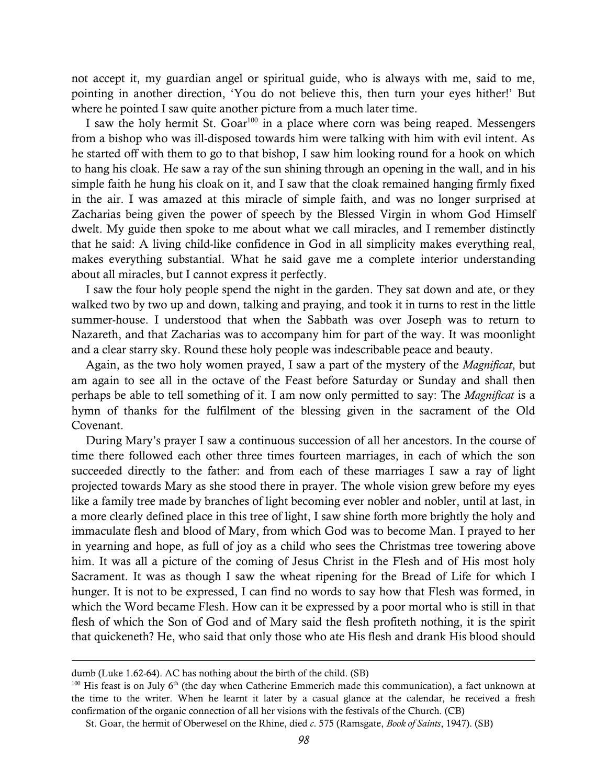not accept it, my guardian angel or spiritual guide, who is always with me, said to me, pointing in another direction, 'You do not believe this, then turn your eyes hither!' But where he pointed I saw quite another picture from a much later time.

I saw the holy hermit St. Goar<sup>100</sup> in a place where corn was being reaped. Messengers from a bishop who was ill-disposed towards him were talking with him with evil intent. As he started off with them to go to that bishop, I saw him looking round for a hook on which to hang his cloak. He saw a ray of the sun shining through an opening in the wall, and in his simple faith he hung his cloak on it, and I saw that the cloak remained hanging firmly fixed in the air. I was amazed at this miracle of simple faith, and was no longer surprised at Zacharias being given the power of speech by the Blessed Virgin in whom God Himself dwelt. My guide then spoke to me about what we call miracles, and I remember distinctly that he said: A living child-like confidence in God in all simplicity makes everything real, makes everything substantial. What he said gave me a complete interior understanding about all miracles, but I cannot express it perfectly.

I saw the four holy people spend the night in the garden. They sat down and ate, or they walked two by two up and down, talking and praying, and took it in turns to rest in the little summer-house. I understood that when the Sabbath was over Joseph was to return to Nazareth, and that Zacharias was to accompany him for part of the way. It was moonlight and a clear starry sky. Round these holy people was indescribable peace and beauty.

Again, as the two holy women prayed, I saw a part of the mystery of the *Magnificat*, but am again to see all in the octave of the Feast before Saturday or Sunday and shall then perhaps be able to tell something of it. I am now only permitted to say: The *Magnificat* is a hymn of thanks for the fulfilment of the blessing given in the sacrament of the Old Covenant.

During Mary's prayer I saw a continuous succession of all her ancestors. In the course of time there followed each other three times fourteen marriages, in each of which the son succeeded directly to the father: and from each of these marriages I saw a ray of light projected towards Mary as she stood there in prayer. The whole vision grew before my eyes like a family tree made by branches of light becoming ever nobler and nobler, until at last, in a more clearly defined place in this tree of light, I saw shine forth more brightly the holy and immaculate flesh and blood of Mary, from which God was to become Man. I prayed to her in yearning and hope, as full of joy as a child who sees the Christmas tree towering above him. It was all a picture of the coming of Jesus Christ in the Flesh and of His most holy Sacrament. It was as though I saw the wheat ripening for the Bread of Life for which I hunger. It is not to be expressed, I can find no words to say how that Flesh was formed, in which the Word became Flesh. How can it be expressed by a poor mortal who is still in that flesh of which the Son of God and of Mary said the flesh profiteth nothing, it is the spirit that quickeneth? He, who said that only those who ate His flesh and drank His blood should

dumb (Luke 1.62-64). AC has nothing about the birth of the child. (SB)

 $100$  His feast is on July 6<sup>th</sup> (the day when Catherine Emmerich made this communication), a fact unknown at the time to the writer. When he learnt it later by a casual glance at the calendar, he received a fresh confirmation of the organic connection of all her visions with the festivals of the Church. (CB)

St. Goar, the hermit of Oberwesel on the Rhine, died *c*. 575 (Ramsgate, *Book of Saints*, 1947). (SB)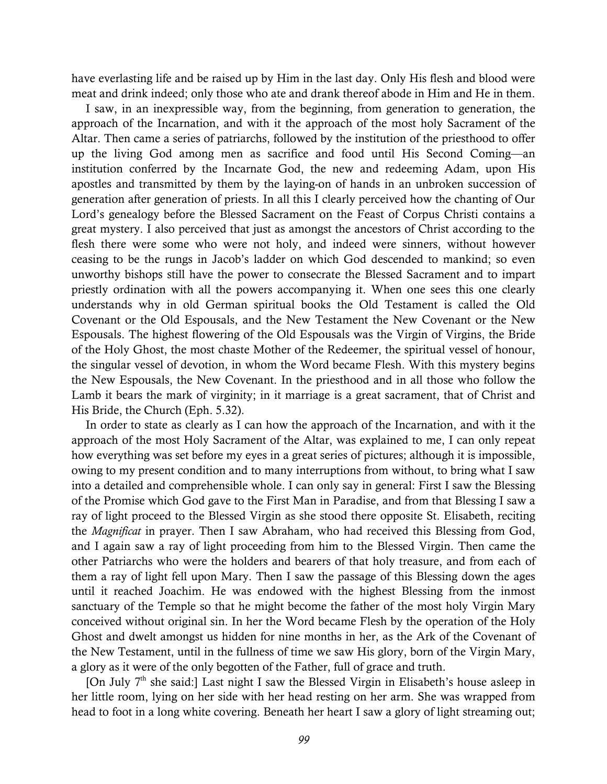have everlasting life and be raised up by Him in the last day. Only His flesh and blood were meat and drink indeed; only those who ate and drank thereof abode in Him and He in them.

I saw, in an inexpressible way, from the beginning, from generation to generation, the approach of the Incarnation, and with it the approach of the most holy Sacrament of the Altar. Then came a series of patriarchs, followed by the institution of the priesthood to offer up the living God among men as sacrifice and food until His Second Coming—an institution conferred by the Incarnate God, the new and redeeming Adam, upon His apostles and transmitted by them by the laying-on of hands in an unbroken succession of generation after generation of priests. In all this I clearly perceived how the chanting of Our Lord's genealogy before the Blessed Sacrament on the Feast of Corpus Christi contains a great mystery. I also perceived that just as amongst the ancestors of Christ according to the flesh there were some who were not holy, and indeed were sinners, without however ceasing to be the rungs in Jacob's ladder on which God descended to mankind; so even unworthy bishops still have the power to consecrate the Blessed Sacrament and to impart priestly ordination with all the powers accompanying it. When one sees this one clearly understands why in old German spiritual books the Old Testament is called the Old Covenant or the Old Espousals, and the New Testament the New Covenant or the New Espousals. The highest flowering of the Old Espousals was the Virgin of Virgins, the Bride of the Holy Ghost, the most chaste Mother of the Redeemer, the spiritual vessel of honour, the singular vessel of devotion, in whom the Word became Flesh. With this mystery begins the New Espousals, the New Covenant. In the priesthood and in all those who follow the Lamb it bears the mark of virginity; in it marriage is a great sacrament, that of Christ and His Bride, the Church (Eph. 5.32).

In order to state as clearly as I can how the approach of the Incarnation, and with it the approach of the most Holy Sacrament of the Altar, was explained to me, I can only repeat how everything was set before my eyes in a great series of pictures; although it is impossible, owing to my present condition and to many interruptions from without, to bring what I saw into a detailed and comprehensible whole. I can only say in general: First I saw the Blessing of the Promise which God gave to the First Man in Paradise, and from that Blessing I saw a ray of light proceed to the Blessed Virgin as she stood there opposite St. Elisabeth, reciting the *Magnificat* in prayer. Then I saw Abraham, who had received this Blessing from God, and I again saw a ray of light proceeding from him to the Blessed Virgin. Then came the other Patriarchs who were the holders and bearers of that holy treasure, and from each of them a ray of light fell upon Mary. Then I saw the passage of this Blessing down the ages until it reached Joachim. He was endowed with the highest Blessing from the inmost sanctuary of the Temple so that he might become the father of the most holy Virgin Mary conceived without original sin. In her the Word became Flesh by the operation of the Holy Ghost and dwelt amongst us hidden for nine months in her, as the Ark of the Covenant of the New Testament, until in the fullness of time we saw His glory, born of the Virgin Mary, a glory as it were of the only begotten of the Father, full of grace and truth.

[On July 7<sup>th</sup> she said:] Last night I saw the Blessed Virgin in Elisabeth's house asleep in her little room, lying on her side with her head resting on her arm. She was wrapped from head to foot in a long white covering. Beneath her heart I saw a glory of light streaming out;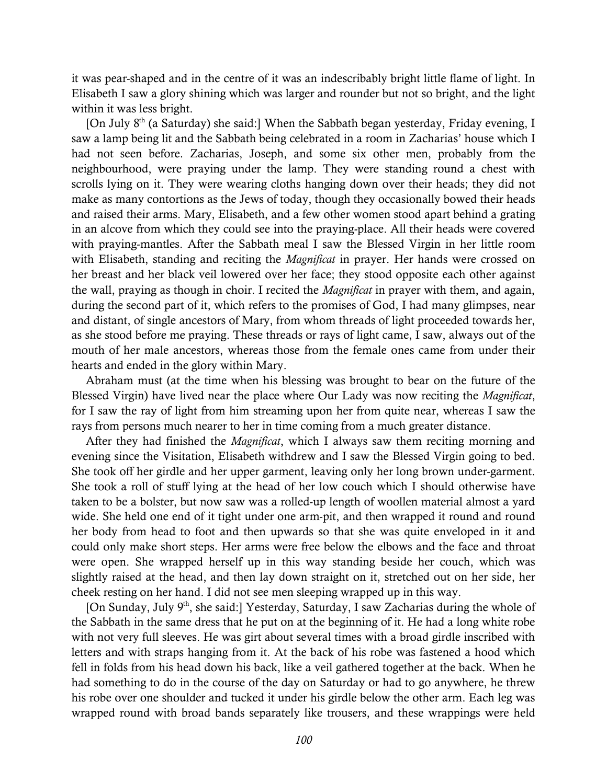it was pear-shaped and in the centre of it was an indescribably bright little flame of light. In Elisabeth I saw a glory shining which was larger and rounder but not so bright, and the light within it was less bright.

[On July 8<sup>th</sup> (a Saturday) she said:] When the Sabbath began yesterday, Friday evening, I saw a lamp being lit and the Sabbath being celebrated in a room in Zacharias' house which I had not seen before. Zacharias, Joseph, and some six other men, probably from the neighbourhood, were praying under the lamp. They were standing round a chest with scrolls lying on it. They were wearing cloths hanging down over their heads; they did not make as many contortions as the Jews of today, though they occasionally bowed their heads and raised their arms. Mary, Elisabeth, and a few other women stood apart behind a grating in an alcove from which they could see into the praying-place. All their heads were covered with praying-mantles. After the Sabbath meal I saw the Blessed Virgin in her little room with Elisabeth, standing and reciting the *Magnificat* in prayer. Her hands were crossed on her breast and her black veil lowered over her face; they stood opposite each other against the wall, praying as though in choir. I recited the *Magnificat* in prayer with them, and again, during the second part of it, which refers to the promises of God, I had many glimpses, near and distant, of single ancestors of Mary, from whom threads of light proceeded towards her, as she stood before me praying. These threads or rays of light came, I saw, always out of the mouth of her male ancestors, whereas those from the female ones came from under their hearts and ended in the glory within Mary.

Abraham must (at the time when his blessing was brought to bear on the future of the Blessed Virgin) have lived near the place where Our Lady was now reciting the *Magnificat*, for I saw the ray of light from him streaming upon her from quite near, whereas I saw the rays from persons much nearer to her in time coming from a much greater distance.

After they had finished the *Magnificat*, which I always saw them reciting morning and evening since the Visitation, Elisabeth withdrew and I saw the Blessed Virgin going to bed. She took off her girdle and her upper garment, leaving only her long brown under-garment. She took a roll of stuff lying at the head of her low couch which I should otherwise have taken to be a bolster, but now saw was a rolled-up length of woollen material almost a yard wide. She held one end of it tight under one arm-pit, and then wrapped it round and round her body from head to foot and then upwards so that she was quite enveloped in it and could only make short steps. Her arms were free below the elbows and the face and throat were open. She wrapped herself up in this way standing beside her couch, which was slightly raised at the head, and then lay down straight on it, stretched out on her side, her cheek resting on her hand. I did not see men sleeping wrapped up in this way.

[On Sunday, July 9<sup>th</sup>, she said:] Yesterday, Saturday, I saw Zacharias during the whole of the Sabbath in the same dress that he put on at the beginning of it. He had a long white robe with not very full sleeves. He was girt about several times with a broad girdle inscribed with letters and with straps hanging from it. At the back of his robe was fastened a hood which fell in folds from his head down his back, like a veil gathered together at the back. When he had something to do in the course of the day on Saturday or had to go anywhere, he threw his robe over one shoulder and tucked it under his girdle below the other arm. Each leg was wrapped round with broad bands separately like trousers, and these wrappings were held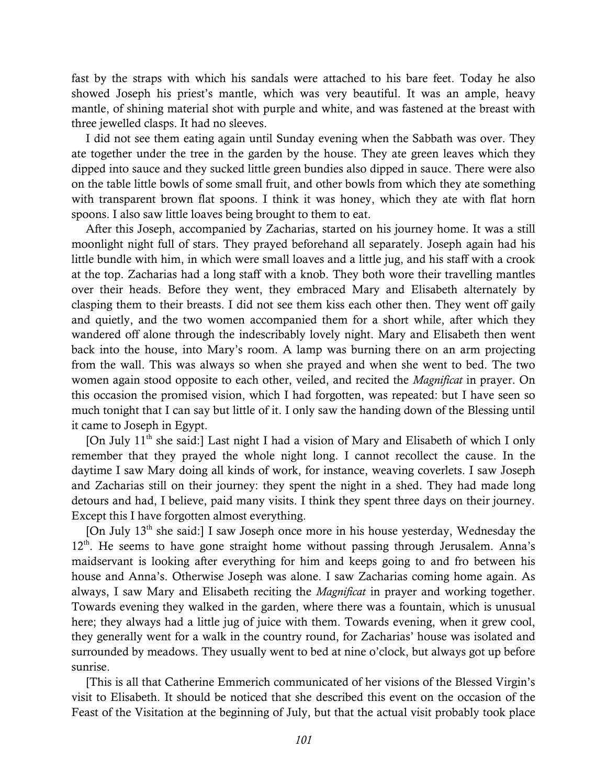fast by the straps with which his sandals were attached to his bare feet. Today he also showed Joseph his priest's mantle, which was very beautiful. It was an ample, heavy mantle, of shining material shot with purple and white, and was fastened at the breast with three jewelled clasps. It had no sleeves.

I did not see them eating again until Sunday evening when the Sabbath was over. They ate together under the tree in the garden by the house. They ate green leaves which they dipped into sauce and they sucked little green bundies also dipped in sauce. There were also on the table little bowls of some small fruit, and other bowls from which they ate something with transparent brown flat spoons. I think it was honey, which they ate with flat horn spoons. I also saw little loaves being brought to them to eat.

After this Joseph, accompanied by Zacharias, started on his journey home. It was a still moonlight night full of stars. They prayed beforehand all separately. Joseph again had his little bundle with him, in which were small loaves and a little jug, and his staff with a crook at the top. Zacharias had a long staff with a knob. They both wore their travelling mantles over their heads. Before they went, they embraced Mary and Elisabeth alternately by clasping them to their breasts. I did not see them kiss each other then. They went off gaily and quietly, and the two women accompanied them for a short while, after which they wandered off alone through the indescribably lovely night. Mary and Elisabeth then went back into the house, into Mary's room. A lamp was burning there on an arm projecting from the wall. This was always so when she prayed and when she went to bed. The two women again stood opposite to each other, veiled, and recited the *Magnificat* in prayer. On this occasion the promised vision, which I had forgotten, was repeated: but I have seen so much tonight that I can say but little of it. I only saw the handing down of the Blessing until it came to Joseph in Egypt.

[On July 11<sup>th</sup> she said:] Last night I had a vision of Mary and Elisabeth of which I only remember that they prayed the whole night long. I cannot recollect the cause. In the daytime I saw Mary doing all kinds of work, for instance, weaving coverlets. I saw Joseph and Zacharias still on their journey: they spent the night in a shed. They had made long detours and had, I believe, paid many visits. I think they spent three days on their journey. Except this I have forgotten almost everything.

[On July 13<sup>th</sup> she said:] I saw Joseph once more in his house yesterday, Wednesday the  $12<sup>th</sup>$ . He seems to have gone straight home without passing through Jerusalem. Anna's maidservant is looking after everything for him and keeps going to and fro between his house and Anna's. Otherwise Joseph was alone. I saw Zacharias coming home again. As always, I saw Mary and Elisabeth reciting the *Magnificat* in prayer and working together. Towards evening they walked in the garden, where there was a fountain, which is unusual here; they always had a little jug of juice with them. Towards evening, when it grew cool, they generally went for a walk in the country round, for Zacharias' house was isolated and surrounded by meadows. They usually went to bed at nine o'clock, but always got up before sunrise.

[This is all that Catherine Emmerich communicated of her visions of the Blessed Virgin's visit to Elisabeth. It should be noticed that she described this event on the occasion of the Feast of the Visitation at the beginning of July, but that the actual visit probably took place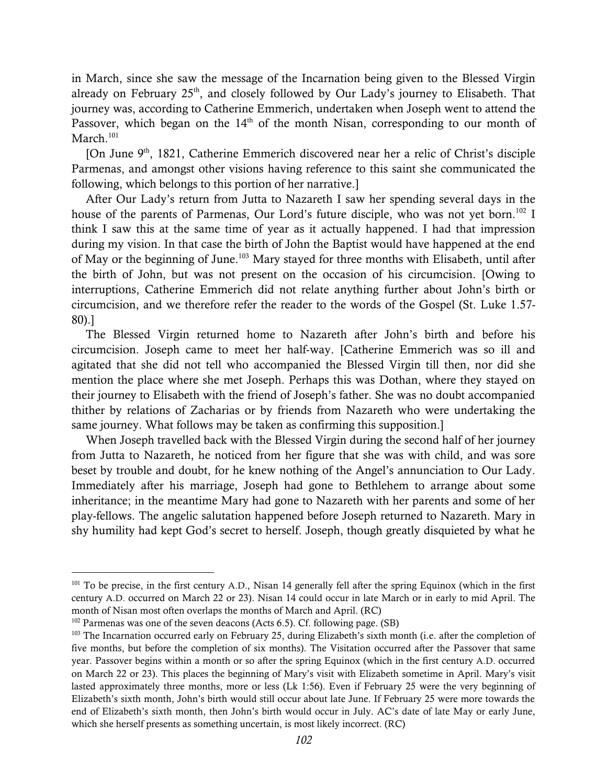in March, since she saw the message of the Incarnation being given to the Blessed Virgin already on February  $25<sup>th</sup>$ , and closely followed by Our Lady's journey to Elisabeth. That journey was, according to Catherine Emmerich, undertaken when Joseph went to attend the Passover, which began on the  $14<sup>th</sup>$  of the month Nisan, corresponding to our month of March.<sup>101</sup>

[On June 9<sup>th</sup>, 1821, Catherine Emmerich discovered near her a relic of Christ's disciple Parmenas, and amongst other visions having reference to this saint she communicated the following, which belongs to this portion of her narrative.]

After Our Lady's return from Jutta to Nazareth I saw her spending several days in the house of the parents of Parmenas, Our Lord's future disciple, who was not yet born.<sup>102</sup> I think I saw this at the same time of year as it actually happened. I had that impression during my vision. In that case the birth of John the Baptist would have happened at the end of May or the beginning of June.<sup>103</sup> Mary stayed for three months with Elisabeth, until after the birth of John, but was not present on the occasion of his circumcision. [Owing to interruptions, Catherine Emmerich did not relate anything further about John's birth or circumcision, and we therefore refer the reader to the words of the Gospel (St. Luke 1.57- 80).]

The Blessed Virgin returned home to Nazareth after John's birth and before his circumcision. Joseph came to meet her half-way. [Catherine Emmerich was so ill and agitated that she did not tell who accompanied the Blessed Virgin till then, nor did she mention the place where she met Joseph. Perhaps this was Dothan, where they stayed on their journey to Elisabeth with the friend of Joseph's father. She was no doubt accompanied thither by relations of Zacharias or by friends from Nazareth who were undertaking the same journey. What follows may be taken as confirming this supposition.]

When Joseph travelled back with the Blessed Virgin during the second half of her journey from Jutta to Nazareth, he noticed from her figure that she was with child, and was sore beset by trouble and doubt, for he knew nothing of the Angel's annunciation to Our Lady. Immediately after his marriage, Joseph had gone to Bethlehem to arrange about some inheritance; in the meantime Mary had gone to Nazareth with her parents and some of her play-fellows. The angelic salutation happened before Joseph returned to Nazareth. Mary in shy humility had kept God's secret to herself. Joseph, though greatly disquieted by what he

<sup>&</sup>lt;sup>101</sup> To be precise, in the first century A.D., Nisan 14 generally fell after the spring Equinox (which in the first century A.D. occurred on March 22 or 23). Nisan 14 could occur in late March or in early to mid April. The month of Nisan most often overlaps the months of March and April. (RC)

 $102$  Parmenas was one of the seven deacons (Acts 6.5). Cf. following page. (SB)

<sup>&</sup>lt;sup>103</sup> The Incarnation occurred early on February 25, during Elizabeth's sixth month (i.e. after the completion of five months, but before the completion of six months). The Visitation occurred after the Passover that same year. Passover begins within a month or so after the spring Equinox (which in the first century A.D. occurred on March 22 or 23). This places the beginning of Mary's visit with Elizabeth sometime in April. Mary's visit lasted approximately three months, more or less (Lk 1:56). Even if February 25 were the very beginning of Elizabeth's sixth month, John's birth would still occur about late June. If February 25 were more towards the end of Elizabeth's sixth month, then John's birth would occur in July. AC's date of late May or early June, which she herself presents as something uncertain, is most likely incorrect. (RC)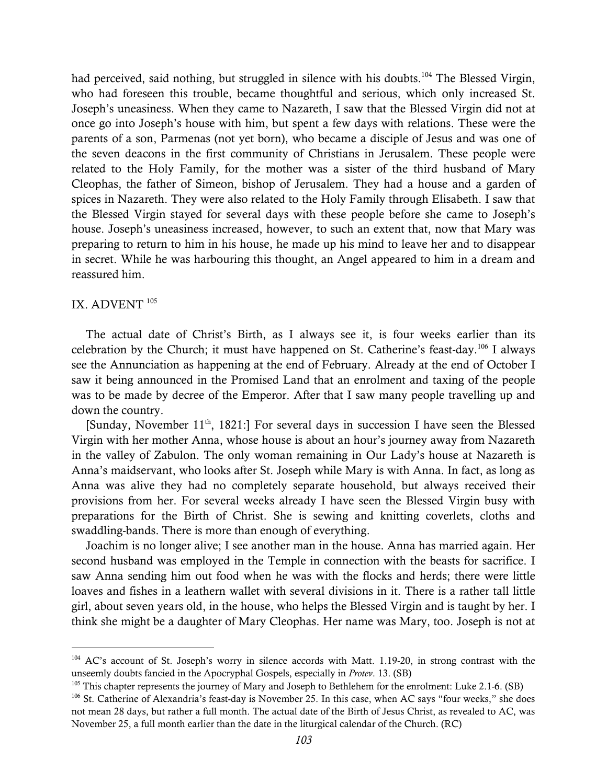had perceived, said nothing, but struggled in silence with his doubts.<sup>104</sup> The Blessed Virgin, who had foreseen this trouble, became thoughtful and serious, which only increased St. Joseph's uneasiness. When they came to Nazareth, I saw that the Blessed Virgin did not at once go into Joseph's house with him, but spent a few days with relations. These were the parents of a son, Parmenas (not yet born), who became a disciple of Jesus and was one of the seven deacons in the first community of Christians in Jerusalem. These people were related to the Holy Family, for the mother was a sister of the third husband of Mary Cleophas, the father of Simeon, bishop of Jerusalem. They had a house and a garden of spices in Nazareth. They were also related to the Holy Family through Elisabeth. I saw that the Blessed Virgin stayed for several days with these people before she came to Joseph's house. Joseph's uneasiness increased, however, to such an extent that, now that Mary was preparing to return to him in his house, he made up his mind to leave her and to disappear in secret. While he was harbouring this thought, an Angel appeared to him in a dream and reassured him.

# IX. ADVENT <sup>105</sup>

 $\overline{a}$ 

The actual date of Christ's Birth, as I always see it, is four weeks earlier than its celebration by the Church; it must have happened on St. Catherine's feast-day.<sup>106</sup> I always see the Annunciation as happening at the end of February. Already at the end of October I saw it being announced in the Promised Land that an enrolment and taxing of the people was to be made by decree of the Emperor. After that I saw many people travelling up and down the country.

[Sunday, November  $11<sup>th</sup>$ , 1821:] For several days in succession I have seen the Blessed Virgin with her mother Anna, whose house is about an hour's journey away from Nazareth in the valley of Zabulon. The only woman remaining in Our Lady's house at Nazareth is Anna's maidservant, who looks after St. Joseph while Mary is with Anna. In fact, as long as Anna was alive they had no completely separate household, but always received their provisions from her. For several weeks already I have seen the Blessed Virgin busy with preparations for the Birth of Christ. She is sewing and knitting coverlets, cloths and swaddling-bands. There is more than enough of everything.

Joachim is no longer alive; I see another man in the house. Anna has married again. Her second husband was employed in the Temple in connection with the beasts for sacrifice. I saw Anna sending him out food when he was with the flocks and herds; there were little loaves and fishes in a leathern wallet with several divisions in it. There is a rather tall little girl, about seven years old, in the house, who helps the Blessed Virgin and is taught by her. I think she might be a daughter of Mary Cleophas. Her name was Mary, too. Joseph is not at

<sup>&</sup>lt;sup>104</sup> AC's account of St. Joseph's worry in silence accords with Matt. 1.19-20, in strong contrast with the unseemly doubts fancied in the Apocryphal Gospels, especially in *Protev*. 13. (SB)

<sup>&</sup>lt;sup>105</sup> This chapter represents the journey of Mary and Joseph to Bethlehem for the enrolment: Luke 2.1-6. (SB)

<sup>106</sup> St. Catherine of Alexandria's feast-day is November 25. In this case, when AC says "four weeks," she does not mean 28 days, but rather a full month. The actual date of the Birth of Jesus Christ, as revealed to AC, was November 25, a full month earlier than the date in the liturgical calendar of the Church. (RC)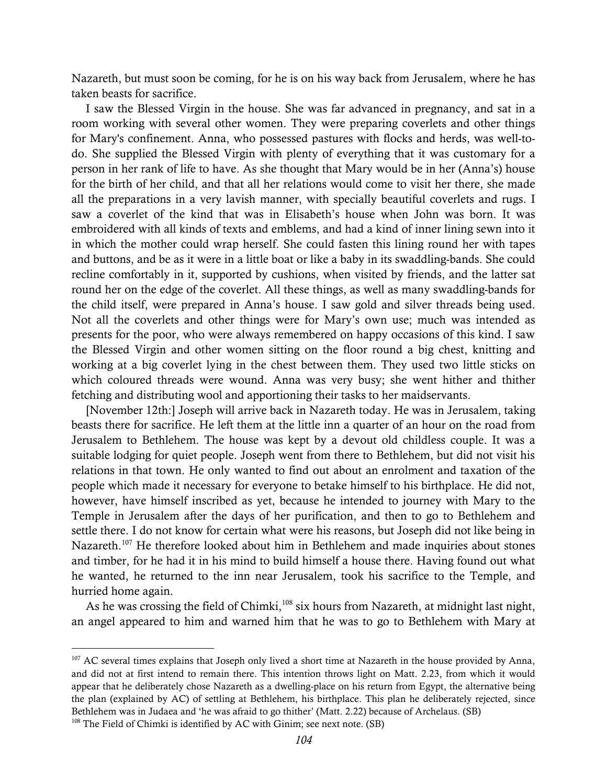Nazareth, but must soon be coming, for he is on his way back from Jerusalem, where he has taken beasts for sacrifice.

I saw the Blessed Virgin in the house. She was far advanced in pregnancy, and sat in a room working with several other women. They were preparing coverlets and other things for Mary's confinement. Anna, who possessed pastures with flocks and herds, was well-todo. She supplied the Blessed Virgin with plenty of everything that it was customary for a person in her rank of life to have. As she thought that Mary would be in her (Anna's) house for the birth of her child, and that all her relations would come to visit her there, she made all the preparations in a very lavish manner, with specially beautiful coverlets and rugs. I saw a coverlet of the kind that was in Elisabeth's house when John was born. It was embroidered with all kinds of texts and emblems, and had a kind of inner lining sewn into it in which the mother could wrap herself. She could fasten this lining round her with tapes and buttons, and be as it were in a little boat or like a baby in its swaddling-bands. She could recline comfortably in it, supported by cushions, when visited by friends, and the latter sat round her on the edge of the coverlet. All these things, as well as many swaddling-bands for the child itself, were prepared in Anna's house. I saw gold and silver threads being used. Not all the coverlets and other things were for Mary's own use; much was intended as presents for the poor, who were always remembered on happy occasions of this kind. I saw the Blessed Virgin and other women sitting on the floor round a big chest, knitting and working at a big coverlet lying in the chest between them. They used two little sticks on which coloured threads were wound. Anna was very busy; she went hither and thither fetching and distributing wool and apportioning their tasks to her maidservants.

[November 12th:] Joseph will arrive back in Nazareth today. He was in Jerusalem, taking beasts there for sacrifice. He left them at the little inn a quarter of an hour on the road from Jerusalem to Bethlehem. The house was kept by a devout old childless couple. It was a suitable lodging for quiet people. Joseph went from there to Bethlehem, but did not visit his relations in that town. He only wanted to find out about an enrolment and taxation of the people which made it necessary for everyone to betake himself to his birthplace. He did not, however, have himself inscribed as yet, because he intended to journey with Mary to the Temple in Jerusalem after the days of her purification, and then to go to Bethlehem and settle there. I do not know for certain what were his reasons, but Joseph did not like being in Nazareth.<sup>107</sup> He therefore looked about him in Bethlehem and made inquiries about stones and timber, for he had it in his mind to build himself a house there. Having found out what he wanted, he returned to the inn near Jerusalem, took his sacrifice to the Temple, and hurried home again.

As he was crossing the field of Chimki,<sup>108</sup> six hours from Nazareth, at midnight last night, an angel appeared to him and warned him that he was to go to Bethlehem with Mary at

<sup>&</sup>lt;sup>107</sup> AC several times explains that Joseph only lived a short time at Nazareth in the house provided by Anna, and did not at first intend to remain there. This intention throws light on Matt. 2.23, from which it would appear that he deliberately chose Nazareth as a dwelling-place on his return from Egypt, the alternative being the plan (explained by AC) of settling at Bethlehem, his birthplace. This plan he deliberately rejected, since Bethlehem was in Judaea and 'he was afraid to go thither' (Matt. 2.22) because of Archelaus. (SB)

 $108$  The Field of Chimki is identified by AC with Ginim; see next note. (SB)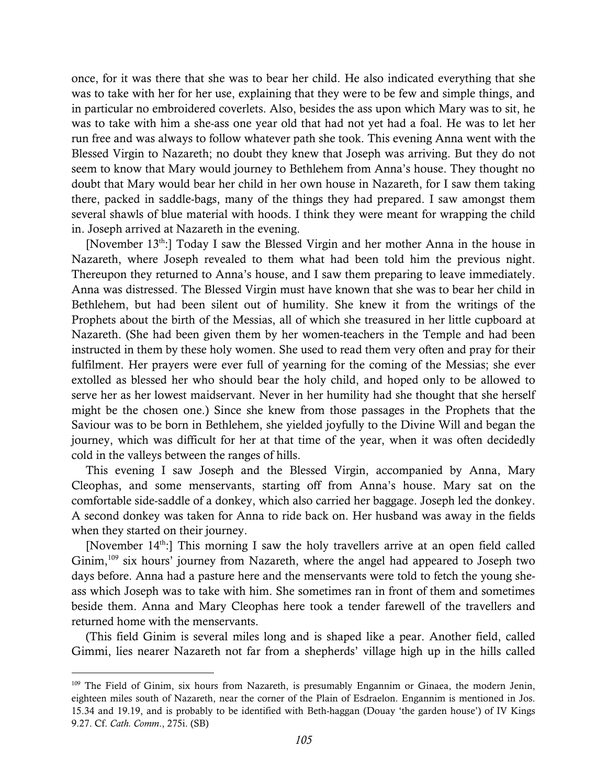once, for it was there that she was to bear her child. He also indicated everything that she was to take with her for her use, explaining that they were to be few and simple things, and in particular no embroidered coverlets. Also, besides the ass upon which Mary was to sit, he was to take with him a she-ass one year old that had not yet had a foal. He was to let her run free and was always to follow whatever path she took. This evening Anna went with the Blessed Virgin to Nazareth; no doubt they knew that Joseph was arriving. But they do not seem to know that Mary would journey to Bethlehem from Anna's house. They thought no doubt that Mary would bear her child in her own house in Nazareth, for I saw them taking there, packed in saddle-bags, many of the things they had prepared. I saw amongst them several shawls of blue material with hoods. I think they were meant for wrapping the child in. Joseph arrived at Nazareth in the evening.

[November 13<sup>th</sup>:] Today I saw the Blessed Virgin and her mother Anna in the house in Nazareth, where Joseph revealed to them what had been told him the previous night. Thereupon they returned to Anna's house, and I saw them preparing to leave immediately. Anna was distressed. The Blessed Virgin must have known that she was to bear her child in Bethlehem, but had been silent out of humility. She knew it from the writings of the Prophets about the birth of the Messias, all of which she treasured in her little cupboard at Nazareth. (She had been given them by her women-teachers in the Temple and had been instructed in them by these holy women. She used to read them very often and pray for their fulfilment. Her prayers were ever full of yearning for the coming of the Messias; she ever extolled as blessed her who should bear the holy child, and hoped only to be allowed to serve her as her lowest maidservant. Never in her humility had she thought that she herself might be the chosen one.) Since she knew from those passages in the Prophets that the Saviour was to be born in Bethlehem, she yielded joyfully to the Divine Will and began the journey, which was difficult for her at that time of the year, when it was often decidedly cold in the valleys between the ranges of hills.

This evening I saw Joseph and the Blessed Virgin, accompanied by Anna, Mary Cleophas, and some menservants, starting off from Anna's house. Mary sat on the comfortable side-saddle of a donkey, which also carried her baggage. Joseph led the donkey. A second donkey was taken for Anna to ride back on. Her husband was away in the fields when they started on their journey.

[November 14<sup>th</sup>:] This morning I saw the holy travellers arrive at an open field called Ginim,<sup>109</sup> six hours' journey from Nazareth, where the angel had appeared to Joseph two days before. Anna had a pasture here and the menservants were told to fetch the young sheass which Joseph was to take with him. She sometimes ran in front of them and sometimes beside them. Anna and Mary Cleophas here took a tender farewell of the travellers and returned home with the menservants.

(This field Ginim is several miles long and is shaped like a pear. Another field, called Gimmi, lies nearer Nazareth not far from a shepherds' village high up in the hills called

<sup>&</sup>lt;sup>109</sup> The Field of Ginim, six hours from Nazareth, is presumably Engannim or Ginaea, the modern Jenin, eighteen miles south of Nazareth, near the corner of the Plain of Esdraelon. Engannim is mentioned in Jos. 15.34 and 19.19, and is probably to be identified with Beth-haggan (Douay 'the garden house') of IV Kings 9.27. Cf. *Cath. Comm*., 275i. (SB)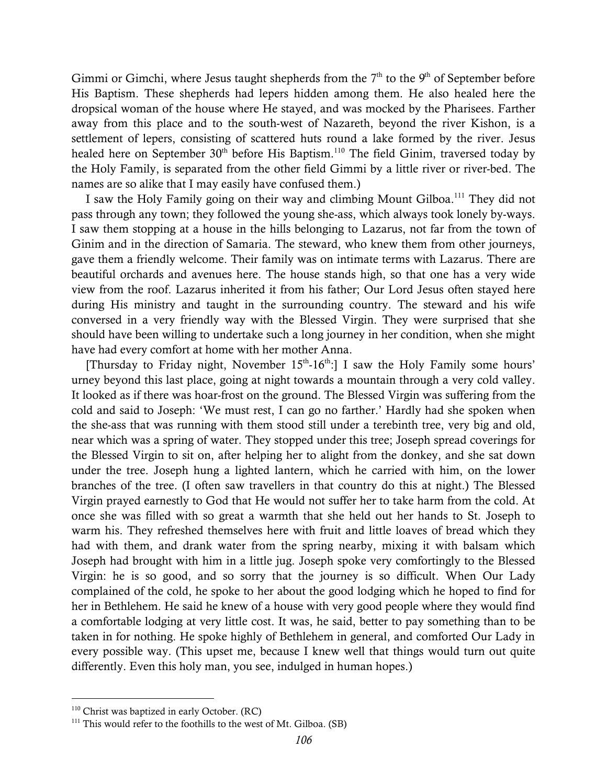Gimmi or Gimchi, where Jesus taught shepherds from the  $7<sup>th</sup>$  to the  $9<sup>th</sup>$  of September before His Baptism. These shepherds had lepers hidden among them. He also healed here the dropsical woman of the house where He stayed, and was mocked by the Pharisees. Farther away from this place and to the south-west of Nazareth, beyond the river Kishon, is a settlement of lepers, consisting of scattered huts round a lake formed by the river. Jesus healed here on September  $30<sup>th</sup>$  before His Baptism.<sup>110</sup> The field Ginim, traversed today by the Holy Family, is separated from the other field Gimmi by a little river or river-bed. The names are so alike that I may easily have confused them.)

I saw the Holy Family going on their way and climbing Mount Gilboa.<sup>111</sup> They did not pass through any town; they followed the young she-ass, which always took lonely by-ways. I saw them stopping at a house in the hills belonging to Lazarus, not far from the town of Ginim and in the direction of Samaria. The steward, who knew them from other journeys, gave them a friendly welcome. Their family was on intimate terms with Lazarus. There are beautiful orchards and avenues here. The house stands high, so that one has a very wide view from the roof. Lazarus inherited it from his father; Our Lord Jesus often stayed here during His ministry and taught in the surrounding country. The steward and his wife conversed in a very friendly way with the Blessed Virgin. They were surprised that she should have been willing to undertake such a long journey in her condition, when she might have had every comfort at home with her mother Anna.

[Thursday to Friday night, November  $15<sup>th</sup>$ -16<sup>th</sup>:] I saw the Holy Family some hours' urney beyond this last place, going at night towards a mountain through a very cold valley. It looked as if there was hoar-frost on the ground. The Blessed Virgin was suffering from the cold and said to Joseph: 'We must rest, I can go no farther.' Hardly had she spoken when the she-ass that was running with them stood still under a terebinth tree, very big and old, near which was a spring of water. They stopped under this tree; Joseph spread coverings for the Blessed Virgin to sit on, after helping her to alight from the donkey, and she sat down under the tree. Joseph hung a lighted lantern, which he carried with him, on the lower branches of the tree. (I often saw travellers in that country do this at night.) The Blessed Virgin prayed earnestly to God that He would not suffer her to take harm from the cold. At once she was filled with so great a warmth that she held out her hands to St. Joseph to warm his. They refreshed themselves here with fruit and little loaves of bread which they had with them, and drank water from the spring nearby, mixing it with balsam which Joseph had brought with him in a little jug. Joseph spoke very comfortingly to the Blessed Virgin: he is so good, and so sorry that the journey is so difficult. When Our Lady complained of the cold, he spoke to her about the good lodging which he hoped to find for her in Bethlehem. He said he knew of a house with very good people where they would find a comfortable lodging at very little cost. It was, he said, better to pay something than to be taken in for nothing. He spoke highly of Bethlehem in general, and comforted Our Lady in every possible way. (This upset me, because I knew well that things would turn out quite differently. Even this holy man, you see, indulged in human hopes.)

<sup>&</sup>lt;sup>110</sup> Christ was baptized in early October. (RC)

<sup>&</sup>lt;sup>111</sup> This would refer to the foothills to the west of Mt. Gilboa. (SB)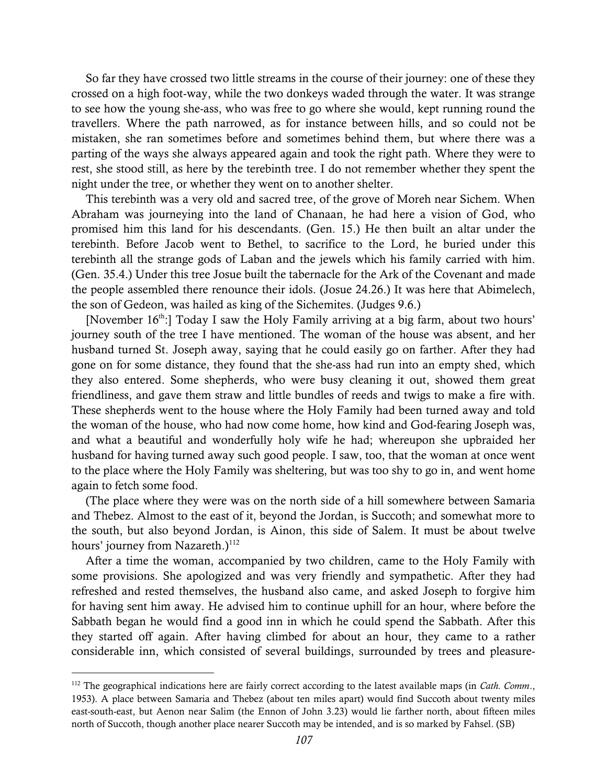So far they have crossed two little streams in the course of their journey: one of these they crossed on a high foot-way, while the two donkeys waded through the water. It was strange to see how the young she-ass, who was free to go where she would, kept running round the travellers. Where the path narrowed, as for instance between hills, and so could not be mistaken, she ran sometimes before and sometimes behind them, but where there was a parting of the ways she always appeared again and took the right path. Where they were to rest, she stood still, as here by the terebinth tree. I do not remember whether they spent the night under the tree, or whether they went on to another shelter.

This terebinth was a very old and sacred tree, of the grove of Moreh near Sichem. When Abraham was journeying into the land of Chanaan, he had here a vision of God, who promised him this land for his descendants. (Gen. 15.) He then built an altar under the terebinth. Before Jacob went to Bethel, to sacrifice to the Lord, he buried under this terebinth all the strange gods of Laban and the jewels which his family carried with him. (Gen. 35.4.) Under this tree Josue built the tabernacle for the Ark of the Covenant and made the people assembled there renounce their idols. (Josue 24.26.) It was here that Abimelech, the son of Gedeon, was hailed as king of the Sichemites. (Judges 9.6.)

[November  $16<sup>th</sup>$ :] Today I saw the Holy Family arriving at a big farm, about two hours' journey south of the tree I have mentioned. The woman of the house was absent, and her husband turned St. Joseph away, saying that he could easily go on farther. After they had gone on for some distance, they found that the she-ass had run into an empty shed, which they also entered. Some shepherds, who were busy cleaning it out, showed them great friendliness, and gave them straw and little bundles of reeds and twigs to make a fire with. These shepherds went to the house where the Holy Family had been turned away and told the woman of the house, who had now come home, how kind and God-fearing Joseph was, and what a beautiful and wonderfully holy wife he had; whereupon she upbraided her husband for having turned away such good people. I saw, too, that the woman at once went to the place where the Holy Family was sheltering, but was too shy to go in, and went home again to fetch some food.

(The place where they were was on the north side of a hill somewhere between Samaria and Thebez. Almost to the east of it, beyond the Jordan, is Succoth; and somewhat more to the south, but also beyond Jordan, is Ainon, this side of Salem. It must be about twelve hours' journey from Nazareth.) $^{112}$ 

After a time the woman, accompanied by two children, came to the Holy Family with some provisions. She apologized and was very friendly and sympathetic. After they had refreshed and rested themselves, the husband also came, and asked Joseph to forgive him for having sent him away. He advised him to continue uphill for an hour, where before the Sabbath began he would find a good inn in which he could spend the Sabbath. After this they started off again. After having climbed for about an hour, they came to a rather considerable inn, which consisted of several buildings, surrounded by trees and pleasure-

<sup>112</sup> The geographical indications here are fairly correct according to the latest available maps (in *Cath. Comm*., 1953). A place between Samaria and Thebez (about ten miles apart) would find Succoth about twenty miles east-south-east, but Aenon near Salim (the Ennon of John 3.23) would lie farther north, about fifteen miles north of Succoth, though another place nearer Succoth may be intended, and is so marked by Fahsel. (SB)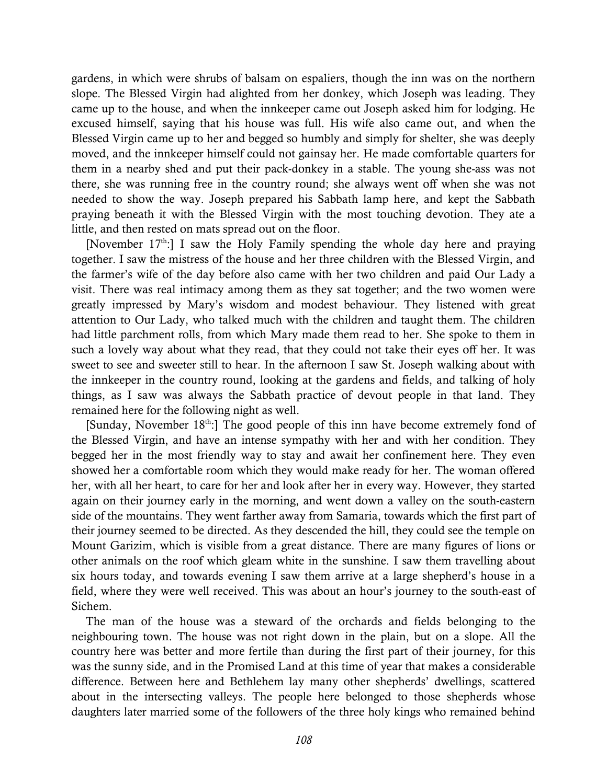gardens, in which were shrubs of balsam on espaliers, though the inn was on the northern slope. The Blessed Virgin had alighted from her donkey, which Joseph was leading. They came up to the house, and when the innkeeper came out Joseph asked him for lodging. He excused himself, saying that his house was full. His wife also came out, and when the Blessed Virgin came up to her and begged so humbly and simply for shelter, she was deeply moved, and the innkeeper himself could not gainsay her. He made comfortable quarters for them in a nearby shed and put their pack-donkey in a stable. The young she-ass was not there, she was running free in the country round; she always went off when she was not needed to show the way. Joseph prepared his Sabbath lamp here, and kept the Sabbath praying beneath it with the Blessed Virgin with the most touching devotion. They ate a little, and then rested on mats spread out on the floor.

[November  $17<sup>th</sup>$ ] I saw the Holy Family spending the whole day here and praying together. I saw the mistress of the house and her three children with the Blessed Virgin, and the farmer's wife of the day before also came with her two children and paid Our Lady a visit. There was real intimacy among them as they sat together; and the two women were greatly impressed by Mary's wisdom and modest behaviour. They listened with great attention to Our Lady, who talked much with the children and taught them. The children had little parchment rolls, from which Mary made them read to her. She spoke to them in such a lovely way about what they read, that they could not take their eyes off her. It was sweet to see and sweeter still to hear. In the afternoon I saw St. Joseph walking about with the innkeeper in the country round, looking at the gardens and fields, and talking of holy things, as I saw was always the Sabbath practice of devout people in that land. They remained here for the following night as well.

[Sunday, November  $18<sup>th</sup>$ :] The good people of this inn have become extremely fond of the Blessed Virgin, and have an intense sympathy with her and with her condition. They begged her in the most friendly way to stay and await her confinement here. They even showed her a comfortable room which they would make ready for her. The woman offered her, with all her heart, to care for her and look after her in every way. However, they started again on their journey early in the morning, and went down a valley on the south-eastern side of the mountains. They went farther away from Samaria, towards which the first part of their journey seemed to be directed. As they descended the hill, they could see the temple on Mount Garizim, which is visible from a great distance. There are many figures of lions or other animals on the roof which gleam white in the sunshine. I saw them travelling about six hours today, and towards evening I saw them arrive at a large shepherd's house in a field, where they were well received. This was about an hour's journey to the south-east of Sichem.

The man of the house was a steward of the orchards and fields belonging to the neighbouring town. The house was not right down in the plain, but on a slope. All the country here was better and more fertile than during the first part of their journey, for this was the sunny side, and in the Promised Land at this time of year that makes a considerable difference. Between here and Bethlehem lay many other shepherds' dwellings, scattered about in the intersecting valleys. The people here belonged to those shepherds whose daughters later married some of the followers of the three holy kings who remained behind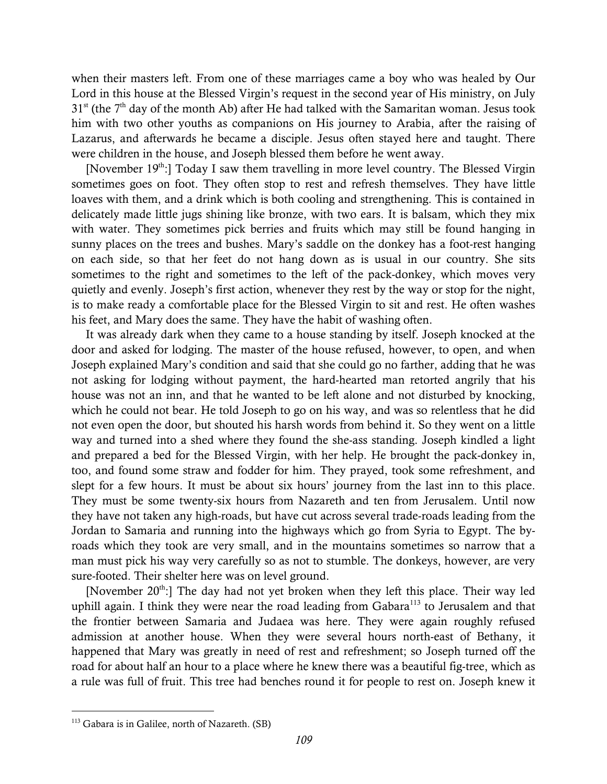when their masters left. From one of these marriages came a boy who was healed by Our Lord in this house at the Blessed Virgin's request in the second year of His ministry, on July  $31<sup>st</sup>$  (the  $7<sup>th</sup>$  day of the month Ab) after He had talked with the Samaritan woman. Jesus took him with two other youths as companions on His journey to Arabia, after the raising of Lazarus, and afterwards he became a disciple. Jesus often stayed here and taught. There were children in the house, and Joseph blessed them before he went away.

[November  $19<sup>th</sup>$ :] Today I saw them travelling in more level country. The Blessed Virgin sometimes goes on foot. They often stop to rest and refresh themselves. They have little loaves with them, and a drink which is both cooling and strengthening. This is contained in delicately made little jugs shining like bronze, with two ears. It is balsam, which they mix with water. They sometimes pick berries and fruits which may still be found hanging in sunny places on the trees and bushes. Mary's saddle on the donkey has a foot-rest hanging on each side, so that her feet do not hang down as is usual in our country. She sits sometimes to the right and sometimes to the left of the pack-donkey, which moves very quietly and evenly. Joseph's first action, whenever they rest by the way or stop for the night, is to make ready a comfortable place for the Blessed Virgin to sit and rest. He often washes his feet, and Mary does the same. They have the habit of washing often.

It was already dark when they came to a house standing by itself. Joseph knocked at the door and asked for lodging. The master of the house refused, however, to open, and when Joseph explained Mary's condition and said that she could go no farther, adding that he was not asking for lodging without payment, the hard-hearted man retorted angrily that his house was not an inn, and that he wanted to be left alone and not disturbed by knocking, which he could not bear. He told Joseph to go on his way, and was so relentless that he did not even open the door, but shouted his harsh words from behind it. So they went on a little way and turned into a shed where they found the she-ass standing. Joseph kindled a light and prepared a bed for the Blessed Virgin, with her help. He brought the pack-donkey in, too, and found some straw and fodder for him. They prayed, took some refreshment, and slept for a few hours. It must be about six hours' journey from the last inn to this place. They must be some twenty-six hours from Nazareth and ten from Jerusalem. Until now they have not taken any high-roads, but have cut across several trade-roads leading from the Jordan to Samaria and running into the highways which go from Syria to Egypt. The byroads which they took are very small, and in the mountains sometimes so narrow that a man must pick his way very carefully so as not to stumble. The donkeys, however, are very sure-footed. Their shelter here was on level ground.

[November 20<sup>th</sup>:] The day had not yet broken when they left this place. Their way led uphill again. I think they were near the road leading from Gabara<sup>113</sup> to Jerusalem and that the frontier between Samaria and Judaea was here. They were again roughly refused admission at another house. When they were several hours north-east of Bethany, it happened that Mary was greatly in need of rest and refreshment; so Joseph turned off the road for about half an hour to a place where he knew there was a beautiful fig-tree, which as a rule was full of fruit. This tree had benches round it for people to rest on. Joseph knew it

<sup>113</sup> Gabara is in Galilee, north of Nazareth. (SB)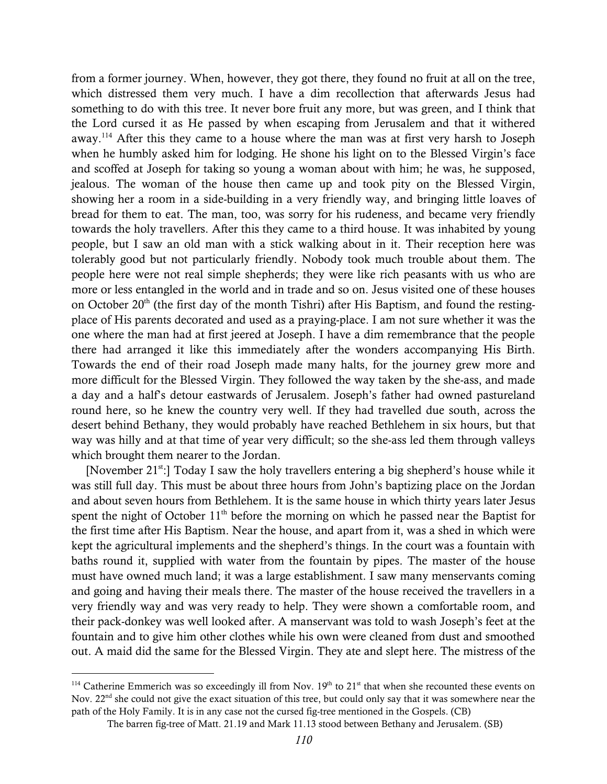from a former journey. When, however, they got there, they found no fruit at all on the tree, which distressed them very much. I have a dim recollection that afterwards Jesus had something to do with this tree. It never bore fruit any more, but was green, and I think that the Lord cursed it as He passed by when escaping from Jerusalem and that it withered away.<sup>114</sup> After this they came to a house where the man was at first very harsh to Joseph when he humbly asked him for lodging. He shone his light on to the Blessed Virgin's face and scoffed at Joseph for taking so young a woman about with him; he was, he supposed, jealous. The woman of the house then came up and took pity on the Blessed Virgin, showing her a room in a side-building in a very friendly way, and bringing little loaves of bread for them to eat. The man, too, was sorry for his rudeness, and became very friendly towards the holy travellers. After this they came to a third house. It was inhabited by young people, but I saw an old man with a stick walking about in it. Their reception here was tolerably good but not particularly friendly. Nobody took much trouble about them. The people here were not real simple shepherds; they were like rich peasants with us who are more or less entangled in the world and in trade and so on. Jesus visited one of these houses on October 20<sup>th</sup> (the first day of the month Tishri) after His Baptism, and found the restingplace of His parents decorated and used as a praying-place. I am not sure whether it was the one where the man had at first jeered at Joseph. I have a dim remembrance that the people there had arranged it like this immediately after the wonders accompanying His Birth. Towards the end of their road Joseph made many halts, for the journey grew more and more difficult for the Blessed Virgin. They followed the way taken by the she-ass, and made a day and a half's detour eastwards of Jerusalem. Joseph's father had owned pastureland round here, so he knew the country very well. If they had travelled due south, across the desert behind Bethany, they would probably have reached Bethlehem in six hours, but that way was hilly and at that time of year very difficult; so the she-ass led them through valleys which brought them nearer to the Jordan.

[November  $21^{st}$ :] Today I saw the holy travellers entering a big shepherd's house while it was still full day. This must be about three hours from John's baptizing place on the Jordan and about seven hours from Bethlehem. It is the same house in which thirty years later Jesus spent the night of October 11<sup>th</sup> before the morning on which he passed near the Baptist for the first time after His Baptism. Near the house, and apart from it, was a shed in which were kept the agricultural implements and the shepherd's things. In the court was a fountain with baths round it, supplied with water from the fountain by pipes. The master of the house must have owned much land; it was a large establishment. I saw many menservants coming and going and having their meals there. The master of the house received the travellers in a very friendly way and was very ready to help. They were shown a comfortable room, and their pack-donkey was well looked after. A manservant was told to wash Joseph's feet at the fountain and to give him other clothes while his own were cleaned from dust and smoothed out. A maid did the same for the Blessed Virgin. They ate and slept here. The mistress of the

<sup>&</sup>lt;sup>114</sup> Catherine Emmerich was so exceedingly ill from Nov. 19<sup>th</sup> to 21<sup>st</sup> that when she recounted these events on Nov. 22<sup>nd</sup> she could not give the exact situation of this tree, but could only say that it was somewhere near the path of the Holy Family. It is in any case not the cursed fig-tree mentioned in the Gospels. (CB)

The barren fig-tree of Matt. 21.19 and Mark 11.13 stood between Bethany and Jerusalem. (SB)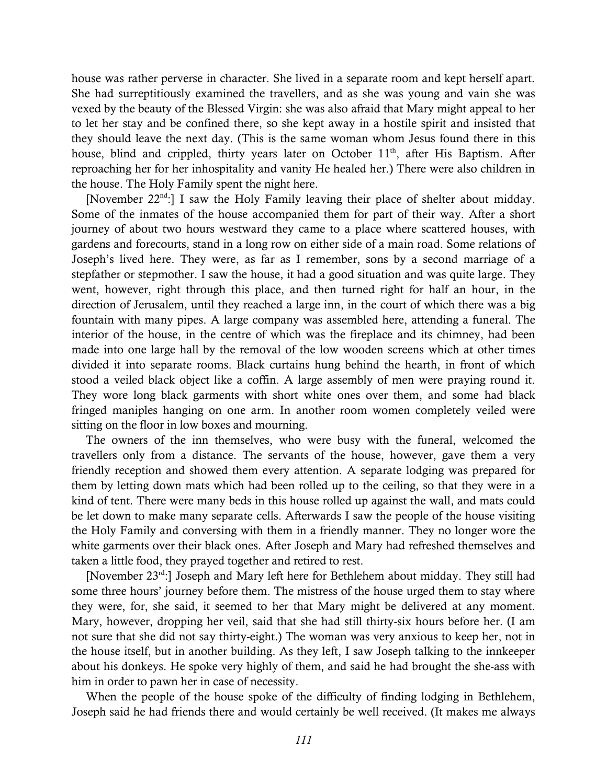house was rather perverse in character. She lived in a separate room and kept herself apart. She had surreptitiously examined the travellers, and as she was young and vain she was vexed by the beauty of the Blessed Virgin: she was also afraid that Mary might appeal to her to let her stay and be confined there, so she kept away in a hostile spirit and insisted that they should leave the next day. (This is the same woman whom Jesus found there in this house, blind and crippled, thirty years later on October  $11<sup>th</sup>$ , after His Baptism. After reproaching her for her inhospitality and vanity He healed her.) There were also children in the house. The Holy Family spent the night here.

[November 22<sup>nd</sup>:] I saw the Holy Family leaving their place of shelter about midday. Some of the inmates of the house accompanied them for part of their way. After a short journey of about two hours westward they came to a place where scattered houses, with gardens and forecourts, stand in a long row on either side of a main road. Some relations of Joseph's lived here. They were, as far as I remember, sons by a second marriage of a stepfather or stepmother. I saw the house, it had a good situation and was quite large. They went, however, right through this place, and then turned right for half an hour, in the direction of Jerusalem, until they reached a large inn, in the court of which there was a big fountain with many pipes. A large company was assembled here, attending a funeral. The interior of the house, in the centre of which was the fireplace and its chimney, had been made into one large hall by the removal of the low wooden screens which at other times divided it into separate rooms. Black curtains hung behind the hearth, in front of which stood a veiled black object like a coffin. A large assembly of men were praying round it. They wore long black garments with short white ones over them, and some had black fringed maniples hanging on one arm. In another room women completely veiled were sitting on the floor in low boxes and mourning.

The owners of the inn themselves, who were busy with the funeral, welcomed the travellers only from a distance. The servants of the house, however, gave them a very friendly reception and showed them every attention. A separate lodging was prepared for them by letting down mats which had been rolled up to the ceiling, so that they were in a kind of tent. There were many beds in this house rolled up against the wall, and mats could be let down to make many separate cells. Afterwards I saw the people of the house visiting the Holy Family and conversing with them in a friendly manner. They no longer wore the white garments over their black ones. After Joseph and Mary had refreshed themselves and taken a little food, they prayed together and retired to rest.

[November 23<sup>rd</sup>:] Joseph and Mary left here for Bethlehem about midday. They still had some three hours' journey before them. The mistress of the house urged them to stay where they were, for, she said, it seemed to her that Mary might be delivered at any moment. Mary, however, dropping her veil, said that she had still thirty-six hours before her. (I am not sure that she did not say thirty-eight.) The woman was very anxious to keep her, not in the house itself, but in another building. As they left, I saw Joseph talking to the innkeeper about his donkeys. He spoke very highly of them, and said he had brought the she-ass with him in order to pawn her in case of necessity.

When the people of the house spoke of the difficulty of finding lodging in Bethlehem, Joseph said he had friends there and would certainly be well received. (It makes me always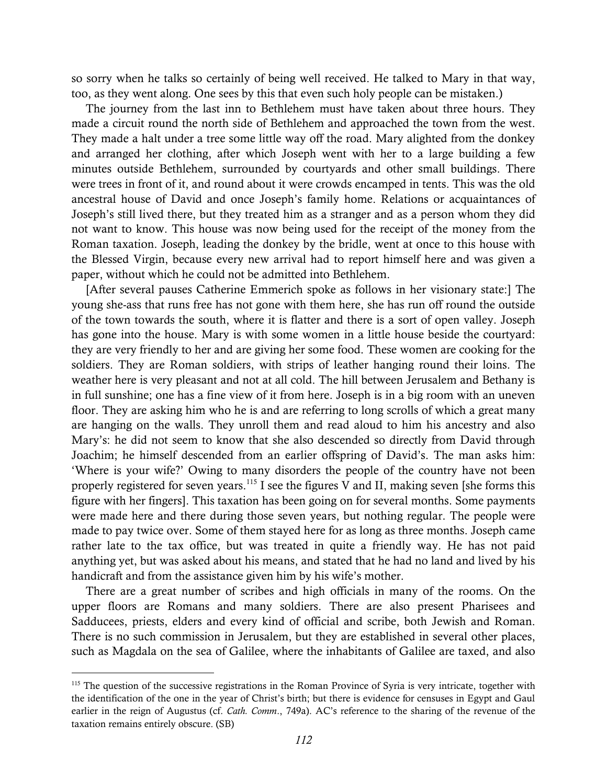so sorry when he talks so certainly of being well received. He talked to Mary in that way, too, as they went along. One sees by this that even such holy people can be mistaken.)

The journey from the last inn to Bethlehem must have taken about three hours. They made a circuit round the north side of Bethlehem and approached the town from the west. They made a halt under a tree some little way off the road. Mary alighted from the donkey and arranged her clothing, after which Joseph went with her to a large building a few minutes outside Bethlehem, surrounded by courtyards and other small buildings. There were trees in front of it, and round about it were crowds encamped in tents. This was the old ancestral house of David and once Joseph's family home. Relations or acquaintances of Joseph's still lived there, but they treated him as a stranger and as a person whom they did not want to know. This house was now being used for the receipt of the money from the Roman taxation. Joseph, leading the donkey by the bridle, went at once to this house with the Blessed Virgin, because every new arrival had to report himself here and was given a paper, without which he could not be admitted into Bethlehem.

[After several pauses Catherine Emmerich spoke as follows in her visionary state:] The young she-ass that runs free has not gone with them here, she has run off round the outside of the town towards the south, where it is flatter and there is a sort of open valley. Joseph has gone into the house. Mary is with some women in a little house beside the courtyard: they are very friendly to her and are giving her some food. These women are cooking for the soldiers. They are Roman soldiers, with strips of leather hanging round their loins. The weather here is very pleasant and not at all cold. The hill between Jerusalem and Bethany is in full sunshine; one has a fine view of it from here. Joseph is in a big room with an uneven floor. They are asking him who he is and are referring to long scrolls of which a great many are hanging on the walls. They unroll them and read aloud to him his ancestry and also Mary's: he did not seem to know that she also descended so directly from David through Joachim; he himself descended from an earlier offspring of David's. The man asks him: 'Where is your wife?' Owing to many disorders the people of the country have not been properly registered for seven years.<sup>115</sup> I see the figures V and II, making seven [she forms this figure with her fingers]. This taxation has been going on for several months. Some payments were made here and there during those seven years, but nothing regular. The people were made to pay twice over. Some of them stayed here for as long as three months. Joseph came rather late to the tax office, but was treated in quite a friendly way. He has not paid anything yet, but was asked about his means, and stated that he had no land and lived by his handicraft and from the assistance given him by his wife's mother.

There are a great number of scribes and high officials in many of the rooms. On the upper floors are Romans and many soldiers. There are also present Pharisees and Sadducees, priests, elders and every kind of official and scribe, both Jewish and Roman. There is no such commission in Jerusalem, but they are established in several other places, such as Magdala on the sea of Galilee, where the inhabitants of Galilee are taxed, and also

<sup>&</sup>lt;sup>115</sup> The question of the successive registrations in the Roman Province of Syria is very intricate, together with the identification of the one in the year of Christ's birth; but there is evidence for censuses in Egypt and Gaul earlier in the reign of Augustus (cf. *Cath. Comm*., 749a). AC's reference to the sharing of the revenue of the taxation remains entirely obscure. (SB)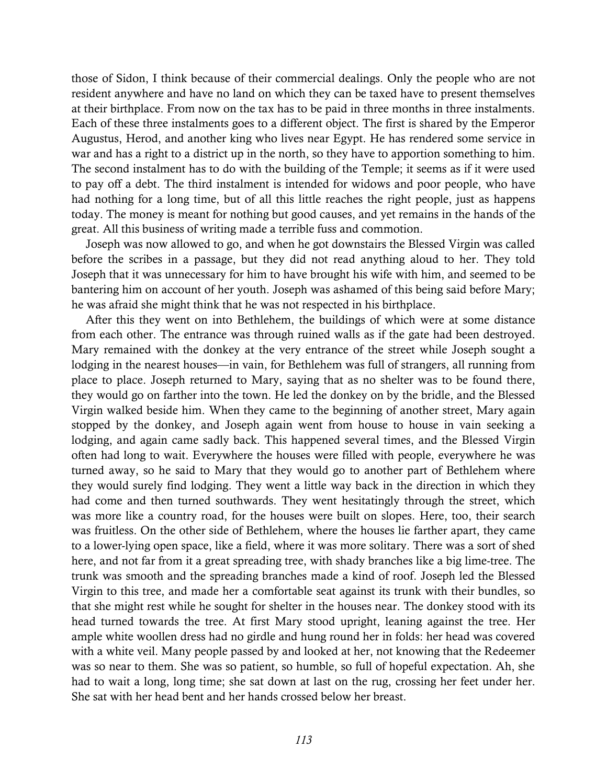those of Sidon, I think because of their commercial dealings. Only the people who are not resident anywhere and have no land on which they can be taxed have to present themselves at their birthplace. From now on the tax has to be paid in three months in three instalments. Each of these three instalments goes to a different object. The first is shared by the Emperor Augustus, Herod, and another king who lives near Egypt. He has rendered some service in war and has a right to a district up in the north, so they have to apportion something to him. The second instalment has to do with the building of the Temple; it seems as if it were used to pay off a debt. The third instalment is intended for widows and poor people, who have had nothing for a long time, but of all this little reaches the right people, just as happens today. The money is meant for nothing but good causes, and yet remains in the hands of the great. All this business of writing made a terrible fuss and commotion.

Joseph was now allowed to go, and when he got downstairs the Blessed Virgin was called before the scribes in a passage, but they did not read anything aloud to her. They told Joseph that it was unnecessary for him to have brought his wife with him, and seemed to be bantering him on account of her youth. Joseph was ashamed of this being said before Mary; he was afraid she might think that he was not respected in his birthplace.

After this they went on into Bethlehem, the buildings of which were at some distance from each other. The entrance was through ruined walls as if the gate had been destroyed. Mary remained with the donkey at the very entrance of the street while Joseph sought a lodging in the nearest houses—in vain, for Bethlehem was full of strangers, all running from place to place. Joseph returned to Mary, saying that as no shelter was to be found there, they would go on farther into the town. He led the donkey on by the bridle, and the Blessed Virgin walked beside him. When they came to the beginning of another street, Mary again stopped by the donkey, and Joseph again went from house to house in vain seeking a lodging, and again came sadly back. This happened several times, and the Blessed Virgin often had long to wait. Everywhere the houses were filled with people, everywhere he was turned away, so he said to Mary that they would go to another part of Bethlehem where they would surely find lodging. They went a little way back in the direction in which they had come and then turned southwards. They went hesitatingly through the street, which was more like a country road, for the houses were built on slopes. Here, too, their search was fruitless. On the other side of Bethlehem, where the houses lie farther apart, they came to a lower-lying open space, like a field, where it was more solitary. There was a sort of shed here, and not far from it a great spreading tree, with shady branches like a big lime-tree. The trunk was smooth and the spreading branches made a kind of roof. Joseph led the Blessed Virgin to this tree, and made her a comfortable seat against its trunk with their bundles, so that she might rest while he sought for shelter in the houses near. The donkey stood with its head turned towards the tree. At first Mary stood upright, leaning against the tree. Her ample white woollen dress had no girdle and hung round her in folds: her head was covered with a white veil. Many people passed by and looked at her, not knowing that the Redeemer was so near to them. She was so patient, so humble, so full of hopeful expectation. Ah, she had to wait a long, long time; she sat down at last on the rug, crossing her feet under her. She sat with her head bent and her hands crossed below her breast.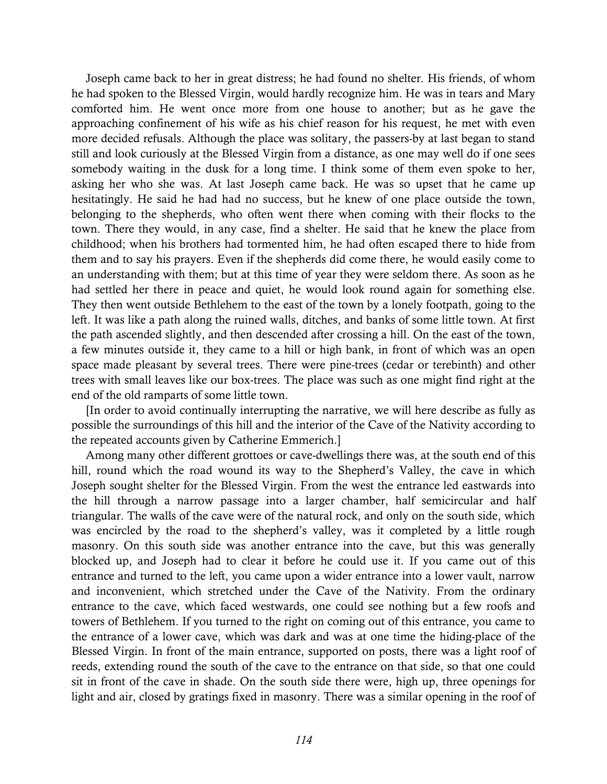Joseph came back to her in great distress; he had found no shelter. His friends, of whom he had spoken to the Blessed Virgin, would hardly recognize him. He was in tears and Mary comforted him. He went once more from one house to another; but as he gave the approaching confinement of his wife as his chief reason for his request, he met with even more decided refusals. Although the place was solitary, the passers-by at last began to stand still and look curiously at the Blessed Virgin from a distance, as one may well do if one sees somebody waiting in the dusk for a long time. I think some of them even spoke to her, asking her who she was. At last Joseph came back. He was so upset that he came up hesitatingly. He said he had had no success, but he knew of one place outside the town, belonging to the shepherds, who often went there when coming with their flocks to the town. There they would, in any case, find a shelter. He said that he knew the place from childhood; when his brothers had tormented him, he had often escaped there to hide from them and to say his prayers. Even if the shepherds did come there, he would easily come to an understanding with them; but at this time of year they were seldom there. As soon as he had settled her there in peace and quiet, he would look round again for something else. They then went outside Bethlehem to the east of the town by a lonely footpath, going to the left. It was like a path along the ruined walls, ditches, and banks of some little town. At first the path ascended slightly, and then descended after crossing a hill. On the east of the town, a few minutes outside it, they came to a hill or high bank, in front of which was an open space made pleasant by several trees. There were pine-trees (cedar or terebinth) and other trees with small leaves like our box-trees. The place was such as one might find right at the end of the old ramparts of some little town.

[In order to avoid continually interrupting the narrative, we will here describe as fully as possible the surroundings of this hill and the interior of the Cave of the Nativity according to the repeated accounts given by Catherine Emmerich.]

Among many other different grottoes or cave-dwellings there was, at the south end of this hill, round which the road wound its way to the Shepherd's Valley, the cave in which Joseph sought shelter for the Blessed Virgin. From the west the entrance led eastwards into the hill through a narrow passage into a larger chamber, half semicircular and half triangular. The walls of the cave were of the natural rock, and only on the south side, which was encircled by the road to the shepherd's valley, was it completed by a little rough masonry. On this south side was another entrance into the cave, but this was generally blocked up, and Joseph had to clear it before he could use it. If you came out of this entrance and turned to the left, you came upon a wider entrance into a lower vault, narrow and inconvenient, which stretched under the Cave of the Nativity. From the ordinary entrance to the cave, which faced westwards, one could see nothing but a few roofs and towers of Bethlehem. If you turned to the right on coming out of this entrance, you came to the entrance of a lower cave, which was dark and was at one time the hiding-place of the Blessed Virgin. In front of the main entrance, supported on posts, there was a light roof of reeds, extending round the south of the cave to the entrance on that side, so that one could sit in front of the cave in shade. On the south side there were, high up, three openings for light and air, closed by gratings fixed in masonry. There was a similar opening in the roof of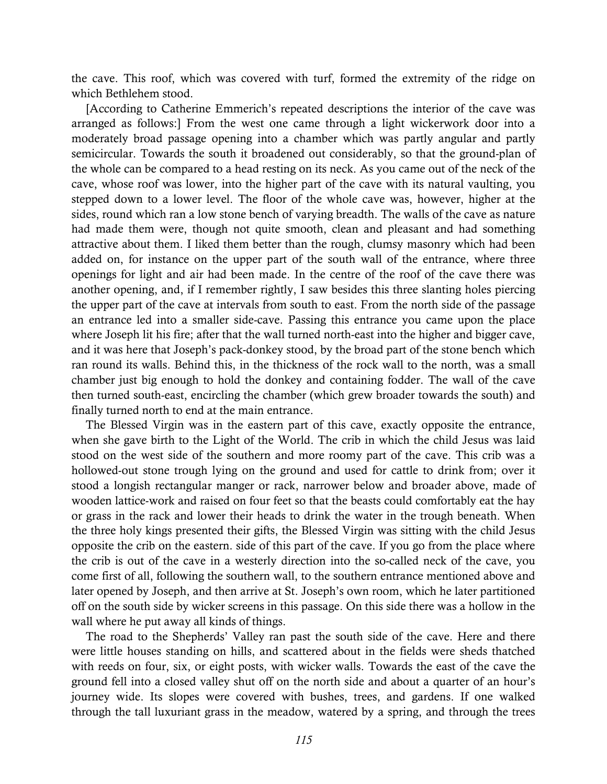the cave. This roof, which was covered with turf, formed the extremity of the ridge on which Bethlehem stood.

[According to Catherine Emmerich's repeated descriptions the interior of the cave was arranged as follows:] From the west one came through a light wickerwork door into a moderately broad passage opening into a chamber which was partly angular and partly semicircular. Towards the south it broadened out considerably, so that the ground-plan of the whole can be compared to a head resting on its neck. As you came out of the neck of the cave, whose roof was lower, into the higher part of the cave with its natural vaulting, you stepped down to a lower level. The floor of the whole cave was, however, higher at the sides, round which ran a low stone bench of varying breadth. The walls of the cave as nature had made them were, though not quite smooth, clean and pleasant and had something attractive about them. I liked them better than the rough, clumsy masonry which had been added on, for instance on the upper part of the south wall of the entrance, where three openings for light and air had been made. In the centre of the roof of the cave there was another opening, and, if I remember rightly, I saw besides this three slanting holes piercing the upper part of the cave at intervals from south to east. From the north side of the passage an entrance led into a smaller side-cave. Passing this entrance you came upon the place where Joseph lit his fire; after that the wall turned north-east into the higher and bigger cave, and it was here that Joseph's pack-donkey stood, by the broad part of the stone bench which ran round its walls. Behind this, in the thickness of the rock wall to the north, was a small chamber just big enough to hold the donkey and containing fodder. The wall of the cave then turned south-east, encircling the chamber (which grew broader towards the south) and finally turned north to end at the main entrance.

The Blessed Virgin was in the eastern part of this cave, exactly opposite the entrance, when she gave birth to the Light of the World. The crib in which the child Jesus was laid stood on the west side of the southern and more roomy part of the cave. This crib was a hollowed-out stone trough lying on the ground and used for cattle to drink from; over it stood a longish rectangular manger or rack, narrower below and broader above, made of wooden lattice-work and raised on four feet so that the beasts could comfortably eat the hay or grass in the rack and lower their heads to drink the water in the trough beneath. When the three holy kings presented their gifts, the Blessed Virgin was sitting with the child Jesus opposite the crib on the eastern. side of this part of the cave. If you go from the place where the crib is out of the cave in a westerly direction into the so-called neck of the cave, you come first of all, following the southern wall, to the southern entrance mentioned above and later opened by Joseph, and then arrive at St. Joseph's own room, which he later partitioned off on the south side by wicker screens in this passage. On this side there was a hollow in the wall where he put away all kinds of things.

The road to the Shepherds' Valley ran past the south side of the cave. Here and there were little houses standing on hills, and scattered about in the fields were sheds thatched with reeds on four, six, or eight posts, with wicker walls. Towards the east of the cave the ground fell into a closed valley shut off on the north side and about a quarter of an hour's journey wide. Its slopes were covered with bushes, trees, and gardens. If one walked through the tall luxuriant grass in the meadow, watered by a spring, and through the trees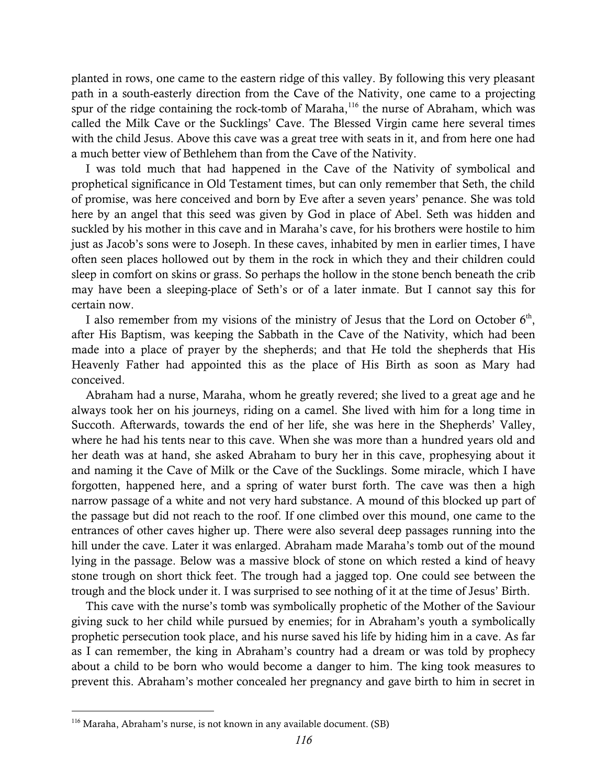planted in rows, one came to the eastern ridge of this valley. By following this very pleasant path in a south-easterly direction from the Cave of the Nativity, one came to a projecting spur of the ridge containing the rock-tomb of Maraha,<sup>116</sup> the nurse of Abraham, which was called the Milk Cave or the Sucklings' Cave. The Blessed Virgin came here several times with the child Jesus. Above this cave was a great tree with seats in it, and from here one had a much better view of Bethlehem than from the Cave of the Nativity.

I was told much that had happened in the Cave of the Nativity of symbolical and prophetical significance in Old Testament times, but can only remember that Seth, the child of promise, was here conceived and born by Eve after a seven years' penance. She was told here by an angel that this seed was given by God in place of Abel. Seth was hidden and suckled by his mother in this cave and in Maraha's cave, for his brothers were hostile to him just as Jacob's sons were to Joseph. In these caves, inhabited by men in earlier times, I have often seen places hollowed out by them in the rock in which they and their children could sleep in comfort on skins or grass. So perhaps the hollow in the stone bench beneath the crib may have been a sleeping-place of Seth's or of a later inmate. But I cannot say this for certain now.

I also remember from my visions of the ministry of Jesus that the Lord on October  $6<sup>th</sup>$ , after His Baptism, was keeping the Sabbath in the Cave of the Nativity, which had been made into a place of prayer by the shepherds; and that He told the shepherds that His Heavenly Father had appointed this as the place of His Birth as soon as Mary had conceived.

Abraham had a nurse, Maraha, whom he greatly revered; she lived to a great age and he always took her on his journeys, riding on a camel. She lived with him for a long time in Succoth. Afterwards, towards the end of her life, she was here in the Shepherds' Valley, where he had his tents near to this cave. When she was more than a hundred years old and her death was at hand, she asked Abraham to bury her in this cave, prophesying about it and naming it the Cave of Milk or the Cave of the Sucklings. Some miracle, which I have forgotten, happened here, and a spring of water burst forth. The cave was then a high narrow passage of a white and not very hard substance. A mound of this blocked up part of the passage but did not reach to the roof. If one climbed over this mound, one came to the entrances of other caves higher up. There were also several deep passages running into the hill under the cave. Later it was enlarged. Abraham made Maraha's tomb out of the mound lying in the passage. Below was a massive block of stone on which rested a kind of heavy stone trough on short thick feet. The trough had a jagged top. One could see between the trough and the block under it. I was surprised to see nothing of it at the time of Jesus' Birth.

This cave with the nurse's tomb was symbolically prophetic of the Mother of the Saviour giving suck to her child while pursued by enemies; for in Abraham's youth a symbolically prophetic persecution took place, and his nurse saved his life by hiding him in a cave. As far as I can remember, the king in Abraham's country had a dream or was told by prophecy about a child to be born who would become a danger to him. The king took measures to prevent this. Abraham's mother concealed her pregnancy and gave birth to him in secret in

<sup>116</sup> Maraha, Abraham's nurse, is not known in any available document. (SB)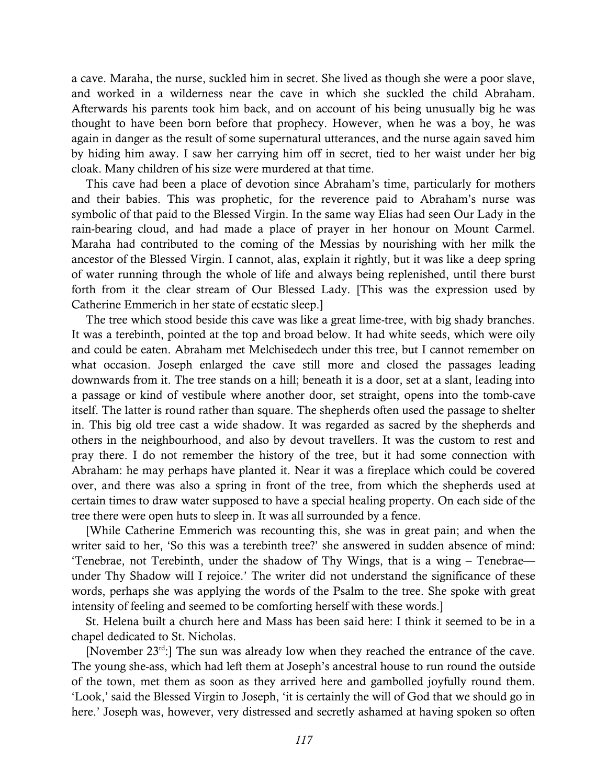a cave. Maraha, the nurse, suckled him in secret. She lived as though she were a poor slave, and worked in a wilderness near the cave in which she suckled the child Abraham. Afterwards his parents took him back, and on account of his being unusually big he was thought to have been born before that prophecy. However, when he was a boy, he was again in danger as the result of some supernatural utterances, and the nurse again saved him by hiding him away. I saw her carrying him off in secret, tied to her waist under her big cloak. Many children of his size were murdered at that time.

This cave had been a place of devotion since Abraham's time, particularly for mothers and their babies. This was prophetic, for the reverence paid to Abraham's nurse was symbolic of that paid to the Blessed Virgin. In the same way Elias had seen Our Lady in the rain-bearing cloud, and had made a place of prayer in her honour on Mount Carmel. Maraha had contributed to the coming of the Messias by nourishing with her milk the ancestor of the Blessed Virgin. I cannot, alas, explain it rightly, but it was like a deep spring of water running through the whole of life and always being replenished, until there burst forth from it the clear stream of Our Blessed Lady. [This was the expression used by Catherine Emmerich in her state of ecstatic sleep.]

The tree which stood beside this cave was like a great lime-tree, with big shady branches. It was a terebinth, pointed at the top and broad below. It had white seeds, which were oily and could be eaten. Abraham met Melchisedech under this tree, but I cannot remember on what occasion. Joseph enlarged the cave still more and closed the passages leading downwards from it. The tree stands on a hill; beneath it is a door, set at a slant, leading into a passage or kind of vestibule where another door, set straight, opens into the tomb-cave itself. The latter is round rather than square. The shepherds often used the passage to shelter in. This big old tree cast a wide shadow. It was regarded as sacred by the shepherds and others in the neighbourhood, and also by devout travellers. It was the custom to rest and pray there. I do not remember the history of the tree, but it had some connection with Abraham: he may perhaps have planted it. Near it was a fireplace which could be covered over, and there was also a spring in front of the tree, from which the shepherds used at certain times to draw water supposed to have a special healing property. On each side of the tree there were open huts to sleep in. It was all surrounded by a fence.

[While Catherine Emmerich was recounting this, she was in great pain; and when the writer said to her, 'So this was a terebinth tree?' she answered in sudden absence of mind: 'Tenebrae, not Terebinth, under the shadow of Thy Wings, that is a wing – Tenebrae under Thy Shadow will I rejoice.' The writer did not understand the significance of these words, perhaps she was applying the words of the Psalm to the tree. She spoke with great intensity of feeling and seemed to be comforting herself with these words.]

St. Helena built a church here and Mass has been said here: I think it seemed to be in a chapel dedicated to St. Nicholas.

[November 23<sup>rd</sup>:] The sun was already low when they reached the entrance of the cave. The young she-ass, which had left them at Joseph's ancestral house to run round the outside of the town, met them as soon as they arrived here and gambolled joyfully round them. 'Look,' said the Blessed Virgin to Joseph, 'it is certainly the will of God that we should go in here.' Joseph was, however, very distressed and secretly ashamed at having spoken so often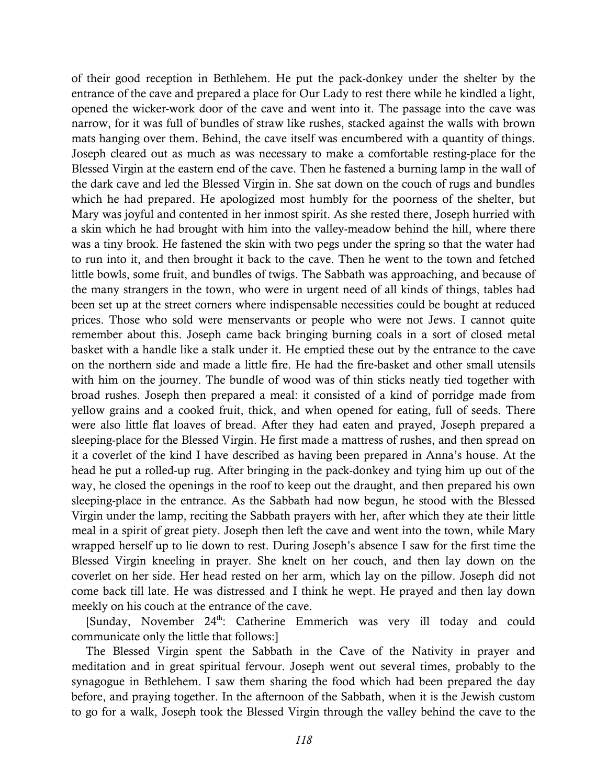of their good reception in Bethlehem. He put the pack-donkey under the shelter by the entrance of the cave and prepared a place for Our Lady to rest there while he kindled a light, opened the wicker-work door of the cave and went into it. The passage into the cave was narrow, for it was full of bundles of straw like rushes, stacked against the walls with brown mats hanging over them. Behind, the cave itself was encumbered with a quantity of things. Joseph cleared out as much as was necessary to make a comfortable resting-place for the Blessed Virgin at the eastern end of the cave. Then he fastened a burning lamp in the wall of the dark cave and led the Blessed Virgin in. She sat down on the couch of rugs and bundles which he had prepared. He apologized most humbly for the poorness of the shelter, but Mary was joyful and contented in her inmost spirit. As she rested there, Joseph hurried with a skin which he had brought with him into the valley-meadow behind the hill, where there was a tiny brook. He fastened the skin with two pegs under the spring so that the water had to run into it, and then brought it back to the cave. Then he went to the town and fetched little bowls, some fruit, and bundles of twigs. The Sabbath was approaching, and because of the many strangers in the town, who were in urgent need of all kinds of things, tables had been set up at the street corners where indispensable necessities could be bought at reduced prices. Those who sold were menservants or people who were not Jews. I cannot quite remember about this. Joseph came back bringing burning coals in a sort of closed metal basket with a handle like a stalk under it. He emptied these out by the entrance to the cave on the northern side and made a little fire. He had the fire-basket and other small utensils with him on the journey. The bundle of wood was of thin sticks neatly tied together with broad rushes. Joseph then prepared a meal: it consisted of a kind of porridge made from yellow grains and a cooked fruit, thick, and when opened for eating, full of seeds. There were also little flat loaves of bread. After they had eaten and prayed, Joseph prepared a sleeping-place for the Blessed Virgin. He first made a mattress of rushes, and then spread on it a coverlet of the kind I have described as having been prepared in Anna's house. At the head he put a rolled-up rug. After bringing in the pack-donkey and tying him up out of the way, he closed the openings in the roof to keep out the draught, and then prepared his own sleeping-place in the entrance. As the Sabbath had now begun, he stood with the Blessed Virgin under the lamp, reciting the Sabbath prayers with her, after which they ate their little meal in a spirit of great piety. Joseph then left the cave and went into the town, while Mary wrapped herself up to lie down to rest. During Joseph's absence I saw for the first time the Blessed Virgin kneeling in prayer. She knelt on her couch, and then lay down on the coverlet on her side. Her head rested on her arm, which lay on the pillow. Joseph did not come back till late. He was distressed and I think he wept. He prayed and then lay down meekly on his couch at the entrance of the cave.

[Sunday, November 24<sup>th</sup>: Catherine Emmerich was very ill today and could communicate only the little that follows:]

The Blessed Virgin spent the Sabbath in the Cave of the Nativity in prayer and meditation and in great spiritual fervour. Joseph went out several times, probably to the synagogue in Bethlehem. I saw them sharing the food which had been prepared the day before, and praying together. In the afternoon of the Sabbath, when it is the Jewish custom to go for a walk, Joseph took the Blessed Virgin through the valley behind the cave to the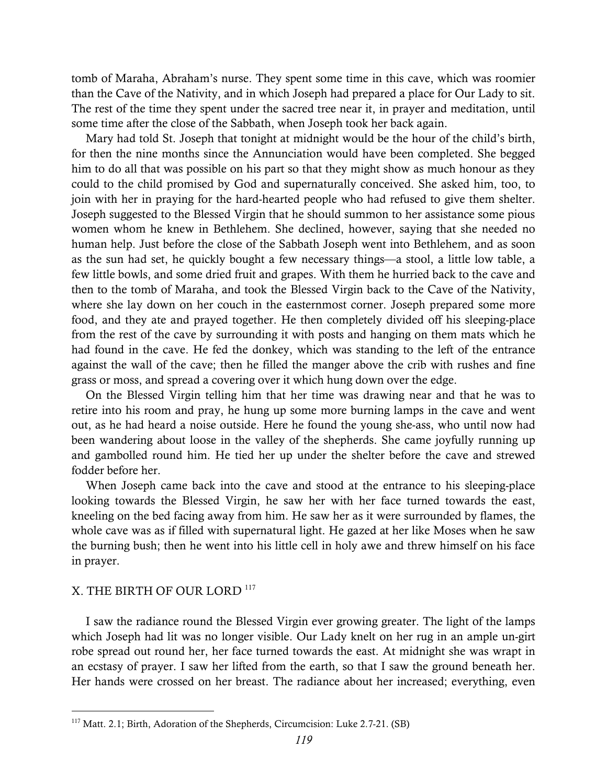tomb of Maraha, Abraham's nurse. They spent some time in this cave, which was roomier than the Cave of the Nativity, and in which Joseph had prepared a place for Our Lady to sit. The rest of the time they spent under the sacred tree near it, in prayer and meditation, until some time after the close of the Sabbath, when Joseph took her back again.

Mary had told St. Joseph that tonight at midnight would be the hour of the child's birth, for then the nine months since the Annunciation would have been completed. She begged him to do all that was possible on his part so that they might show as much honour as they could to the child promised by God and supernaturally conceived. She asked him, too, to join with her in praying for the hard-hearted people who had refused to give them shelter. Joseph suggested to the Blessed Virgin that he should summon to her assistance some pious women whom he knew in Bethlehem. She declined, however, saying that she needed no human help. Just before the close of the Sabbath Joseph went into Bethlehem, and as soon as the sun had set, he quickly bought a few necessary things—a stool, a little low table, a few little bowls, and some dried fruit and grapes. With them he hurried back to the cave and then to the tomb of Maraha, and took the Blessed Virgin back to the Cave of the Nativity, where she lay down on her couch in the easternmost corner. Joseph prepared some more food, and they ate and prayed together. He then completely divided off his sleeping-place from the rest of the cave by surrounding it with posts and hanging on them mats which he had found in the cave. He fed the donkey, which was standing to the left of the entrance against the wall of the cave; then he filled the manger above the crib with rushes and fine grass or moss, and spread a covering over it which hung down over the edge.

On the Blessed Virgin telling him that her time was drawing near and that he was to retire into his room and pray, he hung up some more burning lamps in the cave and went out, as he had heard a noise outside. Here he found the young she-ass, who until now had been wandering about loose in the valley of the shepherds. She came joyfully running up and gambolled round him. He tied her up under the shelter before the cave and strewed fodder before her.

When Joseph came back into the cave and stood at the entrance to his sleeping-place looking towards the Blessed Virgin, he saw her with her face turned towards the east, kneeling on the bed facing away from him. He saw her as it were surrounded by flames, the whole cave was as if filled with supernatural light. He gazed at her like Moses when he saw the burning bush; then he went into his little cell in holy awe and threw himself on his face in prayer.

## X. THE BIRTH OF OUR LORD <sup>117</sup>

 $\overline{a}$ 

I saw the radiance round the Blessed Virgin ever growing greater. The light of the lamps which Joseph had lit was no longer visible. Our Lady knelt on her rug in an ample un-girt robe spread out round her, her face turned towards the east. At midnight she was wrapt in an ecstasy of prayer. I saw her lifted from the earth, so that I saw the ground beneath her. Her hands were crossed on her breast. The radiance about her increased; everything, even

<sup>117</sup> Matt. 2.1; Birth, Adoration of the Shepherds, Circumcision: Luke 2.7-21. (SB)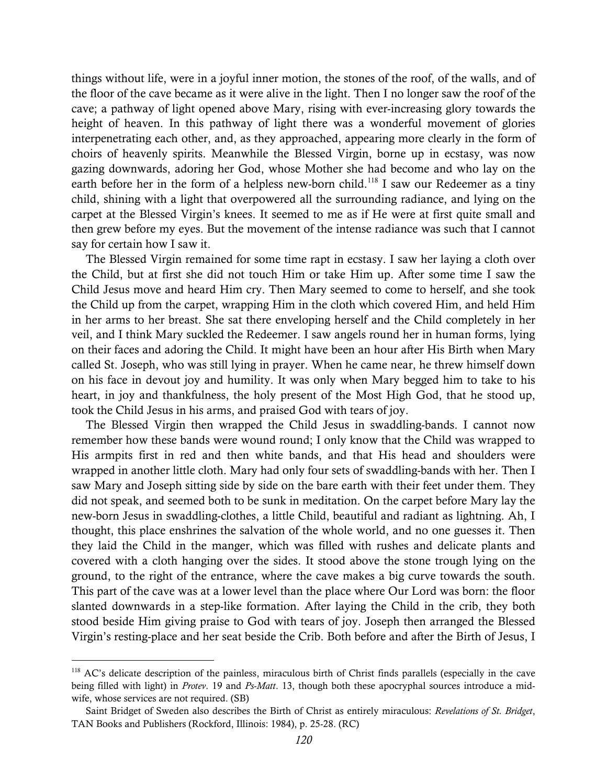things without life, were in a joyful inner motion, the stones of the roof, of the walls, and of the floor of the cave became as it were alive in the light. Then I no longer saw the roof of the cave; a pathway of light opened above Mary, rising with ever-increasing glory towards the height of heaven. In this pathway of light there was a wonderful movement of glories interpenetrating each other, and, as they approached, appearing more clearly in the form of choirs of heavenly spirits. Meanwhile the Blessed Virgin, borne up in ecstasy, was now gazing downwards, adoring her God, whose Mother she had become and who lay on the earth before her in the form of a helpless new-born child.<sup>118</sup> I saw our Redeemer as a tiny child, shining with a light that overpowered all the surrounding radiance, and lying on the carpet at the Blessed Virgin's knees. It seemed to me as if He were at first quite small and then grew before my eyes. But the movement of the intense radiance was such that I cannot say for certain how I saw it.

The Blessed Virgin remained for some time rapt in ecstasy. I saw her laying a cloth over the Child, but at first she did not touch Him or take Him up. After some time I saw the Child Jesus move and heard Him cry. Then Mary seemed to come to herself, and she took the Child up from the carpet, wrapping Him in the cloth which covered Him, and held Him in her arms to her breast. She sat there enveloping herself and the Child completely in her veil, and I think Mary suckled the Redeemer. I saw angels round her in human forms, lying on their faces and adoring the Child. It might have been an hour after His Birth when Mary called St. Joseph, who was still lying in prayer. When he came near, he threw himself down on his face in devout joy and humility. It was only when Mary begged him to take to his heart, in joy and thankfulness, the holy present of the Most High God, that he stood up, took the Child Jesus in his arms, and praised God with tears of joy.

The Blessed Virgin then wrapped the Child Jesus in swaddling-bands. I cannot now remember how these bands were wound round; I only know that the Child was wrapped to His armpits first in red and then white bands, and that His head and shoulders were wrapped in another little cloth. Mary had only four sets of swaddling-bands with her. Then I saw Mary and Joseph sitting side by side on the bare earth with their feet under them. They did not speak, and seemed both to be sunk in meditation. On the carpet before Mary lay the new-born Jesus in swaddling-clothes, a little Child, beautiful and radiant as lightning. Ah, I thought, this place enshrines the salvation of the whole world, and no one guesses it. Then they laid the Child in the manger, which was filled with rushes and delicate plants and covered with a cloth hanging over the sides. It stood above the stone trough lying on the ground, to the right of the entrance, where the cave makes a big curve towards the south. This part of the cave was at a lower level than the place where Our Lord was born: the floor slanted downwards in a step-like formation. After laying the Child in the crib, they both stood beside Him giving praise to God with tears of joy. Joseph then arranged the Blessed Virgin's resting-place and her seat beside the Crib. Both before and after the Birth of Jesus, I

<sup>&</sup>lt;sup>118</sup> AC's delicate description of the painless, miraculous birth of Christ finds parallels (especially in the cave being filled with light) in *Protev*. 19 and *Ps-Matt*. 13, though both these apocryphal sources introduce a midwife, whose services are not required. (SB)

Saint Bridget of Sweden also describes the Birth of Christ as entirely miraculous: *Revelations of St. Bridget*, TAN Books and Publishers (Rockford, Illinois: 1984), p. 25-28. (RC)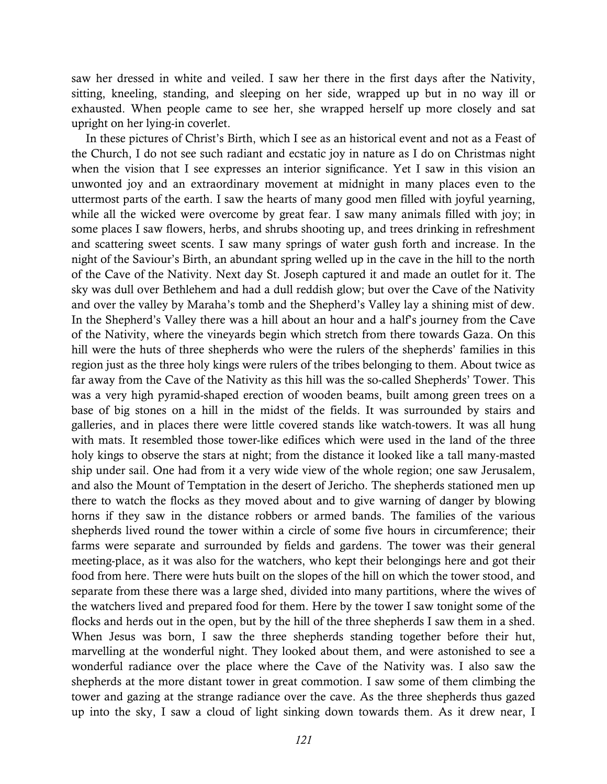saw her dressed in white and veiled. I saw her there in the first days after the Nativity, sitting, kneeling, standing, and sleeping on her side, wrapped up but in no way ill or exhausted. When people came to see her, she wrapped herself up more closely and sat upright on her lying-in coverlet.

In these pictures of Christ's Birth, which I see as an historical event and not as a Feast of the Church, I do not see such radiant and ecstatic joy in nature as I do on Christmas night when the vision that I see expresses an interior significance. Yet I saw in this vision an unwonted joy and an extraordinary movement at midnight in many places even to the uttermost parts of the earth. I saw the hearts of many good men filled with joyful yearning, while all the wicked were overcome by great fear. I saw many animals filled with joy; in some places I saw flowers, herbs, and shrubs shooting up, and trees drinking in refreshment and scattering sweet scents. I saw many springs of water gush forth and increase. In the night of the Saviour's Birth, an abundant spring welled up in the cave in the hill to the north of the Cave of the Nativity. Next day St. Joseph captured it and made an outlet for it. The sky was dull over Bethlehem and had a dull reddish glow; but over the Cave of the Nativity and over the valley by Maraha's tomb and the Shepherd's Valley lay a shining mist of dew. In the Shepherd's Valley there was a hill about an hour and a half's journey from the Cave of the Nativity, where the vineyards begin which stretch from there towards Gaza. On this hill were the huts of three shepherds who were the rulers of the shepherds' families in this region just as the three holy kings were rulers of the tribes belonging to them. About twice as far away from the Cave of the Nativity as this hill was the so-called Shepherds' Tower. This was a very high pyramid-shaped erection of wooden beams, built among green trees on a base of big stones on a hill in the midst of the fields. It was surrounded by stairs and galleries, and in places there were little covered stands like watch-towers. It was all hung with mats. It resembled those tower-like edifices which were used in the land of the three holy kings to observe the stars at night; from the distance it looked like a tall many-masted ship under sail. One had from it a very wide view of the whole region; one saw Jerusalem, and also the Mount of Temptation in the desert of Jericho. The shepherds stationed men up there to watch the flocks as they moved about and to give warning of danger by blowing horns if they saw in the distance robbers or armed bands. The families of the various shepherds lived round the tower within a circle of some five hours in circumference; their farms were separate and surrounded by fields and gardens. The tower was their general meeting-place, as it was also for the watchers, who kept their belongings here and got their food from here. There were huts built on the slopes of the hill on which the tower stood, and separate from these there was a large shed, divided into many partitions, where the wives of the watchers lived and prepared food for them. Here by the tower I saw tonight some of the flocks and herds out in the open, but by the hill of the three shepherds I saw them in a shed. When Jesus was born, I saw the three shepherds standing together before their hut, marvelling at the wonderful night. They looked about them, and were astonished to see a wonderful radiance over the place where the Cave of the Nativity was. I also saw the shepherds at the more distant tower in great commotion. I saw some of them climbing the tower and gazing at the strange radiance over the cave. As the three shepherds thus gazed up into the sky, I saw a cloud of light sinking down towards them. As it drew near, I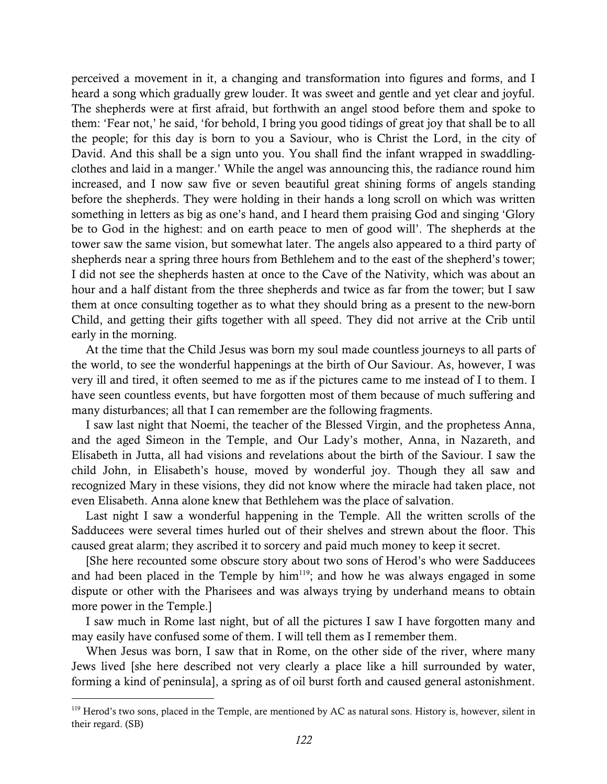perceived a movement in it, a changing and transformation into figures and forms, and I heard a song which gradually grew louder. It was sweet and gentle and yet clear and joyful. The shepherds were at first afraid, but forthwith an angel stood before them and spoke to them: 'Fear not,' he said, 'for behold, I bring you good tidings of great joy that shall be to all the people; for this day is born to you a Saviour, who is Christ the Lord, in the city of David. And this shall be a sign unto you. You shall find the infant wrapped in swaddlingclothes and laid in a manger.' While the angel was announcing this, the radiance round him increased, and I now saw five or seven beautiful great shining forms of angels standing before the shepherds. They were holding in their hands a long scroll on which was written something in letters as big as one's hand, and I heard them praising God and singing 'Glory be to God in the highest: and on earth peace to men of good will'. The shepherds at the tower saw the same vision, but somewhat later. The angels also appeared to a third party of shepherds near a spring three hours from Bethlehem and to the east of the shepherd's tower; I did not see the shepherds hasten at once to the Cave of the Nativity, which was about an hour and a half distant from the three shepherds and twice as far from the tower; but I saw them at once consulting together as to what they should bring as a present to the new-born Child, and getting their gifts together with all speed. They did not arrive at the Crib until early in the morning.

At the time that the Child Jesus was born my soul made countless journeys to all parts of the world, to see the wonderful happenings at the birth of Our Saviour. As, however, I was very ill and tired, it often seemed to me as if the pictures came to me instead of I to them. I have seen countless events, but have forgotten most of them because of much suffering and many disturbances; all that I can remember are the following fragments.

I saw last night that Noemi, the teacher of the Blessed Virgin, and the prophetess Anna, and the aged Simeon in the Temple, and Our Lady's mother, Anna, in Nazareth, and Elisabeth in Jutta, all had visions and revelations about the birth of the Saviour. I saw the child John, in Elisabeth's house, moved by wonderful joy. Though they all saw and recognized Mary in these visions, they did not know where the miracle had taken place, not even Elisabeth. Anna alone knew that Bethlehem was the place of salvation.

Last night I saw a wonderful happening in the Temple. All the written scrolls of the Sadducees were several times hurled out of their shelves and strewn about the floor. This caused great alarm; they ascribed it to sorcery and paid much money to keep it secret.

[She here recounted some obscure story about two sons of Herod's who were Sadducees and had been placed in the Temple by  $\lim^{119}$ ; and how he was always engaged in some dispute or other with the Pharisees and was always trying by underhand means to obtain more power in the Temple.]

I saw much in Rome last night, but of all the pictures I saw I have forgotten many and may easily have confused some of them. I will tell them as I remember them.

When Jesus was born, I saw that in Rome, on the other side of the river, where many Jews lived [she here described not very clearly a place like a hill surrounded by water, forming a kind of peninsula], a spring as of oil burst forth and caused general astonishment.

 $119$  Herod's two sons, placed in the Temple, are mentioned by AC as natural sons. History is, however, silent in their regard. (SB)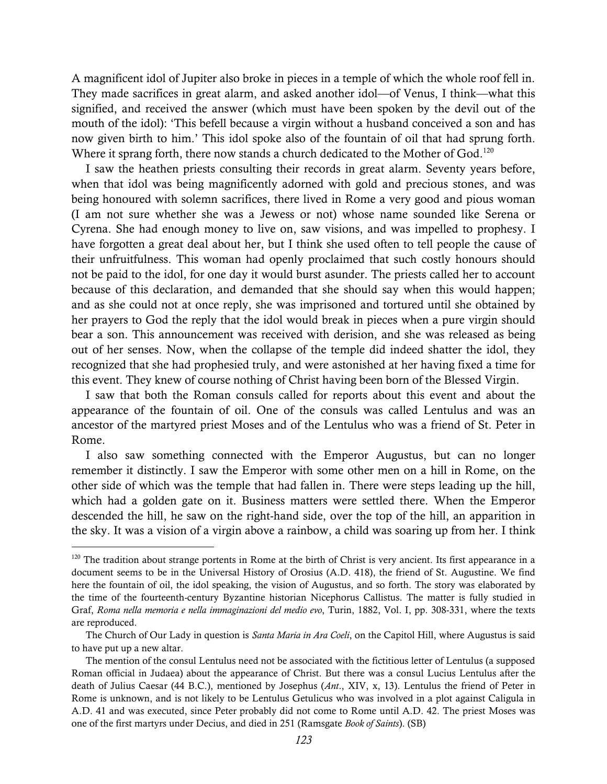A magnificent idol of Jupiter also broke in pieces in a temple of which the whole roof fell in. They made sacrifices in great alarm, and asked another idol—of Venus, I think—what this signified, and received the answer (which must have been spoken by the devil out of the mouth of the idol): 'This befell because a virgin without a husband conceived a son and has now given birth to him.' This idol spoke also of the fountain of oil that had sprung forth. Where it sprang forth, there now stands a church dedicated to the Mother of God.<sup>120</sup>

I saw the heathen priests consulting their records in great alarm. Seventy years before, when that idol was being magnificently adorned with gold and precious stones, and was being honoured with solemn sacrifices, there lived in Rome a very good and pious woman (I am not sure whether she was a Jewess or not) whose name sounded like Serena or Cyrena. She had enough money to live on, saw visions, and was impelled to prophesy. I have forgotten a great deal about her, but I think she used often to tell people the cause of their unfruitfulness. This woman had openly proclaimed that such costly honours should not be paid to the idol, for one day it would burst asunder. The priests called her to account because of this declaration, and demanded that she should say when this would happen; and as she could not at once reply, she was imprisoned and tortured until she obtained by her prayers to God the reply that the idol would break in pieces when a pure virgin should bear a son. This announcement was received with derision, and she was released as being out of her senses. Now, when the collapse of the temple did indeed shatter the idol, they recognized that she had prophesied truly, and were astonished at her having fixed a time for this event. They knew of course nothing of Christ having been born of the Blessed Virgin.

I saw that both the Roman consuls called for reports about this event and about the appearance of the fountain of oil. One of the consuls was called Lentulus and was an ancestor of the martyred priest Moses and of the Lentulus who was a friend of St. Peter in Rome.

I also saw something connected with the Emperor Augustus, but can no longer remember it distinctly. I saw the Emperor with some other men on a hill in Rome, on the other side of which was the temple that had fallen in. There were steps leading up the hill, which had a golden gate on it. Business matters were settled there. When the Emperor descended the hill, he saw on the right-hand side, over the top of the hill, an apparition in the sky. It was a vision of a virgin above a rainbow, a child was soaring up from her. I think

<sup>&</sup>lt;sup>120</sup> The tradition about strange portents in Rome at the birth of Christ is very ancient. Its first appearance in a document seems to be in the Universal History of Orosius (A.D. 418), the friend of St. Augustine. We find here the fountain of oil, the idol speaking, the vision of Augustus, and so forth. The story was elaborated by the time of the fourteenth-century Byzantine historian Nicephorus Callistus. The matter is fully studied in Graf, *Roma nella memoria e nella immaginazioni del medio evo*, Turin, 1882, Vol. I, pp. 308-331, where the texts are reproduced.

The Church of Our Lady in question is *Santa Maria in Ara Coeli*, on the Capitol Hill, where Augustus is said to have put up a new altar.

The mention of the consul Lentulus need not be associated with the fictitious letter of Lentulus (a supposed Roman official in Judaea) about the appearance of Christ. But there was a consul Lucius Lentulus after the death of Julius Caesar (44 B.C.), mentioned by Josephus (*Ant*., XIV, x, 13). Lentulus the friend of Peter in Rome is unknown, and is not likely to be Lentulus Getulicus who was involved in a plot against Caligula in A.D. 41 and was executed, since Peter probably did not come to Rome until A.D. 42. The priest Moses was one of the first martyrs under Decius, and died in 251 (Ramsgate *Book of Saints*). (SB)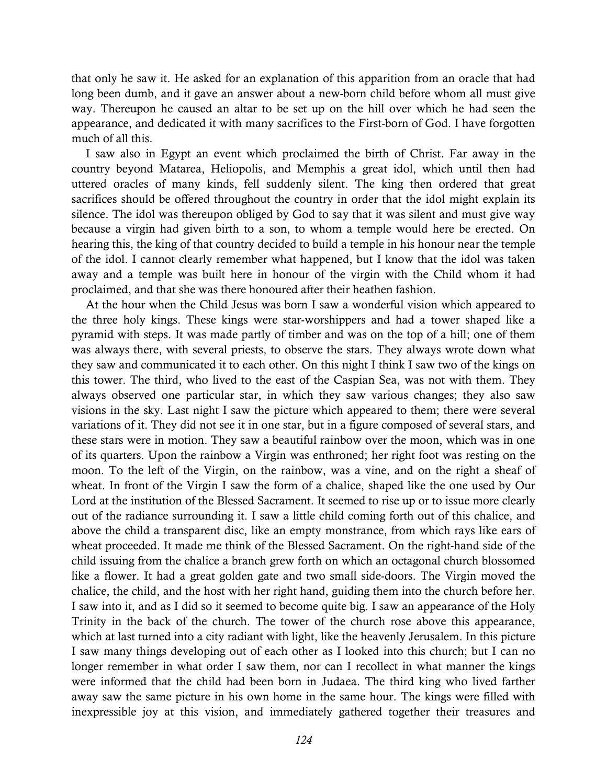that only he saw it. He asked for an explanation of this apparition from an oracle that had long been dumb, and it gave an answer about a new-born child before whom all must give way. Thereupon he caused an altar to be set up on the hill over which he had seen the appearance, and dedicated it with many sacrifices to the First-born of God. I have forgotten much of all this.

I saw also in Egypt an event which proclaimed the birth of Christ. Far away in the country beyond Matarea, Heliopolis, and Memphis a great idol, which until then had uttered oracles of many kinds, fell suddenly silent. The king then ordered that great sacrifices should be offered throughout the country in order that the idol might explain its silence. The idol was thereupon obliged by God to say that it was silent and must give way because a virgin had given birth to a son, to whom a temple would here be erected. On hearing this, the king of that country decided to build a temple in his honour near the temple of the idol. I cannot clearly remember what happened, but I know that the idol was taken away and a temple was built here in honour of the virgin with the Child whom it had proclaimed, and that she was there honoured after their heathen fashion.

At the hour when the Child Jesus was born I saw a wonderful vision which appeared to the three holy kings. These kings were star-worshippers and had a tower shaped like a pyramid with steps. It was made partly of timber and was on the top of a hill; one of them was always there, with several priests, to observe the stars. They always wrote down what they saw and communicated it to each other. On this night I think I saw two of the kings on this tower. The third, who lived to the east of the Caspian Sea, was not with them. They always observed one particular star, in which they saw various changes; they also saw visions in the sky. Last night I saw the picture which appeared to them; there were several variations of it. They did not see it in one star, but in a figure composed of several stars, and these stars were in motion. They saw a beautiful rainbow over the moon, which was in one of its quarters. Upon the rainbow a Virgin was enthroned; her right foot was resting on the moon. To the left of the Virgin, on the rainbow, was a vine, and on the right a sheaf of wheat. In front of the Virgin I saw the form of a chalice, shaped like the one used by Our Lord at the institution of the Blessed Sacrament. It seemed to rise up or to issue more clearly out of the radiance surrounding it. I saw a little child coming forth out of this chalice, and above the child a transparent disc, like an empty monstrance, from which rays like ears of wheat proceeded. It made me think of the Blessed Sacrament. On the right-hand side of the child issuing from the chalice a branch grew forth on which an octagonal church blossomed like a flower. It had a great golden gate and two small side-doors. The Virgin moved the chalice, the child, and the host with her right hand, guiding them into the church before her. I saw into it, and as I did so it seemed to become quite big. I saw an appearance of the Holy Trinity in the back of the church. The tower of the church rose above this appearance, which at last turned into a city radiant with light, like the heavenly Jerusalem. In this picture I saw many things developing out of each other as I looked into this church; but I can no longer remember in what order I saw them, nor can I recollect in what manner the kings were informed that the child had been born in Judaea. The third king who lived farther away saw the same picture in his own home in the same hour. The kings were filled with inexpressible joy at this vision, and immediately gathered together their treasures and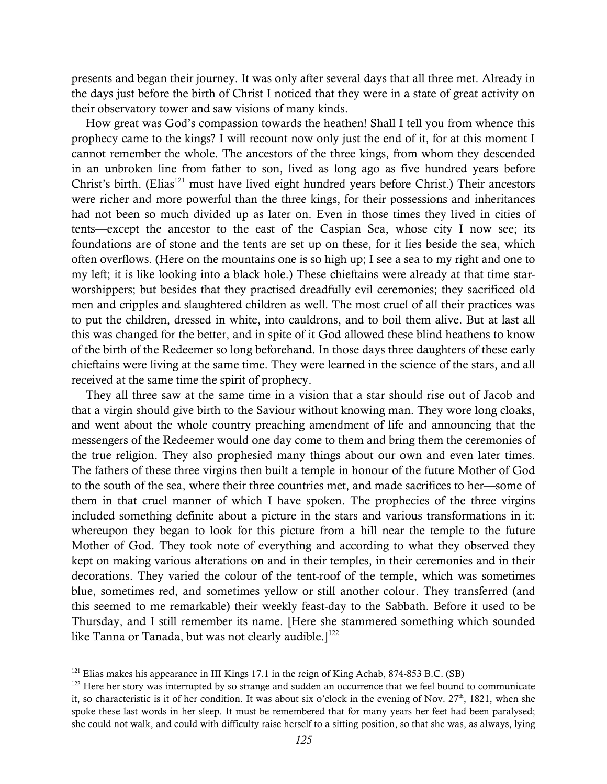presents and began their journey. It was only after several days that all three met. Already in the days just before the birth of Christ I noticed that they were in a state of great activity on their observatory tower and saw visions of many kinds.

How great was God's compassion towards the heathen! Shall I tell you from whence this prophecy came to the kings? I will recount now only just the end of it, for at this moment I cannot remember the whole. The ancestors of the three kings, from whom they descended in an unbroken line from father to son, lived as long ago as five hundred years before Christ's birth. (Elias<sup>121</sup> must have lived eight hundred years before Christ.) Their ancestors were richer and more powerful than the three kings, for their possessions and inheritances had not been so much divided up as later on. Even in those times they lived in cities of tents—except the ancestor to the east of the Caspian Sea, whose city I now see; its foundations are of stone and the tents are set up on these, for it lies beside the sea, which often overflows. (Here on the mountains one is so high up; I see a sea to my right and one to my left; it is like looking into a black hole.) These chieftains were already at that time starworshippers; but besides that they practised dreadfully evil ceremonies; they sacrificed old men and cripples and slaughtered children as well. The most cruel of all their practices was to put the children, dressed in white, into cauldrons, and to boil them alive. But at last all this was changed for the better, and in spite of it God allowed these blind heathens to know of the birth of the Redeemer so long beforehand. In those days three daughters of these early chieftains were living at the same time. They were learned in the science of the stars, and all received at the same time the spirit of prophecy.

They all three saw at the same time in a vision that a star should rise out of Jacob and that a virgin should give birth to the Saviour without knowing man. They wore long cloaks, and went about the whole country preaching amendment of life and announcing that the messengers of the Redeemer would one day come to them and bring them the ceremonies of the true religion. They also prophesied many things about our own and even later times. The fathers of these three virgins then built a temple in honour of the future Mother of God to the south of the sea, where their three countries met, and made sacrifices to her—some of them in that cruel manner of which I have spoken. The prophecies of the three virgins included something definite about a picture in the stars and various transformations in it: whereupon they began to look for this picture from a hill near the temple to the future Mother of God. They took note of everything and according to what they observed they kept on making various alterations on and in their temples, in their ceremonies and in their decorations. They varied the colour of the tent-roof of the temple, which was sometimes blue, sometimes red, and sometimes yellow or still another colour. They transferred (and this seemed to me remarkable) their weekly feast-day to the Sabbath. Before it used to be Thursday, and I still remember its name. [Here she stammered something which sounded like Tanna or Tanada, but was not clearly audible.] $^{122}$ 

 $121$  Elias makes his appearance in III Kings 17.1 in the reign of King Achab, 874-853 B.C. (SB)

<sup>&</sup>lt;sup>122</sup> Here her story was interrupted by so strange and sudden an occurrence that we feel bound to communicate it, so characteristic is it of her condition. It was about six o'clock in the evening of Nov.  $27<sup>th</sup>$ , 1821, when she spoke these last words in her sleep. It must be remembered that for many years her feet had been paralysed; she could not walk, and could with difficulty raise herself to a sitting position, so that she was, as always, lying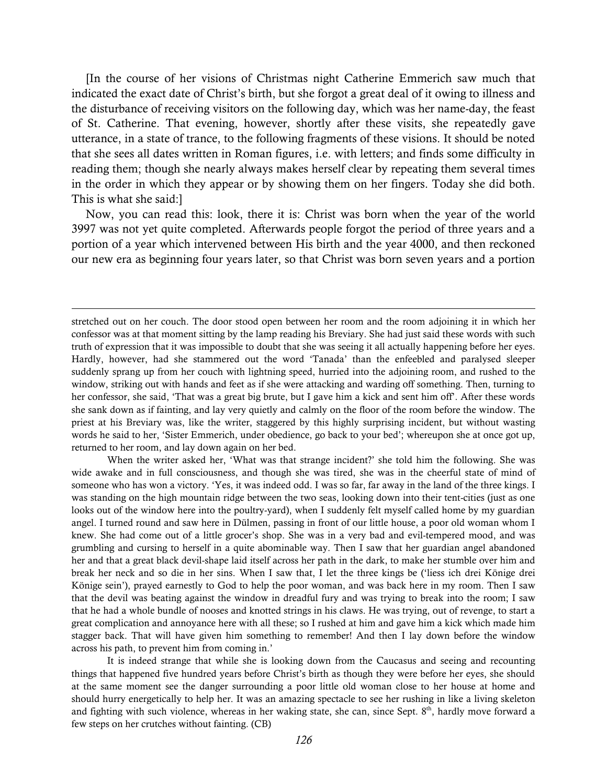[In the course of her visions of Christmas night Catherine Emmerich saw much that indicated the exact date of Christ's birth, but she forgot a great deal of it owing to illness and the disturbance of receiving visitors on the following day, which was her name-day, the feast of St. Catherine. That evening, however, shortly after these visits, she repeatedly gave utterance, in a state of trance, to the following fragments of these visions. It should be noted that she sees all dates written in Roman figures, i.e. with letters; and finds some difficulty in reading them; though she nearly always makes herself clear by repeating them several times in the order in which they appear or by showing them on her fingers. Today she did both. This is what she said:]

Now, you can read this: look, there it is: Christ was born when the year of the world 3997 was not yet quite completed. Afterwards people forgot the period of three years and a portion of a year which intervened between His birth and the year 4000, and then reckoned our new era as beginning four years later, so that Christ was born seven years and a portion

 $\overline{a}$ 

When the writer asked her, 'What was that strange incident?' she told him the following. She was wide awake and in full consciousness, and though she was tired, she was in the cheerful state of mind of someone who has won a victory. 'Yes, it was indeed odd. I was so far, far away in the land of the three kings. I was standing on the high mountain ridge between the two seas, looking down into their tent-cities (just as one looks out of the window here into the poultry-yard), when I suddenly felt myself called home by my guardian angel. I turned round and saw here in Dülmen, passing in front of our little house, a poor old woman whom I knew. She had come out of a little grocer's shop. She was in a very bad and evil-tempered mood, and was grumbling and cursing to herself in a quite abominable way. Then I saw that her guardian angel abandoned her and that a great black devil-shape laid itself across her path in the dark, to make her stumble over him and break her neck and so die in her sins. When I saw that, I let the three kings be ('liess ich drei Könige drei Könige sein'), prayed earnestly to God to help the poor woman, and was back here in my room. Then I saw that the devil was beating against the window in dreadful fury and was trying to break into the room; I saw that he had a whole bundle of nooses and knotted strings in his claws. He was trying, out of revenge, to start a great complication and annoyance here with all these; so I rushed at him and gave him a kick which made him stagger back. That will have given him something to remember! And then I lay down before the window across his path, to prevent him from coming in.'

It is indeed strange that while she is looking down from the Caucasus and seeing and recounting things that happened five hundred years before Christ's birth as though they were before her eyes, she should at the same moment see the danger surrounding a poor little old woman close to her house at home and should hurry energetically to help her. It was an amazing spectacle to see her rushing in like a living skeleton and fighting with such violence, whereas in her waking state, she can, since Sept. 8<sup>th</sup>, hardly move forward a few steps on her crutches without fainting. (CB)

stretched out on her couch. The door stood open between her room and the room adjoining it in which her confessor was at that moment sitting by the lamp reading his Breviary. She had just said these words with such truth of expression that it was impossible to doubt that she was seeing it all actually happening before her eyes. Hardly, however, had she stammered out the word 'Tanada' than the enfeebled and paralysed sleeper suddenly sprang up from her couch with lightning speed, hurried into the adjoining room, and rushed to the window, striking out with hands and feet as if she were attacking and warding off something. Then, turning to her confessor, she said, 'That was a great big brute, but I gave him a kick and sent him off'. After these words she sank down as if fainting, and lay very quietly and calmly on the floor of the room before the window. The priest at his Breviary was, like the writer, staggered by this highly surprising incident, but without wasting words he said to her, 'Sister Emmerich, under obedience, go back to your bed'; whereupon she at once got up, returned to her room, and lay down again on her bed.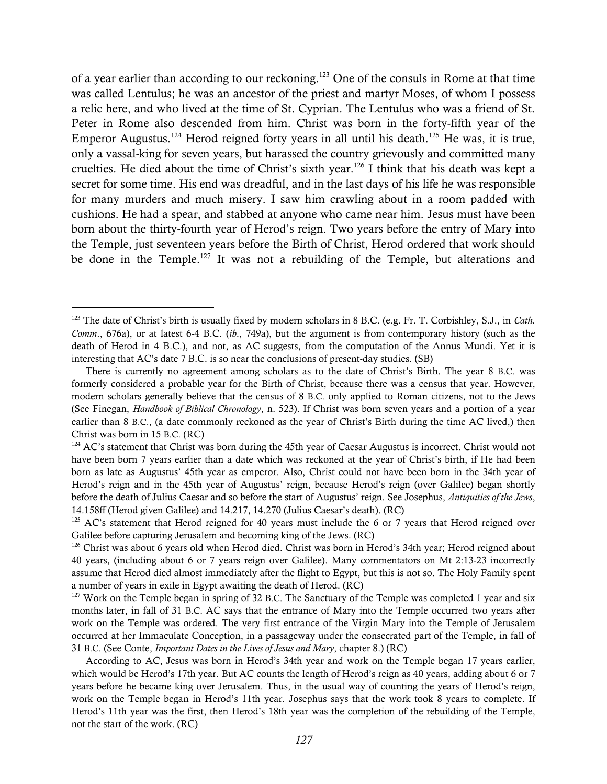of a year earlier than according to our reckoning.<sup>123</sup> One of the consuls in Rome at that time was called Lentulus; he was an ancestor of the priest and martyr Moses, of whom I possess a relic here, and who lived at the time of St. Cyprian. The Lentulus who was a friend of St. Peter in Rome also descended from him. Christ was born in the forty-fifth year of the Emperor Augustus.<sup>124</sup> Herod reigned forty years in all until his death.<sup>125</sup> He was, it is true, only a vassal-king for seven years, but harassed the country grievously and committed many cruelties. He died about the time of Christ's sixth year.<sup>126</sup> I think that his death was kept a secret for some time. His end was dreadful, and in the last days of his life he was responsible for many murders and much misery. I saw him crawling about in a room padded with cushions. He had a spear, and stabbed at anyone who came near him. Jesus must have been born about the thirty-fourth year of Herod's reign. Two years before the entry of Mary into the Temple, just seventeen years before the Birth of Christ, Herod ordered that work should be done in the Temple.<sup>127</sup> It was not a rebuilding of the Temple, but alterations and

<sup>123</sup> The date of Christ's birth is usually fixed by modern scholars in 8 B.C. (e.g. Fr. T. Corbishley, S.J., in *Cath. Comm*., 676a), or at latest 6-4 B.C. (*ib*., 749a), but the argument is from contemporary history (such as the death of Herod in 4 B.C.), and not, as AC suggests, from the computation of the Annus Mundi. Yet it is interesting that AC's date 7 B.C. is so near the conclusions of present-day studies. (SB)

There is currently no agreement among scholars as to the date of Christ's Birth. The year 8 B.C. was formerly considered a probable year for the Birth of Christ, because there was a census that year. However, modern scholars generally believe that the census of 8 B.C. only applied to Roman citizens, not to the Jews (See Finegan, *Handbook of Biblical Chronology*, n. 523). If Christ was born seven years and a portion of a year earlier than 8 B.C., (a date commonly reckoned as the year of Christ's Birth during the time AC lived,) then Christ was born in 15 B.C. (RC)

 $124$  AC's statement that Christ was born during the 45th year of Caesar Augustus is incorrect. Christ would not have been born 7 years earlier than a date which was reckoned at the year of Christ's birth, if He had been born as late as Augustus' 45th year as emperor. Also, Christ could not have been born in the 34th year of Herod's reign and in the 45th year of Augustus' reign, because Herod's reign (over Galilee) began shortly before the death of Julius Caesar and so before the start of Augustus' reign. See Josephus, *Antiquities of the Jews*, 14.158ff (Herod given Galilee) and 14.217, 14.270 (Julius Caesar's death). (RC)

 $125$  AC's statement that Herod reigned for 40 years must include the 6 or 7 years that Herod reigned over Galilee before capturing Jerusalem and becoming king of the Jews. (RC)

<sup>&</sup>lt;sup>126</sup> Christ was about 6 years old when Herod died. Christ was born in Herod's 34th year; Herod reigned about 40 years, (including about 6 or 7 years reign over Galilee). Many commentators on Mt 2:13-23 incorrectly assume that Herod died almost immediately after the flight to Egypt, but this is not so. The Holy Family spent a number of years in exile in Egypt awaiting the death of Herod. (RC)

 $127$  Work on the Temple began in spring of 32 B.C. The Sanctuary of the Temple was completed 1 year and six months later, in fall of 31 B.C. AC says that the entrance of Mary into the Temple occurred two years after work on the Temple was ordered. The very first entrance of the Virgin Mary into the Temple of Jerusalem occurred at her Immaculate Conception, in a passageway under the consecrated part of the Temple, in fall of 31 B.C. (See Conte, *Important Dates in the Lives of Jesus and Mary*, chapter 8.) (RC)

According to AC, Jesus was born in Herod's 34th year and work on the Temple began 17 years earlier, which would be Herod's 17th year. But AC counts the length of Herod's reign as 40 years, adding about 6 or 7 years before he became king over Jerusalem. Thus, in the usual way of counting the years of Herod's reign, work on the Temple began in Herod's 11th year. Josephus says that the work took 8 years to complete. If Herod's 11th year was the first, then Herod's 18th year was the completion of the rebuilding of the Temple, not the start of the work. (RC)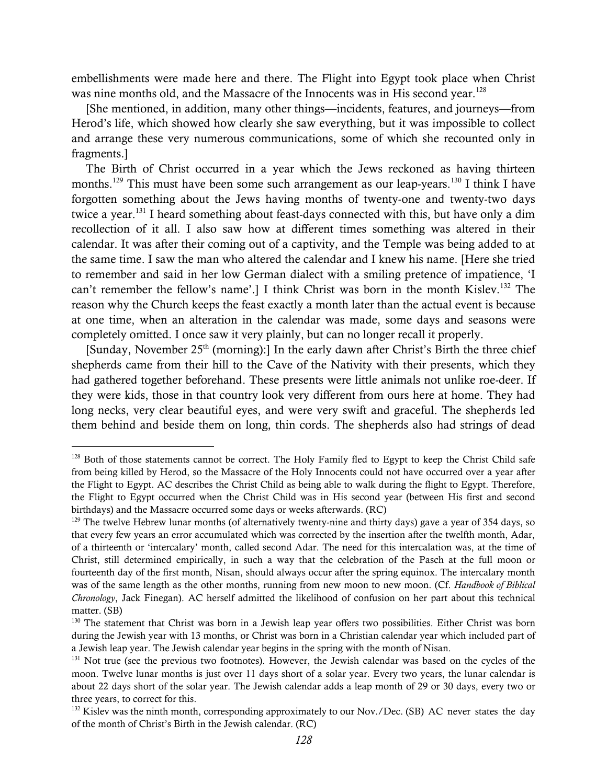embellishments were made here and there. The Flight into Egypt took place when Christ was nine months old, and the Massacre of the Innocents was in His second year.<sup>128</sup>

[She mentioned, in addition, many other things—incidents, features, and journeys—from Herod's life, which showed how clearly she saw everything, but it was impossible to collect and arrange these very numerous communications, some of which she recounted only in fragments.]

The Birth of Christ occurred in a year which the Jews reckoned as having thirteen months.<sup>129</sup> This must have been some such arrangement as our leap-years.<sup>130</sup> I think I have forgotten something about the Jews having months of twenty-one and twenty-two days twice a year.<sup>131</sup> I heard something about feast-days connected with this, but have only a dim recollection of it all. I also saw how at different times something was altered in their calendar. It was after their coming out of a captivity, and the Temple was being added to at the same time. I saw the man who altered the calendar and I knew his name. [Here she tried to remember and said in her low German dialect with a smiling pretence of impatience, 'I can't remember the fellow's name'.] I think Christ was born in the month Kislev.<sup>132</sup> The reason why the Church keeps the feast exactly a month later than the actual event is because at one time, when an alteration in the calendar was made, some days and seasons were completely omitted. I once saw it very plainly, but can no longer recall it properly.

[Sunday, November  $25<sup>th</sup>$  (morning):] In the early dawn after Christ's Birth the three chief shepherds came from their hill to the Cave of the Nativity with their presents, which they had gathered together beforehand. These presents were little animals not unlike roe-deer. If they were kids, those in that country look very different from ours here at home. They had long necks, very clear beautiful eyes, and were very swift and graceful. The shepherds led them behind and beside them on long, thin cords. The shepherds also had strings of dead

<sup>&</sup>lt;sup>128</sup> Both of those statements cannot be correct. The Holy Family fled to Egypt to keep the Christ Child safe from being killed by Herod, so the Massacre of the Holy Innocents could not have occurred over a year after the Flight to Egypt. AC describes the Christ Child as being able to walk during the flight to Egypt. Therefore, the Flight to Egypt occurred when the Christ Child was in His second year (between His first and second birthdays) and the Massacre occurred some days or weeks afterwards. (RC)

<sup>&</sup>lt;sup>129</sup> The twelve Hebrew lunar months (of alternatively twenty-nine and thirty days) gave a year of 354 days, so that every few years an error accumulated which was corrected by the insertion after the twelfth month, Adar, of a thirteenth or 'intercalary' month, called second Adar. The need for this intercalation was, at the time of Christ, still determined empirically, in such a way that the celebration of the Pasch at the full moon or fourteenth day of the first month, Nisan, should always occur after the spring equinox. The intercalary month was of the same length as the other months, running from new moon to new moon. (Cf. *Handbook of Biblical Chronology*, Jack Finegan). AC herself admitted the likelihood of confusion on her part about this technical matter. (SB)

<sup>&</sup>lt;sup>130</sup> The statement that Christ was born in a Jewish leap year offers two possibilities. Either Christ was born during the Jewish year with 13 months, or Christ was born in a Christian calendar year which included part of a Jewish leap year. The Jewish calendar year begins in the spring with the month of Nisan.

<sup>&</sup>lt;sup>131</sup> Not true (see the previous two footnotes). However, the Jewish calendar was based on the cycles of the moon. Twelve lunar months is just over 11 days short of a solar year. Every two years, the lunar calendar is about 22 days short of the solar year. The Jewish calendar adds a leap month of 29 or 30 days, every two or three years, to correct for this.

<sup>&</sup>lt;sup>132</sup> Kisley was the ninth month, corresponding approximately to our Nov./Dec. (SB) AC never states the day of the month of Christ's Birth in the Jewish calendar. (RC)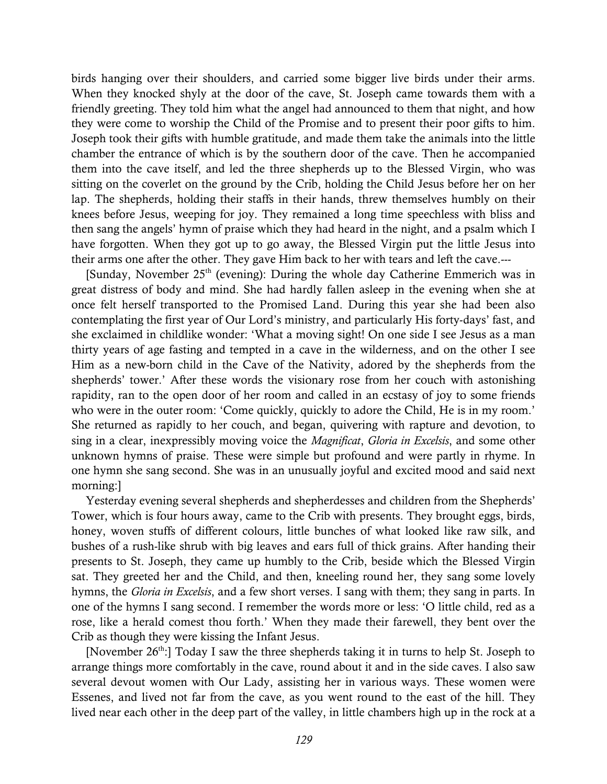birds hanging over their shoulders, and carried some bigger live birds under their arms. When they knocked shyly at the door of the cave, St. Joseph came towards them with a friendly greeting. They told him what the angel had announced to them that night, and how they were come to worship the Child of the Promise and to present their poor gifts to him. Joseph took their gifts with humble gratitude, and made them take the animals into the little chamber the entrance of which is by the southern door of the cave. Then he accompanied them into the cave itself, and led the three shepherds up to the Blessed Virgin, who was sitting on the coverlet on the ground by the Crib, holding the Child Jesus before her on her lap. The shepherds, holding their staffs in their hands, threw themselves humbly on their knees before Jesus, weeping for joy. They remained a long time speechless with bliss and then sang the angels' hymn of praise which they had heard in the night, and a psalm which I have forgotten. When they got up to go away, the Blessed Virgin put the little Jesus into their arms one after the other. They gave Him back to her with tears and left the cave.---

[Sunday, November  $25<sup>th</sup>$  (evening): During the whole day Catherine Emmerich was in great distress of body and mind. She had hardly fallen asleep in the evening when she at once felt herself transported to the Promised Land. During this year she had been also contemplating the first year of Our Lord's ministry, and particularly His forty-days' fast, and she exclaimed in childlike wonder: 'What a moving sight! On one side I see Jesus as a man thirty years of age fasting and tempted in a cave in the wilderness, and on the other I see Him as a new-born child in the Cave of the Nativity, adored by the shepherds from the shepherds' tower.' After these words the visionary rose from her couch with astonishing rapidity, ran to the open door of her room and called in an ecstasy of joy to some friends who were in the outer room: 'Come quickly, quickly to adore the Child, He is in my room.' She returned as rapidly to her couch, and began, quivering with rapture and devotion, to sing in a clear, inexpressibly moving voice the *Magnificat*, *Gloria in Excelsis*, and some other unknown hymns of praise. These were simple but profound and were partly in rhyme. In one hymn she sang second. She was in an unusually joyful and excited mood and said next morning:]

Yesterday evening several shepherds and shepherdesses and children from the Shepherds' Tower, which is four hours away, came to the Crib with presents. They brought eggs, birds, honey, woven stuffs of different colours, little bunches of what looked like raw silk, and bushes of a rush-like shrub with big leaves and ears full of thick grains. After handing their presents to St. Joseph, they came up humbly to the Crib, beside which the Blessed Virgin sat. They greeted her and the Child, and then, kneeling round her, they sang some lovely hymns, the *Gloria in Excelsis*, and a few short verses. I sang with them; they sang in parts. In one of the hymns I sang second. I remember the words more or less: 'O little child, red as a rose, like a herald comest thou forth.' When they made their farewell, they bent over the Crib as though they were kissing the Infant Jesus.

[November  $26<sup>th</sup>$ .] Today I saw the three shepherds taking it in turns to help St. Joseph to arrange things more comfortably in the cave, round about it and in the side caves. I also saw several devout women with Our Lady, assisting her in various ways. These women were Essenes, and lived not far from the cave, as you went round to the east of the hill. They lived near each other in the deep part of the valley, in little chambers high up in the rock at a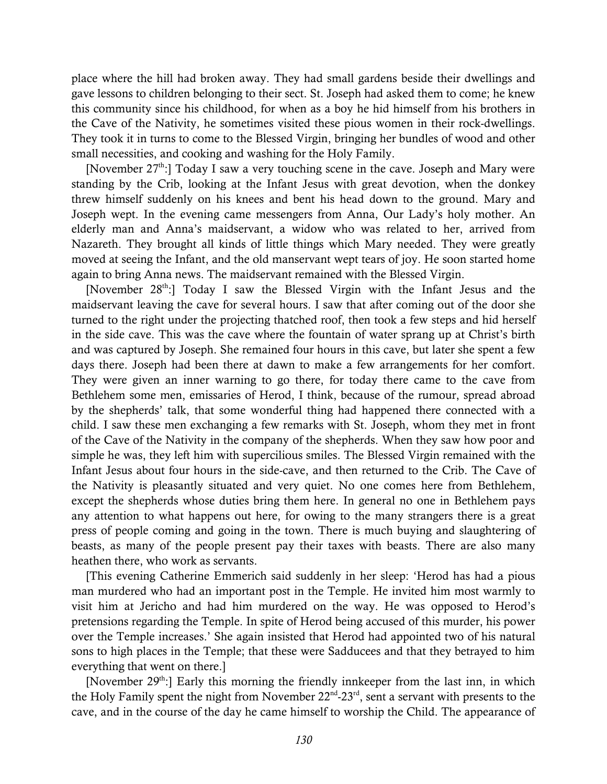place where the hill had broken away. They had small gardens beside their dwellings and gave lessons to children belonging to their sect. St. Joseph had asked them to come; he knew this community since his childhood, for when as a boy he hid himself from his brothers in the Cave of the Nativity, he sometimes visited these pious women in their rock-dwellings. They took it in turns to come to the Blessed Virgin, bringing her bundles of wood and other small necessities, and cooking and washing for the Holy Family.

[November 27<sup>th</sup>:] Today I saw a very touching scene in the cave. Joseph and Mary were standing by the Crib, looking at the Infant Jesus with great devotion, when the donkey threw himself suddenly on his knees and bent his head down to the ground. Mary and Joseph wept. In the evening came messengers from Anna, Our Lady's holy mother. An elderly man and Anna's maidservant, a widow who was related to her, arrived from Nazareth. They brought all kinds of little things which Mary needed. They were greatly moved at seeing the Infant, and the old manservant wept tears of joy. He soon started home again to bring Anna news. The maidservant remained with the Blessed Virgin.

[November 28<sup>th</sup>:] Today I saw the Blessed Virgin with the Infant Jesus and the maidservant leaving the cave for several hours. I saw that after coming out of the door she turned to the right under the projecting thatched roof, then took a few steps and hid herself in the side cave. This was the cave where the fountain of water sprang up at Christ's birth and was captured by Joseph. She remained four hours in this cave, but later she spent a few days there. Joseph had been there at dawn to make a few arrangements for her comfort. They were given an inner warning to go there, for today there came to the cave from Bethlehem some men, emissaries of Herod, I think, because of the rumour, spread abroad by the shepherds' talk, that some wonderful thing had happened there connected with a child. I saw these men exchanging a few remarks with St. Joseph, whom they met in front of the Cave of the Nativity in the company of the shepherds. When they saw how poor and simple he was, they left him with supercilious smiles. The Blessed Virgin remained with the Infant Jesus about four hours in the side-cave, and then returned to the Crib. The Cave of the Nativity is pleasantly situated and very quiet. No one comes here from Bethlehem, except the shepherds whose duties bring them here. In general no one in Bethlehem pays any attention to what happens out here, for owing to the many strangers there is a great press of people coming and going in the town. There is much buying and slaughtering of beasts, as many of the people present pay their taxes with beasts. There are also many heathen there, who work as servants.

[This evening Catherine Emmerich said suddenly in her sleep: 'Herod has had a pious man murdered who had an important post in the Temple. He invited him most warmly to visit him at Jericho and had him murdered on the way. He was opposed to Herod's pretensions regarding the Temple. In spite of Herod being accused of this murder, his power over the Temple increases.' She again insisted that Herod had appointed two of his natural sons to high places in the Temple; that these were Sadducees and that they betrayed to him everything that went on there.]

[November 29<sup>th</sup>:] Early this morning the friendly innkeeper from the last inn, in which the Holy Family spent the night from November  $22^{\text{nd}}$ - $23^{\text{rd}}$ , sent a servant with presents to the cave, and in the course of the day he came himself to worship the Child. The appearance of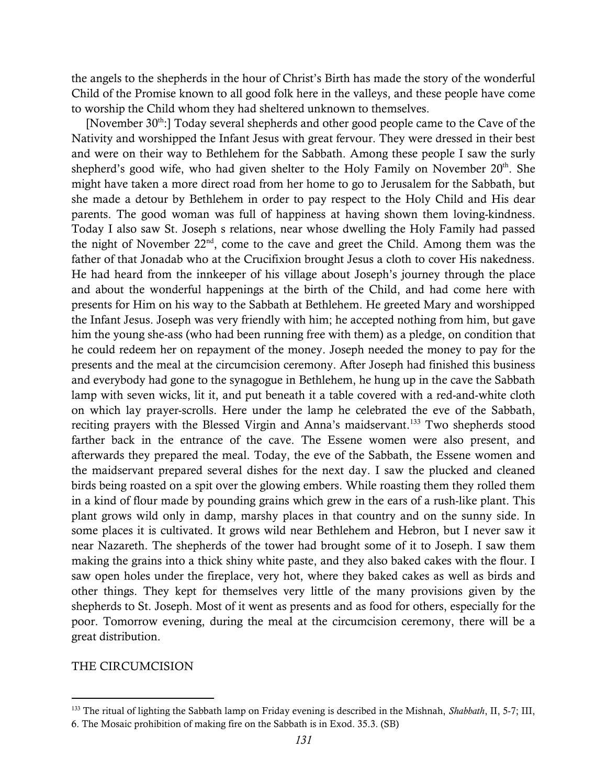the angels to the shepherds in the hour of Christ's Birth has made the story of the wonderful Child of the Promise known to all good folk here in the valleys, and these people have come to worship the Child whom they had sheltered unknown to themselves.

[November 30<sup>th</sup>:] Today several shepherds and other good people came to the Cave of the Nativity and worshipped the Infant Jesus with great fervour. They were dressed in their best and were on their way to Bethlehem for the Sabbath. Among these people I saw the surly shepherd's good wife, who had given shelter to the Holy Family on November 20<sup>th</sup>. She might have taken a more direct road from her home to go to Jerusalem for the Sabbath, but she made a detour by Bethlehem in order to pay respect to the Holy Child and His dear parents. The good woman was full of happiness at having shown them loving-kindness. Today I also saw St. Joseph s relations, near whose dwelling the Holy Family had passed the night of November 22nd, come to the cave and greet the Child. Among them was the father of that Jonadab who at the Crucifixion brought Jesus a cloth to cover His nakedness. He had heard from the innkeeper of his village about Joseph's journey through the place and about the wonderful happenings at the birth of the Child, and had come here with presents for Him on his way to the Sabbath at Bethlehem. He greeted Mary and worshipped the Infant Jesus. Joseph was very friendly with him; he accepted nothing from him, but gave him the young she-ass (who had been running free with them) as a pledge, on condition that he could redeem her on repayment of the money. Joseph needed the money to pay for the presents and the meal at the circumcision ceremony. After Joseph had finished this business and everybody had gone to the synagogue in Bethlehem, he hung up in the cave the Sabbath lamp with seven wicks, lit it, and put beneath it a table covered with a red-and-white cloth on which lay prayer-scrolls. Here under the lamp he celebrated the eve of the Sabbath, reciting prayers with the Blessed Virgin and Anna's maidservant.<sup>133</sup> Two shepherds stood farther back in the entrance of the cave. The Essene women were also present, and afterwards they prepared the meal. Today, the eve of the Sabbath, the Essene women and the maidservant prepared several dishes for the next day. I saw the plucked and cleaned birds being roasted on a spit over the glowing embers. While roasting them they rolled them in a kind of flour made by pounding grains which grew in the ears of a rush-like plant. This plant grows wild only in damp, marshy places in that country and on the sunny side. In some places it is cultivated. It grows wild near Bethlehem and Hebron, but I never saw it near Nazareth. The shepherds of the tower had brought some of it to Joseph. I saw them making the grains into a thick shiny white paste, and they also baked cakes with the flour. I saw open holes under the fireplace, very hot, where they baked cakes as well as birds and other things. They kept for themselves very little of the many provisions given by the shepherds to St. Joseph. Most of it went as presents and as food for others, especially for the poor. Tomorrow evening, during the meal at the circumcision ceremony, there will be a great distribution.

## THE CIRCUMCISION

<sup>133</sup> The ritual of lighting the Sabbath lamp on Friday evening is described in the Mishnah, *Shabbath*, II, 5-7; III, 6. The Mosaic prohibition of making fire on the Sabbath is in Exod. 35.3. (SB)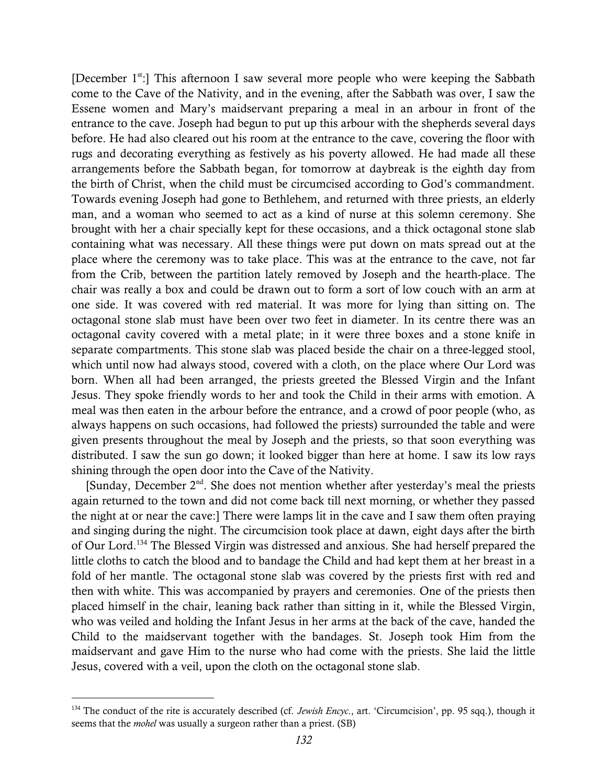[December 1<sup>st</sup>:] This afternoon I saw several more people who were keeping the Sabbath come to the Cave of the Nativity, and in the evening, after the Sabbath was over, I saw the Essene women and Mary's maidservant preparing a meal in an arbour in front of the entrance to the cave. Joseph had begun to put up this arbour with the shepherds several days before. He had also cleared out his room at the entrance to the cave, covering the floor with rugs and decorating everything as festively as his poverty allowed. He had made all these arrangements before the Sabbath began, for tomorrow at daybreak is the eighth day from the birth of Christ, when the child must be circumcised according to God's commandment. Towards evening Joseph had gone to Bethlehem, and returned with three priests, an elderly man, and a woman who seemed to act as a kind of nurse at this solemn ceremony. She brought with her a chair specially kept for these occasions, and a thick octagonal stone slab containing what was necessary. All these things were put down on mats spread out at the place where the ceremony was to take place. This was at the entrance to the cave, not far from the Crib, between the partition lately removed by Joseph and the hearth-place. The chair was really a box and could be drawn out to form a sort of low couch with an arm at one side. It was covered with red material. It was more for lying than sitting on. The octagonal stone slab must have been over two feet in diameter. In its centre there was an octagonal cavity covered with a metal plate; in it were three boxes and a stone knife in separate compartments. This stone slab was placed beside the chair on a three-legged stool, which until now had always stood, covered with a cloth, on the place where Our Lord was born. When all had been arranged, the priests greeted the Blessed Virgin and the Infant Jesus. They spoke friendly words to her and took the Child in their arms with emotion. A meal was then eaten in the arbour before the entrance, and a crowd of poor people (who, as always happens on such occasions, had followed the priests) surrounded the table and were given presents throughout the meal by Joseph and the priests, so that soon everything was distributed. I saw the sun go down; it looked bigger than here at home. I saw its low rays shining through the open door into the Cave of the Nativity.

[Sunday, December 2<sup>nd</sup>. She does not mention whether after yesterday's meal the priests again returned to the town and did not come back till next morning, or whether they passed the night at or near the cave:] There were lamps lit in the cave and I saw them often praying and singing during the night. The circumcision took place at dawn, eight days after the birth of Our Lord.<sup>134</sup> The Blessed Virgin was distressed and anxious. She had herself prepared the little cloths to catch the blood and to bandage the Child and had kept them at her breast in a fold of her mantle. The octagonal stone slab was covered by the priests first with red and then with white. This was accompanied by prayers and ceremonies. One of the priests then placed himself in the chair, leaning back rather than sitting in it, while the Blessed Virgin, who was veiled and holding the Infant Jesus in her arms at the back of the cave, handed the Child to the maidservant together with the bandages. St. Joseph took Him from the maidservant and gave Him to the nurse who had come with the priests. She laid the little Jesus, covered with a veil, upon the cloth on the octagonal stone slab.

<sup>&</sup>lt;sup>134</sup> The conduct of the rite is accurately described (cf. *Jewish Encyc*., art. 'Circumcision', pp. 95 sqq.), though it seems that the *mohel* was usually a surgeon rather than a priest. (SB)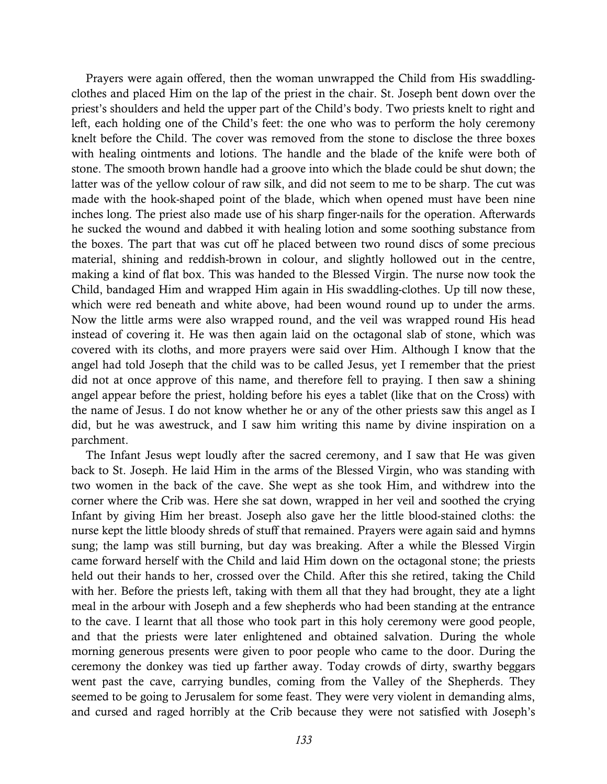Prayers were again offered, then the woman unwrapped the Child from His swaddlingclothes and placed Him on the lap of the priest in the chair. St. Joseph bent down over the priest's shoulders and held the upper part of the Child's body. Two priests knelt to right and left, each holding one of the Child's feet: the one who was to perform the holy ceremony knelt before the Child. The cover was removed from the stone to disclose the three boxes with healing ointments and lotions. The handle and the blade of the knife were both of stone. The smooth brown handle had a groove into which the blade could be shut down; the latter was of the yellow colour of raw silk, and did not seem to me to be sharp. The cut was made with the hook-shaped point of the blade, which when opened must have been nine inches long. The priest also made use of his sharp finger-nails for the operation. Afterwards he sucked the wound and dabbed it with healing lotion and some soothing substance from the boxes. The part that was cut off he placed between two round discs of some precious material, shining and reddish-brown in colour, and slightly hollowed out in the centre, making a kind of flat box. This was handed to the Blessed Virgin. The nurse now took the Child, bandaged Him and wrapped Him again in His swaddling-clothes. Up till now these, which were red beneath and white above, had been wound round up to under the arms. Now the little arms were also wrapped round, and the veil was wrapped round His head instead of covering it. He was then again laid on the octagonal slab of stone, which was covered with its cloths, and more prayers were said over Him. Although I know that the angel had told Joseph that the child was to be called Jesus, yet I remember that the priest did not at once approve of this name, and therefore fell to praying. I then saw a shining angel appear before the priest, holding before his eyes a tablet (like that on the Cross) with the name of Jesus. I do not know whether he or any of the other priests saw this angel as I did, but he was awestruck, and I saw him writing this name by divine inspiration on a parchment.

The Infant Jesus wept loudly after the sacred ceremony, and I saw that He was given back to St. Joseph. He laid Him in the arms of the Blessed Virgin, who was standing with two women in the back of the cave. She wept as she took Him, and withdrew into the corner where the Crib was. Here she sat down, wrapped in her veil and soothed the crying Infant by giving Him her breast. Joseph also gave her the little blood-stained cloths: the nurse kept the little bloody shreds of stuff that remained. Prayers were again said and hymns sung; the lamp was still burning, but day was breaking. After a while the Blessed Virgin came forward herself with the Child and laid Him down on the octagonal stone; the priests held out their hands to her, crossed over the Child. After this she retired, taking the Child with her. Before the priests left, taking with them all that they had brought, they ate a light meal in the arbour with Joseph and a few shepherds who had been standing at the entrance to the cave. I learnt that all those who took part in this holy ceremony were good people, and that the priests were later enlightened and obtained salvation. During the whole morning generous presents were given to poor people who came to the door. During the ceremony the donkey was tied up farther away. Today crowds of dirty, swarthy beggars went past the cave, carrying bundles, coming from the Valley of the Shepherds. They seemed to be going to Jerusalem for some feast. They were very violent in demanding alms, and cursed and raged horribly at the Crib because they were not satisfied with Joseph's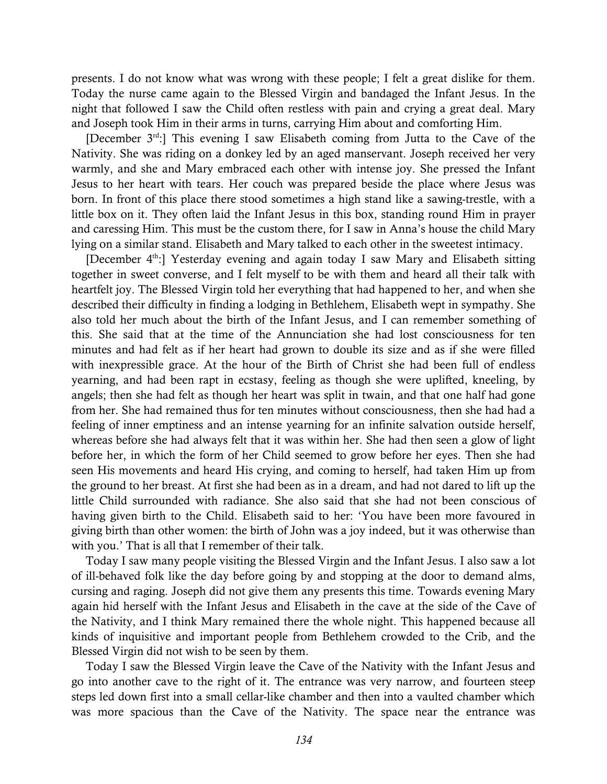presents. I do not know what was wrong with these people; I felt a great dislike for them. Today the nurse came again to the Blessed Virgin and bandaged the Infant Jesus. In the night that followed I saw the Child often restless with pain and crying a great deal. Mary and Joseph took Him in their arms in turns, carrying Him about and comforting Him.

[December 3<sup>rd</sup>:] This evening I saw Elisabeth coming from Jutta to the Cave of the Nativity. She was riding on a donkey led by an aged manservant. Joseph received her very warmly, and she and Mary embraced each other with intense joy. She pressed the Infant Jesus to her heart with tears. Her couch was prepared beside the place where Jesus was born. In front of this place there stood sometimes a high stand like a sawing-trestle, with a little box on it. They often laid the Infant Jesus in this box, standing round Him in prayer and caressing Him. This must be the custom there, for I saw in Anna's house the child Mary lying on a similar stand. Elisabeth and Mary talked to each other in the sweetest intimacy.

[December 4<sup>th</sup>:] Yesterday evening and again today I saw Mary and Elisabeth sitting together in sweet converse, and I felt myself to be with them and heard all their talk with heartfelt joy. The Blessed Virgin told her everything that had happened to her, and when she described their difficulty in finding a lodging in Bethlehem, Elisabeth wept in sympathy. She also told her much about the birth of the Infant Jesus, and I can remember something of this. She said that at the time of the Annunciation she had lost consciousness for ten minutes and had felt as if her heart had grown to double its size and as if she were filled with inexpressible grace. At the hour of the Birth of Christ she had been full of endless yearning, and had been rapt in ecstasy, feeling as though she were uplifted, kneeling, by angels; then she had felt as though her heart was split in twain, and that one half had gone from her. She had remained thus for ten minutes without consciousness, then she had had a feeling of inner emptiness and an intense yearning for an infinite salvation outside herself, whereas before she had always felt that it was within her. She had then seen a glow of light before her, in which the form of her Child seemed to grow before her eyes. Then she had seen His movements and heard His crying, and coming to herself, had taken Him up from the ground to her breast. At first she had been as in a dream, and had not dared to lift up the little Child surrounded with radiance. She also said that she had not been conscious of having given birth to the Child. Elisabeth said to her: 'You have been more favoured in giving birth than other women: the birth of John was a joy indeed, but it was otherwise than with you.' That is all that I remember of their talk.

Today I saw many people visiting the Blessed Virgin and the Infant Jesus. I also saw a lot of ill-behaved folk like the day before going by and stopping at the door to demand alms, cursing and raging. Joseph did not give them any presents this time. Towards evening Mary again hid herself with the Infant Jesus and Elisabeth in the cave at the side of the Cave of the Nativity, and I think Mary remained there the whole night. This happened because all kinds of inquisitive and important people from Bethlehem crowded to the Crib, and the Blessed Virgin did not wish to be seen by them.

Today I saw the Blessed Virgin leave the Cave of the Nativity with the Infant Jesus and go into another cave to the right of it. The entrance was very narrow, and fourteen steep steps led down first into a small cellar-like chamber and then into a vaulted chamber which was more spacious than the Cave of the Nativity. The space near the entrance was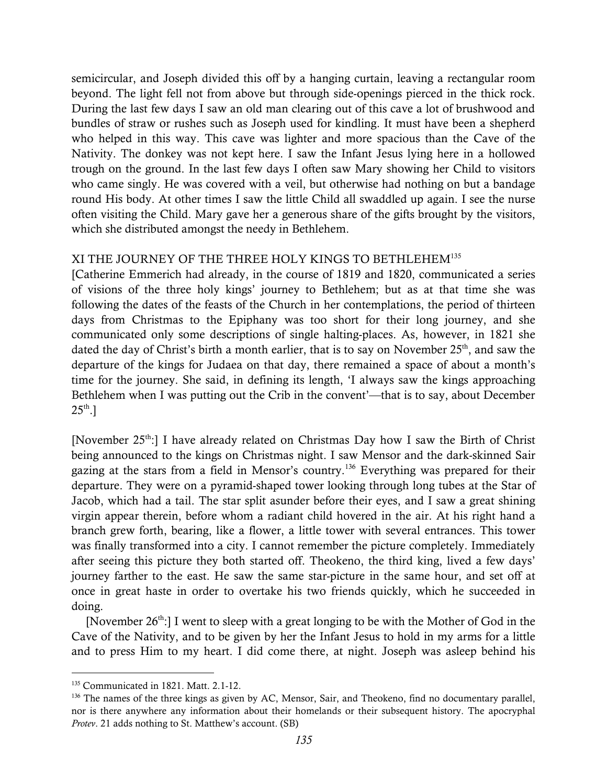semicircular, and Joseph divided this off by a hanging curtain, leaving a rectangular room beyond. The light fell not from above but through side-openings pierced in the thick rock. During the last few days I saw an old man clearing out of this cave a lot of brushwood and bundles of straw or rushes such as Joseph used for kindling. It must have been a shepherd who helped in this way. This cave was lighter and more spacious than the Cave of the Nativity. The donkey was not kept here. I saw the Infant Jesus lying here in a hollowed trough on the ground. In the last few days I often saw Mary showing her Child to visitors who came singly. He was covered with a veil, but otherwise had nothing on but a bandage round His body. At other times I saw the little Child all swaddled up again. I see the nurse often visiting the Child. Mary gave her a generous share of the gifts brought by the visitors, which she distributed amongst the needy in Bethlehem.

## XI THE JOURNEY OF THE THREE HOLY KINGS TO BETHLEHEM<sup>135</sup>

[Catherine Emmerich had already, in the course of 1819 and 1820, communicated a series of visions of the three holy kings' journey to Bethlehem; but as at that time she was following the dates of the feasts of the Church in her contemplations, the period of thirteen days from Christmas to the Epiphany was too short for their long journey, and she communicated only some descriptions of single halting-places. As, however, in 1821 she dated the day of Christ's birth a month earlier, that is to say on November  $25<sup>th</sup>$ , and saw the departure of the kings for Judaea on that day, there remained a space of about a month's time for the journey. She said, in defining its length, 'I always saw the kings approaching Bethlehem when I was putting out the Crib in the convent'—that is to say, about December  $25^{th}$ .]

[November 25<sup>th</sup>:] I have already related on Christmas Day how I saw the Birth of Christ being announced to the kings on Christmas night. I saw Mensor and the dark-skinned Sair gazing at the stars from a field in Mensor's country.<sup>136</sup> Everything was prepared for their departure. They were on a pyramid-shaped tower looking through long tubes at the Star of Jacob, which had a tail. The star split asunder before their eyes, and I saw a great shining virgin appear therein, before whom a radiant child hovered in the air. At his right hand a branch grew forth, bearing, like a flower, a little tower with several entrances. This tower was finally transformed into a city. I cannot remember the picture completely. Immediately after seeing this picture they both started off. Theokeno, the third king, lived a few days' journey farther to the east. He saw the same star-picture in the same hour, and set off at once in great haste in order to overtake his two friends quickly, which he succeeded in doing.

[November  $26<sup>th</sup>$ :] I went to sleep with a great longing to be with the Mother of God in the Cave of the Nativity, and to be given by her the Infant Jesus to hold in my arms for a little and to press Him to my heart. I did come there, at night. Joseph was asleep behind his

<sup>&</sup>lt;sup>135</sup> Communicated in 1821. Matt. 2.1-12.

<sup>&</sup>lt;sup>136</sup> The names of the three kings as given by AC, Mensor, Sair, and Theokeno, find no documentary parallel, nor is there anywhere any information about their homelands or their subsequent history. The apocryphal *Protev*. 21 adds nothing to St. Matthew's account. (SB)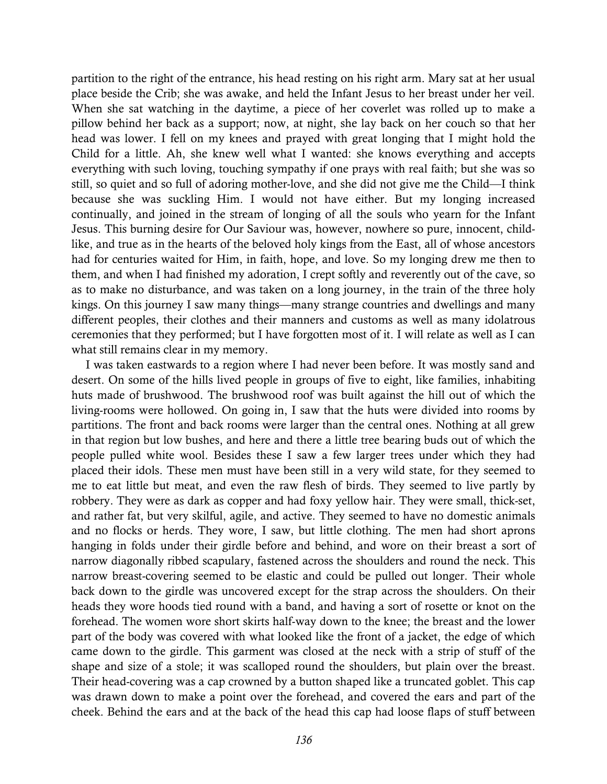partition to the right of the entrance, his head resting on his right arm. Mary sat at her usual place beside the Crib; she was awake, and held the Infant Jesus to her breast under her veil. When she sat watching in the daytime, a piece of her coverlet was rolled up to make a pillow behind her back as a support; now, at night, she lay back on her couch so that her head was lower. I fell on my knees and prayed with great longing that I might hold the Child for a little. Ah, she knew well what I wanted: she knows everything and accepts everything with such loving, touching sympathy if one prays with real faith; but she was so still, so quiet and so full of adoring mother-love, and she did not give me the Child—I think because she was suckling Him. I would not have either. But my longing increased continually, and joined in the stream of longing of all the souls who yearn for the Infant Jesus. This burning desire for Our Saviour was, however, nowhere so pure, innocent, childlike, and true as in the hearts of the beloved holy kings from the East, all of whose ancestors had for centuries waited for Him, in faith, hope, and love. So my longing drew me then to them, and when I had finished my adoration, I crept softly and reverently out of the cave, so as to make no disturbance, and was taken on a long journey, in the train of the three holy kings. On this journey I saw many things—many strange countries and dwellings and many different peoples, their clothes and their manners and customs as well as many idolatrous ceremonies that they performed; but I have forgotten most of it. I will relate as well as I can what still remains clear in my memory.

I was taken eastwards to a region where I had never been before. It was mostly sand and desert. On some of the hills lived people in groups of five to eight, like families, inhabiting huts made of brushwood. The brushwood roof was built against the hill out of which the living-rooms were hollowed. On going in, I saw that the huts were divided into rooms by partitions. The front and back rooms were larger than the central ones. Nothing at all grew in that region but low bushes, and here and there a little tree bearing buds out of which the people pulled white wool. Besides these I saw a few larger trees under which they had placed their idols. These men must have been still in a very wild state, for they seemed to me to eat little but meat, and even the raw flesh of birds. They seemed to live partly by robbery. They were as dark as copper and had foxy yellow hair. They were small, thick-set, and rather fat, but very skilful, agile, and active. They seemed to have no domestic animals and no flocks or herds. They wore, I saw, but little clothing. The men had short aprons hanging in folds under their girdle before and behind, and wore on their breast a sort of narrow diagonally ribbed scapulary, fastened across the shoulders and round the neck. This narrow breast-covering seemed to be elastic and could be pulled out longer. Their whole back down to the girdle was uncovered except for the strap across the shoulders. On their heads they wore hoods tied round with a band, and having a sort of rosette or knot on the forehead. The women wore short skirts half-way down to the knee; the breast and the lower part of the body was covered with what looked like the front of a jacket, the edge of which came down to the girdle. This garment was closed at the neck with a strip of stuff of the shape and size of a stole; it was scalloped round the shoulders, but plain over the breast. Their head-covering was a cap crowned by a button shaped like a truncated goblet. This cap was drawn down to make a point over the forehead, and covered the ears and part of the cheek. Behind the ears and at the back of the head this cap had loose flaps of stuff between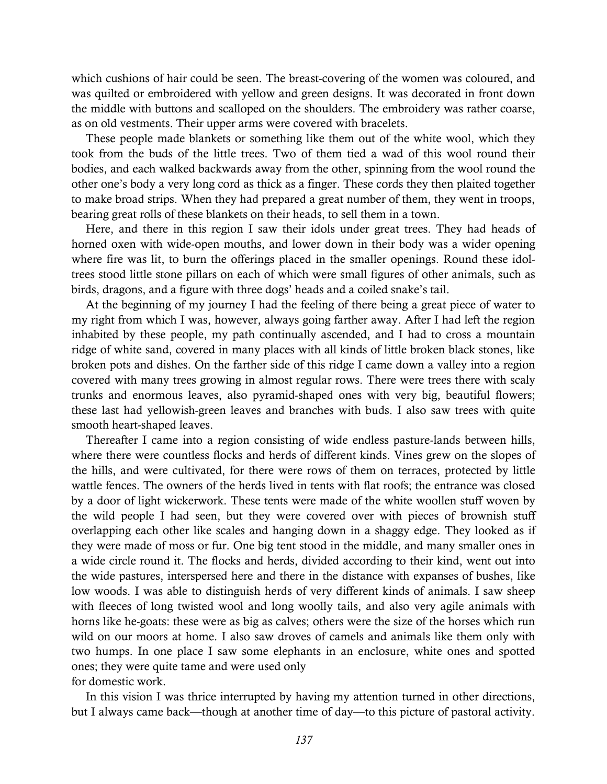which cushions of hair could be seen. The breast-covering of the women was coloured, and was quilted or embroidered with yellow and green designs. It was decorated in front down the middle with buttons and scalloped on the shoulders. The embroidery was rather coarse, as on old vestments. Their upper arms were covered with bracelets.

These people made blankets or something like them out of the white wool, which they took from the buds of the little trees. Two of them tied a wad of this wool round their bodies, and each walked backwards away from the other, spinning from the wool round the other one's body a very long cord as thick as a finger. These cords they then plaited together to make broad strips. When they had prepared a great number of them, they went in troops, bearing great rolls of these blankets on their heads, to sell them in a town.

Here, and there in this region I saw their idols under great trees. They had heads of horned oxen with wide-open mouths, and lower down in their body was a wider opening where fire was lit, to burn the offerings placed in the smaller openings. Round these idoltrees stood little stone pillars on each of which were small figures of other animals, such as birds, dragons, and a figure with three dogs' heads and a coiled snake's tail.

At the beginning of my journey I had the feeling of there being a great piece of water to my right from which I was, however, always going farther away. After I had left the region inhabited by these people, my path continually ascended, and I had to cross a mountain ridge of white sand, covered in many places with all kinds of little broken black stones, like broken pots and dishes. On the farther side of this ridge I came down a valley into a region covered with many trees growing in almost regular rows. There were trees there with scaly trunks and enormous leaves, also pyramid-shaped ones with very big, beautiful flowers; these last had yellowish-green leaves and branches with buds. I also saw trees with quite smooth heart-shaped leaves.

Thereafter I came into a region consisting of wide endless pasture-lands between hills, where there were countless flocks and herds of different kinds. Vines grew on the slopes of the hills, and were cultivated, for there were rows of them on terraces, protected by little wattle fences. The owners of the herds lived in tents with flat roofs; the entrance was closed by a door of light wickerwork. These tents were made of the white woollen stuff woven by the wild people I had seen, but they were covered over with pieces of brownish stuff overlapping each other like scales and hanging down in a shaggy edge. They looked as if they were made of moss or fur. One big tent stood in the middle, and many smaller ones in a wide circle round it. The flocks and herds, divided according to their kind, went out into the wide pastures, interspersed here and there in the distance with expanses of bushes, like low woods. I was able to distinguish herds of very different kinds of animals. I saw sheep with fleeces of long twisted wool and long woolly tails, and also very agile animals with horns like he-goats: these were as big as calves; others were the size of the horses which run wild on our moors at home. I also saw droves of camels and animals like them only with two humps. In one place I saw some elephants in an enclosure, white ones and spotted ones; they were quite tame and were used only for domestic work.

In this vision I was thrice interrupted by having my attention turned in other directions, but I always came back—though at another time of day—to this picture of pastoral activity.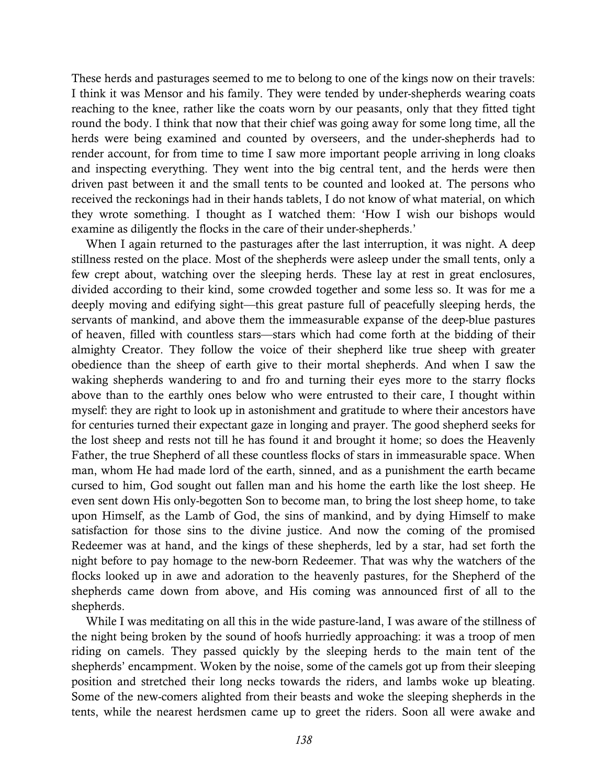These herds and pasturages seemed to me to belong to one of the kings now on their travels: I think it was Mensor and his family. They were tended by under-shepherds wearing coats reaching to the knee, rather like the coats worn by our peasants, only that they fitted tight round the body. I think that now that their chief was going away for some long time, all the herds were being examined and counted by overseers, and the under-shepherds had to render account, for from time to time I saw more important people arriving in long cloaks and inspecting everything. They went into the big central tent, and the herds were then driven past between it and the small tents to be counted and looked at. The persons who received the reckonings had in their hands tablets, I do not know of what material, on which they wrote something. I thought as I watched them: 'How I wish our bishops would examine as diligently the flocks in the care of their under-shepherds.'

When I again returned to the pasturages after the last interruption, it was night. A deep stillness rested on the place. Most of the shepherds were asleep under the small tents, only a few crept about, watching over the sleeping herds. These lay at rest in great enclosures, divided according to their kind, some crowded together and some less so. It was for me a deeply moving and edifying sight—this great pasture full of peacefully sleeping herds, the servants of mankind, and above them the immeasurable expanse of the deep-blue pastures of heaven, filled with countless stars—stars which had come forth at the bidding of their almighty Creator. They follow the voice of their shepherd like true sheep with greater obedience than the sheep of earth give to their mortal shepherds. And when I saw the waking shepherds wandering to and fro and turning their eyes more to the starry flocks above than to the earthly ones below who were entrusted to their care, I thought within myself: they are right to look up in astonishment and gratitude to where their ancestors have for centuries turned their expectant gaze in longing and prayer. The good shepherd seeks for the lost sheep and rests not till he has found it and brought it home; so does the Heavenly Father, the true Shepherd of all these countless flocks of stars in immeasurable space. When man, whom He had made lord of the earth, sinned, and as a punishment the earth became cursed to him, God sought out fallen man and his home the earth like the lost sheep. He even sent down His only-begotten Son to become man, to bring the lost sheep home, to take upon Himself, as the Lamb of God, the sins of mankind, and by dying Himself to make satisfaction for those sins to the divine justice. And now the coming of the promised Redeemer was at hand, and the kings of these shepherds, led by a star, had set forth the night before to pay homage to the new-born Redeemer. That was why the watchers of the flocks looked up in awe and adoration to the heavenly pastures, for the Shepherd of the shepherds came down from above, and His coming was announced first of all to the shepherds.

While I was meditating on all this in the wide pasture-land, I was aware of the stillness of the night being broken by the sound of hoofs hurriedly approaching: it was a troop of men riding on camels. They passed quickly by the sleeping herds to the main tent of the shepherds' encampment. Woken by the noise, some of the camels got up from their sleeping position and stretched their long necks towards the riders, and lambs woke up bleating. Some of the new-comers alighted from their beasts and woke the sleeping shepherds in the tents, while the nearest herdsmen came up to greet the riders. Soon all were awake and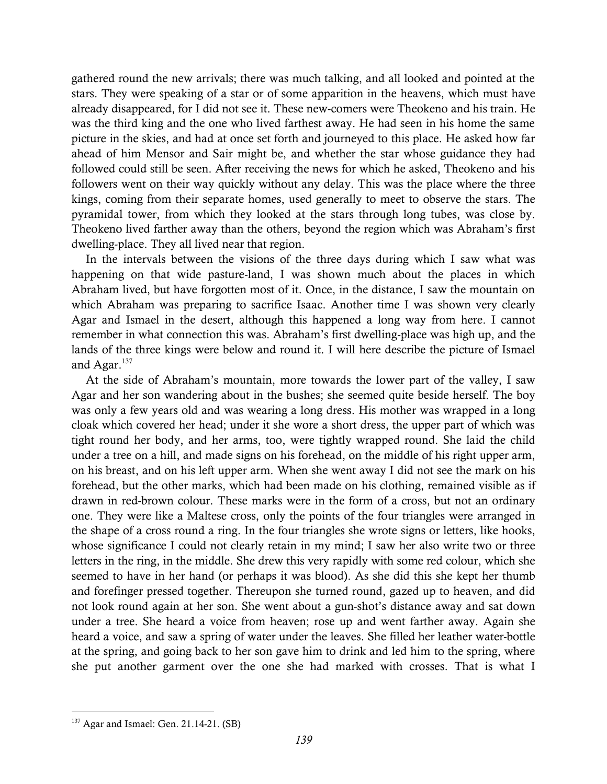gathered round the new arrivals; there was much talking, and all looked and pointed at the stars. They were speaking of a star or of some apparition in the heavens, which must have already disappeared, for I did not see it. These new-comers were Theokeno and his train. He was the third king and the one who lived farthest away. He had seen in his home the same picture in the skies, and had at once set forth and journeyed to this place. He asked how far ahead of him Mensor and Sair might be, and whether the star whose guidance they had followed could still be seen. After receiving the news for which he asked, Theokeno and his followers went on their way quickly without any delay. This was the place where the three kings, coming from their separate homes, used generally to meet to observe the stars. The pyramidal tower, from which they looked at the stars through long tubes, was close by. Theokeno lived farther away than the others, beyond the region which was Abraham's first dwelling-place. They all lived near that region.

In the intervals between the visions of the three days during which I saw what was happening on that wide pasture-land, I was shown much about the places in which Abraham lived, but have forgotten most of it. Once, in the distance, I saw the mountain on which Abraham was preparing to sacrifice Isaac. Another time I was shown very clearly Agar and Ismael in the desert, although this happened a long way from here. I cannot remember in what connection this was. Abraham's first dwelling-place was high up, and the lands of the three kings were below and round it. I will here describe the picture of Ismael and Agar.<sup>137</sup>

At the side of Abraham's mountain, more towards the lower part of the valley, I saw Agar and her son wandering about in the bushes; she seemed quite beside herself. The boy was only a few years old and was wearing a long dress. His mother was wrapped in a long cloak which covered her head; under it she wore a short dress, the upper part of which was tight round her body, and her arms, too, were tightly wrapped round. She laid the child under a tree on a hill, and made signs on his forehead, on the middle of his right upper arm, on his breast, and on his left upper arm. When she went away I did not see the mark on his forehead, but the other marks, which had been made on his clothing, remained visible as if drawn in red-brown colour. These marks were in the form of a cross, but not an ordinary one. They were like a Maltese cross, only the points of the four triangles were arranged in the shape of a cross round a ring. In the four triangles she wrote signs or letters, like hooks, whose significance I could not clearly retain in my mind; I saw her also write two or three letters in the ring, in the middle. She drew this very rapidly with some red colour, which she seemed to have in her hand (or perhaps it was blood). As she did this she kept her thumb and forefinger pressed together. Thereupon she turned round, gazed up to heaven, and did not look round again at her son. She went about a gun-shot's distance away and sat down under a tree. She heard a voice from heaven; rose up and went farther away. Again she heard a voice, and saw a spring of water under the leaves. She filled her leather water-bottle at the spring, and going back to her son gave him to drink and led him to the spring, where she put another garment over the one she had marked with crosses. That is what I

<sup>137</sup> Agar and Ismael: Gen. 21.14-21. (SB)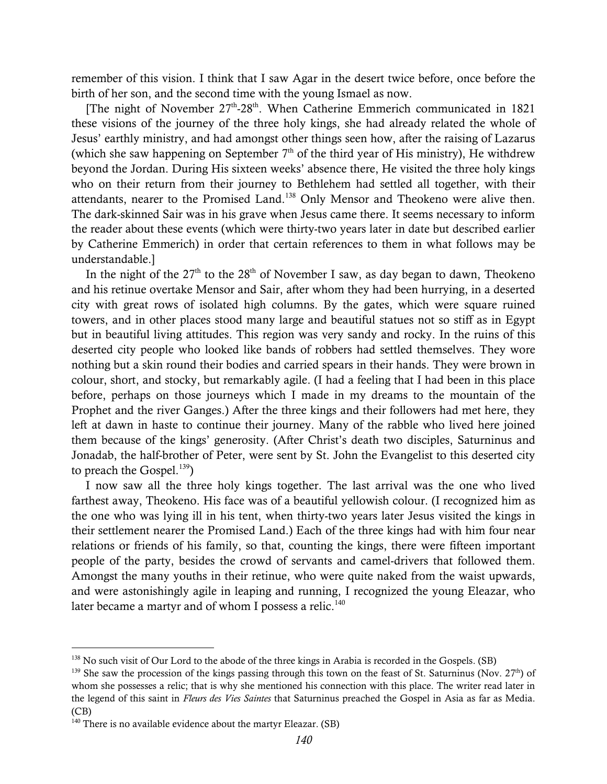remember of this vision. I think that I saw Agar in the desert twice before, once before the birth of her son, and the second time with the young Ismael as now.

[The night of November 27<sup>th</sup>-28<sup>th</sup>. When Catherine Emmerich communicated in 1821 these visions of the journey of the three holy kings, she had already related the whole of Jesus' earthly ministry, and had amongst other things seen how, after the raising of Lazarus (which she saw happening on September  $7<sup>th</sup>$  of the third year of His ministry), He withdrew beyond the Jordan. During His sixteen weeks' absence there, He visited the three holy kings who on their return from their journey to Bethlehem had settled all together, with their attendants, nearer to the Promised Land.<sup>138</sup> Only Mensor and Theokeno were alive then. The dark-skinned Sair was in his grave when Jesus came there. It seems necessary to inform the reader about these events (which were thirty-two years later in date but described earlier by Catherine Emmerich) in order that certain references to them in what follows may be understandable.]

In the night of the  $27<sup>th</sup>$  to the  $28<sup>th</sup>$  of November I saw, as day began to dawn, Theokeno and his retinue overtake Mensor and Sair, after whom they had been hurrying, in a deserted city with great rows of isolated high columns. By the gates, which were square ruined towers, and in other places stood many large and beautiful statues not so stiff as in Egypt but in beautiful living attitudes. This region was very sandy and rocky. In the ruins of this deserted city people who looked like bands of robbers had settled themselves. They wore nothing but a skin round their bodies and carried spears in their hands. They were brown in colour, short, and stocky, but remarkably agile. (I had a feeling that I had been in this place before, perhaps on those journeys which I made in my dreams to the mountain of the Prophet and the river Ganges.) After the three kings and their followers had met here, they left at dawn in haste to continue their journey. Many of the rabble who lived here joined them because of the kings' generosity. (After Christ's death two disciples, Saturninus and Jonadab, the half-brother of Peter, were sent by St. John the Evangelist to this deserted city to preach the Gospel.<sup>139</sup>)

I now saw all the three holy kings together. The last arrival was the one who lived farthest away, Theokeno. His face was of a beautiful yellowish colour. (I recognized him as the one who was lying ill in his tent, when thirty-two years later Jesus visited the kings in their settlement nearer the Promised Land.) Each of the three kings had with him four near relations or friends of his family, so that, counting the kings, there were fifteen important people of the party, besides the crowd of servants and camel-drivers that followed them. Amongst the many youths in their retinue, who were quite naked from the waist upwards, and were astonishingly agile in leaping and running, I recognized the young Eleazar, who later became a martyr and of whom I possess a relic.<sup>140</sup>

<sup>&</sup>lt;sup>138</sup> No such visit of Our Lord to the abode of the three kings in Arabia is recorded in the Gospels. (SB)

<sup>&</sup>lt;sup>139</sup> She saw the procession of the kings passing through this town on the feast of St. Saturninus (Nov.  $27<sup>th</sup>$ ) of whom she possesses a relic; that is why she mentioned his connection with this place. The writer read later in the legend of this saint in *Fleurs des Vies Saintes* that Saturninus preached the Gospel in Asia as far as Media. (CB)

 $140$  There is no available evidence about the martyr Eleazar. (SB)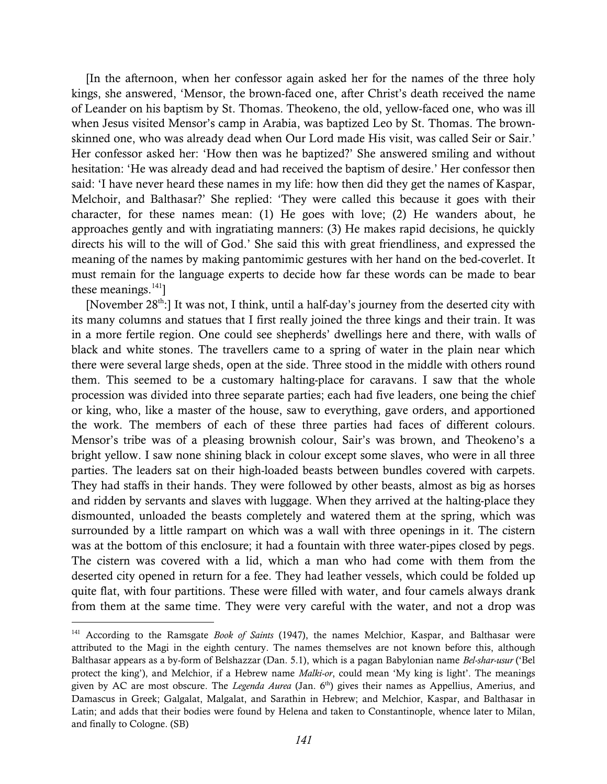[In the afternoon, when her confessor again asked her for the names of the three holy kings, she answered, 'Mensor, the brown-faced one, after Christ's death received the name of Leander on his baptism by St. Thomas. Theokeno, the old, yellow-faced one, who was ill when Jesus visited Mensor's camp in Arabia, was baptized Leo by St. Thomas. The brownskinned one, who was already dead when Our Lord made His visit, was called Seir or Sair.' Her confessor asked her: 'How then was he baptized?' She answered smiling and without hesitation: 'He was already dead and had received the baptism of desire.' Her confessor then said: 'I have never heard these names in my life: how then did they get the names of Kaspar, Melchoir, and Balthasar?' She replied: 'They were called this because it goes with their character, for these names mean: (1) He goes with love; (2) He wanders about, he approaches gently and with ingratiating manners: (3) He makes rapid decisions, he quickly directs his will to the will of God.' She said this with great friendliness, and expressed the meaning of the names by making pantomimic gestures with her hand on the bed-coverlet. It must remain for the language experts to decide how far these words can be made to bear these meanings. $141$ ]

[November 28<sup>th</sup>:] It was not, I think, until a half-day's journey from the deserted city with its many columns and statues that I first really joined the three kings and their train. It was in a more fertile region. One could see shepherds' dwellings here and there, with walls of black and white stones. The travellers came to a spring of water in the plain near which there were several large sheds, open at the side. Three stood in the middle with others round them. This seemed to be a customary halting-place for caravans. I saw that the whole procession was divided into three separate parties; each had five leaders, one being the chief or king, who, like a master of the house, saw to everything, gave orders, and apportioned the work. The members of each of these three parties had faces of different colours. Mensor's tribe was of a pleasing brownish colour, Sair's was brown, and Theokeno's a bright yellow. I saw none shining black in colour except some slaves, who were in all three parties. The leaders sat on their high-loaded beasts between bundles covered with carpets. They had staffs in their hands. They were followed by other beasts, almost as big as horses and ridden by servants and slaves with luggage. When they arrived at the halting-place they dismounted, unloaded the beasts completely and watered them at the spring, which was surrounded by a little rampart on which was a wall with three openings in it. The cistern was at the bottom of this enclosure; it had a fountain with three water-pipes closed by pegs. The cistern was covered with a lid, which a man who had come with them from the deserted city opened in return for a fee. They had leather vessels, which could be folded up quite flat, with four partitions. These were filled with water, and four camels always drank from them at the same time. They were very careful with the water, and not a drop was

<sup>141</sup> According to the Ramsgate *Book of Saints* (1947), the names Melchior, Kaspar, and Balthasar were attributed to the Magi in the eighth century. The names themselves are not known before this, although Balthasar appears as a by-form of Belshazzar (Dan. 5.1), which is a pagan Babylonian name *Bel-shar-usur* ('Bel protect the king'), and Melchior, if a Hebrew name *Malki-or*, could mean 'My king is light'. The meanings given by AC are most obscure. The *Legenda Aurea* (Jan. 6<sup>th</sup>) gives their names as Appellius, Amerius, and Damascus in Greek; Galgalat, Malgalat, and Sarathin in Hebrew; and Melchior, Kaspar, and Balthasar in Latin; and adds that their bodies were found by Helena and taken to Constantinople, whence later to Milan, and finally to Cologne. (SB)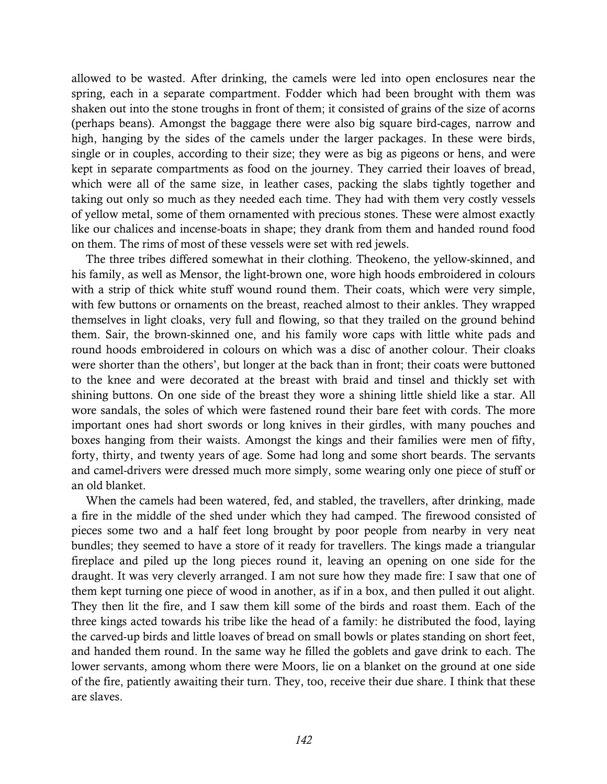allowed to be wasted. After drinking, the camels were led into open enclosures near the spring, each in a separate compartment. Fodder which had been brought with them was shaken out into the stone troughs in front of them; it consisted of grains of the size of acorns (perhaps beans). Amongst the baggage there were also big square bird-cages, narrow and high, hanging by the sides of the camels under the larger packages. In these were birds, single or in couples, according to their size; they were as big as pigeons or hens, and were kept in separate compartments as food on the journey. They carried their loaves of bread, which were all of the same size, in leather cases, packing the slabs tightly together and taking out only so much as they needed each time. They had with them very costly vessels of yellow metal, some of them ornamented with precious stones. These were almost exactly like our chalices and incense-boats in shape; they drank from them and handed round food on them. The rims of most of these vessels were set with red jewels.

The three tribes differed somewhat in their clothing. Theokeno, the yellow-skinned, and his family, as well as Mensor, the light-brown one, wore high hoods embroidered in colours with a strip of thick white stuff wound round them. Their coats, which were very simple, with few buttons or ornaments on the breast, reached almost to their ankles. They wrapped themselves in light cloaks, very full and flowing, so that they trailed on the ground behind them. Sair, the brown-skinned one, and his family wore caps with little white pads and round hoods embroidered in colours on which was a disc of another colour. Their cloaks were shorter than the others', but longer at the back than in front; their coats were buttoned to the knee and were decorated at the breast with braid and tinsel and thickly set with shining buttons. On one side of the breast they wore a shining little shield like a star. All wore sandals, the soles of which were fastened round their bare feet with cords. The more important ones had short swords or long knives in their girdles, with many pouches and boxes hanging from their waists. Amongst the kings and their families were men of fifty, forty, thirty, and twenty years of age. Some had long and some short beards. The servants and camel-drivers were dressed much more simply, some wearing only one piece of stuff or an old blanket.

When the camels had been watered, fed, and stabled, the travellers, after drinking, made a fire in the middle of the shed under which they had camped. The firewood consisted of pieces some two and a half feet long brought by poor people from nearby in very neat bundles; they seemed to have a store of it ready for travellers. The kings made a triangular fireplace and piled up the long pieces round it, leaving an opening on one side for the draught. It was very cleverly arranged. I am not sure how they made fire: I saw that one of them kept turning one piece of wood in another, as if in a box, and then pulled it out alight. They then lit the fire, and I saw them kill some of the birds and roast them. Each of the three kings acted towards his tribe like the head of a family: he distributed the food, laying the carved-up birds and little loaves of bread on small bowls or plates standing on short feet, and handed them round. In the same way he filled the goblets and gave drink to each. The lower servants, among whom there were Moors, lie on a blanket on the ground at one side of the fire, patiently awaiting their turn. They, too, receive their due share. I think that these are slaves.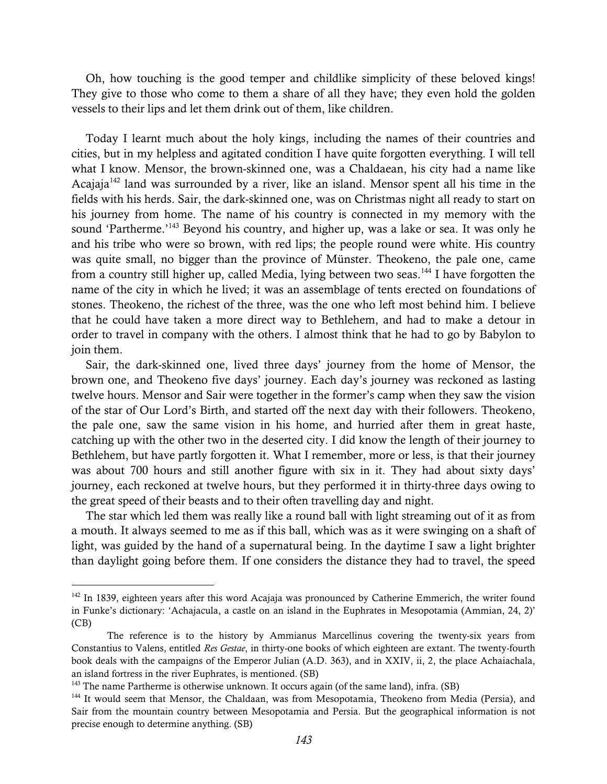Oh, how touching is the good temper and childlike simplicity of these beloved kings! They give to those who come to them a share of all they have; they even hold the golden vessels to their lips and let them drink out of them, like children.

Today I learnt much about the holy kings, including the names of their countries and cities, but in my helpless and agitated condition I have quite forgotten everything. I will tell what I know. Mensor, the brown-skinned one, was a Chaldaean, his city had a name like Acajaja<sup>142</sup> land was surrounded by a river, like an island. Mensor spent all his time in the fields with his herds. Sair, the dark-skinned one, was on Christmas night all ready to start on his journey from home. The name of his country is connected in my memory with the sound 'Partherme.'<sup>143</sup> Beyond his country, and higher up, was a lake or sea. It was only he and his tribe who were so brown, with red lips; the people round were white. His country was quite small, no bigger than the province of Münster. Theokeno, the pale one, came from a country still higher up, called Media, lying between two seas.<sup>144</sup> I have forgotten the name of the city in which he lived; it was an assemblage of tents erected on foundations of stones. Theokeno, the richest of the three, was the one who left most behind him. I believe that he could have taken a more direct way to Bethlehem, and had to make a detour in order to travel in company with the others. I almost think that he had to go by Babylon to join them.

Sair, the dark-skinned one, lived three days' journey from the home of Mensor, the brown one, and Theokeno five days' journey. Each day's journey was reckoned as lasting twelve hours. Mensor and Sair were together in the former's camp when they saw the vision of the star of Our Lord's Birth, and started off the next day with their followers. Theokeno, the pale one, saw the same vision in his home, and hurried after them in great haste, catching up with the other two in the deserted city. I did know the length of their journey to Bethlehem, but have partly forgotten it. What I remember, more or less, is that their journey was about 700 hours and still another figure with six in it. They had about sixty days' journey, each reckoned at twelve hours, but they performed it in thirty-three days owing to the great speed of their beasts and to their often travelling day and night.

The star which led them was really like a round ball with light streaming out of it as from a mouth. It always seemed to me as if this ball, which was as it were swinging on a shaft of light, was guided by the hand of a supernatural being. In the daytime I saw a light brighter than daylight going before them. If one considers the distance they had to travel, the speed

<sup>&</sup>lt;sup>142</sup> In 1839, eighteen years after this word Acajaja was pronounced by Catherine Emmerich, the writer found in Funke's dictionary: 'Achajacula, a castle on an island in the Euphrates in Mesopotamia (Ammian, 24, 2)' (CB)

The reference is to the history by Ammianus Marcellinus covering the twenty-six years from Constantius to Valens, entitled *Res Gestae*, in thirty-one books of which eighteen are extant. The twenty-fourth book deals with the campaigns of the Emperor Julian (A.D. 363), and in XXIV, ii, 2, the place Achaiachala, an island fortress in the river Euphrates, is mentioned. (SB)

<sup>&</sup>lt;sup>143</sup> The name Partherme is otherwise unknown. It occurs again (of the same land), infra. (SB)

<sup>&</sup>lt;sup>144</sup> It would seem that Mensor, the Chaldaan, was from Mesopotamia, Theokeno from Media (Persia), and Sair from the mountain country between Mesopotamia and Persia. But the geographical information is not precise enough to determine anything. (SB)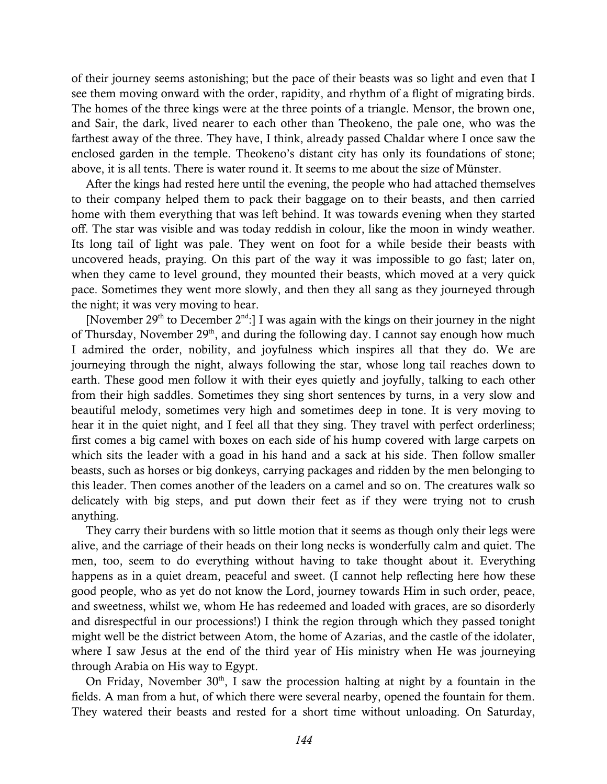of their journey seems astonishing; but the pace of their beasts was so light and even that I see them moving onward with the order, rapidity, and rhythm of a flight of migrating birds. The homes of the three kings were at the three points of a triangle. Mensor, the brown one, and Sair, the dark, lived nearer to each other than Theokeno, the pale one, who was the farthest away of the three. They have, I think, already passed Chaldar where I once saw the enclosed garden in the temple. Theokeno's distant city has only its foundations of stone; above, it is all tents. There is water round it. It seems to me about the size of Münster.

After the kings had rested here until the evening, the people who had attached themselves to their company helped them to pack their baggage on to their beasts, and then carried home with them everything that was left behind. It was towards evening when they started off. The star was visible and was today reddish in colour, like the moon in windy weather. Its long tail of light was pale. They went on foot for a while beside their beasts with uncovered heads, praying. On this part of the way it was impossible to go fast; later on, when they came to level ground, they mounted their beasts, which moved at a very quick pace. Sometimes they went more slowly, and then they all sang as they journeyed through the night; it was very moving to hear.

[November 29<sup>th</sup> to December 2<sup>nd</sup>:] I was again with the kings on their journey in the night of Thursday, November  $29<sup>th</sup>$ , and during the following day. I cannot say enough how much I admired the order, nobility, and joyfulness which inspires all that they do. We are journeying through the night, always following the star, whose long tail reaches down to earth. These good men follow it with their eyes quietly and joyfully, talking to each other from their high saddles. Sometimes they sing short sentences by turns, in a very slow and beautiful melody, sometimes very high and sometimes deep in tone. It is very moving to hear it in the quiet night, and I feel all that they sing. They travel with perfect orderliness; first comes a big camel with boxes on each side of his hump covered with large carpets on which sits the leader with a goad in his hand and a sack at his side. Then follow smaller beasts, such as horses or big donkeys, carrying packages and ridden by the men belonging to this leader. Then comes another of the leaders on a camel and so on. The creatures walk so delicately with big steps, and put down their feet as if they were trying not to crush anything.

They carry their burdens with so little motion that it seems as though only their legs were alive, and the carriage of their heads on their long necks is wonderfully calm and quiet. The men, too, seem to do everything without having to take thought about it. Everything happens as in a quiet dream, peaceful and sweet. (I cannot help reflecting here how these good people, who as yet do not know the Lord, journey towards Him in such order, peace, and sweetness, whilst we, whom He has redeemed and loaded with graces, are so disorderly and disrespectful in our processions!) I think the region through which they passed tonight might well be the district between Atom, the home of Azarias, and the castle of the idolater, where I saw Jesus at the end of the third year of His ministry when He was journeying through Arabia on His way to Egypt.

On Friday, November  $30<sup>th</sup>$ , I saw the procession halting at night by a fountain in the fields. A man from a hut, of which there were several nearby, opened the fountain for them. They watered their beasts and rested for a short time without unloading. On Saturday,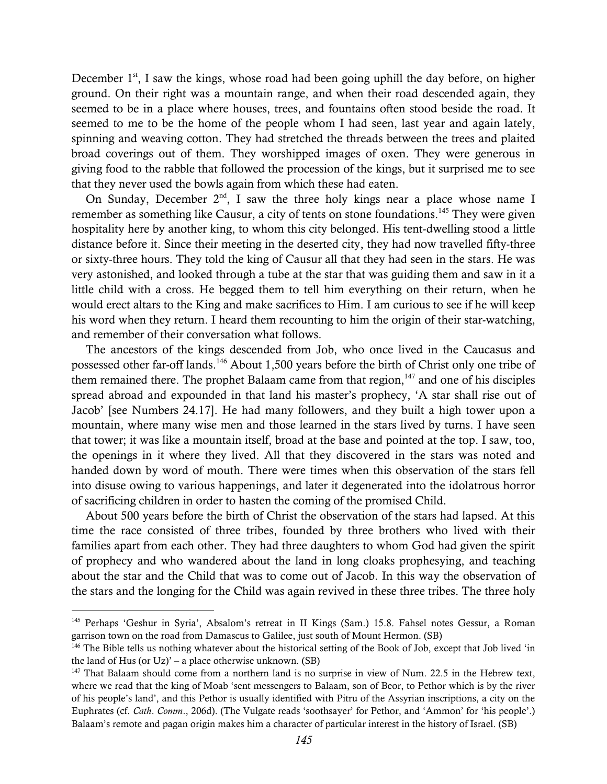December 1<sup>st</sup>, I saw the kings, whose road had been going uphill the day before, on higher ground. On their right was a mountain range, and when their road descended again, they seemed to be in a place where houses, trees, and fountains often stood beside the road. It seemed to me to be the home of the people whom I had seen, last year and again lately, spinning and weaving cotton. They had stretched the threads between the trees and plaited broad coverings out of them. They worshipped images of oxen. They were generous in giving food to the rabble that followed the procession of the kings, but it surprised me to see that they never used the bowls again from which these had eaten.

On Sunday, December  $2<sup>nd</sup>$ , I saw the three holy kings near a place whose name I remember as something like Causur, a city of tents on stone foundations.<sup>145</sup> They were given hospitality here by another king, to whom this city belonged. His tent-dwelling stood a little distance before it. Since their meeting in the deserted city, they had now travelled fifty-three or sixty-three hours. They told the king of Causur all that they had seen in the stars. He was very astonished, and looked through a tube at the star that was guiding them and saw in it a little child with a cross. He begged them to tell him everything on their return, when he would erect altars to the King and make sacrifices to Him. I am curious to see if he will keep his word when they return. I heard them recounting to him the origin of their star-watching, and remember of their conversation what follows.

The ancestors of the kings descended from Job, who once lived in the Caucasus and possessed other far-off lands.<sup>146</sup> About 1,500 years before the birth of Christ only one tribe of them remained there. The prophet Balaam came from that region, $147$  and one of his disciples spread abroad and expounded in that land his master's prophecy, 'A star shall rise out of Jacob' [see Numbers 24.17]. He had many followers, and they built a high tower upon a mountain, where many wise men and those learned in the stars lived by turns. I have seen that tower; it was like a mountain itself, broad at the base and pointed at the top. I saw, too, the openings in it where they lived. All that they discovered in the stars was noted and handed down by word of mouth. There were times when this observation of the stars fell into disuse owing to various happenings, and later it degenerated into the idolatrous horror of sacrificing children in order to hasten the coming of the promised Child.

About 500 years before the birth of Christ the observation of the stars had lapsed. At this time the race consisted of three tribes, founded by three brothers who lived with their families apart from each other. They had three daughters to whom God had given the spirit of prophecy and who wandered about the land in long cloaks prophesying, and teaching about the star and the Child that was to come out of Jacob. In this way the observation of the stars and the longing for the Child was again revived in these three tribes. The three holy

<sup>145</sup> Perhaps 'Geshur in Syria', Absalom's retreat in II Kings (Sam.) 15.8. Fahsel notes Gessur, a Roman garrison town on the road from Damascus to Galilee, just south of Mount Hermon. (SB)

<sup>&</sup>lt;sup>146</sup> The Bible tells us nothing whatever about the historical setting of the Book of Job, except that Job lived 'in the land of Hus (or  $Uz$ )' – a place otherwise unknown. (SB)

<sup>&</sup>lt;sup>147</sup> That Balaam should come from a northern land is no surprise in view of Num. 22.5 in the Hebrew text, where we read that the king of Moab 'sent messengers to Balaam, son of Beor, to Pethor which is by the river of his people's land', and this Pethor is usually identified with Pitru of the Assyrian inscriptions, a city on the Euphrates (cf. *Cath*. *Comm*., 206d). (The Vulgate reads 'soothsayer' for Pethor, and 'Ammon' for 'his people'.) Balaam's remote and pagan origin makes him a character of particular interest in the history of Israel. (SB)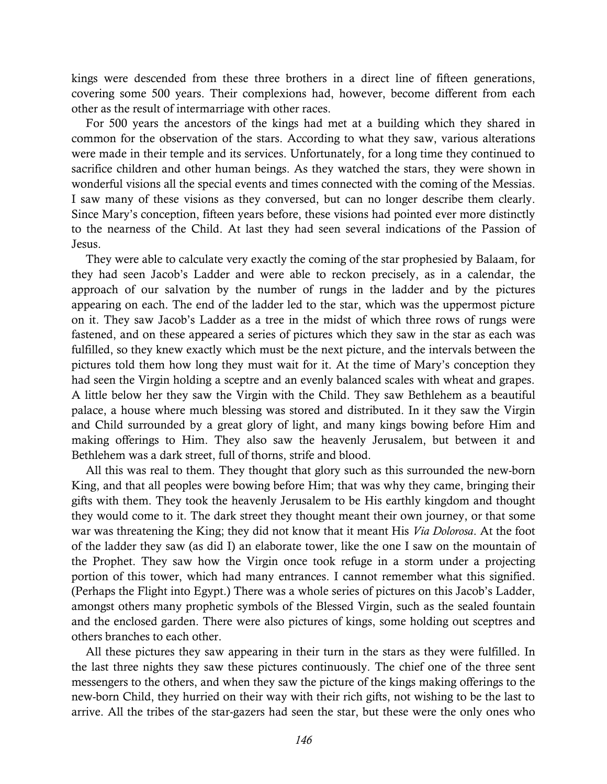kings were descended from these three brothers in a direct line of fifteen generations, covering some 500 years. Their complexions had, however, become different from each other as the result of intermarriage with other races.

For 500 years the ancestors of the kings had met at a building which they shared in common for the observation of the stars. According to what they saw, various alterations were made in their temple and its services. Unfortunately, for a long time they continued to sacrifice children and other human beings. As they watched the stars, they were shown in wonderful visions all the special events and times connected with the coming of the Messias. I saw many of these visions as they conversed, but can no longer describe them clearly. Since Mary's conception, fifteen years before, these visions had pointed ever more distinctly to the nearness of the Child. At last they had seen several indications of the Passion of Jesus.

They were able to calculate very exactly the coming of the star prophesied by Balaam, for they had seen Jacob's Ladder and were able to reckon precisely, as in a calendar, the approach of our salvation by the number of rungs in the ladder and by the pictures appearing on each. The end of the ladder led to the star, which was the uppermost picture on it. They saw Jacob's Ladder as a tree in the midst of which three rows of rungs were fastened, and on these appeared a series of pictures which they saw in the star as each was fulfilled, so they knew exactly which must be the next picture, and the intervals between the pictures told them how long they must wait for it. At the time of Mary's conception they had seen the Virgin holding a sceptre and an evenly balanced scales with wheat and grapes. A little below her they saw the Virgin with the Child. They saw Bethlehem as a beautiful palace, a house where much blessing was stored and distributed. In it they saw the Virgin and Child surrounded by a great glory of light, and many kings bowing before Him and making offerings to Him. They also saw the heavenly Jerusalem, but between it and Bethlehem was a dark street, full of thorns, strife and blood.

All this was real to them. They thought that glory such as this surrounded the new-born King, and that all peoples were bowing before Him; that was why they came, bringing their gifts with them. They took the heavenly Jerusalem to be His earthly kingdom and thought they would come to it. The dark street they thought meant their own journey, or that some war was threatening the King; they did not know that it meant His *Via Dolorosa*. At the foot of the ladder they saw (as did I) an elaborate tower, like the one I saw on the mountain of the Prophet. They saw how the Virgin once took refuge in a storm under a projecting portion of this tower, which had many entrances. I cannot remember what this signified. (Perhaps the Flight into Egypt.) There was a whole series of pictures on this Jacob's Ladder, amongst others many prophetic symbols of the Blessed Virgin, such as the sealed fountain and the enclosed garden. There were also pictures of kings, some holding out sceptres and others branches to each other.

All these pictures they saw appearing in their turn in the stars as they were fulfilled. In the last three nights they saw these pictures continuously. The chief one of the three sent messengers to the others, and when they saw the picture of the kings making offerings to the new-born Child, they hurried on their way with their rich gifts, not wishing to be the last to arrive. All the tribes of the star-gazers had seen the star, but these were the only ones who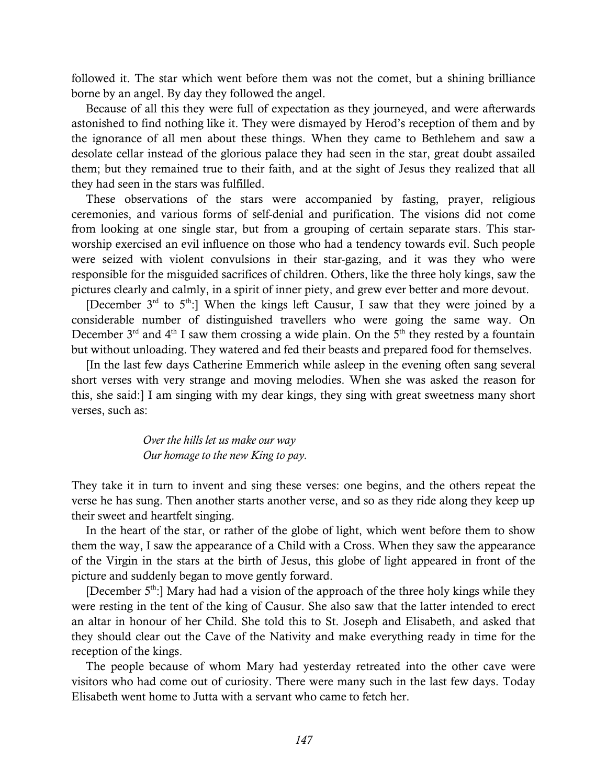followed it. The star which went before them was not the comet, but a shining brilliance borne by an angel. By day they followed the angel.

Because of all this they were full of expectation as they journeyed, and were afterwards astonished to find nothing like it. They were dismayed by Herod's reception of them and by the ignorance of all men about these things. When they came to Bethlehem and saw a desolate cellar instead of the glorious palace they had seen in the star, great doubt assailed them; but they remained true to their faith, and at the sight of Jesus they realized that all they had seen in the stars was fulfilled.

These observations of the stars were accompanied by fasting, prayer, religious ceremonies, and various forms of self-denial and purification. The visions did not come from looking at one single star, but from a grouping of certain separate stars. This starworship exercised an evil influence on those who had a tendency towards evil. Such people were seized with violent convulsions in their star-gazing, and it was they who were responsible for the misguided sacrifices of children. Others, like the three holy kings, saw the pictures clearly and calmly, in a spirit of inner piety, and grew ever better and more devout.

[December  $3<sup>rd</sup>$  to  $5<sup>th</sup>$ .] When the kings left Causur, I saw that they were joined by a considerable number of distinguished travellers who were going the same way. On December  $3<sup>rd</sup>$  and  $4<sup>th</sup>$  I saw them crossing a wide plain. On the  $5<sup>th</sup>$  they rested by a fountain but without unloading. They watered and fed their beasts and prepared food for themselves.

[In the last few days Catherine Emmerich while asleep in the evening often sang several short verses with very strange and moving melodies. When she was asked the reason for this, she said:] I am singing with my dear kings, they sing with great sweetness many short verses, such as:

> *Over the hills let us make our way Our homage to the new King to pay.*

They take it in turn to invent and sing these verses: one begins, and the others repeat the verse he has sung. Then another starts another verse, and so as they ride along they keep up their sweet and heartfelt singing.

In the heart of the star, or rather of the globe of light, which went before them to show them the way, I saw the appearance of a Child with a Cross. When they saw the appearance of the Virgin in the stars at the birth of Jesus, this globe of light appeared in front of the picture and suddenly began to move gently forward.

[December  $5<sup>th</sup>$ :] Mary had had a vision of the approach of the three holy kings while they were resting in the tent of the king of Causur. She also saw that the latter intended to erect an altar in honour of her Child. She told this to St. Joseph and Elisabeth, and asked that they should clear out the Cave of the Nativity and make everything ready in time for the reception of the kings.

The people because of whom Mary had yesterday retreated into the other cave were visitors who had come out of curiosity. There were many such in the last few days. Today Elisabeth went home to Jutta with a servant who came to fetch her.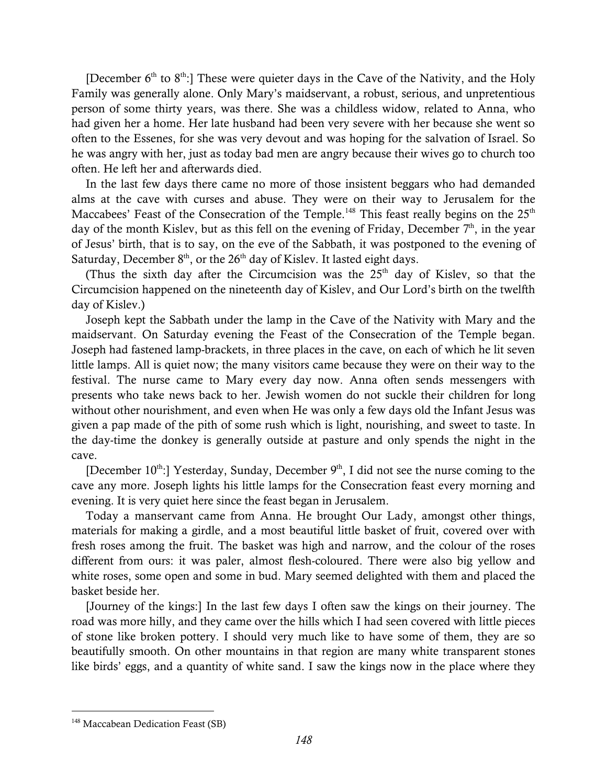[December 6<sup>th</sup> to 8<sup>th</sup>:] These were quieter days in the Cave of the Nativity, and the Holy Family was generally alone. Only Mary's maidservant, a robust, serious, and unpretentious person of some thirty years, was there. She was a childless widow, related to Anna, who had given her a home. Her late husband had been very severe with her because she went so often to the Essenes, for she was very devout and was hoping for the salvation of Israel. So he was angry with her, just as today bad men are angry because their wives go to church too often. He left her and afterwards died.

In the last few days there came no more of those insistent beggars who had demanded alms at the cave with curses and abuse. They were on their way to Jerusalem for the Maccabees' Feast of the Consecration of the Temple.<sup>148</sup> This feast really begins on the 25<sup>th</sup> day of the month Kislev, but as this fell on the evening of Friday, December  $7<sup>th</sup>$ , in the year of Jesus' birth, that is to say, on the eve of the Sabbath, it was postponed to the evening of Saturday, December  $8<sup>th</sup>$ , or the  $26<sup>th</sup>$  day of Kislev. It lasted eight days.

(Thus the sixth day after the Circumcision was the  $25<sup>th</sup>$  day of Kislev, so that the Circumcision happened on the nineteenth day of Kislev, and Our Lord's birth on the twelfth day of Kislev.)

Joseph kept the Sabbath under the lamp in the Cave of the Nativity with Mary and the maidservant. On Saturday evening the Feast of the Consecration of the Temple began. Joseph had fastened lamp-brackets, in three places in the cave, on each of which he lit seven little lamps. All is quiet now; the many visitors came because they were on their way to the festival. The nurse came to Mary every day now. Anna often sends messengers with presents who take news back to her. Jewish women do not suckle their children for long without other nourishment, and even when He was only a few days old the Infant Jesus was given a pap made of the pith of some rush which is light, nourishing, and sweet to taste. In the day-time the donkey is generally outside at pasture and only spends the night in the cave.

[December 10<sup>th</sup>:] Yesterday, Sunday, December 9<sup>th</sup>, I did not see the nurse coming to the cave any more. Joseph lights his little lamps for the Consecration feast every morning and evening. It is very quiet here since the feast began in Jerusalem.

Today a manservant came from Anna. He brought Our Lady, amongst other things, materials for making a girdle, and a most beautiful little basket of fruit, covered over with fresh roses among the fruit. The basket was high and narrow, and the colour of the roses different from ours: it was paler, almost flesh-coloured. There were also big yellow and white roses, some open and some in bud. Mary seemed delighted with them and placed the basket beside her.

[Journey of the kings:] In the last few days I often saw the kings on their journey. The road was more hilly, and they came over the hills which I had seen covered with little pieces of stone like broken pottery. I should very much like to have some of them, they are so beautifully smooth. On other mountains in that region are many white transparent stones like birds' eggs, and a quantity of white sand. I saw the kings now in the place where they

<sup>&</sup>lt;sup>148</sup> Maccabean Dedication Feast (SB)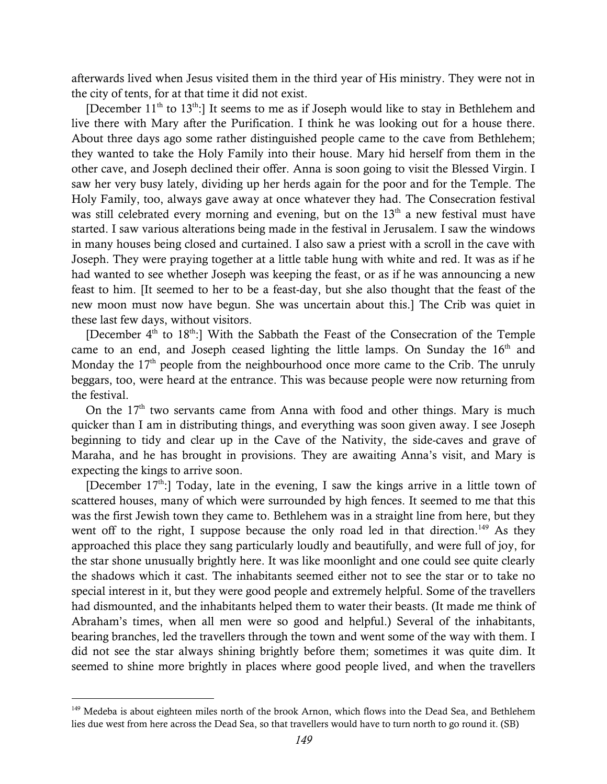afterwards lived when Jesus visited them in the third year of His ministry. They were not in the city of tents, for at that time it did not exist.

[December  $11<sup>th</sup>$  to  $13<sup>th</sup>$ :] It seems to me as if Joseph would like to stay in Bethlehem and live there with Mary after the Purification. I think he was looking out for a house there. About three days ago some rather distinguished people came to the cave from Bethlehem; they wanted to take the Holy Family into their house. Mary hid herself from them in the other cave, and Joseph declined their offer. Anna is soon going to visit the Blessed Virgin. I saw her very busy lately, dividing up her herds again for the poor and for the Temple. The Holy Family, too, always gave away at once whatever they had. The Consecration festival was still celebrated every morning and evening, but on the  $13<sup>th</sup>$  a new festival must have started. I saw various alterations being made in the festival in Jerusalem. I saw the windows in many houses being closed and curtained. I also saw a priest with a scroll in the cave with Joseph. They were praying together at a little table hung with white and red. It was as if he had wanted to see whether Joseph was keeping the feast, or as if he was announcing a new feast to him. [It seemed to her to be a feast-day, but she also thought that the feast of the new moon must now have begun. She was uncertain about this.] The Crib was quiet in these last few days, without visitors.

[December 4<sup>th</sup> to 18<sup>th</sup>:] With the Sabbath the Feast of the Consecration of the Temple came to an end, and Joseph ceased lighting the little lamps. On Sunday the  $16<sup>th</sup>$  and Monday the  $17<sup>th</sup>$  people from the neighbourhood once more came to the Crib. The unruly beggars, too, were heard at the entrance. This was because people were now returning from the festival.

On the  $17<sup>th</sup>$  two servants came from Anna with food and other things. Mary is much quicker than I am in distributing things, and everything was soon given away. I see Joseph beginning to tidy and clear up in the Cave of the Nativity, the side-caves and grave of Maraha, and he has brought in provisions. They are awaiting Anna's visit, and Mary is expecting the kings to arrive soon.

[December 17<sup>th</sup>:] Today, late in the evening, I saw the kings arrive in a little town of scattered houses, many of which were surrounded by high fences. It seemed to me that this was the first Jewish town they came to. Bethlehem was in a straight line from here, but they went off to the right, I suppose because the only road led in that direction.<sup>149</sup> As they approached this place they sang particularly loudly and beautifully, and were full of joy, for the star shone unusually brightly here. It was like moonlight and one could see quite clearly the shadows which it cast. The inhabitants seemed either not to see the star or to take no special interest in it, but they were good people and extremely helpful. Some of the travellers had dismounted, and the inhabitants helped them to water their beasts. (It made me think of Abraham's times, when all men were so good and helpful.) Several of the inhabitants, bearing branches, led the travellers through the town and went some of the way with them. I did not see the star always shining brightly before them; sometimes it was quite dim. It seemed to shine more brightly in places where good people lived, and when the travellers

<sup>&</sup>lt;sup>149</sup> Medeba is about eighteen miles north of the brook Arnon, which flows into the Dead Sea, and Bethlehem lies due west from here across the Dead Sea, so that travellers would have to turn north to go round it. (SB)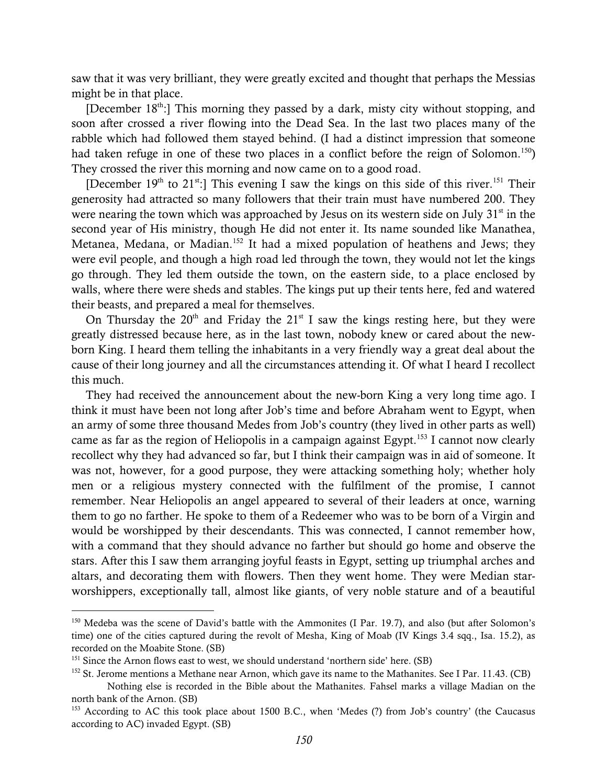saw that it was very brilliant, they were greatly excited and thought that perhaps the Messias might be in that place.

[December 18<sup>th</sup>:] This morning they passed by a dark, misty city without stopping, and soon after crossed a river flowing into the Dead Sea. In the last two places many of the rabble which had followed them stayed behind. (I had a distinct impression that someone had taken refuge in one of these two places in a conflict before the reign of Solomon.<sup>150</sup>) They crossed the river this morning and now came on to a good road.

[December 19<sup>th</sup> to 21<sup>st</sup>:] This evening I saw the kings on this side of this river.<sup>151</sup> Their generosity had attracted so many followers that their train must have numbered 200. They were nearing the town which was approached by Jesus on its western side on July  $31<sup>st</sup>$  in the second year of His ministry, though He did not enter it. Its name sounded like Manathea, Metanea, Medana, or Madian.<sup>152</sup> It had a mixed population of heathens and Jews; they were evil people, and though a high road led through the town, they would not let the kings go through. They led them outside the town, on the eastern side, to a place enclosed by walls, where there were sheds and stables. The kings put up their tents here, fed and watered their beasts, and prepared a meal for themselves.

On Thursday the  $20<sup>th</sup>$  and Friday the  $21<sup>st</sup>$  I saw the kings resting here, but they were greatly distressed because here, as in the last town, nobody knew or cared about the newborn King. I heard them telling the inhabitants in a very friendly way a great deal about the cause of their long journey and all the circumstances attending it. Of what I heard I recollect this much.

They had received the announcement about the new-born King a very long time ago. I think it must have been not long after Job's time and before Abraham went to Egypt, when an army of some three thousand Medes from Job's country (they lived in other parts as well) came as far as the region of Heliopolis in a campaign against Egypt.<sup>153</sup> I cannot now clearly recollect why they had advanced so far, but I think their campaign was in aid of someone. It was not, however, for a good purpose, they were attacking something holy; whether holy men or a religious mystery connected with the fulfilment of the promise, I cannot remember. Near Heliopolis an angel appeared to several of their leaders at once, warning them to go no farther. He spoke to them of a Redeemer who was to be born of a Virgin and would be worshipped by their descendants. This was connected, I cannot remember how, with a command that they should advance no farther but should go home and observe the stars. After this I saw them arranging joyful feasts in Egypt, setting up triumphal arches and altars, and decorating them with flowers. Then they went home. They were Median starworshippers, exceptionally tall, almost like giants, of very noble stature and of a beautiful

<sup>&</sup>lt;sup>150</sup> Medeba was the scene of David's battle with the Ammonites (I Par. 19.7), and also (but after Solomon's time) one of the cities captured during the revolt of Mesha, King of Moab (IV Kings 3.4 sqq., Isa. 15.2), as recorded on the Moabite Stone. (SB)

<sup>&</sup>lt;sup>151</sup> Since the Arnon flows east to west, we should understand 'northern side' here. (SB)

<sup>152</sup> St. Jerome mentions a Methane near Arnon, which gave its name to the Mathanites. See I Par. 11.43. (CB)

Nothing else is recorded in the Bible about the Mathanites. Fahsel marks a village Madian on the north bank of the Arnon. (SB)

<sup>&</sup>lt;sup>153</sup> According to AC this took place about 1500 B.C., when 'Medes (?) from Job's country' (the Caucasus according to AC) invaded Egypt. (SB)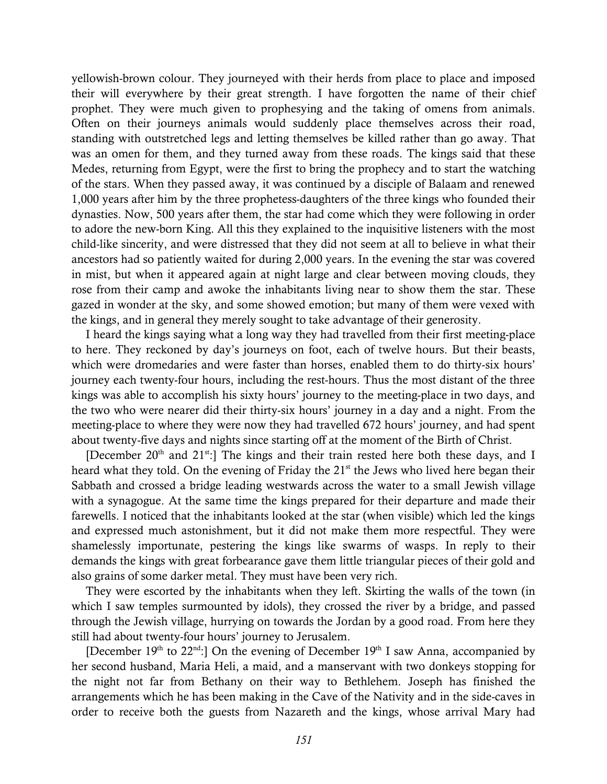yellowish-brown colour. They journeyed with their herds from place to place and imposed their will everywhere by their great strength. I have forgotten the name of their chief prophet. They were much given to prophesying and the taking of omens from animals. Often on their journeys animals would suddenly place themselves across their road, standing with outstretched legs and letting themselves be killed rather than go away. That was an omen for them, and they turned away from these roads. The kings said that these Medes, returning from Egypt, were the first to bring the prophecy and to start the watching of the stars. When they passed away, it was continued by a disciple of Balaam and renewed 1,000 years after him by the three prophetess-daughters of the three kings who founded their dynasties. Now, 500 years after them, the star had come which they were following in order to adore the new-born King. All this they explained to the inquisitive listeners with the most child-like sincerity, and were distressed that they did not seem at all to believe in what their ancestors had so patiently waited for during 2,000 years. In the evening the star was covered in mist, but when it appeared again at night large and clear between moving clouds, they rose from their camp and awoke the inhabitants living near to show them the star. These gazed in wonder at the sky, and some showed emotion; but many of them were vexed with the kings, and in general they merely sought to take advantage of their generosity.

I heard the kings saying what a long way they had travelled from their first meeting-place to here. They reckoned by day's journeys on foot, each of twelve hours. But their beasts, which were dromedaries and were faster than horses, enabled them to do thirty-six hours' journey each twenty-four hours, including the rest-hours. Thus the most distant of the three kings was able to accomplish his sixty hours' journey to the meeting-place in two days, and the two who were nearer did their thirty-six hours' journey in a day and a night. From the meeting-place to where they were now they had travelled 672 hours' journey, and had spent about twenty-five days and nights since starting off at the moment of the Birth of Christ.

[December  $20<sup>th</sup>$  and  $21<sup>st</sup>$ :] The kings and their train rested here both these days, and I heard what they told. On the evening of Friday the  $21<sup>st</sup>$  the Jews who lived here began their Sabbath and crossed a bridge leading westwards across the water to a small Jewish village with a synagogue. At the same time the kings prepared for their departure and made their farewells. I noticed that the inhabitants looked at the star (when visible) which led the kings and expressed much astonishment, but it did not make them more respectful. They were shamelessly importunate, pestering the kings like swarms of wasps. In reply to their demands the kings with great forbearance gave them little triangular pieces of their gold and also grains of some darker metal. They must have been very rich.

They were escorted by the inhabitants when they left. Skirting the walls of the town (in which I saw temples surmounted by idols), they crossed the river by a bridge, and passed through the Jewish village, hurrying on towards the Jordan by a good road. From here they still had about twenty-four hours' journey to Jerusalem.

[December 19<sup>th</sup> to 22<sup>nd</sup>:] On the evening of December 19<sup>th</sup> I saw Anna, accompanied by her second husband, Maria Heli, a maid, and a manservant with two donkeys stopping for the night not far from Bethany on their way to Bethlehem. Joseph has finished the arrangements which he has been making in the Cave of the Nativity and in the side-caves in order to receive both the guests from Nazareth and the kings, whose arrival Mary had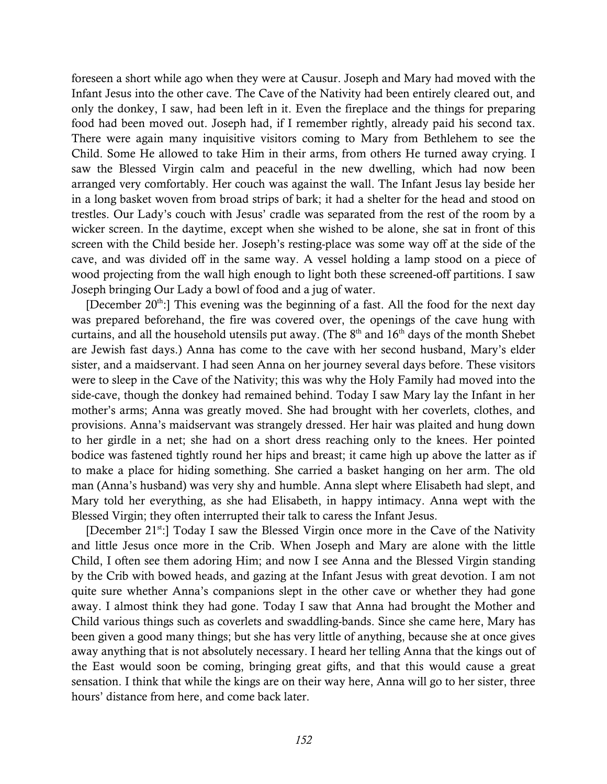foreseen a short while ago when they were at Causur. Joseph and Mary had moved with the Infant Jesus into the other cave. The Cave of the Nativity had been entirely cleared out, and only the donkey, I saw, had been left in it. Even the fireplace and the things for preparing food had been moved out. Joseph had, if I remember rightly, already paid his second tax. There were again many inquisitive visitors coming to Mary from Bethlehem to see the Child. Some He allowed to take Him in their arms, from others He turned away crying. I saw the Blessed Virgin calm and peaceful in the new dwelling, which had now been arranged very comfortably. Her couch was against the wall. The Infant Jesus lay beside her in a long basket woven from broad strips of bark; it had a shelter for the head and stood on trestles. Our Lady's couch with Jesus' cradle was separated from the rest of the room by a wicker screen. In the daytime, except when she wished to be alone, she sat in front of this screen with the Child beside her. Joseph's resting-place was some way off at the side of the cave, and was divided off in the same way. A vessel holding a lamp stood on a piece of wood projecting from the wall high enough to light both these screened-off partitions. I saw Joseph bringing Our Lady a bowl of food and a jug of water.

[December 20<sup>th</sup>:] This evening was the beginning of a fast. All the food for the next day was prepared beforehand, the fire was covered over, the openings of the cave hung with curtains, and all the household utensils put away. (The  $8<sup>th</sup>$  and  $16<sup>th</sup>$  days of the month Shebet are Jewish fast days.) Anna has come to the cave with her second husband, Mary's elder sister, and a maidservant. I had seen Anna on her journey several days before. These visitors were to sleep in the Cave of the Nativity; this was why the Holy Family had moved into the side-cave, though the donkey had remained behind. Today I saw Mary lay the Infant in her mother's arms; Anna was greatly moved. She had brought with her coverlets, clothes, and provisions. Anna's maidservant was strangely dressed. Her hair was plaited and hung down to her girdle in a net; she had on a short dress reaching only to the knees. Her pointed bodice was fastened tightly round her hips and breast; it came high up above the latter as if to make a place for hiding something. She carried a basket hanging on her arm. The old man (Anna's husband) was very shy and humble. Anna slept where Elisabeth had slept, and Mary told her everything, as she had Elisabeth, in happy intimacy. Anna wept with the Blessed Virgin; they often interrupted their talk to caress the Infant Jesus.

[December 21<sup>st</sup>:] Today I saw the Blessed Virgin once more in the Cave of the Nativity and little Jesus once more in the Crib. When Joseph and Mary are alone with the little Child, I often see them adoring Him; and now I see Anna and the Blessed Virgin standing by the Crib with bowed heads, and gazing at the Infant Jesus with great devotion. I am not quite sure whether Anna's companions slept in the other cave or whether they had gone away. I almost think they had gone. Today I saw that Anna had brought the Mother and Child various things such as coverlets and swaddling-bands. Since she came here, Mary has been given a good many things; but she has very little of anything, because she at once gives away anything that is not absolutely necessary. I heard her telling Anna that the kings out of the East would soon be coming, bringing great gifts, and that this would cause a great sensation. I think that while the kings are on their way here, Anna will go to her sister, three hours' distance from here, and come back later.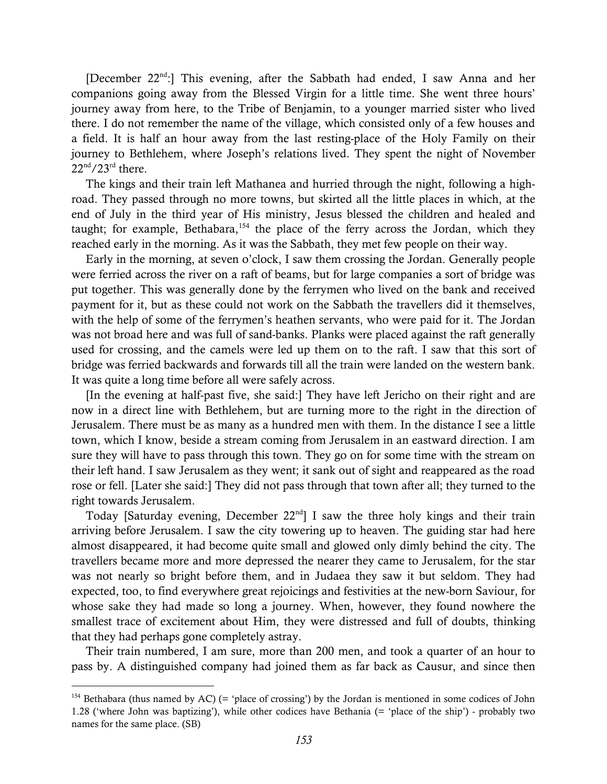[December 22<sup>nd</sup>:] This evening, after the Sabbath had ended, I saw Anna and her companions going away from the Blessed Virgin for a little time. She went three hours' journey away from here, to the Tribe of Benjamin, to a younger married sister who lived there. I do not remember the name of the village, which consisted only of a few houses and a field. It is half an hour away from the last resting-place of the Holy Family on their journey to Bethlehem, where Joseph's relations lived. They spent the night of November  $22<sup>nd</sup>/23<sup>rd</sup>$  there.

The kings and their train left Mathanea and hurried through the night, following a highroad. They passed through no more towns, but skirted all the little places in which, at the end of July in the third year of His ministry, Jesus blessed the children and healed and taught; for example, Bethabara,<sup>154</sup> the place of the ferry across the Jordan, which they reached early in the morning. As it was the Sabbath, they met few people on their way.

Early in the morning, at seven o'clock, I saw them crossing the Jordan. Generally people were ferried across the river on a raft of beams, but for large companies a sort of bridge was put together. This was generally done by the ferrymen who lived on the bank and received payment for it, but as these could not work on the Sabbath the travellers did it themselves, with the help of some of the ferrymen's heathen servants, who were paid for it. The Jordan was not broad here and was full of sand-banks. Planks were placed against the raft generally used for crossing, and the camels were led up them on to the raft. I saw that this sort of bridge was ferried backwards and forwards till all the train were landed on the western bank. It was quite a long time before all were safely across.

[In the evening at half-past five, she said:] They have left Jericho on their right and are now in a direct line with Bethlehem, but are turning more to the right in the direction of Jerusalem. There must be as many as a hundred men with them. In the distance I see a little town, which I know, beside a stream coming from Jerusalem in an eastward direction. I am sure they will have to pass through this town. They go on for some time with the stream on their left hand. I saw Jerusalem as they went; it sank out of sight and reappeared as the road rose or fell. [Later she said:] They did not pass through that town after all; they turned to the right towards Jerusalem.

Today [Saturday evening, December  $22<sup>nd</sup>$ ] I saw the three holy kings and their train arriving before Jerusalem. I saw the city towering up to heaven. The guiding star had here almost disappeared, it had become quite small and glowed only dimly behind the city. The travellers became more and more depressed the nearer they came to Jerusalem, for the star was not nearly so bright before them, and in Judaea they saw it but seldom. They had expected, too, to find everywhere great rejoicings and festivities at the new-born Saviour, for whose sake they had made so long a journey. When, however, they found nowhere the smallest trace of excitement about Him, they were distressed and full of doubts, thinking that they had perhaps gone completely astray.

Their train numbered, I am sure, more than 200 men, and took a quarter of an hour to pass by. A distinguished company had joined them as far back as Causur, and since then

<sup>154</sup> Bethabara (thus named by AC) (= 'place of crossing') by the Jordan is mentioned in some codices of John 1.28 ('where John was baptizing'), while other codices have Bethania (= 'place of the ship') - probably two names for the same place. (SB)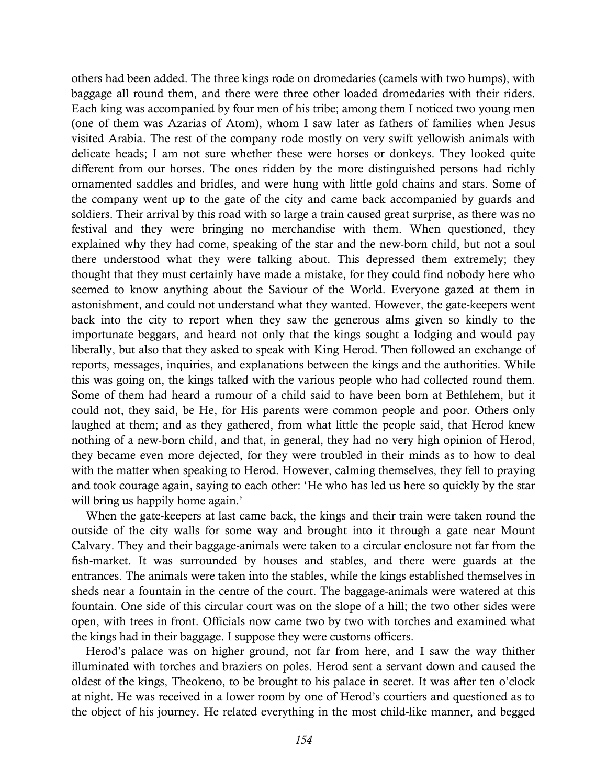others had been added. The three kings rode on dromedaries (camels with two humps), with baggage all round them, and there were three other loaded dromedaries with their riders. Each king was accompanied by four men of his tribe; among them I noticed two young men (one of them was Azarias of Atom), whom I saw later as fathers of families when Jesus visited Arabia. The rest of the company rode mostly on very swift yellowish animals with delicate heads; I am not sure whether these were horses or donkeys. They looked quite different from our horses. The ones ridden by the more distinguished persons had richly ornamented saddles and bridles, and were hung with little gold chains and stars. Some of the company went up to the gate of the city and came back accompanied by guards and soldiers. Their arrival by this road with so large a train caused great surprise, as there was no festival and they were bringing no merchandise with them. When questioned, they explained why they had come, speaking of the star and the new-born child, but not a soul there understood what they were talking about. This depressed them extremely; they thought that they must certainly have made a mistake, for they could find nobody here who seemed to know anything about the Saviour of the World. Everyone gazed at them in astonishment, and could not understand what they wanted. However, the gate-keepers went back into the city to report when they saw the generous alms given so kindly to the importunate beggars, and heard not only that the kings sought a lodging and would pay liberally, but also that they asked to speak with King Herod. Then followed an exchange of reports, messages, inquiries, and explanations between the kings and the authorities. While this was going on, the kings talked with the various people who had collected round them. Some of them had heard a rumour of a child said to have been born at Bethlehem, but it could not, they said, be He, for His parents were common people and poor. Others only laughed at them; and as they gathered, from what little the people said, that Herod knew nothing of a new-born child, and that, in general, they had no very high opinion of Herod, they became even more dejected, for they were troubled in their minds as to how to deal with the matter when speaking to Herod. However, calming themselves, they fell to praying and took courage again, saying to each other: 'He who has led us here so quickly by the star will bring us happily home again.'

When the gate-keepers at last came back, the kings and their train were taken round the outside of the city walls for some way and brought into it through a gate near Mount Calvary. They and their baggage-animals were taken to a circular enclosure not far from the fish-market. It was surrounded by houses and stables, and there were guards at the entrances. The animals were taken into the stables, while the kings established themselves in sheds near a fountain in the centre of the court. The baggage-animals were watered at this fountain. One side of this circular court was on the slope of a hill; the two other sides were open, with trees in front. Officials now came two by two with torches and examined what the kings had in their baggage. I suppose they were customs officers.

Herod's palace was on higher ground, not far from here, and I saw the way thither illuminated with torches and braziers on poles. Herod sent a servant down and caused the oldest of the kings, Theokeno, to be brought to his palace in secret. It was after ten o'clock at night. He was received in a lower room by one of Herod's courtiers and questioned as to the object of his journey. He related everything in the most child-like manner, and begged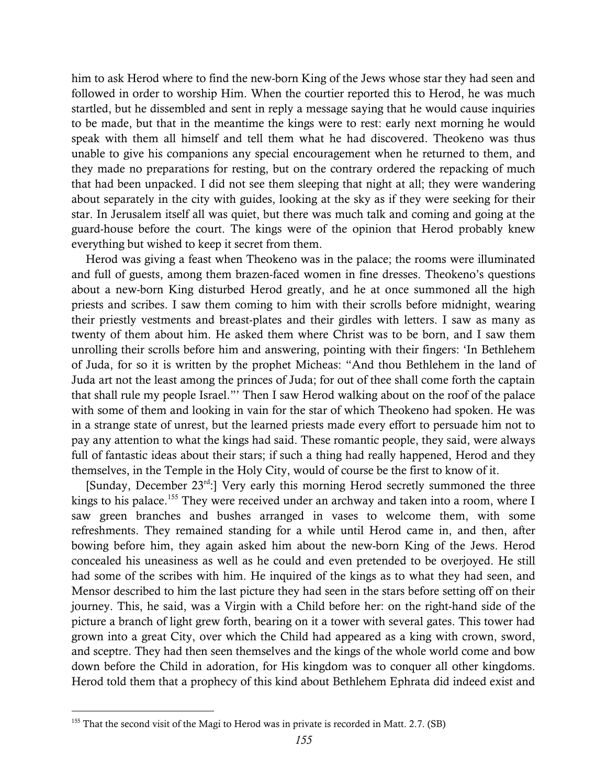him to ask Herod where to find the new-born King of the Jews whose star they had seen and followed in order to worship Him. When the courtier reported this to Herod, he was much startled, but he dissembled and sent in reply a message saying that he would cause inquiries to be made, but that in the meantime the kings were to rest: early next morning he would speak with them all himself and tell them what he had discovered. Theokeno was thus unable to give his companions any special encouragement when he returned to them, and they made no preparations for resting, but on the contrary ordered the repacking of much that had been unpacked. I did not see them sleeping that night at all; they were wandering about separately in the city with guides, looking at the sky as if they were seeking for their star. In Jerusalem itself all was quiet, but there was much talk and coming and going at the guard-house before the court. The kings were of the opinion that Herod probably knew everything but wished to keep it secret from them.

Herod was giving a feast when Theokeno was in the palace; the rooms were illuminated and full of guests, among them brazen-faced women in fine dresses. Theokeno's questions about a new-born King disturbed Herod greatly, and he at once summoned all the high priests and scribes. I saw them coming to him with their scrolls before midnight, wearing their priestly vestments and breast-plates and their girdles with letters. I saw as many as twenty of them about him. He asked them where Christ was to be born, and I saw them unrolling their scrolls before him and answering, pointing with their fingers: 'In Bethlehem of Juda, for so it is written by the prophet Micheas: "And thou Bethlehem in the land of Juda art not the least among the princes of Juda; for out of thee shall come forth the captain that shall rule my people Israel."' Then I saw Herod walking about on the roof of the palace with some of them and looking in vain for the star of which Theokeno had spoken. He was in a strange state of unrest, but the learned priests made every effort to persuade him not to pay any attention to what the kings had said. These romantic people, they said, were always full of fantastic ideas about their stars; if such a thing had really happened, Herod and they themselves, in the Temple in the Holy City, would of course be the first to know of it.

[Sunday, December 23rd:] Very early this morning Herod secretly summoned the three kings to his palace.<sup>155</sup> They were received under an archway and taken into a room, where I saw green branches and bushes arranged in vases to welcome them, with some refreshments. They remained standing for a while until Herod came in, and then, after bowing before him, they again asked him about the new-born King of the Jews. Herod concealed his uneasiness as well as he could and even pretended to be overjoyed. He still had some of the scribes with him. He inquired of the kings as to what they had seen, and Mensor described to him the last picture they had seen in the stars before setting off on their journey. This, he said, was a Virgin with a Child before her: on the right-hand side of the picture a branch of light grew forth, bearing on it a tower with several gates. This tower had grown into a great City, over which the Child had appeared as a king with crown, sword, and sceptre. They had then seen themselves and the kings of the whole world come and bow down before the Child in adoration, for His kingdom was to conquer all other kingdoms. Herod told them that a prophecy of this kind about Bethlehem Ephrata did indeed exist and

 $155$  That the second visit of the Magi to Herod was in private is recorded in Matt. 2.7. (SB)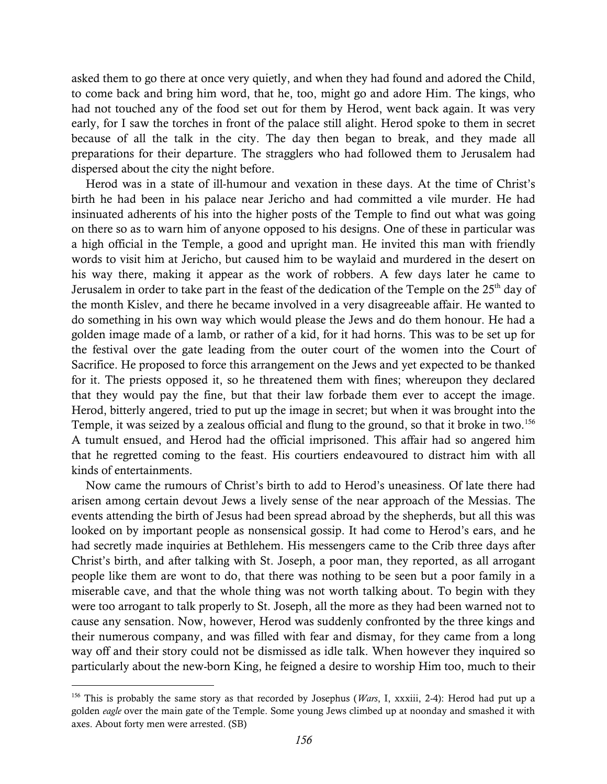asked them to go there at once very quietly, and when they had found and adored the Child, to come back and bring him word, that he, too, might go and adore Him. The kings, who had not touched any of the food set out for them by Herod, went back again. It was very early, for I saw the torches in front of the palace still alight. Herod spoke to them in secret because of all the talk in the city. The day then began to break, and they made all preparations for their departure. The stragglers who had followed them to Jerusalem had dispersed about the city the night before.

Herod was in a state of ill-humour and vexation in these days. At the time of Christ's birth he had been in his palace near Jericho and had committed a vile murder. He had insinuated adherents of his into the higher posts of the Temple to find out what was going on there so as to warn him of anyone opposed to his designs. One of these in particular was a high official in the Temple, a good and upright man. He invited this man with friendly words to visit him at Jericho, but caused him to be waylaid and murdered in the desert on his way there, making it appear as the work of robbers. A few days later he came to Jerusalem in order to take part in the feast of the dedication of the Temple on the 25<sup>th</sup> day of the month Kislev, and there he became involved in a very disagreeable affair. He wanted to do something in his own way which would please the Jews and do them honour. He had a golden image made of a lamb, or rather of a kid, for it had horns. This was to be set up for the festival over the gate leading from the outer court of the women into the Court of Sacrifice. He proposed to force this arrangement on the Jews and yet expected to be thanked for it. The priests opposed it, so he threatened them with fines; whereupon they declared that they would pay the fine, but that their law forbade them ever to accept the image. Herod, bitterly angered, tried to put up the image in secret; but when it was brought into the Temple, it was seized by a zealous official and flung to the ground, so that it broke in two.<sup>156</sup> A tumult ensued, and Herod had the official imprisoned. This affair had so angered him that he regretted coming to the feast. His courtiers endeavoured to distract him with all kinds of entertainments.

Now came the rumours of Christ's birth to add to Herod's uneasiness. Of late there had arisen among certain devout Jews a lively sense of the near approach of the Messias. The events attending the birth of Jesus had been spread abroad by the shepherds, but all this was looked on by important people as nonsensical gossip. It had come to Herod's ears, and he had secretly made inquiries at Bethlehem. His messengers came to the Crib three days after Christ's birth, and after talking with St. Joseph, a poor man, they reported, as all arrogant people like them are wont to do, that there was nothing to be seen but a poor family in a miserable cave, and that the whole thing was not worth talking about. To begin with they were too arrogant to talk properly to St. Joseph, all the more as they had been warned not to cause any sensation. Now, however, Herod was suddenly confronted by the three kings and their numerous company, and was filled with fear and dismay, for they came from a long way off and their story could not be dismissed as idle talk. When however they inquired so particularly about the new-born King, he feigned a desire to worship Him too, much to their

<sup>156</sup> This is probably the same story as that recorded by Josephus (*Wars*, I, xxxiii, 2-4): Herod had put up a golden *eagle* over the main gate of the Temple. Some young Jews climbed up at noonday and smashed it with axes. About forty men were arrested. (SB)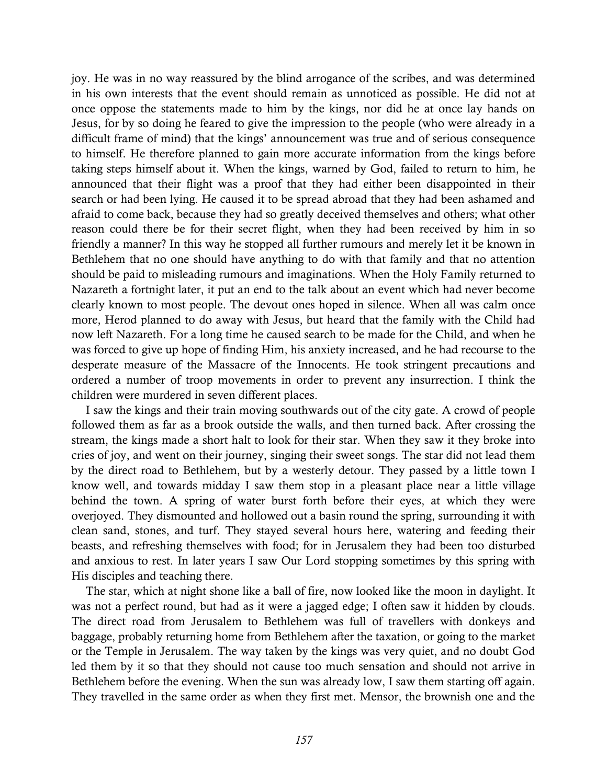joy. He was in no way reassured by the blind arrogance of the scribes, and was determined in his own interests that the event should remain as unnoticed as possible. He did not at once oppose the statements made to him by the kings, nor did he at once lay hands on Jesus, for by so doing he feared to give the impression to the people (who were already in a difficult frame of mind) that the kings' announcement was true and of serious consequence to himself. He therefore planned to gain more accurate information from the kings before taking steps himself about it. When the kings, warned by God, failed to return to him, he announced that their flight was a proof that they had either been disappointed in their search or had been lying. He caused it to be spread abroad that they had been ashamed and afraid to come back, because they had so greatly deceived themselves and others; what other reason could there be for their secret flight, when they had been received by him in so friendly a manner? In this way he stopped all further rumours and merely let it be known in Bethlehem that no one should have anything to do with that family and that no attention should be paid to misleading rumours and imaginations. When the Holy Family returned to Nazareth a fortnight later, it put an end to the talk about an event which had never become clearly known to most people. The devout ones hoped in silence. When all was calm once more, Herod planned to do away with Jesus, but heard that the family with the Child had now left Nazareth. For a long time he caused search to be made for the Child, and when he was forced to give up hope of finding Him, his anxiety increased, and he had recourse to the desperate measure of the Massacre of the Innocents. He took stringent precautions and ordered a number of troop movements in order to prevent any insurrection. I think the children were murdered in seven different places.

I saw the kings and their train moving southwards out of the city gate. A crowd of people followed them as far as a brook outside the walls, and then turned back. After crossing the stream, the kings made a short halt to look for their star. When they saw it they broke into cries of joy, and went on their journey, singing their sweet songs. The star did not lead them by the direct road to Bethlehem, but by a westerly detour. They passed by a little town I know well, and towards midday I saw them stop in a pleasant place near a little village behind the town. A spring of water burst forth before their eyes, at which they were overjoyed. They dismounted and hollowed out a basin round the spring, surrounding it with clean sand, stones, and turf. They stayed several hours here, watering and feeding their beasts, and refreshing themselves with food; for in Jerusalem they had been too disturbed and anxious to rest. In later years I saw Our Lord stopping sometimes by this spring with His disciples and teaching there.

The star, which at night shone like a ball of fire, now looked like the moon in daylight. It was not a perfect round, but had as it were a jagged edge; I often saw it hidden by clouds. The direct road from Jerusalem to Bethlehem was full of travellers with donkeys and baggage, probably returning home from Bethlehem after the taxation, or going to the market or the Temple in Jerusalem. The way taken by the kings was very quiet, and no doubt God led them by it so that they should not cause too much sensation and should not arrive in Bethlehem before the evening. When the sun was already low, I saw them starting off again. They travelled in the same order as when they first met. Mensor, the brownish one and the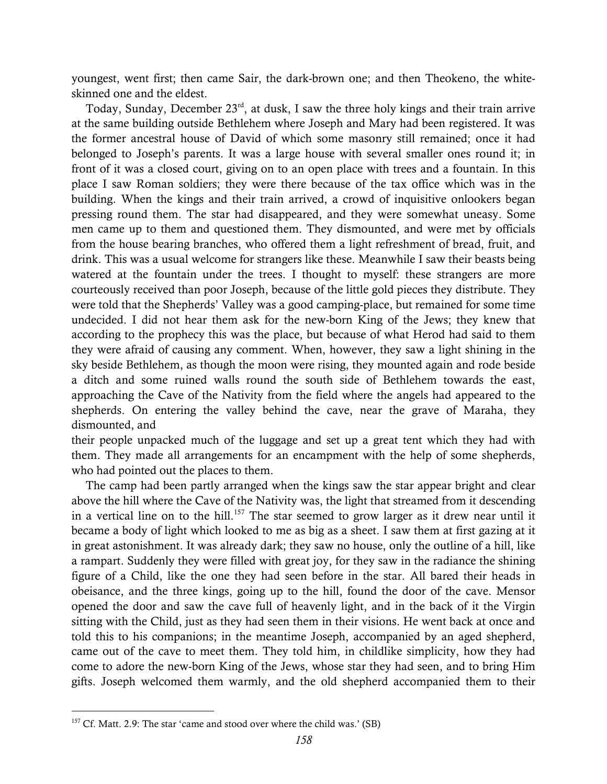youngest, went first; then came Sair, the dark-brown one; and then Theokeno, the whiteskinned one and the eldest.

Today, Sunday, December 23<sup>rd</sup>, at dusk, I saw the three holy kings and their train arrive at the same building outside Bethlehem where Joseph and Mary had been registered. It was the former ancestral house of David of which some masonry still remained; once it had belonged to Joseph's parents. It was a large house with several smaller ones round it; in front of it was a closed court, giving on to an open place with trees and a fountain. In this place I saw Roman soldiers; they were there because of the tax office which was in the building. When the kings and their train arrived, a crowd of inquisitive onlookers began pressing round them. The star had disappeared, and they were somewhat uneasy. Some men came up to them and questioned them. They dismounted, and were met by officials from the house bearing branches, who offered them a light refreshment of bread, fruit, and drink. This was a usual welcome for strangers like these. Meanwhile I saw their beasts being watered at the fountain under the trees. I thought to myself: these strangers are more courteously received than poor Joseph, because of the little gold pieces they distribute. They were told that the Shepherds' Valley was a good camping-place, but remained for some time undecided. I did not hear them ask for the new-born King of the Jews; they knew that according to the prophecy this was the place, but because of what Herod had said to them they were afraid of causing any comment. When, however, they saw a light shining in the sky beside Bethlehem, as though the moon were rising, they mounted again and rode beside a ditch and some ruined walls round the south side of Bethlehem towards the east, approaching the Cave of the Nativity from the field where the angels had appeared to the shepherds. On entering the valley behind the cave, near the grave of Maraha, they dismounted, and

their people unpacked much of the luggage and set up a great tent which they had with them. They made all arrangements for an encampment with the help of some shepherds, who had pointed out the places to them.

The camp had been partly arranged when the kings saw the star appear bright and clear above the hill where the Cave of the Nativity was, the light that streamed from it descending in a vertical line on to the hill.<sup>157</sup> The star seemed to grow larger as it drew near until it became a body of light which looked to me as big as a sheet. I saw them at first gazing at it in great astonishment. It was already dark; they saw no house, only the outline of a hill, like a rampart. Suddenly they were filled with great joy, for they saw in the radiance the shining figure of a Child, like the one they had seen before in the star. All bared their heads in obeisance, and the three kings, going up to the hill, found the door of the cave. Mensor opened the door and saw the cave full of heavenly light, and in the back of it the Virgin sitting with the Child, just as they had seen them in their visions. He went back at once and told this to his companions; in the meantime Joseph, accompanied by an aged shepherd, came out of the cave to meet them. They told him, in childlike simplicity, how they had come to adore the new-born King of the Jews, whose star they had seen, and to bring Him gifts. Joseph welcomed them warmly, and the old shepherd accompanied them to their

 $157$  Cf. Matt. 2.9: The star 'came and stood over where the child was.' (SB)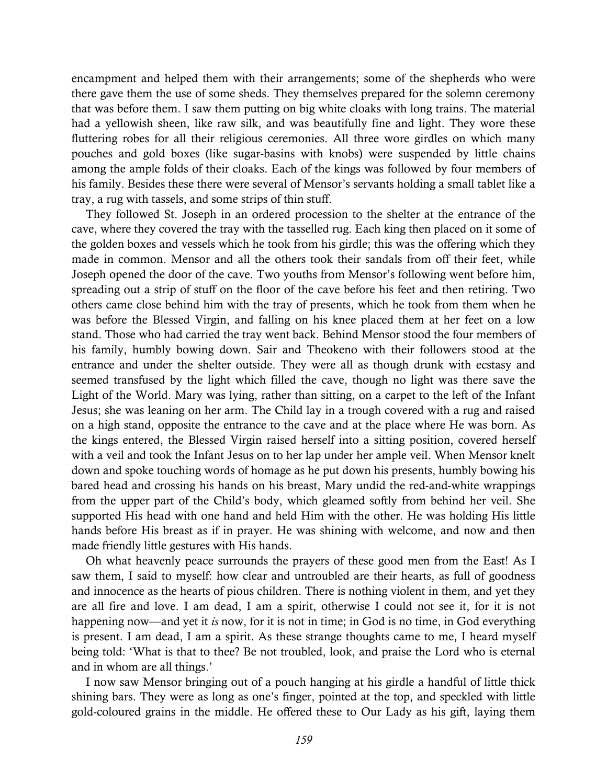encampment and helped them with their arrangements; some of the shepherds who were there gave them the use of some sheds. They themselves prepared for the solemn ceremony that was before them. I saw them putting on big white cloaks with long trains. The material had a yellowish sheen, like raw silk, and was beautifully fine and light. They wore these fluttering robes for all their religious ceremonies. All three wore girdles on which many pouches and gold boxes (like sugar-basins with knobs) were suspended by little chains among the ample folds of their cloaks. Each of the kings was followed by four members of his family. Besides these there were several of Mensor's servants holding a small tablet like a tray, a rug with tassels, and some strips of thin stuff.

They followed St. Joseph in an ordered procession to the shelter at the entrance of the cave, where they covered the tray with the tasselled rug. Each king then placed on it some of the golden boxes and vessels which he took from his girdle; this was the offering which they made in common. Mensor and all the others took their sandals from off their feet, while Joseph opened the door of the cave. Two youths from Mensor's following went before him, spreading out a strip of stuff on the floor of the cave before his feet and then retiring. Two others came close behind him with the tray of presents, which he took from them when he was before the Blessed Virgin, and falling on his knee placed them at her feet on a low stand. Those who had carried the tray went back. Behind Mensor stood the four members of his family, humbly bowing down. Sair and Theokeno with their followers stood at the entrance and under the shelter outside. They were all as though drunk with ecstasy and seemed transfused by the light which filled the cave, though no light was there save the Light of the World. Mary was lying, rather than sitting, on a carpet to the left of the Infant Jesus; she was leaning on her arm. The Child lay in a trough covered with a rug and raised on a high stand, opposite the entrance to the cave and at the place where He was born. As the kings entered, the Blessed Virgin raised herself into a sitting position, covered herself with a veil and took the Infant Jesus on to her lap under her ample veil. When Mensor knelt down and spoke touching words of homage as he put down his presents, humbly bowing his bared head and crossing his hands on his breast, Mary undid the red-and-white wrappings from the upper part of the Child's body, which gleamed softly from behind her veil. She supported His head with one hand and held Him with the other. He was holding His little hands before His breast as if in prayer. He was shining with welcome, and now and then made friendly little gestures with His hands.

Oh what heavenly peace surrounds the prayers of these good men from the East! As I saw them, I said to myself: how clear and untroubled are their hearts, as full of goodness and innocence as the hearts of pious children. There is nothing violent in them, and yet they are all fire and love. I am dead, I am a spirit, otherwise I could not see it, for it is not happening now—and yet it *is* now, for it is not in time; in God is no time, in God everything is present. I am dead, I am a spirit. As these strange thoughts came to me, I heard myself being told: 'What is that to thee? Be not troubled, look, and praise the Lord who is eternal and in whom are all things.'

I now saw Mensor bringing out of a pouch hanging at his girdle a handful of little thick shining bars. They were as long as one's finger, pointed at the top, and speckled with little gold-coloured grains in the middle. He offered these to Our Lady as his gift, laying them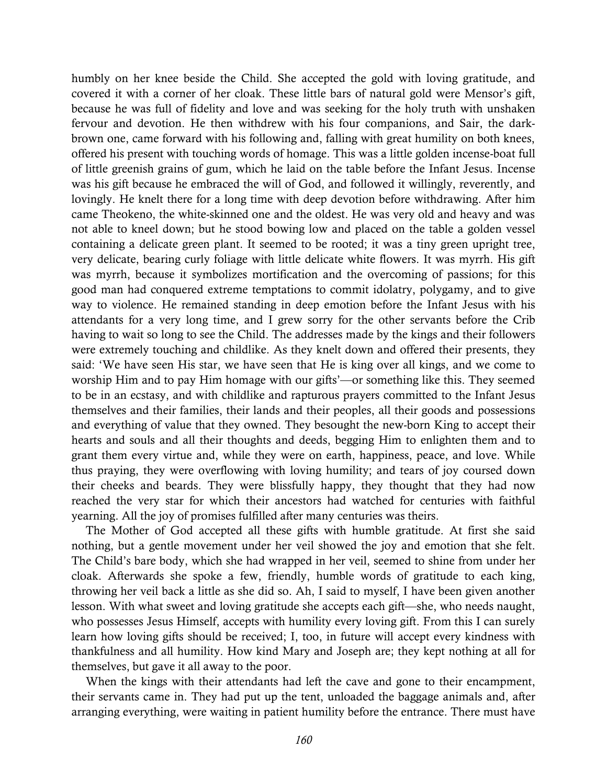humbly on her knee beside the Child. She accepted the gold with loving gratitude, and covered it with a corner of her cloak. These little bars of natural gold were Mensor's gift, because he was full of fidelity and love and was seeking for the holy truth with unshaken fervour and devotion. He then withdrew with his four companions, and Sair, the darkbrown one, came forward with his following and, falling with great humility on both knees, offered his present with touching words of homage. This was a little golden incense-boat full of little greenish grains of gum, which he laid on the table before the Infant Jesus. Incense was his gift because he embraced the will of God, and followed it willingly, reverently, and lovingly. He knelt there for a long time with deep devotion before withdrawing. After him came Theokeno, the white-skinned one and the oldest. He was very old and heavy and was not able to kneel down; but he stood bowing low and placed on the table a golden vessel containing a delicate green plant. It seemed to be rooted; it was a tiny green upright tree, very delicate, bearing curly foliage with little delicate white flowers. It was myrrh. His gift was myrrh, because it symbolizes mortification and the overcoming of passions; for this good man had conquered extreme temptations to commit idolatry, polygamy, and to give way to violence. He remained standing in deep emotion before the Infant Jesus with his attendants for a very long time, and I grew sorry for the other servants before the Crib having to wait so long to see the Child. The addresses made by the kings and their followers were extremely touching and childlike. As they knelt down and offered their presents, they said: 'We have seen His star, we have seen that He is king over all kings, and we come to worship Him and to pay Him homage with our gifts'—or something like this. They seemed to be in an ecstasy, and with childlike and rapturous prayers committed to the Infant Jesus themselves and their families, their lands and their peoples, all their goods and possessions and everything of value that they owned. They besought the new-born King to accept their hearts and souls and all their thoughts and deeds, begging Him to enlighten them and to grant them every virtue and, while they were on earth, happiness, peace, and love. While thus praying, they were overflowing with loving humility; and tears of joy coursed down their cheeks and beards. They were blissfully happy, they thought that they had now reached the very star for which their ancestors had watched for centuries with faithful yearning. All the joy of promises fulfilled after many centuries was theirs.

The Mother of God accepted all these gifts with humble gratitude. At first she said nothing, but a gentle movement under her veil showed the joy and emotion that she felt. The Child's bare body, which she had wrapped in her veil, seemed to shine from under her cloak. Afterwards she spoke a few, friendly, humble words of gratitude to each king, throwing her veil back a little as she did so. Ah, I said to myself, I have been given another lesson. With what sweet and loving gratitude she accepts each gift—she, who needs naught, who possesses Jesus Himself, accepts with humility every loving gift. From this I can surely learn how loving gifts should be received; I, too, in future will accept every kindness with thankfulness and all humility. How kind Mary and Joseph are; they kept nothing at all for themselves, but gave it all away to the poor.

When the kings with their attendants had left the cave and gone to their encampment, their servants came in. They had put up the tent, unloaded the baggage animals and, after arranging everything, were waiting in patient humility before the entrance. There must have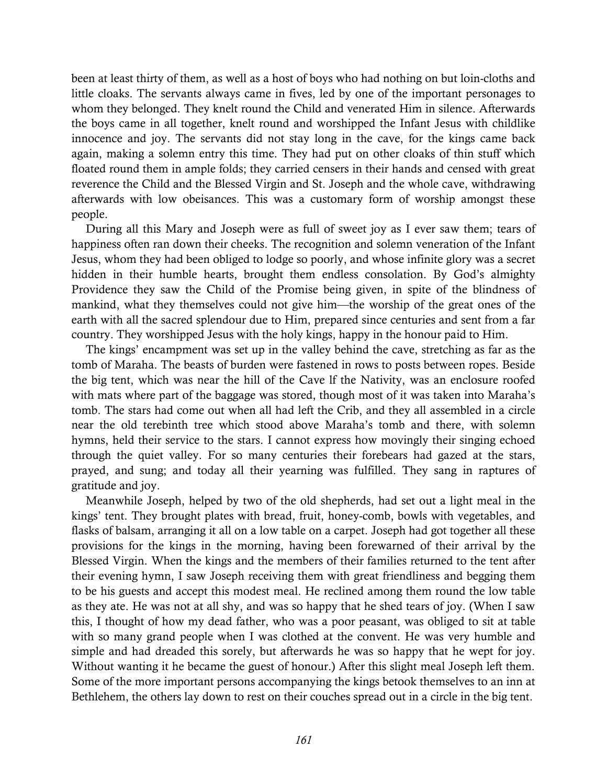been at least thirty of them, as well as a host of boys who had nothing on but loin-cloths and little cloaks. The servants always came in fives, led by one of the important personages to whom they belonged. They knelt round the Child and venerated Him in silence. Afterwards the boys came in all together, knelt round and worshipped the Infant Jesus with childlike innocence and joy. The servants did not stay long in the cave, for the kings came back again, making a solemn entry this time. They had put on other cloaks of thin stuff which floated round them in ample folds; they carried censers in their hands and censed with great reverence the Child and the Blessed Virgin and St. Joseph and the whole cave, withdrawing afterwards with low obeisances. This was a customary form of worship amongst these people.

During all this Mary and Joseph were as full of sweet joy as I ever saw them; tears of happiness often ran down their cheeks. The recognition and solemn veneration of the Infant Jesus, whom they had been obliged to lodge so poorly, and whose infinite glory was a secret hidden in their humble hearts, brought them endless consolation. By God's almighty Providence they saw the Child of the Promise being given, in spite of the blindness of mankind, what they themselves could not give him—the worship of the great ones of the earth with all the sacred splendour due to Him, prepared since centuries and sent from a far country. They worshipped Jesus with the holy kings, happy in the honour paid to Him.

The kings' encampment was set up in the valley behind the cave, stretching as far as the tomb of Maraha. The beasts of burden were fastened in rows to posts between ropes. Beside the big tent, which was near the hill of the Cave lf the Nativity, was an enclosure roofed with mats where part of the baggage was stored, though most of it was taken into Maraha's tomb. The stars had come out when all had left the Crib, and they all assembled in a circle near the old terebinth tree which stood above Maraha's tomb and there, with solemn hymns, held their service to the stars. I cannot express how movingly their singing echoed through the quiet valley. For so many centuries their forebears had gazed at the stars, prayed, and sung; and today all their yearning was fulfilled. They sang in raptures of gratitude and joy.

Meanwhile Joseph, helped by two of the old shepherds, had set out a light meal in the kings' tent. They brought plates with bread, fruit, honey-comb, bowls with vegetables, and flasks of balsam, arranging it all on a low table on a carpet. Joseph had got together all these provisions for the kings in the morning, having been forewarned of their arrival by the Blessed Virgin. When the kings and the members of their families returned to the tent after their evening hymn, I saw Joseph receiving them with great friendliness and begging them to be his guests and accept this modest meal. He reclined among them round the low table as they ate. He was not at all shy, and was so happy that he shed tears of joy. (When I saw this, I thought of how my dead father, who was a poor peasant, was obliged to sit at table with so many grand people when I was clothed at the convent. He was very humble and simple and had dreaded this sorely, but afterwards he was so happy that he wept for joy. Without wanting it he became the guest of honour.) After this slight meal Joseph left them. Some of the more important persons accompanying the kings betook themselves to an inn at Bethlehem, the others lay down to rest on their couches spread out in a circle in the big tent.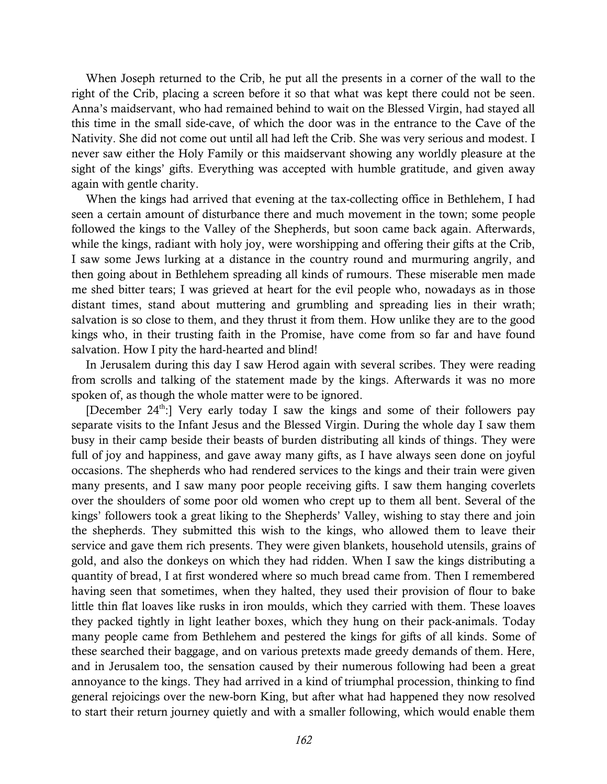When Joseph returned to the Crib, he put all the presents in a corner of the wall to the right of the Crib, placing a screen before it so that what was kept there could not be seen. Anna's maidservant, who had remained behind to wait on the Blessed Virgin, had stayed all this time in the small side-cave, of which the door was in the entrance to the Cave of the Nativity. She did not come out until all had left the Crib. She was very serious and modest. I never saw either the Holy Family or this maidservant showing any worldly pleasure at the sight of the kings' gifts. Everything was accepted with humble gratitude, and given away again with gentle charity.

When the kings had arrived that evening at the tax-collecting office in Bethlehem, I had seen a certain amount of disturbance there and much movement in the town; some people followed the kings to the Valley of the Shepherds, but soon came back again. Afterwards, while the kings, radiant with holy joy, were worshipping and offering their gifts at the Crib, I saw some Jews lurking at a distance in the country round and murmuring angrily, and then going about in Bethlehem spreading all kinds of rumours. These miserable men made me shed bitter tears; I was grieved at heart for the evil people who, nowadays as in those distant times, stand about muttering and grumbling and spreading lies in their wrath; salvation is so close to them, and they thrust it from them. How unlike they are to the good kings who, in their trusting faith in the Promise, have come from so far and have found salvation. How I pity the hard-hearted and blind!

In Jerusalem during this day I saw Herod again with several scribes. They were reading from scrolls and talking of the statement made by the kings. Afterwards it was no more spoken of, as though the whole matter were to be ignored.

[December  $24<sup>th</sup>$ :] Very early today I saw the kings and some of their followers pay separate visits to the Infant Jesus and the Blessed Virgin. During the whole day I saw them busy in their camp beside their beasts of burden distributing all kinds of things. They were full of joy and happiness, and gave away many gifts, as I have always seen done on joyful occasions. The shepherds who had rendered services to the kings and their train were given many presents, and I saw many poor people receiving gifts. I saw them hanging coverlets over the shoulders of some poor old women who crept up to them all bent. Several of the kings' followers took a great liking to the Shepherds' Valley, wishing to stay there and join the shepherds. They submitted this wish to the kings, who allowed them to leave their service and gave them rich presents. They were given blankets, household utensils, grains of gold, and also the donkeys on which they had ridden. When I saw the kings distributing a quantity of bread, I at first wondered where so much bread came from. Then I remembered having seen that sometimes, when they halted, they used their provision of flour to bake little thin flat loaves like rusks in iron moulds, which they carried with them. These loaves they packed tightly in light leather boxes, which they hung on their pack-animals. Today many people came from Bethlehem and pestered the kings for gifts of all kinds. Some of these searched their baggage, and on various pretexts made greedy demands of them. Here, and in Jerusalem too, the sensation caused by their numerous following had been a great annoyance to the kings. They had arrived in a kind of triumphal procession, thinking to find general rejoicings over the new-born King, but after what had happened they now resolved to start their return journey quietly and with a smaller following, which would enable them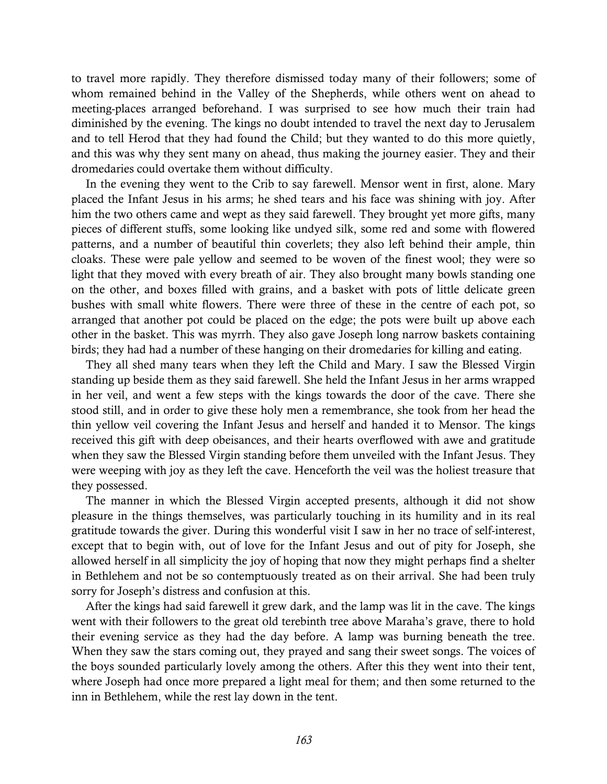to travel more rapidly. They therefore dismissed today many of their followers; some of whom remained behind in the Valley of the Shepherds, while others went on ahead to meeting-places arranged beforehand. I was surprised to see how much their train had diminished by the evening. The kings no doubt intended to travel the next day to Jerusalem and to tell Herod that they had found the Child; but they wanted to do this more quietly, and this was why they sent many on ahead, thus making the journey easier. They and their dromedaries could overtake them without difficulty.

In the evening they went to the Crib to say farewell. Mensor went in first, alone. Mary placed the Infant Jesus in his arms; he shed tears and his face was shining with joy. After him the two others came and wept as they said farewell. They brought yet more gifts, many pieces of different stuffs, some looking like undyed silk, some red and some with flowered patterns, and a number of beautiful thin coverlets; they also left behind their ample, thin cloaks. These were pale yellow and seemed to be woven of the finest wool; they were so light that they moved with every breath of air. They also brought many bowls standing one on the other, and boxes filled with grains, and a basket with pots of little delicate green bushes with small white flowers. There were three of these in the centre of each pot, so arranged that another pot could be placed on the edge; the pots were built up above each other in the basket. This was myrrh. They also gave Joseph long narrow baskets containing birds; they had had a number of these hanging on their dromedaries for killing and eating.

They all shed many tears when they left the Child and Mary. I saw the Blessed Virgin standing up beside them as they said farewell. She held the Infant Jesus in her arms wrapped in her veil, and went a few steps with the kings towards the door of the cave. There she stood still, and in order to give these holy men a remembrance, she took from her head the thin yellow veil covering the Infant Jesus and herself and handed it to Mensor. The kings received this gift with deep obeisances, and their hearts overflowed with awe and gratitude when they saw the Blessed Virgin standing before them unveiled with the Infant Jesus. They were weeping with joy as they left the cave. Henceforth the veil was the holiest treasure that they possessed.

The manner in which the Blessed Virgin accepted presents, although it did not show pleasure in the things themselves, was particularly touching in its humility and in its real gratitude towards the giver. During this wonderful visit I saw in her no trace of self-interest, except that to begin with, out of love for the Infant Jesus and out of pity for Joseph, she allowed herself in all simplicity the joy of hoping that now they might perhaps find a shelter in Bethlehem and not be so contemptuously treated as on their arrival. She had been truly sorry for Joseph's distress and confusion at this.

After the kings had said farewell it grew dark, and the lamp was lit in the cave. The kings went with their followers to the great old terebinth tree above Maraha's grave, there to hold their evening service as they had the day before. A lamp was burning beneath the tree. When they saw the stars coming out, they prayed and sang their sweet songs. The voices of the boys sounded particularly lovely among the others. After this they went into their tent, where Joseph had once more prepared a light meal for them; and then some returned to the inn in Bethlehem, while the rest lay down in the tent.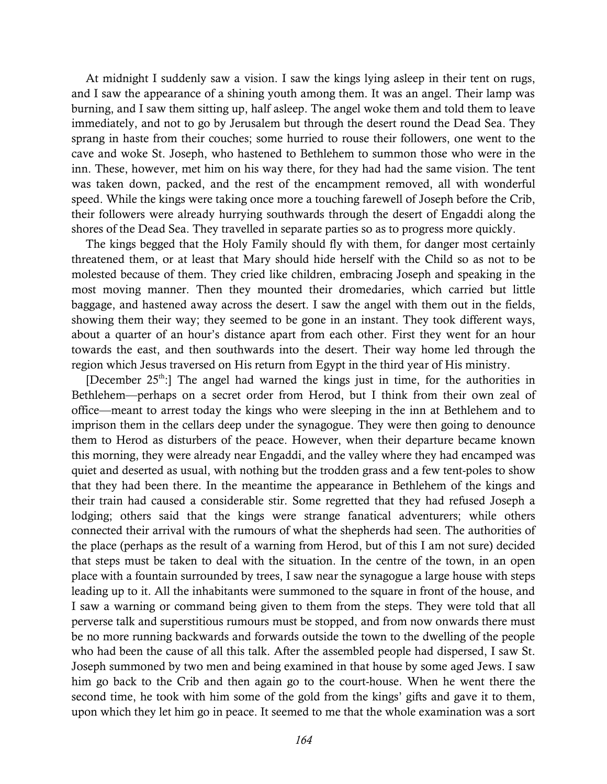At midnight I suddenly saw a vision. I saw the kings lying asleep in their tent on rugs, and I saw the appearance of a shining youth among them. It was an angel. Their lamp was burning, and I saw them sitting up, half asleep. The angel woke them and told them to leave immediately, and not to go by Jerusalem but through the desert round the Dead Sea. They sprang in haste from their couches; some hurried to rouse their followers, one went to the cave and woke St. Joseph, who hastened to Bethlehem to summon those who were in the inn. These, however, met him on his way there, for they had had the same vision. The tent was taken down, packed, and the rest of the encampment removed, all with wonderful speed. While the kings were taking once more a touching farewell of Joseph before the Crib, their followers were already hurrying southwards through the desert of Engaddi along the shores of the Dead Sea. They travelled in separate parties so as to progress more quickly.

The kings begged that the Holy Family should fly with them, for danger most certainly threatened them, or at least that Mary should hide herself with the Child so as not to be molested because of them. They cried like children, embracing Joseph and speaking in the most moving manner. Then they mounted their dromedaries, which carried but little baggage, and hastened away across the desert. I saw the angel with them out in the fields, showing them their way; they seemed to be gone in an instant. They took different ways, about a quarter of an hour's distance apart from each other. First they went for an hour towards the east, and then southwards into the desert. Their way home led through the region which Jesus traversed on His return from Egypt in the third year of His ministry.

[December 25<sup>th</sup>:] The angel had warned the kings just in time, for the authorities in Bethlehem—perhaps on a secret order from Herod, but I think from their own zeal of office—meant to arrest today the kings who were sleeping in the inn at Bethlehem and to imprison them in the cellars deep under the synagogue. They were then going to denounce them to Herod as disturbers of the peace. However, when their departure became known this morning, they were already near Engaddi, and the valley where they had encamped was quiet and deserted as usual, with nothing but the trodden grass and a few tent-poles to show that they had been there. In the meantime the appearance in Bethlehem of the kings and their train had caused a considerable stir. Some regretted that they had refused Joseph a lodging; others said that the kings were strange fanatical adventurers; while others connected their arrival with the rumours of what the shepherds had seen. The authorities of the place (perhaps as the result of a warning from Herod, but of this I am not sure) decided that steps must be taken to deal with the situation. In the centre of the town, in an open place with a fountain surrounded by trees, I saw near the synagogue a large house with steps leading up to it. All the inhabitants were summoned to the square in front of the house, and I saw a warning or command being given to them from the steps. They were told that all perverse talk and superstitious rumours must be stopped, and from now onwards there must be no more running backwards and forwards outside the town to the dwelling of the people who had been the cause of all this talk. After the assembled people had dispersed, I saw St. Joseph summoned by two men and being examined in that house by some aged Jews. I saw him go back to the Crib and then again go to the court-house. When he went there the second time, he took with him some of the gold from the kings' gifts and gave it to them, upon which they let him go in peace. It seemed to me that the whole examination was a sort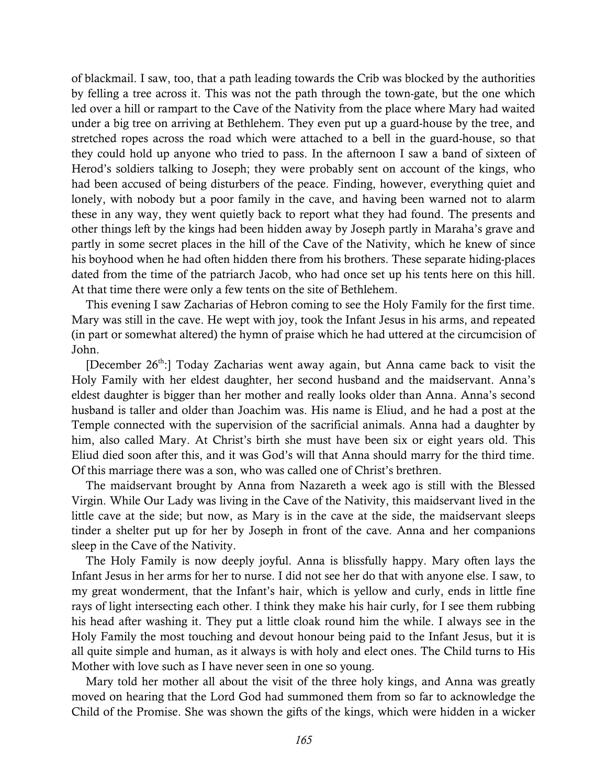of blackmail. I saw, too, that a path leading towards the Crib was blocked by the authorities by felling a tree across it. This was not the path through the town-gate, but the one which led over a hill or rampart to the Cave of the Nativity from the place where Mary had waited under a big tree on arriving at Bethlehem. They even put up a guard-house by the tree, and stretched ropes across the road which were attached to a bell in the guard-house, so that they could hold up anyone who tried to pass. In the afternoon I saw a band of sixteen of Herod's soldiers talking to Joseph; they were probably sent on account of the kings, who had been accused of being disturbers of the peace. Finding, however, everything quiet and lonely, with nobody but a poor family in the cave, and having been warned not to alarm these in any way, they went quietly back to report what they had found. The presents and other things left by the kings had been hidden away by Joseph partly in Maraha's grave and partly in some secret places in the hill of the Cave of the Nativity, which he knew of since his boyhood when he had often hidden there from his brothers. These separate hiding-places dated from the time of the patriarch Jacob, who had once set up his tents here on this hill. At that time there were only a few tents on the site of Bethlehem.

This evening I saw Zacharias of Hebron coming to see the Holy Family for the first time. Mary was still in the cave. He wept with joy, took the Infant Jesus in his arms, and repeated (in part or somewhat altered) the hymn of praise which he had uttered at the circumcision of John.

[December 26<sup>th</sup>:] Today Zacharias went away again, but Anna came back to visit the Holy Family with her eldest daughter, her second husband and the maidservant. Anna's eldest daughter is bigger than her mother and really looks older than Anna. Anna's second husband is taller and older than Joachim was. His name is Eliud, and he had a post at the Temple connected with the supervision of the sacrificial animals. Anna had a daughter by him, also called Mary. At Christ's birth she must have been six or eight years old. This Eliud died soon after this, and it was God's will that Anna should marry for the third time. Of this marriage there was a son, who was called one of Christ's brethren.

The maidservant brought by Anna from Nazareth a week ago is still with the Blessed Virgin. While Our Lady was living in the Cave of the Nativity, this maidservant lived in the little cave at the side; but now, as Mary is in the cave at the side, the maidservant sleeps tinder a shelter put up for her by Joseph in front of the cave. Anna and her companions sleep in the Cave of the Nativity.

The Holy Family is now deeply joyful. Anna is blissfully happy. Mary often lays the Infant Jesus in her arms for her to nurse. I did not see her do that with anyone else. I saw, to my great wonderment, that the Infant's hair, which is yellow and curly, ends in little fine rays of light intersecting each other. I think they make his hair curly, for I see them rubbing his head after washing it. They put a little cloak round him the while. I always see in the Holy Family the most touching and devout honour being paid to the Infant Jesus, but it is all quite simple and human, as it always is with holy and elect ones. The Child turns to His Mother with love such as I have never seen in one so young.

Mary told her mother all about the visit of the three holy kings, and Anna was greatly moved on hearing that the Lord God had summoned them from so far to acknowledge the Child of the Promise. She was shown the gifts of the kings, which were hidden in a wicker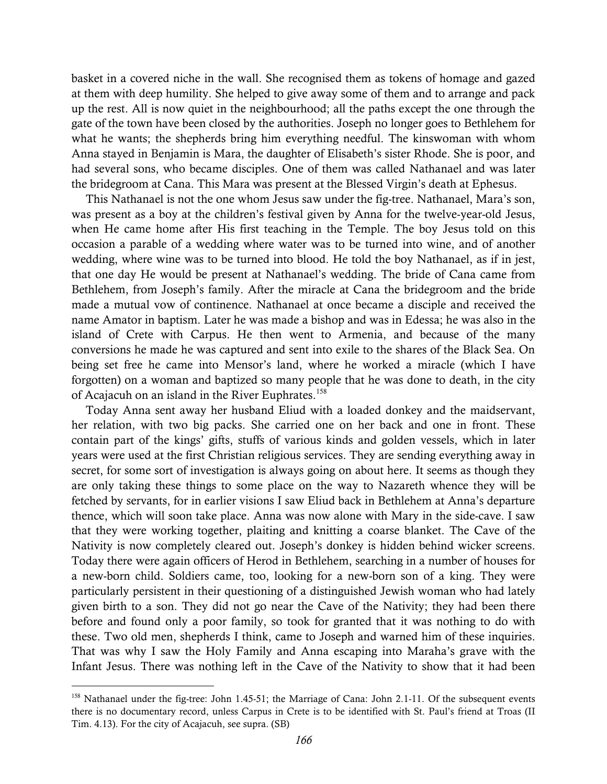basket in a covered niche in the wall. She recognised them as tokens of homage and gazed at them with deep humility. She helped to give away some of them and to arrange and pack up the rest. All is now quiet in the neighbourhood; all the paths except the one through the gate of the town have been closed by the authorities. Joseph no longer goes to Bethlehem for what he wants; the shepherds bring him everything needful. The kinswoman with whom Anna stayed in Benjamin is Mara, the daughter of Elisabeth's sister Rhode. She is poor, and had several sons, who became disciples. One of them was called Nathanael and was later the bridegroom at Cana. This Mara was present at the Blessed Virgin's death at Ephesus.

This Nathanael is not the one whom Jesus saw under the fig-tree. Nathanael, Mara's son, was present as a boy at the children's festival given by Anna for the twelve-year-old Jesus, when He came home after His first teaching in the Temple. The boy Jesus told on this occasion a parable of a wedding where water was to be turned into wine, and of another wedding, where wine was to be turned into blood. He told the boy Nathanael, as if in jest, that one day He would be present at Nathanael's wedding. The bride of Cana came from Bethlehem, from Joseph's family. After the miracle at Cana the bridegroom and the bride made a mutual vow of continence. Nathanael at once became a disciple and received the name Amator in baptism. Later he was made a bishop and was in Edessa; he was also in the island of Crete with Carpus. He then went to Armenia, and because of the many conversions he made he was captured and sent into exile to the shares of the Black Sea. On being set free he came into Mensor's land, where he worked a miracle (which I have forgotten) on a woman and baptized so many people that he was done to death, in the city of Acajacuh on an island in the River Euphrates.<sup>158</sup>

Today Anna sent away her husband Eliud with a loaded donkey and the maidservant, her relation, with two big packs. She carried one on her back and one in front. These contain part of the kings' gifts, stuffs of various kinds and golden vessels, which in later years were used at the first Christian religious services. They are sending everything away in secret, for some sort of investigation is always going on about here. It seems as though they are only taking these things to some place on the way to Nazareth whence they will be fetched by servants, for in earlier visions I saw Eliud back in Bethlehem at Anna's departure thence, which will soon take place. Anna was now alone with Mary in the side-cave. I saw that they were working together, plaiting and knitting a coarse blanket. The Cave of the Nativity is now completely cleared out. Joseph's donkey is hidden behind wicker screens. Today there were again officers of Herod in Bethlehem, searching in a number of houses for a new-born child. Soldiers came, too, looking for a new-born son of a king. They were particularly persistent in their questioning of a distinguished Jewish woman who had lately given birth to a son. They did not go near the Cave of the Nativity; they had been there before and found only a poor family, so took for granted that it was nothing to do with these. Two old men, shepherds I think, came to Joseph and warned him of these inquiries. That was why I saw the Holy Family and Anna escaping into Maraha's grave with the Infant Jesus. There was nothing left in the Cave of the Nativity to show that it had been

<sup>&</sup>lt;sup>158</sup> Nathanael under the fig-tree: John 1.45-51; the Marriage of Cana: John 2.1-11. Of the subsequent events there is no documentary record, unless Carpus in Crete is to be identified with St. Paul's friend at Troas (II Tim. 4.13). For the city of Acajacuh, see supra. (SB)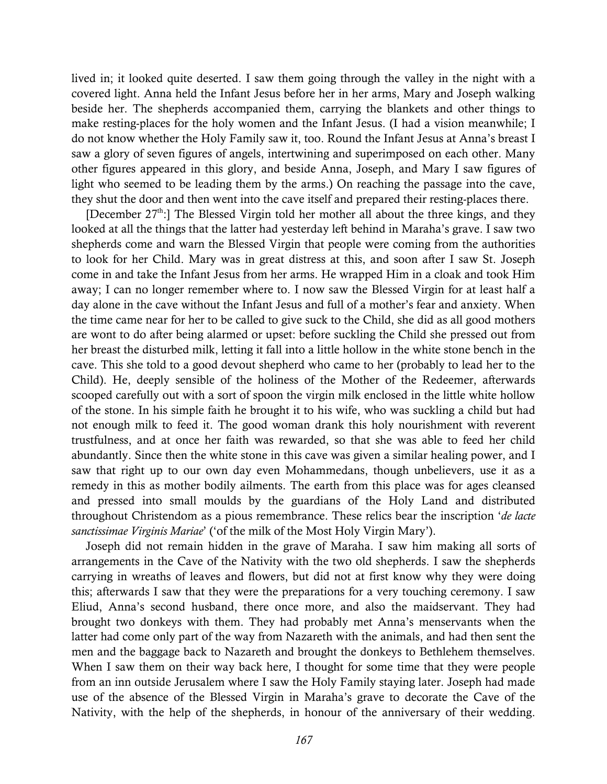lived in; it looked quite deserted. I saw them going through the valley in the night with a covered light. Anna held the Infant Jesus before her in her arms, Mary and Joseph walking beside her. The shepherds accompanied them, carrying the blankets and other things to make resting-places for the holy women and the Infant Jesus. (I had a vision meanwhile; I do not know whether the Holy Family saw it, too. Round the Infant Jesus at Anna's breast I saw a glory of seven figures of angels, intertwining and superimposed on each other. Many other figures appeared in this glory, and beside Anna, Joseph, and Mary I saw figures of light who seemed to be leading them by the arms.) On reaching the passage into the cave, they shut the door and then went into the cave itself and prepared their resting-places there.

[December 27<sup>th</sup>:] The Blessed Virgin told her mother all about the three kings, and they looked at all the things that the latter had yesterday left behind in Maraha's grave. I saw two shepherds come and warn the Blessed Virgin that people were coming from the authorities to look for her Child. Mary was in great distress at this, and soon after I saw St. Joseph come in and take the Infant Jesus from her arms. He wrapped Him in a cloak and took Him away; I can no longer remember where to. I now saw the Blessed Virgin for at least half a day alone in the cave without the Infant Jesus and full of a mother's fear and anxiety. When the time came near for her to be called to give suck to the Child, she did as all good mothers are wont to do after being alarmed or upset: before suckling the Child she pressed out from her breast the disturbed milk, letting it fall into a little hollow in the white stone bench in the cave. This she told to a good devout shepherd who came to her (probably to lead her to the Child). He, deeply sensible of the holiness of the Mother of the Redeemer, afterwards scooped carefully out with a sort of spoon the virgin milk enclosed in the little white hollow of the stone. In his simple faith he brought it to his wife, who was suckling a child but had not enough milk to feed it. The good woman drank this holy nourishment with reverent trustfulness, and at once her faith was rewarded, so that she was able to feed her child abundantly. Since then the white stone in this cave was given a similar healing power, and I saw that right up to our own day even Mohammedans, though unbelievers, use it as a remedy in this as mother bodily ailments. The earth from this place was for ages cleansed and pressed into small moulds by the guardians of the Holy Land and distributed throughout Christendom as a pious remembrance. These relics bear the inscription '*de lacte sanctissimae Virginis Mariae*' ('of the milk of the Most Holy Virgin Mary').

Joseph did not remain hidden in the grave of Maraha. I saw him making all sorts of arrangements in the Cave of the Nativity with the two old shepherds. I saw the shepherds carrying in wreaths of leaves and flowers, but did not at first know why they were doing this; afterwards I saw that they were the preparations for a very touching ceremony. I saw Eliud, Anna's second husband, there once more, and also the maidservant. They had brought two donkeys with them. They had probably met Anna's menservants when the latter had come only part of the way from Nazareth with the animals, and had then sent the men and the baggage back to Nazareth and brought the donkeys to Bethlehem themselves. When I saw them on their way back here, I thought for some time that they were people from an inn outside Jerusalem where I saw the Holy Family staying later. Joseph had made use of the absence of the Blessed Virgin in Maraha's grave to decorate the Cave of the Nativity, with the help of the shepherds, in honour of the anniversary of their wedding.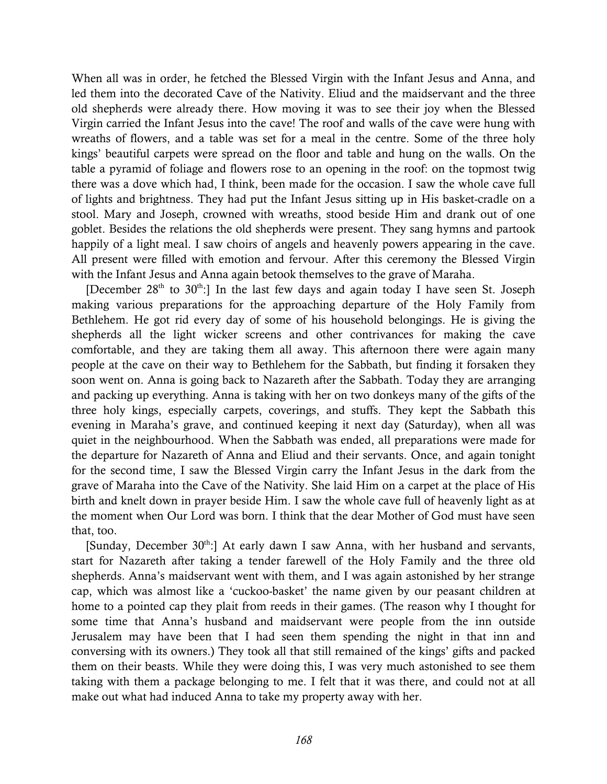When all was in order, he fetched the Blessed Virgin with the Infant Jesus and Anna, and led them into the decorated Cave of the Nativity. Eliud and the maidservant and the three old shepherds were already there. How moving it was to see their joy when the Blessed Virgin carried the Infant Jesus into the cave! The roof and walls of the cave were hung with wreaths of flowers, and a table was set for a meal in the centre. Some of the three holy kings' beautiful carpets were spread on the floor and table and hung on the walls. On the table a pyramid of foliage and flowers rose to an opening in the roof: on the topmost twig there was a dove which had, I think, been made for the occasion. I saw the whole cave full of lights and brightness. They had put the Infant Jesus sitting up in His basket-cradle on a stool. Mary and Joseph, crowned with wreaths, stood beside Him and drank out of one goblet. Besides the relations the old shepherds were present. They sang hymns and partook happily of a light meal. I saw choirs of angels and heavenly powers appearing in the cave. All present were filled with emotion and fervour. After this ceremony the Blessed Virgin with the Infant Jesus and Anna again betook themselves to the grave of Maraha.

[December  $28<sup>th</sup>$  to  $30<sup>th</sup>$ :] In the last few days and again today I have seen St. Joseph making various preparations for the approaching departure of the Holy Family from Bethlehem. He got rid every day of some of his household belongings. He is giving the shepherds all the light wicker screens and other contrivances for making the cave comfortable, and they are taking them all away. This afternoon there were again many people at the cave on their way to Bethlehem for the Sabbath, but finding it forsaken they soon went on. Anna is going back to Nazareth after the Sabbath. Today they are arranging and packing up everything. Anna is taking with her on two donkeys many of the gifts of the three holy kings, especially carpets, coverings, and stuffs. They kept the Sabbath this evening in Maraha's grave, and continued keeping it next day (Saturday), when all was quiet in the neighbourhood. When the Sabbath was ended, all preparations were made for the departure for Nazareth of Anna and Eliud and their servants. Once, and again tonight for the second time, I saw the Blessed Virgin carry the Infant Jesus in the dark from the grave of Maraha into the Cave of the Nativity. She laid Him on a carpet at the place of His birth and knelt down in prayer beside Him. I saw the whole cave full of heavenly light as at the moment when Our Lord was born. I think that the dear Mother of God must have seen that, too.

[Sunday, December 30<sup>th</sup>:] At early dawn I saw Anna, with her husband and servants, start for Nazareth after taking a tender farewell of the Holy Family and the three old shepherds. Anna's maidservant went with them, and I was again astonished by her strange cap, which was almost like a 'cuckoo-basket' the name given by our peasant children at home to a pointed cap they plait from reeds in their games. (The reason why I thought for some time that Anna's husband and maidservant were people from the inn outside Jerusalem may have been that I had seen them spending the night in that inn and conversing with its owners.) They took all that still remained of the kings' gifts and packed them on their beasts. While they were doing this, I was very much astonished to see them taking with them a package belonging to me. I felt that it was there, and could not at all make out what had induced Anna to take my property away with her.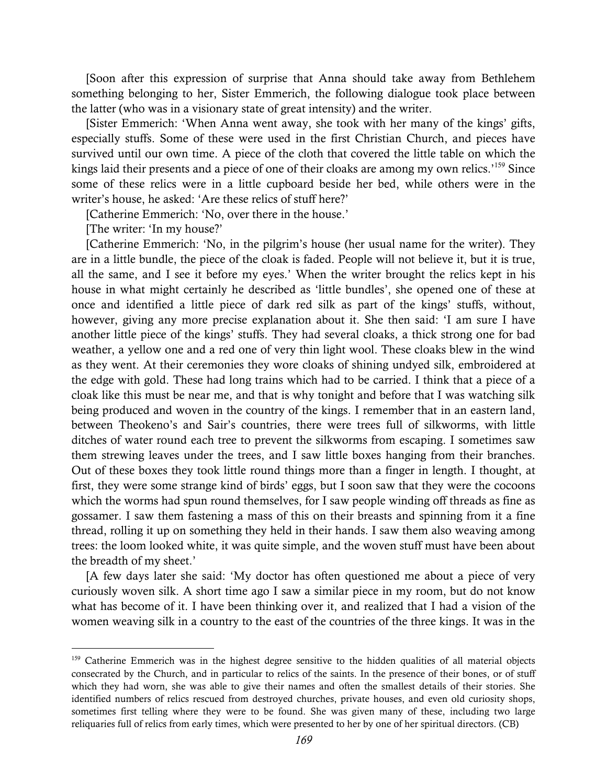[Soon after this expression of surprise that Anna should take away from Bethlehem something belonging to her, Sister Emmerich, the following dialogue took place between the latter (who was in a visionary state of great intensity) and the writer.

[Sister Emmerich: 'When Anna went away, she took with her many of the kings' gifts, especially stuffs. Some of these were used in the first Christian Church, and pieces have survived until our own time. A piece of the cloth that covered the little table on which the kings laid their presents and a piece of one of their cloaks are among my own relics.'<sup>159</sup> Since some of these relics were in a little cupboard beside her bed, while others were in the writer's house, he asked: 'Are these relics of stuff here?'

[Catherine Emmerich: 'No, over there in the house.'

[The writer: 'In my house?'

 $\overline{a}$ 

[Catherine Emmerich: 'No, in the pilgrim's house (her usual name for the writer). They are in a little bundle, the piece of the cloak is faded. People will not believe it, but it is true, all the same, and I see it before my eyes.' When the writer brought the relics kept in his house in what might certainly he described as 'little bundles', she opened one of these at once and identified a little piece of dark red silk as part of the kings' stuffs, without, however, giving any more precise explanation about it. She then said: 'I am sure I have another little piece of the kings' stuffs. They had several cloaks, a thick strong one for bad weather, a yellow one and a red one of very thin light wool. These cloaks blew in the wind as they went. At their ceremonies they wore cloaks of shining undyed silk, embroidered at the edge with gold. These had long trains which had to be carried. I think that a piece of a cloak like this must be near me, and that is why tonight and before that I was watching silk being produced and woven in the country of the kings. I remember that in an eastern land, between Theokeno's and Sair's countries, there were trees full of silkworms, with little ditches of water round each tree to prevent the silkworms from escaping. I sometimes saw them strewing leaves under the trees, and I saw little boxes hanging from their branches. Out of these boxes they took little round things more than a finger in length. I thought, at first, they were some strange kind of birds' eggs, but I soon saw that they were the cocoons which the worms had spun round themselves, for I saw people winding off threads as fine as gossamer. I saw them fastening a mass of this on their breasts and spinning from it a fine thread, rolling it up on something they held in their hands. I saw them also weaving among trees: the loom looked white, it was quite simple, and the woven stuff must have been about the breadth of my sheet.'

[A few days later she said: 'My doctor has often questioned me about a piece of very curiously woven silk. A short time ago I saw a similar piece in my room, but do not know what has become of it. I have been thinking over it, and realized that I had a vision of the women weaving silk in a country to the east of the countries of the three kings. It was in the

<sup>&</sup>lt;sup>159</sup> Catherine Emmerich was in the highest degree sensitive to the hidden qualities of all material objects consecrated by the Church, and in particular to relics of the saints. In the presence of their bones, or of stuff which they had worn, she was able to give their names and often the smallest details of their stories. She identified numbers of relics rescued from destroyed churches, private houses, and even old curiosity shops, sometimes first telling where they were to be found. She was given many of these, including two large reliquaries full of relics from early times, which were presented to her by one of her spiritual directors. (CB)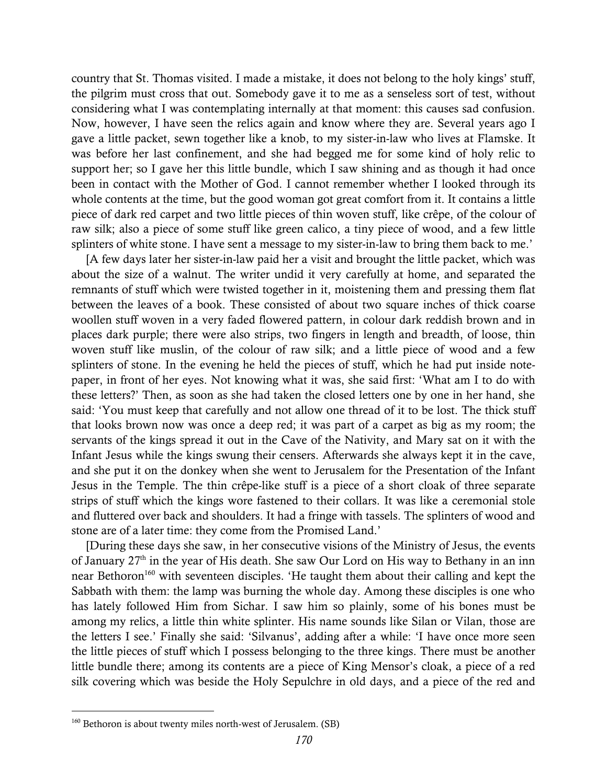country that St. Thomas visited. I made a mistake, it does not belong to the holy kings' stuff, the pilgrim must cross that out. Somebody gave it to me as a senseless sort of test, without considering what I was contemplating internally at that moment: this causes sad confusion. Now, however, I have seen the relics again and know where they are. Several years ago I gave a little packet, sewn together like a knob, to my sister-in-law who lives at Flamske. It was before her last confinement, and she had begged me for some kind of holy relic to support her; so I gave her this little bundle, which I saw shining and as though it had once been in contact with the Mother of God. I cannot remember whether I looked through its whole contents at the time, but the good woman got great comfort from it. It contains a little piece of dark red carpet and two little pieces of thin woven stuff, like crêpe, of the colour of raw silk; also a piece of some stuff like green calico, a tiny piece of wood, and a few little splinters of white stone. I have sent a message to my sister-in-law to bring them back to me.'

[A few days later her sister-in-law paid her a visit and brought the little packet, which was about the size of a walnut. The writer undid it very carefully at home, and separated the remnants of stuff which were twisted together in it, moistening them and pressing them flat between the leaves of a book. These consisted of about two square inches of thick coarse woollen stuff woven in a very faded flowered pattern, in colour dark reddish brown and in places dark purple; there were also strips, two fingers in length and breadth, of loose, thin woven stuff like muslin, of the colour of raw silk; and a little piece of wood and a few splinters of stone. In the evening he held the pieces of stuff, which he had put inside notepaper, in front of her eyes. Not knowing what it was, she said first: 'What am I to do with these letters?' Then, as soon as she had taken the closed letters one by one in her hand, she said: 'You must keep that carefully and not allow one thread of it to be lost. The thick stuff that looks brown now was once a deep red; it was part of a carpet as big as my room; the servants of the kings spread it out in the Cave of the Nativity, and Mary sat on it with the Infant Jesus while the kings swung their censers. Afterwards she always kept it in the cave, and she put it on the donkey when she went to Jerusalem for the Presentation of the Infant Jesus in the Temple. The thin crêpe-like stuff is a piece of a short cloak of three separate strips of stuff which the kings wore fastened to their collars. It was like a ceremonial stole and fluttered over back and shoulders. It had a fringe with tassels. The splinters of wood and stone are of a later time: they come from the Promised Land.'

[During these days she saw, in her consecutive visions of the Ministry of Jesus, the events of January 27<sup>th</sup> in the year of His death. She saw Our Lord on His way to Bethany in an inn near Bethoron<sup>160</sup> with seventeen disciples. 'He taught them about their calling and kept the Sabbath with them: the lamp was burning the whole day. Among these disciples is one who has lately followed Him from Sichar. I saw him so plainly, some of his bones must be among my relics, a little thin white splinter. His name sounds like Silan or Vilan, those are the letters I see.' Finally she said: 'Silvanus', adding after a while: 'I have once more seen the little pieces of stuff which I possess belonging to the three kings. There must be another little bundle there; among its contents are a piece of King Mensor's cloak, a piece of a red silk covering which was beside the Holy Sepulchre in old days, and a piece of the red and

<sup>160</sup> Bethoron is about twenty miles north-west of Jerusalem. (SB)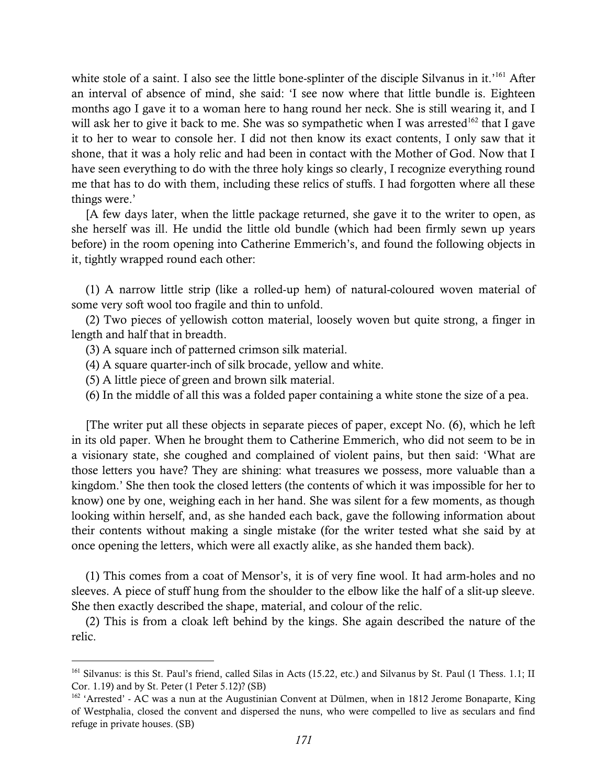white stole of a saint. I also see the little bone-splinter of the disciple Silvanus in it.'<sup>161</sup> After an interval of absence of mind, she said: 'I see now where that little bundle is. Eighteen months ago I gave it to a woman here to hang round her neck. She is still wearing it, and I will ask her to give it back to me. She was so sympathetic when I was arrested<sup>162</sup> that I gave it to her to wear to console her. I did not then know its exact contents, I only saw that it shone, that it was a holy relic and had been in contact with the Mother of God. Now that I have seen everything to do with the three holy kings so clearly, I recognize everything round me that has to do with them, including these relics of stuffs. I had forgotten where all these things were.'

[A few days later, when the little package returned, she gave it to the writer to open, as she herself was ill. He undid the little old bundle (which had been firmly sewn up years before) in the room opening into Catherine Emmerich's, and found the following objects in it, tightly wrapped round each other:

(1) A narrow little strip (like a rolled-up hem) of natural-coloured woven material of some very soft wool too fragile and thin to unfold.

(2) Two pieces of yellowish cotton material, loosely woven but quite strong, a finger in length and half that in breadth.

(3) A square inch of patterned crimson silk material.

(4) A square quarter-inch of silk brocade, yellow and white.

(5) A little piece of green and brown silk material.

 $\overline{a}$ 

(6) In the middle of all this was a folded paper containing a white stone the size of a pea.

[The writer put all these objects in separate pieces of paper, except No. (6), which he left in its old paper. When he brought them to Catherine Emmerich, who did not seem to be in a visionary state, she coughed and complained of violent pains, but then said: 'What are those letters you have? They are shining: what treasures we possess, more valuable than a kingdom.' She then took the closed letters (the contents of which it was impossible for her to know) one by one, weighing each in her hand. She was silent for a few moments, as though looking within herself, and, as she handed each back, gave the following information about their contents without making a single mistake (for the writer tested what she said by at once opening the letters, which were all exactly alike, as she handed them back).

(1) This comes from a coat of Mensor's, it is of very fine wool. It had arm-holes and no sleeves. A piece of stuff hung from the shoulder to the elbow like the half of a slit-up sleeve. She then exactly described the shape, material, and colour of the relic.

(2) This is from a cloak left behind by the kings. She again described the nature of the relic.

<sup>&</sup>lt;sup>161</sup> Silvanus: is this St. Paul's friend, called Silas in Acts (15.22, etc.) and Silvanus by St. Paul (1 Thess. 1.1; II Cor. 1.19) and by St. Peter (1 Peter 5.12)? (SB)

<sup>&</sup>lt;sup>162</sup> 'Arrested' - AC was a nun at the Augustinian Convent at Dülmen, when in 1812 Jerome Bonaparte, King of Westphalia, closed the convent and dispersed the nuns, who were compelled to live as seculars and find refuge in private houses. (SB)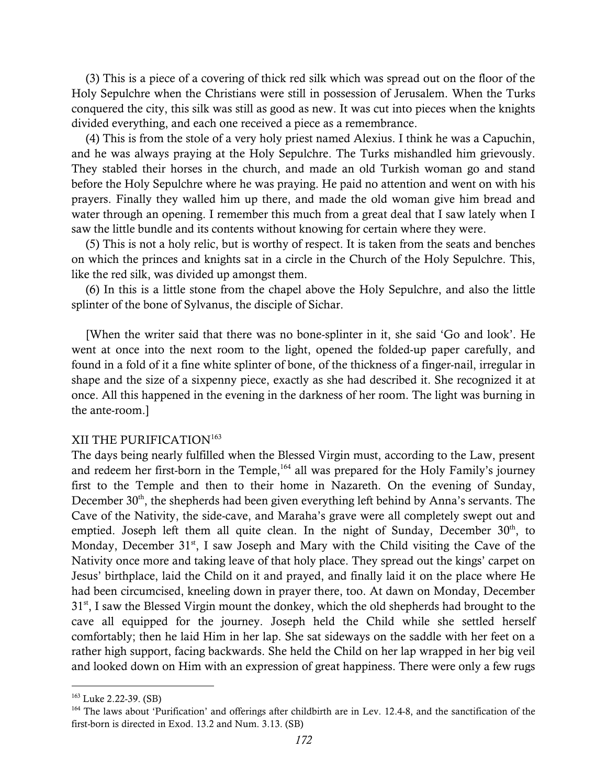(3) This is a piece of a covering of thick red silk which was spread out on the floor of the Holy Sepulchre when the Christians were still in possession of Jerusalem. When the Turks conquered the city, this silk was still as good as new. It was cut into pieces when the knights divided everything, and each one received a piece as a remembrance.

(4) This is from the stole of a very holy priest named Alexius. I think he was a Capuchin, and he was always praying at the Holy Sepulchre. The Turks mishandled him grievously. They stabled their horses in the church, and made an old Turkish woman go and stand before the Holy Sepulchre where he was praying. He paid no attention and went on with his prayers. Finally they walled him up there, and made the old woman give him bread and water through an opening. I remember this much from a great deal that I saw lately when I saw the little bundle and its contents without knowing for certain where they were.

(5) This is not a holy relic, but is worthy of respect. It is taken from the seats and benches on which the princes and knights sat in a circle in the Church of the Holy Sepulchre. This, like the red silk, was divided up amongst them.

(6) In this is a little stone from the chapel above the Holy Sepulchre, and also the little splinter of the bone of Sylvanus, the disciple of Sichar.

[When the writer said that there was no bone-splinter in it, she said 'Go and look'. He went at once into the next room to the light, opened the folded-up paper carefully, and found in a fold of it a fine white splinter of bone, of the thickness of a finger-nail, irregular in shape and the size of a sixpenny piece, exactly as she had described it. She recognized it at once. All this happened in the evening in the darkness of her room. The light was burning in the ante-room.]

## XII THE PURIFICATION<sup>163</sup>

The days being nearly fulfilled when the Blessed Virgin must, according to the Law, present and redeem her first-born in the Temple,<sup>164</sup> all was prepared for the Holy Family's journey first to the Temple and then to their home in Nazareth. On the evening of Sunday, December 30<sup>th</sup>, the shepherds had been given everything left behind by Anna's servants. The Cave of the Nativity, the side-cave, and Maraha's grave were all completely swept out and emptied. Joseph left them all quite clean. In the night of Sunday, December 30<sup>th</sup>, to Monday, December  $31<sup>st</sup>$ , I saw Joseph and Mary with the Child visiting the Cave of the Nativity once more and taking leave of that holy place. They spread out the kings' carpet on Jesus' birthplace, laid the Child on it and prayed, and finally laid it on the place where He had been circumcised, kneeling down in prayer there, too. At dawn on Monday, December  $31<sup>st</sup>$ , I saw the Blessed Virgin mount the donkey, which the old shepherds had brought to the cave all equipped for the journey. Joseph held the Child while she settled herself comfortably; then he laid Him in her lap. She sat sideways on the saddle with her feet on a rather high support, facing backwards. She held the Child on her lap wrapped in her big veil and looked down on Him with an expression of great happiness. There were only a few rugs

<sup>163</sup> Luke 2.22-39. (SB)

<sup>&</sup>lt;sup>164</sup> The laws about 'Purification' and offerings after childbirth are in Lev. 12.4-8, and the sanctification of the first-born is directed in Exod. 13.2 and Num. 3.13. (SB)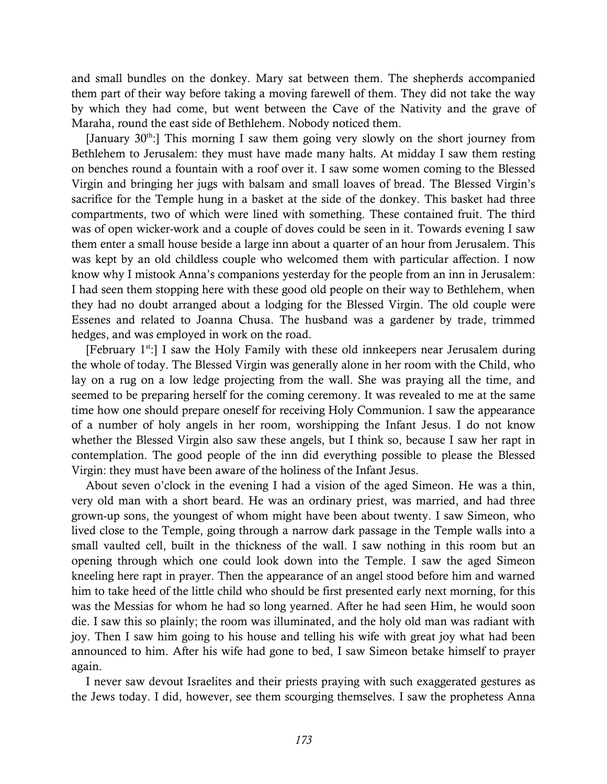and small bundles on the donkey. Mary sat between them. The shepherds accompanied them part of their way before taking a moving farewell of them. They did not take the way by which they had come, but went between the Cave of the Nativity and the grave of Maraha, round the east side of Bethlehem. Nobody noticed them.

[January  $30<sup>th</sup>$ :] This morning I saw them going very slowly on the short journey from Bethlehem to Jerusalem: they must have made many halts. At midday I saw them resting on benches round a fountain with a roof over it. I saw some women coming to the Blessed Virgin and bringing her jugs with balsam and small loaves of bread. The Blessed Virgin's sacrifice for the Temple hung in a basket at the side of the donkey. This basket had three compartments, two of which were lined with something. These contained fruit. The third was of open wicker-work and a couple of doves could be seen in it. Towards evening I saw them enter a small house beside a large inn about a quarter of an hour from Jerusalem. This was kept by an old childless couple who welcomed them with particular affection. I now know why I mistook Anna's companions yesterday for the people from an inn in Jerusalem: I had seen them stopping here with these good old people on their way to Bethlehem, when they had no doubt arranged about a lodging for the Blessed Virgin. The old couple were Essenes and related to Joanna Chusa. The husband was a gardener by trade, trimmed hedges, and was employed in work on the road.

[February 1<sup>st</sup>:] I saw the Holy Family with these old innkeepers near Jerusalem during the whole of today. The Blessed Virgin was generally alone in her room with the Child, who lay on a rug on a low ledge projecting from the wall. She was praying all the time, and seemed to be preparing herself for the coming ceremony. It was revealed to me at the same time how one should prepare oneself for receiving Holy Communion. I saw the appearance of a number of holy angels in her room, worshipping the Infant Jesus. I do not know whether the Blessed Virgin also saw these angels, but I think so, because I saw her rapt in contemplation. The good people of the inn did everything possible to please the Blessed Virgin: they must have been aware of the holiness of the Infant Jesus.

About seven o'clock in the evening I had a vision of the aged Simeon. He was a thin, very old man with a short beard. He was an ordinary priest, was married, and had three grown-up sons, the youngest of whom might have been about twenty. I saw Simeon, who lived close to the Temple, going through a narrow dark passage in the Temple walls into a small vaulted cell, built in the thickness of the wall. I saw nothing in this room but an opening through which one could look down into the Temple. I saw the aged Simeon kneeling here rapt in prayer. Then the appearance of an angel stood before him and warned him to take heed of the little child who should be first presented early next morning, for this was the Messias for whom he had so long yearned. After he had seen Him, he would soon die. I saw this so plainly; the room was illuminated, and the holy old man was radiant with joy. Then I saw him going to his house and telling his wife with great joy what had been announced to him. After his wife had gone to bed, I saw Simeon betake himself to prayer again.

I never saw devout Israelites and their priests praying with such exaggerated gestures as the Jews today. I did, however, see them scourging themselves. I saw the prophetess Anna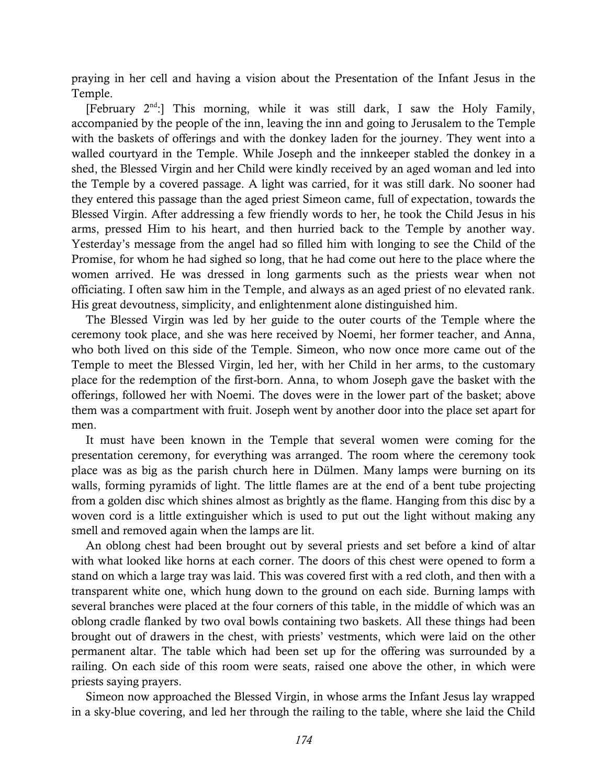praying in her cell and having a vision about the Presentation of the Infant Jesus in the Temple.

[February 2<sup>nd</sup>:] This morning, while it was still dark, I saw the Holy Family, accompanied by the people of the inn, leaving the inn and going to Jerusalem to the Temple with the baskets of offerings and with the donkey laden for the journey. They went into a walled courtyard in the Temple. While Joseph and the innkeeper stabled the donkey in a shed, the Blessed Virgin and her Child were kindly received by an aged woman and led into the Temple by a covered passage. A light was carried, for it was still dark. No sooner had they entered this passage than the aged priest Simeon came, full of expectation, towards the Blessed Virgin. After addressing a few friendly words to her, he took the Child Jesus in his arms, pressed Him to his heart, and then hurried back to the Temple by another way. Yesterday's message from the angel had so filled him with longing to see the Child of the Promise, for whom he had sighed so long, that he had come out here to the place where the women arrived. He was dressed in long garments such as the priests wear when not officiating. I often saw him in the Temple, and always as an aged priest of no elevated rank. His great devoutness, simplicity, and enlightenment alone distinguished him.

The Blessed Virgin was led by her guide to the outer courts of the Temple where the ceremony took place, and she was here received by Noemi, her former teacher, and Anna, who both lived on this side of the Temple. Simeon, who now once more came out of the Temple to meet the Blessed Virgin, led her, with her Child in her arms, to the customary place for the redemption of the first-born. Anna, to whom Joseph gave the basket with the offerings, followed her with Noemi. The doves were in the lower part of the basket; above them was a compartment with fruit. Joseph went by another door into the place set apart for men.

It must have been known in the Temple that several women were coming for the presentation ceremony, for everything was arranged. The room where the ceremony took place was as big as the parish church here in Dülmen. Many lamps were burning on its walls, forming pyramids of light. The little flames are at the end of a bent tube projecting from a golden disc which shines almost as brightly as the flame. Hanging from this disc by a woven cord is a little extinguisher which is used to put out the light without making any smell and removed again when the lamps are lit.

An oblong chest had been brought out by several priests and set before a kind of altar with what looked like horns at each corner. The doors of this chest were opened to form a stand on which a large tray was laid. This was covered first with a red cloth, and then with a transparent white one, which hung down to the ground on each side. Burning lamps with several branches were placed at the four corners of this table, in the middle of which was an oblong cradle flanked by two oval bowls containing two baskets. All these things had been brought out of drawers in the chest, with priests' vestments, which were laid on the other permanent altar. The table which had been set up for the offering was surrounded by a railing. On each side of this room were seats, raised one above the other, in which were priests saying prayers.

Simeon now approached the Blessed Virgin, in whose arms the Infant Jesus lay wrapped in a sky-blue covering, and led her through the railing to the table, where she laid the Child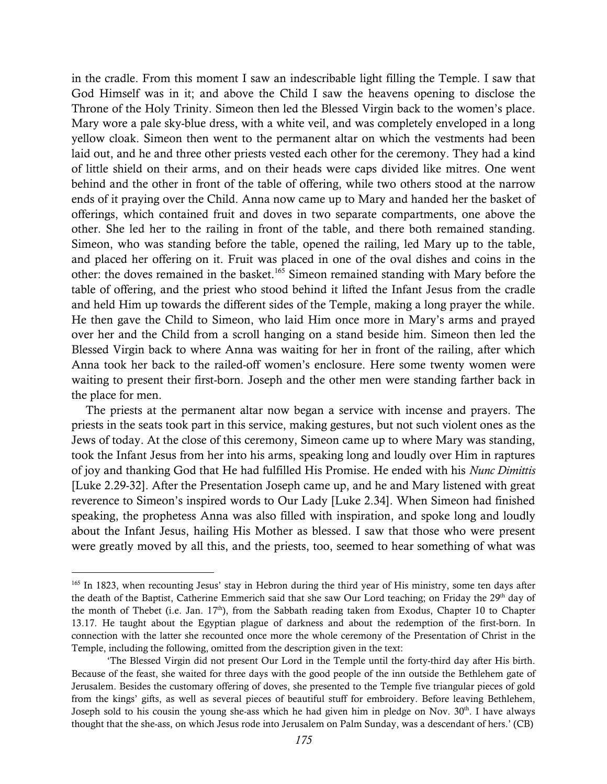in the cradle. From this moment I saw an indescribable light filling the Temple. I saw that God Himself was in it; and above the Child I saw the heavens opening to disclose the Throne of the Holy Trinity. Simeon then led the Blessed Virgin back to the women's place. Mary wore a pale sky-blue dress, with a white veil, and was completely enveloped in a long yellow cloak. Simeon then went to the permanent altar on which the vestments had been laid out, and he and three other priests vested each other for the ceremony. They had a kind of little shield on their arms, and on their heads were caps divided like mitres. One went behind and the other in front of the table of offering, while two others stood at the narrow ends of it praying over the Child. Anna now came up to Mary and handed her the basket of offerings, which contained fruit and doves in two separate compartments, one above the other. She led her to the railing in front of the table, and there both remained standing. Simeon, who was standing before the table, opened the railing, led Mary up to the table, and placed her offering on it. Fruit was placed in one of the oval dishes and coins in the other: the doves remained in the basket.<sup>165</sup> Simeon remained standing with Mary before the table of offering, and the priest who stood behind it lifted the Infant Jesus from the cradle and held Him up towards the different sides of the Temple, making a long prayer the while. He then gave the Child to Simeon, who laid Him once more in Mary's arms and prayed over her and the Child from a scroll hanging on a stand beside him. Simeon then led the Blessed Virgin back to where Anna was waiting for her in front of the railing, after which Anna took her back to the railed-off women's enclosure. Here some twenty women were waiting to present their first-born. Joseph and the other men were standing farther back in the place for men.

The priests at the permanent altar now began a service with incense and prayers. The priests in the seats took part in this service, making gestures, but not such violent ones as the Jews of today. At the close of this ceremony, Simeon came up to where Mary was standing, took the Infant Jesus from her into his arms, speaking long and loudly over Him in raptures of joy and thanking God that He had fulfilled His Promise. He ended with his *Nunc Dimittis* [Luke 2.29-32]. After the Presentation Joseph came up, and he and Mary listened with great reverence to Simeon's inspired words to Our Lady [Luke 2.34]. When Simeon had finished speaking, the prophetess Anna was also filled with inspiration, and spoke long and loudly about the Infant Jesus, hailing His Mother as blessed. I saw that those who were present were greatly moved by all this, and the priests, too, seemed to hear something of what was

<sup>&</sup>lt;sup>165</sup> In 1823, when recounting Jesus' stay in Hebron during the third year of His ministry, some ten days after the death of the Baptist, Catherine Emmerich said that she saw Our Lord teaching; on Friday the 29th day of the month of Thebet (i.e. Jan.  $17<sup>th</sup>$ ), from the Sabbath reading taken from Exodus, Chapter 10 to Chapter 13.17. He taught about the Egyptian plague of darkness and about the redemption of the first-born. In connection with the latter she recounted once more the whole ceremony of the Presentation of Christ in the Temple, including the following, omitted from the description given in the text:

<sup>&#</sup>x27;The Blessed Virgin did not present Our Lord in the Temple until the forty-third day after His birth. Because of the feast, she waited for three days with the good people of the inn outside the Bethlehem gate of Jerusalem. Besides the customary offering of doves, she presented to the Temple five triangular pieces of gold from the kings' gifts, as well as several pieces of beautiful stuff for embroidery. Before leaving Bethlehem, Joseph sold to his cousin the young she-ass which he had given him in pledge on Nov. 30<sup>th</sup>. I have always thought that the she-ass, on which Jesus rode into Jerusalem on Palm Sunday, was a descendant of hers.' (CB)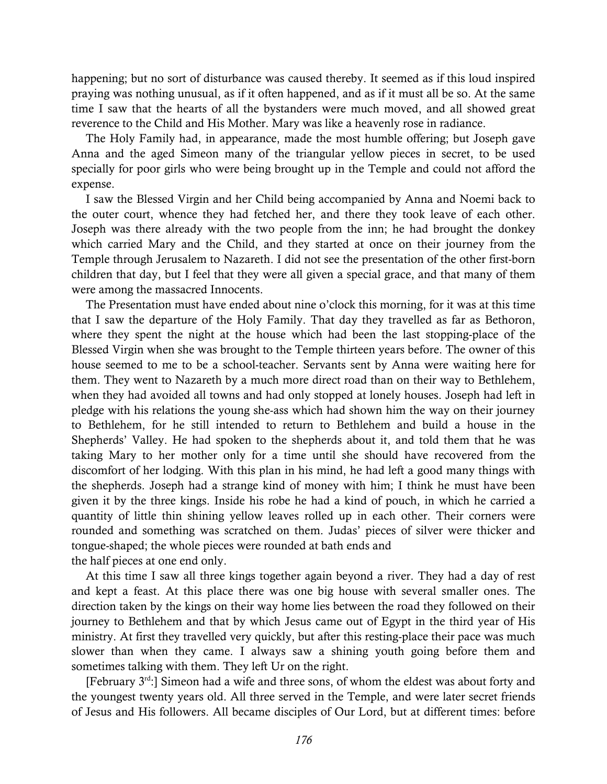happening; but no sort of disturbance was caused thereby. It seemed as if this loud inspired praying was nothing unusual, as if it often happened, and as if it must all be so. At the same time I saw that the hearts of all the bystanders were much moved, and all showed great reverence to the Child and His Mother. Mary was like a heavenly rose in radiance.

The Holy Family had, in appearance, made the most humble offering; but Joseph gave Anna and the aged Simeon many of the triangular yellow pieces in secret, to be used specially for poor girls who were being brought up in the Temple and could not afford the expense.

I saw the Blessed Virgin and her Child being accompanied by Anna and Noemi back to the outer court, whence they had fetched her, and there they took leave of each other. Joseph was there already with the two people from the inn; he had brought the donkey which carried Mary and the Child, and they started at once on their journey from the Temple through Jerusalem to Nazareth. I did not see the presentation of the other first-born children that day, but I feel that they were all given a special grace, and that many of them were among the massacred Innocents.

The Presentation must have ended about nine o'clock this morning, for it was at this time that I saw the departure of the Holy Family. That day they travelled as far as Bethoron, where they spent the night at the house which had been the last stopping-place of the Blessed Virgin when she was brought to the Temple thirteen years before. The owner of this house seemed to me to be a school-teacher. Servants sent by Anna were waiting here for them. They went to Nazareth by a much more direct road than on their way to Bethlehem, when they had avoided all towns and had only stopped at lonely houses. Joseph had left in pledge with his relations the young she-ass which had shown him the way on their journey to Bethlehem, for he still intended to return to Bethlehem and build a house in the Shepherds' Valley. He had spoken to the shepherds about it, and told them that he was taking Mary to her mother only for a time until she should have recovered from the discomfort of her lodging. With this plan in his mind, he had left a good many things with the shepherds. Joseph had a strange kind of money with him; I think he must have been given it by the three kings. Inside his robe he had a kind of pouch, in which he carried a quantity of little thin shining yellow leaves rolled up in each other. Their corners were rounded and something was scratched on them. Judas' pieces of silver were thicker and tongue-shaped; the whole pieces were rounded at bath ends and the half pieces at one end only.

At this time I saw all three kings together again beyond a river. They had a day of rest and kept a feast. At this place there was one big house with several smaller ones. The direction taken by the kings on their way home lies between the road they followed on their journey to Bethlehem and that by which Jesus came out of Egypt in the third year of His ministry. At first they travelled very quickly, but after this resting-place their pace was much slower than when they came. I always saw a shining youth going before them and sometimes talking with them. They left Ur on the right.

[February  $3<sup>rd</sup>$ :] Simeon had a wife and three sons, of whom the eldest was about forty and the youngest twenty years old. All three served in the Temple, and were later secret friends of Jesus and His followers. All became disciples of Our Lord, but at different times: before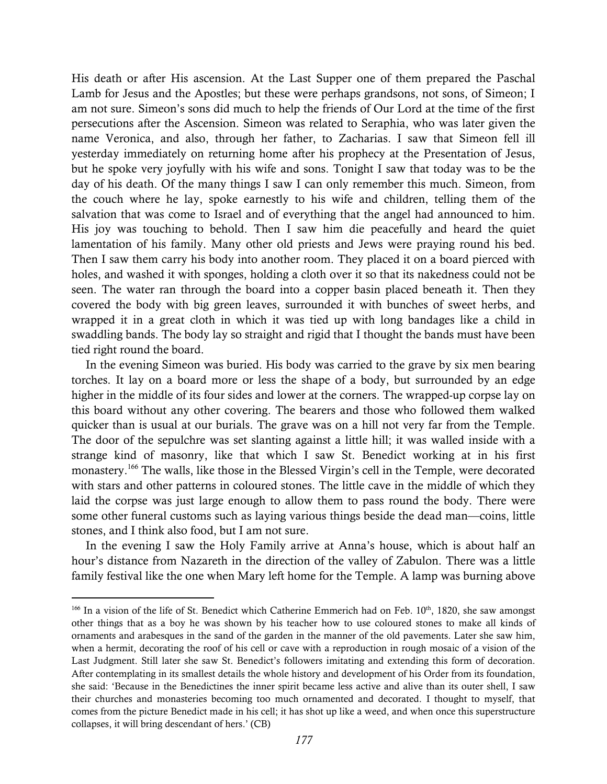His death or after His ascension. At the Last Supper one of them prepared the Paschal Lamb for Jesus and the Apostles; but these were perhaps grandsons, not sons, of Simeon; I am not sure. Simeon's sons did much to help the friends of Our Lord at the time of the first persecutions after the Ascension. Simeon was related to Seraphia, who was later given the name Veronica, and also, through her father, to Zacharias. I saw that Simeon fell ill yesterday immediately on returning home after his prophecy at the Presentation of Jesus, but he spoke very joyfully with his wife and sons. Tonight I saw that today was to be the day of his death. Of the many things I saw I can only remember this much. Simeon, from the couch where he lay, spoke earnestly to his wife and children, telling them of the salvation that was come to Israel and of everything that the angel had announced to him. His joy was touching to behold. Then I saw him die peacefully and heard the quiet lamentation of his family. Many other old priests and Jews were praying round his bed. Then I saw them carry his body into another room. They placed it on a board pierced with holes, and washed it with sponges, holding a cloth over it so that its nakedness could not be seen. The water ran through the board into a copper basin placed beneath it. Then they covered the body with big green leaves, surrounded it with bunches of sweet herbs, and wrapped it in a great cloth in which it was tied up with long bandages like a child in swaddling bands. The body lay so straight and rigid that I thought the bands must have been tied right round the board.

In the evening Simeon was buried. His body was carried to the grave by six men bearing torches. It lay on a board more or less the shape of a body, but surrounded by an edge higher in the middle of its four sides and lower at the corners. The wrapped-up corpse lay on this board without any other covering. The bearers and those who followed them walked quicker than is usual at our burials. The grave was on a hill not very far from the Temple. The door of the sepulchre was set slanting against a little hill; it was walled inside with a strange kind of masonry, like that which I saw St. Benedict working at in his first monastery.<sup>166</sup> The walls, like those in the Blessed Virgin's cell in the Temple, were decorated with stars and other patterns in coloured stones. The little cave in the middle of which they laid the corpse was just large enough to allow them to pass round the body. There were some other funeral customs such as laying various things beside the dead man—coins, little stones, and I think also food, but I am not sure.

In the evening I saw the Holy Family arrive at Anna's house, which is about half an hour's distance from Nazareth in the direction of the valley of Zabulon. There was a little family festival like the one when Mary left home for the Temple. A lamp was burning above

<sup>&</sup>lt;sup>166</sup> In a vision of the life of St. Benedict which Catherine Emmerich had on Feb.  $10^{th}$ , 1820, she saw amongst other things that as a boy he was shown by his teacher how to use coloured stones to make all kinds of ornaments and arabesques in the sand of the garden in the manner of the old pavements. Later she saw him, when a hermit, decorating the roof of his cell or cave with a reproduction in rough mosaic of a vision of the Last Judgment. Still later she saw St. Benedict's followers imitating and extending this form of decoration. After contemplating in its smallest details the whole history and development of his Order from its foundation, she said: 'Because in the Benedictines the inner spirit became less active and alive than its outer shell, I saw their churches and monasteries becoming too much ornamented and decorated. I thought to myself, that comes from the picture Benedict made in his cell; it has shot up like a weed, and when once this superstructure collapses, it will bring descendant of hers.' (CB)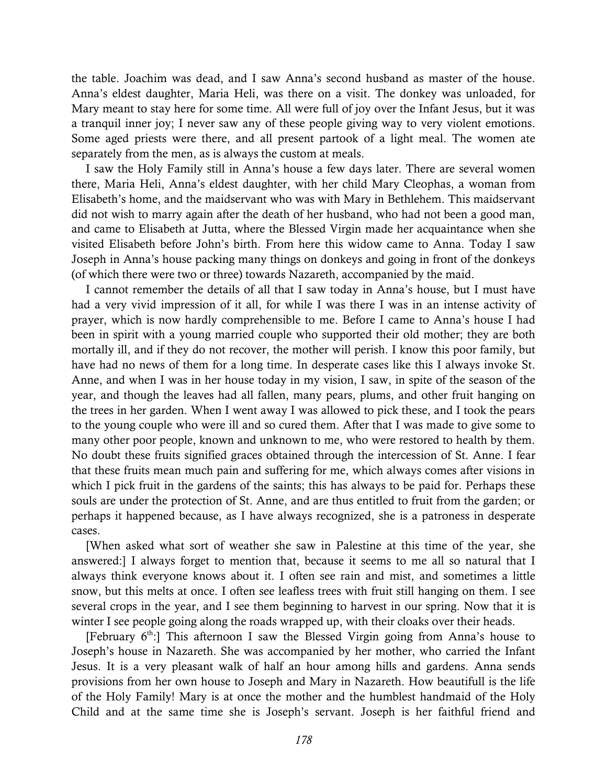the table. Joachim was dead, and I saw Anna's second husband as master of the house. Anna's eldest daughter, Maria Heli, was there on a visit. The donkey was unloaded, for Mary meant to stay here for some time. All were full of joy over the Infant Jesus, but it was a tranquil inner joy; I never saw any of these people giving way to very violent emotions. Some aged priests were there, and all present partook of a light meal. The women ate separately from the men, as is always the custom at meals.

I saw the Holy Family still in Anna's house a few days later. There are several women there, Maria Heli, Anna's eldest daughter, with her child Mary Cleophas, a woman from Elisabeth's home, and the maidservant who was with Mary in Bethlehem. This maidservant did not wish to marry again after the death of her husband, who had not been a good man, and came to Elisabeth at Jutta, where the Blessed Virgin made her acquaintance when she visited Elisabeth before John's birth. From here this widow came to Anna. Today I saw Joseph in Anna's house packing many things on donkeys and going in front of the donkeys (of which there were two or three) towards Nazareth, accompanied by the maid.

I cannot remember the details of all that I saw today in Anna's house, but I must have had a very vivid impression of it all, for while I was there I was in an intense activity of prayer, which is now hardly comprehensible to me. Before I came to Anna's house I had been in spirit with a young married couple who supported their old mother; they are both mortally ill, and if they do not recover, the mother will perish. I know this poor family, but have had no news of them for a long time. In desperate cases like this I always invoke St. Anne, and when I was in her house today in my vision, I saw, in spite of the season of the year, and though the leaves had all fallen, many pears, plums, and other fruit hanging on the trees in her garden. When I went away I was allowed to pick these, and I took the pears to the young couple who were ill and so cured them. After that I was made to give some to many other poor people, known and unknown to me, who were restored to health by them. No doubt these fruits signified graces obtained through the intercession of St. Anne. I fear that these fruits mean much pain and suffering for me, which always comes after visions in which I pick fruit in the gardens of the saints; this has always to be paid for. Perhaps these souls are under the protection of St. Anne, and are thus entitled to fruit from the garden; or perhaps it happened because, as I have always recognized, she is a patroness in desperate cases.

[When asked what sort of weather she saw in Palestine at this time of the year, she answered:] I always forget to mention that, because it seems to me all so natural that I always think everyone knows about it. I often see rain and mist, and sometimes a little snow, but this melts at once. I often see leafless trees with fruit still hanging on them. I see several crops in the year, and I see them beginning to harvest in our spring. Now that it is winter I see people going along the roads wrapped up, with their cloaks over their heads.

[February 6<sup>th</sup>:] This afternoon I saw the Blessed Virgin going from Anna's house to Joseph's house in Nazareth. She was accompanied by her mother, who carried the Infant Jesus. It is a very pleasant walk of half an hour among hills and gardens. Anna sends provisions from her own house to Joseph and Mary in Nazareth. How beautifull is the life of the Holy Family! Mary is at once the mother and the humblest handmaid of the Holy Child and at the same time she is Joseph's servant. Joseph is her faithful friend and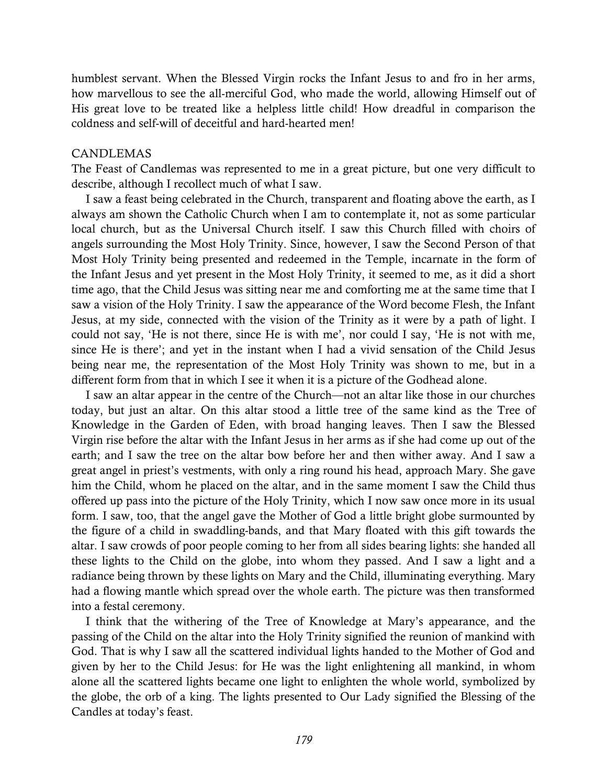humblest servant. When the Blessed Virgin rocks the Infant Jesus to and fro in her arms, how marvellous to see the all-merciful God, who made the world, allowing Himself out of His great love to be treated like a helpless little child! How dreadful in comparison the coldness and self-will of deceitful and hard-hearted men!

## CANDLEMAS

The Feast of Candlemas was represented to me in a great picture, but one very difficult to describe, although I recollect much of what I saw.

I saw a feast being celebrated in the Church, transparent and floating above the earth, as I always am shown the Catholic Church when I am to contemplate it, not as some particular local church, but as the Universal Church itself. I saw this Church filled with choirs of angels surrounding the Most Holy Trinity. Since, however, I saw the Second Person of that Most Holy Trinity being presented and redeemed in the Temple, incarnate in the form of the Infant Jesus and yet present in the Most Holy Trinity, it seemed to me, as it did a short time ago, that the Child Jesus was sitting near me and comforting me at the same time that I saw a vision of the Holy Trinity. I saw the appearance of the Word become Flesh, the Infant Jesus, at my side, connected with the vision of the Trinity as it were by a path of light. I could not say, 'He is not there, since He is with me', nor could I say, 'He is not with me, since He is there'; and yet in the instant when I had a vivid sensation of the Child Jesus being near me, the representation of the Most Holy Trinity was shown to me, but in a different form from that in which I see it when it is a picture of the Godhead alone.

I saw an altar appear in the centre of the Church—not an altar like those in our churches today, but just an altar. On this altar stood a little tree of the same kind as the Tree of Knowledge in the Garden of Eden, with broad hanging leaves. Then I saw the Blessed Virgin rise before the altar with the Infant Jesus in her arms as if she had come up out of the earth; and I saw the tree on the altar bow before her and then wither away. And I saw a great angel in priest's vestments, with only a ring round his head, approach Mary. She gave him the Child, whom he placed on the altar, and in the same moment I saw the Child thus offered up pass into the picture of the Holy Trinity, which I now saw once more in its usual form. I saw, too, that the angel gave the Mother of God a little bright globe surmounted by the figure of a child in swaddling-bands, and that Mary floated with this gift towards the altar. I saw crowds of poor people coming to her from all sides bearing lights: she handed all these lights to the Child on the globe, into whom they passed. And I saw a light and a radiance being thrown by these lights on Mary and the Child, illuminating everything. Mary had a flowing mantle which spread over the whole earth. The picture was then transformed into a festal ceremony.

I think that the withering of the Tree of Knowledge at Mary's appearance, and the passing of the Child on the altar into the Holy Trinity signified the reunion of mankind with God. That is why I saw all the scattered individual lights handed to the Mother of God and given by her to the Child Jesus: for He was the light enlightening all mankind, in whom alone all the scattered lights became one light to enlighten the whole world, symbolized by the globe, the orb of a king. The lights presented to Our Lady signified the Blessing of the Candles at today's feast.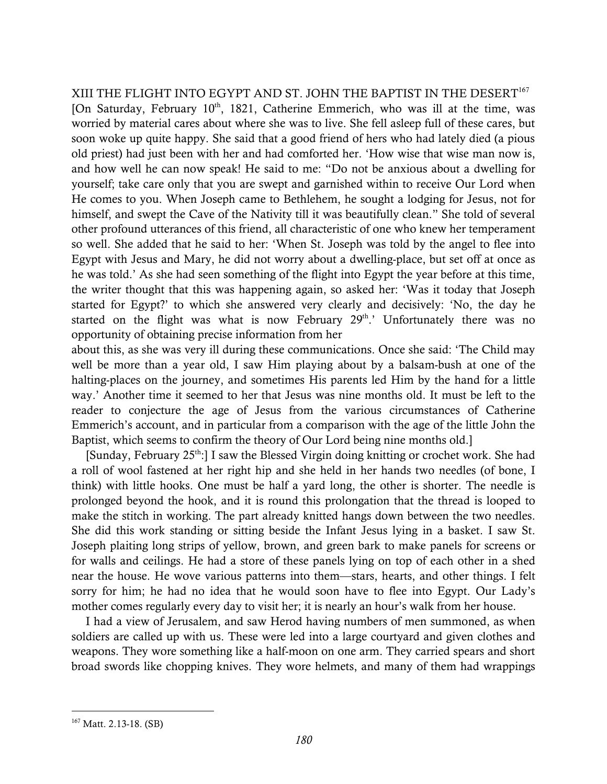## XIII THE FLIGHT INTO EGYPT AND ST. JOHN THE BAPTIST IN THE DESERT<sup>167</sup>

[On Saturday, February 10<sup>th</sup>, 1821, Catherine Emmerich, who was ill at the time, was worried by material cares about where she was to live. She fell asleep full of these cares, but soon woke up quite happy. She said that a good friend of hers who had lately died (a pious old priest) had just been with her and had comforted her. 'How wise that wise man now is, and how well he can now speak! He said to me: "Do not be anxious about a dwelling for yourself; take care only that you are swept and garnished within to receive Our Lord when He comes to you. When Joseph came to Bethlehem, he sought a lodging for Jesus, not for himself, and swept the Cave of the Nativity till it was beautifully clean." She told of several other profound utterances of this friend, all characteristic of one who knew her temperament so well. She added that he said to her: 'When St. Joseph was told by the angel to flee into Egypt with Jesus and Mary, he did not worry about a dwelling-place, but set off at once as he was told.' As she had seen something of the flight into Egypt the year before at this time, the writer thought that this was happening again, so asked her: 'Was it today that Joseph started for Egypt?' to which she answered very clearly and decisively: 'No, the day he started on the flight was what is now February  $29<sup>th</sup>$ .' Unfortunately there was no opportunity of obtaining precise information from her

about this, as she was very ill during these communications. Once she said: 'The Child may well be more than a year old, I saw Him playing about by a balsam-bush at one of the halting-places on the journey, and sometimes His parents led Him by the hand for a little way.' Another time it seemed to her that Jesus was nine months old. It must be left to the reader to conjecture the age of Jesus from the various circumstances of Catherine Emmerich's account, and in particular from a comparison with the age of the little John the Baptist, which seems to confirm the theory of Our Lord being nine months old.]

[Sunday, February 25<sup>th</sup>:] I saw the Blessed Virgin doing knitting or crochet work. She had a roll of wool fastened at her right hip and she held in her hands two needles (of bone, I think) with little hooks. One must be half a yard long, the other is shorter. The needle is prolonged beyond the hook, and it is round this prolongation that the thread is looped to make the stitch in working. The part already knitted hangs down between the two needles. She did this work standing or sitting beside the Infant Jesus lying in a basket. I saw St. Joseph plaiting long strips of yellow, brown, and green bark to make panels for screens or for walls and ceilings. He had a store of these panels lying on top of each other in a shed near the house. He wove various patterns into them—stars, hearts, and other things. I felt sorry for him; he had no idea that he would soon have to flee into Egypt. Our Lady's mother comes regularly every day to visit her; it is nearly an hour's walk from her house.

I had a view of Jerusalem, and saw Herod having numbers of men summoned, as when soldiers are called up with us. These were led into a large courtyard and given clothes and weapons. They wore something like a half-moon on one arm. They carried spears and short broad swords like chopping knives. They wore helmets, and many of them had wrappings

<sup>&</sup>lt;sup>167</sup> Matt. 2.13-18. (SB)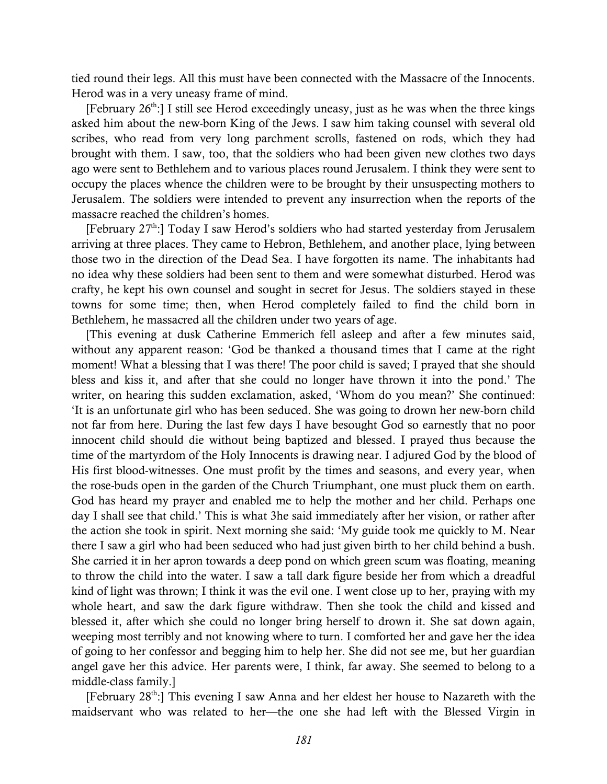tied round their legs. All this must have been connected with the Massacre of the Innocents. Herod was in a very uneasy frame of mind.

[February  $26<sup>th</sup>$ :] I still see Herod exceedingly uneasy, just as he was when the three kings asked him about the new-born King of the Jews. I saw him taking counsel with several old scribes, who read from very long parchment scrolls, fastened on rods, which they had brought with them. I saw, too, that the soldiers who had been given new clothes two days ago were sent to Bethlehem and to various places round Jerusalem. I think they were sent to occupy the places whence the children were to be brought by their unsuspecting mothers to Jerusalem. The soldiers were intended to prevent any insurrection when the reports of the massacre reached the children's homes.

[February  $27<sup>th</sup>$ :] Today I saw Herod's soldiers who had started yesterday from Jerusalem arriving at three places. They came to Hebron, Bethlehem, and another place, lying between those two in the direction of the Dead Sea. I have forgotten its name. The inhabitants had no idea why these soldiers had been sent to them and were somewhat disturbed. Herod was crafty, he kept his own counsel and sought in secret for Jesus. The soldiers stayed in these towns for some time; then, when Herod completely failed to find the child born in Bethlehem, he massacred all the children under two years of age.

[This evening at dusk Catherine Emmerich fell asleep and after a few minutes said, without any apparent reason: 'God be thanked a thousand times that I came at the right moment! What a blessing that I was there! The poor child is saved; I prayed that she should bless and kiss it, and after that she could no longer have thrown it into the pond.' The writer, on hearing this sudden exclamation, asked, 'Whom do you mean?' She continued: 'It is an unfortunate girl who has been seduced. She was going to drown her new-born child not far from here. During the last few days I have besought God so earnestly that no poor innocent child should die without being baptized and blessed. I prayed thus because the time of the martyrdom of the Holy Innocents is drawing near. I adjured God by the blood of His first blood-witnesses. One must profit by the times and seasons, and every year, when the rose-buds open in the garden of the Church Triumphant, one must pluck them on earth. God has heard my prayer and enabled me to help the mother and her child. Perhaps one day I shall see that child.' This is what 3he said immediately after her vision, or rather after the action she took in spirit. Next morning she said: 'My guide took me quickly to M. Near there I saw a girl who had been seduced who had just given birth to her child behind a bush. She carried it in her apron towards a deep pond on which green scum was floating, meaning to throw the child into the water. I saw a tall dark figure beside her from which a dreadful kind of light was thrown; I think it was the evil one. I went close up to her, praying with my whole heart, and saw the dark figure withdraw. Then she took the child and kissed and blessed it, after which she could no longer bring herself to drown it. She sat down again, weeping most terribly and not knowing where to turn. I comforted her and gave her the idea of going to her confessor and begging him to help her. She did not see me, but her guardian angel gave her this advice. Her parents were, I think, far away. She seemed to belong to a middle-class family.]

[February 28<sup>th</sup>:] This evening I saw Anna and her eldest her house to Nazareth with the maidservant who was related to her—the one she had left with the Blessed Virgin in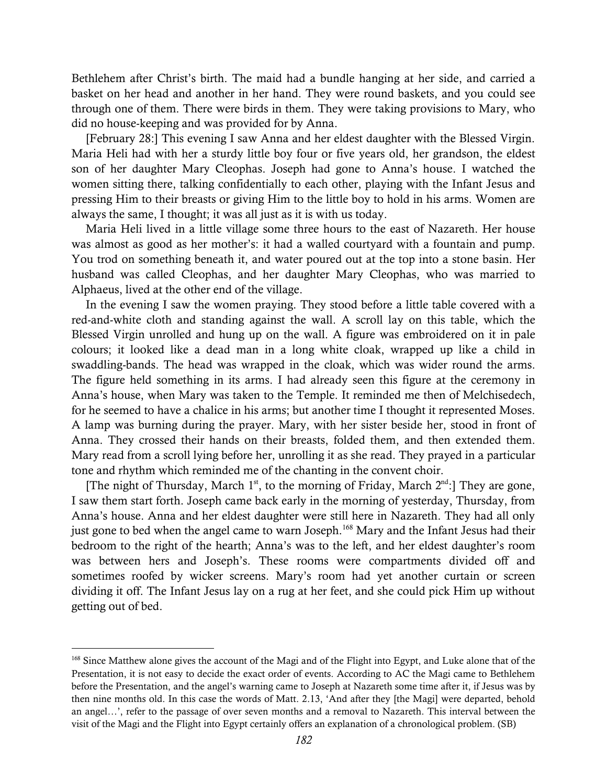Bethlehem after Christ's birth. The maid had a bundle hanging at her side, and carried a basket on her head and another in her hand. They were round baskets, and you could see through one of them. There were birds in them. They were taking provisions to Mary, who did no house-keeping and was provided for by Anna.

[February 28:] This evening I saw Anna and her eldest daughter with the Blessed Virgin. Maria Heli had with her a sturdy little boy four or five years old, her grandson, the eldest son of her daughter Mary Cleophas. Joseph had gone to Anna's house. I watched the women sitting there, talking confidentially to each other, playing with the Infant Jesus and pressing Him to their breasts or giving Him to the little boy to hold in his arms. Women are always the same, I thought; it was all just as it is with us today.

Maria Heli lived in a little village some three hours to the east of Nazareth. Her house was almost as good as her mother's: it had a walled courtyard with a fountain and pump. You trod on something beneath it, and water poured out at the top into a stone basin. Her husband was called Cleophas, and her daughter Mary Cleophas, who was married to Alphaeus, lived at the other end of the village.

In the evening I saw the women praying. They stood before a little table covered with a red-and-white cloth and standing against the wall. A scroll lay on this table, which the Blessed Virgin unrolled and hung up on the wall. A figure was embroidered on it in pale colours; it looked like a dead man in a long white cloak, wrapped up like a child in swaddling-bands. The head was wrapped in the cloak, which was wider round the arms. The figure held something in its arms. I had already seen this figure at the ceremony in Anna's house, when Mary was taken to the Temple. It reminded me then of Melchisedech, for he seemed to have a chalice in his arms; but another time I thought it represented Moses. A lamp was burning during the prayer. Mary, with her sister beside her, stood in front of Anna. They crossed their hands on their breasts, folded them, and then extended them. Mary read from a scroll lying before her, unrolling it as she read. They prayed in a particular tone and rhythm which reminded me of the chanting in the convent choir.

[The night of Thursday, March 1<sup>st</sup>, to the morning of Friday, March  $2<sup>nd</sup>$ :] They are gone, I saw them start forth. Joseph came back early in the morning of yesterday, Thursday, from Anna's house. Anna and her eldest daughter were still here in Nazareth. They had all only just gone to bed when the angel came to warn Joseph.<sup>168</sup> Mary and the Infant Jesus had their bedroom to the right of the hearth; Anna's was to the left, and her eldest daughter's room was between hers and Joseph's. These rooms were compartments divided off and sometimes roofed by wicker screens. Mary's room had yet another curtain or screen dividing it off. The Infant Jesus lay on a rug at her feet, and she could pick Him up without getting out of bed.

<sup>&</sup>lt;sup>168</sup> Since Matthew alone gives the account of the Magi and of the Flight into Egypt, and Luke alone that of the Presentation, it is not easy to decide the exact order of events. According to AC the Magi came to Bethlehem before the Presentation, and the angel's warning came to Joseph at Nazareth some time after it, if Jesus was by then nine months old. In this case the words of Matt. 2.13, 'And after they [the Magi] were departed, behold an angel…', refer to the passage of over seven months and a removal to Nazareth. This interval between the visit of the Magi and the Flight into Egypt certainly offers an explanation of a chronological problem. (SB)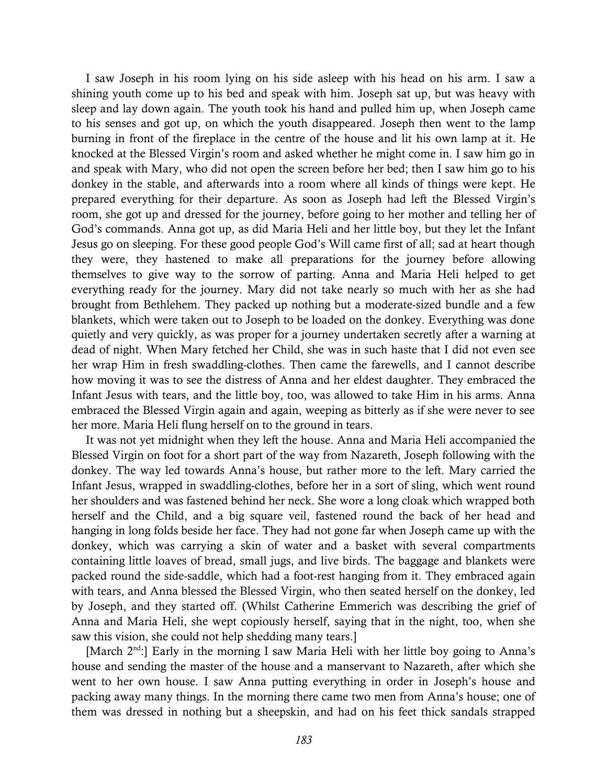I saw Joseph in his room lying on his side asleep with his head on his arm. I saw a shining youth come up to his bed and speak with him. Joseph sat up, but was heavy with sleep and lay down again. The youth took his hand and pulled him up, when Joseph came to his senses and got up, on which the youth disappeared. Joseph then went to the lamp burning in front of the fireplace in the centre of the house and lit his own lamp at it. He knocked at the Blessed Virgin's room and asked whether he might come in. I saw him go in and speak with Mary, who did not open the screen before her bed; then I saw him go to his donkey in the stable, and afterwards into a room where all kinds of things were kept. He prepared everything for their departure. As soon as Joseph had left the Blessed Virgin's room, she got up and dressed for the journey, before going to her mother and telling her of God's commands. Anna got up, as did Maria Heli and her little boy, but they let the Infant Jesus go on sleeping. For these good people God's Will came first of all; sad at heart though they were, they hastened to make all preparations for the journey before allowing themselves to give way to the sorrow of parting. Anna and Maria Heli helped to get everything ready for the journey. Mary did not take nearly so much with her as she had brought from Bethlehem. They packed up nothing but a moderate-sized bundle and a few blankets, which were taken out to Joseph to be loaded on the donkey. Everything was done quietly and very quickly, as was proper for a journey undertaken secretly after a warning at dead of night. When Mary fetched her Child, she was in such haste that I did not even see her wrap Him in fresh swaddling-clothes. Then came the farewells, and I cannot describe how moving it was to see the distress of Anna and her eldest daughter. They embraced the Infant Jesus with tears, and the little boy, too, was allowed to take Him in his arms. Anna embraced the Blessed Virgin again and again, weeping as bitterly as if she were never to see her more. Maria Heli flung herself on to the ground in tears.

It was not yet midnight when they left the house. Anna and Maria Heli accompanied the Blessed Virgin on foot for a short part of the way from Nazareth, Joseph following with the donkey. The way led towards Anna's house, but rather more to the left. Mary carried the Infant Jesus, wrapped in swaddling-clothes, before her in a sort of sling, which went round her shoulders and was fastened behind her neck. She wore a long cloak which wrapped both herself and the Child, and a big square veil, fastened round the back of her head and hanging in long folds beside her face. They had not gone far when Joseph came up with the donkey, which was carrying a skin of water and a basket with several compartments containing little loaves of bread, small jugs, and live birds. The baggage and blankets were packed round the side-saddle, which had a foot-rest hanging from it. They embraced again with tears, and Anna blessed the Blessed Virgin, who then seated herself on the donkey, led by Joseph, and they started off. (Whilst Catherine Emmerich was describing the grief of Anna and Maria Heli, she wept copiously herself, saying that in the night, too, when she saw this vision, she could not help shedding many tears.]

[March 2<sup>nd</sup>:] Early in the morning I saw Maria Heli with her little boy going to Anna's house and sending the master of the house and a manservant to Nazareth, after which she went to her own house. I saw Anna putting everything in order in Joseph's house and packing away many things. In the morning there came two men from Anna's house; one of them was dressed in nothing but a sheepskin, and had on his feet thick sandals strapped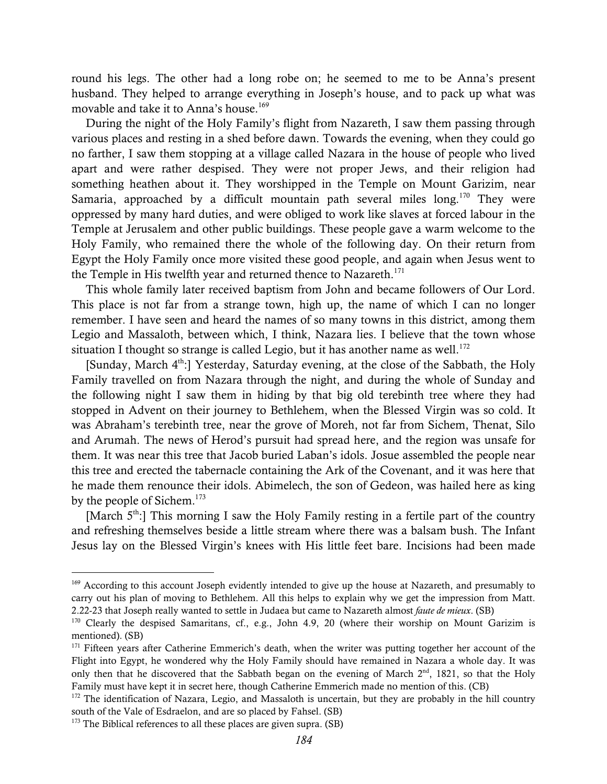round his legs. The other had a long robe on; he seemed to me to be Anna's present husband. They helped to arrange everything in Joseph's house, and to pack up what was movable and take it to Anna's house.<sup>169</sup>

During the night of the Holy Family's flight from Nazareth, I saw them passing through various places and resting in a shed before dawn. Towards the evening, when they could go no farther, I saw them stopping at a village called Nazara in the house of people who lived apart and were rather despised. They were not proper Jews, and their religion had something heathen about it. They worshipped in the Temple on Mount Garizim, near Samaria, approached by a difficult mountain path several miles long.<sup>170</sup> They were oppressed by many hard duties, and were obliged to work like slaves at forced labour in the Temple at Jerusalem and other public buildings. These people gave a warm welcome to the Holy Family, who remained there the whole of the following day. On their return from Egypt the Holy Family once more visited these good people, and again when Jesus went to the Temple in His twelfth year and returned thence to Nazareth.<sup>171</sup>

This whole family later received baptism from John and became followers of Our Lord. This place is not far from a strange town, high up, the name of which I can no longer remember. I have seen and heard the names of so many towns in this district, among them Legio and Massaloth, between which, I think, Nazara lies. I believe that the town whose situation I thought so strange is called Legio, but it has another name as well.<sup>172</sup>

[Sunday, March 4<sup>th</sup>:] Yesterday, Saturday evening, at the close of the Sabbath, the Holy Family travelled on from Nazara through the night, and during the whole of Sunday and the following night I saw them in hiding by that big old terebinth tree where they had stopped in Advent on their journey to Bethlehem, when the Blessed Virgin was so cold. It was Abraham's terebinth tree, near the grove of Moreh, not far from Sichem, Thenat, Silo and Arumah. The news of Herod's pursuit had spread here, and the region was unsafe for them. It was near this tree that Jacob buried Laban's idols. Josue assembled the people near this tree and erected the tabernacle containing the Ark of the Covenant, and it was here that he made them renounce their idols. Abimelech, the son of Gedeon, was hailed here as king by the people of Sichem.<sup>173</sup>

[March 5<sup>th</sup>:] This morning I saw the Holy Family resting in a fertile part of the country and refreshing themselves beside a little stream where there was a balsam bush. The Infant Jesus lay on the Blessed Virgin's knees with His little feet bare. Incisions had been made

<sup>&</sup>lt;sup>169</sup> According to this account Joseph evidently intended to give up the house at Nazareth, and presumably to carry out his plan of moving to Bethlehem. All this helps to explain why we get the impression from Matt. 2.22-23 that Joseph really wanted to settle in Judaea but came to Nazareth almost *faute de mieux*. (SB)

<sup>&</sup>lt;sup>170</sup> Clearly the despised Samaritans, cf., e.g., John 4.9, 20 (where their worship on Mount Garizim is mentioned). (SB)

<sup>&</sup>lt;sup>171</sup> Fifteen years after Catherine Emmerich's death, when the writer was putting together her account of the Flight into Egypt, he wondered why the Holy Family should have remained in Nazara a whole day. It was only then that he discovered that the Sabbath began on the evening of March 2<sup>nd</sup>, 1821, so that the Holy Family must have kept it in secret here, though Catherine Emmerich made no mention of this. (CB)

<sup>&</sup>lt;sup>172</sup> The identification of Nazara, Legio, and Massaloth is uncertain, but they are probably in the hill country south of the Vale of Esdraelon, and are so placed by Fahsel. (SB)

 $173$  The Biblical references to all these places are given supra. (SB)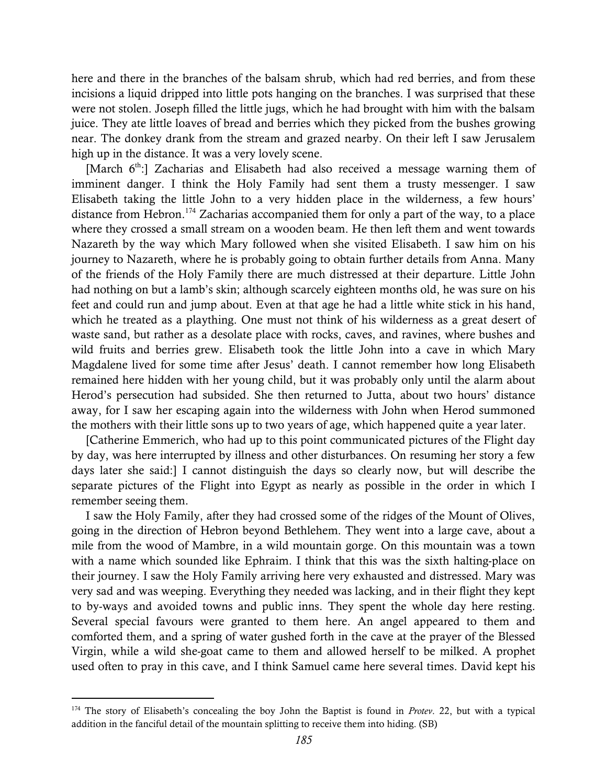here and there in the branches of the balsam shrub, which had red berries, and from these incisions a liquid dripped into little pots hanging on the branches. I was surprised that these were not stolen. Joseph filled the little jugs, which he had brought with him with the balsam juice. They ate little loaves of bread and berries which they picked from the bushes growing near. The donkey drank from the stream and grazed nearby. On their left I saw Jerusalem high up in the distance. It was a very lovely scene.

[March 6<sup>th</sup>:] Zacharias and Elisabeth had also received a message warning them of imminent danger. I think the Holy Family had sent them a trusty messenger. I saw Elisabeth taking the little John to a very hidden place in the wilderness, a few hours' distance from Hebron.<sup>174</sup> Zacharias accompanied them for only a part of the way, to a place where they crossed a small stream on a wooden beam. He then left them and went towards Nazareth by the way which Mary followed when she visited Elisabeth. I saw him on his journey to Nazareth, where he is probably going to obtain further details from Anna. Many of the friends of the Holy Family there are much distressed at their departure. Little John had nothing on but a lamb's skin; although scarcely eighteen months old, he was sure on his feet and could run and jump about. Even at that age he had a little white stick in his hand, which he treated as a plaything. One must not think of his wilderness as a great desert of waste sand, but rather as a desolate place with rocks, caves, and ravines, where bushes and wild fruits and berries grew. Elisabeth took the little John into a cave in which Mary Magdalene lived for some time after Jesus' death. I cannot remember how long Elisabeth remained here hidden with her young child, but it was probably only until the alarm about Herod's persecution had subsided. She then returned to Jutta, about two hours' distance away, for I saw her escaping again into the wilderness with John when Herod summoned the mothers with their little sons up to two years of age, which happened quite a year later.

[Catherine Emmerich, who had up to this point communicated pictures of the Flight day by day, was here interrupted by illness and other disturbances. On resuming her story a few days later she said:] I cannot distinguish the days so clearly now, but will describe the separate pictures of the Flight into Egypt as nearly as possible in the order in which I remember seeing them.

I saw the Holy Family, after they had crossed some of the ridges of the Mount of Olives, going in the direction of Hebron beyond Bethlehem. They went into a large cave, about a mile from the wood of Mambre, in a wild mountain gorge. On this mountain was a town with a name which sounded like Ephraim. I think that this was the sixth halting-place on their journey. I saw the Holy Family arriving here very exhausted and distressed. Mary was very sad and was weeping. Everything they needed was lacking, and in their flight they kept to by-ways and avoided towns and public inns. They spent the whole day here resting. Several special favours were granted to them here. An angel appeared to them and comforted them, and a spring of water gushed forth in the cave at the prayer of the Blessed Virgin, while a wild she-goat came to them and allowed herself to be milked. A prophet used often to pray in this cave, and I think Samuel came here several times. David kept his

<sup>174</sup> The story of Elisabeth's concealing the boy John the Baptist is found in *Protev*. 22, but with a typical addition in the fanciful detail of the mountain splitting to receive them into hiding. (SB)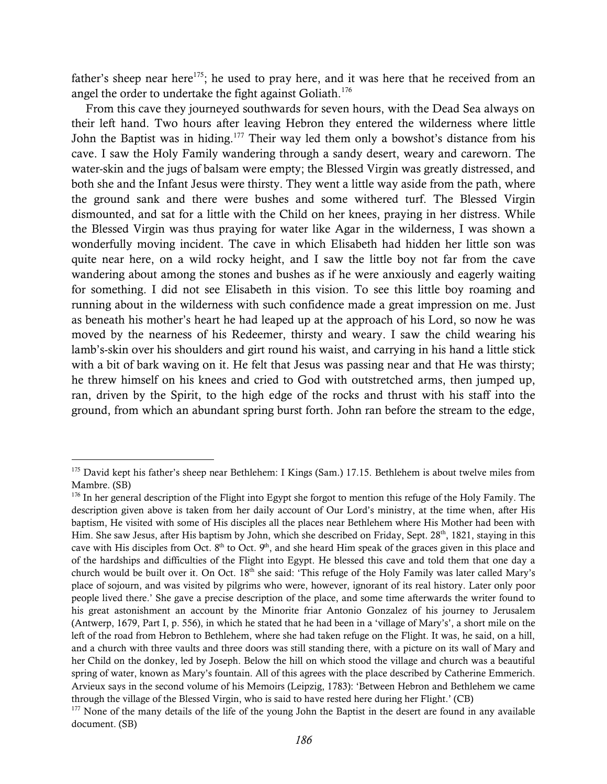father's sheep near here<sup>175</sup>; he used to pray here, and it was here that he received from an angel the order to undertake the fight against Goliath.<sup>176</sup>

From this cave they journeyed southwards for seven hours, with the Dead Sea always on their left hand. Two hours after leaving Hebron they entered the wilderness where little John the Baptist was in hiding.<sup>177</sup> Their way led them only a bowshot's distance from his cave. I saw the Holy Family wandering through a sandy desert, weary and careworn. The water-skin and the jugs of balsam were empty; the Blessed Virgin was greatly distressed, and both she and the Infant Jesus were thirsty. They went a little way aside from the path, where the ground sank and there were bushes and some withered turf. The Blessed Virgin dismounted, and sat for a little with the Child on her knees, praying in her distress. While the Blessed Virgin was thus praying for water like Agar in the wilderness, I was shown a wonderfully moving incident. The cave in which Elisabeth had hidden her little son was quite near here, on a wild rocky height, and I saw the little boy not far from the cave wandering about among the stones and bushes as if he were anxiously and eagerly waiting for something. I did not see Elisabeth in this vision. To see this little boy roaming and running about in the wilderness with such confidence made a great impression on me. Just as beneath his mother's heart he had leaped up at the approach of his Lord, so now he was moved by the nearness of his Redeemer, thirsty and weary. I saw the child wearing his lamb's-skin over his shoulders and girt round his waist, and carrying in his hand a little stick with a bit of bark waving on it. He felt that Jesus was passing near and that He was thirsty; he threw himself on his knees and cried to God with outstretched arms, then jumped up, ran, driven by the Spirit, to the high edge of the rocks and thrust with his staff into the ground, from which an abundant spring burst forth. John ran before the stream to the edge,

<sup>&</sup>lt;sup>175</sup> David kept his father's sheep near Bethlehem: I Kings (Sam.) 17.15. Bethlehem is about twelve miles from Mambre. (SB)

<sup>&</sup>lt;sup>176</sup> In her general description of the Flight into Egypt she forgot to mention this refuge of the Holy Family. The description given above is taken from her daily account of Our Lord's ministry, at the time when, after His baptism, He visited with some of His disciples all the places near Bethlehem where His Mother had been with Him. She saw Jesus, after His baptism by John, which she described on Friday, Sept. 28<sup>th</sup>, 1821, staying in this cave with His disciples from Oct.  $8<sup>th</sup>$  to Oct.  $9<sup>th</sup>$ , and she heard Him speak of the graces given in this place and of the hardships and difficulties of the Flight into Egypt. He blessed this cave and told them that one day a church would be built over it. On Oct. 18<sup>th</sup> she said: 'This refuge of the Holy Family was later called Mary's place of sojourn, and was visited by pilgrims who were, however, ignorant of its real history. Later only poor people lived there.' She gave a precise description of the place, and some time afterwards the writer found to his great astonishment an account by the Minorite friar Antonio Gonzalez of his journey to Jerusalem (Antwerp, 1679, Part I, p. 556), in which he stated that he had been in a 'village of Mary's', a short mile on the left of the road from Hebron to Bethlehem, where she had taken refuge on the Flight. It was, he said, on a hill, and a church with three vaults and three doors was still standing there, with a picture on its wall of Mary and her Child on the donkey, led by Joseph. Below the hill on which stood the village and church was a beautiful spring of water, known as Mary's fountain. All of this agrees with the place described by Catherine Emmerich. Arvieux says in the second volume of his Memoirs (Leipzig, 1783): 'Between Hebron and Bethlehem we came through the village of the Blessed Virgin, who is said to have rested here during her Flight.' (CB)

<sup>&</sup>lt;sup>177</sup> None of the many details of the life of the young John the Baptist in the desert are found in any available document. (SB)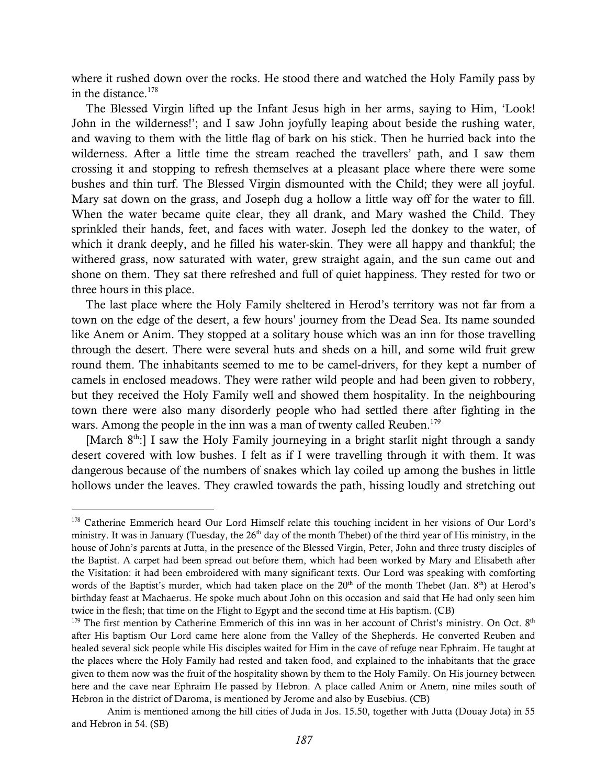where it rushed down over the rocks. He stood there and watched the Holy Family pass by in the distance.<sup>178</sup>

The Blessed Virgin lifted up the Infant Jesus high in her arms, saying to Him, 'Look! John in the wilderness!'; and I saw John joyfully leaping about beside the rushing water, and waving to them with the little flag of bark on his stick. Then he hurried back into the wilderness. After a little time the stream reached the travellers' path, and I saw them crossing it and stopping to refresh themselves at a pleasant place where there were some bushes and thin turf. The Blessed Virgin dismounted with the Child; they were all joyful. Mary sat down on the grass, and Joseph dug a hollow a little way off for the water to fill. When the water became quite clear, they all drank, and Mary washed the Child. They sprinkled their hands, feet, and faces with water. Joseph led the donkey to the water, of which it drank deeply, and he filled his water-skin. They were all happy and thankful; the withered grass, now saturated with water, grew straight again, and the sun came out and shone on them. They sat there refreshed and full of quiet happiness. They rested for two or three hours in this place.

The last place where the Holy Family sheltered in Herod's territory was not far from a town on the edge of the desert, a few hours' journey from the Dead Sea. Its name sounded like Anem or Anim. They stopped at a solitary house which was an inn for those travelling through the desert. There were several huts and sheds on a hill, and some wild fruit grew round them. The inhabitants seemed to me to be camel-drivers, for they kept a number of camels in enclosed meadows. They were rather wild people and had been given to robbery, but they received the Holy Family well and showed them hospitality. In the neighbouring town there were also many disorderly people who had settled there after fighting in the wars. Among the people in the inn was a man of twenty called Reuben.<sup>179</sup>

[March 8<sup>th</sup>:] I saw the Holy Family journeying in a bright starlit night through a sandy desert covered with low bushes. I felt as if I were travelling through it with them. It was dangerous because of the numbers of snakes which lay coiled up among the bushes in little hollows under the leaves. They crawled towards the path, hissing loudly and stretching out

<sup>&</sup>lt;sup>178</sup> Catherine Emmerich heard Our Lord Himself relate this touching incident in her visions of Our Lord's ministry. It was in January (Tuesday, the  $26<sup>th</sup>$  day of the month Thebet) of the third year of His ministry, in the house of John's parents at Jutta, in the presence of the Blessed Virgin, Peter, John and three trusty disciples of the Baptist. A carpet had been spread out before them, which had been worked by Mary and Elisabeth after the Visitation: it had been embroidered with many significant texts. Our Lord was speaking with comforting words of the Baptist's murder, which had taken place on the 20<sup>th</sup> of the month Thebet (Jan. 8<sup>th</sup>) at Herod's birthday feast at Machaerus. He spoke much about John on this occasion and said that He had only seen him twice in the flesh; that time on the Flight to Egypt and the second time at His baptism. (CB)

 $179$  The first mention by Catherine Emmerich of this inn was in her account of Christ's ministry. On Oct.  $8<sup>th</sup>$ after His baptism Our Lord came here alone from the Valley of the Shepherds. He converted Reuben and healed several sick people while His disciples waited for Him in the cave of refuge near Ephraim. He taught at the places where the Holy Family had rested and taken food, and explained to the inhabitants that the grace given to them now was the fruit of the hospitality shown by them to the Holy Family. On His journey between here and the cave near Ephraim He passed by Hebron. A place called Anim or Anem, nine miles south of Hebron in the district of Daroma, is mentioned by Jerome and also by Eusebius. (CB)

Anim is mentioned among the hill cities of Juda in Jos. 15.50, together with Jutta (Douay Jota) in 55 and Hebron in 54. (SB)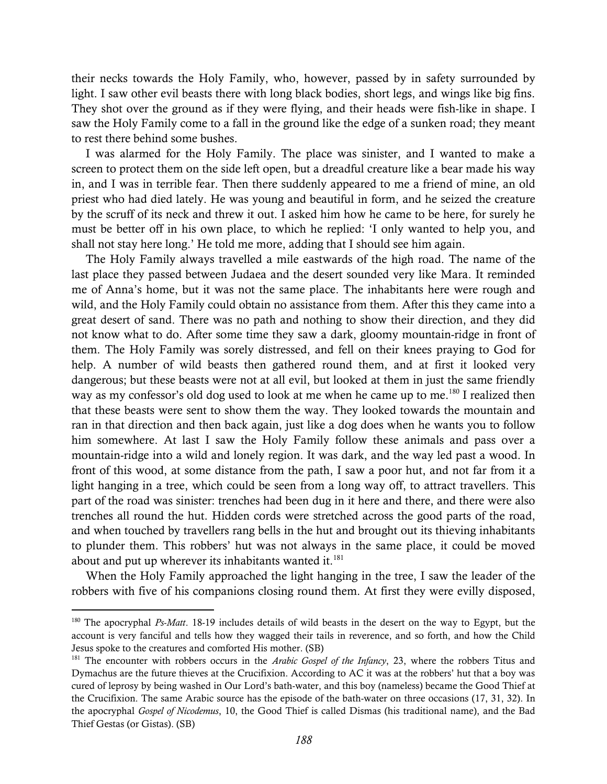their necks towards the Holy Family, who, however, passed by in safety surrounded by light. I saw other evil beasts there with long black bodies, short legs, and wings like big fins. They shot over the ground as if they were flying, and their heads were fish-like in shape. I saw the Holy Family come to a fall in the ground like the edge of a sunken road; they meant to rest there behind some bushes.

I was alarmed for the Holy Family. The place was sinister, and I wanted to make a screen to protect them on the side left open, but a dreadful creature like a bear made his way in, and I was in terrible fear. Then there suddenly appeared to me a friend of mine, an old priest who had died lately. He was young and beautiful in form, and he seized the creature by the scruff of its neck and threw it out. I asked him how he came to be here, for surely he must be better off in his own place, to which he replied: 'I only wanted to help you, and shall not stay here long.' He told me more, adding that I should see him again.

The Holy Family always travelled a mile eastwards of the high road. The name of the last place they passed between Judaea and the desert sounded very like Mara. It reminded me of Anna's home, but it was not the same place. The inhabitants here were rough and wild, and the Holy Family could obtain no assistance from them. After this they came into a great desert of sand. There was no path and nothing to show their direction, and they did not know what to do. After some time they saw a dark, gloomy mountain-ridge in front of them. The Holy Family was sorely distressed, and fell on their knees praying to God for help. A number of wild beasts then gathered round them, and at first it looked very dangerous; but these beasts were not at all evil, but looked at them in just the same friendly way as my confessor's old dog used to look at me when he came up to me.<sup>180</sup> I realized then that these beasts were sent to show them the way. They looked towards the mountain and ran in that direction and then back again, just like a dog does when he wants you to follow him somewhere. At last I saw the Holy Family follow these animals and pass over a mountain-ridge into a wild and lonely region. It was dark, and the way led past a wood. In front of this wood, at some distance from the path, I saw a poor hut, and not far from it a light hanging in a tree, which could be seen from a long way off, to attract travellers. This part of the road was sinister: trenches had been dug in it here and there, and there were also trenches all round the hut. Hidden cords were stretched across the good parts of the road, and when touched by travellers rang bells in the hut and brought out its thieving inhabitants to plunder them. This robbers' hut was not always in the same place, it could be moved about and put up wherever its inhabitants wanted it.<sup>181</sup>

When the Holy Family approached the light hanging in the tree, I saw the leader of the robbers with five of his companions closing round them. At first they were evilly disposed,

<sup>180</sup> The apocryphal *Ps-Matt*. 18-19 includes details of wild beasts in the desert on the way to Egypt, but the account is very fanciful and tells how they wagged their tails in reverence, and so forth, and how the Child Jesus spoke to the creatures and comforted His mother. (SB)

<sup>181</sup> The encounter with robbers occurs in the *Arabic Gospel of the Infancy*, 23, where the robbers Titus and Dymachus are the future thieves at the Crucifixion. According to AC it was at the robbers' hut that a boy was cured of leprosy by being washed in Our Lord's bath-water, and this boy (nameless) became the Good Thief at the Crucifixion. The same Arabic source has the episode of the bath-water on three occasions (17, 31, 32). In the apocryphal *Gospel of Nicodemus*, 10, the Good Thief is called Dismas (his traditional name), and the Bad Thief Gestas (or Gistas). (SB)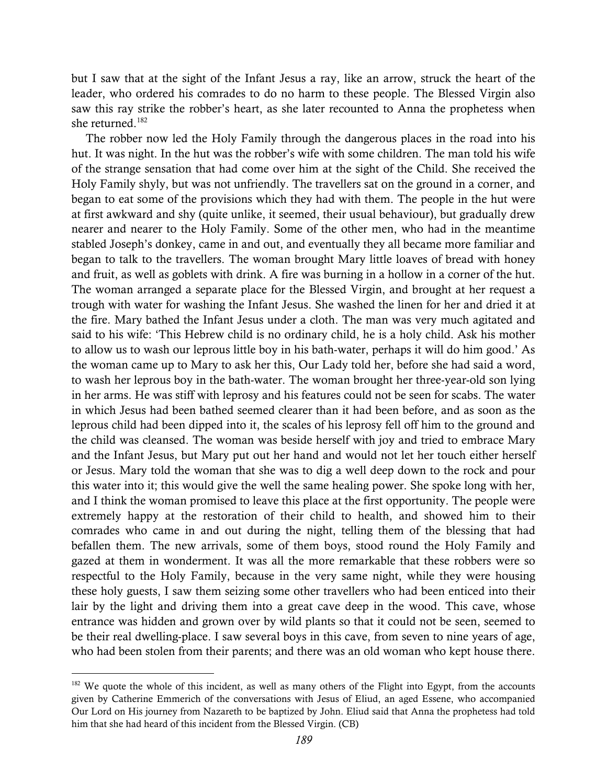but I saw that at the sight of the Infant Jesus a ray, like an arrow, struck the heart of the leader, who ordered his comrades to do no harm to these people. The Blessed Virgin also saw this ray strike the robber's heart, as she later recounted to Anna the prophetess when she returned.<sup>182</sup>

The robber now led the Holy Family through the dangerous places in the road into his hut. It was night. In the hut was the robber's wife with some children. The man told his wife of the strange sensation that had come over him at the sight of the Child. She received the Holy Family shyly, but was not unfriendly. The travellers sat on the ground in a corner, and began to eat some of the provisions which they had with them. The people in the hut were at first awkward and shy (quite unlike, it seemed, their usual behaviour), but gradually drew nearer and nearer to the Holy Family. Some of the other men, who had in the meantime stabled Joseph's donkey, came in and out, and eventually they all became more familiar and began to talk to the travellers. The woman brought Mary little loaves of bread with honey and fruit, as well as goblets with drink. A fire was burning in a hollow in a corner of the hut. The woman arranged a separate place for the Blessed Virgin, and brought at her request a trough with water for washing the Infant Jesus. She washed the linen for her and dried it at the fire. Mary bathed the Infant Jesus under a cloth. The man was very much agitated and said to his wife: 'This Hebrew child is no ordinary child, he is a holy child. Ask his mother to allow us to wash our leprous little boy in his bath-water, perhaps it will do him good.' As the woman came up to Mary to ask her this, Our Lady told her, before she had said a word, to wash her leprous boy in the bath-water. The woman brought her three-year-old son lying in her arms. He was stiff with leprosy and his features could not be seen for scabs. The water in which Jesus had been bathed seemed clearer than it had been before, and as soon as the leprous child had been dipped into it, the scales of his leprosy fell off him to the ground and the child was cleansed. The woman was beside herself with joy and tried to embrace Mary and the Infant Jesus, but Mary put out her hand and would not let her touch either herself or Jesus. Mary told the woman that she was to dig a well deep down to the rock and pour this water into it; this would give the well the same healing power. She spoke long with her, and I think the woman promised to leave this place at the first opportunity. The people were extremely happy at the restoration of their child to health, and showed him to their comrades who came in and out during the night, telling them of the blessing that had befallen them. The new arrivals, some of them boys, stood round the Holy Family and gazed at them in wonderment. It was all the more remarkable that these robbers were so respectful to the Holy Family, because in the very same night, while they were housing these holy guests, I saw them seizing some other travellers who had been enticed into their lair by the light and driving them into a great cave deep in the wood. This cave, whose entrance was hidden and grown over by wild plants so that it could not be seen, seemed to be their real dwelling-place. I saw several boys in this cave, from seven to nine years of age, who had been stolen from their parents; and there was an old woman who kept house there.

<sup>&</sup>lt;sup>182</sup> We quote the whole of this incident, as well as many others of the Flight into Egypt, from the accounts given by Catherine Emmerich of the conversations with Jesus of Eliud, an aged Essene, who accompanied Our Lord on His journey from Nazareth to be baptized by John. Eliud said that Anna the prophetess had told him that she had heard of this incident from the Blessed Virgin. (CB)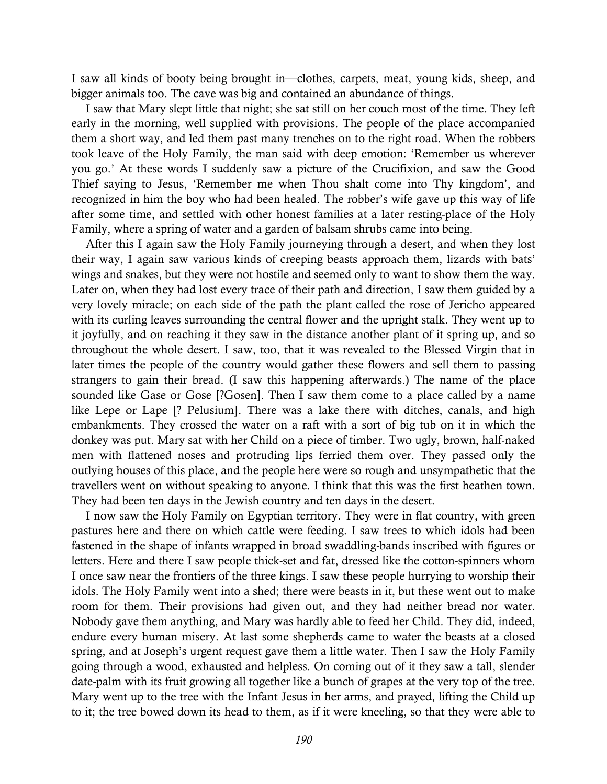I saw all kinds of booty being brought in—clothes, carpets, meat, young kids, sheep, and bigger animals too. The cave was big and contained an abundance of things.

I saw that Mary slept little that night; she sat still on her couch most of the time. They left early in the morning, well supplied with provisions. The people of the place accompanied them a short way, and led them past many trenches on to the right road. When the robbers took leave of the Holy Family, the man said with deep emotion: 'Remember us wherever you go.' At these words I suddenly saw a picture of the Crucifixion, and saw the Good Thief saying to Jesus, 'Remember me when Thou shalt come into Thy kingdom', and recognized in him the boy who had been healed. The robber's wife gave up this way of life after some time, and settled with other honest families at a later resting-place of the Holy Family, where a spring of water and a garden of balsam shrubs came into being.

After this I again saw the Holy Family journeying through a desert, and when they lost their way, I again saw various kinds of creeping beasts approach them, lizards with bats' wings and snakes, but they were not hostile and seemed only to want to show them the way. Later on, when they had lost every trace of their path and direction, I saw them guided by a very lovely miracle; on each side of the path the plant called the rose of Jericho appeared with its curling leaves surrounding the central flower and the upright stalk. They went up to it joyfully, and on reaching it they saw in the distance another plant of it spring up, and so throughout the whole desert. I saw, too, that it was revealed to the Blessed Virgin that in later times the people of the country would gather these flowers and sell them to passing strangers to gain their bread. (I saw this happening afterwards.) The name of the place sounded like Gase or Gose [?Gosen]. Then I saw them come to a place called by a name like Lepe or Lape [? Pelusium]. There was a lake there with ditches, canals, and high embankments. They crossed the water on a raft with a sort of big tub on it in which the donkey was put. Mary sat with her Child on a piece of timber. Two ugly, brown, half-naked men with flattened noses and protruding lips ferried them over. They passed only the outlying houses of this place, and the people here were so rough and unsympathetic that the travellers went on without speaking to anyone. I think that this was the first heathen town. They had been ten days in the Jewish country and ten days in the desert.

I now saw the Holy Family on Egyptian territory. They were in flat country, with green pastures here and there on which cattle were feeding. I saw trees to which idols had been fastened in the shape of infants wrapped in broad swaddling-bands inscribed with figures or letters. Here and there I saw people thick-set and fat, dressed like the cotton-spinners whom I once saw near the frontiers of the three kings. I saw these people hurrying to worship their idols. The Holy Family went into a shed; there were beasts in it, but these went out to make room for them. Their provisions had given out, and they had neither bread nor water. Nobody gave them anything, and Mary was hardly able to feed her Child. They did, indeed, endure every human misery. At last some shepherds came to water the beasts at a closed spring, and at Joseph's urgent request gave them a little water. Then I saw the Holy Family going through a wood, exhausted and helpless. On coming out of it they saw a tall, slender date-palm with its fruit growing all together like a bunch of grapes at the very top of the tree. Mary went up to the tree with the Infant Jesus in her arms, and prayed, lifting the Child up to it; the tree bowed down its head to them, as if it were kneeling, so that they were able to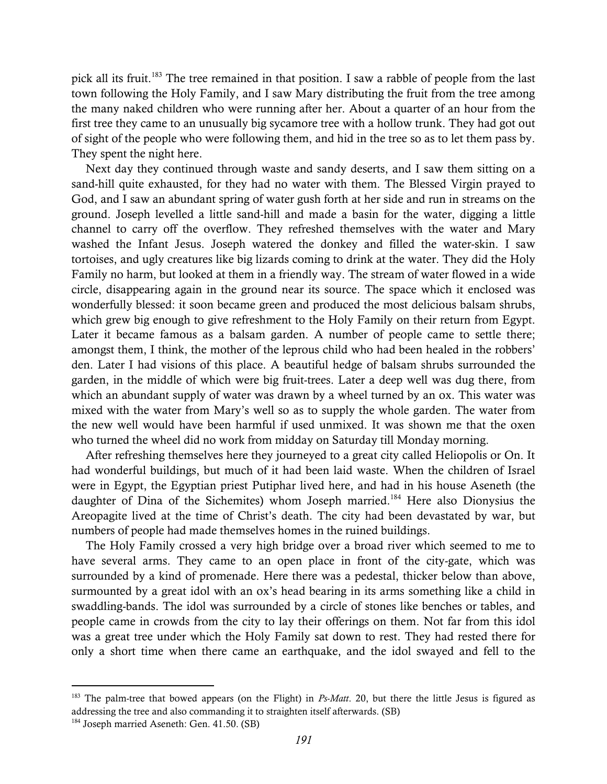pick all its fruit.<sup>183</sup> The tree remained in that position. I saw a rabble of people from the last town following the Holy Family, and I saw Mary distributing the fruit from the tree among the many naked children who were running after her. About a quarter of an hour from the first tree they came to an unusually big sycamore tree with a hollow trunk. They had got out of sight of the people who were following them, and hid in the tree so as to let them pass by. They spent the night here.

Next day they continued through waste and sandy deserts, and I saw them sitting on a sand-hill quite exhausted, for they had no water with them. The Blessed Virgin prayed to God, and I saw an abundant spring of water gush forth at her side and run in streams on the ground. Joseph levelled a little sand-hill and made a basin for the water, digging a little channel to carry off the overflow. They refreshed themselves with the water and Mary washed the Infant Jesus. Joseph watered the donkey and filled the water-skin. I saw tortoises, and ugly creatures like big lizards coming to drink at the water. They did the Holy Family no harm, but looked at them in a friendly way. The stream of water flowed in a wide circle, disappearing again in the ground near its source. The space which it enclosed was wonderfully blessed: it soon became green and produced the most delicious balsam shrubs, which grew big enough to give refreshment to the Holy Family on their return from Egypt. Later it became famous as a balsam garden. A number of people came to settle there; amongst them, I think, the mother of the leprous child who had been healed in the robbers' den. Later I had visions of this place. A beautiful hedge of balsam shrubs surrounded the garden, in the middle of which were big fruit-trees. Later a deep well was dug there, from which an abundant supply of water was drawn by a wheel turned by an ox. This water was mixed with the water from Mary's well so as to supply the whole garden. The water from the new well would have been harmful if used unmixed. It was shown me that the oxen who turned the wheel did no work from midday on Saturday till Monday morning.

After refreshing themselves here they journeyed to a great city called Heliopolis or On. It had wonderful buildings, but much of it had been laid waste. When the children of Israel were in Egypt, the Egyptian priest Putiphar lived here, and had in his house Aseneth (the daughter of Dina of the Sichemites) whom Joseph married.<sup>184</sup> Here also Dionysius the Areopagite lived at the time of Christ's death. The city had been devastated by war, but numbers of people had made themselves homes in the ruined buildings.

The Holy Family crossed a very high bridge over a broad river which seemed to me to have several arms. They came to an open place in front of the city-gate, which was surrounded by a kind of promenade. Here there was a pedestal, thicker below than above, surmounted by a great idol with an ox's head bearing in its arms something like a child in swaddling-bands. The idol was surrounded by a circle of stones like benches or tables, and people came in crowds from the city to lay their offerings on them. Not far from this idol was a great tree under which the Holy Family sat down to rest. They had rested there for only a short time when there came an earthquake, and the idol swayed and fell to the

<sup>&</sup>lt;sup>183</sup> The palm-tree that bowed appears (on the Flight) in *Ps-Matt*. 20, but there the little Jesus is figured as addressing the tree and also commanding it to straighten itself afterwards. (SB)

<sup>&</sup>lt;sup>184</sup> Joseph married Aseneth: Gen. 41.50. (SB)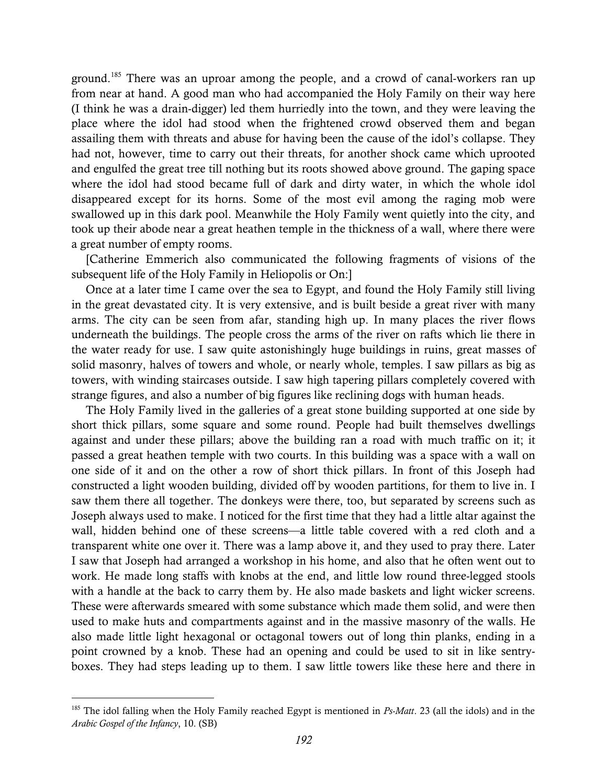ground.<sup>185</sup> There was an uproar among the people, and a crowd of canal-workers ran up from near at hand. A good man who had accompanied the Holy Family on their way here (I think he was a drain-digger) led them hurriedly into the town, and they were leaving the place where the idol had stood when the frightened crowd observed them and began assailing them with threats and abuse for having been the cause of the idol's collapse. They had not, however, time to carry out their threats, for another shock came which uprooted and engulfed the great tree till nothing but its roots showed above ground. The gaping space where the idol had stood became full of dark and dirty water, in which the whole idol disappeared except for its horns. Some of the most evil among the raging mob were swallowed up in this dark pool. Meanwhile the Holy Family went quietly into the city, and took up their abode near a great heathen temple in the thickness of a wall, where there were a great number of empty rooms.

[Catherine Emmerich also communicated the following fragments of visions of the subsequent life of the Holy Family in Heliopolis or On:]

Once at a later time I came over the sea to Egypt, and found the Holy Family still living in the great devastated city. It is very extensive, and is built beside a great river with many arms. The city can be seen from afar, standing high up. In many places the river flows underneath the buildings. The people cross the arms of the river on rafts which lie there in the water ready for use. I saw quite astonishingly huge buildings in ruins, great masses of solid masonry, halves of towers and whole, or nearly whole, temples. I saw pillars as big as towers, with winding staircases outside. I saw high tapering pillars completely covered with strange figures, and also a number of big figures like reclining dogs with human heads.

The Holy Family lived in the galleries of a great stone building supported at one side by short thick pillars, some square and some round. People had built themselves dwellings against and under these pillars; above the building ran a road with much traffic on it; it passed a great heathen temple with two courts. In this building was a space with a wall on one side of it and on the other a row of short thick pillars. In front of this Joseph had constructed a light wooden building, divided off by wooden partitions, for them to live in. I saw them there all together. The donkeys were there, too, but separated by screens such as Joseph always used to make. I noticed for the first time that they had a little altar against the wall, hidden behind one of these screens—a little table covered with a red cloth and a transparent white one over it. There was a lamp above it, and they used to pray there. Later I saw that Joseph had arranged a workshop in his home, and also that he often went out to work. He made long staffs with knobs at the end, and little low round three-legged stools with a handle at the back to carry them by. He also made baskets and light wicker screens. These were afterwards smeared with some substance which made them solid, and were then used to make huts and compartments against and in the massive masonry of the walls. He also made little light hexagonal or octagonal towers out of long thin planks, ending in a point crowned by a knob. These had an opening and could be used to sit in like sentryboxes. They had steps leading up to them. I saw little towers like these here and there in

<sup>185</sup> The idol falling when the Holy Family reached Egypt is mentioned in *Ps-Matt*. 23 (all the idols) and in the *Arabic Gospel of the Infancy*, 10. (SB)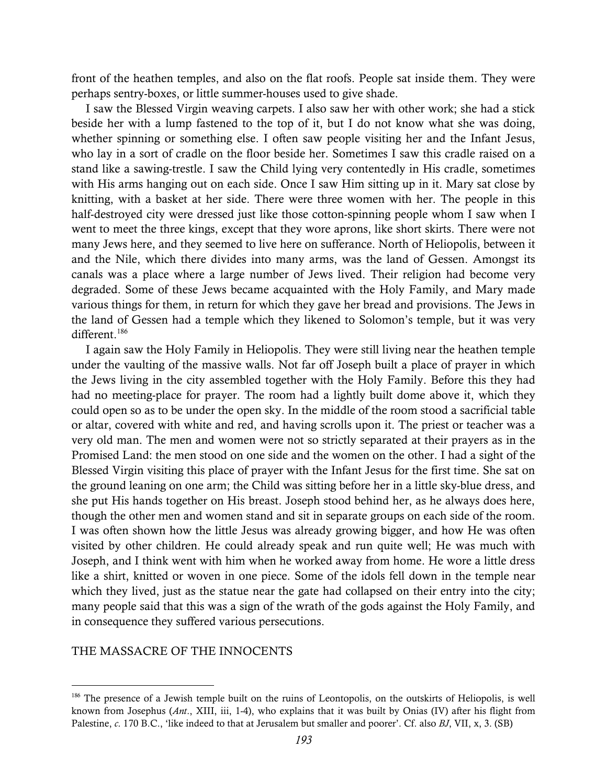front of the heathen temples, and also on the flat roofs. People sat inside them. They were perhaps sentry-boxes, or little summer-houses used to give shade.

I saw the Blessed Virgin weaving carpets. I also saw her with other work; she had a stick beside her with a lump fastened to the top of it, but I do not know what she was doing, whether spinning or something else. I often saw people visiting her and the Infant Jesus, who lay in a sort of cradle on the floor beside her. Sometimes I saw this cradle raised on a stand like a sawing-trestle. I saw the Child lying very contentedly in His cradle, sometimes with His arms hanging out on each side. Once I saw Him sitting up in it. Mary sat close by knitting, with a basket at her side. There were three women with her. The people in this half-destroyed city were dressed just like those cotton-spinning people whom I saw when I went to meet the three kings, except that they wore aprons, like short skirts. There were not many Jews here, and they seemed to live here on sufferance. North of Heliopolis, between it and the Nile, which there divides into many arms, was the land of Gessen. Amongst its canals was a place where a large number of Jews lived. Their religion had become very degraded. Some of these Jews became acquainted with the Holy Family, and Mary made various things for them, in return for which they gave her bread and provisions. The Jews in the land of Gessen had a temple which they likened to Solomon's temple, but it was very different.<sup>186</sup>

I again saw the Holy Family in Heliopolis. They were still living near the heathen temple under the vaulting of the massive walls. Not far off Joseph built a place of prayer in which the Jews living in the city assembled together with the Holy Family. Before this they had had no meeting-place for prayer. The room had a lightly built dome above it, which they could open so as to be under the open sky. In the middle of the room stood a sacrificial table or altar, covered with white and red, and having scrolls upon it. The priest or teacher was a very old man. The men and women were not so strictly separated at their prayers as in the Promised Land: the men stood on one side and the women on the other. I had a sight of the Blessed Virgin visiting this place of prayer with the Infant Jesus for the first time. She sat on the ground leaning on one arm; the Child was sitting before her in a little sky-blue dress, and she put His hands together on His breast. Joseph stood behind her, as he always does here, though the other men and women stand and sit in separate groups on each side of the room. I was often shown how the little Jesus was already growing bigger, and how He was often visited by other children. He could already speak and run quite well; He was much with Joseph, and I think went with him when he worked away from home. He wore a little dress like a shirt, knitted or woven in one piece. Some of the idols fell down in the temple near which they lived, just as the statue near the gate had collapsed on their entry into the city; many people said that this was a sign of the wrath of the gods against the Holy Family, and in consequence they suffered various persecutions.

## THE MASSACRE OF THE INNOCENTS

<sup>&</sup>lt;sup>186</sup> The presence of a Jewish temple built on the ruins of Leontopolis, on the outskirts of Heliopolis, is well known from Josephus (*Ant*., XIII, iii, 1-4), who explains that it was built by Onias (IV) after his flight from Palestine, *c*. 170 B.C., 'like indeed to that at Jerusalem but smaller and poorer'. Cf. also *BJ*, VII, x, 3. (SB)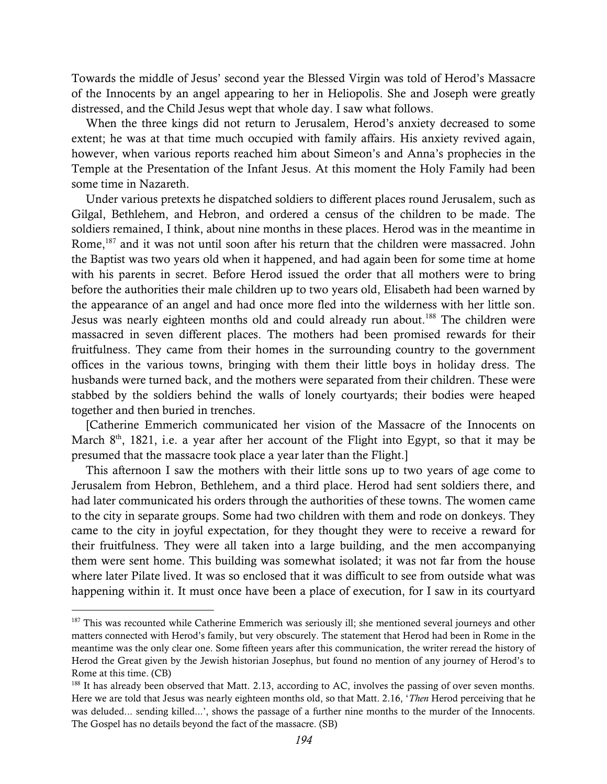Towards the middle of Jesus' second year the Blessed Virgin was told of Herod's Massacre of the Innocents by an angel appearing to her in Heliopolis. She and Joseph were greatly distressed, and the Child Jesus wept that whole day. I saw what follows.

When the three kings did not return to Jerusalem, Herod's anxiety decreased to some extent; he was at that time much occupied with family affairs. His anxiety revived again, however, when various reports reached him about Simeon's and Anna's prophecies in the Temple at the Presentation of the Infant Jesus. At this moment the Holy Family had been some time in Nazareth.

Under various pretexts he dispatched soldiers to different places round Jerusalem, such as Gilgal, Bethlehem, and Hebron, and ordered a census of the children to be made. The soldiers remained, I think, about nine months in these places. Herod was in the meantime in Rome,<sup>187</sup> and it was not until soon after his return that the children were massacred. John the Baptist was two years old when it happened, and had again been for some time at home with his parents in secret. Before Herod issued the order that all mothers were to bring before the authorities their male children up to two years old, Elisabeth had been warned by the appearance of an angel and had once more fled into the wilderness with her little son. Jesus was nearly eighteen months old and could already run about.<sup>188</sup> The children were massacred in seven different places. The mothers had been promised rewards for their fruitfulness. They came from their homes in the surrounding country to the government offices in the various towns, bringing with them their little boys in holiday dress. The husbands were turned back, and the mothers were separated from their children. These were stabbed by the soldiers behind the walls of lonely courtyards; their bodies were heaped together and then buried in trenches.

[Catherine Emmerich communicated her vision of the Massacre of the Innocents on March 8<sup>th</sup>, 1821, i.e. a year after her account of the Flight into Egypt, so that it may be presumed that the massacre took place a year later than the Flight.]

This afternoon I saw the mothers with their little sons up to two years of age come to Jerusalem from Hebron, Bethlehem, and a third place. Herod had sent soldiers there, and had later communicated his orders through the authorities of these towns. The women came to the city in separate groups. Some had two children with them and rode on donkeys. They came to the city in joyful expectation, for they thought they were to receive a reward for their fruitfulness. They were all taken into a large building, and the men accompanying them were sent home. This building was somewhat isolated; it was not far from the house where later Pilate lived. It was so enclosed that it was difficult to see from outside what was happening within it. It must once have been a place of execution, for I saw in its courtyard

<sup>&</sup>lt;sup>187</sup> This was recounted while Catherine Emmerich was seriously ill; she mentioned several journeys and other matters connected with Herod's family, but very obscurely. The statement that Herod had been in Rome in the meantime was the only clear one. Some fifteen years after this communication, the writer reread the history of Herod the Great given by the Jewish historian Josephus, but found no mention of any journey of Herod's to Rome at this time. (CB)

<sup>&</sup>lt;sup>188</sup> It has already been observed that Matt. 2.13, according to AC, involves the passing of over seven months. Here we are told that Jesus was nearly eighteen months old, so that Matt. 2.16, '*Then* Herod perceiving that he was deluded... sending killed...', shows the passage of a further nine months to the murder of the Innocents. The Gospel has no details beyond the fact of the massacre. (SB)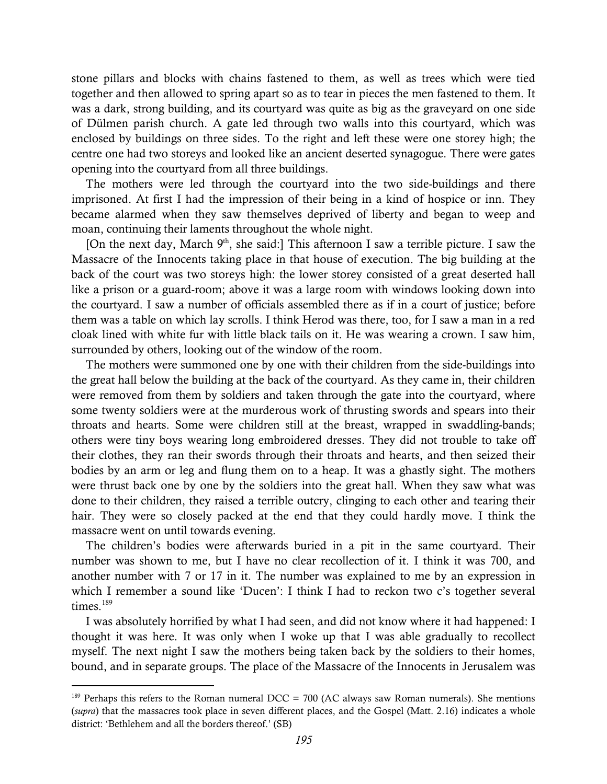stone pillars and blocks with chains fastened to them, as well as trees which were tied together and then allowed to spring apart so as to tear in pieces the men fastened to them. It was a dark, strong building, and its courtyard was quite as big as the graveyard on one side of Dülmen parish church. A gate led through two walls into this courtyard, which was enclosed by buildings on three sides. To the right and left these were one storey high; the centre one had two storeys and looked like an ancient deserted synagogue. There were gates opening into the courtyard from all three buildings.

The mothers were led through the courtyard into the two side-buildings and there imprisoned. At first I had the impression of their being in a kind of hospice or inn. They became alarmed when they saw themselves deprived of liberty and began to weep and moan, continuing their laments throughout the whole night.

[On the next day, March 9<sup>th</sup>, she said:] This afternoon I saw a terrible picture. I saw the Massacre of the Innocents taking place in that house of execution. The big building at the back of the court was two storeys high: the lower storey consisted of a great deserted hall like a prison or a guard-room; above it was a large room with windows looking down into the courtyard. I saw a number of officials assembled there as if in a court of justice; before them was a table on which lay scrolls. I think Herod was there, too, for I saw a man in a red cloak lined with white fur with little black tails on it. He was wearing a crown. I saw him, surrounded by others, looking out of the window of the room.

The mothers were summoned one by one with their children from the side-buildings into the great hall below the building at the back of the courtyard. As they came in, their children were removed from them by soldiers and taken through the gate into the courtyard, where some twenty soldiers were at the murderous work of thrusting swords and spears into their throats and hearts. Some were children still at the breast, wrapped in swaddling-bands; others were tiny boys wearing long embroidered dresses. They did not trouble to take off their clothes, they ran their swords through their throats and hearts, and then seized their bodies by an arm or leg and flung them on to a heap. It was a ghastly sight. The mothers were thrust back one by one by the soldiers into the great hall. When they saw what was done to their children, they raised a terrible outcry, clinging to each other and tearing their hair. They were so closely packed at the end that they could hardly move. I think the massacre went on until towards evening.

The children's bodies were afterwards buried in a pit in the same courtyard. Their number was shown to me, but I have no clear recollection of it. I think it was 700, and another number with 7 or 17 in it. The number was explained to me by an expression in which I remember a sound like 'Ducen': I think I had to reckon two c's together several times.<sup>189</sup>

I was absolutely horrified by what I had seen, and did not know where it had happened: I thought it was here. It was only when I woke up that I was able gradually to recollect myself. The next night I saw the mothers being taken back by the soldiers to their homes, bound, and in separate groups. The place of the Massacre of the Innocents in Jerusalem was

 $189$  Perhaps this refers to the Roman numeral DCC = 700 (AC always saw Roman numerals). She mentions (*supra*) that the massacres took place in seven different places, and the Gospel (Matt. 2.16) indicates a whole district: 'Bethlehem and all the borders thereof.' (SB)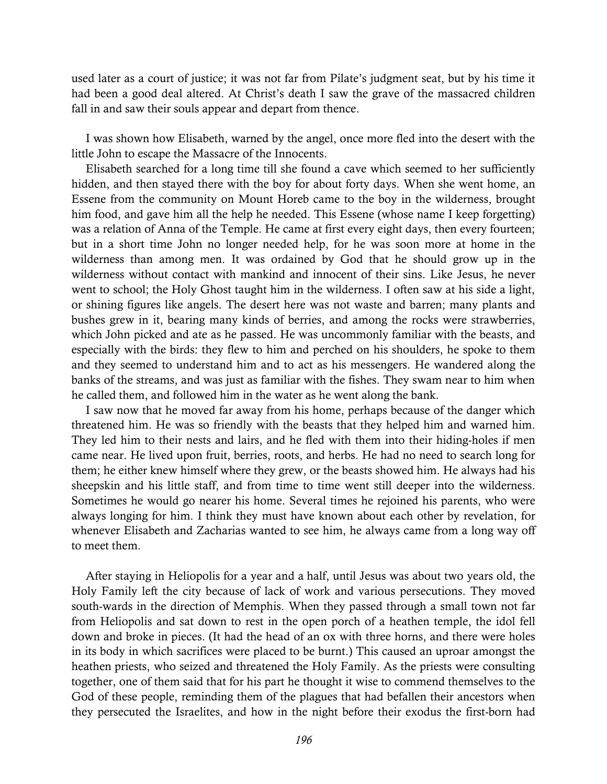used later as a court of justice; it was not far from Pilate's judgment seat, but by his time it had been a good deal altered. At Christ's death I saw the grave of the massacred children fall in and saw their souls appear and depart from thence.

I was shown how Elisabeth, warned by the angel, once more fled into the desert with the little John to escape the Massacre of the Innocents.

Elisabeth searched for a long time till she found a cave which seemed to her sufficiently hidden, and then stayed there with the boy for about forty days. When she went home, an Essene from the community on Mount Horeb came to the boy in the wilderness, brought him food, and gave him all the help he needed. This Essene (whose name I keep forgetting) was a relation of Anna of the Temple. He came at first every eight days, then every fourteen; but in a short time John no longer needed help, for he was soon more at home in the wilderness than among men. It was ordained by God that he should grow up in the wilderness without contact with mankind and innocent of their sins. Like Jesus, he never went to school; the Holy Ghost taught him in the wilderness. I often saw at his side a light, or shining figures like angels. The desert here was not waste and barren; many plants and bushes grew in it, bearing many kinds of berries, and among the rocks were strawberries, which John picked and ate as he passed. He was uncommonly familiar with the beasts, and especially with the birds: they flew to him and perched on his shoulders, he spoke to them and they seemed to understand him and to act as his messengers. He wandered along the banks of the streams, and was just as familiar with the fishes. They swam near to him when he called them, and followed him in the water as he went along the bank.

I saw now that he moved far away from his home, perhaps because of the danger which threatened him. He was so friendly with the beasts that they helped him and warned him. They led him to their nests and lairs, and he fled with them into their hiding-holes if men came near. He lived upon fruit, berries, roots, and herbs. He had no need to search long for them; he either knew himself where they grew, or the beasts showed him. He always had his sheepskin and his little staff, and from time to time went still deeper into the wilderness. Sometimes he would go nearer his home. Several times he rejoined his parents, who were always longing for him. I think they must have known about each other by revelation, for whenever Elisabeth and Zacharias wanted to see him, he always came from a long way off to meet them.

After staying in Heliopolis for a year and a half, until Jesus was about two years old, the Holy Family left the city because of lack of work and various persecutions. They moved south-wards in the direction of Memphis. When they passed through a small town not far from Heliopolis and sat down to rest in the open porch of a heathen temple, the idol fell down and broke in pieces. (It had the head of an ox with three horns, and there were holes in its body in which sacrifices were placed to be burnt.) This caused an uproar amongst the heathen priests, who seized and threatened the Holy Family. As the priests were consulting together, one of them said that for his part he thought it wise to commend themselves to the God of these people, reminding them of the plagues that had befallen their ancestors when they persecuted the Israelites, and how in the night before their exodus the first-born had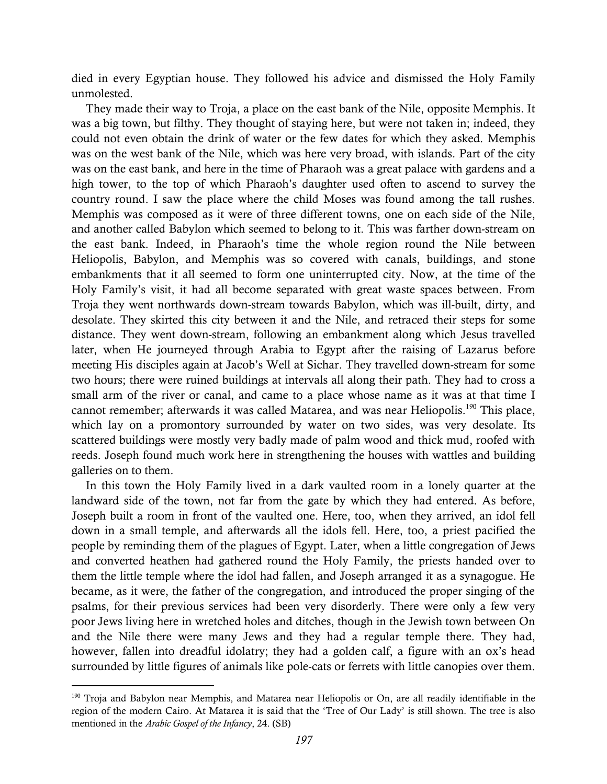died in every Egyptian house. They followed his advice and dismissed the Holy Family unmolested.

They made their way to Troja, a place on the east bank of the Nile, opposite Memphis. It was a big town, but filthy. They thought of staying here, but were not taken in; indeed, they could not even obtain the drink of water or the few dates for which they asked. Memphis was on the west bank of the Nile, which was here very broad, with islands. Part of the city was on the east bank, and here in the time of Pharaoh was a great palace with gardens and a high tower, to the top of which Pharaoh's daughter used often to ascend to survey the country round. I saw the place where the child Moses was found among the tall rushes. Memphis was composed as it were of three different towns, one on each side of the Nile, and another called Babylon which seemed to belong to it. This was farther down-stream on the east bank. Indeed, in Pharaoh's time the whole region round the Nile between Heliopolis, Babylon, and Memphis was so covered with canals, buildings, and stone embankments that it all seemed to form one uninterrupted city. Now, at the time of the Holy Family's visit, it had all become separated with great waste spaces between. From Troja they went northwards down-stream towards Babylon, which was ill-built, dirty, and desolate. They skirted this city between it and the Nile, and retraced their steps for some distance. They went down-stream, following an embankment along which Jesus travelled later, when He journeyed through Arabia to Egypt after the raising of Lazarus before meeting His disciples again at Jacob's Well at Sichar. They travelled down-stream for some two hours; there were ruined buildings at intervals all along their path. They had to cross a small arm of the river or canal, and came to a place whose name as it was at that time I cannot remember; afterwards it was called Matarea, and was near Heliopolis.<sup>190</sup> This place, which lay on a promontory surrounded by water on two sides, was very desolate. Its scattered buildings were mostly very badly made of palm wood and thick mud, roofed with reeds. Joseph found much work here in strengthening the houses with wattles and building galleries on to them.

In this town the Holy Family lived in a dark vaulted room in a lonely quarter at the landward side of the town, not far from the gate by which they had entered. As before, Joseph built a room in front of the vaulted one. Here, too, when they arrived, an idol fell down in a small temple, and afterwards all the idols fell. Here, too, a priest pacified the people by reminding them of the plagues of Egypt. Later, when a little congregation of Jews and converted heathen had gathered round the Holy Family, the priests handed over to them the little temple where the idol had fallen, and Joseph arranged it as a synagogue. He became, as it were, the father of the congregation, and introduced the proper singing of the psalms, for their previous services had been very disorderly. There were only a few very poor Jews living here in wretched holes and ditches, though in the Jewish town between On and the Nile there were many Jews and they had a regular temple there. They had, however, fallen into dreadful idolatry; they had a golden calf, a figure with an ox's head surrounded by little figures of animals like pole-cats or ferrets with little canopies over them.

<sup>&</sup>lt;sup>190</sup> Troja and Babylon near Memphis, and Matarea near Heliopolis or On, are all readily identifiable in the region of the modern Cairo. At Matarea it is said that the 'Tree of Our Lady' is still shown. The tree is also mentioned in the *Arabic Gospel of the Infancy*, 24. (SB)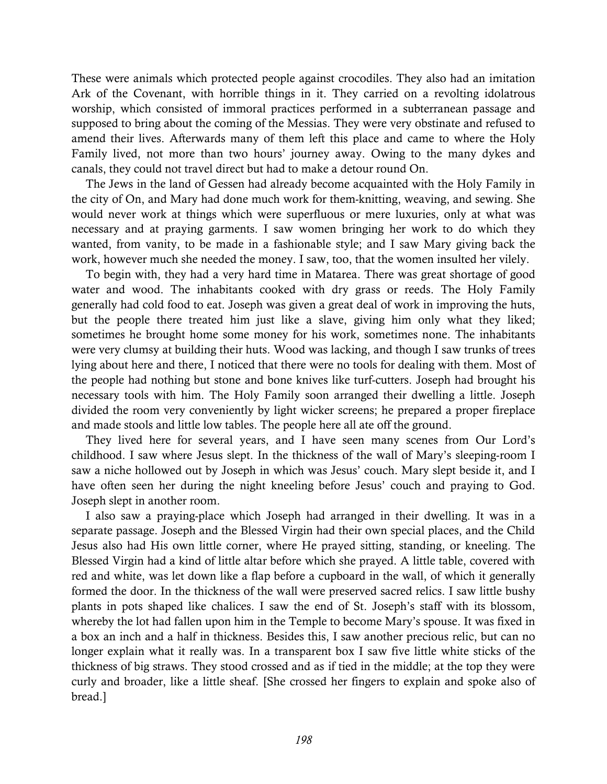These were animals which protected people against crocodiles. They also had an imitation Ark of the Covenant, with horrible things in it. They carried on a revolting idolatrous worship, which consisted of immoral practices performed in a subterranean passage and supposed to bring about the coming of the Messias. They were very obstinate and refused to amend their lives. Afterwards many of them left this place and came to where the Holy Family lived, not more than two hours' journey away. Owing to the many dykes and canals, they could not travel direct but had to make a detour round On.

The Jews in the land of Gessen had already become acquainted with the Holy Family in the city of On, and Mary had done much work for them-knitting, weaving, and sewing. She would never work at things which were superfluous or mere luxuries, only at what was necessary and at praying garments. I saw women bringing her work to do which they wanted, from vanity, to be made in a fashionable style; and I saw Mary giving back the work, however much she needed the money. I saw, too, that the women insulted her vilely.

To begin with, they had a very hard time in Matarea. There was great shortage of good water and wood. The inhabitants cooked with dry grass or reeds. The Holy Family generally had cold food to eat. Joseph was given a great deal of work in improving the huts, but the people there treated him just like a slave, giving him only what they liked; sometimes he brought home some money for his work, sometimes none. The inhabitants were very clumsy at building their huts. Wood was lacking, and though I saw trunks of trees lying about here and there, I noticed that there were no tools for dealing with them. Most of the people had nothing but stone and bone knives like turf-cutters. Joseph had brought his necessary tools with him. The Holy Family soon arranged their dwelling a little. Joseph divided the room very conveniently by light wicker screens; he prepared a proper fireplace and made stools and little low tables. The people here all ate off the ground.

They lived here for several years, and I have seen many scenes from Our Lord's childhood. I saw where Jesus slept. In the thickness of the wall of Mary's sleeping-room I saw a niche hollowed out by Joseph in which was Jesus' couch. Mary slept beside it, and I have often seen her during the night kneeling before Jesus' couch and praying to God. Joseph slept in another room.

I also saw a praying-place which Joseph had arranged in their dwelling. It was in a separate passage. Joseph and the Blessed Virgin had their own special places, and the Child Jesus also had His own little corner, where He prayed sitting, standing, or kneeling. The Blessed Virgin had a kind of little altar before which she prayed. A little table, covered with red and white, was let down like a flap before a cupboard in the wall, of which it generally formed the door. In the thickness of the wall were preserved sacred relics. I saw little bushy plants in pots shaped like chalices. I saw the end of St. Joseph's staff with its blossom, whereby the lot had fallen upon him in the Temple to become Mary's spouse. It was fixed in a box an inch and a half in thickness. Besides this, I saw another precious relic, but can no longer explain what it really was. In a transparent box I saw five little white sticks of the thickness of big straws. They stood crossed and as if tied in the middle; at the top they were curly and broader, like a little sheaf. [She crossed her fingers to explain and spoke also of bread.]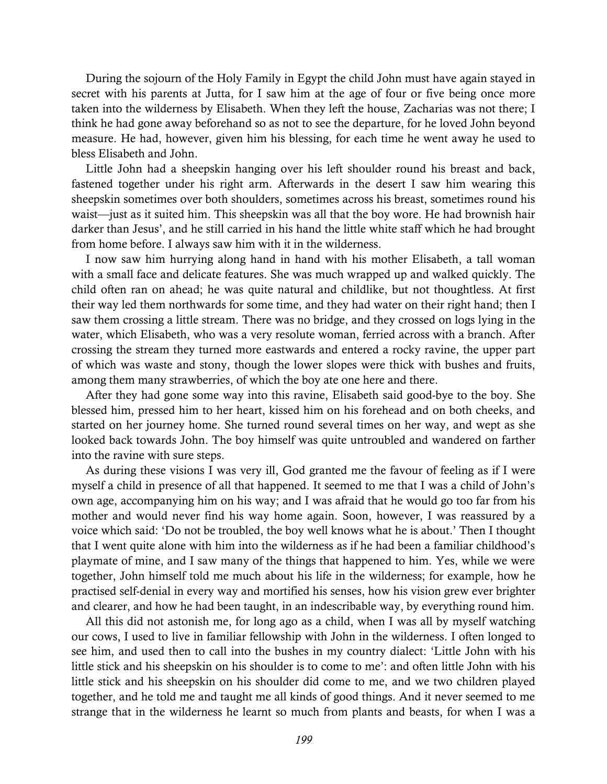During the sojourn of the Holy Family in Egypt the child John must have again stayed in secret with his parents at Jutta, for I saw him at the age of four or five being once more taken into the wilderness by Elisabeth. When they left the house, Zacharias was not there; I think he had gone away beforehand so as not to see the departure, for he loved John beyond measure. He had, however, given him his blessing, for each time he went away he used to bless Elisabeth and John.

Little John had a sheepskin hanging over his left shoulder round his breast and back, fastened together under his right arm. Afterwards in the desert I saw him wearing this sheepskin sometimes over both shoulders, sometimes across his breast, sometimes round his waist—just as it suited him. This sheepskin was all that the boy wore. He had brownish hair darker than Jesus', and he still carried in his hand the little white staff which he had brought from home before. I always saw him with it in the wilderness.

I now saw him hurrying along hand in hand with his mother Elisabeth, a tall woman with a small face and delicate features. She was much wrapped up and walked quickly. The child often ran on ahead; he was quite natural and childlike, but not thoughtless. At first their way led them northwards for some time, and they had water on their right hand; then I saw them crossing a little stream. There was no bridge, and they crossed on logs lying in the water, which Elisabeth, who was a very resolute woman, ferried across with a branch. After crossing the stream they turned more eastwards and entered a rocky ravine, the upper part of which was waste and stony, though the lower slopes were thick with bushes and fruits, among them many strawberries, of which the boy ate one here and there.

After they had gone some way into this ravine, Elisabeth said good-bye to the boy. She blessed him, pressed him to her heart, kissed him on his forehead and on both cheeks, and started on her journey home. She turned round several times on her way, and wept as she looked back towards John. The boy himself was quite untroubled and wandered on farther into the ravine with sure steps.

As during these visions I was very ill, God granted me the favour of feeling as if I were myself a child in presence of all that happened. It seemed to me that I was a child of John's own age, accompanying him on his way; and I was afraid that he would go too far from his mother and would never find his way home again. Soon, however, I was reassured by a voice which said: 'Do not be troubled, the boy well knows what he is about.' Then I thought that I went quite alone with him into the wilderness as if he had been a familiar childhood's playmate of mine, and I saw many of the things that happened to him. Yes, while we were together, John himself told me much about his life in the wilderness; for example, how he practised self-denial in every way and mortified his senses, how his vision grew ever brighter and clearer, and how he had been taught, in an indescribable way, by everything round him.

All this did not astonish me, for long ago as a child, when I was all by myself watching our cows, I used to live in familiar fellowship with John in the wilderness. I often longed to see him, and used then to call into the bushes in my country dialect: 'Little John with his little stick and his sheepskin on his shoulder is to come to me': and often little John with his little stick and his sheepskin on his shoulder did come to me, and we two children played together, and he told me and taught me all kinds of good things. And it never seemed to me strange that in the wilderness he learnt so much from plants and beasts, for when I was a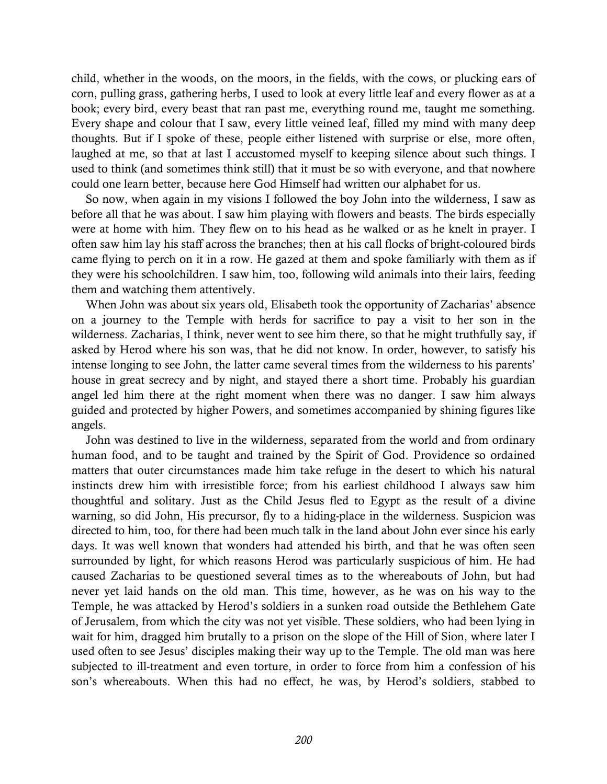child, whether in the woods, on the moors, in the fields, with the cows, or plucking ears of corn, pulling grass, gathering herbs, I used to look at every little leaf and every flower as at a book; every bird, every beast that ran past me, everything round me, taught me something. Every shape and colour that I saw, every little veined leaf, filled my mind with many deep thoughts. But if I spoke of these, people either listened with surprise or else, more often, laughed at me, so that at last I accustomed myself to keeping silence about such things. I used to think (and sometimes think still) that it must be so with everyone, and that nowhere could one learn better, because here God Himself had written our alphabet for us.

So now, when again in my visions I followed the boy John into the wilderness, I saw as before all that he was about. I saw him playing with flowers and beasts. The birds especially were at home with him. They flew on to his head as he walked or as he knelt in prayer. I often saw him lay his staff across the branches; then at his call flocks of bright-coloured birds came flying to perch on it in a row. He gazed at them and spoke familiarly with them as if they were his schoolchildren. I saw him, too, following wild animals into their lairs, feeding them and watching them attentively.

When John was about six years old, Elisabeth took the opportunity of Zacharias' absence on a journey to the Temple with herds for sacrifice to pay a visit to her son in the wilderness. Zacharias, I think, never went to see him there, so that he might truthfully say, if asked by Herod where his son was, that he did not know. In order, however, to satisfy his intense longing to see John, the latter came several times from the wilderness to his parents' house in great secrecy and by night, and stayed there a short time. Probably his guardian angel led him there at the right moment when there was no danger. I saw him always guided and protected by higher Powers, and sometimes accompanied by shining figures like angels.

John was destined to live in the wilderness, separated from the world and from ordinary human food, and to be taught and trained by the Spirit of God. Providence so ordained matters that outer circumstances made him take refuge in the desert to which his natural instincts drew him with irresistible force; from his earliest childhood I always saw him thoughtful and solitary. Just as the Child Jesus fled to Egypt as the result of a divine warning, so did John, His precursor, fly to a hiding-place in the wilderness. Suspicion was directed to him, too, for there had been much talk in the land about John ever since his early days. It was well known that wonders had attended his birth, and that he was often seen surrounded by light, for which reasons Herod was particularly suspicious of him. He had caused Zacharias to be questioned several times as to the whereabouts of John, but had never yet laid hands on the old man. This time, however, as he was on his way to the Temple, he was attacked by Herod's soldiers in a sunken road outside the Bethlehem Gate of Jerusalem, from which the city was not yet visible. These soldiers, who had been lying in wait for him, dragged him brutally to a prison on the slope of the Hill of Sion, where later I used often to see Jesus' disciples making their way up to the Temple. The old man was here subjected to ill-treatment and even torture, in order to force from him a confession of his son's whereabouts. When this had no effect, he was, by Herod's soldiers, stabbed to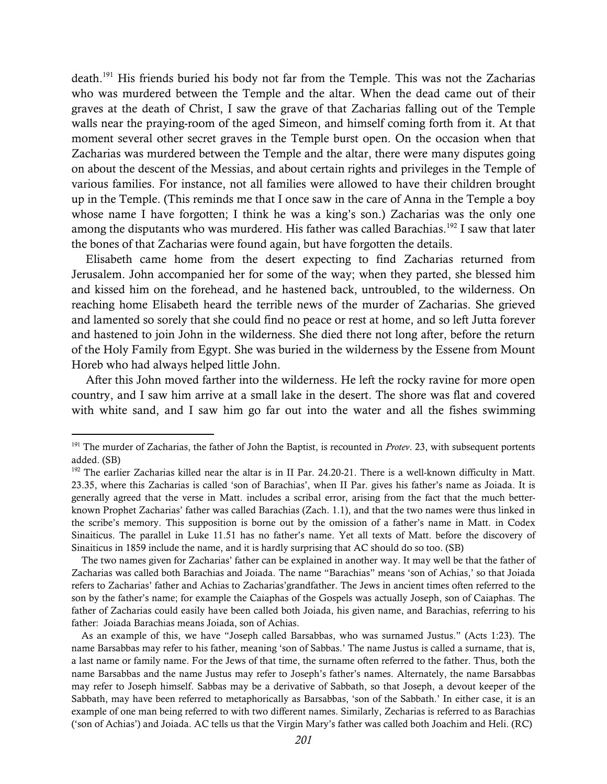death.<sup>191</sup> His friends buried his body not far from the Temple. This was not the Zacharias who was murdered between the Temple and the altar. When the dead came out of their graves at the death of Christ, I saw the grave of that Zacharias falling out of the Temple walls near the praying-room of the aged Simeon, and himself coming forth from it. At that moment several other secret graves in the Temple burst open. On the occasion when that Zacharias was murdered between the Temple and the altar, there were many disputes going on about the descent of the Messias, and about certain rights and privileges in the Temple of various families. For instance, not all families were allowed to have their children brought up in the Temple. (This reminds me that I once saw in the care of Anna in the Temple a boy whose name I have forgotten; I think he was a king's son.) Zacharias was the only one among the disputants who was murdered. His father was called Barachias.<sup>192</sup> I saw that later the bones of that Zacharias were found again, but have forgotten the details.

Elisabeth came home from the desert expecting to find Zacharias returned from Jerusalem. John accompanied her for some of the way; when they parted, she blessed him and kissed him on the forehead, and he hastened back, untroubled, to the wilderness. On reaching home Elisabeth heard the terrible news of the murder of Zacharias. She grieved and lamented so sorely that she could find no peace or rest at home, and so left Jutta forever and hastened to join John in the wilderness. She died there not long after, before the return of the Holy Family from Egypt. She was buried in the wilderness by the Essene from Mount Horeb who had always helped little John.

After this John moved farther into the wilderness. He left the rocky ravine for more open country, and I saw him arrive at a small lake in the desert. The shore was flat and covered with white sand, and I saw him go far out into the water and all the fishes swimming

 $\overline{a}$ 

 The two names given for Zacharias' father can be explained in another way. It may well be that the father of Zacharias was called both Barachias and Joiada. The name "Barachias" means 'son of Achias,' so that Joiada refers to Zacharias' father and Achias to Zacharias'grandfather. The Jews in ancient times often referred to the son by the father's name; for example the Caiaphas of the Gospels was actually Joseph, son of Caiaphas. The father of Zacharias could easily have been called both Joiada, his given name, and Barachias, referring to his father: Joiada Barachias means Joiada, son of Achias.

 As an example of this, we have "Joseph called Barsabbas, who was surnamed Justus." (Acts 1:23). The name Barsabbas may refer to his father, meaning 'son of Sabbas.' The name Justus is called a surname, that is, a last name or family name. For the Jews of that time, the surname often referred to the father. Thus, both the name Barsabbas and the name Justus may refer to Joseph's father's names. Alternately, the name Barsabbas may refer to Joseph himself. Sabbas may be a derivative of Sabbath, so that Joseph, a devout keeper of the Sabbath, may have been referred to metaphorically as Barsabbas, 'son of the Sabbath.' In either case, it is an example of one man being referred to with two different names. Similarly, Zecharias is referred to as Barachias ('son of Achias') and Joiada. AC tells us that the Virgin Mary's father was called both Joachim and Heli. (RC)

<sup>&</sup>lt;sup>191</sup> The murder of Zacharias, the father of John the Baptist, is recounted in *Protev*. 23, with subsequent portents added. (SB)

 $192$  The earlier Zacharias killed near the altar is in II Par. 24.20-21. There is a well-known difficulty in Matt. 23.35, where this Zacharias is called 'son of Barachias', when II Par. gives his father's name as Joiada. It is generally agreed that the verse in Matt. includes a scribal error, arising from the fact that the much betterknown Prophet Zacharias' father was called Barachias (Zach. 1.1), and that the two names were thus linked in the scribe's memory. This supposition is borne out by the omission of a father's name in Matt. in Codex Sinaiticus. The parallel in Luke 11.51 has no father's name. Yet all texts of Matt. before the discovery of Sinaiticus in 1859 include the name, and it is hardly surprising that AC should do so too. (SB)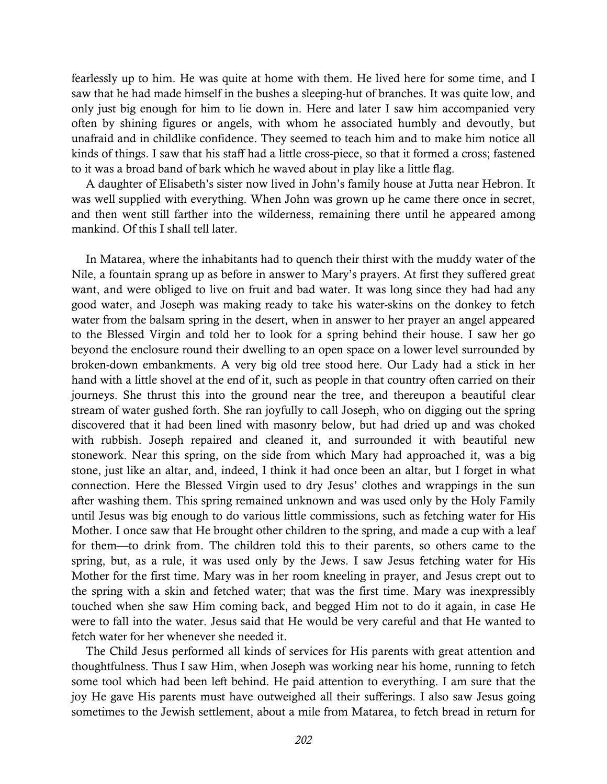fearlessly up to him. He was quite at home with them. He lived here for some time, and I saw that he had made himself in the bushes a sleeping-hut of branches. It was quite low, and only just big enough for him to lie down in. Here and later I saw him accompanied very often by shining figures or angels, with whom he associated humbly and devoutly, but unafraid and in childlike confidence. They seemed to teach him and to make him notice all kinds of things. I saw that his staff had a little cross-piece, so that it formed a cross; fastened to it was a broad band of bark which he waved about in play like a little flag.

A daughter of Elisabeth's sister now lived in John's family house at Jutta near Hebron. It was well supplied with everything. When John was grown up he came there once in secret, and then went still farther into the wilderness, remaining there until he appeared among mankind. Of this I shall tell later.

In Matarea, where the inhabitants had to quench their thirst with the muddy water of the Nile, a fountain sprang up as before in answer to Mary's prayers. At first they suffered great want, and were obliged to live on fruit and bad water. It was long since they had had any good water, and Joseph was making ready to take his water-skins on the donkey to fetch water from the balsam spring in the desert, when in answer to her prayer an angel appeared to the Blessed Virgin and told her to look for a spring behind their house. I saw her go beyond the enclosure round their dwelling to an open space on a lower level surrounded by broken-down embankments. A very big old tree stood here. Our Lady had a stick in her hand with a little shovel at the end of it, such as people in that country often carried on their journeys. She thrust this into the ground near the tree, and thereupon a beautiful clear stream of water gushed forth. She ran joyfully to call Joseph, who on digging out the spring discovered that it had been lined with masonry below, but had dried up and was choked with rubbish. Joseph repaired and cleaned it, and surrounded it with beautiful new stonework. Near this spring, on the side from which Mary had approached it, was a big stone, just like an altar, and, indeed, I think it had once been an altar, but I forget in what connection. Here the Blessed Virgin used to dry Jesus' clothes and wrappings in the sun after washing them. This spring remained unknown and was used only by the Holy Family until Jesus was big enough to do various little commissions, such as fetching water for His Mother. I once saw that He brought other children to the spring, and made a cup with a leaf for them—to drink from. The children told this to their parents, so others came to the spring, but, as a rule, it was used only by the Jews. I saw Jesus fetching water for His Mother for the first time. Mary was in her room kneeling in prayer, and Jesus crept out to the spring with a skin and fetched water; that was the first time. Mary was inexpressibly touched when she saw Him coming back, and begged Him not to do it again, in case He were to fall into the water. Jesus said that He would be very careful and that He wanted to fetch water for her whenever she needed it.

The Child Jesus performed all kinds of services for His parents with great attention and thoughtfulness. Thus I saw Him, when Joseph was working near his home, running to fetch some tool which had been left behind. He paid attention to everything. I am sure that the joy He gave His parents must have outweighed all their sufferings. I also saw Jesus going sometimes to the Jewish settlement, about a mile from Matarea, to fetch bread in return for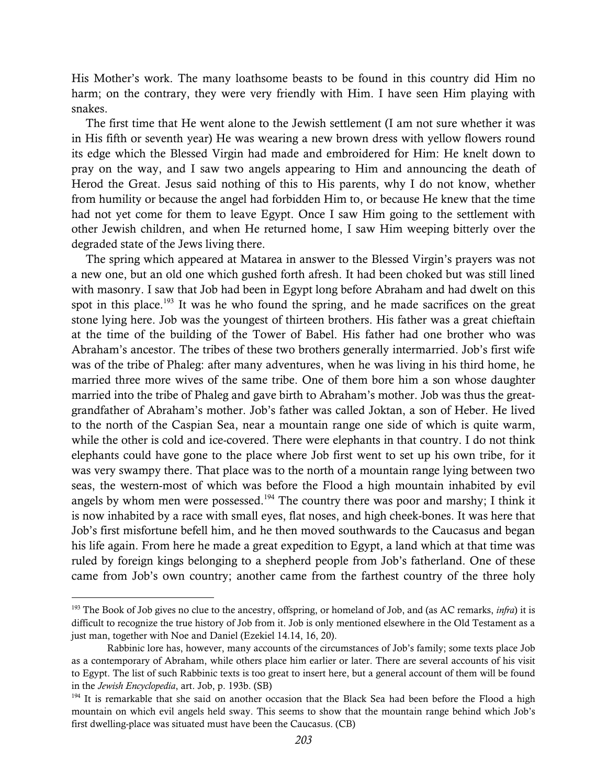His Mother's work. The many loathsome beasts to be found in this country did Him no harm; on the contrary, they were very friendly with Him. I have seen Him playing with snakes.

The first time that He went alone to the Jewish settlement (I am not sure whether it was in His fifth or seventh year) He was wearing a new brown dress with yellow flowers round its edge which the Blessed Virgin had made and embroidered for Him: He knelt down to pray on the way, and I saw two angels appearing to Him and announcing the death of Herod the Great. Jesus said nothing of this to His parents, why I do not know, whether from humility or because the angel had forbidden Him to, or because He knew that the time had not yet come for them to leave Egypt. Once I saw Him going to the settlement with other Jewish children, and when He returned home, I saw Him weeping bitterly over the degraded state of the Jews living there.

The spring which appeared at Matarea in answer to the Blessed Virgin's prayers was not a new one, but an old one which gushed forth afresh. It had been choked but was still lined with masonry. I saw that Job had been in Egypt long before Abraham and had dwelt on this spot in this place.<sup>193</sup> It was he who found the spring, and he made sacrifices on the great stone lying here. Job was the youngest of thirteen brothers. His father was a great chieftain at the time of the building of the Tower of Babel. His father had one brother who was Abraham's ancestor. The tribes of these two brothers generally intermarried. Job's first wife was of the tribe of Phaleg: after many adventures, when he was living in his third home, he married three more wives of the same tribe. One of them bore him a son whose daughter married into the tribe of Phaleg and gave birth to Abraham's mother. Job was thus the greatgrandfather of Abraham's mother. Job's father was called Joktan, a son of Heber. He lived to the north of the Caspian Sea, near a mountain range one side of which is quite warm, while the other is cold and ice-covered. There were elephants in that country. I do not think elephants could have gone to the place where Job first went to set up his own tribe, for it was very swampy there. That place was to the north of a mountain range lying between two seas, the western-most of which was before the Flood a high mountain inhabited by evil angels by whom men were possessed.<sup>194</sup> The country there was poor and marshy; I think it is now inhabited by a race with small eyes, flat noses, and high cheek-bones. It was here that Job's first misfortune befell him, and he then moved southwards to the Caucasus and began his life again. From here he made a great expedition to Egypt, a land which at that time was ruled by foreign kings belonging to a shepherd people from Job's fatherland. One of these came from Job's own country; another came from the farthest country of the three holy

<sup>&</sup>lt;sup>193</sup> The Book of Job gives no clue to the ancestry, offspring, or homeland of Job, and (as AC remarks, *infra*) it is difficult to recognize the true history of Job from it. Job is only mentioned elsewhere in the Old Testament as a just man, together with Noe and Daniel (Ezekiel 14.14, 16, 20).

Rabbinic lore has, however, many accounts of the circumstances of Job's family; some texts place Job as a contemporary of Abraham, while others place him earlier or later. There are several accounts of his visit to Egypt. The list of such Rabbinic texts is too great to insert here, but a general account of them will be found in the *Jewish Encyclopedia*, art. Job, p. 193b. (SB)

<sup>&</sup>lt;sup>194</sup> It is remarkable that she said on another occasion that the Black Sea had been before the Flood a high mountain on which evil angels held sway. This seems to show that the mountain range behind which Job's first dwelling-place was situated must have been the Caucasus. (CB)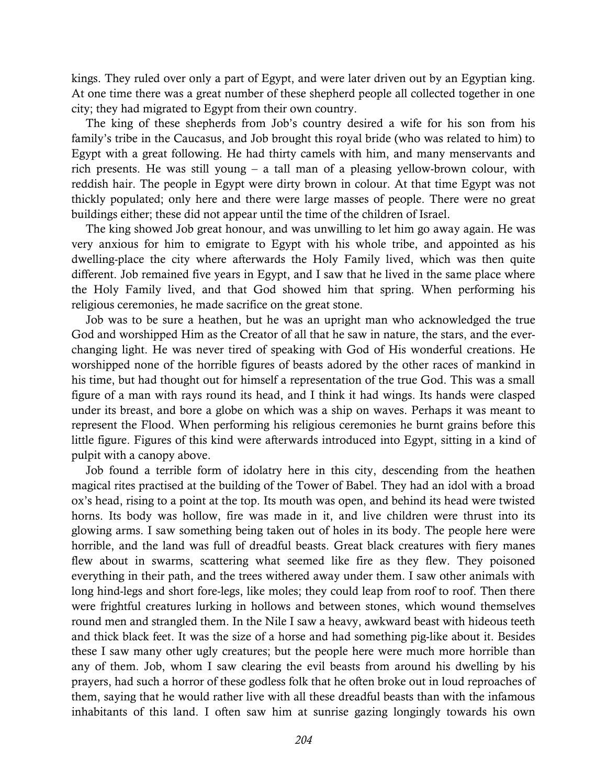kings. They ruled over only a part of Egypt, and were later driven out by an Egyptian king. At one time there was a great number of these shepherd people all collected together in one city; they had migrated to Egypt from their own country.

The king of these shepherds from Job's country desired a wife for his son from his family's tribe in the Caucasus, and Job brought this royal bride (who was related to him) to Egypt with a great following. He had thirty camels with him, and many menservants and rich presents. He was still young – a tall man of a pleasing yellow-brown colour, with reddish hair. The people in Egypt were dirty brown in colour. At that time Egypt was not thickly populated; only here and there were large masses of people. There were no great buildings either; these did not appear until the time of the children of Israel.

The king showed Job great honour, and was unwilling to let him go away again. He was very anxious for him to emigrate to Egypt with his whole tribe, and appointed as his dwelling-place the city where afterwards the Holy Family lived, which was then quite different. Job remained five years in Egypt, and I saw that he lived in the same place where the Holy Family lived, and that God showed him that spring. When performing his religious ceremonies, he made sacrifice on the great stone.

Job was to be sure a heathen, but he was an upright man who acknowledged the true God and worshipped Him as the Creator of all that he saw in nature, the stars, and the everchanging light. He was never tired of speaking with God of His wonderful creations. He worshipped none of the horrible figures of beasts adored by the other races of mankind in his time, but had thought out for himself a representation of the true God. This was a small figure of a man with rays round its head, and I think it had wings. Its hands were clasped under its breast, and bore a globe on which was a ship on waves. Perhaps it was meant to represent the Flood. When performing his religious ceremonies he burnt grains before this little figure. Figures of this kind were afterwards introduced into Egypt, sitting in a kind of pulpit with a canopy above.

Job found a terrible form of idolatry here in this city, descending from the heathen magical rites practised at the building of the Tower of Babel. They had an idol with a broad ox's head, rising to a point at the top. Its mouth was open, and behind its head were twisted horns. Its body was hollow, fire was made in it, and live children were thrust into its glowing arms. I saw something being taken out of holes in its body. The people here were horrible, and the land was full of dreadful beasts. Great black creatures with fiery manes flew about in swarms, scattering what seemed like fire as they flew. They poisoned everything in their path, and the trees withered away under them. I saw other animals with long hind-legs and short fore-legs, like moles; they could leap from roof to roof. Then there were frightful creatures lurking in hollows and between stones, which wound themselves round men and strangled them. In the Nile I saw a heavy, awkward beast with hideous teeth and thick black feet. It was the size of a horse and had something pig-like about it. Besides these I saw many other ugly creatures; but the people here were much more horrible than any of them. Job, whom I saw clearing the evil beasts from around his dwelling by his prayers, had such a horror of these godless folk that he often broke out in loud reproaches of them, saying that he would rather live with all these dreadful beasts than with the infamous inhabitants of this land. I often saw him at sunrise gazing longingly towards his own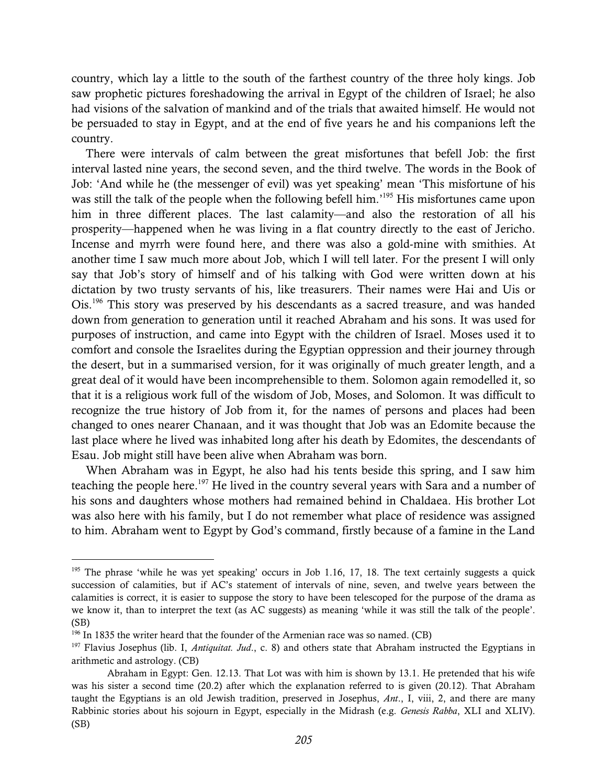country, which lay a little to the south of the farthest country of the three holy kings. Job saw prophetic pictures foreshadowing the arrival in Egypt of the children of Israel; he also had visions of the salvation of mankind and of the trials that awaited himself. He would not be persuaded to stay in Egypt, and at the end of five years he and his companions left the country.

There were intervals of calm between the great misfortunes that befell Job: the first interval lasted nine years, the second seven, and the third twelve. The words in the Book of Job: 'And while he (the messenger of evil) was yet speaking' mean 'This misfortune of his was still the talk of the people when the following befell him.<sup>195</sup> His misfortunes came upon him in three different places. The last calamity—and also the restoration of all his prosperity—happened when he was living in a flat country directly to the east of Jericho. Incense and myrrh were found here, and there was also a gold-mine with smithies. At another time I saw much more about Job, which I will tell later. For the present I will only say that Job's story of himself and of his talking with God were written down at his dictation by two trusty servants of his, like treasurers. Their names were Hai and Uis or Ois.<sup>196</sup> This story was preserved by his descendants as a sacred treasure, and was handed down from generation to generation until it reached Abraham and his sons. It was used for purposes of instruction, and came into Egypt with the children of Israel. Moses used it to comfort and console the Israelites during the Egyptian oppression and their journey through the desert, but in a summarised version, for it was originally of much greater length, and a great deal of it would have been incomprehensible to them. Solomon again remodelled it, so that it is a religious work full of the wisdom of Job, Moses, and Solomon. It was difficult to recognize the true history of Job from it, for the names of persons and places had been changed to ones nearer Chanaan, and it was thought that Job was an Edomite because the last place where he lived was inhabited long after his death by Edomites, the descendants of Esau. Job might still have been alive when Abraham was born.

When Abraham was in Egypt, he also had his tents beside this spring, and I saw him teaching the people here.<sup>197</sup> He lived in the country several years with Sara and a number of his sons and daughters whose mothers had remained behind in Chaldaea. His brother Lot was also here with his family, but I do not remember what place of residence was assigned to him. Abraham went to Egypt by God's command, firstly because of a famine in the Land

<sup>&</sup>lt;sup>195</sup> The phrase 'while he was yet speaking' occurs in Job 1.16, 17, 18. The text certainly suggests a quick succession of calamities, but if AC's statement of intervals of nine, seven, and twelve years between the calamities is correct, it is easier to suppose the story to have been telescoped for the purpose of the drama as we know it, than to interpret the text (as AC suggests) as meaning 'while it was still the talk of the people'. (SB)

<sup>&</sup>lt;sup>196</sup> In 1835 the writer heard that the founder of the Armenian race was so named. (CB)

<sup>&</sup>lt;sup>197</sup> Flavius Josephus (lib. I, *Antiquitat. Jud.*, c. 8) and others state that Abraham instructed the Egyptians in arithmetic and astrology. (CB)

Abraham in Egypt: Gen. 12.13. That Lot was with him is shown by 13.1. He pretended that his wife was his sister a second time (20.2) after which the explanation referred to is given (20.12). That Abraham taught the Egyptians is an old Jewish tradition, preserved in Josephus, *Ant*., I, viii, 2, and there are many Rabbinic stories about his sojourn in Egypt, especially in the Midrash (e.g. *Genesis Rabba*, XLI and XLIV). (SB)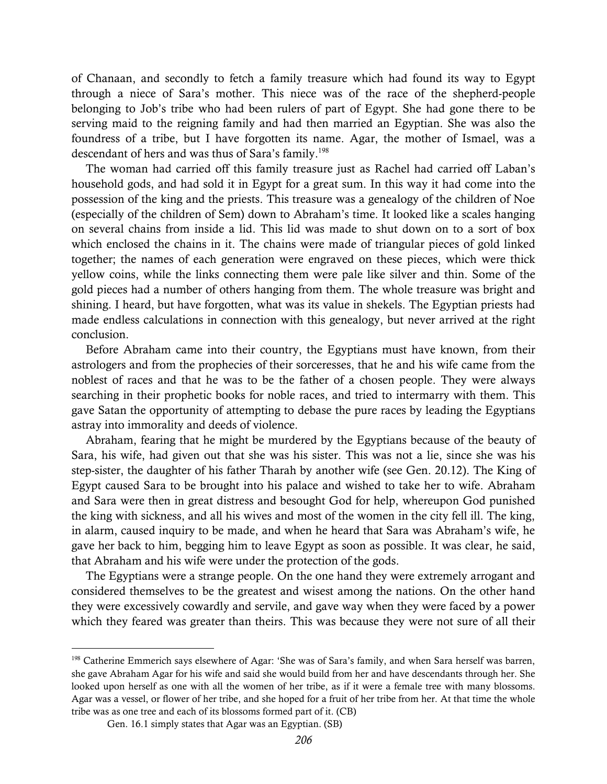of Chanaan, and secondly to fetch a family treasure which had found its way to Egypt through a niece of Sara's mother. This niece was of the race of the shepherd-people belonging to Job's tribe who had been rulers of part of Egypt. She had gone there to be serving maid to the reigning family and had then married an Egyptian. She was also the foundress of a tribe, but I have forgotten its name. Agar, the mother of Ismael, was a descendant of hers and was thus of Sara's family.<sup>198</sup>

The woman had carried off this family treasure just as Rachel had carried off Laban's household gods, and had sold it in Egypt for a great sum. In this way it had come into the possession of the king and the priests. This treasure was a genealogy of the children of Noe (especially of the children of Sem) down to Abraham's time. It looked like a scales hanging on several chains from inside a lid. This lid was made to shut down on to a sort of box which enclosed the chains in it. The chains were made of triangular pieces of gold linked together; the names of each generation were engraved on these pieces, which were thick yellow coins, while the links connecting them were pale like silver and thin. Some of the gold pieces had a number of others hanging from them. The whole treasure was bright and shining. I heard, but have forgotten, what was its value in shekels. The Egyptian priests had made endless calculations in connection with this genealogy, but never arrived at the right conclusion.

Before Abraham came into their country, the Egyptians must have known, from their astrologers and from the prophecies of their sorceresses, that he and his wife came from the noblest of races and that he was to be the father of a chosen people. They were always searching in their prophetic books for noble races, and tried to intermarry with them. This gave Satan the opportunity of attempting to debase the pure races by leading the Egyptians astray into immorality and deeds of violence.

Abraham, fearing that he might be murdered by the Egyptians because of the beauty of Sara, his wife, had given out that she was his sister. This was not a lie, since she was his step-sister, the daughter of his father Tharah by another wife (see Gen. 20.12). The King of Egypt caused Sara to be brought into his palace and wished to take her to wife. Abraham and Sara were then in great distress and besought God for help, whereupon God punished the king with sickness, and all his wives and most of the women in the city fell ill. The king, in alarm, caused inquiry to be made, and when he heard that Sara was Abraham's wife, he gave her back to him, begging him to leave Egypt as soon as possible. It was clear, he said, that Abraham and his wife were under the protection of the gods.

The Egyptians were a strange people. On the one hand they were extremely arrogant and considered themselves to be the greatest and wisest among the nations. On the other hand they were excessively cowardly and servile, and gave way when they were faced by a power which they feared was greater than theirs. This was because they were not sure of all their

<sup>&</sup>lt;sup>198</sup> Catherine Emmerich says elsewhere of Agar: 'She was of Sara's family, and when Sara herself was barren, she gave Abraham Agar for his wife and said she would build from her and have descendants through her. She looked upon herself as one with all the women of her tribe, as if it were a female tree with many blossoms. Agar was a vessel, or flower of her tribe, and she hoped for a fruit of her tribe from her. At that time the whole tribe was as one tree and each of its blossoms formed part of it. (CB)

Gen. 16.1 simply states that Agar was an Egyptian. (SB)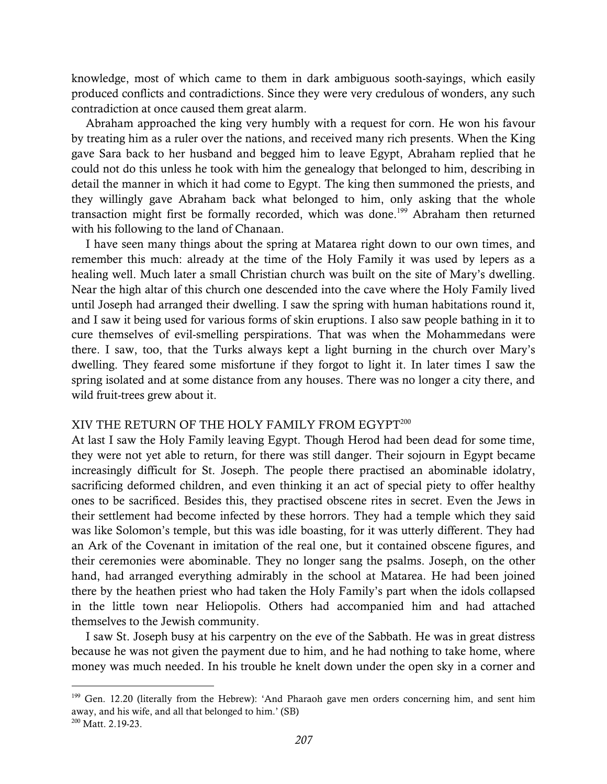knowledge, most of which came to them in dark ambiguous sooth-sayings, which easily produced conflicts and contradictions. Since they were very credulous of wonders, any such contradiction at once caused them great alarm.

Abraham approached the king very humbly with a request for corn. He won his favour by treating him as a ruler over the nations, and received many rich presents. When the King gave Sara back to her husband and begged him to leave Egypt, Abraham replied that he could not do this unless he took with him the genealogy that belonged to him, describing in detail the manner in which it had come to Egypt. The king then summoned the priests, and they willingly gave Abraham back what belonged to him, only asking that the whole transaction might first be formally recorded, which was done.<sup>199</sup> Abraham then returned with his following to the land of Chanaan.

I have seen many things about the spring at Matarea right down to our own times, and remember this much: already at the time of the Holy Family it was used by lepers as a healing well. Much later a small Christian church was built on the site of Mary's dwelling. Near the high altar of this church one descended into the cave where the Holy Family lived until Joseph had arranged their dwelling. I saw the spring with human habitations round it, and I saw it being used for various forms of skin eruptions. I also saw people bathing in it to cure themselves of evil-smelling perspirations. That was when the Mohammedans were there. I saw, too, that the Turks always kept a light burning in the church over Mary's dwelling. They feared some misfortune if they forgot to light it. In later times I saw the spring isolated and at some distance from any houses. There was no longer a city there, and wild fruit-trees grew about it.

## XIV THE RETURN OF THE HOLY FAMILY FROM EGYPT<sup>200</sup>

At last I saw the Holy Family leaving Egypt. Though Herod had been dead for some time, they were not yet able to return, for there was still danger. Their sojourn in Egypt became increasingly difficult for St. Joseph. The people there practised an abominable idolatry, sacrificing deformed children, and even thinking it an act of special piety to offer healthy ones to be sacrificed. Besides this, they practised obscene rites in secret. Even the Jews in their settlement had become infected by these horrors. They had a temple which they said was like Solomon's temple, but this was idle boasting, for it was utterly different. They had an Ark of the Covenant in imitation of the real one, but it contained obscene figures, and their ceremonies were abominable. They no longer sang the psalms. Joseph, on the other hand, had arranged everything admirably in the school at Matarea. He had been joined there by the heathen priest who had taken the Holy Family's part when the idols collapsed in the little town near Heliopolis. Others had accompanied him and had attached themselves to the Jewish community.

I saw St. Joseph busy at his carpentry on the eve of the Sabbath. He was in great distress because he was not given the payment due to him, and he had nothing to take home, where money was much needed. In his trouble he knelt down under the open sky in a corner and

<sup>199</sup> Gen. 12.20 (literally from the Hebrew): 'And Pharaoh gave men orders concerning him, and sent him away, and his wife, and all that belonged to him.' (SB)

<sup>200</sup> Matt. 2.19-23.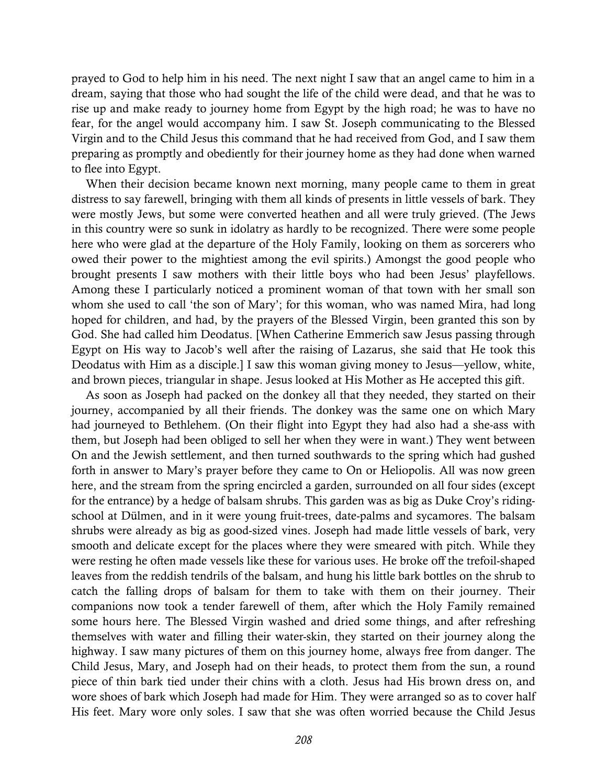prayed to God to help him in his need. The next night I saw that an angel came to him in a dream, saying that those who had sought the life of the child were dead, and that he was to rise up and make ready to journey home from Egypt by the high road; he was to have no fear, for the angel would accompany him. I saw St. Joseph communicating to the Blessed Virgin and to the Child Jesus this command that he had received from God, and I saw them preparing as promptly and obediently for their journey home as they had done when warned to flee into Egypt.

When their decision became known next morning, many people came to them in great distress to say farewell, bringing with them all kinds of presents in little vessels of bark. They were mostly Jews, but some were converted heathen and all were truly grieved. (The Jews in this country were so sunk in idolatry as hardly to be recognized. There were some people here who were glad at the departure of the Holy Family, looking on them as sorcerers who owed their power to the mightiest among the evil spirits.) Amongst the good people who brought presents I saw mothers with their little boys who had been Jesus' playfellows. Among these I particularly noticed a prominent woman of that town with her small son whom she used to call 'the son of Mary'; for this woman, who was named Mira, had long hoped for children, and had, by the prayers of the Blessed Virgin, been granted this son by God. She had called him Deodatus. [When Catherine Emmerich saw Jesus passing through Egypt on His way to Jacob's well after the raising of Lazarus, she said that He took this Deodatus with Him as a disciple.] I saw this woman giving money to Jesus—yellow, white, and brown pieces, triangular in shape. Jesus looked at His Mother as He accepted this gift.

As soon as Joseph had packed on the donkey all that they needed, they started on their journey, accompanied by all their friends. The donkey was the same one on which Mary had journeyed to Bethlehem. (On their flight into Egypt they had also had a she-ass with them, but Joseph had been obliged to sell her when they were in want.) They went between On and the Jewish settlement, and then turned southwards to the spring which had gushed forth in answer to Mary's prayer before they came to On or Heliopolis. All was now green here, and the stream from the spring encircled a garden, surrounded on all four sides (except for the entrance) by a hedge of balsam shrubs. This garden was as big as Duke Croy's ridingschool at Dülmen, and in it were young fruit-trees, date-palms and sycamores. The balsam shrubs were already as big as good-sized vines. Joseph had made little vessels of bark, very smooth and delicate except for the places where they were smeared with pitch. While they were resting he often made vessels like these for various uses. He broke off the trefoil-shaped leaves from the reddish tendrils of the balsam, and hung his little bark bottles on the shrub to catch the falling drops of balsam for them to take with them on their journey. Their companions now took a tender farewell of them, after which the Holy Family remained some hours here. The Blessed Virgin washed and dried some things, and after refreshing themselves with water and filling their water-skin, they started on their journey along the highway. I saw many pictures of them on this journey home, always free from danger. The Child Jesus, Mary, and Joseph had on their heads, to protect them from the sun, a round piece of thin bark tied under their chins with a cloth. Jesus had His brown dress on, and wore shoes of bark which Joseph had made for Him. They were arranged so as to cover half His feet. Mary wore only soles. I saw that she was often worried because the Child Jesus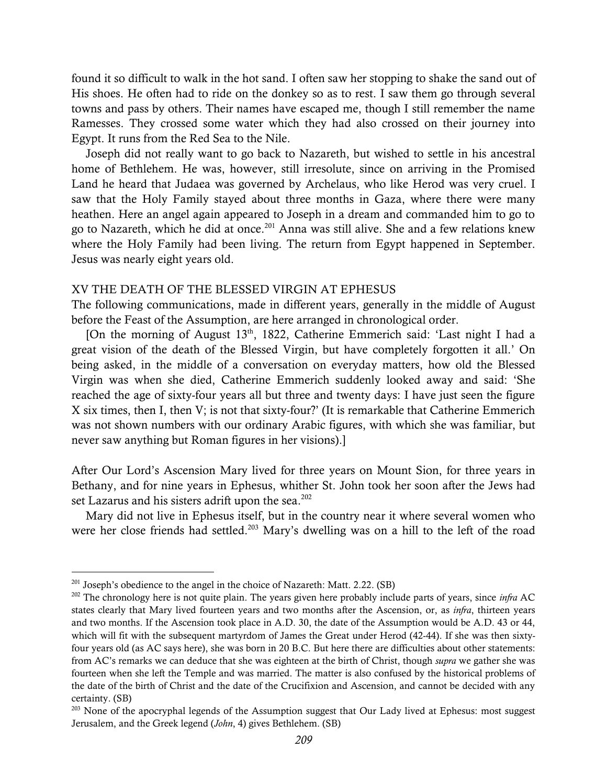found it so difficult to walk in the hot sand. I often saw her stopping to shake the sand out of His shoes. He often had to ride on the donkey so as to rest. I saw them go through several towns and pass by others. Their names have escaped me, though I still remember the name Ramesses. They crossed some water which they had also crossed on their journey into Egypt. It runs from the Red Sea to the Nile.

Joseph did not really want to go back to Nazareth, but wished to settle in his ancestral home of Bethlehem. He was, however, still irresolute, since on arriving in the Promised Land he heard that Judaea was governed by Archelaus, who like Herod was very cruel. I saw that the Holy Family stayed about three months in Gaza, where there were many heathen. Here an angel again appeared to Joseph in a dream and commanded him to go to go to Nazareth, which he did at once.<sup>201</sup> Anna was still alive. She and a few relations knew where the Holy Family had been living. The return from Egypt happened in September. Jesus was nearly eight years old.

## XV THE DEATH OF THE BLESSED VIRGIN AT EPHESUS

The following communications, made in different years, generally in the middle of August before the Feast of the Assumption, are here arranged in chronological order.

[On the morning of August 13<sup>th</sup>, 1822, Catherine Emmerich said: 'Last night I had a great vision of the death of the Blessed Virgin, but have completely forgotten it all.' On being asked, in the middle of a conversation on everyday matters, how old the Blessed Virgin was when she died, Catherine Emmerich suddenly looked away and said: 'She reached the age of sixty-four years all but three and twenty days: I have just seen the figure X six times, then I, then V; is not that sixty-four?' (It is remarkable that Catherine Emmerich was not shown numbers with our ordinary Arabic figures, with which she was familiar, but never saw anything but Roman figures in her visions).]

After Our Lord's Ascension Mary lived for three years on Mount Sion, for three years in Bethany, and for nine years in Ephesus, whither St. John took her soon after the Jews had set Lazarus and his sisters adrift upon the sea.<sup>202</sup>

Mary did not live in Ephesus itself, but in the country near it where several women who were her close friends had settled.<sup>203</sup> Mary's dwelling was on a hill to the left of the road

 $201$  Joseph's obedience to the angel in the choice of Nazareth: Matt. 2.22. (SB)

<sup>&</sup>lt;sup>202</sup> The chronology here is not quite plain. The years given here probably include parts of years, since *infra* AC states clearly that Mary lived fourteen years and two months after the Ascension, or, as *infra*, thirteen years and two months. If the Ascension took place in A.D. 30, the date of the Assumption would be A.D. 43 or 44, which will fit with the subsequent martyrdom of James the Great under Herod (42-44). If she was then sixtyfour years old (as AC says here), she was born in 20 B.C. But here there are difficulties about other statements: from AC's remarks we can deduce that she was eighteen at the birth of Christ, though *supra* we gather she was fourteen when she left the Temple and was married. The matter is also confused by the historical problems of the date of the birth of Christ and the date of the Crucifixion and Ascension, and cannot be decided with any certainty. (SB)

<sup>&</sup>lt;sup>203</sup> None of the apocryphal legends of the Assumption suggest that Our Lady lived at Ephesus: most suggest Jerusalem, and the Greek legend (*John*, 4) gives Bethlehem. (SB)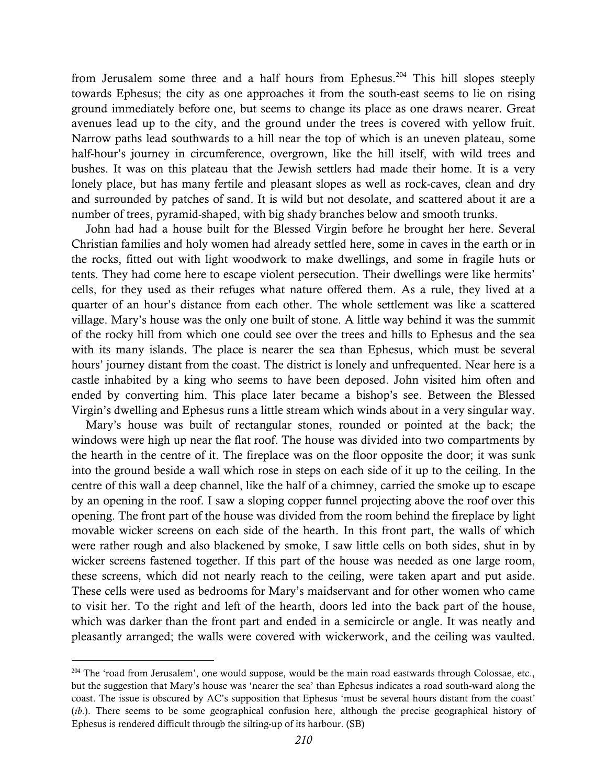from Jerusalem some three and a half hours from Ephesus.<sup>204</sup> This hill slopes steeply towards Ephesus; the city as one approaches it from the south-east seems to lie on rising ground immediately before one, but seems to change its place as one draws nearer. Great avenues lead up to the city, and the ground under the trees is covered with yellow fruit. Narrow paths lead southwards to a hill near the top of which is an uneven plateau, some half-hour's journey in circumference, overgrown, like the hill itself, with wild trees and bushes. It was on this plateau that the Jewish settlers had made their home. It is a very lonely place, but has many fertile and pleasant slopes as well as rock-caves, clean and dry and surrounded by patches of sand. It is wild but not desolate, and scattered about it are a number of trees, pyramid-shaped, with big shady branches below and smooth trunks.

John had had a house built for the Blessed Virgin before he brought her here. Several Christian families and holy women had already settled here, some in caves in the earth or in the rocks, fitted out with light woodwork to make dwellings, and some in fragile huts or tents. They had come here to escape violent persecution. Their dwellings were like hermits' cells, for they used as their refuges what nature offered them. As a rule, they lived at a quarter of an hour's distance from each other. The whole settlement was like a scattered village. Mary's house was the only one built of stone. A little way behind it was the summit of the rocky hill from which one could see over the trees and hills to Ephesus and the sea with its many islands. The place is nearer the sea than Ephesus, which must be several hours' journey distant from the coast. The district is lonely and unfrequented. Near here is a castle inhabited by a king who seems to have been deposed. John visited him often and ended by converting him. This place later became a bishop's see. Between the Blessed Virgin's dwelling and Ephesus runs a little stream which winds about in a very singular way.

Mary's house was built of rectangular stones, rounded or pointed at the back; the windows were high up near the flat roof. The house was divided into two compartments by the hearth in the centre of it. The fireplace was on the floor opposite the door; it was sunk into the ground beside a wall which rose in steps on each side of it up to the ceiling. In the centre of this wall a deep channel, like the half of a chimney, carried the smoke up to escape by an opening in the roof. I saw a sloping copper funnel projecting above the roof over this opening. The front part of the house was divided from the room behind the fireplace by light movable wicker screens on each side of the hearth. In this front part, the walls of which were rather rough and also blackened by smoke, I saw little cells on both sides, shut in by wicker screens fastened together. If this part of the house was needed as one large room, these screens, which did not nearly reach to the ceiling, were taken apart and put aside. These cells were used as bedrooms for Mary's maidservant and for other women who came to visit her. To the right and left of the hearth, doors led into the back part of the house, which was darker than the front part and ended in a semicircle or angle. It was neatly and pleasantly arranged; the walls were covered with wickerwork, and the ceiling was vaulted.

<sup>&</sup>lt;sup>204</sup> The 'road from Jerusalem', one would suppose, would be the main road eastwards through Colossae, etc., but the suggestion that Mary's house was 'nearer the sea' than Ephesus indicates a road south-ward along the coast. The issue is obscured by AC's supposition that Ephesus 'must be several hours distant from the coast' (*ib*.). There seems to be some geographical confusion here, although the precise geographical history of Ephesus is rendered difficult througb the silting-up of its harbour. (SB)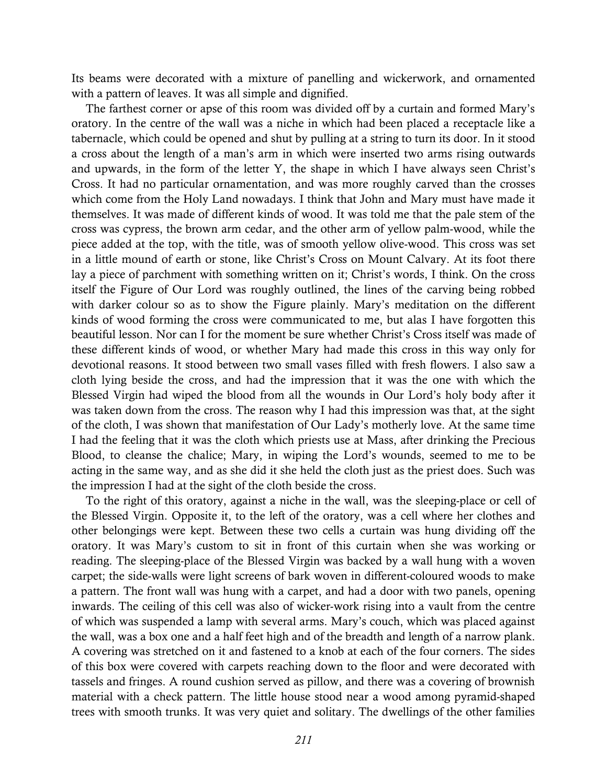Its beams were decorated with a mixture of panelling and wickerwork, and ornamented with a pattern of leaves. It was all simple and dignified.

The farthest corner or apse of this room was divided off by a curtain and formed Mary's oratory. In the centre of the wall was a niche in which had been placed a receptacle like a tabernacle, which could be opened and shut by pulling at a string to turn its door. In it stood a cross about the length of a man's arm in which were inserted two arms rising outwards and upwards, in the form of the letter Y, the shape in which I have always seen Christ's Cross. It had no particular ornamentation, and was more roughly carved than the crosses which come from the Holy Land nowadays. I think that John and Mary must have made it themselves. It was made of different kinds of wood. It was told me that the pale stem of the cross was cypress, the brown arm cedar, and the other arm of yellow palm-wood, while the piece added at the top, with the title, was of smooth yellow olive-wood. This cross was set in a little mound of earth or stone, like Christ's Cross on Mount Calvary. At its foot there lay a piece of parchment with something written on it; Christ's words, I think. On the cross itself the Figure of Our Lord was roughly outlined, the lines of the carving being robbed with darker colour so as to show the Figure plainly. Mary's meditation on the different kinds of wood forming the cross were communicated to me, but alas I have forgotten this beautiful lesson. Nor can I for the moment be sure whether Christ's Cross itself was made of these different kinds of wood, or whether Mary had made this cross in this way only for devotional reasons. It stood between two small vases filled with fresh flowers. I also saw a cloth lying beside the cross, and had the impression that it was the one with which the Blessed Virgin had wiped the blood from all the wounds in Our Lord's holy body after it was taken down from the cross. The reason why I had this impression was that, at the sight of the cloth, I was shown that manifestation of Our Lady's motherly love. At the same time I had the feeling that it was the cloth which priests use at Mass, after drinking the Precious Blood, to cleanse the chalice; Mary, in wiping the Lord's wounds, seemed to me to be acting in the same way, and as she did it she held the cloth just as the priest does. Such was the impression I had at the sight of the cloth beside the cross.

To the right of this oratory, against a niche in the wall, was the sleeping-place or cell of the Blessed Virgin. Opposite it, to the left of the oratory, was a cell where her clothes and other belongings were kept. Between these two cells a curtain was hung dividing off the oratory. It was Mary's custom to sit in front of this curtain when she was working or reading. The sleeping-place of the Blessed Virgin was backed by a wall hung with a woven carpet; the side-walls were light screens of bark woven in different-coloured woods to make a pattern. The front wall was hung with a carpet, and had a door with two panels, opening inwards. The ceiling of this cell was also of wicker-work rising into a vault from the centre of which was suspended a lamp with several arms. Mary's couch, which was placed against the wall, was a box one and a half feet high and of the breadth and length of a narrow plank. A covering was stretched on it and fastened to a knob at each of the four corners. The sides of this box were covered with carpets reaching down to the floor and were decorated with tassels and fringes. A round cushion served as pillow, and there was a covering of brownish material with a check pattern. The little house stood near a wood among pyramid-shaped trees with smooth trunks. It was very quiet and solitary. The dwellings of the other families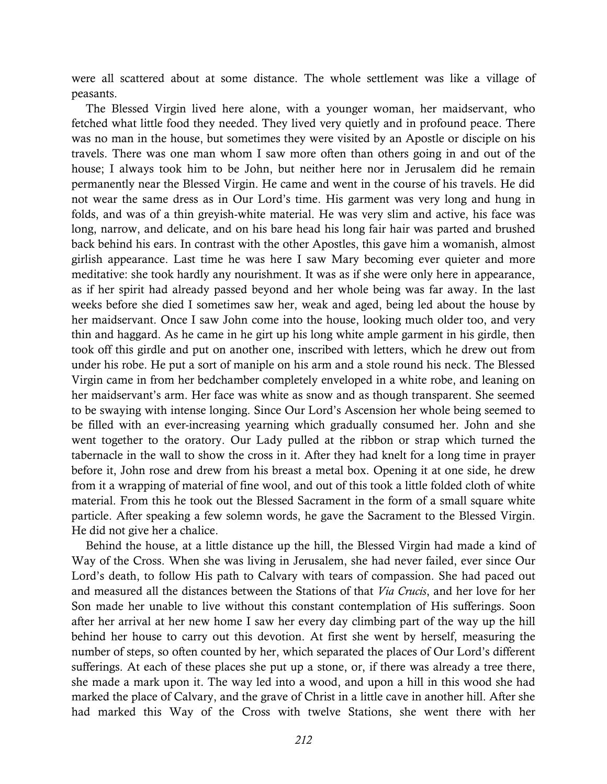were all scattered about at some distance. The whole settlement was like a village of peasants.

The Blessed Virgin lived here alone, with a younger woman, her maidservant, who fetched what little food they needed. They lived very quietly and in profound peace. There was no man in the house, but sometimes they were visited by an Apostle or disciple on his travels. There was one man whom I saw more often than others going in and out of the house; I always took him to be John, but neither here nor in Jerusalem did he remain permanently near the Blessed Virgin. He came and went in the course of his travels. He did not wear the same dress as in Our Lord's time. His garment was very long and hung in folds, and was of a thin greyish-white material. He was very slim and active, his face was long, narrow, and delicate, and on his bare head his long fair hair was parted and brushed back behind his ears. In contrast with the other Apostles, this gave him a womanish, almost girlish appearance. Last time he was here I saw Mary becoming ever quieter and more meditative: she took hardly any nourishment. It was as if she were only here in appearance, as if her spirit had already passed beyond and her whole being was far away. In the last weeks before she died I sometimes saw her, weak and aged, being led about the house by her maidservant. Once I saw John come into the house, looking much older too, and very thin and haggard. As he came in he girt up his long white ample garment in his girdle, then took off this girdle and put on another one, inscribed with letters, which he drew out from under his robe. He put a sort of maniple on his arm and a stole round his neck. The Blessed Virgin came in from her bedchamber completely enveloped in a white robe, and leaning on her maidservant's arm. Her face was white as snow and as though transparent. She seemed to be swaying with intense longing. Since Our Lord's Ascension her whole being seemed to be filled with an ever-increasing yearning which gradually consumed her. John and she went together to the oratory. Our Lady pulled at the ribbon or strap which turned the tabernacle in the wall to show the cross in it. After they had knelt for a long time in prayer before it, John rose and drew from his breast a metal box. Opening it at one side, he drew from it a wrapping of material of fine wool, and out of this took a little folded cloth of white material. From this he took out the Blessed Sacrament in the form of a small square white particle. After speaking a few solemn words, he gave the Sacrament to the Blessed Virgin. He did not give her a chalice.

Behind the house, at a little distance up the hill, the Blessed Virgin had made a kind of Way of the Cross. When she was living in Jerusalem, she had never failed, ever since Our Lord's death, to follow His path to Calvary with tears of compassion. She had paced out and measured all the distances between the Stations of that *Via Crucis*, and her love for her Son made her unable to live without this constant contemplation of His sufferings. Soon after her arrival at her new home I saw her every day climbing part of the way up the hill behind her house to carry out this devotion. At first she went by herself, measuring the number of steps, so often counted by her, which separated the places of Our Lord's different sufferings. At each of these places she put up a stone, or, if there was already a tree there, she made a mark upon it. The way led into a wood, and upon a hill in this wood she had marked the place of Calvary, and the grave of Christ in a little cave in another hill. After she had marked this Way of the Cross with twelve Stations, she went there with her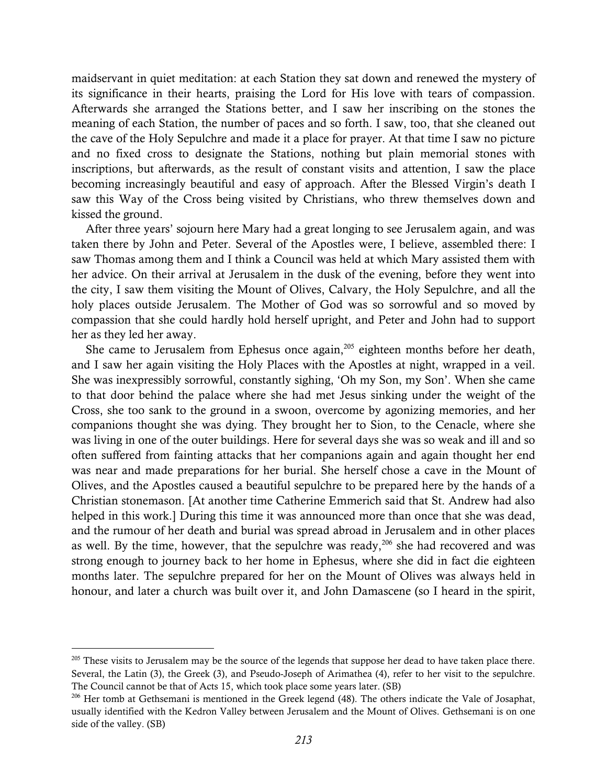maidservant in quiet meditation: at each Station they sat down and renewed the mystery of its significance in their hearts, praising the Lord for His love with tears of compassion. Afterwards she arranged the Stations better, and I saw her inscribing on the stones the meaning of each Station, the number of paces and so forth. I saw, too, that she cleaned out the cave of the Holy Sepulchre and made it a place for prayer. At that time I saw no picture and no fixed cross to designate the Stations, nothing but plain memorial stones with inscriptions, but afterwards, as the result of constant visits and attention, I saw the place becoming increasingly beautiful and easy of approach. After the Blessed Virgin's death I saw this Way of the Cross being visited by Christians, who threw themselves down and kissed the ground.

After three years' sojourn here Mary had a great longing to see Jerusalem again, and was taken there by John and Peter. Several of the Apostles were, I believe, assembled there: I saw Thomas among them and I think a Council was held at which Mary assisted them with her advice. On their arrival at Jerusalem in the dusk of the evening, before they went into the city, I saw them visiting the Mount of Olives, Calvary, the Holy Sepulchre, and all the holy places outside Jerusalem. The Mother of God was so sorrowful and so moved by compassion that she could hardly hold herself upright, and Peter and John had to support her as they led her away.

She came to Jerusalem from Ephesus once again, $205$  eighteen months before her death, and I saw her again visiting the Holy Places with the Apostles at night, wrapped in a veil. She was inexpressibly sorrowful, constantly sighing, 'Oh my Son, my Son'. When she came to that door behind the palace where she had met Jesus sinking under the weight of the Cross, she too sank to the ground in a swoon, overcome by agonizing memories, and her companions thought she was dying. They brought her to Sion, to the Cenacle, where she was living in one of the outer buildings. Here for several days she was so weak and ill and so often suffered from fainting attacks that her companions again and again thought her end was near and made preparations for her burial. She herself chose a cave in the Mount of Olives, and the Apostles caused a beautiful sepulchre to be prepared here by the hands of a Christian stonemason. [At another time Catherine Emmerich said that St. Andrew had also helped in this work.] During this time it was announced more than once that she was dead, and the rumour of her death and burial was spread abroad in Jerusalem and in other places as well. By the time, however, that the sepulchre was ready,  $206$  she had recovered and was strong enough to journey back to her home in Ephesus, where she did in fact die eighteen months later. The sepulchre prepared for her on the Mount of Olives was always held in honour, and later a church was built over it, and John Damascene (so I heard in the spirit,

<sup>&</sup>lt;sup>205</sup> These visits to Jerusalem may be the source of the legends that suppose her dead to have taken place there. Several, the Latin (3), the Greek (3), and Pseudo-Joseph of Arimathea (4), refer to her visit to the sepulchre. The Council cannot be that of Acts 15, which took place some years later. (SB)

<sup>&</sup>lt;sup>206</sup> Her tomb at Gethsemani is mentioned in the Greek legend (48). The others indicate the Vale of Josaphat, usually identified with the Kedron Valley between Jerusalem and the Mount of Olives. Gethsemani is on one side of the valley. (SB)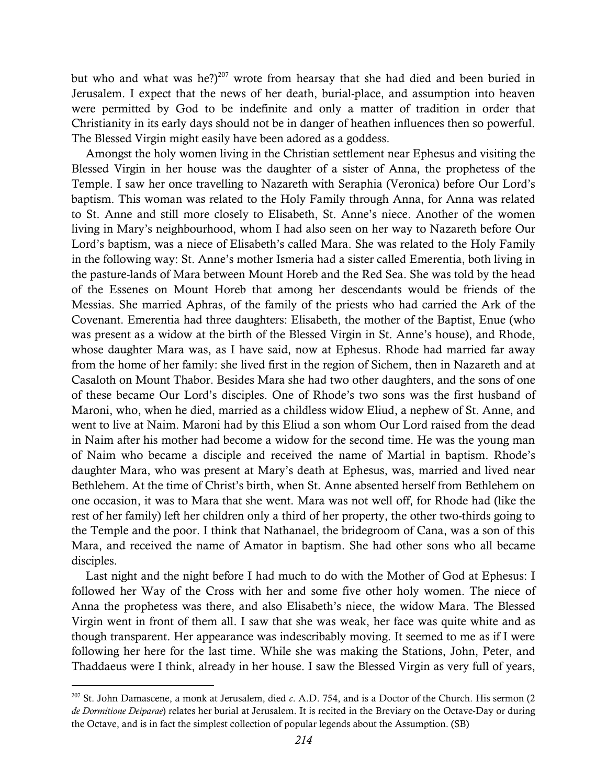but who and what was he?)<sup>207</sup> wrote from hearsay that she had died and been buried in Jerusalem. I expect that the news of her death, burial-place, and assumption into heaven were permitted by God to be indefinite and only a matter of tradition in order that Christianity in its early days should not be in danger of heathen influences then so powerful. The Blessed Virgin might easily have been adored as a goddess.

Amongst the holy women living in the Christian settlement near Ephesus and visiting the Blessed Virgin in her house was the daughter of a sister of Anna, the prophetess of the Temple. I saw her once travelling to Nazareth with Seraphia (Veronica) before Our Lord's baptism. This woman was related to the Holy Family through Anna, for Anna was related to St. Anne and still more closely to Elisabeth, St. Anne's niece. Another of the women living in Mary's neighbourhood, whom I had also seen on her way to Nazareth before Our Lord's baptism, was a niece of Elisabeth's called Mara. She was related to the Holy Family in the following way: St. Anne's mother Ismeria had a sister called Emerentia, both living in the pasture-lands of Mara between Mount Horeb and the Red Sea. She was told by the head of the Essenes on Mount Horeb that among her descendants would be friends of the Messias. She married Aphras, of the family of the priests who had carried the Ark of the Covenant. Emerentia had three daughters: Elisabeth, the mother of the Baptist, Enue (who was present as a widow at the birth of the Blessed Virgin in St. Anne's house), and Rhode, whose daughter Mara was, as I have said, now at Ephesus. Rhode had married far away from the home of her family: she lived first in the region of Sichem, then in Nazareth and at Casaloth on Mount Thabor. Besides Mara she had two other daughters, and the sons of one of these became Our Lord's disciples. One of Rhode's two sons was the first husband of Maroni, who, when he died, married as a childless widow Eliud, a nephew of St. Anne, and went to live at Naim. Maroni had by this Eliud a son whom Our Lord raised from the dead in Naim after his mother had become a widow for the second time. He was the young man of Naim who became a disciple and received the name of Martial in baptism. Rhode's daughter Mara, who was present at Mary's death at Ephesus, was, married and lived near Bethlehem. At the time of Christ's birth, when St. Anne absented herself from Bethlehem on one occasion, it was to Mara that she went. Mara was not well off, for Rhode had (like the rest of her family) left her children only a third of her property, the other two-thirds going to the Temple and the poor. I think that Nathanael, the bridegroom of Cana, was a son of this Mara, and received the name of Amator in baptism. She had other sons who all became disciples.

Last night and the night before I had much to do with the Mother of God at Ephesus: I followed her Way of the Cross with her and some five other holy women. The niece of Anna the prophetess was there, and also Elisabeth's niece, the widow Mara. The Blessed Virgin went in front of them all. I saw that she was weak, her face was quite white and as though transparent. Her appearance was indescribably moving. It seemed to me as if I were following her here for the last time. While she was making the Stations, John, Peter, and Thaddaeus were I think, already in her house. I saw the Blessed Virgin as very full of years,

<sup>207</sup> St. John Damascene, a monk at Jerusalem, died *c*. A.D. 754, and is a Doctor of the Church. His sermon (2 *de Dormitione Deiparae*) relates her burial at Jerusalem. It is recited in the Breviary on the Octave-Day or during the Octave, and is in fact the simplest collection of popular legends about the Assumption. (SB)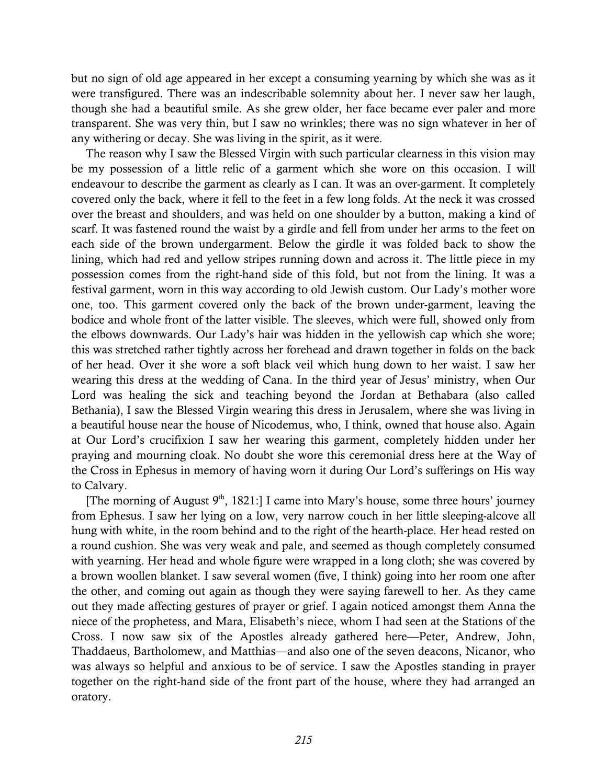but no sign of old age appeared in her except a consuming yearning by which she was as it were transfigured. There was an indescribable solemnity about her. I never saw her laugh, though she had a beautiful smile. As she grew older, her face became ever paler and more transparent. She was very thin, but I saw no wrinkles; there was no sign whatever in her of any withering or decay. She was living in the spirit, as it were.

The reason why I saw the Blessed Virgin with such particular clearness in this vision may be my possession of a little relic of a garment which she wore on this occasion. I will endeavour to describe the garment as clearly as I can. It was an over-garment. It completely covered only the back, where it fell to the feet in a few long folds. At the neck it was crossed over the breast and shoulders, and was held on one shoulder by a button, making a kind of scarf. It was fastened round the waist by a girdle and fell from under her arms to the feet on each side of the brown undergarment. Below the girdle it was folded back to show the lining, which had red and yellow stripes running down and across it. The little piece in my possession comes from the right-hand side of this fold, but not from the lining. It was a festival garment, worn in this way according to old Jewish custom. Our Lady's mother wore one, too. This garment covered only the back of the brown under-garment, leaving the bodice and whole front of the latter visible. The sleeves, which were full, showed only from the elbows downwards. Our Lady's hair was hidden in the yellowish cap which she wore; this was stretched rather tightly across her forehead and drawn together in folds on the back of her head. Over it she wore a soft black veil which hung down to her waist. I saw her wearing this dress at the wedding of Cana. In the third year of Jesus' ministry, when Our Lord was healing the sick and teaching beyond the Jordan at Bethabara (also called Bethania), I saw the Blessed Virgin wearing this dress in Jerusalem, where she was living in a beautiful house near the house of Nicodemus, who, I think, owned that house also. Again at Our Lord's crucifixion I saw her wearing this garment, completely hidden under her praying and mourning cloak. No doubt she wore this ceremonial dress here at the Way of the Cross in Ephesus in memory of having worn it during Our Lord's sufferings on His way to Calvary.

[The morning of August 9<sup>th</sup>, 1821:] I came into Mary's house, some three hours' journey from Ephesus. I saw her lying on a low, very narrow couch in her little sleeping-alcove all hung with white, in the room behind and to the right of the hearth-place. Her head rested on a round cushion. She was very weak and pale, and seemed as though completely consumed with yearning. Her head and whole figure were wrapped in a long cloth; she was covered by a brown woollen blanket. I saw several women (five, I think) going into her room one after the other, and coming out again as though they were saying farewell to her. As they came out they made affecting gestures of prayer or grief. I again noticed amongst them Anna the niece of the prophetess, and Mara, Elisabeth's niece, whom I had seen at the Stations of the Cross. I now saw six of the Apostles already gathered here—Peter, Andrew, John, Thaddaeus, Bartholomew, and Matthias—and also one of the seven deacons, Nicanor, who was always so helpful and anxious to be of service. I saw the Apostles standing in prayer together on the right-hand side of the front part of the house, where they had arranged an oratory.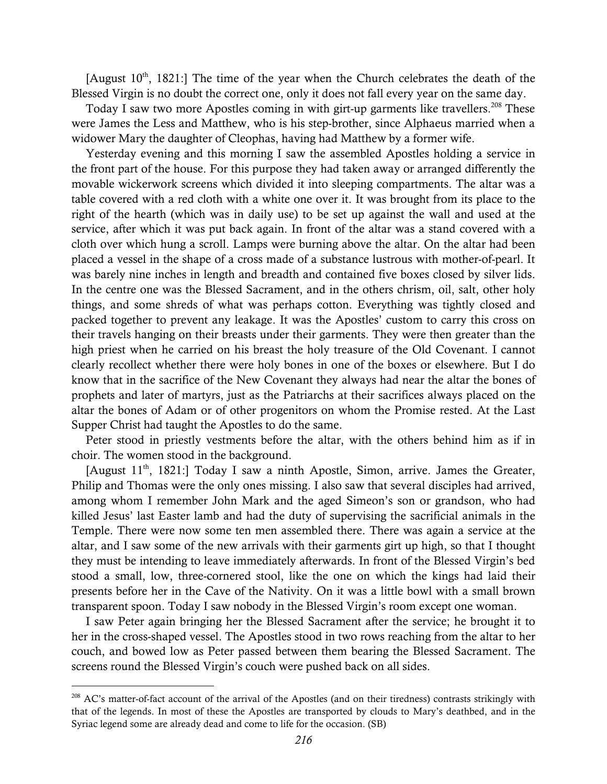[August  $10<sup>th</sup>$ , 1821:] The time of the year when the Church celebrates the death of the Blessed Virgin is no doubt the correct one, only it does not fall every year on the same day.

Today I saw two more Apostles coming in with girt-up garments like travellers.<sup>208</sup> These were James the Less and Matthew, who is his step-brother, since Alphaeus married when a widower Mary the daughter of Cleophas, having had Matthew by a former wife.

Yesterday evening and this morning I saw the assembled Apostles holding a service in the front part of the house. For this purpose they had taken away or arranged differently the movable wickerwork screens which divided it into sleeping compartments. The altar was a table covered with a red cloth with a white one over it. It was brought from its place to the right of the hearth (which was in daily use) to be set up against the wall and used at the service, after which it was put back again. In front of the altar was a stand covered with a cloth over which hung a scroll. Lamps were burning above the altar. On the altar had been placed a vessel in the shape of a cross made of a substance lustrous with mother-of-pearl. It was barely nine inches in length and breadth and contained five boxes closed by silver lids. In the centre one was the Blessed Sacrament, and in the others chrism, oil, salt, other holy things, and some shreds of what was perhaps cotton. Everything was tightly closed and packed together to prevent any leakage. It was the Apostles' custom to carry this cross on their travels hanging on their breasts under their garments. They were then greater than the high priest when he carried on his breast the holy treasure of the Old Covenant. I cannot clearly recollect whether there were holy bones in one of the boxes or elsewhere. But I do know that in the sacrifice of the New Covenant they always had near the altar the bones of prophets and later of martyrs, just as the Patriarchs at their sacrifices always placed on the altar the bones of Adam or of other progenitors on whom the Promise rested. At the Last Supper Christ had taught the Apostles to do the same.

Peter stood in priestly vestments before the altar, with the others behind him as if in choir. The women stood in the background.

[August 11<sup>th</sup>, 1821:] Today I saw a ninth Apostle, Simon, arrive. James the Greater, Philip and Thomas were the only ones missing. I also saw that several disciples had arrived, among whom I remember John Mark and the aged Simeon's son or grandson, who had killed Jesus' last Easter lamb and had the duty of supervising the sacrificial animals in the Temple. There were now some ten men assembled there. There was again a service at the altar, and I saw some of the new arrivals with their garments girt up high, so that I thought they must be intending to leave immediately afterwards. In front of the Blessed Virgin's bed stood a small, low, three-cornered stool, like the one on which the kings had laid their presents before her in the Cave of the Nativity. On it was a little bowl with a small brown transparent spoon. Today I saw nobody in the Blessed Virgin's room except one woman.

I saw Peter again bringing her the Blessed Sacrament after the service; he brought it to her in the cross-shaped vessel. The Apostles stood in two rows reaching from the altar to her couch, and bowed low as Peter passed between them bearing the Blessed Sacrament. The screens round the Blessed Virgin's couch were pushed back on all sides.

<sup>&</sup>lt;sup>208</sup> AC's matter-of-fact account of the arrival of the Apostles (and on their tiredness) contrasts strikingly with that of the legends. In most of these the Apostles are transported by clouds to Mary's deathbed, and in the Syriac legend some are already dead and come to life for the occasion. (SB)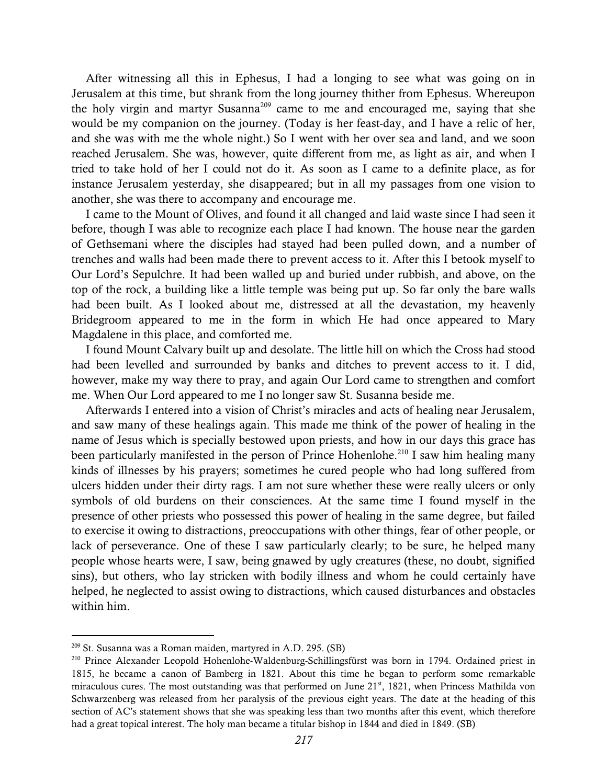After witnessing all this in Ephesus, I had a longing to see what was going on in Jerusalem at this time, but shrank from the long journey thither from Ephesus. Whereupon the holy virgin and martyr Susanna<sup>209</sup> came to me and encouraged me, saying that she would be my companion on the journey. (Today is her feast-day, and I have a relic of her, and she was with me the whole night.) So I went with her over sea and land, and we soon reached Jerusalem. She was, however, quite different from me, as light as air, and when I tried to take hold of her I could not do it. As soon as I came to a definite place, as for instance Jerusalem yesterday, she disappeared; but in all my passages from one vision to another, she was there to accompany and encourage me.

I came to the Mount of Olives, and found it all changed and laid waste since I had seen it before, though I was able to recognize each place I had known. The house near the garden of Gethsemani where the disciples had stayed had been pulled down, and a number of trenches and walls had been made there to prevent access to it. After this I betook myself to Our Lord's Sepulchre. It had been walled up and buried under rubbish, and above, on the top of the rock, a building like a little temple was being put up. So far only the bare walls had been built. As I looked about me, distressed at all the devastation, my heavenly Bridegroom appeared to me in the form in which He had once appeared to Mary Magdalene in this place, and comforted me.

I found Mount Calvary built up and desolate. The little hill on which the Cross had stood had been levelled and surrounded by banks and ditches to prevent access to it. I did, however, make my way there to pray, and again Our Lord came to strengthen and comfort me. When Our Lord appeared to me I no longer saw St. Susanna beside me.

Afterwards I entered into a vision of Christ's miracles and acts of healing near Jerusalem, and saw many of these healings again. This made me think of the power of healing in the name of Jesus which is specially bestowed upon priests, and how in our days this grace has been particularly manifested in the person of Prince Hohenlohe.<sup>210</sup> I saw him healing many kinds of illnesses by his prayers; sometimes he cured people who had long suffered from ulcers hidden under their dirty rags. I am not sure whether these were really ulcers or only symbols of old burdens on their consciences. At the same time I found myself in the presence of other priests who possessed this power of healing in the same degree, but failed to exercise it owing to distractions, preoccupations with other things, fear of other people, or lack of perseverance. One of these I saw particularly clearly; to be sure, he helped many people whose hearts were, I saw, being gnawed by ugly creatures (these, no doubt, signified sins), but others, who lay stricken with bodily illness and whom he could certainly have helped, he neglected to assist owing to distractions, which caused disturbances and obstacles within him.

<sup>209</sup> St. Susanna was a Roman maiden, martyred in A.D. 295. (SB)

<sup>210</sup> Prince Alexander Leopold Hohenlohe-Waldenburg-Schillingsfürst was born in 1794. Ordained priest in 1815, he became a canon of Bamberg in 1821. About this time he began to perform some remarkable miraculous cures. The most outstanding was that performed on June 21<sup>st</sup>, 1821, when Princess Mathilda von Schwarzenberg was released from her paralysis of the previous eight years. The date at the heading of this section of AC's statement shows that she was speaking less than two months after this event, which therefore had a great topical interest. The holy man became a titular bishop in 1844 and died in 1849. (SB)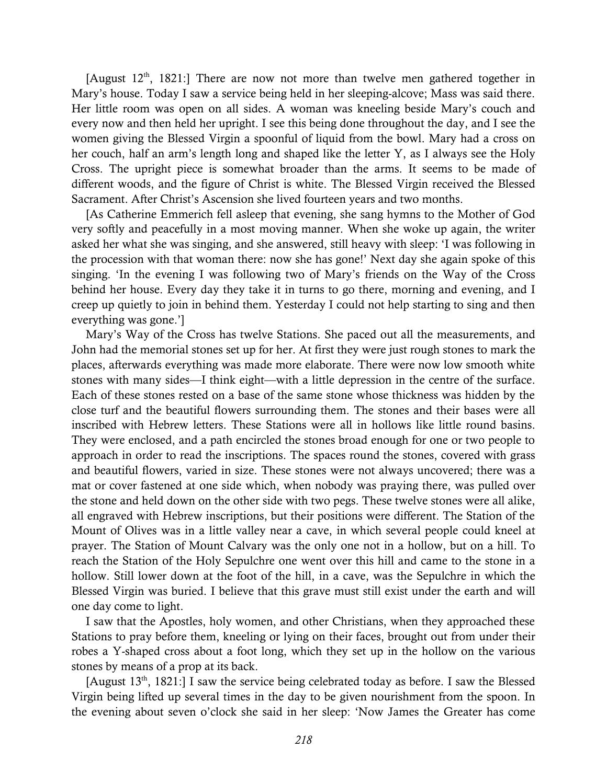[August  $12<sup>th</sup>$ , 1821:] There are now not more than twelve men gathered together in Mary's house. Today I saw a service being held in her sleeping-alcove; Mass was said there. Her little room was open on all sides. A woman was kneeling beside Mary's couch and every now and then held her upright. I see this being done throughout the day, and I see the women giving the Blessed Virgin a spoonful of liquid from the bowl. Mary had a cross on her couch, half an arm's length long and shaped like the letter Y, as I always see the Holy Cross. The upright piece is somewhat broader than the arms. It seems to be made of different woods, and the figure of Christ is white. The Blessed Virgin received the Blessed Sacrament. After Christ's Ascension she lived fourteen years and two months.

[As Catherine Emmerich fell asleep that evening, she sang hymns to the Mother of God very softly and peacefully in a most moving manner. When she woke up again, the writer asked her what she was singing, and she answered, still heavy with sleep: 'I was following in the procession with that woman there: now she has gone!' Next day she again spoke of this singing. 'In the evening I was following two of Mary's friends on the Way of the Cross behind her house. Every day they take it in turns to go there, morning and evening, and I creep up quietly to join in behind them. Yesterday I could not help starting to sing and then everything was gone.']

Mary's Way of the Cross has twelve Stations. She paced out all the measurements, and John had the memorial stones set up for her. At first they were just rough stones to mark the places, afterwards everything was made more elaborate. There were now low smooth white stones with many sides—I think eight—with a little depression in the centre of the surface. Each of these stones rested on a base of the same stone whose thickness was hidden by the close turf and the beautiful flowers surrounding them. The stones and their bases were all inscribed with Hebrew letters. These Stations were all in hollows like little round basins. They were enclosed, and a path encircled the stones broad enough for one or two people to approach in order to read the inscriptions. The spaces round the stones, covered with grass and beautiful flowers, varied in size. These stones were not always uncovered; there was a mat or cover fastened at one side which, when nobody was praying there, was pulled over the stone and held down on the other side with two pegs. These twelve stones were all alike, all engraved with Hebrew inscriptions, but their positions were different. The Station of the Mount of Olives was in a little valley near a cave, in which several people could kneel at prayer. The Station of Mount Calvary was the only one not in a hollow, but on a hill. To reach the Station of the Holy Sepulchre one went over this hill and came to the stone in a hollow. Still lower down at the foot of the hill, in a cave, was the Sepulchre in which the Blessed Virgin was buried. I believe that this grave must still exist under the earth and will one day come to light.

I saw that the Apostles, holy women, and other Christians, when they approached these Stations to pray before them, kneeling or lying on their faces, brought out from under their robes a Y-shaped cross about a foot long, which they set up in the hollow on the various stones by means of a prop at its back.

[August  $13<sup>th</sup>$ , 1821:] I saw the service being celebrated today as before. I saw the Blessed Virgin being lifted up several times in the day to be given nourishment from the spoon. In the evening about seven o'clock she said in her sleep: 'Now James the Greater has come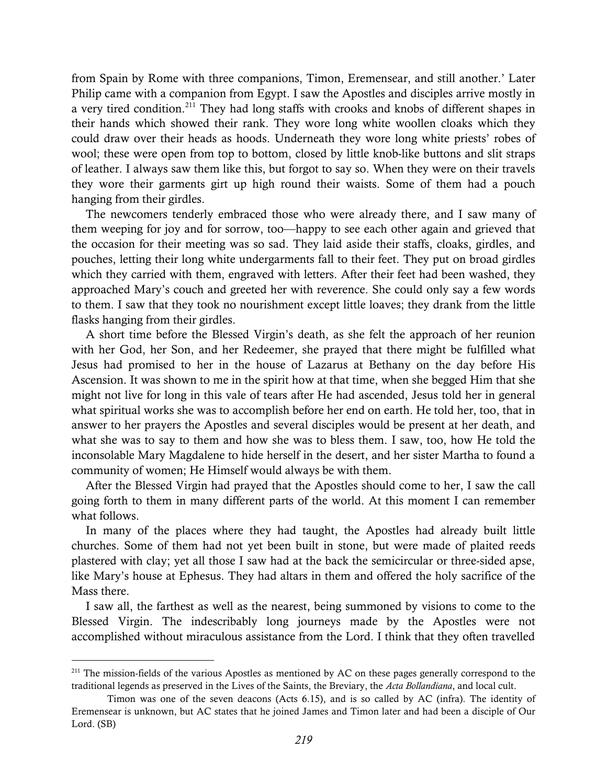from Spain by Rome with three companions, Timon, Eremensear, and still another.' Later Philip came with a companion from Egypt. I saw the Apostles and disciples arrive mostly in a very tired condition.<sup>211</sup> They had long staffs with crooks and knobs of different shapes in their hands which showed their rank. They wore long white woollen cloaks which they could draw over their heads as hoods. Underneath they wore long white priests' robes of wool; these were open from top to bottom, closed by little knob-like buttons and slit straps of leather. I always saw them like this, but forgot to say so. When they were on their travels they wore their garments girt up high round their waists. Some of them had a pouch hanging from their girdles.

The newcomers tenderly embraced those who were already there, and I saw many of them weeping for joy and for sorrow, too—happy to see each other again and grieved that the occasion for their meeting was so sad. They laid aside their staffs, cloaks, girdles, and pouches, letting their long white undergarments fall to their feet. They put on broad girdles which they carried with them, engraved with letters. After their feet had been washed, they approached Mary's couch and greeted her with reverence. She could only say a few words to them. I saw that they took no nourishment except little loaves; they drank from the little flasks hanging from their girdles.

A short time before the Blessed Virgin's death, as she felt the approach of her reunion with her God, her Son, and her Redeemer, she prayed that there might be fulfilled what Jesus had promised to her in the house of Lazarus at Bethany on the day before His Ascension. It was shown to me in the spirit how at that time, when she begged Him that she might not live for long in this vale of tears after He had ascended, Jesus told her in general what spiritual works she was to accomplish before her end on earth. He told her, too, that in answer to her prayers the Apostles and several disciples would be present at her death, and what she was to say to them and how she was to bless them. I saw, too, how He told the inconsolable Mary Magdalene to hide herself in the desert, and her sister Martha to found a community of women; He Himself would always be with them.

After the Blessed Virgin had prayed that the Apostles should come to her, I saw the call going forth to them in many different parts of the world. At this moment I can remember what follows.

In many of the places where they had taught, the Apostles had already built little churches. Some of them had not yet been built in stone, but were made of plaited reeds plastered with clay; yet all those I saw had at the back the semicircular or three-sided apse, like Mary's house at Ephesus. They had altars in them and offered the holy sacrifice of the Mass there.

I saw all, the farthest as well as the nearest, being summoned by visions to come to the Blessed Virgin. The indescribably long journeys made by the Apostles were not accomplished without miraculous assistance from the Lord. I think that they often travelled

<sup>&</sup>lt;sup>211</sup> The mission-fields of the various Apostles as mentioned by AC on these pages generally correspond to the traditional legends as preserved in the Lives of the Saints, the Breviary, the *Acta Bollandiana*, and local cult.

Timon was one of the seven deacons (Acts 6.15), and is so called by AC (infra). The identity of Eremensear is unknown, but AC states that he joined James and Timon later and had been a disciple of Our Lord. (SB)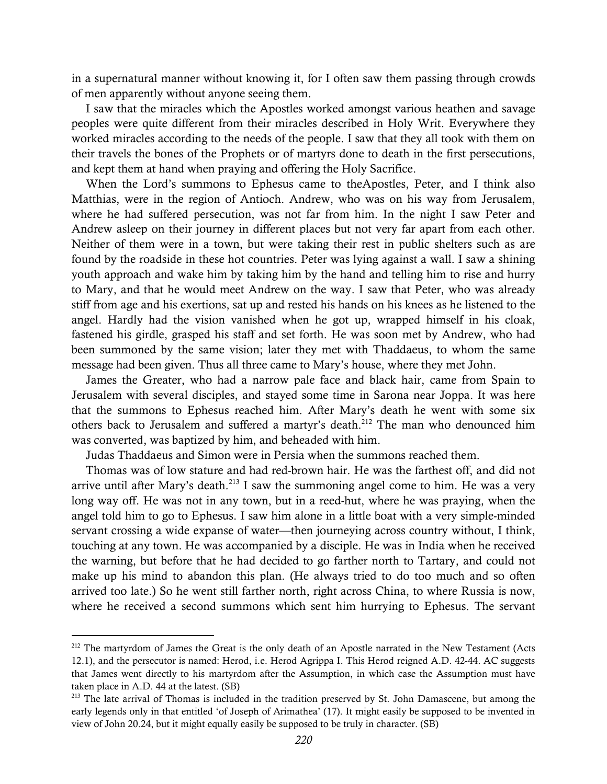in a supernatural manner without knowing it, for I often saw them passing through crowds of men apparently without anyone seeing them.

I saw that the miracles which the Apostles worked amongst various heathen and savage peoples were quite different from their miracles described in Holy Writ. Everywhere they worked miracles according to the needs of the people. I saw that they all took with them on their travels the bones of the Prophets or of martyrs done to death in the first persecutions, and kept them at hand when praying and offering the Holy Sacrifice.

When the Lord's summons to Ephesus came to theApostles, Peter, and I think also Matthias, were in the region of Antioch. Andrew, who was on his way from Jerusalem, where he had suffered persecution, was not far from him. In the night I saw Peter and Andrew asleep on their journey in different places but not very far apart from each other. Neither of them were in a town, but were taking their rest in public shelters such as are found by the roadside in these hot countries. Peter was lying against a wall. I saw a shining youth approach and wake him by taking him by the hand and telling him to rise and hurry to Mary, and that he would meet Andrew on the way. I saw that Peter, who was already stiff from age and his exertions, sat up and rested his hands on his knees as he listened to the angel. Hardly had the vision vanished when he got up, wrapped himself in his cloak, fastened his girdle, grasped his staff and set forth. He was soon met by Andrew, who had been summoned by the same vision; later they met with Thaddaeus, to whom the same message had been given. Thus all three came to Mary's house, where they met John.

James the Greater, who had a narrow pale face and black hair, came from Spain to Jerusalem with several disciples, and stayed some time in Sarona near Joppa. It was here that the summons to Ephesus reached him. After Mary's death he went with some six others back to Jerusalem and suffered a martyr's death.<sup>212</sup> The man who denounced him was converted, was baptized by him, and beheaded with him.

Judas Thaddaeus and Simon were in Persia when the summons reached them.

Thomas was of low stature and had red-brown hair. He was the farthest off, and did not arrive until after Mary's death.<sup>213</sup> I saw the summoning angel come to him. He was a very long way off. He was not in any town, but in a reed-hut, where he was praying, when the angel told him to go to Ephesus. I saw him alone in a little boat with a very simple-minded servant crossing a wide expanse of water—then journeying across country without, I think, touching at any town. He was accompanied by a disciple. He was in India when he received the warning, but before that he had decided to go farther north to Tartary, and could not make up his mind to abandon this plan. (He always tried to do too much and so often arrived too late.) So he went still farther north, right across China, to where Russia is now, where he received a second summons which sent him hurrying to Ephesus. The servant

<sup>&</sup>lt;sup>212</sup> The martyrdom of James the Great is the only death of an Apostle narrated in the New Testament (Acts 12.1), and the persecutor is named: Herod, i.e. Herod Agrippa I. This Herod reigned A.D. 42-44. AC suggests that James went directly to his martyrdom after the Assumption, in which case the Assumption must have taken place in A.D. 44 at the latest. (SB)

<sup>&</sup>lt;sup>213</sup> The late arrival of Thomas is included in the tradition preserved by St. John Damascene, but among the early legends only in that entitled 'of Joseph of Arimathea' (17). It might easily be supposed to be invented in view of John 20.24, but it might equally easily be supposed to be truly in character. (SB)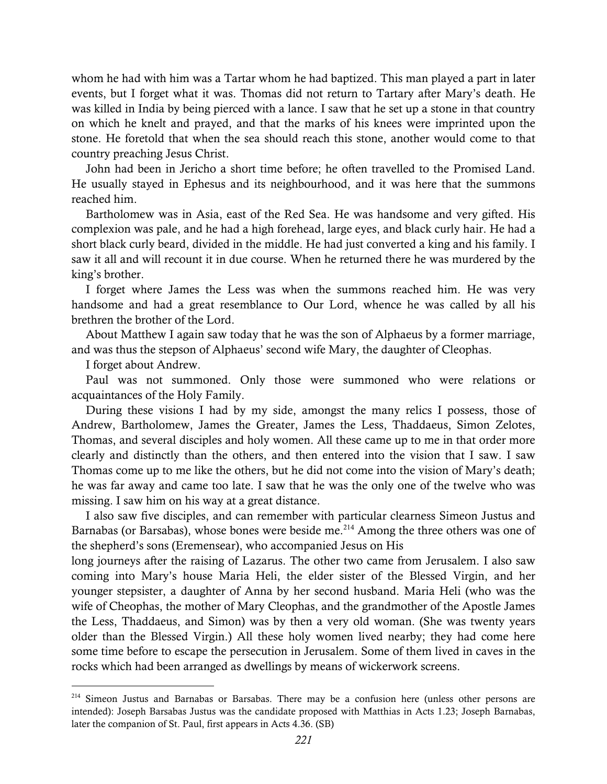whom he had with him was a Tartar whom he had baptized. This man played a part in later events, but I forget what it was. Thomas did not return to Tartary after Mary's death. He was killed in India by being pierced with a lance. I saw that he set up a stone in that country on which he knelt and prayed, and that the marks of his knees were imprinted upon the stone. He foretold that when the sea should reach this stone, another would come to that country preaching Jesus Christ.

John had been in Jericho a short time before; he often travelled to the Promised Land. He usually stayed in Ephesus and its neighbourhood, and it was here that the summons reached him.

Bartholomew was in Asia, east of the Red Sea. He was handsome and very gifted. His complexion was pale, and he had a high forehead, large eyes, and black curly hair. He had a short black curly beard, divided in the middle. He had just converted a king and his family. I saw it all and will recount it in due course. When he returned there he was murdered by the king's brother.

I forget where James the Less was when the summons reached him. He was very handsome and had a great resemblance to Our Lord, whence he was called by all his brethren the brother of the Lord.

About Matthew I again saw today that he was the son of Alphaeus by a former marriage, and was thus the stepson of Alphaeus' second wife Mary, the daughter of Cleophas.

I forget about Andrew.

 $\overline{a}$ 

Paul was not summoned. Only those were summoned who were relations or acquaintances of the Holy Family.

During these visions I had by my side, amongst the many relics I possess, those of Andrew, Bartholomew, James the Greater, James the Less, Thaddaeus, Simon Zelotes, Thomas, and several disciples and holy women. All these came up to me in that order more clearly and distinctly than the others, and then entered into the vision that I saw. I saw Thomas come up to me like the others, but he did not come into the vision of Mary's death; he was far away and came too late. I saw that he was the only one of the twelve who was missing. I saw him on his way at a great distance.

I also saw five disciples, and can remember with particular clearness Simeon Justus and Barnabas (or Barsabas), whose bones were beside me.<sup>214</sup> Among the three others was one of the shepherd's sons (Eremensear), who accompanied Jesus on His

long journeys after the raising of Lazarus. The other two came from Jerusalem. I also saw coming into Mary's house Maria Heli, the elder sister of the Blessed Virgin, and her younger stepsister, a daughter of Anna by her second husband. Maria Heli (who was the wife of Cheophas, the mother of Mary Cleophas, and the grandmother of the Apostle James the Less, Thaddaeus, and Simon) was by then a very old woman. (She was twenty years older than the Blessed Virgin.) All these holy women lived nearby; they had come here some time before to escape the persecution in Jerusalem. Some of them lived in caves in the rocks which had been arranged as dwellings by means of wickerwork screens.

<sup>&</sup>lt;sup>214</sup> Simeon Justus and Barnabas or Barsabas. There may be a confusion here (unless other persons are intended): Joseph Barsabas Justus was the candidate proposed with Matthias in Acts 1.23; Joseph Barnabas, later the companion of St. Paul, first appears in Acts 4.36. (SB)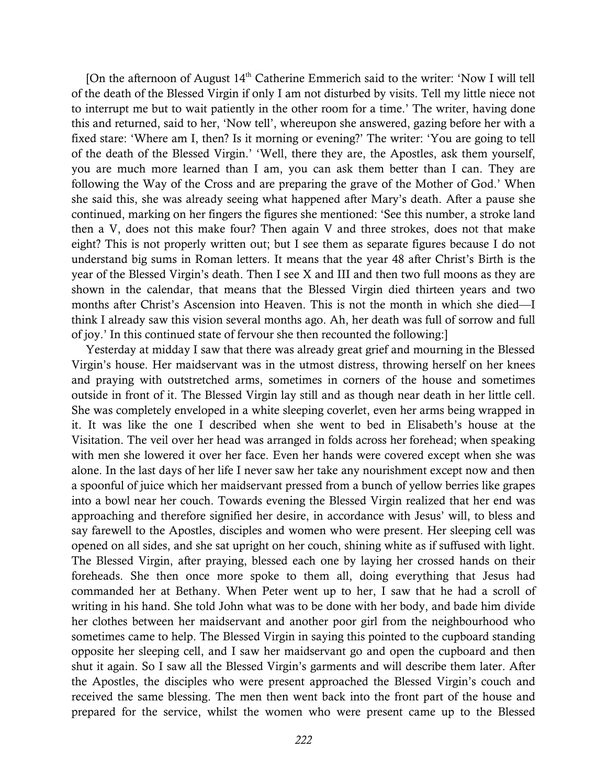[On the afternoon of August 14<sup>th</sup> Catherine Emmerich said to the writer: 'Now I will tell of the death of the Blessed Virgin if only I am not disturbed by visits. Tell my little niece not to interrupt me but to wait patiently in the other room for a time.' The writer, having done this and returned, said to her, 'Now tell', whereupon she answered, gazing before her with a fixed stare: 'Where am I, then? Is it morning or evening?' The writer: 'You are going to tell of the death of the Blessed Virgin.' 'Well, there they are, the Apostles, ask them yourself, you are much more learned than I am, you can ask them better than I can. They are following the Way of the Cross and are preparing the grave of the Mother of God.' When she said this, she was already seeing what happened after Mary's death. After a pause she continued, marking on her fingers the figures she mentioned: 'See this number, a stroke land then a V, does not this make four? Then again V and three strokes, does not that make eight? This is not properly written out; but I see them as separate figures because I do not understand big sums in Roman letters. It means that the year 48 after Christ's Birth is the year of the Blessed Virgin's death. Then I see X and III and then two full moons as they are shown in the calendar, that means that the Blessed Virgin died thirteen years and two months after Christ's Ascension into Heaven. This is not the month in which she died—I think I already saw this vision several months ago. Ah, her death was full of sorrow and full of joy.' In this continued state of fervour she then recounted the following:]

Yesterday at midday I saw that there was already great grief and mourning in the Blessed Virgin's house. Her maidservant was in the utmost distress, throwing herself on her knees and praying with outstretched arms, sometimes in corners of the house and sometimes outside in front of it. The Blessed Virgin lay still and as though near death in her little cell. She was completely enveloped in a white sleeping coverlet, even her arms being wrapped in it. It was like the one I described when she went to bed in Elisabeth's house at the Visitation. The veil over her head was arranged in folds across her forehead; when speaking with men she lowered it over her face. Even her hands were covered except when she was alone. In the last days of her life I never saw her take any nourishment except now and then a spoonful of juice which her maidservant pressed from a bunch of yellow berries like grapes into a bowl near her couch. Towards evening the Blessed Virgin realized that her end was approaching and therefore signified her desire, in accordance with Jesus' will, to bless and say farewell to the Apostles, disciples and women who were present. Her sleeping cell was opened on all sides, and she sat upright on her couch, shining white as if suffused with light. The Blessed Virgin, after praying, blessed each one by laying her crossed hands on their foreheads. She then once more spoke to them all, doing everything that Jesus had commanded her at Bethany. When Peter went up to her, I saw that he had a scroll of writing in his hand. She told John what was to be done with her body, and bade him divide her clothes between her maidservant and another poor girl from the neighbourhood who sometimes came to help. The Blessed Virgin in saying this pointed to the cupboard standing opposite her sleeping cell, and I saw her maidservant go and open the cupboard and then shut it again. So I saw all the Blessed Virgin's garments and will describe them later. After the Apostles, the disciples who were present approached the Blessed Virgin's couch and received the same blessing. The men then went back into the front part of the house and prepared for the service, whilst the women who were present came up to the Blessed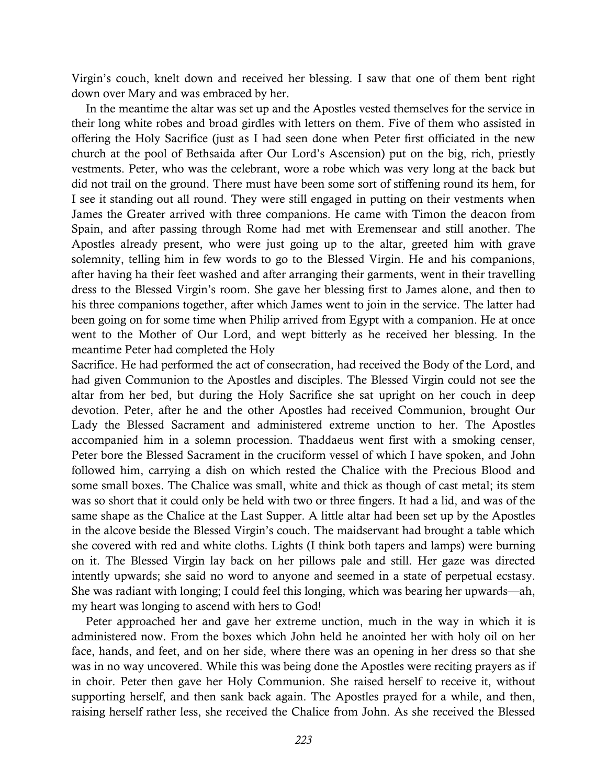Virgin's couch, knelt down and received her blessing. I saw that one of them bent right down over Mary and was embraced by her.

In the meantime the altar was set up and the Apostles vested themselves for the service in their long white robes and broad girdles with letters on them. Five of them who assisted in offering the Holy Sacrifice (just as I had seen done when Peter first officiated in the new church at the pool of Bethsaida after Our Lord's Ascension) put on the big, rich, priestly vestments. Peter, who was the celebrant, wore a robe which was very long at the back but did not trail on the ground. There must have been some sort of stiffening round its hem, for I see it standing out all round. They were still engaged in putting on their vestments when James the Greater arrived with three companions. He came with Timon the deacon from Spain, and after passing through Rome had met with Eremensear and still another. The Apostles already present, who were just going up to the altar, greeted him with grave solemnity, telling him in few words to go to the Blessed Virgin. He and his companions, after having ha their feet washed and after arranging their garments, went in their travelling dress to the Blessed Virgin's room. She gave her blessing first to James alone, and then to his three companions together, after which James went to join in the service. The latter had been going on for some time when Philip arrived from Egypt with a companion. He at once went to the Mother of Our Lord, and wept bitterly as he received her blessing. In the meantime Peter had completed the Holy

Sacrifice. He had performed the act of consecration, had received the Body of the Lord, and had given Communion to the Apostles and disciples. The Blessed Virgin could not see the altar from her bed, but during the Holy Sacrifice she sat upright on her couch in deep devotion. Peter, after he and the other Apostles had received Communion, brought Our Lady the Blessed Sacrament and administered extreme unction to her. The Apostles accompanied him in a solemn procession. Thaddaeus went first with a smoking censer, Peter bore the Blessed Sacrament in the cruciform vessel of which I have spoken, and John followed him, carrying a dish on which rested the Chalice with the Precious Blood and some small boxes. The Chalice was small, white and thick as though of cast metal; its stem was so short that it could only be held with two or three fingers. It had a lid, and was of the same shape as the Chalice at the Last Supper. A little altar had been set up by the Apostles in the alcove beside the Blessed Virgin's couch. The maidservant had brought a table which she covered with red and white cloths. Lights (I think both tapers and lamps) were burning on it. The Blessed Virgin lay back on her pillows pale and still. Her gaze was directed intently upwards; she said no word to anyone and seemed in a state of perpetual ecstasy. She was radiant with longing; I could feel this longing, which was bearing her upwards—ah, my heart was longing to ascend with hers to God!

Peter approached her and gave her extreme unction, much in the way in which it is administered now. From the boxes which John held he anointed her with holy oil on her face, hands, and feet, and on her side, where there was an opening in her dress so that she was in no way uncovered. While this was being done the Apostles were reciting prayers as if in choir. Peter then gave her Holy Communion. She raised herself to receive it, without supporting herself, and then sank back again. The Apostles prayed for a while, and then, raising herself rather less, she received the Chalice from John. As she received the Blessed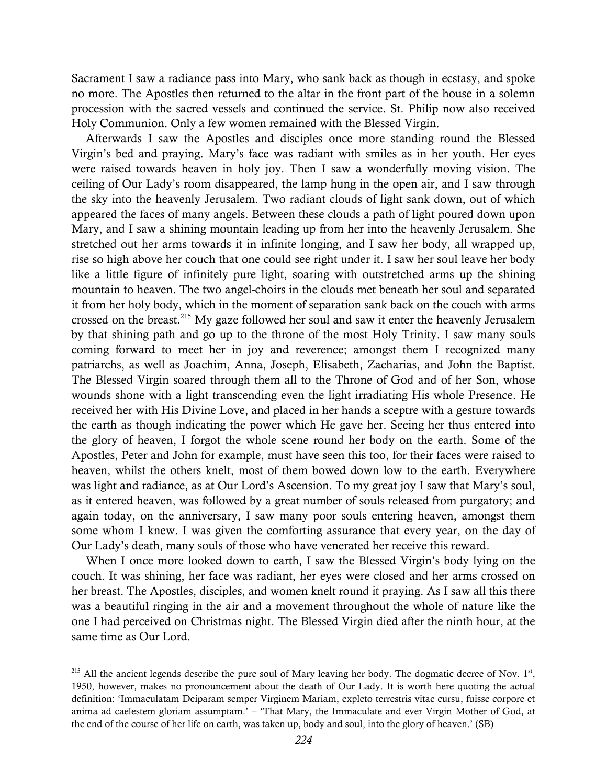Sacrament I saw a radiance pass into Mary, who sank back as though in ecstasy, and spoke no more. The Apostles then returned to the altar in the front part of the house in a solemn procession with the sacred vessels and continued the service. St. Philip now also received Holy Communion. Only a few women remained with the Blessed Virgin.

Afterwards I saw the Apostles and disciples once more standing round the Blessed Virgin's bed and praying. Mary's face was radiant with smiles as in her youth. Her eyes were raised towards heaven in holy joy. Then I saw a wonderfully moving vision. The ceiling of Our Lady's room disappeared, the lamp hung in the open air, and I saw through the sky into the heavenly Jerusalem. Two radiant clouds of light sank down, out of which appeared the faces of many angels. Between these clouds a path of light poured down upon Mary, and I saw a shining mountain leading up from her into the heavenly Jerusalem. She stretched out her arms towards it in infinite longing, and I saw her body, all wrapped up, rise so high above her couch that one could see right under it. I saw her soul leave her body like a little figure of infinitely pure light, soaring with outstretched arms up the shining mountain to heaven. The two angel-choirs in the clouds met beneath her soul and separated it from her holy body, which in the moment of separation sank back on the couch with arms crossed on the breast.<sup>215</sup> My gaze followed her soul and saw it enter the heavenly Jerusalem by that shining path and go up to the throne of the most Holy Trinity. I saw many souls coming forward to meet her in joy and reverence; amongst them I recognized many patriarchs, as well as Joachim, Anna, Joseph, Elisabeth, Zacharias, and John the Baptist. The Blessed Virgin soared through them all to the Throne of God and of her Son, whose wounds shone with a light transcending even the light irradiating His whole Presence. He received her with His Divine Love, and placed in her hands a sceptre with a gesture towards the earth as though indicating the power which He gave her. Seeing her thus entered into the glory of heaven, I forgot the whole scene round her body on the earth. Some of the Apostles, Peter and John for example, must have seen this too, for their faces were raised to heaven, whilst the others knelt, most of them bowed down low to the earth. Everywhere was light and radiance, as at Our Lord's Ascension. To my great joy I saw that Mary's soul, as it entered heaven, was followed by a great number of souls released from purgatory; and again today, on the anniversary, I saw many poor souls entering heaven, amongst them some whom I knew. I was given the comforting assurance that every year, on the day of Our Lady's death, many souls of those who have venerated her receive this reward.

When I once more looked down to earth, I saw the Blessed Virgin's body lying on the couch. It was shining, her face was radiant, her eyes were closed and her arms crossed on her breast. The Apostles, disciples, and women knelt round it praying. As I saw all this there was a beautiful ringing in the air and a movement throughout the whole of nature like the one I had perceived on Christmas night. The Blessed Virgin died after the ninth hour, at the same time as Our Lord.

 $^{215}$  All the ancient legends describe the pure soul of Mary leaving her body. The dogmatic decree of Nov. 1st, 1950, however, makes no pronouncement about the death of Our Lady. It is worth here quoting the actual definition: 'Immaculatam Deiparam semper Virginem Mariam, expleto terrestris vitae cursu, fuisse corpore et anima ad caelestem gloriam assumptam.' – 'That Mary, the Immaculate and ever Virgin Mother of God, at the end of the course of her life on earth, was taken up, body and soul, into the glory of heaven.' (SB)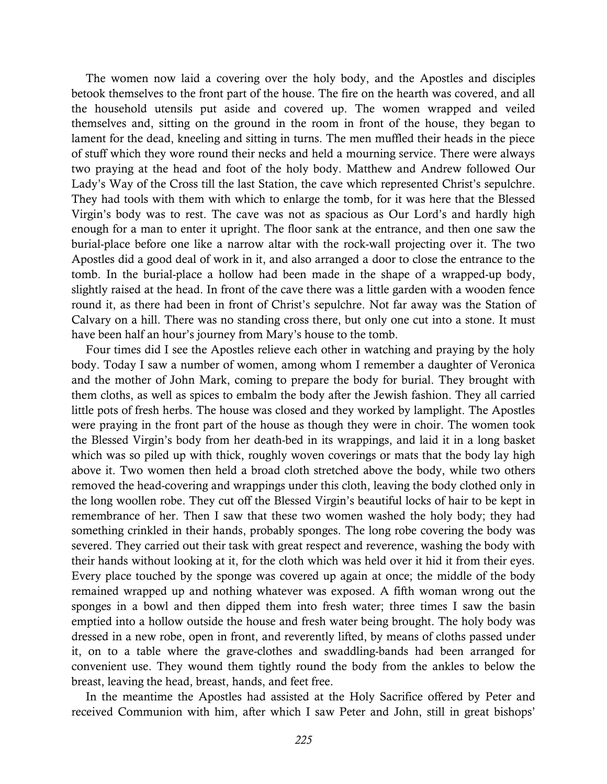The women now laid a covering over the holy body, and the Apostles and disciples betook themselves to the front part of the house. The fire on the hearth was covered, and all the household utensils put aside and covered up. The women wrapped and veiled themselves and, sitting on the ground in the room in front of the house, they began to lament for the dead, kneeling and sitting in turns. The men muffled their heads in the piece of stuff which they wore round their necks and held a mourning service. There were always two praying at the head and foot of the holy body. Matthew and Andrew followed Our Lady's Way of the Cross till the last Station, the cave which represented Christ's sepulchre. They had tools with them with which to enlarge the tomb, for it was here that the Blessed Virgin's body was to rest. The cave was not as spacious as Our Lord's and hardly high enough for a man to enter it upright. The floor sank at the entrance, and then one saw the burial-place before one like a narrow altar with the rock-wall projecting over it. The two Apostles did a good deal of work in it, and also arranged a door to close the entrance to the tomb. In the burial-place a hollow had been made in the shape of a wrapped-up body, slightly raised at the head. In front of the cave there was a little garden with a wooden fence round it, as there had been in front of Christ's sepulchre. Not far away was the Station of Calvary on a hill. There was no standing cross there, but only one cut into a stone. It must have been half an hour's journey from Mary's house to the tomb.

Four times did I see the Apostles relieve each other in watching and praying by the holy body. Today I saw a number of women, among whom I remember a daughter of Veronica and the mother of John Mark, coming to prepare the body for burial. They brought with them cloths, as well as spices to embalm the body after the Jewish fashion. They all carried little pots of fresh herbs. The house was closed and they worked by lamplight. The Apostles were praying in the front part of the house as though they were in choir. The women took the Blessed Virgin's body from her death-bed in its wrappings, and laid it in a long basket which was so piled up with thick, roughly woven coverings or mats that the body lay high above it. Two women then held a broad cloth stretched above the body, while two others removed the head-covering and wrappings under this cloth, leaving the body clothed only in the long woollen robe. They cut off the Blessed Virgin's beautiful locks of hair to be kept in remembrance of her. Then I saw that these two women washed the holy body; they had something crinkled in their hands, probably sponges. The long robe covering the body was severed. They carried out their task with great respect and reverence, washing the body with their hands without looking at it, for the cloth which was held over it hid it from their eyes. Every place touched by the sponge was covered up again at once; the middle of the body remained wrapped up and nothing whatever was exposed. A fifth woman wrong out the sponges in a bowl and then dipped them into fresh water; three times I saw the basin emptied into a hollow outside the house and fresh water being brought. The holy body was dressed in a new robe, open in front, and reverently lifted, by means of cloths passed under it, on to a table where the grave-clothes and swaddling-bands had been arranged for convenient use. They wound them tightly round the body from the ankles to below the breast, leaving the head, breast, hands, and feet free.

In the meantime the Apostles had assisted at the Holy Sacrifice offered by Peter and received Communion with him, after which I saw Peter and John, still in great bishops'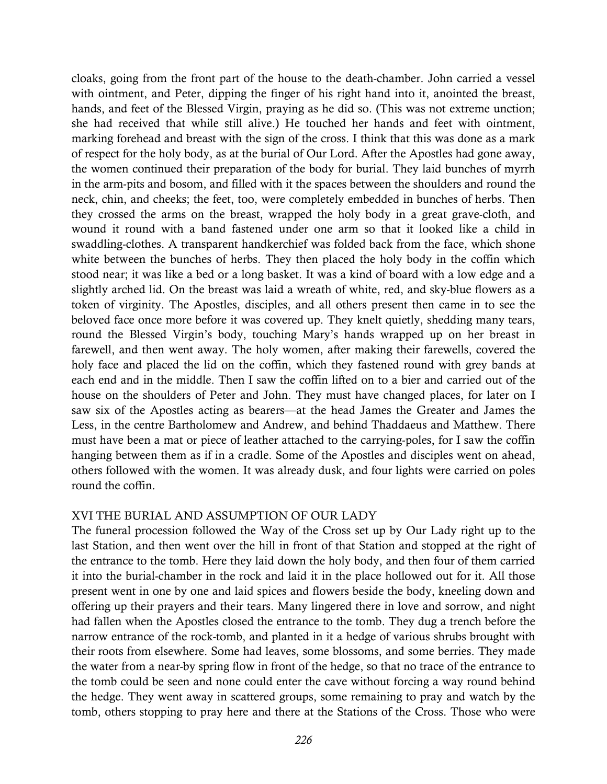cloaks, going from the front part of the house to the death-chamber. John carried a vessel with ointment, and Peter, dipping the finger of his right hand into it, anointed the breast, hands, and feet of the Blessed Virgin, praying as he did so. (This was not extreme unction; she had received that while still alive.) He touched her hands and feet with ointment, marking forehead and breast with the sign of the cross. I think that this was done as a mark of respect for the holy body, as at the burial of Our Lord. After the Apostles had gone away, the women continued their preparation of the body for burial. They laid bunches of myrrh in the arm-pits and bosom, and filled with it the spaces between the shoulders and round the neck, chin, and cheeks; the feet, too, were completely embedded in bunches of herbs. Then they crossed the arms on the breast, wrapped the holy body in a great grave-cloth, and wound it round with a band fastened under one arm so that it looked like a child in swaddling-clothes. A transparent handkerchief was folded back from the face, which shone white between the bunches of herbs. They then placed the holy body in the coffin which stood near; it was like a bed or a long basket. It was a kind of board with a low edge and a slightly arched lid. On the breast was laid a wreath of white, red, and sky-blue flowers as a token of virginity. The Apostles, disciples, and all others present then came in to see the beloved face once more before it was covered up. They knelt quietly, shedding many tears, round the Blessed Virgin's body, touching Mary's hands wrapped up on her breast in farewell, and then went away. The holy women, after making their farewells, covered the holy face and placed the lid on the coffin, which they fastened round with grey bands at each end and in the middle. Then I saw the coffin lifted on to a bier and carried out of the house on the shoulders of Peter and John. They must have changed places, for later on I saw six of the Apostles acting as bearers—at the head James the Greater and James the Less, in the centre Bartholomew and Andrew, and behind Thaddaeus and Matthew. There must have been a mat or piece of leather attached to the carrying-poles, for I saw the coffin hanging between them as if in a cradle. Some of the Apostles and disciples went on ahead, others followed with the women. It was already dusk, and four lights were carried on poles round the coffin.

## XVI THE BURIAL AND ASSUMPTION OF OUR LADY

The funeral procession followed the Way of the Cross set up by Our Lady right up to the last Station, and then went over the hill in front of that Station and stopped at the right of the entrance to the tomb. Here they laid down the holy body, and then four of them carried it into the burial-chamber in the rock and laid it in the place hollowed out for it. All those present went in one by one and laid spices and flowers beside the body, kneeling down and offering up their prayers and their tears. Many lingered there in love and sorrow, and night had fallen when the Apostles closed the entrance to the tomb. They dug a trench before the narrow entrance of the rock-tomb, and planted in it a hedge of various shrubs brought with their roots from elsewhere. Some had leaves, some blossoms, and some berries. They made the water from a near-by spring flow in front of the hedge, so that no trace of the entrance to the tomb could be seen and none could enter the cave without forcing a way round behind the hedge. They went away in scattered groups, some remaining to pray and watch by the tomb, others stopping to pray here and there at the Stations of the Cross. Those who were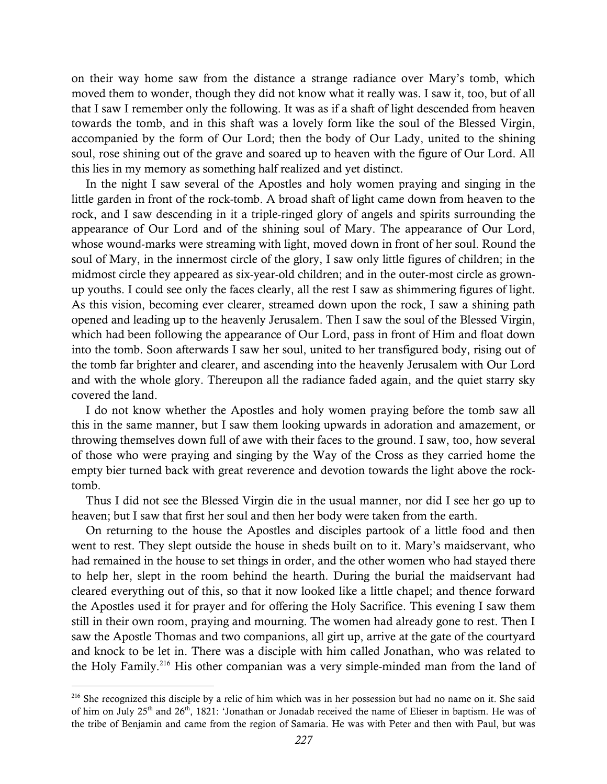on their way home saw from the distance a strange radiance over Mary's tomb, which moved them to wonder, though they did not know what it really was. I saw it, too, but of all that I saw I remember only the following. It was as if a shaft of light descended from heaven towards the tomb, and in this shaft was a lovely form like the soul of the Blessed Virgin, accompanied by the form of Our Lord; then the body of Our Lady, united to the shining soul, rose shining out of the grave and soared up to heaven with the figure of Our Lord. All this lies in my memory as something half realized and yet distinct.

In the night I saw several of the Apostles and holy women praying and singing in the little garden in front of the rock-tomb. A broad shaft of light came down from heaven to the rock, and I saw descending in it a triple-ringed glory of angels and spirits surrounding the appearance of Our Lord and of the shining soul of Mary. The appearance of Our Lord, whose wound-marks were streaming with light, moved down in front of her soul. Round the soul of Mary, in the innermost circle of the glory, I saw only little figures of children; in the midmost circle they appeared as six-year-old children; and in the outer-most circle as grownup youths. I could see only the faces clearly, all the rest I saw as shimmering figures of light. As this vision, becoming ever clearer, streamed down upon the rock, I saw a shining path opened and leading up to the heavenly Jerusalem. Then I saw the soul of the Blessed Virgin, which had been following the appearance of Our Lord, pass in front of Him and float down into the tomb. Soon afterwards I saw her soul, united to her transfigured body, rising out of the tomb far brighter and clearer, and ascending into the heavenly Jerusalem with Our Lord and with the whole glory. Thereupon all the radiance faded again, and the quiet starry sky covered the land.

I do not know whether the Apostles and holy women praying before the tomb saw all this in the same manner, but I saw them looking upwards in adoration and amazement, or throwing themselves down full of awe with their faces to the ground. I saw, too, how several of those who were praying and singing by the Way of the Cross as they carried home the empty bier turned back with great reverence and devotion towards the light above the rocktomb.

Thus I did not see the Blessed Virgin die in the usual manner, nor did I see her go up to heaven; but I saw that first her soul and then her body were taken from the earth.

On returning to the house the Apostles and disciples partook of a little food and then went to rest. They slept outside the house in sheds built on to it. Mary's maidservant, who had remained in the house to set things in order, and the other women who had stayed there to help her, slept in the room behind the hearth. During the burial the maidservant had cleared everything out of this, so that it now looked like a little chapel; and thence forward the Apostles used it for prayer and for offering the Holy Sacrifice. This evening I saw them still in their own room, praying and mourning. The women had already gone to rest. Then I saw the Apostle Thomas and two companions, all girt up, arrive at the gate of the courtyard and knock to be let in. There was a disciple with him called Jonathan, who was related to the Holy Family.<sup>216</sup> His other companian was a very simple-minded man from the land of

<sup>216</sup> She recognized this disciple by a relic of him which was in her possession but had no name on it. She said of him on July 25<sup>th</sup> and 26<sup>th</sup>, 1821: 'Jonathan or Jonadab received the name of Elieser in baptism. He was of the tribe of Benjamin and came from the region of Samaria. He was with Peter and then with Paul, but was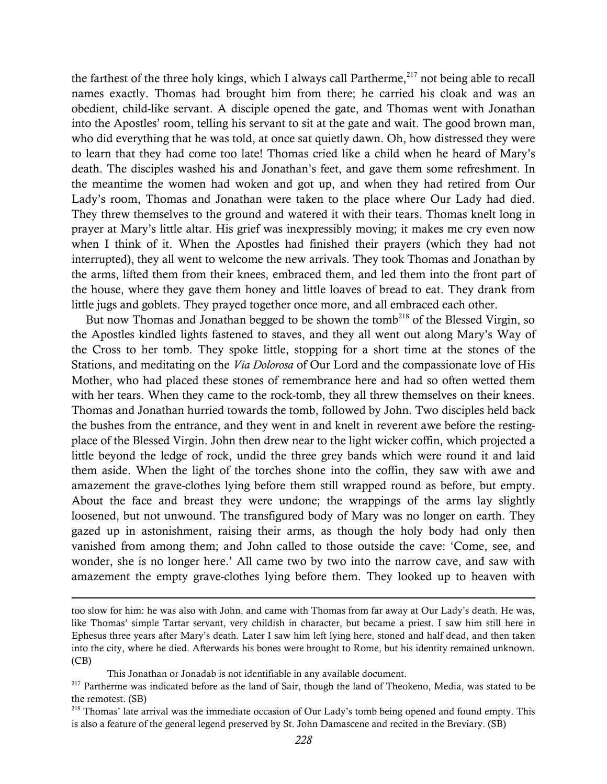the farthest of the three holy kings, which I always call Partherme, $^{217}$  not being able to recall names exactly. Thomas had brought him from there; he carried his cloak and was an obedient, child-like servant. A disciple opened the gate, and Thomas went with Jonathan into the Apostles' room, telling his servant to sit at the gate and wait. The good brown man, who did everything that he was told, at once sat quietly dawn. Oh, how distressed they were to learn that they had come too late! Thomas cried like a child when he heard of Mary's death. The disciples washed his and Jonathan's feet, and gave them some refreshment. In the meantime the women had woken and got up, and when they had retired from Our Lady's room, Thomas and Jonathan were taken to the place where Our Lady had died. They threw themselves to the ground and watered it with their tears. Thomas knelt long in prayer at Mary's little altar. His grief was inexpressibly moving; it makes me cry even now when I think of it. When the Apostles had finished their prayers (which they had not interrupted), they all went to welcome the new arrivals. They took Thomas and Jonathan by the arms, lifted them from their knees, embraced them, and led them into the front part of the house, where they gave them honey and little loaves of bread to eat. They drank from little jugs and goblets. They prayed together once more, and all embraced each other.

But now Thomas and Jonathan begged to be shown the tomb<sup>218</sup> of the Blessed Virgin, so the Apostles kindled lights fastened to staves, and they all went out along Mary's Way of the Cross to her tomb. They spoke little, stopping for a short time at the stones of the Stations, and meditating on the *Via Dolorosa* of Our Lord and the compassionate love of His Mother, who had placed these stones of remembrance here and had so often wetted them with her tears. When they came to the rock-tomb, they all threw themselves on their knees. Thomas and Jonathan hurried towards the tomb, followed by John. Two disciples held back the bushes from the entrance, and they went in and knelt in reverent awe before the restingplace of the Blessed Virgin. John then drew near to the light wicker coffin, which projected a little beyond the ledge of rock, undid the three grey bands which were round it and laid them aside. When the light of the torches shone into the coffin, they saw with awe and amazement the grave-clothes lying before them still wrapped round as before, but empty. About the face and breast they were undone; the wrappings of the arms lay slightly loosened, but not unwound. The transfigured body of Mary was no longer on earth. They gazed up in astonishment, raising their arms, as though the holy body had only then vanished from among them; and John called to those outside the cave: 'Come, see, and wonder, she is no longer here.' All came two by two into the narrow cave, and saw with amazement the empty grave-clothes lying before them. They looked up to heaven with

too slow for him: he was also with John, and came with Thomas from far away at Our Lady's death. He was, like Thomas' simple Tartar servant, very childish in character, but became a priest. I saw him still here in Ephesus three years after Mary's death. Later I saw him left lying here, stoned and half dead, and then taken into the city, where he died. Afterwards his bones were brought to Rome, but his identity remained unknown. (CB)

This Jonathan or Jonadab is not identifiable in any available document.

<sup>&</sup>lt;sup>217</sup> Partherme was indicated before as the land of Sair, though the land of Theokeno, Media, was stated to be the remotest. (SB)

<sup>&</sup>lt;sup>218</sup> Thomas' late arrival was the immediate occasion of Our Lady's tomb being opened and found empty. This is also a feature of the general legend preserved by St. John Damascene and recited in the Breviary. (SB)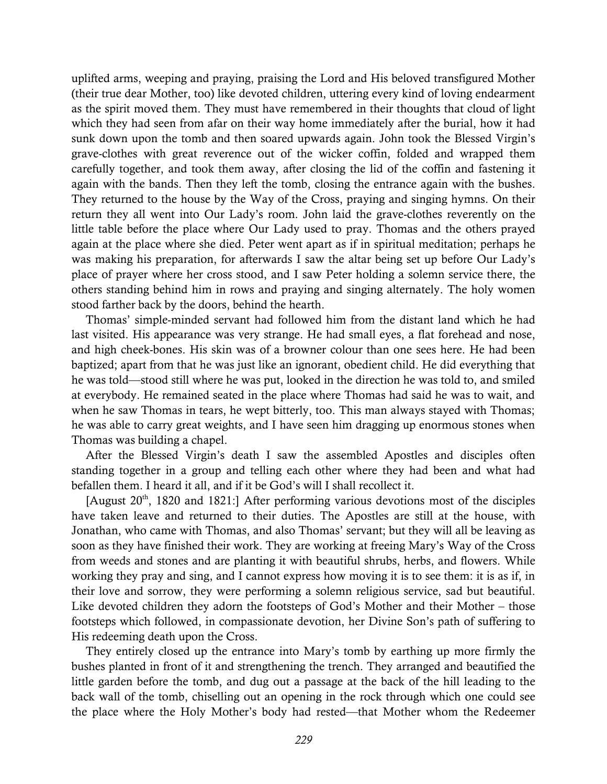uplifted arms, weeping and praying, praising the Lord and His beloved transfigured Mother (their true dear Mother, too) like devoted children, uttering every kind of loving endearment as the spirit moved them. They must have remembered in their thoughts that cloud of light which they had seen from afar on their way home immediately after the burial, how it had sunk down upon the tomb and then soared upwards again. John took the Blessed Virgin's grave-clothes with great reverence out of the wicker coffin, folded and wrapped them carefully together, and took them away, after closing the lid of the coffin and fastening it again with the bands. Then they left the tomb, closing the entrance again with the bushes. They returned to the house by the Way of the Cross, praying and singing hymns. On their return they all went into Our Lady's room. John laid the grave-clothes reverently on the little table before the place where Our Lady used to pray. Thomas and the others prayed again at the place where she died. Peter went apart as if in spiritual meditation; perhaps he was making his preparation, for afterwards I saw the altar being set up before Our Lady's place of prayer where her cross stood, and I saw Peter holding a solemn service there, the others standing behind him in rows and praying and singing alternately. The holy women stood farther back by the doors, behind the hearth.

Thomas' simple-minded servant had followed him from the distant land which he had last visited. His appearance was very strange. He had small eyes, a flat forehead and nose, and high cheek-bones. His skin was of a browner colour than one sees here. He had been baptized; apart from that he was just like an ignorant, obedient child. He did everything that he was told—stood still where he was put, looked in the direction he was told to, and smiled at everybody. He remained seated in the place where Thomas had said he was to wait, and when he saw Thomas in tears, he wept bitterly, too. This man always stayed with Thomas; he was able to carry great weights, and I have seen him dragging up enormous stones when Thomas was building a chapel.

After the Blessed Virgin's death I saw the assembled Apostles and disciples often standing together in a group and telling each other where they had been and what had befallen them. I heard it all, and if it be God's will I shall recollect it.

[August  $20<sup>th</sup>$ , 1820 and 1821:] After performing various devotions most of the disciples have taken leave and returned to their duties. The Apostles are still at the house, with Jonathan, who came with Thomas, and also Thomas' servant; but they will all be leaving as soon as they have finished their work. They are working at freeing Mary's Way of the Cross from weeds and stones and are planting it with beautiful shrubs, herbs, and flowers. While working they pray and sing, and I cannot express how moving it is to see them: it is as if, in their love and sorrow, they were performing a solemn religious service, sad but beautiful. Like devoted children they adorn the footsteps of God's Mother and their Mother – those footsteps which followed, in compassionate devotion, her Divine Son's path of suffering to His redeeming death upon the Cross.

They entirely closed up the entrance into Mary's tomb by earthing up more firmly the bushes planted in front of it and strengthening the trench. They arranged and beautified the little garden before the tomb, and dug out a passage at the back of the hill leading to the back wall of the tomb, chiselling out an opening in the rock through which one could see the place where the Holy Mother's body had rested—that Mother whom the Redeemer